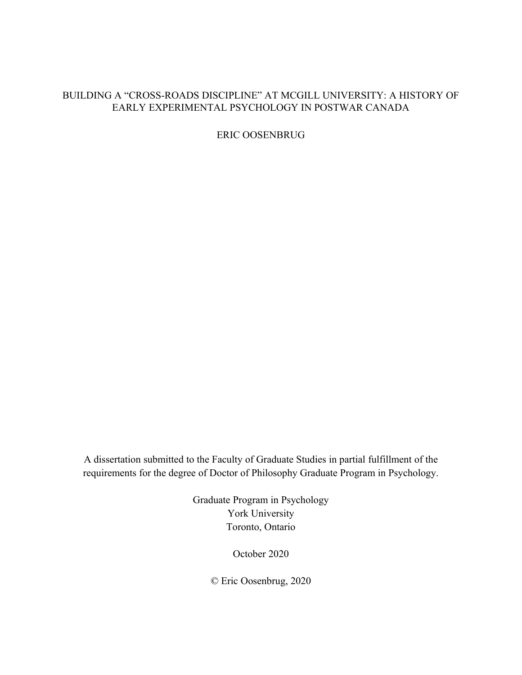## BUILDING A "CROSS-ROADS DISCIPLINE" AT MCGILL UNIVERSITY: A HISTORY OF EARLY EXPERIMENTAL PSYCHOLOGY IN POSTWAR CANADA

ERIC OOSENBRUG

A dissertation submitted to the Faculty of Graduate Studies in partial fulfillment of the requirements for the degree of Doctor of Philosophy Graduate Program in Psychology.

> Graduate Program in Psychology York University Toronto, Ontario

> > October 2020

© Eric Oosenbrug, 2020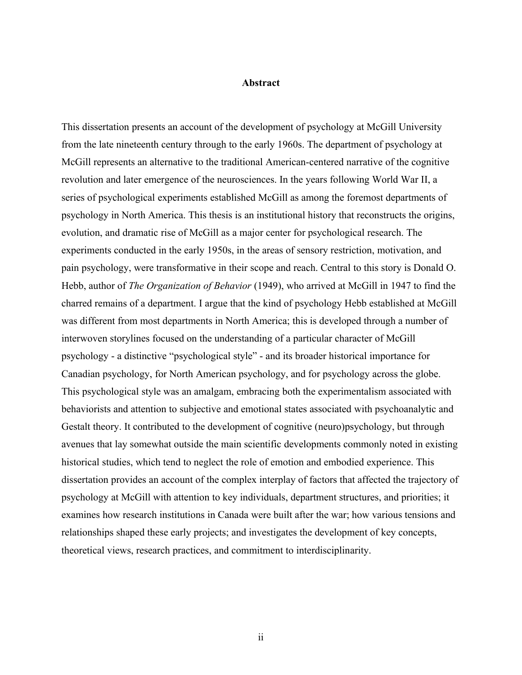#### <span id="page-1-0"></span>**Abstract**

This dissertation presents an account of the development of psychology at McGill University from the late nineteenth century through to the early 1960s. The department of psychology at McGill represents an alternative to the traditional American-centered narrative of the cognitive revolution and later emergence of the neurosciences. In the years following World War II, a series of psychological experiments established McGill as among the foremost departments of psychology in North America. This thesis is an institutional history that reconstructs the origins, evolution, and dramatic rise of McGill as a major center for psychological research. The experiments conducted in the early 1950s, in the areas of sensory restriction, motivation, and pain psychology, were transformative in their scope and reach. Central to this story is Donald O. Hebb, author of *The Organization of Behavior* (1949), who arrived at McGill in 1947 to find the charred remains of a department. I argue that the kind of psychology Hebb established at McGill was different from most departments in North America; this is developed through a number of interwoven storylines focused on the understanding of a particular character of McGill psychology - a distinctive "psychological style" - and its broader historical importance for Canadian psychology, for North American psychology, and for psychology across the globe. This psychological style was an amalgam, embracing both the experimentalism associated with behaviorists and attention to subjective and emotional states associated with psychoanalytic and Gestalt theory. It contributed to the development of cognitive (neuro)psychology, but through avenues that lay somewhat outside the main scientific developments commonly noted in existing historical studies, which tend to neglect the role of emotion and embodied experience. This dissertation provides an account of the complex interplay of factors that affected the trajectory of psychology at McGill with attention to key individuals, department structures, and priorities; it examines how research institutions in Canada were built after the war; how various tensions and relationships shaped these early projects; and investigates the development of key concepts, theoretical views, research practices, and commitment to interdisciplinarity.

ii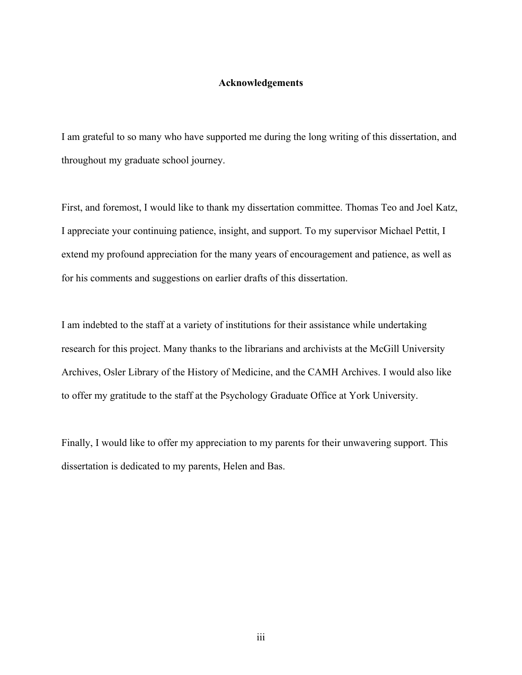### <span id="page-2-0"></span>**Acknowledgements**

I am grateful to so many who have supported me during the long writing of this dissertation, and throughout my graduate school journey.

First, and foremost, I would like to thank my dissertation committee. Thomas Teo and Joel Katz, I appreciate your continuing patience, insight, and support. To my supervisor Michael Pettit, I extend my profound appreciation for the many years of encouragement and patience, as well as for his comments and suggestions on earlier drafts of this dissertation.

I am indebted to the staff at a variety of institutions for their assistance while undertaking research for this project. Many thanks to the librarians and archivists at the McGill University Archives, Osler Library of the History of Medicine, and the CAMH Archives. I would also like to offer my gratitude to the staff at the Psychology Graduate Office at York University.

Finally, I would like to offer my appreciation to my parents for their unwavering support. This dissertation is dedicated to my parents, Helen and Bas.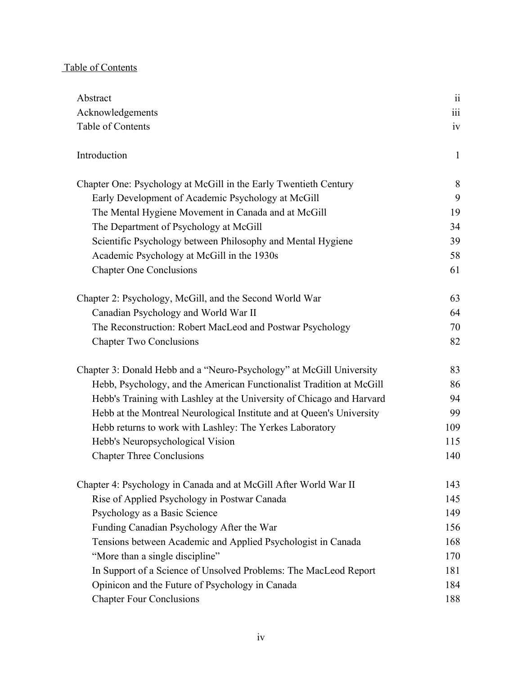# Table of Contents

| Abstract                                                              | $\overline{\textbf{ii}}$ |
|-----------------------------------------------------------------------|--------------------------|
| Acknowledgements                                                      | $\overline{\text{iii}}$  |
| Table of Contents                                                     | iv                       |
| Introduction                                                          | $\mathbf{1}$             |
| Chapter One: Psychology at McGill in the Early Twentieth Century      | 8                        |
| Early Development of Academic Psychology at McGill                    | 9                        |
| The Mental Hygiene Movement in Canada and at McGill                   | 19                       |
| The Department of Psychology at McGill                                | 34                       |
| Scientific Psychology between Philosophy and Mental Hygiene           | 39                       |
| Academic Psychology at McGill in the 1930s                            | 58                       |
| <b>Chapter One Conclusions</b>                                        | 61                       |
| Chapter 2: Psychology, McGill, and the Second World War               | 63                       |
| Canadian Psychology and World War II                                  | 64                       |
| The Reconstruction: Robert MacLeod and Postwar Psychology             | 70                       |
| <b>Chapter Two Conclusions</b>                                        | 82                       |
| Chapter 3: Donald Hebb and a "Neuro-Psychology" at McGill University  | 83                       |
| Hebb, Psychology, and the American Functionalist Tradition at McGill  | 86                       |
| Hebb's Training with Lashley at the University of Chicago and Harvard | 94                       |
| Hebb at the Montreal Neurological Institute and at Queen's University | 99                       |
| Hebb returns to work with Lashley: The Yerkes Laboratory              | 109                      |
| Hebb's Neuropsychological Vision                                      | 115                      |
| <b>Chapter Three Conclusions</b>                                      | 140                      |
| Chapter 4: Psychology in Canada and at McGill After World War II      | 143                      |
| Rise of Applied Psychology in Postwar Canada                          | 145                      |
| Psychology as a Basic Science                                         | 149                      |
| Funding Canadian Psychology After the War                             | 156                      |
| Tensions between Academic and Applied Psychologist in Canada          | 168                      |
| "More than a single discipline"                                       | 170                      |
| In Support of a Science of Unsolved Problems: The MacLeod Report      | 181                      |
| Opinicon and the Future of Psychology in Canada                       | 184                      |
| <b>Chapter Four Conclusions</b>                                       | 188                      |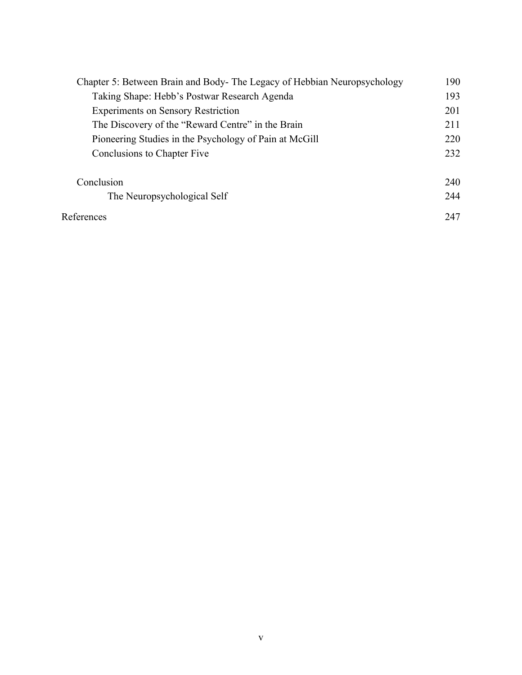| Chapter 5: Between Brain and Body-The Legacy of Hebbian Neuropsychology | 190 |
|-------------------------------------------------------------------------|-----|
| Taking Shape: Hebb's Postwar Research Agenda                            | 193 |
| <b>Experiments on Sensory Restriction</b>                               | 201 |
| The Discovery of the "Reward Centre" in the Brain                       | 211 |
| Pioneering Studies in the Psychology of Pain at McGill                  | 220 |
| Conclusions to Chapter Five                                             | 232 |
| Conclusion                                                              | 240 |
| The Neuropsychological Self                                             | 244 |
| References                                                              | 247 |
|                                                                         |     |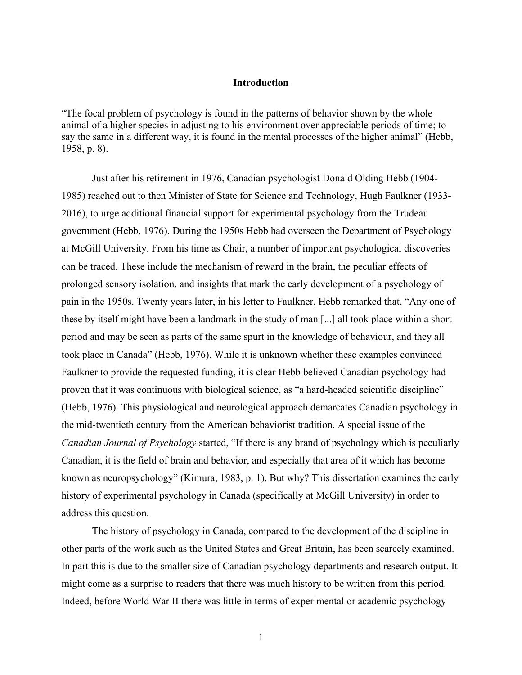### **Introduction**

"The focal problem of psychology is found in the patterns of behavior shown by the whole animal of a higher species in adjusting to his environment over appreciable periods of time; to say the same in a different way, it is found in the mental processes of the higher animal" (Hebb, 1958, p. 8).

Just after his retirement in 1976, Canadian psychologist Donald Olding Hebb (1904- 1985) reached out to then Minister of State for Science and Technology, Hugh Faulkner (1933- 2016), to urge additional financial support for experimental psychology from the Trudeau government (Hebb, 1976). During the 1950s Hebb had overseen the Department of Psychology at McGill University. From his time as Chair, a number of important psychological discoveries can be traced. These include the mechanism of reward in the brain, the peculiar effects of prolonged sensory isolation, and insights that mark the early development of a psychology of pain in the 1950s. Twenty years later, in his letter to Faulkner, Hebb remarked that, "Any one of these by itself might have been a landmark in the study of man [...] all took place within a short period and may be seen as parts of the same spurt in the knowledge of behaviour, and they all took place in Canada" (Hebb, 1976). While it is unknown whether these examples convinced Faulkner to provide the requested funding, it is clear Hebb believed Canadian psychology had proven that it was continuous with biological science, as "a hard-headed scientific discipline" (Hebb, 1976). This physiological and neurological approach demarcates Canadian psychology in the mid-twentieth century from the American behaviorist tradition. A special issue of the *Canadian Journal of Psychology* started, "If there is any brand of psychology which is peculiarly Canadian, it is the field of brain and behavior, and especially that area of it which has become known as neuropsychology" (Kimura, 1983, p. 1). But why? This dissertation examines the early history of experimental psychology in Canada (specifically at McGill University) in order to address this question.

The history of psychology in Canada, compared to the development of the discipline in other parts of the work such as the United States and Great Britain, has been scarcely examined. In part this is due to the smaller size of Canadian psychology departments and research output. It might come as a surprise to readers that there was much history to be written from this period. Indeed, before World War II there was little in terms of experimental or academic psychology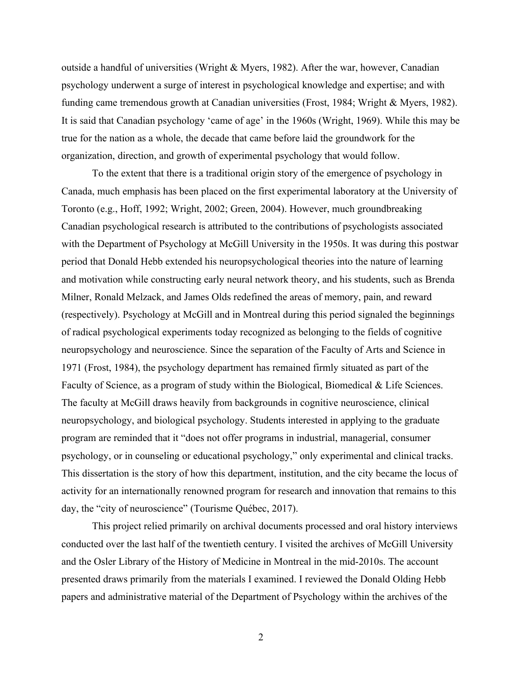outside a handful of universities (Wright & Myers, 1982). After the war, however, Canadian psychology underwent a surge of interest in psychological knowledge and expertise; and with funding came tremendous growth at Canadian universities (Frost, 1984; Wright & Myers, 1982). It is said that Canadian psychology 'came of age' in the 1960s (Wright, 1969). While this may be true for the nation as a whole, the decade that came before laid the groundwork for the organization, direction, and growth of experimental psychology that would follow.

To the extent that there is a traditional origin story of the emergence of psychology in Canada, much emphasis has been placed on the first experimental laboratory at the University of Toronto (e.g., Hoff, 1992; Wright, 2002; Green, 2004). However, much groundbreaking Canadian psychological research is attributed to the contributions of psychologists associated with the Department of Psychology at McGill University in the 1950s. It was during this postwar period that Donald Hebb extended his neuropsychological theories into the nature of learning and motivation while constructing early neural network theory, and his students, such as Brenda Milner, Ronald Melzack, and James Olds redefined the areas of memory, pain, and reward (respectively). Psychology at McGill and in Montreal during this period signaled the beginnings of radical psychological experiments today recognized as belonging to the fields of cognitive neuropsychology and neuroscience. Since the separation of the Faculty of Arts and Science in 1971 (Frost, 1984), the psychology department has remained firmly situated as part of the Faculty of Science, as a program of study within the Biological, Biomedical & Life Sciences. The faculty at McGill draws heavily from backgrounds in cognitive neuroscience, clinical neuropsychology, and biological psychology. Students interested in applying to the graduate program are reminded that it "does not offer programs in industrial, managerial, consumer psychology, or in counseling or educational psychology," only experimental and clinical tracks. This dissertation is the story of how this department, institution, and the city became the locus of activity for an internationally renowned program for research and innovation that remains to this day, the "city of neuroscience" (Tourisme Québec, 2017).

This project relied primarily on archival documents processed and oral history interviews conducted over the last half of the twentieth century. I visited the archives of McGill University and the Osler Library of the History of Medicine in Montreal in the mid-2010s. The account presented draws primarily from the materials I examined. I reviewed the Donald Olding Hebb papers and administrative material of the Department of Psychology within the archives of the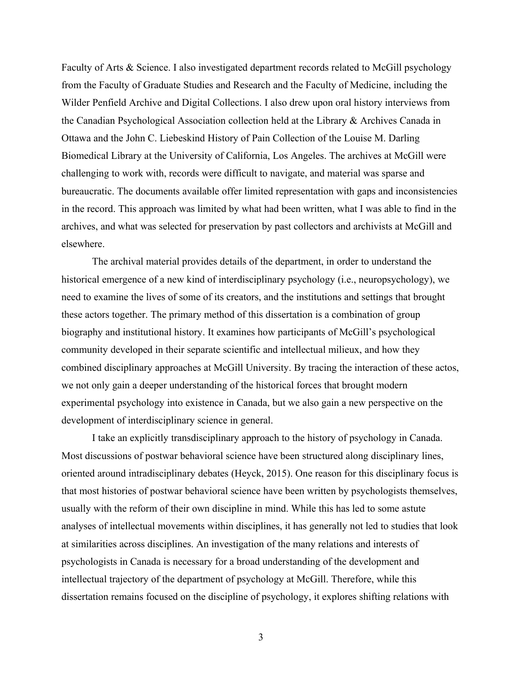Faculty of Arts & Science. I also investigated department records related to McGill psychology from the Faculty of Graduate Studies and Research and the Faculty of Medicine, including the Wilder Penfield Archive and Digital Collections. I also drew upon oral history interviews from the Canadian Psychological Association collection held at the Library & Archives Canada in Ottawa and the John C. Liebeskind History of Pain Collection of the Louise M. Darling Biomedical Library at the University of California, Los Angeles. The archives at McGill were challenging to work with, records were difficult to navigate, and material was sparse and bureaucratic. The documents available offer limited representation with gaps and inconsistencies in the record. This approach was limited by what had been written, what I was able to find in the archives, and what was selected for preservation by past collectors and archivists at McGill and elsewhere.

The archival material provides details of the department, in order to understand the historical emergence of a new kind of interdisciplinary psychology (i.e., neuropsychology), we need to examine the lives of some of its creators, and the institutions and settings that brought these actors together. The primary method of this dissertation is a combination of group biography and institutional history. It examines how participants of McGill's psychological community developed in their separate scientific and intellectual milieux, and how they combined disciplinary approaches at McGill University. By tracing the interaction of these actos, we not only gain a deeper understanding of the historical forces that brought modern experimental psychology into existence in Canada, but we also gain a new perspective on the development of interdisciplinary science in general.

I take an explicitly transdisciplinary approach to the history of psychology in Canada. Most discussions of postwar behavioral science have been structured along disciplinary lines, oriented around intradisciplinary debates (Heyck, 2015). One reason for this disciplinary focus is that most histories of postwar behavioral science have been written by psychologists themselves, usually with the reform of their own discipline in mind. While this has led to some astute analyses of intellectual movements within disciplines, it has generally not led to studies that look at similarities across disciplines. An investigation of the many relations and interests of psychologists in Canada is necessary for a broad understanding of the development and intellectual trajectory of the department of psychology at McGill. Therefore, while this dissertation remains focused on the discipline of psychology, it explores shifting relations with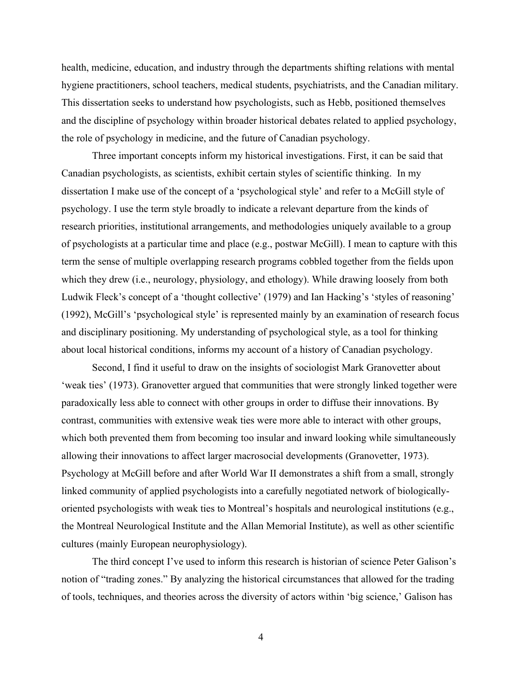health, medicine, education, and industry through the departments shifting relations with mental hygiene practitioners, school teachers, medical students, psychiatrists, and the Canadian military. This dissertation seeks to understand how psychologists, such as Hebb, positioned themselves and the discipline of psychology within broader historical debates related to applied psychology, the role of psychology in medicine, and the future of Canadian psychology.

Three important concepts inform my historical investigations. First, it can be said that Canadian psychologists, as scientists, exhibit certain styles of scientific thinking. In my dissertation I make use of the concept of a 'psychological style' and refer to a McGill style of psychology. I use the term style broadly to indicate a relevant departure from the kinds of research priorities, institutional arrangements, and methodologies uniquely available to a group of psychologists at a particular time and place (e.g., postwar McGill). I mean to capture with this term the sense of multiple overlapping research programs cobbled together from the fields upon which they drew (i.e., neurology, physiology, and ethology). While drawing loosely from both Ludwik Fleck's concept of a 'thought collective' (1979) and Ian Hacking's 'styles of reasoning' (1992), McGill's 'psychological style' is represented mainly by an examination of research focus and disciplinary positioning. My understanding of psychological style, as a tool for thinking about local historical conditions, informs my account of a history of Canadian psychology.

Second, I find it useful to draw on the insights of sociologist Mark Granovetter about 'weak ties' (1973). Granovetter argued that communities that were strongly linked together were paradoxically less able to connect with other groups in order to diffuse their innovations. By contrast, communities with extensive weak ties were more able to interact with other groups, which both prevented them from becoming too insular and inward looking while simultaneously allowing their innovations to affect larger macrosocial developments (Granovetter, 1973). Psychology at McGill before and after World War II demonstrates a shift from a small, strongly linked community of applied psychologists into a carefully negotiated network of biologicallyoriented psychologists with weak ties to Montreal's hospitals and neurological institutions (e.g., the Montreal Neurological Institute and the Allan Memorial Institute), as well as other scientific cultures (mainly European neurophysiology).

The third concept I've used to inform this research is historian of science Peter Galison's notion of "trading zones." By analyzing the historical circumstances that allowed for the trading of tools, techniques, and theories across the diversity of actors within 'big science,' Galison has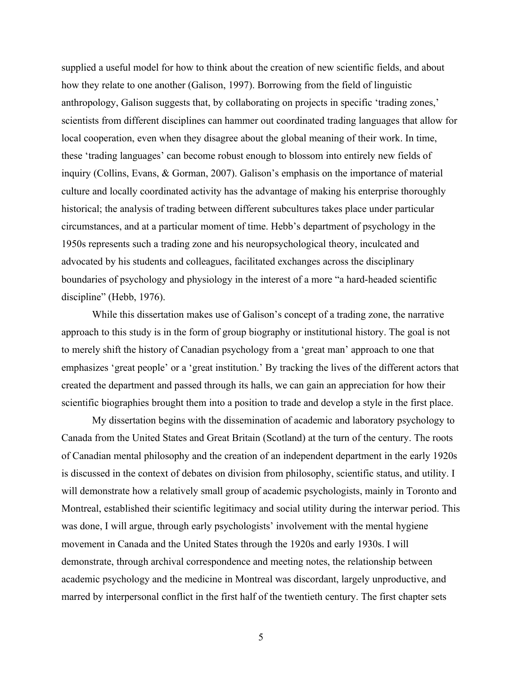supplied a useful model for how to think about the creation of new scientific fields, and about how they relate to one another (Galison, 1997). Borrowing from the field of linguistic anthropology, Galison suggests that, by collaborating on projects in specific 'trading zones,' scientists from different disciplines can hammer out coordinated trading languages that allow for local cooperation, even when they disagree about the global meaning of their work. In time, these 'trading languages' can become robust enough to blossom into entirely new fields of inquiry (Collins, Evans, & Gorman, 2007). Galison's emphasis on the importance of material culture and locally coordinated activity has the advantage of making his enterprise thoroughly historical; the analysis of trading between different subcultures takes place under particular circumstances, and at a particular moment of time. Hebb's department of psychology in the 1950s represents such a trading zone and his neuropsychological theory, inculcated and advocated by his students and colleagues, facilitated exchanges across the disciplinary boundaries of psychology and physiology in the interest of a more "a hard-headed scientific discipline" (Hebb, 1976).

While this dissertation makes use of Galison's concept of a trading zone, the narrative approach to this study is in the form of group biography or institutional history. The goal is not to merely shift the history of Canadian psychology from a 'great man' approach to one that emphasizes 'great people' or a 'great institution.' By tracking the lives of the different actors that created the department and passed through its halls, we can gain an appreciation for how their scientific biographies brought them into a position to trade and develop a style in the first place.

My dissertation begins with the dissemination of academic and laboratory psychology to Canada from the United States and Great Britain (Scotland) at the turn of the century. The roots of Canadian mental philosophy and the creation of an independent department in the early 1920s is discussed in the context of debates on division from philosophy, scientific status, and utility. I will demonstrate how a relatively small group of academic psychologists, mainly in Toronto and Montreal, established their scientific legitimacy and social utility during the interwar period. This was done, I will argue, through early psychologists' involvement with the mental hygiene movement in Canada and the United States through the 1920s and early 1930s. I will demonstrate, through archival correspondence and meeting notes, the relationship between academic psychology and the medicine in Montreal was discordant, largely unproductive, and marred by interpersonal conflict in the first half of the twentieth century. The first chapter sets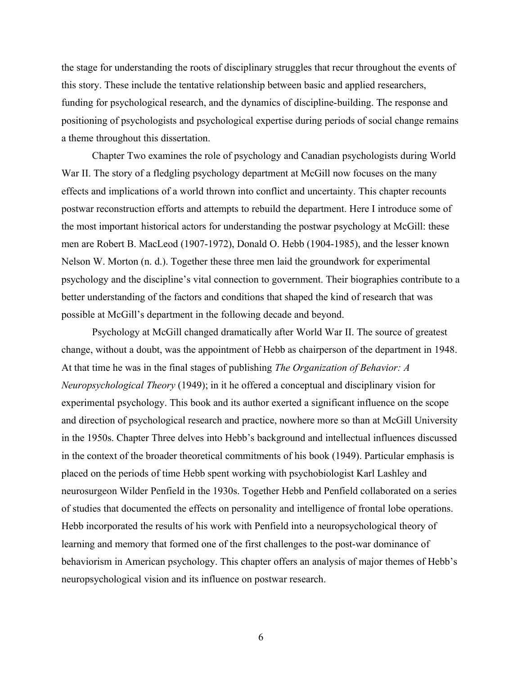the stage for understanding the roots of disciplinary struggles that recur throughout the events of this story. These include the tentative relationship between basic and applied researchers, funding for psychological research, and the dynamics of discipline-building. The response and positioning of psychologists and psychological expertise during periods of social change remains a theme throughout this dissertation.

Chapter Two examines the role of psychology and Canadian psychologists during World War II. The story of a fledgling psychology department at McGill now focuses on the many effects and implications of a world thrown into conflict and uncertainty. This chapter recounts postwar reconstruction efforts and attempts to rebuild the department. Here I introduce some of the most important historical actors for understanding the postwar psychology at McGill: these men are Robert B. MacLeod (1907-1972), Donald O. Hebb (1904-1985), and the lesser known Nelson W. Morton (n. d.). Together these three men laid the groundwork for experimental psychology and the discipline's vital connection to government. Their biographies contribute to a better understanding of the factors and conditions that shaped the kind of research that was possible at McGill's department in the following decade and beyond.

Psychology at McGill changed dramatically after World War II. The source of greatest change, without a doubt, was the appointment of Hebb as chairperson of the department in 1948. At that time he was in the final stages of publishing *The Organization of Behavior: A Neuropsychological Theory* (1949); in it he offered a conceptual and disciplinary vision for experimental psychology. This book and its author exerted a significant influence on the scope and direction of psychological research and practice, nowhere more so than at McGill University in the 1950s. Chapter Three delves into Hebb's background and intellectual influences discussed in the context of the broader theoretical commitments of his book (1949). Particular emphasis is placed on the periods of time Hebb spent working with psychobiologist Karl Lashley and neurosurgeon Wilder Penfield in the 1930s. Together Hebb and Penfield collaborated on a series of studies that documented the effects on personality and intelligence of frontal lobe operations. Hebb incorporated the results of his work with Penfield into a neuropsychological theory of learning and memory that formed one of the first challenges to the post-war dominance of behaviorism in American psychology. This chapter offers an analysis of major themes of Hebb's neuropsychological vision and its influence on postwar research.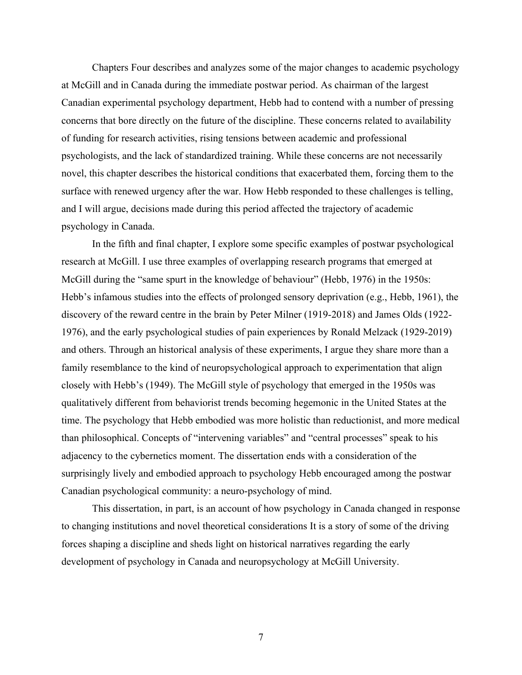Chapters Four describes and analyzes some of the major changes to academic psychology at McGill and in Canada during the immediate postwar period. As chairman of the largest Canadian experimental psychology department, Hebb had to contend with a number of pressing concerns that bore directly on the future of the discipline. These concerns related to availability of funding for research activities, rising tensions between academic and professional psychologists, and the lack of standardized training. While these concerns are not necessarily novel, this chapter describes the historical conditions that exacerbated them, forcing them to the surface with renewed urgency after the war. How Hebb responded to these challenges is telling, and I will argue, decisions made during this period affected the trajectory of academic psychology in Canada.

In the fifth and final chapter, I explore some specific examples of postwar psychological research at McGill. I use three examples of overlapping research programs that emerged at McGill during the "same spurt in the knowledge of behaviour" (Hebb, 1976) in the 1950s: Hebb's infamous studies into the effects of prolonged sensory deprivation (e.g., Hebb, 1961), the discovery of the reward centre in the brain by Peter Milner (1919-2018) and James Olds (1922- 1976), and the early psychological studies of pain experiences by Ronald Melzack (1929-2019) and others. Through an historical analysis of these experiments, I argue they share more than a family resemblance to the kind of neuropsychological approach to experimentation that align closely with Hebb's (1949). The McGill style of psychology that emerged in the 1950s was qualitatively different from behaviorist trends becoming hegemonic in the United States at the time. The psychology that Hebb embodied was more holistic than reductionist, and more medical than philosophical. Concepts of "intervening variables" and "central processes" speak to his adjacency to the cybernetics moment. The dissertation ends with a consideration of the surprisingly lively and embodied approach to psychology Hebb encouraged among the postwar Canadian psychological community: a neuro-psychology of mind.

This dissertation, in part, is an account of how psychology in Canada changed in response to changing institutions and novel theoretical considerations It is a story of some of the driving forces shaping a discipline and sheds light on historical narratives regarding the early development of psychology in Canada and neuropsychology at McGill University.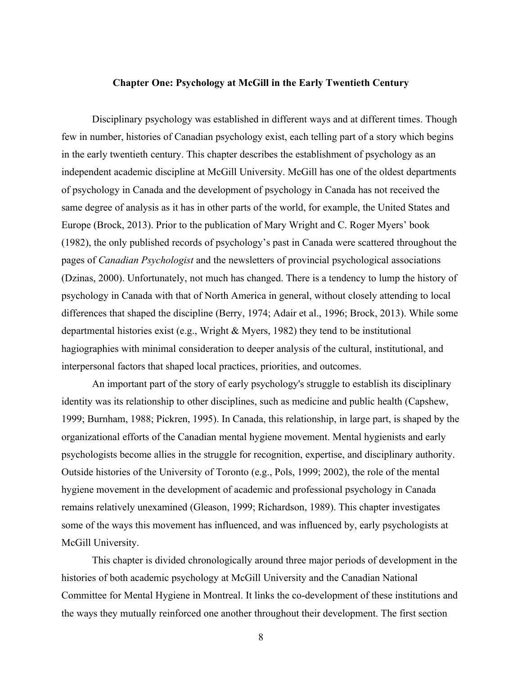#### <span id="page-12-0"></span>**Chapter One: Psychology at McGill in the Early Twentieth Century**

Disciplinary psychology was established in different ways and at different times. Though few in number, histories of Canadian psychology exist, each telling part of a story which begins in the early twentieth century. This chapter describes the establishment of psychology as an independent academic discipline at McGill University. McGill has one of the oldest departments of psychology in Canada and the development of psychology in Canada has not received the same degree of analysis as it has in other parts of the world, for example, the United States and Europe (Brock, 2013). Prior to the publication of Mary Wright and C. Roger Myers' book (1982), the only published records of psychology's past in Canada were scattered throughout the pages of *Canadian Psychologist* and the newsletters of provincial psychological associations (Dzinas, 2000). Unfortunately, not much has changed. There is a tendency to lump the history of psychology in Canada with that of North America in general, without closely attending to local differences that shaped the discipline (Berry, 1974; Adair et al., 1996; Brock, 2013). While some departmental histories exist (e.g., Wright & Myers, 1982) they tend to be institutional hagiographies with minimal consideration to deeper analysis of the cultural, institutional, and interpersonal factors that shaped local practices, priorities, and outcomes.

An important part of the story of early psychology's struggle to establish its disciplinary identity was its relationship to other disciplines, such as medicine and public health (Capshew, 1999; Burnham, 1988; Pickren, 1995). In Canada, this relationship, in large part, is shaped by the organizational efforts of the Canadian mental hygiene movement. Mental hygienists and early psychologists become allies in the struggle for recognition, expertise, and disciplinary authority. Outside histories of the University of Toronto (e.g., Pols, 1999; 2002), the role of the mental hygiene movement in the development of academic and professional psychology in Canada remains relatively unexamined (Gleason, 1999; Richardson, 1989). This chapter investigates some of the ways this movement has influenced, and was influenced by, early psychologists at McGill University.

This chapter is divided chronologically around three major periods of development in the histories of both academic psychology at McGill University and the Canadian National Committee for Mental Hygiene in Montreal. It links the co-development of these institutions and the ways they mutually reinforced one another throughout their development. The first section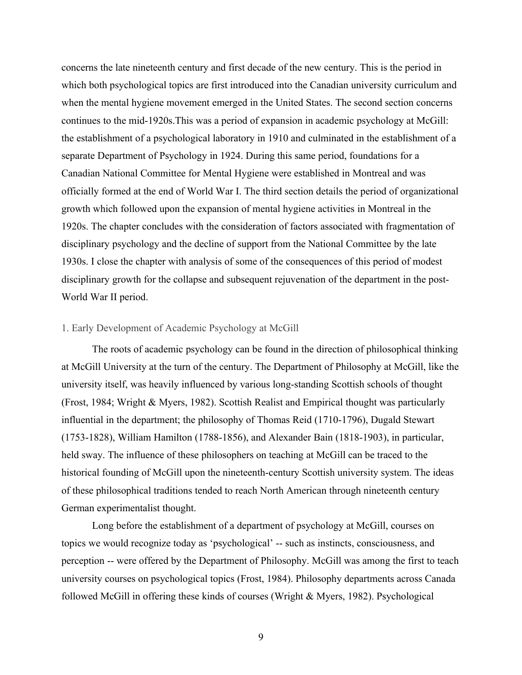concerns the late nineteenth century and first decade of the new century. This is the period in which both psychological topics are first introduced into the Canadian university curriculum and when the mental hygiene movement emerged in the United States. The second section concerns continues to the mid-1920s.This was a period of expansion in academic psychology at McGill: the establishment of a psychological laboratory in 1910 and culminated in the establishment of a separate Department of Psychology in 1924. During this same period, foundations for a Canadian National Committee for Mental Hygiene were established in Montreal and was officially formed at the end of World War I. The third section details the period of organizational growth which followed upon the expansion of mental hygiene activities in Montreal in the 1920s. The chapter concludes with the consideration of factors associated with fragmentation of disciplinary psychology and the decline of support from the National Committee by the late 1930s. I close the chapter with analysis of some of the consequences of this period of modest disciplinary growth for the collapse and subsequent rejuvenation of the department in the post-World War II period.

### <span id="page-13-0"></span>1. Early Development of Academic Psychology at McGill

The roots of academic psychology can be found in the direction of philosophical thinking at McGill University at the turn of the century. The Department of Philosophy at McGill, like the university itself, was heavily influenced by various long-standing Scottish schools of thought (Frost, 1984; Wright & Myers, 1982). Scottish Realist and Empirical thought was particularly influential in the department; the philosophy of Thomas Reid (1710-1796), Dugald Stewart (1753-1828), William Hamilton (1788-1856), and Alexander Bain (1818-1903), in particular, held sway. The influence of these philosophers on teaching at McGill can be traced to the historical founding of McGill upon the nineteenth-century Scottish university system. The ideas of these philosophical traditions tended to reach North American through nineteenth century German experimentalist thought.

Long before the establishment of a department of psychology at McGill, courses on topics we would recognize today as 'psychological' -- such as instincts, consciousness, and perception -- were offered by the Department of Philosophy. McGill was among the first to teach university courses on psychological topics (Frost, 1984). Philosophy departments across Canada followed McGill in offering these kinds of courses (Wright & Myers, 1982). Psychological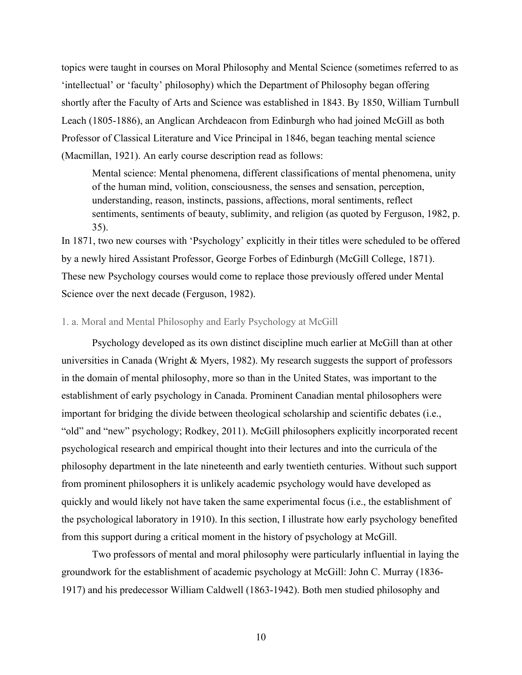topics were taught in courses on Moral Philosophy and Mental Science (sometimes referred to as 'intellectual' or 'faculty' philosophy) which the Department of Philosophy began offering shortly after the Faculty of Arts and Science was established in 1843. By 1850, William Turnbull Leach (1805-1886), an Anglican Archdeacon from Edinburgh who had joined McGill as both Professor of Classical Literature and Vice Principal in 1846, began teaching mental science (Macmillan, 1921). An early course description read as follows:

Mental science: Mental phenomena, different classifications of mental phenomena, unity of the human mind, volition, consciousness, the senses and sensation, perception, understanding, reason, instincts, passions, affections, moral sentiments, reflect sentiments, sentiments of beauty, sublimity, and religion (as quoted by Ferguson, 1982, p. 35).

In 1871, two new courses with 'Psychology' explicitly in their titles were scheduled to be offered by a newly hired Assistant Professor, George Forbes of Edinburgh (McGill College, 1871). These new Psychology courses would come to replace those previously offered under Mental Science over the next decade (Ferguson, 1982).

### 1. a. Moral and Mental Philosophy and Early Psychology at McGill

Psychology developed as its own distinct discipline much earlier at McGill than at other universities in Canada (Wright & Myers, 1982). My research suggests the support of professors in the domain of mental philosophy, more so than in the United States, was important to the establishment of early psychology in Canada. Prominent Canadian mental philosophers were important for bridging the divide between theological scholarship and scientific debates (i.e., "old" and "new" psychology; Rodkey, 2011). McGill philosophers explicitly incorporated recent psychological research and empirical thought into their lectures and into the curricula of the philosophy department in the late nineteenth and early twentieth centuries. Without such support from prominent philosophers it is unlikely academic psychology would have developed as quickly and would likely not have taken the same experimental focus (i.e., the establishment of the psychological laboratory in 1910). In this section, I illustrate how early psychology benefited from this support during a critical moment in the history of psychology at McGill.

Two professors of mental and moral philosophy were particularly influential in laying the groundwork for the establishment of academic psychology at McGill: John C. Murray (1836- 1917) and his predecessor William Caldwell (1863-1942). Both men studied philosophy and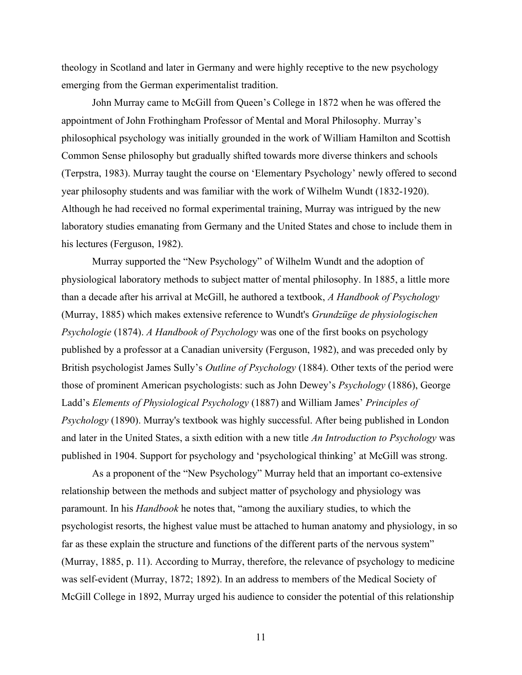theology in Scotland and later in Germany and were highly receptive to the new psychology emerging from the German experimentalist tradition.

John Murray came to McGill from Queen's College in 1872 when he was offered the appointment of John Frothingham Professor of Mental and Moral Philosophy. Murray's philosophical psychology was initially grounded in the work of William Hamilton and Scottish Common Sense philosophy but gradually shifted towards more diverse thinkers and schools (Terpstra, 1983). Murray taught the course on 'Elementary Psychology' newly offered to second year philosophy students and was familiar with the work of Wilhelm Wundt (1832-1920). Although he had received no formal experimental training, Murray was intrigued by the new laboratory studies emanating from Germany and the United States and chose to include them in his lectures (Ferguson, 1982).

Murray supported the "New Psychology" of Wilhelm Wundt and the adoption of physiological laboratory methods to subject matter of mental philosophy. In 1885, a little more than a decade after his arrival at McGill, he authored a textbook, *A Handbook of Psychology* (Murray, 1885) which makes extensive reference to Wundt's *Grundzüge de physiologischen Psychologie* (1874). *A Handbook of Psychology* was one of the first books on psychology published by a professor at a Canadian university (Ferguson, 1982), and was preceded only by British psychologist James Sully's *Outline of Psychology* (1884). Other texts of the period were those of prominent American psychologists: such as John Dewey's *Psychology* (1886), George Ladd's *Elements of Physiological Psychology* (1887) and William James' *Principles of Psychology* (1890). Murray's textbook was highly successful. After being published in London and later in the United States, a sixth edition with a new title *An Introduction to Psychology* was published in 1904. Support for psychology and 'psychological thinking' at McGill was strong.

As a proponent of the "New Psychology" Murray held that an important co-extensive relationship between the methods and subject matter of psychology and physiology was paramount. In his *Handbook* he notes that, "among the auxiliary studies, to which the psychologist resorts, the highest value must be attached to human anatomy and physiology, in so far as these explain the structure and functions of the different parts of the nervous system" (Murray, 1885, p. 11). According to Murray, therefore, the relevance of psychology to medicine was self-evident (Murray, 1872; 1892). In an address to members of the Medical Society of McGill College in 1892, Murray urged his audience to consider the potential of this relationship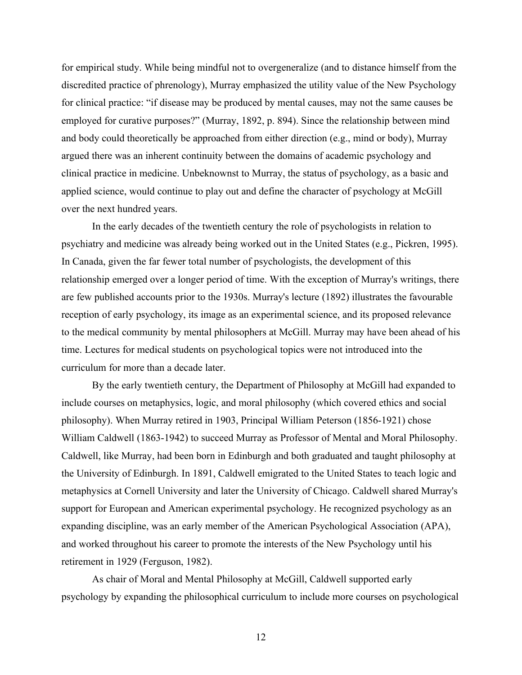for empirical study. While being mindful not to overgeneralize (and to distance himself from the discredited practice of phrenology), Murray emphasized the utility value of the New Psychology for clinical practice: "if disease may be produced by mental causes, may not the same causes be employed for curative purposes?" (Murray, 1892, p. 894). Since the relationship between mind and body could theoretically be approached from either direction (e.g., mind or body), Murray argued there was an inherent continuity between the domains of academic psychology and clinical practice in medicine. Unbeknownst to Murray, the status of psychology, as a basic and applied science, would continue to play out and define the character of psychology at McGill over the next hundred years.

In the early decades of the twentieth century the role of psychologists in relation to psychiatry and medicine was already being worked out in the United States (e.g., Pickren, 1995). In Canada, given the far fewer total number of psychologists, the development of this relationship emerged over a longer period of time. With the exception of Murray's writings, there are few published accounts prior to the 1930s. Murray's lecture (1892) illustrates the favourable reception of early psychology, its image as an experimental science, and its proposed relevance to the medical community by mental philosophers at McGill. Murray may have been ahead of his time. Lectures for medical students on psychological topics were not introduced into the curriculum for more than a decade later.

By the early twentieth century, the Department of Philosophy at McGill had expanded to include courses on metaphysics, logic, and moral philosophy (which covered ethics and social philosophy). When Murray retired in 1903, Principal William Peterson (1856-1921) chose William Caldwell (1863-1942) to succeed Murray as Professor of Mental and Moral Philosophy. Caldwell, like Murray, had been born in Edinburgh and both graduated and taught philosophy at the University of Edinburgh. In 1891, Caldwell emigrated to the United States to teach logic and metaphysics at Cornell University and later the University of Chicago. Caldwell shared Murray's support for European and American experimental psychology. He recognized psychology as an expanding discipline, was an early member of the American Psychological Association (APA), and worked throughout his career to promote the interests of the New Psychology until his retirement in 1929 (Ferguson, 1982).

As chair of Moral and Mental Philosophy at McGill, Caldwell supported early psychology by expanding the philosophical curriculum to include more courses on psychological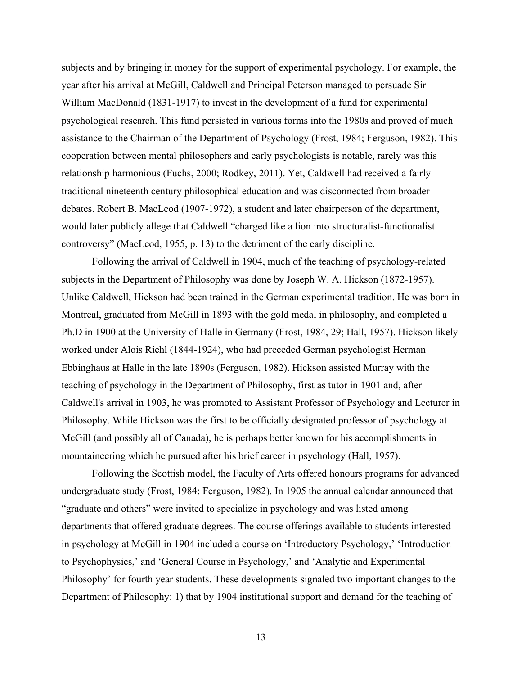subjects and by bringing in money for the support of experimental psychology. For example, the year after his arrival at McGill, Caldwell and Principal Peterson managed to persuade Sir William MacDonald (1831-1917) to invest in the development of a fund for experimental psychological research. This fund persisted in various forms into the 1980s and proved of much assistance to the Chairman of the Department of Psychology (Frost, 1984; Ferguson, 1982). This cooperation between mental philosophers and early psychologists is notable, rarely was this relationship harmonious (Fuchs, 2000; Rodkey, 2011). Yet, Caldwell had received a fairly traditional nineteenth century philosophical education and was disconnected from broader debates. Robert B. MacLeod (1907-1972), a student and later chairperson of the department, would later publicly allege that Caldwell "charged like a lion into structuralist-functionalist controversy" (MacLeod, 1955, p. 13) to the detriment of the early discipline.

Following the arrival of Caldwell in 1904, much of the teaching of psychology-related subjects in the Department of Philosophy was done by Joseph W. A. Hickson (1872-1957). Unlike Caldwell, Hickson had been trained in the German experimental tradition. He was born in Montreal, graduated from McGill in 1893 with the gold medal in philosophy, and completed a Ph.D in 1900 at the University of Halle in Germany (Frost, 1984, 29; Hall, 1957). Hickson likely worked under Alois Riehl (1844-1924), who had preceded German psychologist Herman Ebbinghaus at Halle in the late 1890s (Ferguson, 1982). Hickson assisted Murray with the teaching of psychology in the Department of Philosophy, first as tutor in 1901 and, after Caldwell's arrival in 1903, he was promoted to Assistant Professor of Psychology and Lecturer in Philosophy. While Hickson was the first to be officially designated professor of psychology at McGill (and possibly all of Canada), he is perhaps better known for his accomplishments in mountaineering which he pursued after his brief career in psychology (Hall, 1957).

Following the Scottish model, the Faculty of Arts offered honours programs for advanced undergraduate study (Frost, 1984; Ferguson, 1982). In 1905 the annual calendar announced that "graduate and others" were invited to specialize in psychology and was listed among departments that offered graduate degrees. The course offerings available to students interested in psychology at McGill in 1904 included a course on 'Introductory Psychology,' 'Introduction to Psychophysics,' and 'General Course in Psychology,' and 'Analytic and Experimental Philosophy' for fourth year students. These developments signaled two important changes to the Department of Philosophy: 1) that by 1904 institutional support and demand for the teaching of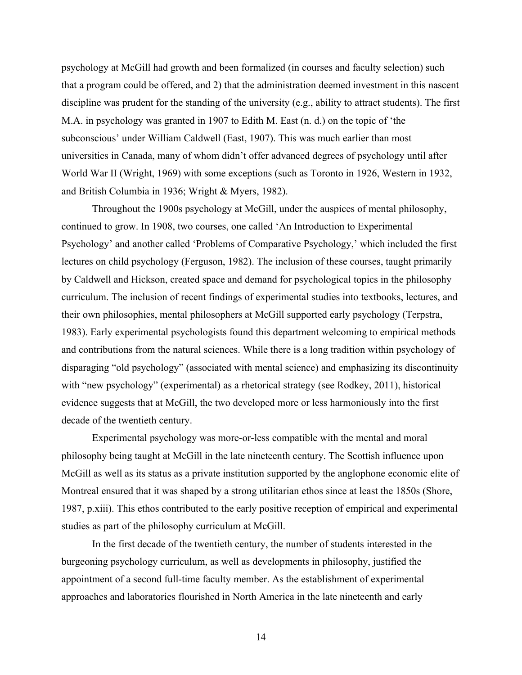psychology at McGill had growth and been formalized (in courses and faculty selection) such that a program could be offered, and 2) that the administration deemed investment in this nascent discipline was prudent for the standing of the university (e.g., ability to attract students). The first M.A. in psychology was granted in 1907 to Edith M. East (n. d.) on the topic of 'the subconscious' under William Caldwell (East, 1907). This was much earlier than most universities in Canada, many of whom didn't offer advanced degrees of psychology until after World War II (Wright, 1969) with some exceptions (such as Toronto in 1926, Western in 1932, and British Columbia in 1936; Wright & Myers, 1982).

Throughout the 1900s psychology at McGill, under the auspices of mental philosophy, continued to grow. In 1908, two courses, one called 'An Introduction to Experimental Psychology' and another called 'Problems of Comparative Psychology,' which included the first lectures on child psychology (Ferguson, 1982). The inclusion of these courses, taught primarily by Caldwell and Hickson, created space and demand for psychological topics in the philosophy curriculum. The inclusion of recent findings of experimental studies into textbooks, lectures, and their own philosophies, mental philosophers at McGill supported early psychology (Terpstra, 1983). Early experimental psychologists found this department welcoming to empirical methods and contributions from the natural sciences. While there is a long tradition within psychology of disparaging "old psychology" (associated with mental science) and emphasizing its discontinuity with "new psychology" (experimental) as a rhetorical strategy (see Rodkey, 2011), historical evidence suggests that at McGill, the two developed more or less harmoniously into the first decade of the twentieth century.

Experimental psychology was more-or-less compatible with the mental and moral philosophy being taught at McGill in the late nineteenth century. The Scottish influence upon McGill as well as its status as a private institution supported by the anglophone economic elite of Montreal ensured that it was shaped by a strong utilitarian ethos since at least the 1850s (Shore, 1987, p.xiii). This ethos contributed to the early positive reception of empirical and experimental studies as part of the philosophy curriculum at McGill.

In the first decade of the twentieth century, the number of students interested in the burgeoning psychology curriculum, as well as developments in philosophy, justified the appointment of a second full-time faculty member. As the establishment of experimental approaches and laboratories flourished in North America in the late nineteenth and early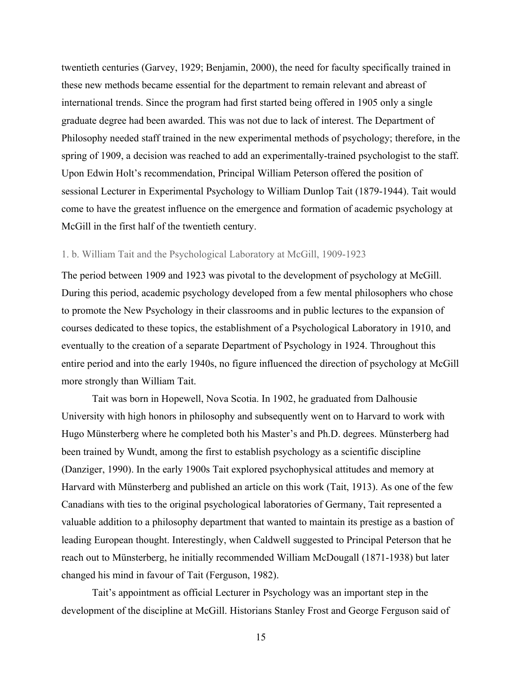twentieth centuries (Garvey, 1929; Benjamin, 2000), the need for faculty specifically trained in these new methods became essential for the department to remain relevant and abreast of international trends. Since the program had first started being offered in 1905 only a single graduate degree had been awarded. This was not due to lack of interest. The Department of Philosophy needed staff trained in the new experimental methods of psychology; therefore, in the spring of 1909, a decision was reached to add an experimentally-trained psychologist to the staff. Upon Edwin Holt's recommendation, Principal William Peterson offered the position of sessional Lecturer in Experimental Psychology to William Dunlop Tait (1879-1944). Tait would come to have the greatest influence on the emergence and formation of academic psychology at McGill in the first half of the twentieth century.

### 1. b. William Tait and the Psychological Laboratory at McGill, 1909-1923

The period between 1909 and 1923 was pivotal to the development of psychology at McGill. During this period, academic psychology developed from a few mental philosophers who chose to promote the New Psychology in their classrooms and in public lectures to the expansion of courses dedicated to these topics, the establishment of a Psychological Laboratory in 1910, and eventually to the creation of a separate Department of Psychology in 1924. Throughout this entire period and into the early 1940s, no figure influenced the direction of psychology at McGill more strongly than William Tait.

Tait was born in Hopewell, Nova Scotia. In 1902, he graduated from Dalhousie University with high honors in philosophy and subsequently went on to Harvard to work with Hugo Münsterberg where he completed both his Master's and Ph.D. degrees. Münsterberg had been trained by Wundt, among the first to establish psychology as a scientific discipline (Danziger, 1990). In the early 1900s Tait explored psychophysical attitudes and memory at Harvard with Münsterberg and published an article on this work (Tait, 1913). As one of the few Canadians with ties to the original psychological laboratories of Germany, Tait represented a valuable addition to a philosophy department that wanted to maintain its prestige as a bastion of leading European thought. Interestingly, when Caldwell suggested to Principal Peterson that he reach out to Münsterberg, he initially recommended William McDougall (1871-1938) but later changed his mind in favour of Tait (Ferguson, 1982).

 Tait's appointment as official Lecturer in Psychology was an important step in the development of the discipline at McGill. Historians Stanley Frost and George Ferguson said of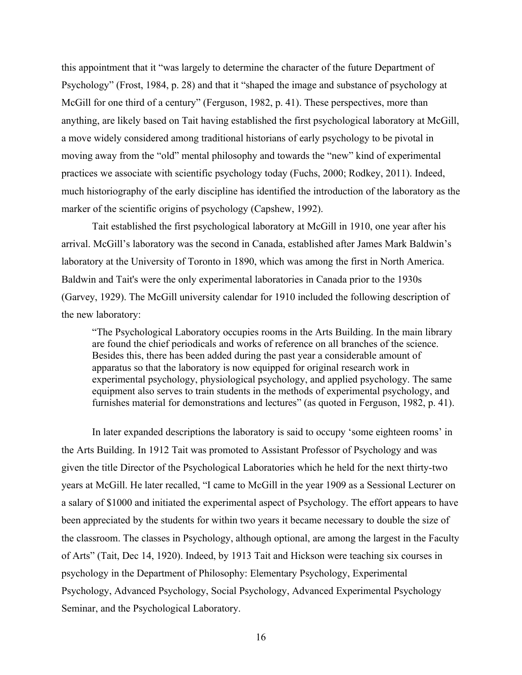this appointment that it "was largely to determine the character of the future Department of Psychology" (Frost, 1984, p. 28) and that it "shaped the image and substance of psychology at McGill for one third of a century" (Ferguson, 1982, p. 41). These perspectives, more than anything, are likely based on Tait having established the first psychological laboratory at McGill, a move widely considered among traditional historians of early psychology to be pivotal in moving away from the "old" mental philosophy and towards the "new" kind of experimental practices we associate with scientific psychology today (Fuchs, 2000; Rodkey, 2011). Indeed, much historiography of the early discipline has identified the introduction of the laboratory as the marker of the scientific origins of psychology (Capshew, 1992).

Tait established the first psychological laboratory at McGill in 1910, one year after his arrival. McGill's laboratory was the second in Canada, established after James Mark Baldwin's laboratory at the University of Toronto in 1890, which was among the first in North America. Baldwin and Tait's were the only experimental laboratories in Canada prior to the 1930s (Garvey, 1929). The McGill university calendar for 1910 included the following description of the new laboratory:

"The Psychological Laboratory occupies rooms in the Arts Building. In the main library are found the chief periodicals and works of reference on all branches of the science. Besides this, there has been added during the past year a considerable amount of apparatus so that the laboratory is now equipped for original research work in experimental psychology, physiological psychology, and applied psychology. The same equipment also serves to train students in the methods of experimental psychology, and furnishes material for demonstrations and lectures" (as quoted in Ferguson, 1982, p. 41).

In later expanded descriptions the laboratory is said to occupy 'some eighteen rooms' in the Arts Building. In 1912 Tait was promoted to Assistant Professor of Psychology and was given the title Director of the Psychological Laboratories which he held for the next thirty-two years at McGill. He later recalled, "I came to McGill in the year 1909 as a Sessional Lecturer on a salary of \$1000 and initiated the experimental aspect of Psychology. The effort appears to have been appreciated by the students for within two years it became necessary to double the size of the classroom. The classes in Psychology, although optional, are among the largest in the Faculty of Arts" (Tait, Dec 14, 1920). Indeed, by 1913 Tait and Hickson were teaching six courses in psychology in the Department of Philosophy: Elementary Psychology, Experimental Psychology, Advanced Psychology, Social Psychology, Advanced Experimental Psychology Seminar, and the Psychological Laboratory.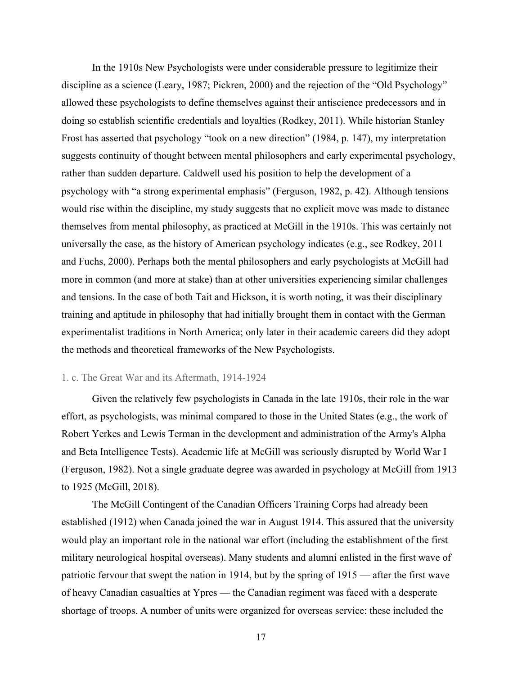In the 1910s New Psychologists were under considerable pressure to legitimize their discipline as a science (Leary, 1987; Pickren, 2000) and the rejection of the "Old Psychology" allowed these psychologists to define themselves against their antiscience predecessors and in doing so establish scientific credentials and loyalties (Rodkey, 2011). While historian Stanley Frost has asserted that psychology "took on a new direction" (1984, p. 147), my interpretation suggests continuity of thought between mental philosophers and early experimental psychology, rather than sudden departure. Caldwell used his position to help the development of a psychology with "a strong experimental emphasis" (Ferguson, 1982, p. 42). Although tensions would rise within the discipline, my study suggests that no explicit move was made to distance themselves from mental philosophy, as practiced at McGill in the 1910s. This was certainly not universally the case, as the history of American psychology indicates (e.g., see Rodkey, 2011 and Fuchs, 2000). Perhaps both the mental philosophers and early psychologists at McGill had more in common (and more at stake) than at other universities experiencing similar challenges and tensions. In the case of both Tait and Hickson, it is worth noting, it was their disciplinary training and aptitude in philosophy that had initially brought them in contact with the German experimentalist traditions in North America; only later in their academic careers did they adopt the methods and theoretical frameworks of the New Psychologists.

#### 1. c. The Great War and its Aftermath, 1914-1924

Given the relatively few psychologists in Canada in the late 1910s, their role in the war effort, as psychologists, was minimal compared to those in the United States (e.g., the work of Robert Yerkes and Lewis Terman in the development and administration of the Army's Alpha and Beta Intelligence Tests). Academic life at McGill was seriously disrupted by World War I (Ferguson, 1982). Not a single graduate degree was awarded in psychology at McGill from 1913 to 1925 (McGill, 2018).

The McGill Contingent of the Canadian Officers Training Corps had already been established (1912) when Canada joined the war in August 1914. This assured that the university would play an important role in the national war effort (including the establishment of the first military neurological hospital overseas). Many students and alumni enlisted in the first wave of patriotic fervour that swept the nation in 1914, but by the spring of 1915 — after the first wave of heavy Canadian casualties at Ypres — the Canadian regiment was faced with a desperate shortage of troops. A number of units were organized for overseas service: these included the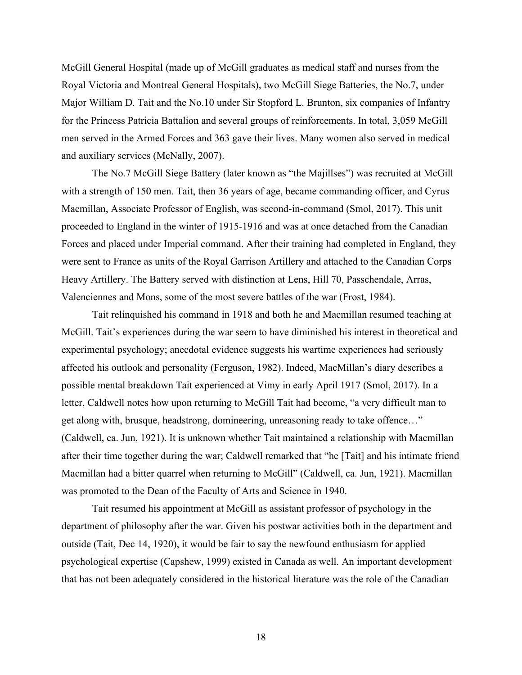McGill General Hospital (made up of McGill graduates as medical staff and nurses from the Royal Victoria and Montreal General Hospitals), two McGill Siege Batteries, the No.7, under Major William D. Tait and the No.10 under Sir Stopford L. Brunton, six companies of Infantry for the Princess Patricia Battalion and several groups of reinforcements. In total, 3,059 McGill men served in the Armed Forces and 363 gave their lives. Many women also served in medical and auxiliary services (McNally, 2007).

The No.7 McGill Siege Battery (later known as "the Majillses") was recruited at McGill with a strength of 150 men. Tait, then 36 years of age, became commanding officer, and Cyrus Macmillan, Associate Professor of English, was second-in-command (Smol, 2017). This unit proceeded to England in the winter of 1915-1916 and was at once detached from the Canadian Forces and placed under Imperial command. After their training had completed in England, they were sent to France as units of the Royal Garrison Artillery and attached to the Canadian Corps Heavy Artillery. The Battery served with distinction at Lens, Hill 70, Passchendale, Arras, Valenciennes and Mons, some of the most severe battles of the war (Frost, 1984).

Tait relinquished his command in 1918 and both he and Macmillan resumed teaching at McGill. Tait's experiences during the war seem to have diminished his interest in theoretical and experimental psychology; anecdotal evidence suggests his wartime experiences had seriously affected his outlook and personality (Ferguson, 1982). Indeed, MacMillan's diary describes a possible mental breakdown Tait experienced at Vimy in early April 1917 (Smol, 2017). In a letter, Caldwell notes how upon returning to McGill Tait had become, "a very difficult man to get along with, brusque, headstrong, domineering, unreasoning ready to take offence…" (Caldwell, ca. Jun, 1921). It is unknown whether Tait maintained a relationship with Macmillan after their time together during the war; Caldwell remarked that "he [Tait] and his intimate friend Macmillan had a bitter quarrel when returning to McGill" (Caldwell, ca. Jun, 1921). Macmillan was promoted to the Dean of the Faculty of Arts and Science in 1940.

Tait resumed his appointment at McGill as assistant professor of psychology in the department of philosophy after the war. Given his postwar activities both in the department and outside (Tait, Dec 14, 1920), it would be fair to say the newfound enthusiasm for applied psychological expertise (Capshew, 1999) existed in Canada as well. An important development that has not been adequately considered in the historical literature was the role of the Canadian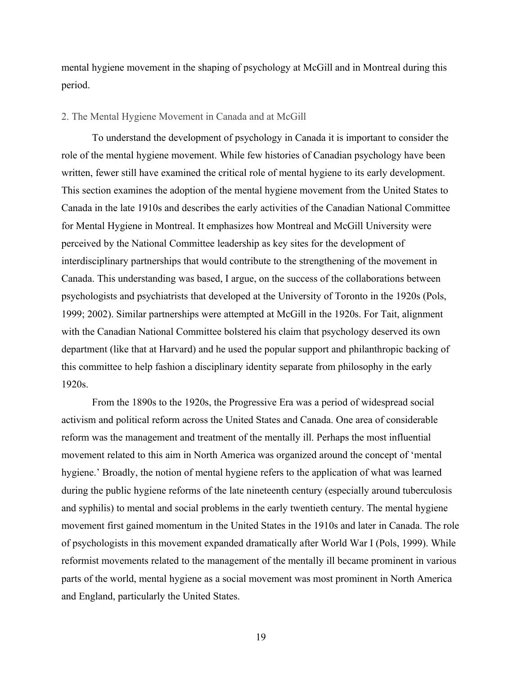mental hygiene movement in the shaping of psychology at McGill and in Montreal during this period.

#### <span id="page-23-0"></span>2. The Mental Hygiene Movement in Canada and at McGill

To understand the development of psychology in Canada it is important to consider the role of the mental hygiene movement. While few histories of Canadian psychology have been written, fewer still have examined the critical role of mental hygiene to its early development. This section examines the adoption of the mental hygiene movement from the United States to Canada in the late 1910s and describes the early activities of the Canadian National Committee for Mental Hygiene in Montreal. It emphasizes how Montreal and McGill University were perceived by the National Committee leadership as key sites for the development of interdisciplinary partnerships that would contribute to the strengthening of the movement in Canada. This understanding was based, I argue, on the success of the collaborations between psychologists and psychiatrists that developed at the University of Toronto in the 1920s (Pols, 1999; 2002). Similar partnerships were attempted at McGill in the 1920s. For Tait, alignment with the Canadian National Committee bolstered his claim that psychology deserved its own department (like that at Harvard) and he used the popular support and philanthropic backing of this committee to help fashion a disciplinary identity separate from philosophy in the early 1920s.

From the 1890s to the 1920s, the Progressive Era was a period of widespread social activism and political reform across the United States and Canada. One area of considerable reform was the management and treatment of the mentally ill. Perhaps the most influential movement related to this aim in North America was organized around the concept of 'mental hygiene.' Broadly, the notion of mental hygiene refers to the application of what was learned during the public hygiene reforms of the late nineteenth century (especially around tuberculosis and syphilis) to mental and social problems in the early twentieth century. The mental hygiene movement first gained momentum in the United States in the 1910s and later in Canada. The role of psychologists in this movement expanded dramatically after World War I (Pols, 1999). While reformist movements related to the management of the mentally ill became prominent in various parts of the world, mental hygiene as a social movement was most prominent in North America and England, particularly the United States.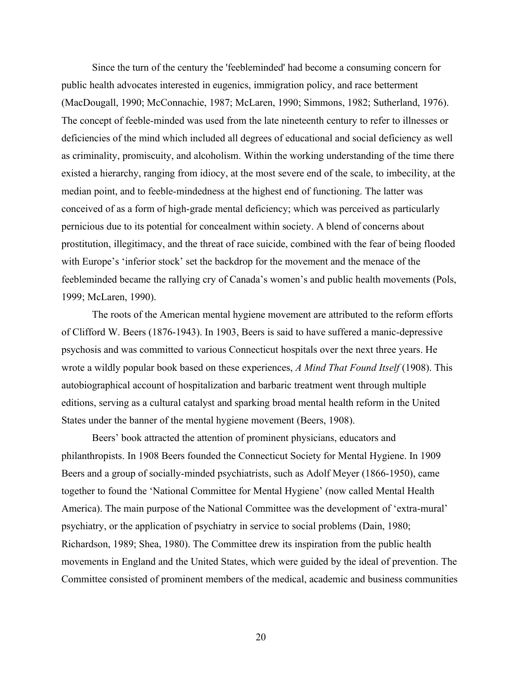Since the turn of the century the 'feebleminded' had become a consuming concern for public health advocates interested in eugenics, immigration policy, and race betterment (MacDougall, 1990; McConnachie, 1987; McLaren, 1990; Simmons, 1982; Sutherland, 1976). The concept of feeble-minded was used from the late nineteenth century to refer to illnesses or deficiencies of the mind which included all degrees of educational and social deficiency as well as criminality, promiscuity, and alcoholism. Within the working understanding of the time there existed a hierarchy, ranging from idiocy, at the most severe end of the scale, to imbecility, at the median point, and to feeble-mindedness at the highest end of functioning. The latter was conceived of as a form of high-grade mental deficiency; which was perceived as particularly pernicious due to its potential for concealment within society. A blend of concerns about prostitution, illegitimacy, and the threat of race suicide, combined with the fear of being flooded with Europe's 'inferior stock' set the backdrop for the movement and the menace of the feebleminded became the rallying cry of Canada's women's and public health movements (Pols, 1999; McLaren, 1990).

The roots of the American mental hygiene movement are attributed to the reform efforts of Clifford W. Beers (1876-1943). In 1903, Beers is said to have suffered a manic-depressive psychosis and was committed to various Connecticut hospitals over the next three years. He wrote a wildly popular book based on these experiences, *A Mind That Found Itself* (1908). This autobiographical account of hospitalization and barbaric treatment went through multiple editions, serving as a cultural catalyst and sparking broad mental health reform in the United States under the banner of the mental hygiene movement (Beers, 1908).

Beers' book attracted the attention of prominent physicians, educators and philanthropists. In 1908 Beers founded the Connecticut Society for Mental Hygiene. In 1909 Beers and a group of socially-minded psychiatrists, such as Adolf Meyer (1866-1950), came together to found the 'National Committee for Mental Hygiene' (now called Mental Health America). The main purpose of the National Committee was the development of 'extra-mural' psychiatry, or the application of psychiatry in service to social problems (Dain, 1980; Richardson, 1989; Shea, 1980). The Committee drew its inspiration from the public health movements in England and the United States, which were guided by the ideal of prevention. The Committee consisted of prominent members of the medical, academic and business communities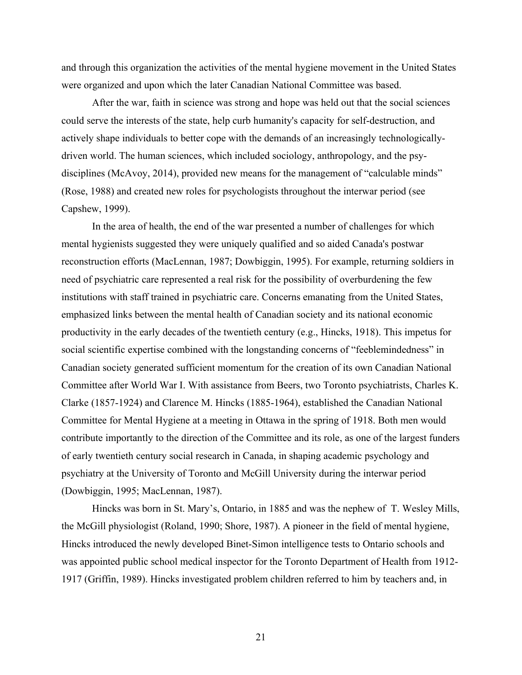and through this organization the activities of the mental hygiene movement in the United States were organized and upon which the later Canadian National Committee was based.

After the war, faith in science was strong and hope was held out that the social sciences could serve the interests of the state, help curb humanity's capacity for self-destruction, and actively shape individuals to better cope with the demands of an increasingly technologicallydriven world. The human sciences, which included sociology, anthropology, and the psydisciplines (McAvoy, 2014), provided new means for the management of "calculable minds" (Rose, 1988) and created new roles for psychologists throughout the interwar period (see Capshew, 1999).

In the area of health, the end of the war presented a number of challenges for which mental hygienists suggested they were uniquely qualified and so aided Canada's postwar reconstruction efforts (MacLennan, 1987; Dowbiggin, 1995). For example, returning soldiers in need of psychiatric care represented a real risk for the possibility of overburdening the few institutions with staff trained in psychiatric care. Concerns emanating from the United States, emphasized links between the mental health of Canadian society and its national economic productivity in the early decades of the twentieth century (e.g., Hincks, 1918). This impetus for social scientific expertise combined with the longstanding concerns of "feeblemindedness" in Canadian society generated sufficient momentum for the creation of its own Canadian National Committee after World War I. With assistance from Beers, two Toronto psychiatrists, Charles K. Clarke (1857-1924) and Clarence M. Hincks (1885-1964), established the Canadian National Committee for Mental Hygiene at a meeting in Ottawa in the spring of 1918. Both men would contribute importantly to the direction of the Committee and its role, as one of the largest funders of early twentieth century social research in Canada, in shaping academic psychology and psychiatry at the University of Toronto and McGill University during the interwar period (Dowbiggin, 1995; MacLennan, 1987).

Hincks was born in St. Mary's, Ontario, in 1885 and was the nephew of T. Wesley Mills, the McGill physiologist (Roland, 1990; Shore, 1987). A pioneer in the field of mental hygiene, Hincks introduced the newly developed Binet-Simon intelligence tests to Ontario schools and was appointed public school medical inspector for the Toronto Department of Health from 1912- 1917 (Griffin, 1989). Hincks investigated problem children referred to him by teachers and, in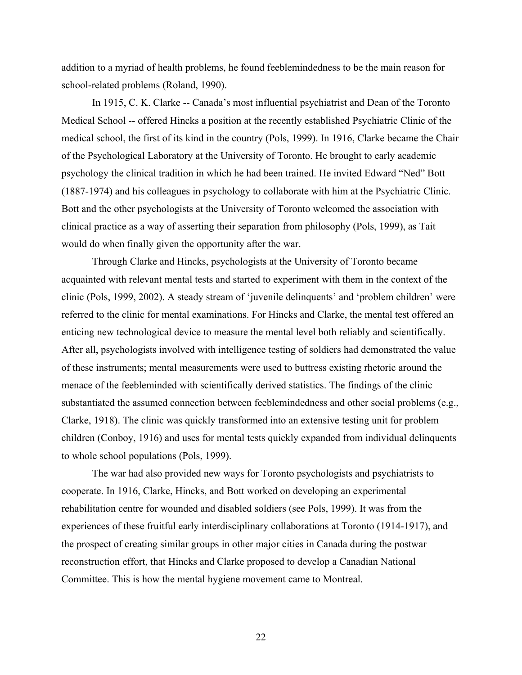addition to a myriad of health problems, he found feeblemindedness to be the main reason for school-related problems (Roland, 1990).

In 1915, C. K. Clarke -- Canada's most influential psychiatrist and Dean of the Toronto Medical School -- offered Hincks a position at the recently established Psychiatric Clinic of the medical school, the first of its kind in the country (Pols, 1999). In 1916, Clarke became the Chair of the Psychological Laboratory at the University of Toronto. He brought to early academic psychology the clinical tradition in which he had been trained. He invited Edward "Ned" Bott (1887-1974) and his colleagues in psychology to collaborate with him at the Psychiatric Clinic. Bott and the other psychologists at the University of Toronto welcomed the association with clinical practice as a way of asserting their separation from philosophy (Pols, 1999), as Tait would do when finally given the opportunity after the war.

Through Clarke and Hincks, psychologists at the University of Toronto became acquainted with relevant mental tests and started to experiment with them in the context of the clinic (Pols, 1999, 2002). A steady stream of 'juvenile delinquents' and 'problem children' were referred to the clinic for mental examinations. For Hincks and Clarke, the mental test offered an enticing new technological device to measure the mental level both reliably and scientifically. After all, psychologists involved with intelligence testing of soldiers had demonstrated the value of these instruments; mental measurements were used to buttress existing rhetoric around the menace of the feebleminded with scientifically derived statistics. The findings of the clinic substantiated the assumed connection between feeblemindedness and other social problems (e.g., Clarke, 1918). The clinic was quickly transformed into an extensive testing unit for problem children (Conboy, 1916) and uses for mental tests quickly expanded from individual delinquents to whole school populations (Pols, 1999).

The war had also provided new ways for Toronto psychologists and psychiatrists to cooperate. In 1916, Clarke, Hincks, and Bott worked on developing an experimental rehabilitation centre for wounded and disabled soldiers (see Pols, 1999). It was from the experiences of these fruitful early interdisciplinary collaborations at Toronto (1914-1917), and the prospect of creating similar groups in other major cities in Canada during the postwar reconstruction effort, that Hincks and Clarke proposed to develop a Canadian National Committee. This is how the mental hygiene movement came to Montreal.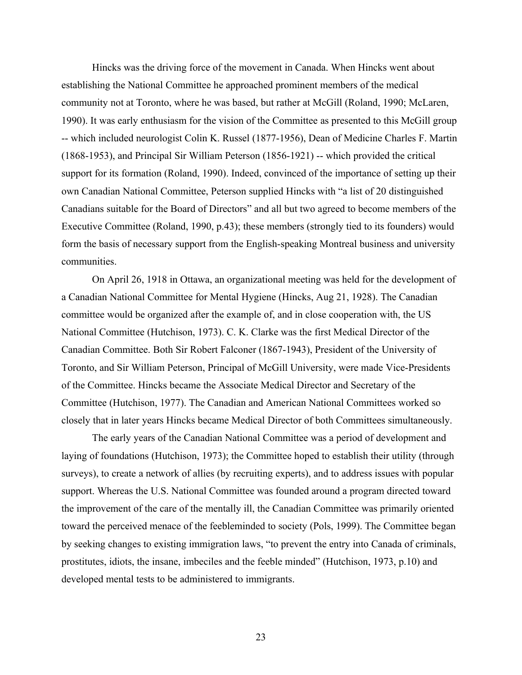Hincks was the driving force of the movement in Canada. When Hincks went about establishing the National Committee he approached prominent members of the medical community not at Toronto, where he was based, but rather at McGill (Roland, 1990; McLaren, 1990). It was early enthusiasm for the vision of the Committee as presented to this McGill group -- which included neurologist Colin K. Russel (1877-1956), Dean of Medicine Charles F. Martin (1868-1953), and Principal Sir William Peterson (1856-1921) -- which provided the critical support for its formation (Roland, 1990). Indeed, convinced of the importance of setting up their own Canadian National Committee, Peterson supplied Hincks with "a list of 20 distinguished Canadians suitable for the Board of Directors" and all but two agreed to become members of the Executive Committee (Roland, 1990, p.43); these members (strongly tied to its founders) would form the basis of necessary support from the English-speaking Montreal business and university communities.

On April 26, 1918 in Ottawa, an organizational meeting was held for the development of a Canadian National Committee for Mental Hygiene (Hincks, Aug 21, 1928). The Canadian committee would be organized after the example of, and in close cooperation with, the US National Committee (Hutchison, 1973). C. K. Clarke was the first Medical Director of the Canadian Committee. Both Sir Robert Falconer (1867-1943), President of the University of Toronto, and Sir William Peterson, Principal of McGill University, were made Vice-Presidents of the Committee. Hincks became the Associate Medical Director and Secretary of the Committee (Hutchison, 1977). The Canadian and American National Committees worked so closely that in later years Hincks became Medical Director of both Committees simultaneously.

The early years of the Canadian National Committee was a period of development and laying of foundations (Hutchison, 1973); the Committee hoped to establish their utility (through surveys), to create a network of allies (by recruiting experts), and to address issues with popular support. Whereas the U.S. National Committee was founded around a program directed toward the improvement of the care of the mentally ill, the Canadian Committee was primarily oriented toward the perceived menace of the feebleminded to society (Pols, 1999). The Committee began by seeking changes to existing immigration laws, "to prevent the entry into Canada of criminals, prostitutes, idiots, the insane, imbeciles and the feeble minded" (Hutchison, 1973, p.10) and developed mental tests to be administered to immigrants.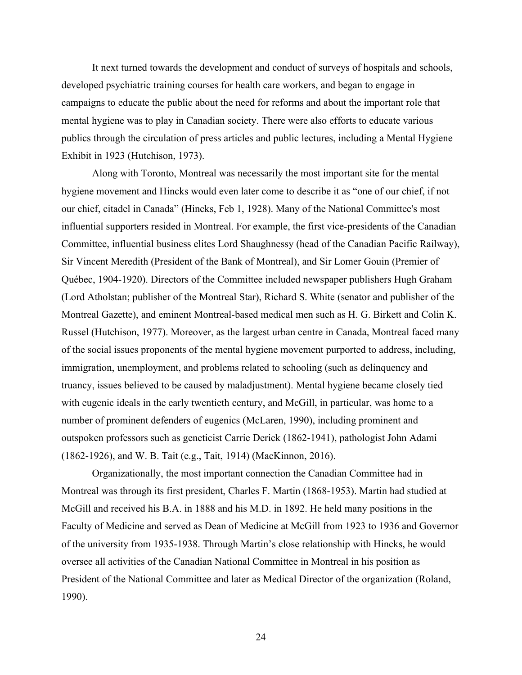It next turned towards the development and conduct of surveys of hospitals and schools, developed psychiatric training courses for health care workers, and began to engage in campaigns to educate the public about the need for reforms and about the important role that mental hygiene was to play in Canadian society. There were also efforts to educate various publics through the circulation of press articles and public lectures, including a Mental Hygiene Exhibit in 1923 (Hutchison, 1973).

Along with Toronto, Montreal was necessarily the most important site for the mental hygiene movement and Hincks would even later come to describe it as "one of our chief, if not our chief, citadel in Canada" (Hincks, Feb 1, 1928). Many of the National Committee's most influential supporters resided in Montreal. For example, the first vice-presidents of the Canadian Committee, influential business elites Lord Shaughnessy (head of the Canadian Pacific Railway), Sir Vincent Meredith (President of the Bank of Montreal), and Sir Lomer Gouin (Premier of Québec, 1904-1920). Directors of the Committee included newspaper publishers Hugh Graham (Lord Atholstan; publisher of the Montreal Star), Richard S. White (senator and publisher of the Montreal Gazette), and eminent Montreal-based medical men such as H. G. Birkett and Colin K. Russel (Hutchison, 1977). Moreover, as the largest urban centre in Canada, Montreal faced many of the social issues proponents of the mental hygiene movement purported to address, including, immigration, unemployment, and problems related to schooling (such as delinquency and truancy, issues believed to be caused by maladjustment). Mental hygiene became closely tied with eugenic ideals in the early twentieth century, and McGill, in particular, was home to a number of prominent defenders of eugenics (McLaren, 1990), including prominent and outspoken professors such as geneticist Carrie Derick (1862-1941), pathologist John Adami (1862-1926), and W. B. Tait (e.g., Tait, 1914) (MacKinnon, 2016).

Organizationally, the most important connection the Canadian Committee had in Montreal was through its first president, Charles F. Martin (1868-1953). Martin had studied at McGill and received his B.A. in 1888 and his M.D. in 1892. He held many positions in the Faculty of Medicine and served as Dean of Medicine at McGill from 1923 to 1936 and Governor of the university from 1935-1938. Through Martin's close relationship with Hincks, he would oversee all activities of the Canadian National Committee in Montreal in his position as President of the National Committee and later as Medical Director of the organization (Roland, 1990).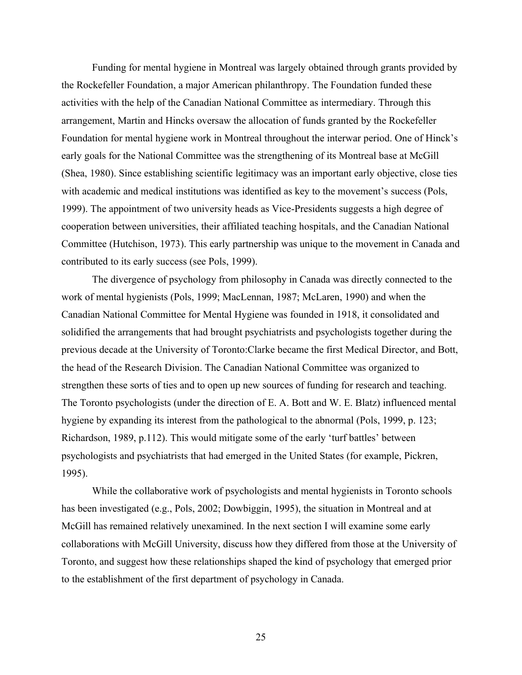Funding for mental hygiene in Montreal was largely obtained through grants provided by the Rockefeller Foundation, a major American philanthropy. The Foundation funded these activities with the help of the Canadian National Committee as intermediary. Through this arrangement, Martin and Hincks oversaw the allocation of funds granted by the Rockefeller Foundation for mental hygiene work in Montreal throughout the interwar period. One of Hinck's early goals for the National Committee was the strengthening of its Montreal base at McGill (Shea, 1980). Since establishing scientific legitimacy was an important early objective, close ties with academic and medical institutions was identified as key to the movement's success (Pols, 1999). The appointment of two university heads as Vice-Presidents suggests a high degree of cooperation between universities, their affiliated teaching hospitals, and the Canadian National Committee (Hutchison, 1973). This early partnership was unique to the movement in Canada and contributed to its early success (see Pols, 1999).

The divergence of psychology from philosophy in Canada was directly connected to the work of mental hygienists (Pols, 1999; MacLennan, 1987; McLaren, 1990) and when the Canadian National Committee for Mental Hygiene was founded in 1918, it consolidated and solidified the arrangements that had brought psychiatrists and psychologists together during the previous decade at the University of Toronto:Clarke became the first Medical Director, and Bott, the head of the Research Division. The Canadian National Committee was organized to strengthen these sorts of ties and to open up new sources of funding for research and teaching. The Toronto psychologists (under the direction of E. A. Bott and W. E. Blatz) influenced mental hygiene by expanding its interest from the pathological to the abnormal (Pols, 1999, p. 123; Richardson, 1989, p.112). This would mitigate some of the early 'turf battles' between psychologists and psychiatrists that had emerged in the United States (for example, Pickren, 1995).

While the collaborative work of psychologists and mental hygienists in Toronto schools has been investigated (e.g., Pols, 2002; Dowbiggin, 1995), the situation in Montreal and at McGill has remained relatively unexamined. In the next section I will examine some early collaborations with McGill University, discuss how they differed from those at the University of Toronto, and suggest how these relationships shaped the kind of psychology that emerged prior to the establishment of the first department of psychology in Canada.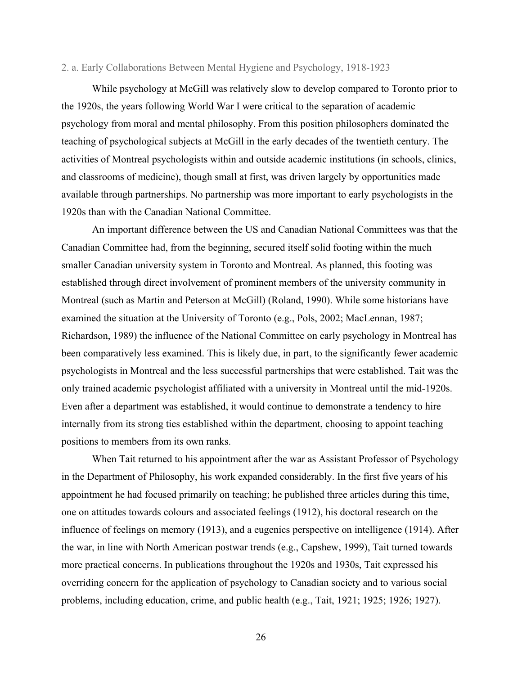#### 2. a. Early Collaborations Between Mental Hygiene and Psychology, 1918-1923

While psychology at McGill was relatively slow to develop compared to Toronto prior to the 1920s, the years following World War I were critical to the separation of academic psychology from moral and mental philosophy. From this position philosophers dominated the teaching of psychological subjects at McGill in the early decades of the twentieth century. The activities of Montreal psychologists within and outside academic institutions (in schools, clinics, and classrooms of medicine), though small at first, was driven largely by opportunities made available through partnerships. No partnership was more important to early psychologists in the 1920s than with the Canadian National Committee.

An important difference between the US and Canadian National Committees was that the Canadian Committee had, from the beginning, secured itself solid footing within the much smaller Canadian university system in Toronto and Montreal. As planned, this footing was established through direct involvement of prominent members of the university community in Montreal (such as Martin and Peterson at McGill) (Roland, 1990). While some historians have examined the situation at the University of Toronto (e.g., Pols, 2002; MacLennan, 1987; Richardson, 1989) the influence of the National Committee on early psychology in Montreal has been comparatively less examined. This is likely due, in part, to the significantly fewer academic psychologists in Montreal and the less successful partnerships that were established. Tait was the only trained academic psychologist affiliated with a university in Montreal until the mid-1920s. Even after a department was established, it would continue to demonstrate a tendency to hire internally from its strong ties established within the department, choosing to appoint teaching positions to members from its own ranks.

When Tait returned to his appointment after the war as Assistant Professor of Psychology in the Department of Philosophy, his work expanded considerably. In the first five years of his appointment he had focused primarily on teaching; he published three articles during this time, one on attitudes towards colours and associated feelings (1912), his doctoral research on the influence of feelings on memory (1913), and a eugenics perspective on intelligence (1914). After the war, in line with North American postwar trends (e.g., Capshew, 1999), Tait turned towards more practical concerns. In publications throughout the 1920s and 1930s, Tait expressed his overriding concern for the application of psychology to Canadian society and to various social problems, including education, crime, and public health (e.g., Tait, 1921; 1925; 1926; 1927).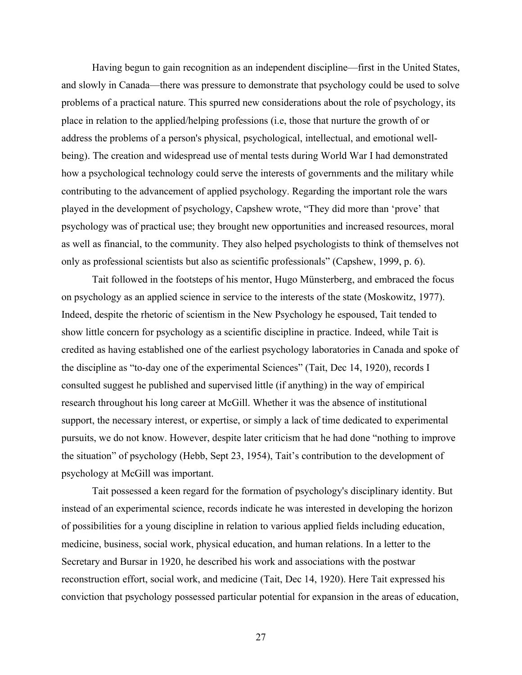Having begun to gain recognition as an independent discipline—first in the United States, and slowly in Canada—there was pressure to demonstrate that psychology could be used to solve problems of a practical nature. This spurred new considerations about the role of psychology, its place in relation to the applied/helping professions (i.e, those that nurture the growth of or address the problems of a person's physical, psychological, intellectual, and emotional wellbeing). The creation and widespread use of mental tests during World War I had demonstrated how a psychological technology could serve the interests of governments and the military while contributing to the advancement of applied psychology. Regarding the important role the wars played in the development of psychology, Capshew wrote, "They did more than 'prove' that psychology was of practical use; they brought new opportunities and increased resources, moral as well as financial, to the community. They also helped psychologists to think of themselves not only as professional scientists but also as scientific professionals" (Capshew, 1999, p. 6).

Tait followed in the footsteps of his mentor, Hugo Münsterberg, and embraced the focus on psychology as an applied science in service to the interests of the state (Moskowitz, 1977). Indeed, despite the rhetoric of scientism in the New Psychology he espoused, Tait tended to show little concern for psychology as a scientific discipline in practice. Indeed, while Tait is credited as having established one of the earliest psychology laboratories in Canada and spoke of the discipline as "to-day one of the experimental Sciences" (Tait, Dec 14, 1920), records I consulted suggest he published and supervised little (if anything) in the way of empirical research throughout his long career at McGill. Whether it was the absence of institutional support, the necessary interest, or expertise, or simply a lack of time dedicated to experimental pursuits, we do not know. However, despite later criticism that he had done "nothing to improve the situation" of psychology (Hebb, Sept 23, 1954), Tait's contribution to the development of psychology at McGill was important.

Tait possessed a keen regard for the formation of psychology's disciplinary identity. But instead of an experimental science, records indicate he was interested in developing the horizon of possibilities for a young discipline in relation to various applied fields including education, medicine, business, social work, physical education, and human relations. In a letter to the Secretary and Bursar in 1920, he described his work and associations with the postwar reconstruction effort, social work, and medicine (Tait, Dec 14, 1920). Here Tait expressed his conviction that psychology possessed particular potential for expansion in the areas of education,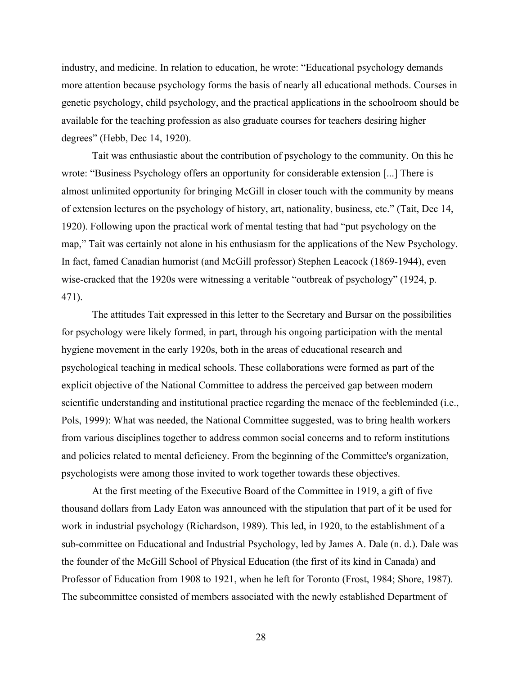industry, and medicine. In relation to education, he wrote: "Educational psychology demands more attention because psychology forms the basis of nearly all educational methods. Courses in genetic psychology, child psychology, and the practical applications in the schoolroom should be available for the teaching profession as also graduate courses for teachers desiring higher degrees" (Hebb, Dec 14, 1920).

Tait was enthusiastic about the contribution of psychology to the community. On this he wrote: "Business Psychology offers an opportunity for considerable extension [...] There is almost unlimited opportunity for bringing McGill in closer touch with the community by means of extension lectures on the psychology of history, art, nationality, business, etc." (Tait, Dec 14, 1920). Following upon the practical work of mental testing that had "put psychology on the map," Tait was certainly not alone in his enthusiasm for the applications of the New Psychology. In fact, famed Canadian humorist (and McGill professor) Stephen Leacock (1869-1944), even wise-cracked that the 1920s were witnessing a veritable "outbreak of psychology" (1924, p. 471).

The attitudes Tait expressed in this letter to the Secretary and Bursar on the possibilities for psychology were likely formed, in part, through his ongoing participation with the mental hygiene movement in the early 1920s, both in the areas of educational research and psychological teaching in medical schools. These collaborations were formed as part of the explicit objective of the National Committee to address the perceived gap between modern scientific understanding and institutional practice regarding the menace of the feebleminded (i.e., Pols, 1999): What was needed, the National Committee suggested, was to bring health workers from various disciplines together to address common social concerns and to reform institutions and policies related to mental deficiency. From the beginning of the Committee's organization, psychologists were among those invited to work together towards these objectives.

At the first meeting of the Executive Board of the Committee in 1919, a gift of five thousand dollars from Lady Eaton was announced with the stipulation that part of it be used for work in industrial psychology (Richardson, 1989). This led, in 1920, to the establishment of a sub-committee on Educational and Industrial Psychology, led by James A. Dale (n. d.). Dale was the founder of the McGill School of Physical Education (the first of its kind in Canada) and Professor of Education from 1908 to 1921, when he left for Toronto (Frost, 1984; Shore, 1987). The subcommittee consisted of members associated with the newly established Department of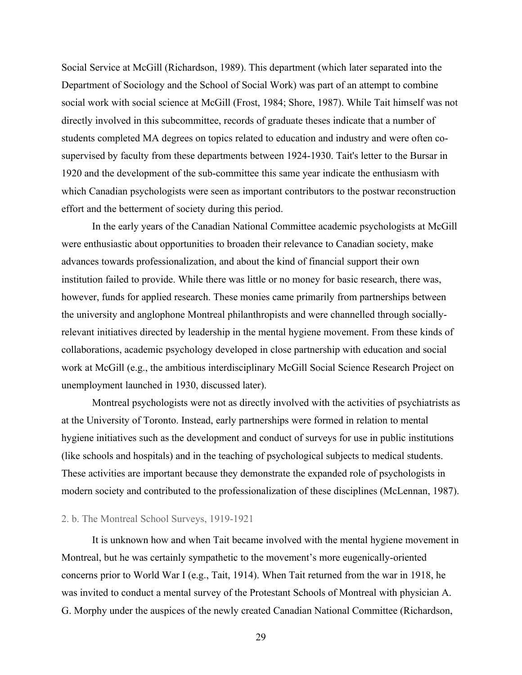Social Service at McGill (Richardson, 1989). This department (which later separated into the Department of Sociology and the School of Social Work) was part of an attempt to combine social work with social science at McGill (Frost, 1984; Shore, 1987). While Tait himself was not directly involved in this subcommittee, records of graduate theses indicate that a number of students completed MA degrees on topics related to education and industry and were often cosupervised by faculty from these departments between 1924-1930. Tait's letter to the Bursar in 1920 and the development of the sub-committee this same year indicate the enthusiasm with which Canadian psychologists were seen as important contributors to the postwar reconstruction effort and the betterment of society during this period.

In the early years of the Canadian National Committee academic psychologists at McGill were enthusiastic about opportunities to broaden their relevance to Canadian society, make advances towards professionalization, and about the kind of financial support their own institution failed to provide. While there was little or no money for basic research, there was, however, funds for applied research. These monies came primarily from partnerships between the university and anglophone Montreal philanthropists and were channelled through sociallyrelevant initiatives directed by leadership in the mental hygiene movement. From these kinds of collaborations, academic psychology developed in close partnership with education and social work at McGill (e.g., the ambitious interdisciplinary McGill Social Science Research Project on unemployment launched in 1930, discussed later).

Montreal psychologists were not as directly involved with the activities of psychiatrists as at the University of Toronto. Instead, early partnerships were formed in relation to mental hygiene initiatives such as the development and conduct of surveys for use in public institutions (like schools and hospitals) and in the teaching of psychological subjects to medical students. These activities are important because they demonstrate the expanded role of psychologists in modern society and contributed to the professionalization of these disciplines (McLennan, 1987).

#### 2. b. The Montreal School Surveys, 1919-1921

It is unknown how and when Tait became involved with the mental hygiene movement in Montreal, but he was certainly sympathetic to the movement's more eugenically-oriented concerns prior to World War I (e.g., Tait, 1914). When Tait returned from the war in 1918, he was invited to conduct a mental survey of the Protestant Schools of Montreal with physician A. G. Morphy under the auspices of the newly created Canadian National Committee (Richardson,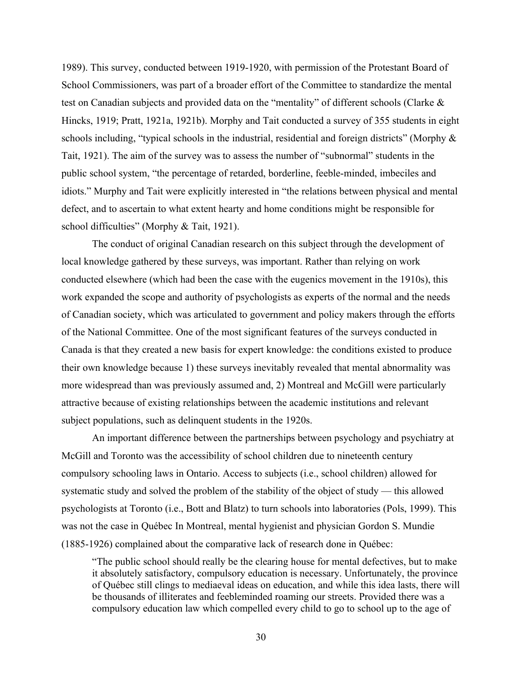1989). This survey, conducted between 1919-1920, with permission of the Protestant Board of School Commissioners, was part of a broader effort of the Committee to standardize the mental test on Canadian subjects and provided data on the "mentality" of different schools (Clarke & Hincks, 1919; Pratt, 1921a, 1921b). Morphy and Tait conducted a survey of 355 students in eight schools including, "typical schools in the industrial, residential and foreign districts" (Morphy & Tait, 1921). The aim of the survey was to assess the number of "subnormal" students in the public school system, "the percentage of retarded, borderline, feeble-minded, imbeciles and idiots." Murphy and Tait were explicitly interested in "the relations between physical and mental defect, and to ascertain to what extent hearty and home conditions might be responsible for school difficulties" (Morphy & Tait, 1921).

The conduct of original Canadian research on this subject through the development of local knowledge gathered by these surveys, was important. Rather than relying on work conducted elsewhere (which had been the case with the eugenics movement in the 1910s), this work expanded the scope and authority of psychologists as experts of the normal and the needs of Canadian society, which was articulated to government and policy makers through the efforts of the National Committee. One of the most significant features of the surveys conducted in Canada is that they created a new basis for expert knowledge: the conditions existed to produce their own knowledge because 1) these surveys inevitably revealed that mental abnormality was more widespread than was previously assumed and, 2) Montreal and McGill were particularly attractive because of existing relationships between the academic institutions and relevant subject populations, such as delinquent students in the 1920s.

An important difference between the partnerships between psychology and psychiatry at McGill and Toronto was the accessibility of school children due to nineteenth century compulsory schooling laws in Ontario. Access to subjects (i.e., school children) allowed for systematic study and solved the problem of the stability of the object of study — this allowed psychologists at Toronto (i.e., Bott and Blatz) to turn schools into laboratories (Pols, 1999). This was not the case in Québec In Montreal, mental hygienist and physician Gordon S. Mundie (1885-1926) complained about the comparative lack of research done in Québec:

"The public school should really be the clearing house for mental defectives, but to make it absolutely satisfactory, compulsory education is necessary. Unfortunately, the province of Québec still clings to mediaeval ideas on education, and while this idea lasts, there will be thousands of illiterates and feebleminded roaming our streets. Provided there was a compulsory education law which compelled every child to go to school up to the age of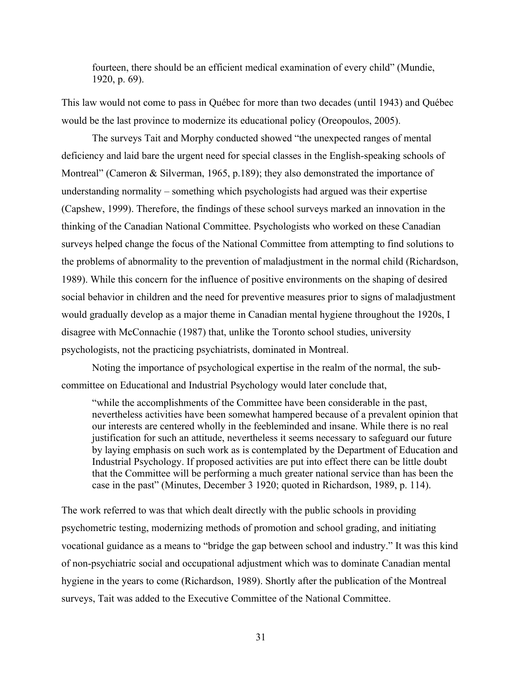fourteen, there should be an efficient medical examination of every child" (Mundie, 1920, p. 69).

This law would not come to pass in Québec for more than two decades (until 1943) and Québec would be the last province to modernize its educational policy (Oreopoulos, 2005).

The surveys Tait and Morphy conducted showed "the unexpected ranges of mental deficiency and laid bare the urgent need for special classes in the English-speaking schools of Montreal" (Cameron & Silverman, 1965, p.189); they also demonstrated the importance of understanding normality – something which psychologists had argued was their expertise (Capshew, 1999). Therefore, the findings of these school surveys marked an innovation in the thinking of the Canadian National Committee. Psychologists who worked on these Canadian surveys helped change the focus of the National Committee from attempting to find solutions to the problems of abnormality to the prevention of maladjustment in the normal child (Richardson, 1989). While this concern for the influence of positive environments on the shaping of desired social behavior in children and the need for preventive measures prior to signs of maladjustment would gradually develop as a major theme in Canadian mental hygiene throughout the 1920s, I disagree with McConnachie (1987) that, unlike the Toronto school studies, university psychologists, not the practicing psychiatrists, dominated in Montreal.

Noting the importance of psychological expertise in the realm of the normal, the subcommittee on Educational and Industrial Psychology would later conclude that,

"while the accomplishments of the Committee have been considerable in the past, nevertheless activities have been somewhat hampered because of a prevalent opinion that our interests are centered wholly in the feebleminded and insane. While there is no real justification for such an attitude, nevertheless it seems necessary to safeguard our future by laying emphasis on such work as is contemplated by the Department of Education and Industrial Psychology. If proposed activities are put into effect there can be little doubt that the Committee will be performing a much greater national service than has been the case in the past" (Minutes, December 3 1920; quoted in Richardson, 1989, p. 114).

The work referred to was that which dealt directly with the public schools in providing psychometric testing, modernizing methods of promotion and school grading, and initiating vocational guidance as a means to "bridge the gap between school and industry." It was this kind of non-psychiatric social and occupational adjustment which was to dominate Canadian mental hygiene in the years to come (Richardson, 1989). Shortly after the publication of the Montreal surveys, Tait was added to the Executive Committee of the National Committee.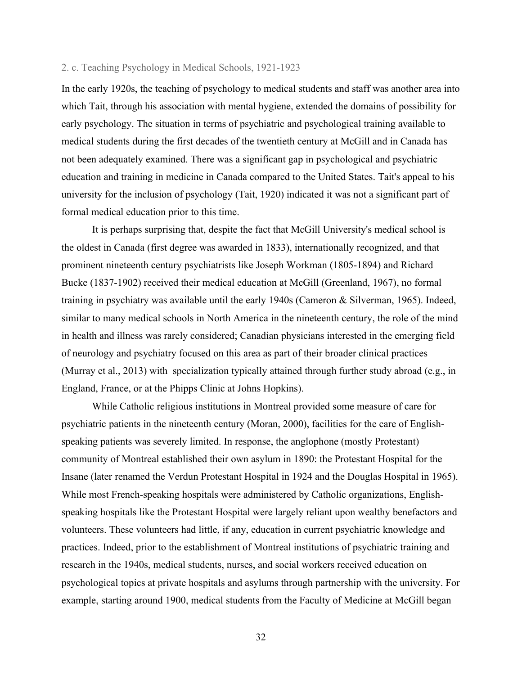## 2. c. Teaching Psychology in Medical Schools, 1921-1923

In the early 1920s, the teaching of psychology to medical students and staff was another area into which Tait, through his association with mental hygiene, extended the domains of possibility for early psychology. The situation in terms of psychiatric and psychological training available to medical students during the first decades of the twentieth century at McGill and in Canada has not been adequately examined. There was a significant gap in psychological and psychiatric education and training in medicine in Canada compared to the United States. Tait's appeal to his university for the inclusion of psychology (Tait, 1920) indicated it was not a significant part of formal medical education prior to this time.

It is perhaps surprising that, despite the fact that McGill University's medical school is the oldest in Canada (first degree was awarded in 1833), internationally recognized, and that prominent nineteenth century psychiatrists like Joseph Workman (1805-1894) and Richard Bucke (1837-1902) received their medical education at McGill (Greenland, 1967), no formal training in psychiatry was available until the early 1940s (Cameron & Silverman, 1965). Indeed, similar to many medical schools in North America in the nineteenth century, the role of the mind in health and illness was rarely considered; Canadian physicians interested in the emerging field of neurology and psychiatry focused on this area as part of their broader clinical practices (Murray et al., 2013) with specialization typically attained through further study abroad (e.g., in England, France, or at the Phipps Clinic at Johns Hopkins).

While Catholic religious institutions in Montreal provided some measure of care for psychiatric patients in the nineteenth century (Moran, 2000), facilities for the care of Englishspeaking patients was severely limited. In response, the anglophone (mostly Protestant) community of Montreal established their own asylum in 1890: the Protestant Hospital for the Insane (later renamed the Verdun Protestant Hospital in 1924 and the Douglas Hospital in 1965). While most French-speaking hospitals were administered by Catholic organizations, Englishspeaking hospitals like the Protestant Hospital were largely reliant upon wealthy benefactors and volunteers. These volunteers had little, if any, education in current psychiatric knowledge and practices. Indeed, prior to the establishment of Montreal institutions of psychiatric training and research in the 1940s, medical students, nurses, and social workers received education on psychological topics at private hospitals and asylums through partnership with the university. For example, starting around 1900, medical students from the Faculty of Medicine at McGill began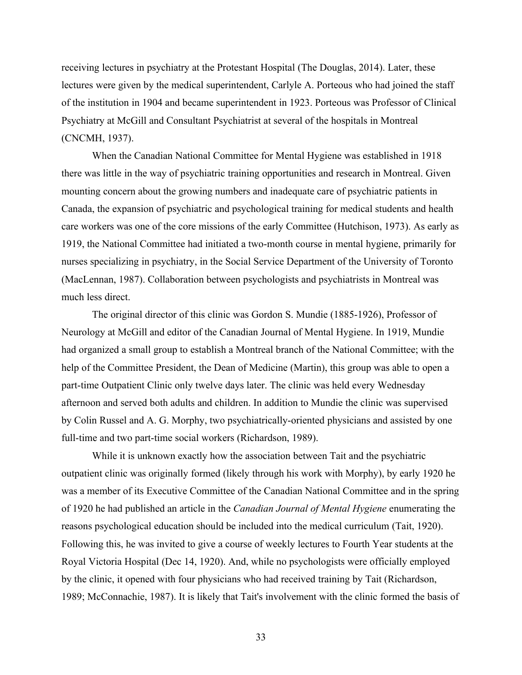receiving lectures in psychiatry at the Protestant Hospital (The Douglas, 2014). Later, these lectures were given by the medical superintendent, Carlyle A. Porteous who had joined the staff of the institution in 1904 and became superintendent in 1923. Porteous was Professor of Clinical Psychiatry at McGill and Consultant Psychiatrist at several of the hospitals in Montreal (CNCMH, 1937).

When the Canadian National Committee for Mental Hygiene was established in 1918 there was little in the way of psychiatric training opportunities and research in Montreal. Given mounting concern about the growing numbers and inadequate care of psychiatric patients in Canada, the expansion of psychiatric and psychological training for medical students and health care workers was one of the core missions of the early Committee (Hutchison, 1973). As early as 1919, the National Committee had initiated a two-month course in mental hygiene, primarily for nurses specializing in psychiatry, in the Social Service Department of the University of Toronto (MacLennan, 1987). Collaboration between psychologists and psychiatrists in Montreal was much less direct.

The original director of this clinic was Gordon S. Mundie (1885-1926), Professor of Neurology at McGill and editor of the Canadian Journal of Mental Hygiene. In 1919, Mundie had organized a small group to establish a Montreal branch of the National Committee; with the help of the Committee President, the Dean of Medicine (Martin), this group was able to open a part-time Outpatient Clinic only twelve days later. The clinic was held every Wednesday afternoon and served both adults and children. In addition to Mundie the clinic was supervised by Colin Russel and A. G. Morphy, two psychiatrically-oriented physicians and assisted by one full-time and two part-time social workers (Richardson, 1989).

While it is unknown exactly how the association between Tait and the psychiatric outpatient clinic was originally formed (likely through his work with Morphy), by early 1920 he was a member of its Executive Committee of the Canadian National Committee and in the spring of 1920 he had published an article in the *Canadian Journal of Mental Hygiene* enumerating the reasons psychological education should be included into the medical curriculum (Tait, 1920). Following this, he was invited to give a course of weekly lectures to Fourth Year students at the Royal Victoria Hospital (Dec 14, 1920). And, while no psychologists were officially employed by the clinic, it opened with four physicians who had received training by Tait (Richardson, 1989; McConnachie, 1987). It is likely that Tait's involvement with the clinic formed the basis of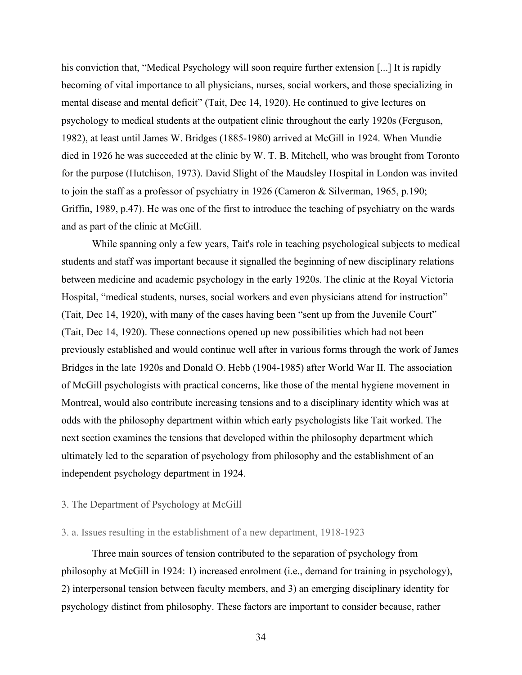his conviction that, "Medical Psychology will soon require further extension [...] It is rapidly becoming of vital importance to all physicians, nurses, social workers, and those specializing in mental disease and mental deficit" (Tait, Dec 14, 1920). He continued to give lectures on psychology to medical students at the outpatient clinic throughout the early 1920s (Ferguson, 1982), at least until James W. Bridges (1885-1980) arrived at McGill in 1924. When Mundie died in 1926 he was succeeded at the clinic by W. T. B. Mitchell, who was brought from Toronto for the purpose (Hutchison, 1973). David Slight of the Maudsley Hospital in London was invited to join the staff as a professor of psychiatry in 1926 (Cameron & Silverman, 1965, p.190; Griffin, 1989, p.47). He was one of the first to introduce the teaching of psychiatry on the wards and as part of the clinic at McGill.

While spanning only a few years, Tait's role in teaching psychological subjects to medical students and staff was important because it signalled the beginning of new disciplinary relations between medicine and academic psychology in the early 1920s. The clinic at the Royal Victoria Hospital, "medical students, nurses, social workers and even physicians attend for instruction" (Tait, Dec 14, 1920), with many of the cases having been "sent up from the Juvenile Court" (Tait, Dec 14, 1920). These connections opened up new possibilities which had not been previously established and would continue well after in various forms through the work of James Bridges in the late 1920s and Donald O. Hebb (1904-1985) after World War II. The association of McGill psychologists with practical concerns, like those of the mental hygiene movement in Montreal, would also contribute increasing tensions and to a disciplinary identity which was at odds with the philosophy department within which early psychologists like Tait worked. The next section examines the tensions that developed within the philosophy department which ultimately led to the separation of psychology from philosophy and the establishment of an independent psychology department in 1924.

# 3. The Department of Psychology at McGill

## 3. a. Issues resulting in the establishment of a new department, 1918-1923

Three main sources of tension contributed to the separation of psychology from philosophy at McGill in 1924: 1) increased enrolment (i.e., demand for training in psychology), 2) interpersonal tension between faculty members, and 3) an emerging disciplinary identity for psychology distinct from philosophy. These factors are important to consider because, rather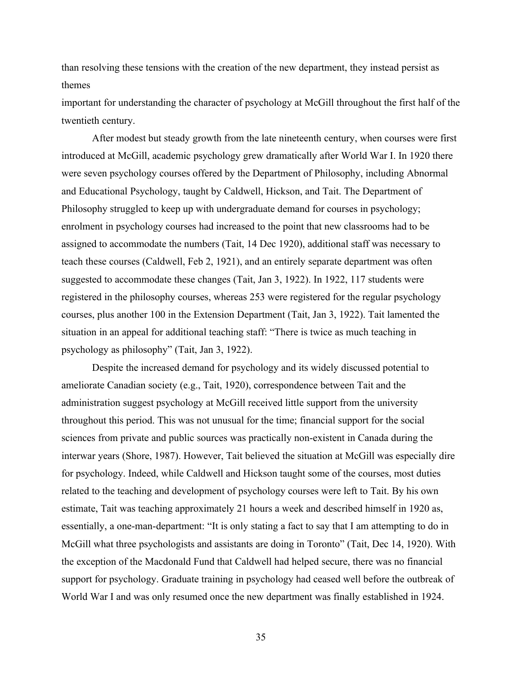than resolving these tensions with the creation of the new department, they instead persist as themes

important for understanding the character of psychology at McGill throughout the first half of the twentieth century.

After modest but steady growth from the late nineteenth century, when courses were first introduced at McGill, academic psychology grew dramatically after World War I. In 1920 there were seven psychology courses offered by the Department of Philosophy, including Abnormal and Educational Psychology, taught by Caldwell, Hickson, and Tait. The Department of Philosophy struggled to keep up with undergraduate demand for courses in psychology; enrolment in psychology courses had increased to the point that new classrooms had to be assigned to accommodate the numbers (Tait, 14 Dec 1920), additional staff was necessary to teach these courses (Caldwell, Feb 2, 1921), and an entirely separate department was often suggested to accommodate these changes (Tait, Jan 3, 1922). In 1922, 117 students were registered in the philosophy courses, whereas 253 were registered for the regular psychology courses, plus another 100 in the Extension Department (Tait, Jan 3, 1922). Tait lamented the situation in an appeal for additional teaching staff: "There is twice as much teaching in psychology as philosophy" (Tait, Jan 3, 1922).

Despite the increased demand for psychology and its widely discussed potential to ameliorate Canadian society (e.g., Tait, 1920), correspondence between Tait and the administration suggest psychology at McGill received little support from the university throughout this period. This was not unusual for the time; financial support for the social sciences from private and public sources was practically non-existent in Canada during the interwar years (Shore, 1987). However, Tait believed the situation at McGill was especially dire for psychology. Indeed, while Caldwell and Hickson taught some of the courses, most duties related to the teaching and development of psychology courses were left to Tait. By his own estimate, Tait was teaching approximately 21 hours a week and described himself in 1920 as, essentially, a one-man-department: "It is only stating a fact to say that I am attempting to do in McGill what three psychologists and assistants are doing in Toronto" (Tait, Dec 14, 1920). With the exception of the Macdonald Fund that Caldwell had helped secure, there was no financial support for psychology. Graduate training in psychology had ceased well before the outbreak of World War I and was only resumed once the new department was finally established in 1924.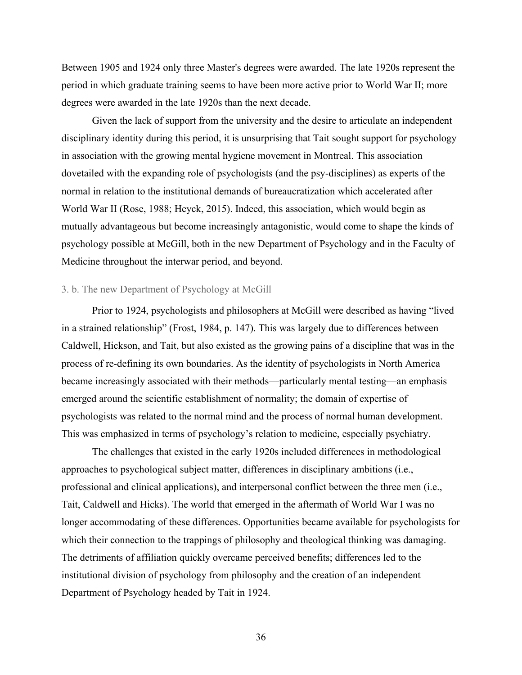Between 1905 and 1924 only three Master's degrees were awarded. The late 1920s represent the period in which graduate training seems to have been more active prior to World War II; more degrees were awarded in the late 1920s than the next decade.

Given the lack of support from the university and the desire to articulate an independent disciplinary identity during this period, it is unsurprising that Tait sought support for psychology in association with the growing mental hygiene movement in Montreal. This association dovetailed with the expanding role of psychologists (and the psy-disciplines) as experts of the normal in relation to the institutional demands of bureaucratization which accelerated after World War II (Rose, 1988; Heyck, 2015). Indeed, this association, which would begin as mutually advantageous but become increasingly antagonistic, would come to shape the kinds of psychology possible at McGill, both in the new Department of Psychology and in the Faculty of Medicine throughout the interwar period, and beyond.

### 3. b. The new Department of Psychology at McGill

Prior to 1924, psychologists and philosophers at McGill were described as having "lived in a strained relationship" (Frost, 1984, p. 147). This was largely due to differences between Caldwell, Hickson, and Tait, but also existed as the growing pains of a discipline that was in the process of re-defining its own boundaries. As the identity of psychologists in North America became increasingly associated with their methods—particularly mental testing—an emphasis emerged around the scientific establishment of normality; the domain of expertise of psychologists was related to the normal mind and the process of normal human development. This was emphasized in terms of psychology's relation to medicine, especially psychiatry.

The challenges that existed in the early 1920s included differences in methodological approaches to psychological subject matter, differences in disciplinary ambitions (i.e., professional and clinical applications), and interpersonal conflict between the three men (i.e., Tait, Caldwell and Hicks). The world that emerged in the aftermath of World War I was no longer accommodating of these differences. Opportunities became available for psychologists for which their connection to the trappings of philosophy and theological thinking was damaging. The detriments of affiliation quickly overcame perceived benefits; differences led to the institutional division of psychology from philosophy and the creation of an independent Department of Psychology headed by Tait in 1924.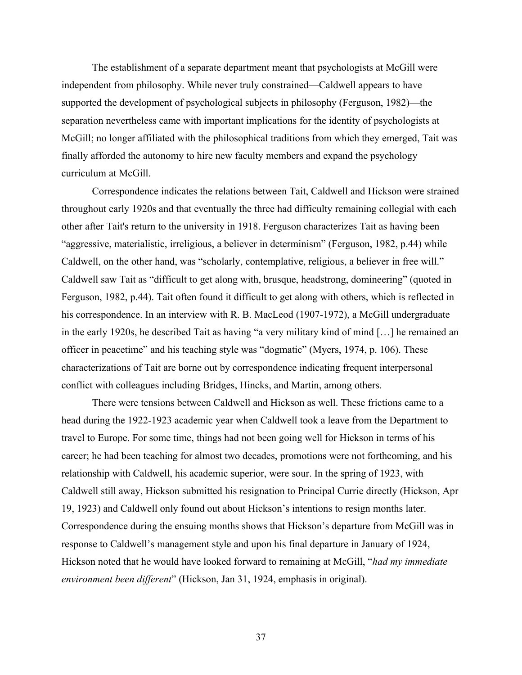The establishment of a separate department meant that psychologists at McGill were independent from philosophy. While never truly constrained—Caldwell appears to have supported the development of psychological subjects in philosophy (Ferguson, 1982)—the separation nevertheless came with important implications for the identity of psychologists at McGill; no longer affiliated with the philosophical traditions from which they emerged, Tait was finally afforded the autonomy to hire new faculty members and expand the psychology curriculum at McGill.

Correspondence indicates the relations between Tait, Caldwell and Hickson were strained throughout early 1920s and that eventually the three had difficulty remaining collegial with each other after Tait's return to the university in 1918. Ferguson characterizes Tait as having been "aggressive, materialistic, irreligious, a believer in determinism" (Ferguson, 1982, p.44) while Caldwell, on the other hand, was "scholarly, contemplative, religious, a believer in free will." Caldwell saw Tait as "difficult to get along with, brusque, headstrong, domineering" (quoted in Ferguson, 1982, p.44). Tait often found it difficult to get along with others, which is reflected in his correspondence. In an interview with R. B. MacLeod (1907-1972), a McGill undergraduate in the early 1920s, he described Tait as having "a very military kind of mind […] he remained an officer in peacetime" and his teaching style was "dogmatic" (Myers, 1974, p. 106). These characterizations of Tait are borne out by correspondence indicating frequent interpersonal conflict with colleagues including Bridges, Hincks, and Martin, among others.

There were tensions between Caldwell and Hickson as well. These frictions came to a head during the 1922-1923 academic year when Caldwell took a leave from the Department to travel to Europe. For some time, things had not been going well for Hickson in terms of his career; he had been teaching for almost two decades, promotions were not forthcoming, and his relationship with Caldwell, his academic superior, were sour. In the spring of 1923, with Caldwell still away, Hickson submitted his resignation to Principal Currie directly (Hickson, Apr 19, 1923) and Caldwell only found out about Hickson's intentions to resign months later. Correspondence during the ensuing months shows that Hickson's departure from McGill was in response to Caldwell's management style and upon his final departure in January of 1924, Hickson noted that he would have looked forward to remaining at McGill, "*had my immediate environment been different*" (Hickson, Jan 31, 1924, emphasis in original).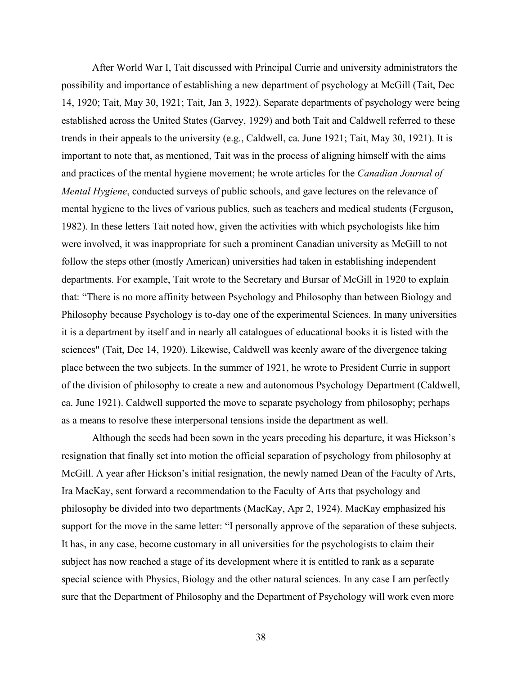After World War I, Tait discussed with Principal Currie and university administrators the possibility and importance of establishing a new department of psychology at McGill (Tait, Dec 14, 1920; Tait, May 30, 1921; Tait, Jan 3, 1922). Separate departments of psychology were being established across the United States (Garvey, 1929) and both Tait and Caldwell referred to these trends in their appeals to the university (e.g., Caldwell, ca. June 1921; Tait, May 30, 1921). It is important to note that, as mentioned, Tait was in the process of aligning himself with the aims and practices of the mental hygiene movement; he wrote articles for the *Canadian Journal of Mental Hygiene*, conducted surveys of public schools, and gave lectures on the relevance of mental hygiene to the lives of various publics, such as teachers and medical students (Ferguson, 1982). In these letters Tait noted how, given the activities with which psychologists like him were involved, it was inappropriate for such a prominent Canadian university as McGill to not follow the steps other (mostly American) universities had taken in establishing independent departments. For example, Tait wrote to the Secretary and Bursar of McGill in 1920 to explain that: "There is no more affinity between Psychology and Philosophy than between Biology and Philosophy because Psychology is to-day one of the experimental Sciences. In many universities it is a department by itself and in nearly all catalogues of educational books it is listed with the sciences" (Tait, Dec 14, 1920). Likewise, Caldwell was keenly aware of the divergence taking place between the two subjects. In the summer of 1921, he wrote to President Currie in support of the division of philosophy to create a new and autonomous Psychology Department (Caldwell, ca. June 1921). Caldwell supported the move to separate psychology from philosophy; perhaps as a means to resolve these interpersonal tensions inside the department as well.

Although the seeds had been sown in the years preceding his departure, it was Hickson's resignation that finally set into motion the official separation of psychology from philosophy at McGill. A year after Hickson's initial resignation, the newly named Dean of the Faculty of Arts, Ira MacKay, sent forward a recommendation to the Faculty of Arts that psychology and philosophy be divided into two departments (MacKay, Apr 2, 1924). MacKay emphasized his support for the move in the same letter: "I personally approve of the separation of these subjects. It has, in any case, become customary in all universities for the psychologists to claim their subject has now reached a stage of its development where it is entitled to rank as a separate special science with Physics, Biology and the other natural sciences. In any case I am perfectly sure that the Department of Philosophy and the Department of Psychology will work even more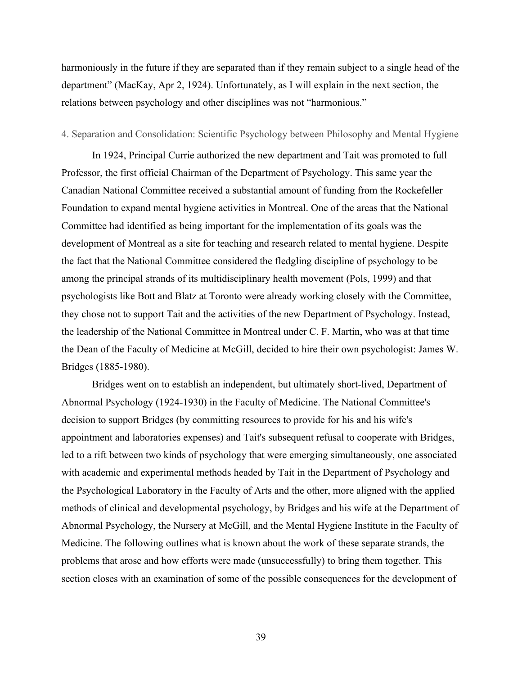harmoniously in the future if they are separated than if they remain subject to a single head of the department" (MacKay, Apr 2, 1924). Unfortunately, as I will explain in the next section, the relations between psychology and other disciplines was not "harmonious."

### 4. Separation and Consolidation: Scientific Psychology between Philosophy and Mental Hygiene

In 1924, Principal Currie authorized the new department and Tait was promoted to full Professor, the first official Chairman of the Department of Psychology. This same year the Canadian National Committee received a substantial amount of funding from the Rockefeller Foundation to expand mental hygiene activities in Montreal. One of the areas that the National Committee had identified as being important for the implementation of its goals was the development of Montreal as a site for teaching and research related to mental hygiene. Despite the fact that the National Committee considered the fledgling discipline of psychology to be among the principal strands of its multidisciplinary health movement (Pols, 1999) and that psychologists like Bott and Blatz at Toronto were already working closely with the Committee, they chose not to support Tait and the activities of the new Department of Psychology. Instead, the leadership of the National Committee in Montreal under C. F. Martin, who was at that time the Dean of the Faculty of Medicine at McGill, decided to hire their own psychologist: James W. Bridges (1885-1980).

Bridges went on to establish an independent, but ultimately short-lived, Department of Abnormal Psychology (1924-1930) in the Faculty of Medicine. The National Committee's decision to support Bridges (by committing resources to provide for his and his wife's appointment and laboratories expenses) and Tait's subsequent refusal to cooperate with Bridges, led to a rift between two kinds of psychology that were emerging simultaneously, one associated with academic and experimental methods headed by Tait in the Department of Psychology and the Psychological Laboratory in the Faculty of Arts and the other, more aligned with the applied methods of clinical and developmental psychology, by Bridges and his wife at the Department of Abnormal Psychology, the Nursery at McGill, and the Mental Hygiene Institute in the Faculty of Medicine. The following outlines what is known about the work of these separate strands, the problems that arose and how efforts were made (unsuccessfully) to bring them together. This section closes with an examination of some of the possible consequences for the development of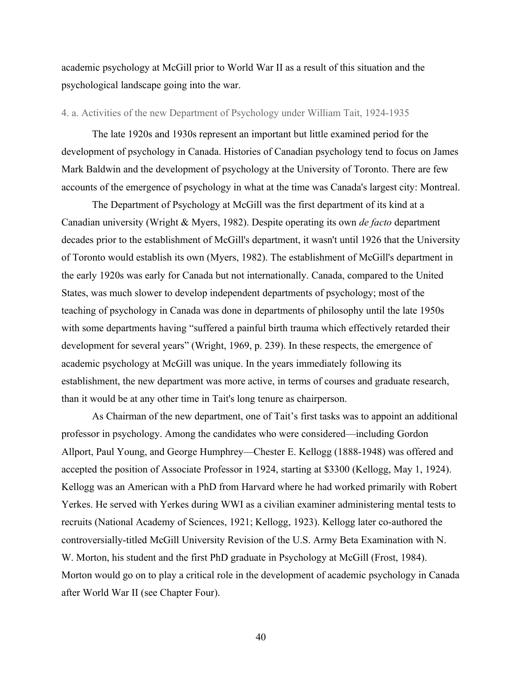academic psychology at McGill prior to World War II as a result of this situation and the psychological landscape going into the war.

# 4. a. Activities of the new Department of Psychology under William Tait, 1924-1935

The late 1920s and 1930s represent an important but little examined period for the development of psychology in Canada. Histories of Canadian psychology tend to focus on James Mark Baldwin and the development of psychology at the University of Toronto. There are few accounts of the emergence of psychology in what at the time was Canada's largest city: Montreal.

The Department of Psychology at McGill was the first department of its kind at a Canadian university (Wright & Myers, 1982). Despite operating its own *de facto* department decades prior to the establishment of McGill's department, it wasn't until 1926 that the University of Toronto would establish its own (Myers, 1982). The establishment of McGill's department in the early 1920s was early for Canada but not internationally. Canada, compared to the United States, was much slower to develop independent departments of psychology; most of the teaching of psychology in Canada was done in departments of philosophy until the late 1950s with some departments having "suffered a painful birth trauma which effectively retarded their development for several years" (Wright, 1969, p. 239). In these respects, the emergence of academic psychology at McGill was unique. In the years immediately following its establishment, the new department was more active, in terms of courses and graduate research, than it would be at any other time in Tait's long tenure as chairperson.

As Chairman of the new department, one of Tait's first tasks was to appoint an additional professor in psychology. Among the candidates who were considered—including Gordon Allport, Paul Young, and George Humphrey—Chester E. Kellogg (1888-1948) was offered and accepted the position of Associate Professor in 1924, starting at \$3300 (Kellogg, May 1, 1924). Kellogg was an American with a PhD from Harvard where he had worked primarily with Robert Yerkes. He served with Yerkes during WWI as a civilian examiner administering mental tests to recruits (National Academy of Sciences, 1921; Kellogg, 1923). Kellogg later co-authored the controversially-titled McGill University Revision of the U.S. Army Beta Examination with N. W. Morton, his student and the first PhD graduate in Psychology at McGill (Frost, 1984). Morton would go on to play a critical role in the development of academic psychology in Canada after World War II (see Chapter Four).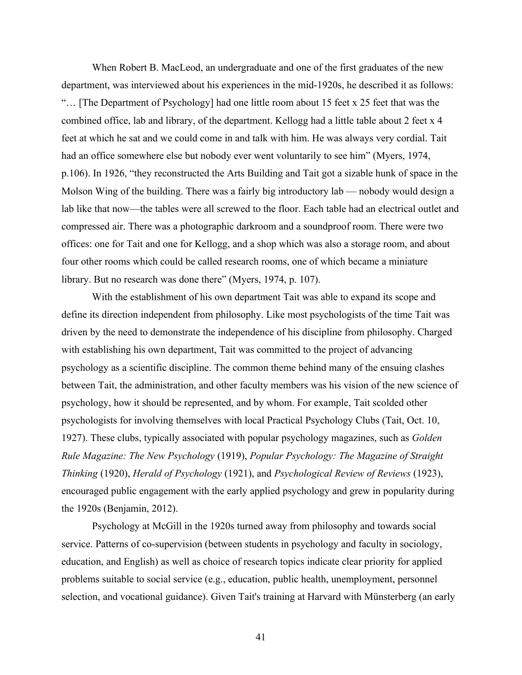When Robert B. MacLeod, an undergraduate and one of the first graduates of the new department, was interviewed about his experiences in the mid-1920s, he described it as follows: "… [The Department of Psychology] had one little room about 15 feet x 25 feet that was the combined office, lab and library, of the department. Kellogg had a little table about 2 feet x 4 feet at which he sat and we could come in and talk with him. He was always very cordial. Tait had an office somewhere else but nobody ever went voluntarily to see him" (Myers, 1974, p.106). In 1926, "they reconstructed the Arts Building and Tait got a sizable hunk of space in the Molson Wing of the building. There was a fairly big introductory lab — nobody would design a lab like that now—the tables were all screwed to the floor. Each table had an electrical outlet and compressed air. There was a photographic darkroom and a soundproof room. There were two offices: one for Tait and one for Kellogg, and a shop which was also a storage room, and about four other rooms which could be called research rooms, one of which became a miniature library. But no research was done there" (Myers, 1974, p. 107).

With the establishment of his own department Tait was able to expand its scope and define its direction independent from philosophy. Like most psychologists of the time Tait was driven by the need to demonstrate the independence of his discipline from philosophy. Charged with establishing his own department, Tait was committed to the project of advancing psychology as a scientific discipline. The common theme behind many of the ensuing clashes between Tait, the administration, and other faculty members was his vision of the new science of psychology, how it should be represented, and by whom. For example, Tait scolded other psychologists for involving themselves with local Practical Psychology Clubs (Tait, Oct. 10, 1927). These clubs, typically associated with popular psychology magazines, such as *Golden Rule Magazine: The New Psychology* (1919), *Popular Psychology: The Magazine of Straight Thinking* (1920), *Herald of Psychology* (1921), and *Psychological Review of Reviews* (1923), encouraged public engagement with the early applied psychology and grew in popularity during the 1920s (Benjamin, 2012).

Psychology at McGill in the 1920s turned away from philosophy and towards social service. Patterns of co-supervision (between students in psychology and faculty in sociology, education, and English) as well as choice of research topics indicate clear priority for applied problems suitable to social service (e.g., education, public health, unemployment, personnel selection, and vocational guidance). Given Tait's training at Harvard with Münsterberg (an early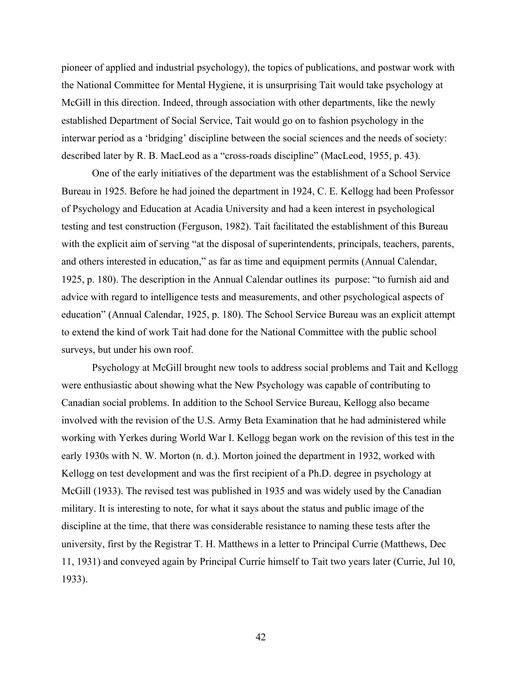pioneer of applied and industrial psychology), the topics of publications, and postwar work with the National Committee for Mental Hygiene, it is unsurprising Tait would take psychology at McGill in this direction. Indeed, through association with other departments, like the newly established Department of Social Service, Tait would go on to fashion psychology in the interwar period as a 'bridging' discipline between the social sciences and the needs of society: described later by R. B. MacLeod as a "cross-roads discipline" (MacLeod, 1955, p. 43).

One of the early initiatives of the department was the establishment of a School Service Bureau in 1925. Before he had joined the department in 1924, C. E. Kellogg had been Professor of Psychology and Education at Acadia University and had a keen interest in psychological testing and test construction (Ferguson, 1982). Tait facilitated the establishment of this Bureau with the explicit aim of serving "at the disposal of superintendents, principals, teachers, parents, and others interested in education," as far as time and equipment permits (Annual Calendar, 1925, p. 180). The description in the Annual Calendar outlines its purpose: "to furnish aid and advice with regard to intelligence tests and measurements, and other psychological aspects of education" (Annual Calendar, 1925, p. 180). The School Service Bureau was an explicit attempt to extend the kind of work Tait had done for the National Committee with the public school surveys, but under his own roof.

Psychology at McGill brought new tools to address social problems and Tait and Kellogg were enthusiastic about showing what the New Psychology was capable of contributing to Canadian social problems. In addition to the School Service Bureau, Kellogg also became involved with the revision of the U.S. Army Beta Examination that he had administered while working with Yerkes during World War I. Kellogg began work on the revision of this test in the early 1930s with N. W. Morton (n. d.). Morton joined the department in 1932, worked with Kellogg on test development and was the first recipient of a Ph.D. degree in psychology at McGill (1933). The revised test was published in 1935 and was widely used by the Canadian military. It is interesting to note, for what it says about the status and public image of the discipline at the time, that there was considerable resistance to naming these tests after the university, first by the Registrar T. H. Matthews in a letter to Principal Currie (Matthews, Dec 11, 1931) and conveyed again by Principal Currie himself to Tait two years later (Currie, Jul 10, 1933).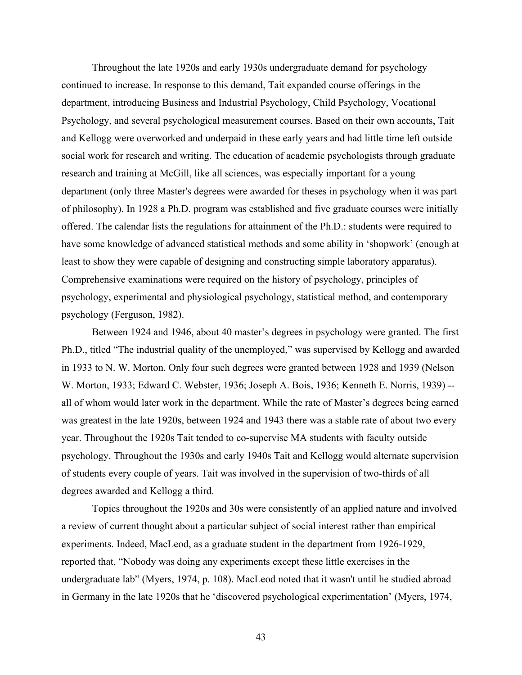Throughout the late 1920s and early 1930s undergraduate demand for psychology continued to increase. In response to this demand, Tait expanded course offerings in the department, introducing Business and Industrial Psychology, Child Psychology, Vocational Psychology, and several psychological measurement courses. Based on their own accounts, Tait and Kellogg were overworked and underpaid in these early years and had little time left outside social work for research and writing. The education of academic psychologists through graduate research and training at McGill, like all sciences, was especially important for a young department (only three Master's degrees were awarded for theses in psychology when it was part of philosophy). In 1928 a Ph.D. program was established and five graduate courses were initially offered. The calendar lists the regulations for attainment of the Ph.D.: students were required to have some knowledge of advanced statistical methods and some ability in 'shopwork' (enough at least to show they were capable of designing and constructing simple laboratory apparatus). Comprehensive examinations were required on the history of psychology, principles of psychology, experimental and physiological psychology, statistical method, and contemporary psychology (Ferguson, 1982).

Between 1924 and 1946, about 40 master's degrees in psychology were granted. The first Ph.D., titled "The industrial quality of the unemployed," was supervised by Kellogg and awarded in 1933 to N. W. Morton. Only four such degrees were granted between 1928 and 1939 (Nelson W. Morton, 1933; Edward C. Webster, 1936; Joseph A. Bois, 1936; Kenneth E. Norris, 1939) - all of whom would later work in the department. While the rate of Master's degrees being earned was greatest in the late 1920s, between 1924 and 1943 there was a stable rate of about two every year. Throughout the 1920s Tait tended to co-supervise MA students with faculty outside psychology. Throughout the 1930s and early 1940s Tait and Kellogg would alternate supervision of students every couple of years. Tait was involved in the supervision of two-thirds of all degrees awarded and Kellogg a third.

Topics throughout the 1920s and 30s were consistently of an applied nature and involved a review of current thought about a particular subject of social interest rather than empirical experiments. Indeed, MacLeod, as a graduate student in the department from 1926-1929, reported that, "Nobody was doing any experiments except these little exercises in the undergraduate lab" (Myers, 1974, p. 108). MacLeod noted that it wasn't until he studied abroad in Germany in the late 1920s that he 'discovered psychological experimentation' (Myers, 1974,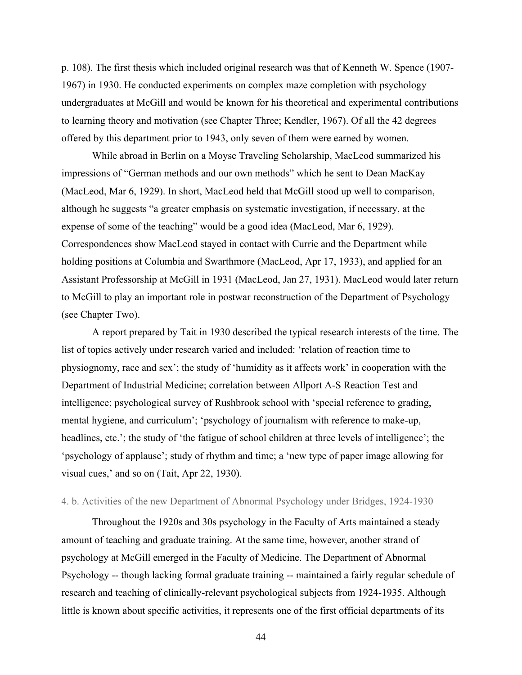p. 108). The first thesis which included original research was that of Kenneth W. Spence (1907- 1967) in 1930. He conducted experiments on complex maze completion with psychology undergraduates at McGill and would be known for his theoretical and experimental contributions to learning theory and motivation (see Chapter Three; Kendler, 1967). Of all the 42 degrees offered by this department prior to 1943, only seven of them were earned by women.

While abroad in Berlin on a Moyse Traveling Scholarship, MacLeod summarized his impressions of "German methods and our own methods" which he sent to Dean MacKay (MacLeod, Mar 6, 1929). In short, MacLeod held that McGill stood up well to comparison, although he suggests "a greater emphasis on systematic investigation, if necessary, at the expense of some of the teaching" would be a good idea (MacLeod, Mar 6, 1929). Correspondences show MacLeod stayed in contact with Currie and the Department while holding positions at Columbia and Swarthmore (MacLeod, Apr 17, 1933), and applied for an Assistant Professorship at McGill in 1931 (MacLeod, Jan 27, 1931). MacLeod would later return to McGill to play an important role in postwar reconstruction of the Department of Psychology (see Chapter Two).

A report prepared by Tait in 1930 described the typical research interests of the time. The list of topics actively under research varied and included: 'relation of reaction time to physiognomy, race and sex'; the study of 'humidity as it affects work' in cooperation with the Department of Industrial Medicine; correlation between Allport A-S Reaction Test and intelligence; psychological survey of Rushbrook school with 'special reference to grading, mental hygiene, and curriculum'; 'psychology of journalism with reference to make-up, headlines, etc.'; the study of 'the fatigue of school children at three levels of intelligence'; the 'psychology of applause'; study of rhythm and time; a 'new type of paper image allowing for visual cues,' and so on (Tait, Apr 22, 1930).

## 4. b. Activities of the new Department of Abnormal Psychology under Bridges, 1924-1930

Throughout the 1920s and 30s psychology in the Faculty of Arts maintained a steady amount of teaching and graduate training. At the same time, however, another strand of psychology at McGill emerged in the Faculty of Medicine. The Department of Abnormal Psychology -- though lacking formal graduate training -- maintained a fairly regular schedule of research and teaching of clinically-relevant psychological subjects from 1924-1935. Although little is known about specific activities, it represents one of the first official departments of its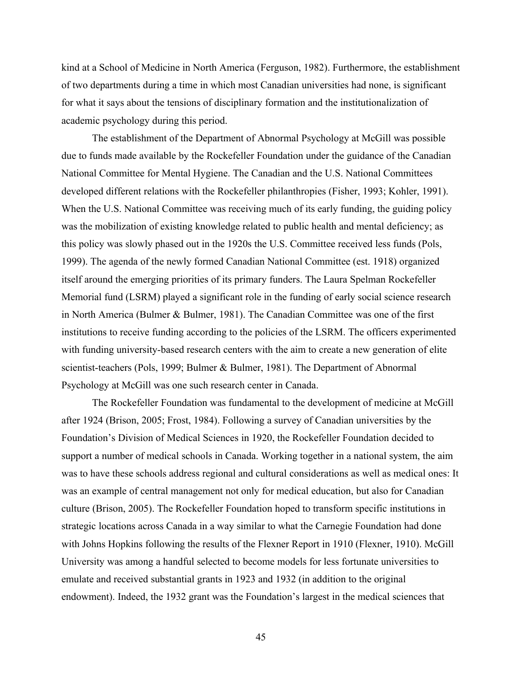kind at a School of Medicine in North America (Ferguson, 1982). Furthermore, the establishment of two departments during a time in which most Canadian universities had none, is significant for what it says about the tensions of disciplinary formation and the institutionalization of academic psychology during this period.

The establishment of the Department of Abnormal Psychology at McGill was possible due to funds made available by the Rockefeller Foundation under the guidance of the Canadian National Committee for Mental Hygiene. The Canadian and the U.S. National Committees developed different relations with the Rockefeller philanthropies (Fisher, 1993; Kohler, 1991). When the U.S. National Committee was receiving much of its early funding, the guiding policy was the mobilization of existing knowledge related to public health and mental deficiency; as this policy was slowly phased out in the 1920s the U.S. Committee received less funds (Pols, 1999). The agenda of the newly formed Canadian National Committee (est. 1918) organized itself around the emerging priorities of its primary funders. The Laura Spelman Rockefeller Memorial fund (LSRM) played a significant role in the funding of early social science research in North America (Bulmer & Bulmer, 1981). The Canadian Committee was one of the first institutions to receive funding according to the policies of the LSRM. The officers experimented with funding university-based research centers with the aim to create a new generation of elite scientist-teachers (Pols, 1999; Bulmer & Bulmer, 1981). The Department of Abnormal Psychology at McGill was one such research center in Canada.

The Rockefeller Foundation was fundamental to the development of medicine at McGill after 1924 (Brison, 2005; Frost, 1984). Following a survey of Canadian universities by the Foundation's Division of Medical Sciences in 1920, the Rockefeller Foundation decided to support a number of medical schools in Canada. Working together in a national system, the aim was to have these schools address regional and cultural considerations as well as medical ones: It was an example of central management not only for medical education, but also for Canadian culture (Brison, 2005). The Rockefeller Foundation hoped to transform specific institutions in strategic locations across Canada in a way similar to what the Carnegie Foundation had done with Johns Hopkins following the results of the Flexner Report in 1910 (Flexner, 1910). McGill University was among a handful selected to become models for less fortunate universities to emulate and received substantial grants in 1923 and 1932 (in addition to the original endowment). Indeed, the 1932 grant was the Foundation's largest in the medical sciences that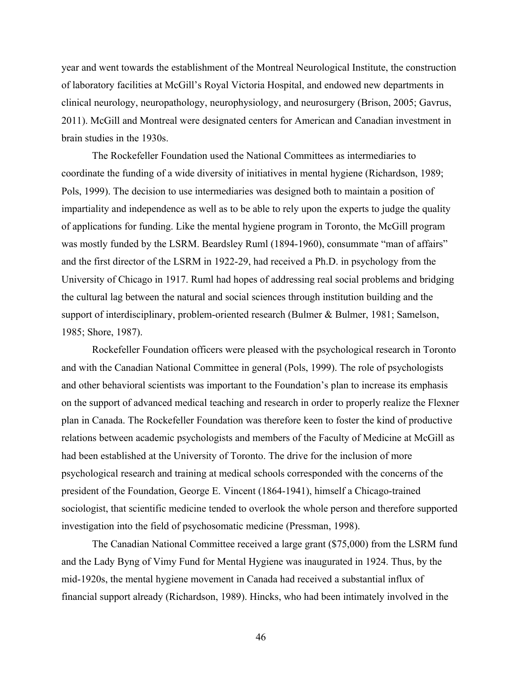year and went towards the establishment of the Montreal Neurological Institute, the construction of laboratory facilities at McGill's Royal Victoria Hospital, and endowed new departments in clinical neurology, neuropathology, neurophysiology, and neurosurgery (Brison, 2005; Gavrus, 2011). McGill and Montreal were designated centers for American and Canadian investment in brain studies in the 1930s.

The Rockefeller Foundation used the National Committees as intermediaries to coordinate the funding of a wide diversity of initiatives in mental hygiene (Richardson, 1989; Pols, 1999). The decision to use intermediaries was designed both to maintain a position of impartiality and independence as well as to be able to rely upon the experts to judge the quality of applications for funding. Like the mental hygiene program in Toronto, the McGill program was mostly funded by the LSRM. Beardsley Ruml (1894-1960), consummate "man of affairs" and the first director of the LSRM in 1922-29, had received a Ph.D. in psychology from the University of Chicago in 1917. Ruml had hopes of addressing real social problems and bridging the cultural lag between the natural and social sciences through institution building and the support of interdisciplinary, problem-oriented research (Bulmer & Bulmer, 1981; Samelson, 1985; Shore, 1987).

Rockefeller Foundation officers were pleased with the psychological research in Toronto and with the Canadian National Committee in general (Pols, 1999). The role of psychologists and other behavioral scientists was important to the Foundation's plan to increase its emphasis on the support of advanced medical teaching and research in order to properly realize the Flexner plan in Canada. The Rockefeller Foundation was therefore keen to foster the kind of productive relations between academic psychologists and members of the Faculty of Medicine at McGill as had been established at the University of Toronto. The drive for the inclusion of more psychological research and training at medical schools corresponded with the concerns of the president of the Foundation, George E. Vincent (1864-1941), himself a Chicago-trained sociologist, that scientific medicine tended to overlook the whole person and therefore supported investigation into the field of psychosomatic medicine (Pressman, 1998).

The Canadian National Committee received a large grant (\$75,000) from the LSRM fund and the Lady Byng of Vimy Fund for Mental Hygiene was inaugurated in 1924. Thus, by the mid-1920s, the mental hygiene movement in Canada had received a substantial influx of financial support already (Richardson, 1989). Hincks, who had been intimately involved in the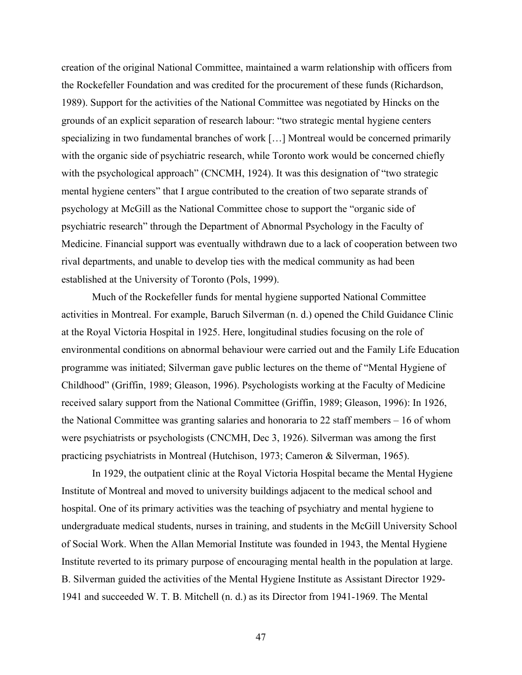creation of the original National Committee, maintained a warm relationship with officers from the Rockefeller Foundation and was credited for the procurement of these funds (Richardson, 1989). Support for the activities of the National Committee was negotiated by Hincks on the grounds of an explicit separation of research labour: "two strategic mental hygiene centers specializing in two fundamental branches of work […] Montreal would be concerned primarily with the organic side of psychiatric research, while Toronto work would be concerned chiefly with the psychological approach" (CNCMH, 1924). It was this designation of "two strategic mental hygiene centers" that I argue contributed to the creation of two separate strands of psychology at McGill as the National Committee chose to support the "organic side of psychiatric research" through the Department of Abnormal Psychology in the Faculty of Medicine. Financial support was eventually withdrawn due to a lack of cooperation between two rival departments, and unable to develop ties with the medical community as had been established at the University of Toronto (Pols, 1999).

Much of the Rockefeller funds for mental hygiene supported National Committee activities in Montreal. For example, Baruch Silverman (n. d.) opened the Child Guidance Clinic at the Royal Victoria Hospital in 1925. Here, longitudinal studies focusing on the role of environmental conditions on abnormal behaviour were carried out and the Family Life Education programme was initiated; Silverman gave public lectures on the theme of "Mental Hygiene of Childhood" (Griffin, 1989; Gleason, 1996). Psychologists working at the Faculty of Medicine received salary support from the National Committee (Griffin, 1989; Gleason, 1996): In 1926, the National Committee was granting salaries and honoraria to 22 staff members – 16 of whom were psychiatrists or psychologists (CNCMH, Dec 3, 1926). Silverman was among the first practicing psychiatrists in Montreal (Hutchison, 1973; Cameron & Silverman, 1965).

In 1929, the outpatient clinic at the Royal Victoria Hospital became the Mental Hygiene Institute of Montreal and moved to university buildings adjacent to the medical school and hospital. One of its primary activities was the teaching of psychiatry and mental hygiene to undergraduate medical students, nurses in training, and students in the McGill University School of Social Work. When the Allan Memorial Institute was founded in 1943, the Mental Hygiene Institute reverted to its primary purpose of encouraging mental health in the population at large. B. Silverman guided the activities of the Mental Hygiene Institute as Assistant Director 1929- 1941 and succeeded W. T. B. Mitchell (n. d.) as its Director from 1941-1969. The Mental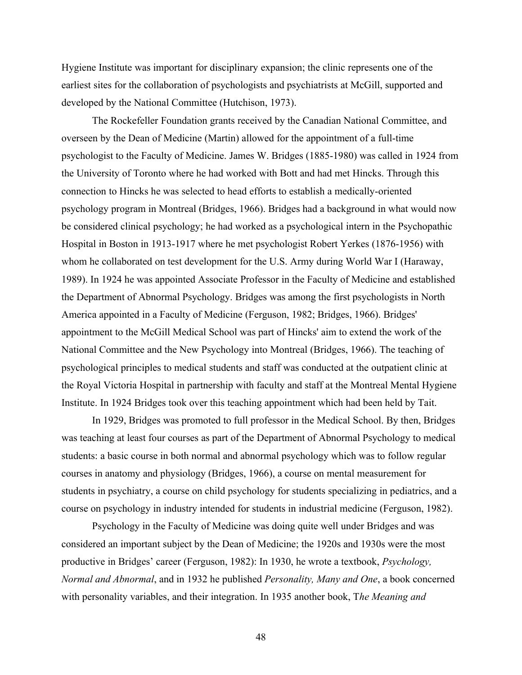Hygiene Institute was important for disciplinary expansion; the clinic represents one of the earliest sites for the collaboration of psychologists and psychiatrists at McGill, supported and developed by the National Committee (Hutchison, 1973).

The Rockefeller Foundation grants received by the Canadian National Committee, and overseen by the Dean of Medicine (Martin) allowed for the appointment of a full-time psychologist to the Faculty of Medicine. James W. Bridges (1885-1980) was called in 1924 from the University of Toronto where he had worked with Bott and had met Hincks. Through this connection to Hincks he was selected to head efforts to establish a medically-oriented psychology program in Montreal (Bridges, 1966). Bridges had a background in what would now be considered clinical psychology; he had worked as a psychological intern in the Psychopathic Hospital in Boston in 1913-1917 where he met psychologist Robert Yerkes (1876-1956) with whom he collaborated on test development for the U.S. Army during World War I (Haraway, 1989). In 1924 he was appointed Associate Professor in the Faculty of Medicine and established the Department of Abnormal Psychology. Bridges was among the first psychologists in North America appointed in a Faculty of Medicine (Ferguson, 1982; Bridges, 1966). Bridges' appointment to the McGill Medical School was part of Hincks' aim to extend the work of the National Committee and the New Psychology into Montreal (Bridges, 1966). The teaching of psychological principles to medical students and staff was conducted at the outpatient clinic at the Royal Victoria Hospital in partnership with faculty and staff at the Montreal Mental Hygiene Institute. In 1924 Bridges took over this teaching appointment which had been held by Tait.

In 1929, Bridges was promoted to full professor in the Medical School. By then, Bridges was teaching at least four courses as part of the Department of Abnormal Psychology to medical students: a basic course in both normal and abnormal psychology which was to follow regular courses in anatomy and physiology (Bridges, 1966), a course on mental measurement for students in psychiatry, a course on child psychology for students specializing in pediatrics, and a course on psychology in industry intended for students in industrial medicine (Ferguson, 1982).

Psychology in the Faculty of Medicine was doing quite well under Bridges and was considered an important subject by the Dean of Medicine; the 1920s and 1930s were the most productive in Bridges' career (Ferguson, 1982): In 1930, he wrote a textbook, *Psychology, Normal and Abnormal*, and in 1932 he published *Personality, Many and One*, a book concerned with personality variables, and their integration. In 1935 another book, T*he Meaning and*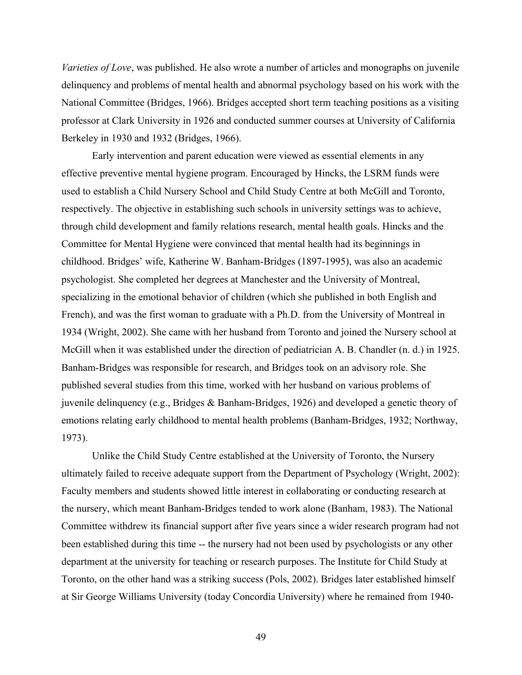*Varieties of Love*, was published. He also wrote a number of articles and monographs on juvenile delinquency and problems of mental health and abnormal psychology based on his work with the National Committee (Bridges, 1966). Bridges accepted short term teaching positions as a visiting professor at Clark University in 1926 and conducted summer courses at University of California Berkeley in 1930 and 1932 (Bridges, 1966).

Early intervention and parent education were viewed as essential elements in any effective preventive mental hygiene program. Encouraged by Hincks, the LSRM funds were used to establish a Child Nursery School and Child Study Centre at both McGill and Toronto, respectively. The objective in establishing such schools in university settings was to achieve, through child development and family relations research, mental health goals. Hincks and the Committee for Mental Hygiene were convinced that mental health had its beginnings in childhood. Bridges' wife, Katherine W. Banham-Bridges (1897-1995), was also an academic psychologist. She completed her degrees at Manchester and the University of Montreal, specializing in the emotional behavior of children (which she published in both English and French), and was the first woman to graduate with a Ph.D. from the University of Montreal in 1934 (Wright, 2002). She came with her husband from Toronto and joined the Nursery school at McGill when it was established under the direction of pediatrician A. B. Chandler (n. d.) in 1925. Banham-Bridges was responsible for research, and Bridges took on an advisory role. She published several studies from this time, worked with her husband on various problems of juvenile delinquency (e.g., Bridges & Banham-Bridges, 1926) and developed a genetic theory of emotions relating early childhood to mental health problems (Banham-Bridges, 1932; Northway, 1973).

Unlike the Child Study Centre established at the University of Toronto, the Nursery ultimately failed to receive adequate support from the Department of Psychology (Wright, 2002): Faculty members and students showed little interest in collaborating or conducting research at the nursery, which meant Banham-Bridges tended to work alone (Banham, 1983). The National Committee withdrew its financial support after five years since a wider research program had not been established during this time -- the nursery had not been used by psychologists or any other department at the university for teaching or research purposes. The Institute for Child Study at Toronto, on the other hand was a striking success (Pols, 2002). Bridges later established himself at Sir George Williams University (today Concordia University) where he remained from 1940-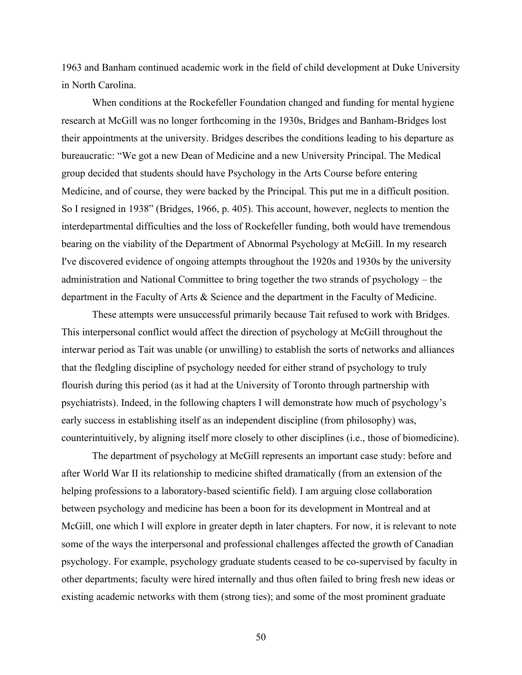1963 and Banham continued academic work in the field of child development at Duke University in North Carolina.

When conditions at the Rockefeller Foundation changed and funding for mental hygiene research at McGill was no longer forthcoming in the 1930s, Bridges and Banham-Bridges lost their appointments at the university. Bridges describes the conditions leading to his departure as bureaucratic: "We got a new Dean of Medicine and a new University Principal. The Medical group decided that students should have Psychology in the Arts Course before entering Medicine, and of course, they were backed by the Principal. This put me in a difficult position. So I resigned in 1938" (Bridges, 1966, p. 405). This account, however, neglects to mention the interdepartmental difficulties and the loss of Rockefeller funding, both would have tremendous bearing on the viability of the Department of Abnormal Psychology at McGill. In my research I've discovered evidence of ongoing attempts throughout the 1920s and 1930s by the university administration and National Committee to bring together the two strands of psychology – the department in the Faculty of Arts & Science and the department in the Faculty of Medicine.

These attempts were unsuccessful primarily because Tait refused to work with Bridges. This interpersonal conflict would affect the direction of psychology at McGill throughout the interwar period as Tait was unable (or unwilling) to establish the sorts of networks and alliances that the fledgling discipline of psychology needed for either strand of psychology to truly flourish during this period (as it had at the University of Toronto through partnership with psychiatrists). Indeed, in the following chapters I will demonstrate how much of psychology's early success in establishing itself as an independent discipline (from philosophy) was, counterintuitively, by aligning itself more closely to other disciplines (i.e., those of biomedicine).

The department of psychology at McGill represents an important case study: before and after World War II its relationship to medicine shifted dramatically (from an extension of the helping professions to a laboratory-based scientific field). I am arguing close collaboration between psychology and medicine has been a boon for its development in Montreal and at McGill, one which I will explore in greater depth in later chapters. For now, it is relevant to note some of the ways the interpersonal and professional challenges affected the growth of Canadian psychology. For example, psychology graduate students ceased to be co-supervised by faculty in other departments; faculty were hired internally and thus often failed to bring fresh new ideas or existing academic networks with them (strong ties); and some of the most prominent graduate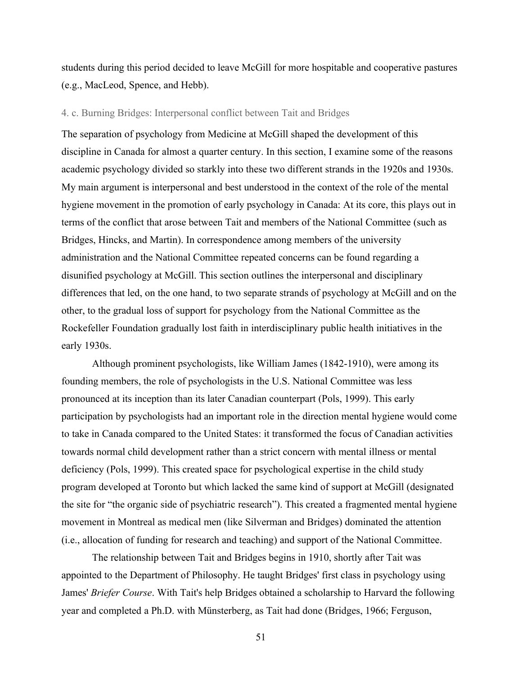students during this period decided to leave McGill for more hospitable and cooperative pastures (e.g., MacLeod, Spence, and Hebb).

## 4. c. Burning Bridges: Interpersonal conflict between Tait and Bridges

The separation of psychology from Medicine at McGill shaped the development of this discipline in Canada for almost a quarter century. In this section, I examine some of the reasons academic psychology divided so starkly into these two different strands in the 1920s and 1930s. My main argument is interpersonal and best understood in the context of the role of the mental hygiene movement in the promotion of early psychology in Canada: At its core, this plays out in terms of the conflict that arose between Tait and members of the National Committee (such as Bridges, Hincks, and Martin). In correspondence among members of the university administration and the National Committee repeated concerns can be found regarding a disunified psychology at McGill. This section outlines the interpersonal and disciplinary differences that led, on the one hand, to two separate strands of psychology at McGill and on the other, to the gradual loss of support for psychology from the National Committee as the Rockefeller Foundation gradually lost faith in interdisciplinary public health initiatives in the early 1930s.

Although prominent psychologists, like William James (1842-1910), were among its founding members, the role of psychologists in the U.S. National Committee was less pronounced at its inception than its later Canadian counterpart (Pols, 1999). This early participation by psychologists had an important role in the direction mental hygiene would come to take in Canada compared to the United States: it transformed the focus of Canadian activities towards normal child development rather than a strict concern with mental illness or mental deficiency (Pols, 1999). This created space for psychological expertise in the child study program developed at Toronto but which lacked the same kind of support at McGill (designated the site for "the organic side of psychiatric research"). This created a fragmented mental hygiene movement in Montreal as medical men (like Silverman and Bridges) dominated the attention (i.e., allocation of funding for research and teaching) and support of the National Committee.

The relationship between Tait and Bridges begins in 1910, shortly after Tait was appointed to the Department of Philosophy. He taught Bridges' first class in psychology using James' *Briefer Course*. With Tait's help Bridges obtained a scholarship to Harvard the following year and completed a Ph.D. with Münsterberg, as Tait had done (Bridges, 1966; Ferguson,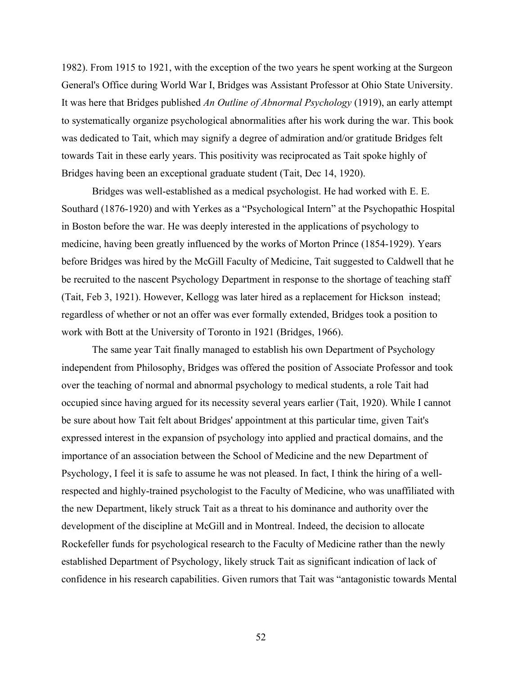1982). From 1915 to 1921, with the exception of the two years he spent working at the Surgeon General's Office during World War I, Bridges was Assistant Professor at Ohio State University. It was here that Bridges published *An Outline of Abnormal Psychology* (1919), an early attempt to systematically organize psychological abnormalities after his work during the war. This book was dedicated to Tait, which may signify a degree of admiration and/or gratitude Bridges felt towards Tait in these early years. This positivity was reciprocated as Tait spoke highly of Bridges having been an exceptional graduate student (Tait, Dec 14, 1920).

Bridges was well-established as a medical psychologist. He had worked with E. E. Southard (1876-1920) and with Yerkes as a "Psychological Intern" at the Psychopathic Hospital in Boston before the war. He was deeply interested in the applications of psychology to medicine, having been greatly influenced by the works of Morton Prince (1854-1929). Years before Bridges was hired by the McGill Faculty of Medicine, Tait suggested to Caldwell that he be recruited to the nascent Psychology Department in response to the shortage of teaching staff (Tait, Feb 3, 1921). However, Kellogg was later hired as a replacement for Hickson instead; regardless of whether or not an offer was ever formally extended, Bridges took a position to work with Bott at the University of Toronto in 1921 (Bridges, 1966).

The same year Tait finally managed to establish his own Department of Psychology independent from Philosophy, Bridges was offered the position of Associate Professor and took over the teaching of normal and abnormal psychology to medical students, a role Tait had occupied since having argued for its necessity several years earlier (Tait, 1920). While I cannot be sure about how Tait felt about Bridges' appointment at this particular time, given Tait's expressed interest in the expansion of psychology into applied and practical domains, and the importance of an association between the School of Medicine and the new Department of Psychology, I feel it is safe to assume he was not pleased. In fact, I think the hiring of a wellrespected and highly-trained psychologist to the Faculty of Medicine, who was unaffiliated with the new Department, likely struck Tait as a threat to his dominance and authority over the development of the discipline at McGill and in Montreal. Indeed, the decision to allocate Rockefeller funds for psychological research to the Faculty of Medicine rather than the newly established Department of Psychology, likely struck Tait as significant indication of lack of confidence in his research capabilities. Given rumors that Tait was "antagonistic towards Mental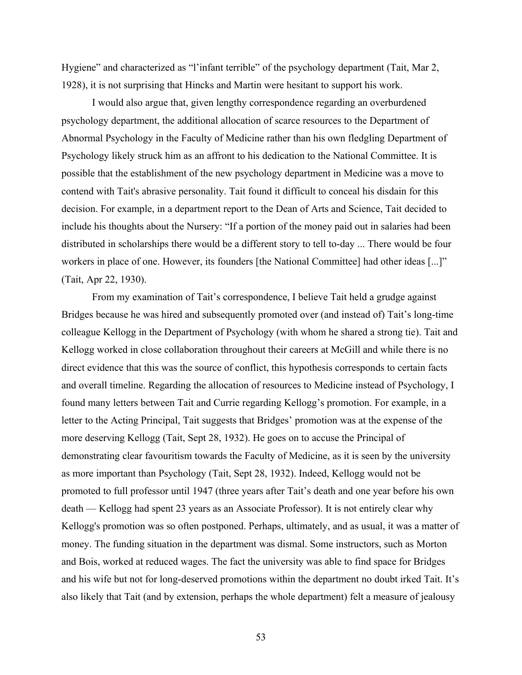Hygiene" and characterized as "l'infant terrible" of the psychology department (Tait, Mar 2, 1928), it is not surprising that Hincks and Martin were hesitant to support his work.

I would also argue that, given lengthy correspondence regarding an overburdened psychology department, the additional allocation of scarce resources to the Department of Abnormal Psychology in the Faculty of Medicine rather than his own fledgling Department of Psychology likely struck him as an affront to his dedication to the National Committee. It is possible that the establishment of the new psychology department in Medicine was a move to contend with Tait's abrasive personality. Tait found it difficult to conceal his disdain for this decision. For example, in a department report to the Dean of Arts and Science, Tait decided to include his thoughts about the Nursery: "If a portion of the money paid out in salaries had been distributed in scholarships there would be a different story to tell to-day ... There would be four workers in place of one. However, its founders [the National Committee] had other ideas [...]" (Tait, Apr 22, 1930).

From my examination of Tait's correspondence, I believe Tait held a grudge against Bridges because he was hired and subsequently promoted over (and instead of) Tait's long-time colleague Kellogg in the Department of Psychology (with whom he shared a strong tie). Tait and Kellogg worked in close collaboration throughout their careers at McGill and while there is no direct evidence that this was the source of conflict, this hypothesis corresponds to certain facts and overall timeline. Regarding the allocation of resources to Medicine instead of Psychology, I found many letters between Tait and Currie regarding Kellogg's promotion. For example, in a letter to the Acting Principal, Tait suggests that Bridges' promotion was at the expense of the more deserving Kellogg (Tait, Sept 28, 1932). He goes on to accuse the Principal of demonstrating clear favouritism towards the Faculty of Medicine, as it is seen by the university as more important than Psychology (Tait, Sept 28, 1932). Indeed, Kellogg would not be promoted to full professor until 1947 (three years after Tait's death and one year before his own death — Kellogg had spent 23 years as an Associate Professor). It is not entirely clear why Kellogg's promotion was so often postponed. Perhaps, ultimately, and as usual, it was a matter of money. The funding situation in the department was dismal. Some instructors, such as Morton and Bois, worked at reduced wages. The fact the university was able to find space for Bridges and his wife but not for long-deserved promotions within the department no doubt irked Tait. It's also likely that Tait (and by extension, perhaps the whole department) felt a measure of jealousy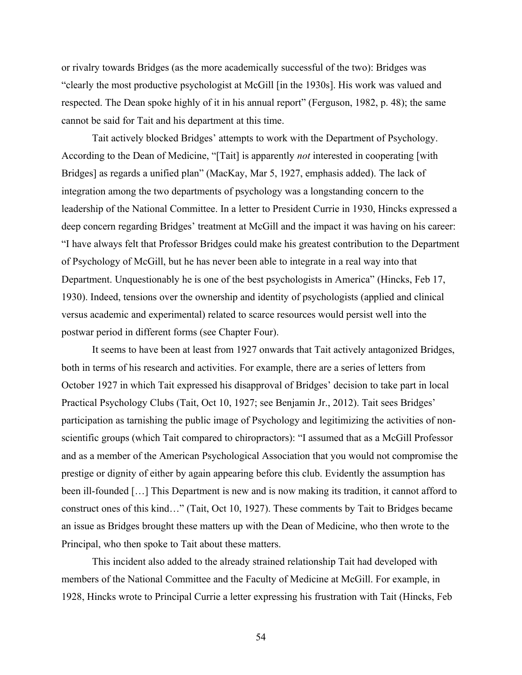or rivalry towards Bridges (as the more academically successful of the two): Bridges was "clearly the most productive psychologist at McGill [in the 1930s]. His work was valued and respected. The Dean spoke highly of it in his annual report" (Ferguson, 1982, p. 48); the same cannot be said for Tait and his department at this time.

Tait actively blocked Bridges' attempts to work with the Department of Psychology. According to the Dean of Medicine, "[Tait] is apparently *not* interested in cooperating [with Bridges] as regards a unified plan" (MacKay, Mar 5, 1927, emphasis added). The lack of integration among the two departments of psychology was a longstanding concern to the leadership of the National Committee. In a letter to President Currie in 1930, Hincks expressed a deep concern regarding Bridges' treatment at McGill and the impact it was having on his career: "I have always felt that Professor Bridges could make his greatest contribution to the Department of Psychology of McGill, but he has never been able to integrate in a real way into that Department. Unquestionably he is one of the best psychologists in America" (Hincks, Feb 17, 1930). Indeed, tensions over the ownership and identity of psychologists (applied and clinical versus academic and experimental) related to scarce resources would persist well into the postwar period in different forms (see Chapter Four).

It seems to have been at least from 1927 onwards that Tait actively antagonized Bridges, both in terms of his research and activities. For example, there are a series of letters from October 1927 in which Tait expressed his disapproval of Bridges' decision to take part in local Practical Psychology Clubs (Tait, Oct 10, 1927; see Benjamin Jr., 2012). Tait sees Bridges' participation as tarnishing the public image of Psychology and legitimizing the activities of nonscientific groups (which Tait compared to chiropractors): "I assumed that as a McGill Professor and as a member of the American Psychological Association that you would not compromise the prestige or dignity of either by again appearing before this club. Evidently the assumption has been ill-founded […] This Department is new and is now making its tradition, it cannot afford to construct ones of this kind…" (Tait, Oct 10, 1927). These comments by Tait to Bridges became an issue as Bridges brought these matters up with the Dean of Medicine, who then wrote to the Principal, who then spoke to Tait about these matters.

This incident also added to the already strained relationship Tait had developed with members of the National Committee and the Faculty of Medicine at McGill. For example, in 1928, Hincks wrote to Principal Currie a letter expressing his frustration with Tait (Hincks, Feb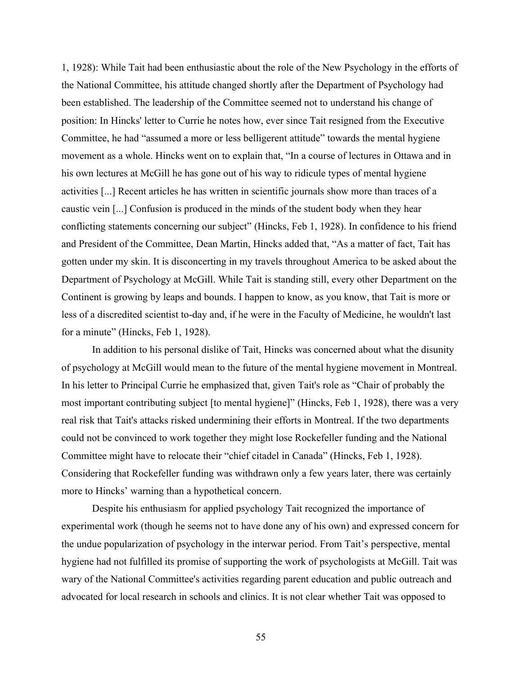1, 1928): While Tait had been enthusiastic about the role of the New Psychology in the efforts of the National Committee, his attitude changed shortly after the Department of Psychology had been established. The leadership of the Committee seemed not to understand his change of position: In Hincks' letter to Currie he notes how, ever since Tait resigned from the Executive Committee, he had "assumed a more or less belligerent attitude" towards the mental hygiene movement as a whole. Hincks went on to explain that, "In a course of lectures in Ottawa and in his own lectures at McGill he has gone out of his way to ridicule types of mental hygiene activities [...] Recent articles he has written in scientific journals show more than traces of a caustic vein [...] Confusion is produced in the minds of the student body when they hear conflicting statements concerning our subject" (Hincks, Feb 1, 1928). In confidence to his friend and President of the Committee, Dean Martin, Hincks added that, "As a matter of fact, Tait has gotten under my skin. It is disconcerting in my travels throughout America to be asked about the Department of Psychology at McGill. While Tait is standing still, every other Department on the Continent is growing by leaps and bounds. I happen to know, as you know, that Tait is more or less of a discredited scientist to-day and, if he were in the Faculty of Medicine, he wouldn't last for a minute" (Hincks, Feb 1, 1928).

In addition to his personal dislike of Tait, Hincks was concerned about what the disunity of psychology at McGill would mean to the future of the mental hygiene movement in Montreal. In his letter to Principal Currie he emphasized that, given Tait's role as "Chair of probably the most important contributing subject [to mental hygiene]" (Hincks, Feb 1, 1928), there was a very real risk that Tait's attacks risked undermining their efforts in Montreal. If the two departments could not be convinced to work together they might lose Rockefeller funding and the National Committee might have to relocate their "chief citadel in Canada" (Hincks, Feb 1, 1928). Considering that Rockefeller funding was withdrawn only a few years later, there was certainly more to Hincks' warning than a hypothetical concern.

Despite his enthusiasm for applied psychology Tait recognized the importance of experimental work (though he seems not to have done any of his own) and expressed concern for the undue popularization of psychology in the interwar period. From Tait's perspective, mental hygiene had not fulfilled its promise of supporting the work of psychologists at McGill. Tait was wary of the National Committee's activities regarding parent education and public outreach and advocated for local research in schools and clinics. It is not clear whether Tait was opposed to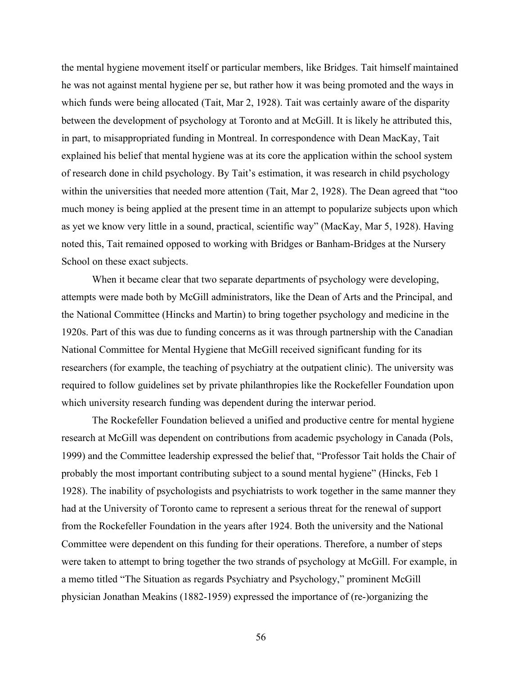the mental hygiene movement itself or particular members, like Bridges. Tait himself maintained he was not against mental hygiene per se, but rather how it was being promoted and the ways in which funds were being allocated (Tait, Mar 2, 1928). Tait was certainly aware of the disparity between the development of psychology at Toronto and at McGill. It is likely he attributed this, in part, to misappropriated funding in Montreal. In correspondence with Dean MacKay, Tait explained his belief that mental hygiene was at its core the application within the school system of research done in child psychology. By Tait's estimation, it was research in child psychology within the universities that needed more attention (Tait, Mar 2, 1928). The Dean agreed that "too much money is being applied at the present time in an attempt to popularize subjects upon which as yet we know very little in a sound, practical, scientific way" (MacKay, Mar 5, 1928). Having noted this, Tait remained opposed to working with Bridges or Banham-Bridges at the Nursery School on these exact subjects.

When it became clear that two separate departments of psychology were developing, attempts were made both by McGill administrators, like the Dean of Arts and the Principal, and the National Committee (Hincks and Martin) to bring together psychology and medicine in the 1920s. Part of this was due to funding concerns as it was through partnership with the Canadian National Committee for Mental Hygiene that McGill received significant funding for its researchers (for example, the teaching of psychiatry at the outpatient clinic). The university was required to follow guidelines set by private philanthropies like the Rockefeller Foundation upon which university research funding was dependent during the interwar period.

The Rockefeller Foundation believed a unified and productive centre for mental hygiene research at McGill was dependent on contributions from academic psychology in Canada (Pols, 1999) and the Committee leadership expressed the belief that, "Professor Tait holds the Chair of probably the most important contributing subject to a sound mental hygiene" (Hincks, Feb 1 1928). The inability of psychologists and psychiatrists to work together in the same manner they had at the University of Toronto came to represent a serious threat for the renewal of support from the Rockefeller Foundation in the years after 1924. Both the university and the National Committee were dependent on this funding for their operations. Therefore, a number of steps were taken to attempt to bring together the two strands of psychology at McGill. For example, in a memo titled "The Situation as regards Psychiatry and Psychology," prominent McGill physician Jonathan Meakins (1882-1959) expressed the importance of (re-)organizing the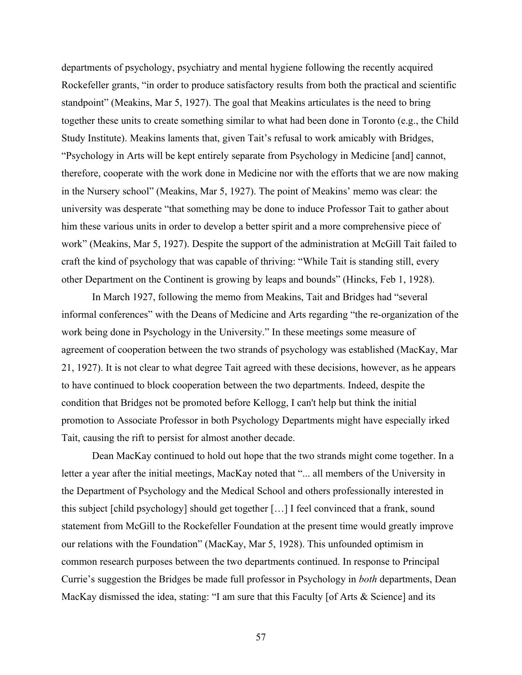departments of psychology, psychiatry and mental hygiene following the recently acquired Rockefeller grants, "in order to produce satisfactory results from both the practical and scientific standpoint" (Meakins, Mar 5, 1927). The goal that Meakins articulates is the need to bring together these units to create something similar to what had been done in Toronto (e.g., the Child Study Institute). Meakins laments that, given Tait's refusal to work amicably with Bridges, "Psychology in Arts will be kept entirely separate from Psychology in Medicine [and] cannot, therefore, cooperate with the work done in Medicine nor with the efforts that we are now making in the Nursery school" (Meakins, Mar 5, 1927). The point of Meakins' memo was clear: the university was desperate "that something may be done to induce Professor Tait to gather about him these various units in order to develop a better spirit and a more comprehensive piece of work" (Meakins, Mar 5, 1927). Despite the support of the administration at McGill Tait failed to craft the kind of psychology that was capable of thriving: "While Tait is standing still, every other Department on the Continent is growing by leaps and bounds" (Hincks, Feb 1, 1928).

In March 1927, following the memo from Meakins, Tait and Bridges had "several informal conferences" with the Deans of Medicine and Arts regarding "the re-organization of the work being done in Psychology in the University." In these meetings some measure of agreement of cooperation between the two strands of psychology was established (MacKay, Mar 21, 1927). It is not clear to what degree Tait agreed with these decisions, however, as he appears to have continued to block cooperation between the two departments. Indeed, despite the condition that Bridges not be promoted before Kellogg, I can't help but think the initial promotion to Associate Professor in both Psychology Departments might have especially irked Tait, causing the rift to persist for almost another decade.

Dean MacKay continued to hold out hope that the two strands might come together. In a letter a year after the initial meetings, MacKay noted that "... all members of the University in the Department of Psychology and the Medical School and others professionally interested in this subject [child psychology] should get together […] I feel convinced that a frank, sound statement from McGill to the Rockefeller Foundation at the present time would greatly improve our relations with the Foundation" (MacKay, Mar 5, 1928). This unfounded optimism in common research purposes between the two departments continued. In response to Principal Currie's suggestion the Bridges be made full professor in Psychology in *both* departments, Dean MacKay dismissed the idea, stating: "I am sure that this Faculty [of Arts & Science] and its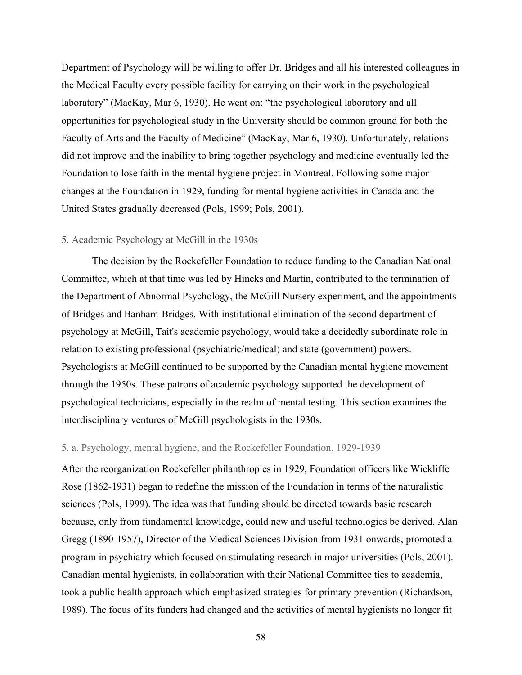Department of Psychology will be willing to offer Dr. Bridges and all his interested colleagues in the Medical Faculty every possible facility for carrying on their work in the psychological laboratory" (MacKay, Mar 6, 1930). He went on: "the psychological laboratory and all opportunities for psychological study in the University should be common ground for both the Faculty of Arts and the Faculty of Medicine" (MacKay, Mar 6, 1930). Unfortunately, relations did not improve and the inability to bring together psychology and medicine eventually led the Foundation to lose faith in the mental hygiene project in Montreal. Following some major changes at the Foundation in 1929, funding for mental hygiene activities in Canada and the United States gradually decreased (Pols, 1999; Pols, 2001).

# 5. Academic Psychology at McGill in the 1930s

The decision by the Rockefeller Foundation to reduce funding to the Canadian National Committee, which at that time was led by Hincks and Martin, contributed to the termination of the Department of Abnormal Psychology, the McGill Nursery experiment, and the appointments of Bridges and Banham-Bridges. With institutional elimination of the second department of psychology at McGill, Tait's academic psychology, would take a decidedly subordinate role in relation to existing professional (psychiatric/medical) and state (government) powers. Psychologists at McGill continued to be supported by the Canadian mental hygiene movement through the 1950s. These patrons of academic psychology supported the development of psychological technicians, especially in the realm of mental testing. This section examines the interdisciplinary ventures of McGill psychologists in the 1930s.

#### 5. a. Psychology, mental hygiene, and the Rockefeller Foundation, 1929-1939

After the reorganization Rockefeller philanthropies in 1929, Foundation officers like Wickliffe Rose (1862-1931) began to redefine the mission of the Foundation in terms of the naturalistic sciences (Pols, 1999). The idea was that funding should be directed towards basic research because, only from fundamental knowledge, could new and useful technologies be derived. Alan Gregg (1890-1957), Director of the Medical Sciences Division from 1931 onwards, promoted a program in psychiatry which focused on stimulating research in major universities (Pols, 2001). Canadian mental hygienists, in collaboration with their National Committee ties to academia, took a public health approach which emphasized strategies for primary prevention (Richardson, 1989). The focus of its funders had changed and the activities of mental hygienists no longer fit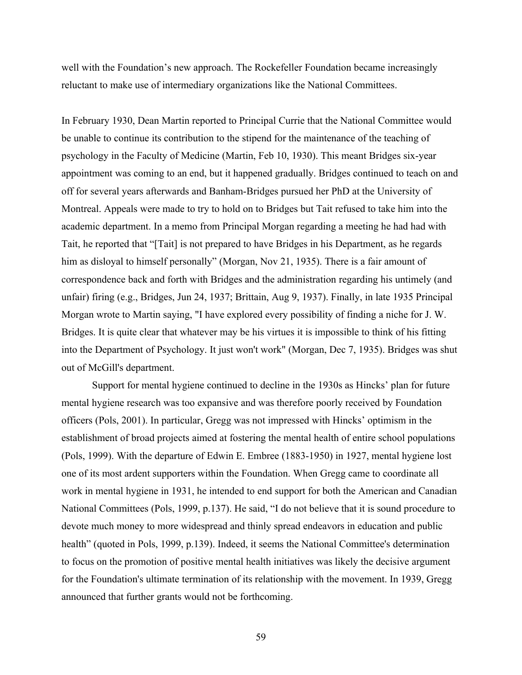well with the Foundation's new approach. The Rockefeller Foundation became increasingly reluctant to make use of intermediary organizations like the National Committees.

In February 1930, Dean Martin reported to Principal Currie that the National Committee would be unable to continue its contribution to the stipend for the maintenance of the teaching of psychology in the Faculty of Medicine (Martin, Feb 10, 1930). This meant Bridges six-year appointment was coming to an end, but it happened gradually. Bridges continued to teach on and off for several years afterwards and Banham-Bridges pursued her PhD at the University of Montreal. Appeals were made to try to hold on to Bridges but Tait refused to take him into the academic department. In a memo from Principal Morgan regarding a meeting he had had with Tait, he reported that "[Tait] is not prepared to have Bridges in his Department, as he regards him as disloyal to himself personally" (Morgan, Nov 21, 1935). There is a fair amount of correspondence back and forth with Bridges and the administration regarding his untimely (and unfair) firing (e.g., Bridges, Jun 24, 1937; Brittain, Aug 9, 1937). Finally, in late 1935 Principal Morgan wrote to Martin saying, "I have explored every possibility of finding a niche for J. W. Bridges. It is quite clear that whatever may be his virtues it is impossible to think of his fitting into the Department of Psychology. It just won't work" (Morgan, Dec 7, 1935). Bridges was shut out of McGill's department.

Support for mental hygiene continued to decline in the 1930s as Hincks' plan for future mental hygiene research was too expansive and was therefore poorly received by Foundation officers (Pols, 2001). In particular, Gregg was not impressed with Hincks' optimism in the establishment of broad projects aimed at fostering the mental health of entire school populations (Pols, 1999). With the departure of Edwin E. Embree (1883-1950) in 1927, mental hygiene lost one of its most ardent supporters within the Foundation. When Gregg came to coordinate all work in mental hygiene in 1931, he intended to end support for both the American and Canadian National Committees (Pols, 1999, p.137). He said, "I do not believe that it is sound procedure to devote much money to more widespread and thinly spread endeavors in education and public health" (quoted in Pols, 1999, p.139). Indeed, it seems the National Committee's determination to focus on the promotion of positive mental health initiatives was likely the decisive argument for the Foundation's ultimate termination of its relationship with the movement. In 1939, Gregg announced that further grants would not be forthcoming.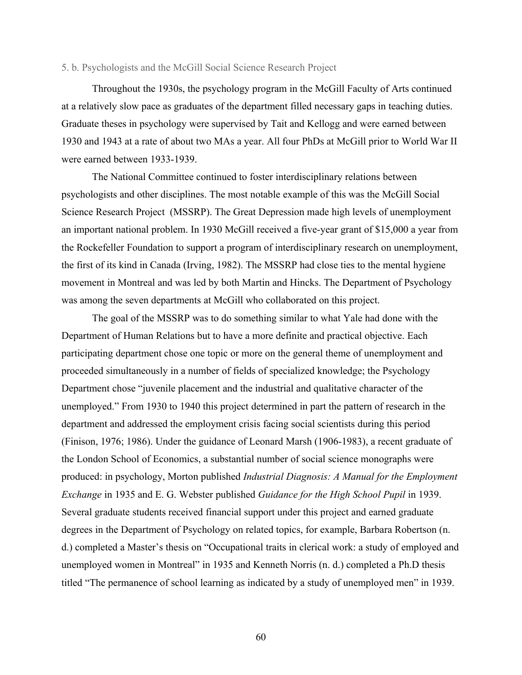## 5. b. Psychologists and the McGill Social Science Research Project

Throughout the 1930s, the psychology program in the McGill Faculty of Arts continued at a relatively slow pace as graduates of the department filled necessary gaps in teaching duties. Graduate theses in psychology were supervised by Tait and Kellogg and were earned between 1930 and 1943 at a rate of about two MAs a year. All four PhDs at McGill prior to World War II were earned between 1933-1939.

The National Committee continued to foster interdisciplinary relations between psychologists and other disciplines. The most notable example of this was the McGill Social Science Research Project (MSSRP). The Great Depression made high levels of unemployment an important national problem. In 1930 McGill received a five-year grant of \$15,000 a year from the Rockefeller Foundation to support a program of interdisciplinary research on unemployment, the first of its kind in Canada (Irving, 1982). The MSSRP had close ties to the mental hygiene movement in Montreal and was led by both Martin and Hincks. The Department of Psychology was among the seven departments at McGill who collaborated on this project.

The goal of the MSSRP was to do something similar to what Yale had done with the Department of Human Relations but to have a more definite and practical objective. Each participating department chose one topic or more on the general theme of unemployment and proceeded simultaneously in a number of fields of specialized knowledge; the Psychology Department chose "juvenile placement and the industrial and qualitative character of the unemployed." From 1930 to 1940 this project determined in part the pattern of research in the department and addressed the employment crisis facing social scientists during this period (Finison, 1976; 1986). Under the guidance of Leonard Marsh (1906-1983), a recent graduate of the London School of Economics, a substantial number of social science monographs were produced: in psychology, Morton published *Industrial Diagnosis: A Manual for the Employment Exchange* in 1935 and E. G. Webster published *Guidance for the High School Pupil* in 1939. Several graduate students received financial support under this project and earned graduate degrees in the Department of Psychology on related topics, for example, Barbara Robertson (n. d.) completed a Master's thesis on "Occupational traits in clerical work: a study of employed and unemployed women in Montreal" in 1935 and Kenneth Norris (n. d.) completed a Ph.D thesis titled "The permanence of school learning as indicated by a study of unemployed men" in 1939.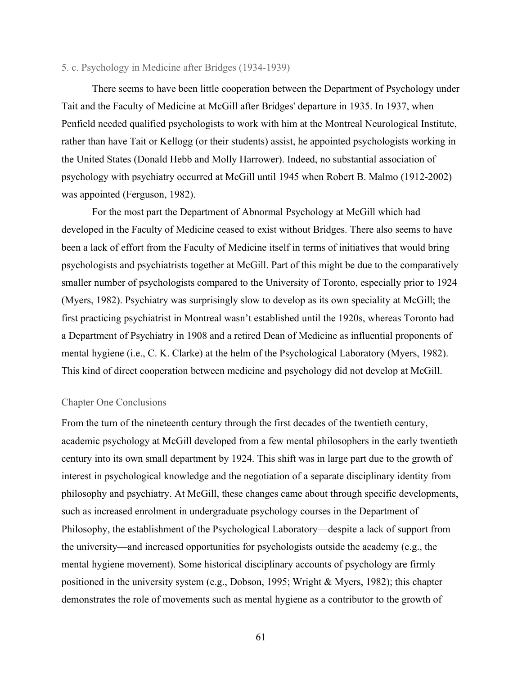## 5. c. Psychology in Medicine after Bridges (1934-1939)

There seems to have been little cooperation between the Department of Psychology under Tait and the Faculty of Medicine at McGill after Bridges' departure in 1935. In 1937, when Penfield needed qualified psychologists to work with him at the Montreal Neurological Institute, rather than have Tait or Kellogg (or their students) assist, he appointed psychologists working in the United States (Donald Hebb and Molly Harrower). Indeed, no substantial association of psychology with psychiatry occurred at McGill until 1945 when Robert B. Malmo (1912-2002) was appointed (Ferguson, 1982).

For the most part the Department of Abnormal Psychology at McGill which had developed in the Faculty of Medicine ceased to exist without Bridges. There also seems to have been a lack of effort from the Faculty of Medicine itself in terms of initiatives that would bring psychologists and psychiatrists together at McGill. Part of this might be due to the comparatively smaller number of psychologists compared to the University of Toronto, especially prior to 1924 (Myers, 1982). Psychiatry was surprisingly slow to develop as its own speciality at McGill; the first practicing psychiatrist in Montreal wasn't established until the 1920s, whereas Toronto had a Department of Psychiatry in 1908 and a retired Dean of Medicine as influential proponents of mental hygiene (i.e., C. K. Clarke) at the helm of the Psychological Laboratory (Myers, 1982). This kind of direct cooperation between medicine and psychology did not develop at McGill.

# Chapter One Conclusions

From the turn of the nineteenth century through the first decades of the twentieth century, academic psychology at McGill developed from a few mental philosophers in the early twentieth century into its own small department by 1924. This shift was in large part due to the growth of interest in psychological knowledge and the negotiation of a separate disciplinary identity from philosophy and psychiatry. At McGill, these changes came about through specific developments, such as increased enrolment in undergraduate psychology courses in the Department of Philosophy, the establishment of the Psychological Laboratory—despite a lack of support from the university—and increased opportunities for psychologists outside the academy (e.g., the mental hygiene movement). Some historical disciplinary accounts of psychology are firmly positioned in the university system (e.g., Dobson, 1995; Wright & Myers, 1982); this chapter demonstrates the role of movements such as mental hygiene as a contributor to the growth of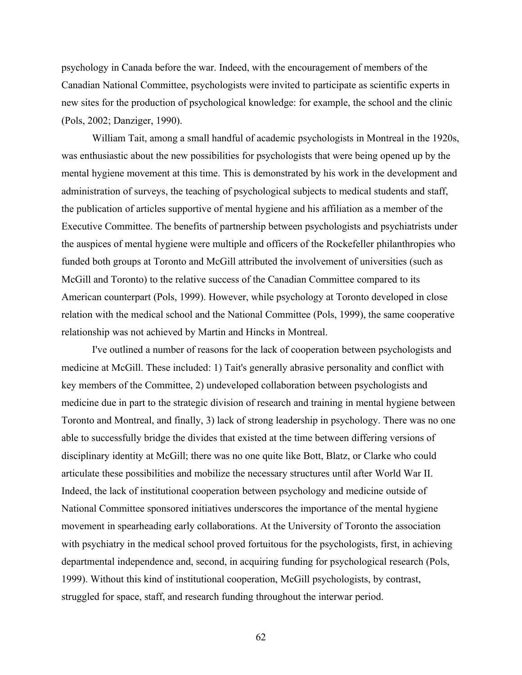psychology in Canada before the war. Indeed, with the encouragement of members of the Canadian National Committee, psychologists were invited to participate as scientific experts in new sites for the production of psychological knowledge: for example, the school and the clinic (Pols, 2002; Danziger, 1990).

William Tait, among a small handful of academic psychologists in Montreal in the 1920s, was enthusiastic about the new possibilities for psychologists that were being opened up by the mental hygiene movement at this time. This is demonstrated by his work in the development and administration of surveys, the teaching of psychological subjects to medical students and staff, the publication of articles supportive of mental hygiene and his affiliation as a member of the Executive Committee. The benefits of partnership between psychologists and psychiatrists under the auspices of mental hygiene were multiple and officers of the Rockefeller philanthropies who funded both groups at Toronto and McGill attributed the involvement of universities (such as McGill and Toronto) to the relative success of the Canadian Committee compared to its American counterpart (Pols, 1999). However, while psychology at Toronto developed in close relation with the medical school and the National Committee (Pols, 1999), the same cooperative relationship was not achieved by Martin and Hincks in Montreal.

I've outlined a number of reasons for the lack of cooperation between psychologists and medicine at McGill. These included: 1) Tait's generally abrasive personality and conflict with key members of the Committee, 2) undeveloped collaboration between psychologists and medicine due in part to the strategic division of research and training in mental hygiene between Toronto and Montreal, and finally, 3) lack of strong leadership in psychology. There was no one able to successfully bridge the divides that existed at the time between differing versions of disciplinary identity at McGill; there was no one quite like Bott, Blatz, or Clarke who could articulate these possibilities and mobilize the necessary structures until after World War II. Indeed, the lack of institutional cooperation between psychology and medicine outside of National Committee sponsored initiatives underscores the importance of the mental hygiene movement in spearheading early collaborations. At the University of Toronto the association with psychiatry in the medical school proved fortuitous for the psychologists, first, in achieving departmental independence and, second, in acquiring funding for psychological research (Pols, 1999). Without this kind of institutional cooperation, McGill psychologists, by contrast, struggled for space, staff, and research funding throughout the interwar period.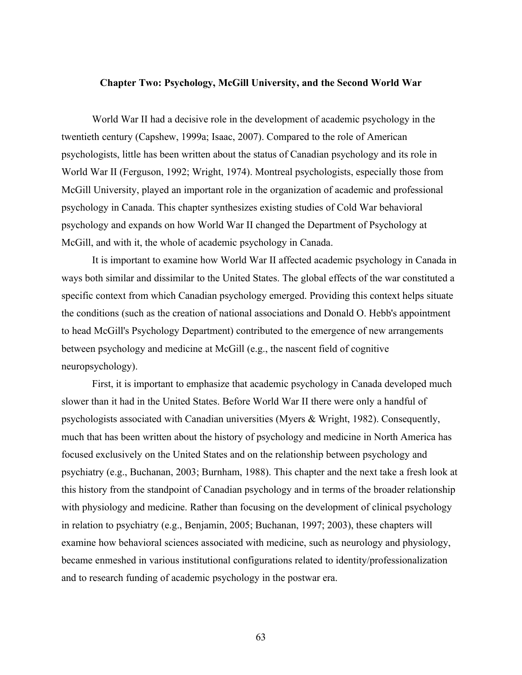### **Chapter Two: Psychology, McGill University, and the Second World War**

World War II had a decisive role in the development of academic psychology in the twentieth century (Capshew, 1999a; Isaac, 2007). Compared to the role of American psychologists, little has been written about the status of Canadian psychology and its role in World War II (Ferguson, 1992; Wright, 1974). Montreal psychologists, especially those from McGill University, played an important role in the organization of academic and professional psychology in Canada. This chapter synthesizes existing studies of Cold War behavioral psychology and expands on how World War II changed the Department of Psychology at McGill, and with it, the whole of academic psychology in Canada.

It is important to examine how World War II affected academic psychology in Canada in ways both similar and dissimilar to the United States. The global effects of the war constituted a specific context from which Canadian psychology emerged. Providing this context helps situate the conditions (such as the creation of national associations and Donald O. Hebb's appointment to head McGill's Psychology Department) contributed to the emergence of new arrangements between psychology and medicine at McGill (e.g., the nascent field of cognitive neuropsychology).

First, it is important to emphasize that academic psychology in Canada developed much slower than it had in the United States. Before World War II there were only a handful of psychologists associated with Canadian universities (Myers & Wright, 1982). Consequently, much that has been written about the history of psychology and medicine in North America has focused exclusively on the United States and on the relationship between psychology and psychiatry (e.g., Buchanan, 2003; Burnham, 1988). This chapter and the next take a fresh look at this history from the standpoint of Canadian psychology and in terms of the broader relationship with physiology and medicine. Rather than focusing on the development of clinical psychology in relation to psychiatry (e.g., Benjamin, 2005; Buchanan, 1997; 2003), these chapters will examine how behavioral sciences associated with medicine, such as neurology and physiology, became enmeshed in various institutional configurations related to identity/professionalization and to research funding of academic psychology in the postwar era.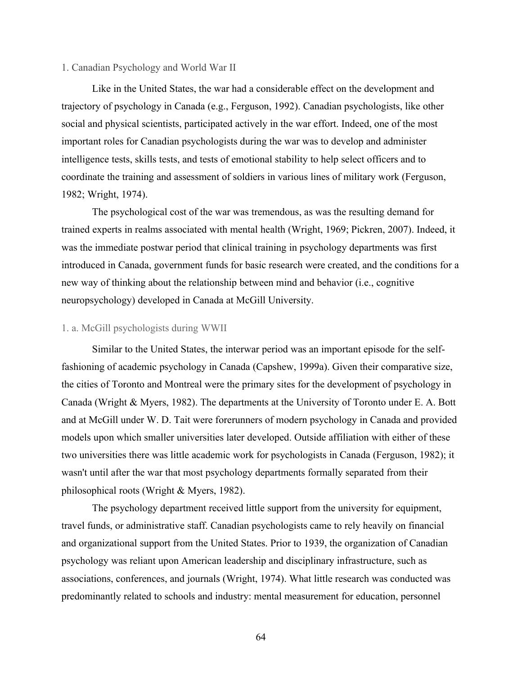## 1. Canadian Psychology and World War II

Like in the United States, the war had a considerable effect on the development and trajectory of psychology in Canada (e.g., Ferguson, 1992). Canadian psychologists, like other social and physical scientists, participated actively in the war effort. Indeed, one of the most important roles for Canadian psychologists during the war was to develop and administer intelligence tests, skills tests, and tests of emotional stability to help select officers and to coordinate the training and assessment of soldiers in various lines of military work (Ferguson, 1982; Wright, 1974).

The psychological cost of the war was tremendous, as was the resulting demand for trained experts in realms associated with mental health (Wright, 1969; Pickren, 2007). Indeed, it was the immediate postwar period that clinical training in psychology departments was first introduced in Canada, government funds for basic research were created, and the conditions for a new way of thinking about the relationship between mind and behavior (i.e., cognitive neuropsychology) developed in Canada at McGill University.

# 1. a. McGill psychologists during WWII

Similar to the United States, the interwar period was an important episode for the selffashioning of academic psychology in Canada (Capshew, 1999a). Given their comparative size, the cities of Toronto and Montreal were the primary sites for the development of psychology in Canada (Wright & Myers, 1982). The departments at the University of Toronto under E. A. Bott and at McGill under W. D. Tait were forerunners of modern psychology in Canada and provided models upon which smaller universities later developed. Outside affiliation with either of these two universities there was little academic work for psychologists in Canada (Ferguson, 1982); it wasn't until after the war that most psychology departments formally separated from their philosophical roots (Wright & Myers, 1982).

The psychology department received little support from the university for equipment, travel funds, or administrative staff. Canadian psychologists came to rely heavily on financial and organizational support from the United States. Prior to 1939, the organization of Canadian psychology was reliant upon American leadership and disciplinary infrastructure, such as associations, conferences, and journals (Wright, 1974). What little research was conducted was predominantly related to schools and industry: mental measurement for education, personnel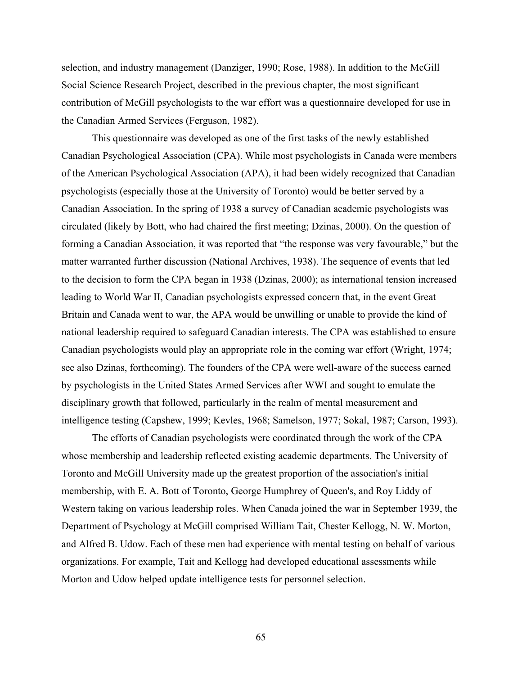selection, and industry management (Danziger, 1990; Rose, 1988). In addition to the McGill Social Science Research Project, described in the previous chapter, the most significant contribution of McGill psychologists to the war effort was a questionnaire developed for use in the Canadian Armed Services (Ferguson, 1982).

This questionnaire was developed as one of the first tasks of the newly established Canadian Psychological Association (CPA). While most psychologists in Canada were members of the American Psychological Association (APA), it had been widely recognized that Canadian psychologists (especially those at the University of Toronto) would be better served by a Canadian Association. In the spring of 1938 a survey of Canadian academic psychologists was circulated (likely by Bott, who had chaired the first meeting; Dzinas, 2000). On the question of forming a Canadian Association, it was reported that "the response was very favourable," but the matter warranted further discussion (National Archives, 1938). The sequence of events that led to the decision to form the CPA began in 1938 (Dzinas, 2000); as international tension increased leading to World War II, Canadian psychologists expressed concern that, in the event Great Britain and Canada went to war, the APA would be unwilling or unable to provide the kind of national leadership required to safeguard Canadian interests. The CPA was established to ensure Canadian psychologists would play an appropriate role in the coming war effort (Wright, 1974; see also Dzinas, forthcoming). The founders of the CPA were well-aware of the success earned by psychologists in the United States Armed Services after WWI and sought to emulate the disciplinary growth that followed, particularly in the realm of mental measurement and intelligence testing (Capshew, 1999; Kevles, 1968; Samelson, 1977; Sokal, 1987; Carson, 1993).

The efforts of Canadian psychologists were coordinated through the work of the CPA whose membership and leadership reflected existing academic departments. The University of Toronto and McGill University made up the greatest proportion of the association's initial membership, with E. A. Bott of Toronto, George Humphrey of Queen's, and Roy Liddy of Western taking on various leadership roles. When Canada joined the war in September 1939, the Department of Psychology at McGill comprised William Tait, Chester Kellogg, N. W. Morton, and Alfred B. Udow. Each of these men had experience with mental testing on behalf of various organizations. For example, Tait and Kellogg had developed educational assessments while Morton and Udow helped update intelligence tests for personnel selection.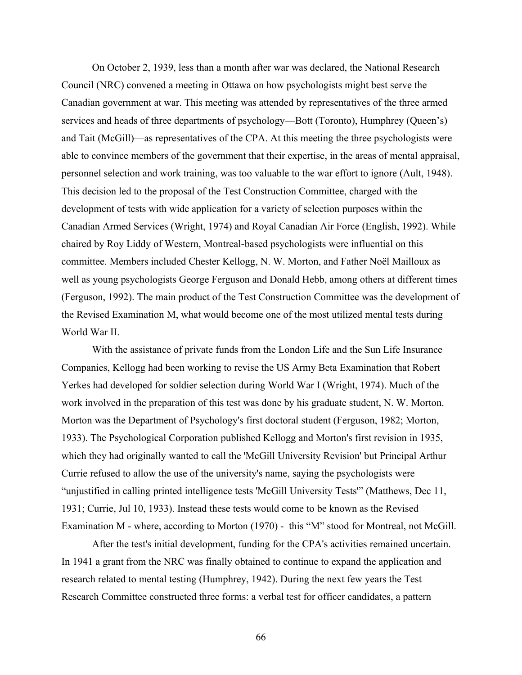On October 2, 1939, less than a month after war was declared, the National Research Council (NRC) convened a meeting in Ottawa on how psychologists might best serve the Canadian government at war. This meeting was attended by representatives of the three armed services and heads of three departments of psychology—Bott (Toronto), Humphrey (Queen's) and Tait (McGill)—as representatives of the CPA. At this meeting the three psychologists were able to convince members of the government that their expertise, in the areas of mental appraisal, personnel selection and work training, was too valuable to the war effort to ignore (Ault, 1948). This decision led to the proposal of the Test Construction Committee, charged with the development of tests with wide application for a variety of selection purposes within the Canadian Armed Services (Wright, 1974) and Royal Canadian Air Force (English, 1992). While chaired by Roy Liddy of Western, Montreal-based psychologists were influential on this committee. Members included Chester Kellogg, N. W. Morton, and Father Noël Mailloux as well as young psychologists George Ferguson and Donald Hebb, among others at different times (Ferguson, 1992). The main product of the Test Construction Committee was the development of the Revised Examination M, what would become one of the most utilized mental tests during World War II.

With the assistance of private funds from the London Life and the Sun Life Insurance Companies, Kellogg had been working to revise the US Army Beta Examination that Robert Yerkes had developed for soldier selection during World War I (Wright, 1974). Much of the work involved in the preparation of this test was done by his graduate student, N. W. Morton. Morton was the Department of Psychology's first doctoral student (Ferguson, 1982; Morton, 1933). The Psychological Corporation published Kellogg and Morton's first revision in 1935, which they had originally wanted to call the 'McGill University Revision' but Principal Arthur Currie refused to allow the use of the university's name, saying the psychologists were "unjustified in calling printed intelligence tests 'McGill University Tests'" (Matthews, Dec 11, 1931; Currie, Jul 10, 1933). Instead these tests would come to be known as the Revised Examination M - where, according to Morton (1970) - this "M" stood for Montreal, not McGill.

After the test's initial development, funding for the CPA's activities remained uncertain. In 1941 a grant from the NRC was finally obtained to continue to expand the application and research related to mental testing (Humphrey, 1942). During the next few years the Test Research Committee constructed three forms: a verbal test for officer candidates, a pattern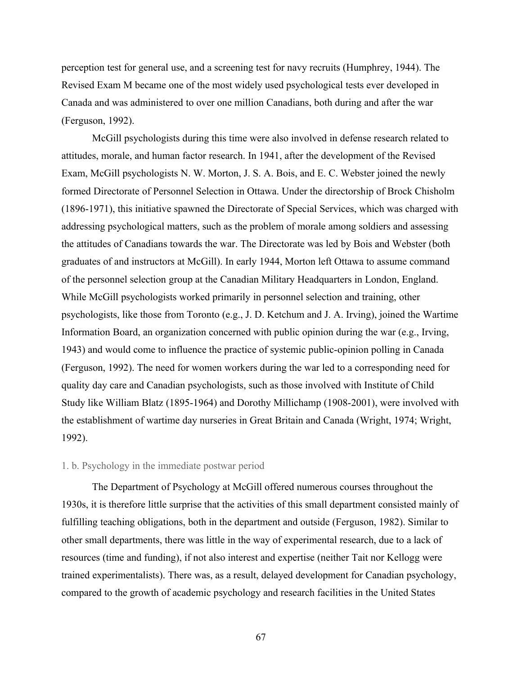perception test for general use, and a screening test for navy recruits (Humphrey, 1944). The Revised Exam M became one of the most widely used psychological tests ever developed in Canada and was administered to over one million Canadians, both during and after the war (Ferguson, 1992).

McGill psychologists during this time were also involved in defense research related to attitudes, morale, and human factor research. In 1941, after the development of the Revised Exam, McGill psychologists N. W. Morton, J. S. A. Bois, and E. C. Webster joined the newly formed Directorate of Personnel Selection in Ottawa. Under the directorship of Brock Chisholm (1896-1971), this initiative spawned the Directorate of Special Services, which was charged with addressing psychological matters, such as the problem of morale among soldiers and assessing the attitudes of Canadians towards the war. The Directorate was led by Bois and Webster (both graduates of and instructors at McGill). In early 1944, Morton left Ottawa to assume command of the personnel selection group at the Canadian Military Headquarters in London, England. While McGill psychologists worked primarily in personnel selection and training, other psychologists, like those from Toronto (e.g., J. D. Ketchum and J. A. Irving), joined the Wartime Information Board, an organization concerned with public opinion during the war (e.g., Irving, 1943) and would come to influence the practice of systemic public-opinion polling in Canada (Ferguson, 1992). The need for women workers during the war led to a corresponding need for quality day care and Canadian psychologists, such as those involved with Institute of Child Study like William Blatz (1895-1964) and Dorothy Millichamp (1908-2001), were involved with the establishment of wartime day nurseries in Great Britain and Canada (Wright, 1974; Wright, 1992).

# 1. b. Psychology in the immediate postwar period

The Department of Psychology at McGill offered numerous courses throughout the 1930s, it is therefore little surprise that the activities of this small department consisted mainly of fulfilling teaching obligations, both in the department and outside (Ferguson, 1982). Similar to other small departments, there was little in the way of experimental research, due to a lack of resources (time and funding), if not also interest and expertise (neither Tait nor Kellogg were trained experimentalists). There was, as a result, delayed development for Canadian psychology, compared to the growth of academic psychology and research facilities in the United States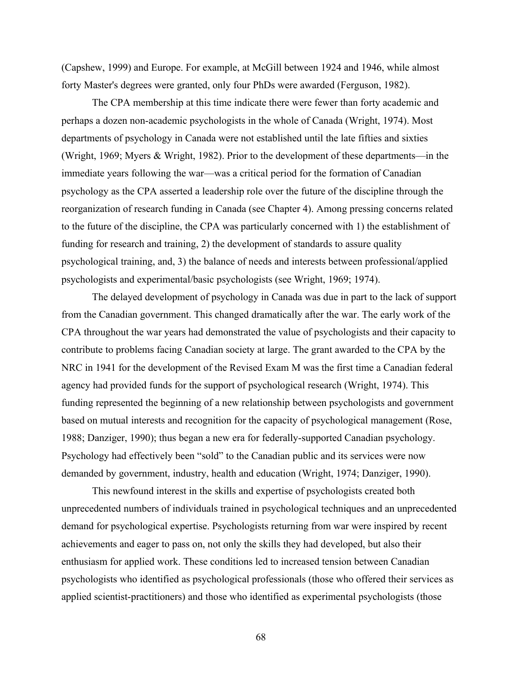(Capshew, 1999) and Europe. For example, at McGill between 1924 and 1946, while almost forty Master's degrees were granted, only four PhDs were awarded (Ferguson, 1982).

The CPA membership at this time indicate there were fewer than forty academic and perhaps a dozen non-academic psychologists in the whole of Canada (Wright, 1974). Most departments of psychology in Canada were not established until the late fifties and sixties (Wright, 1969; Myers & Wright, 1982). Prior to the development of these departments—in the immediate years following the war—was a critical period for the formation of Canadian psychology as the CPA asserted a leadership role over the future of the discipline through the reorganization of research funding in Canada (see Chapter 4). Among pressing concerns related to the future of the discipline, the CPA was particularly concerned with 1) the establishment of funding for research and training, 2) the development of standards to assure quality psychological training, and, 3) the balance of needs and interests between professional/applied psychologists and experimental/basic psychologists (see Wright, 1969; 1974).

The delayed development of psychology in Canada was due in part to the lack of support from the Canadian government. This changed dramatically after the war. The early work of the CPA throughout the war years had demonstrated the value of psychologists and their capacity to contribute to problems facing Canadian society at large. The grant awarded to the CPA by the NRC in 1941 for the development of the Revised Exam M was the first time a Canadian federal agency had provided funds for the support of psychological research (Wright, 1974). This funding represented the beginning of a new relationship between psychologists and government based on mutual interests and recognition for the capacity of psychological management (Rose, 1988; Danziger, 1990); thus began a new era for federally-supported Canadian psychology. Psychology had effectively been "sold" to the Canadian public and its services were now demanded by government, industry, health and education (Wright, 1974; Danziger, 1990).

This newfound interest in the skills and expertise of psychologists created both unprecedented numbers of individuals trained in psychological techniques and an unprecedented demand for psychological expertise. Psychologists returning from war were inspired by recent achievements and eager to pass on, not only the skills they had developed, but also their enthusiasm for applied work. These conditions led to increased tension between Canadian psychologists who identified as psychological professionals (those who offered their services as applied scientist-practitioners) and those who identified as experimental psychologists (those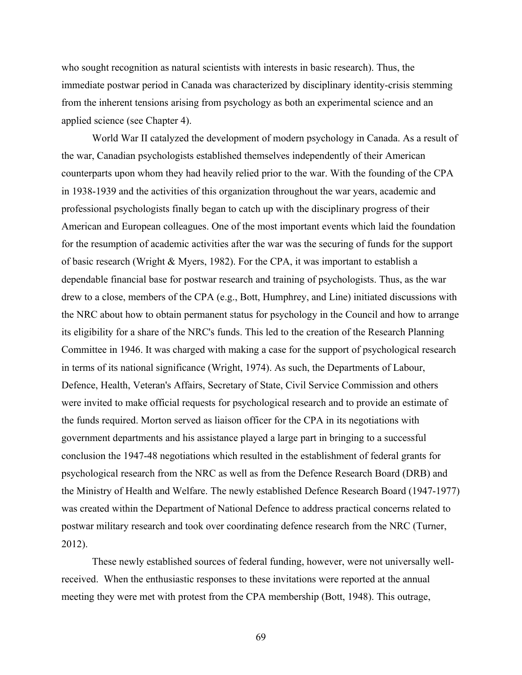who sought recognition as natural scientists with interests in basic research). Thus, the immediate postwar period in Canada was characterized by disciplinary identity-crisis stemming from the inherent tensions arising from psychology as both an experimental science and an applied science (see Chapter 4).

World War II catalyzed the development of modern psychology in Canada. As a result of the war, Canadian psychologists established themselves independently of their American counterparts upon whom they had heavily relied prior to the war. With the founding of the CPA in 1938-1939 and the activities of this organization throughout the war years, academic and professional psychologists finally began to catch up with the disciplinary progress of their American and European colleagues. One of the most important events which laid the foundation for the resumption of academic activities after the war was the securing of funds for the support of basic research (Wright & Myers, 1982). For the CPA, it was important to establish a dependable financial base for postwar research and training of psychologists. Thus, as the war drew to a close, members of the CPA (e.g., Bott, Humphrey, and Line) initiated discussions with the NRC about how to obtain permanent status for psychology in the Council and how to arrange its eligibility for a share of the NRC's funds. This led to the creation of the Research Planning Committee in 1946. It was charged with making a case for the support of psychological research in terms of its national significance (Wright, 1974). As such, the Departments of Labour, Defence, Health, Veteran's Affairs, Secretary of State, Civil Service Commission and others were invited to make official requests for psychological research and to provide an estimate of the funds required. Morton served as liaison officer for the CPA in its negotiations with government departments and his assistance played a large part in bringing to a successful conclusion the 1947-48 negotiations which resulted in the establishment of federal grants for psychological research from the NRC as well as from the Defence Research Board (DRB) and the Ministry of Health and Welfare. The newly established Defence Research Board (1947-1977) was created within the Department of National Defence to address practical concerns related to postwar military research and took over coordinating defence research from the NRC (Turner, 2012).

These newly established sources of federal funding, however, were not universally wellreceived. When the enthusiastic responses to these invitations were reported at the annual meeting they were met with protest from the CPA membership (Bott, 1948). This outrage,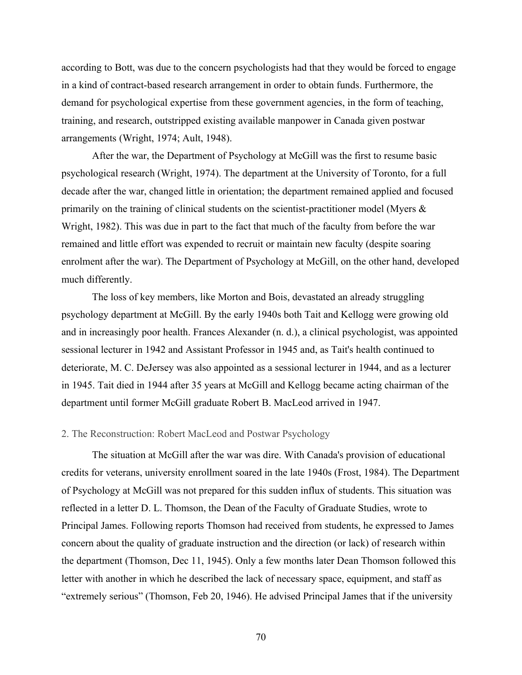according to Bott, was due to the concern psychologists had that they would be forced to engage in a kind of contract-based research arrangement in order to obtain funds. Furthermore, the demand for psychological expertise from these government agencies, in the form of teaching, training, and research, outstripped existing available manpower in Canada given postwar arrangements (Wright, 1974; Ault, 1948).

After the war, the Department of Psychology at McGill was the first to resume basic psychological research (Wright, 1974). The department at the University of Toronto, for a full decade after the war, changed little in orientation; the department remained applied and focused primarily on the training of clinical students on the scientist-practitioner model (Myers  $\&$ Wright, 1982). This was due in part to the fact that much of the faculty from before the war remained and little effort was expended to recruit or maintain new faculty (despite soaring enrolment after the war). The Department of Psychology at McGill, on the other hand, developed much differently.

The loss of key members, like Morton and Bois, devastated an already struggling psychology department at McGill. By the early 1940s both Tait and Kellogg were growing old and in increasingly poor health. Frances Alexander (n. d.), a clinical psychologist, was appointed sessional lecturer in 1942 and Assistant Professor in 1945 and, as Tait's health continued to deteriorate, M. C. DeJersey was also appointed as a sessional lecturer in 1944, and as a lecturer in 1945. Tait died in 1944 after 35 years at McGill and Kellogg became acting chairman of the department until former McGill graduate Robert B. MacLeod arrived in 1947.

## 2. The Reconstruction: Robert MacLeod and Postwar Psychology

The situation at McGill after the war was dire. With Canada's provision of educational credits for veterans, university enrollment soared in the late 1940s (Frost, 1984). The Department of Psychology at McGill was not prepared for this sudden influx of students. This situation was reflected in a letter D. L. Thomson, the Dean of the Faculty of Graduate Studies, wrote to Principal James. Following reports Thomson had received from students, he expressed to James concern about the quality of graduate instruction and the direction (or lack) of research within the department (Thomson, Dec 11, 1945). Only a few months later Dean Thomson followed this letter with another in which he described the lack of necessary space, equipment, and staff as "extremely serious" (Thomson, Feb 20, 1946). He advised Principal James that if the university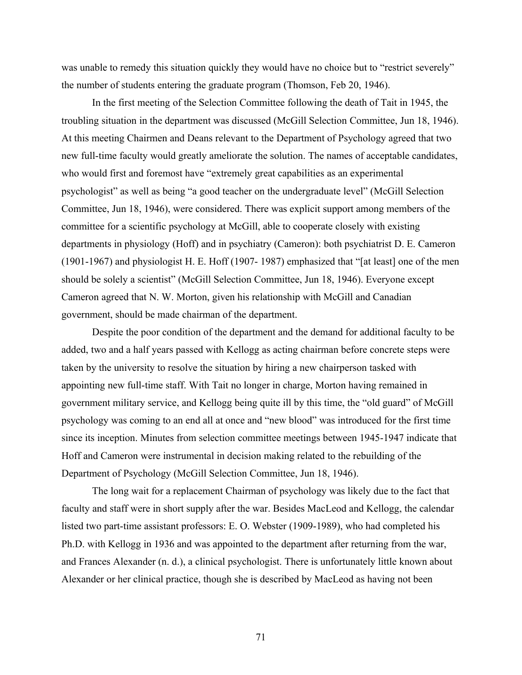was unable to remedy this situation quickly they would have no choice but to "restrict severely" the number of students entering the graduate program (Thomson, Feb 20, 1946).

In the first meeting of the Selection Committee following the death of Tait in 1945, the troubling situation in the department was discussed (McGill Selection Committee, Jun 18, 1946). At this meeting Chairmen and Deans relevant to the Department of Psychology agreed that two new full-time faculty would greatly ameliorate the solution. The names of acceptable candidates, who would first and foremost have "extremely great capabilities as an experimental psychologist" as well as being "a good teacher on the undergraduate level" (McGill Selection Committee, Jun 18, 1946), were considered. There was explicit support among members of the committee for a scientific psychology at McGill, able to cooperate closely with existing departments in physiology (Hoff) and in psychiatry (Cameron): both psychiatrist D. E. Cameron (1901-1967) and physiologist H. E. Hoff (1907- 1987) emphasized that "[at least] one of the men should be solely a scientist" (McGill Selection Committee, Jun 18, 1946). Everyone except Cameron agreed that N. W. Morton, given his relationship with McGill and Canadian government, should be made chairman of the department.

Despite the poor condition of the department and the demand for additional faculty to be added, two and a half years passed with Kellogg as acting chairman before concrete steps were taken by the university to resolve the situation by hiring a new chairperson tasked with appointing new full-time staff. With Tait no longer in charge, Morton having remained in government military service, and Kellogg being quite ill by this time, the "old guard" of McGill psychology was coming to an end all at once and "new blood" was introduced for the first time since its inception. Minutes from selection committee meetings between 1945-1947 indicate that Hoff and Cameron were instrumental in decision making related to the rebuilding of the Department of Psychology (McGill Selection Committee, Jun 18, 1946).

The long wait for a replacement Chairman of psychology was likely due to the fact that faculty and staff were in short supply after the war. Besides MacLeod and Kellogg, the calendar listed two part-time assistant professors: E. O. Webster (1909-1989), who had completed his Ph.D. with Kellogg in 1936 and was appointed to the department after returning from the war, and Frances Alexander (n. d.), a clinical psychologist. There is unfortunately little known about Alexander or her clinical practice, though she is described by MacLeod as having not been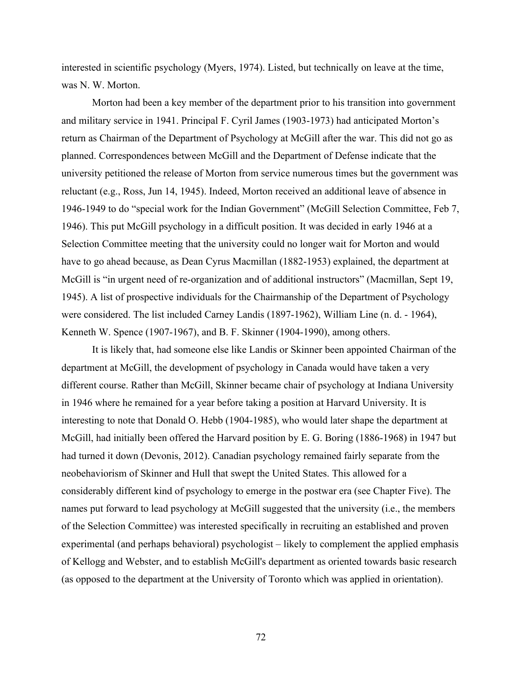interested in scientific psychology (Myers, 1974). Listed, but technically on leave at the time, was N. W. Morton.

Morton had been a key member of the department prior to his transition into government and military service in 1941. Principal F. Cyril James (1903-1973) had anticipated Morton's return as Chairman of the Department of Psychology at McGill after the war. This did not go as planned. Correspondences between McGill and the Department of Defense indicate that the university petitioned the release of Morton from service numerous times but the government was reluctant (e.g., Ross, Jun 14, 1945). Indeed, Morton received an additional leave of absence in 1946-1949 to do "special work for the Indian Government" (McGill Selection Committee, Feb 7, 1946). This put McGill psychology in a difficult position. It was decided in early 1946 at a Selection Committee meeting that the university could no longer wait for Morton and would have to go ahead because, as Dean Cyrus Macmillan (1882-1953) explained, the department at McGill is "in urgent need of re-organization and of additional instructors" (Macmillan, Sept 19, 1945). A list of prospective individuals for the Chairmanship of the Department of Psychology were considered. The list included Carney Landis (1897-1962), William Line (n. d. - 1964), Kenneth W. Spence (1907-1967), and B. F. Skinner (1904-1990), among others.

It is likely that, had someone else like Landis or Skinner been appointed Chairman of the department at McGill, the development of psychology in Canada would have taken a very different course. Rather than McGill, Skinner became chair of psychology at Indiana University in 1946 where he remained for a year before taking a position at Harvard University. It is interesting to note that Donald O. Hebb (1904-1985), who would later shape the department at McGill, had initially been offered the Harvard position by E. G. Boring (1886-1968) in 1947 but had turned it down (Devonis, 2012). Canadian psychology remained fairly separate from the neobehaviorism of Skinner and Hull that swept the United States. This allowed for a considerably different kind of psychology to emerge in the postwar era (see Chapter Five). The names put forward to lead psychology at McGill suggested that the university (i.e., the members of the Selection Committee) was interested specifically in recruiting an established and proven experimental (and perhaps behavioral) psychologist – likely to complement the applied emphasis of Kellogg and Webster, and to establish McGill's department as oriented towards basic research (as opposed to the department at the University of Toronto which was applied in orientation).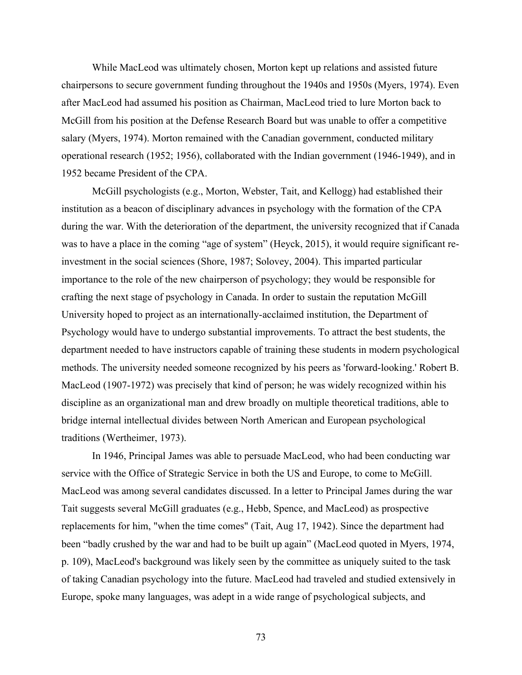While MacLeod was ultimately chosen, Morton kept up relations and assisted future chairpersons to secure government funding throughout the 1940s and 1950s (Myers, 1974). Even after MacLeod had assumed his position as Chairman, MacLeod tried to lure Morton back to McGill from his position at the Defense Research Board but was unable to offer a competitive salary (Myers, 1974). Morton remained with the Canadian government, conducted military operational research (1952; 1956), collaborated with the Indian government (1946-1949), and in 1952 became President of the CPA.

McGill psychologists (e.g., Morton, Webster, Tait, and Kellogg) had established their institution as a beacon of disciplinary advances in psychology with the formation of the CPA during the war. With the deterioration of the department, the university recognized that if Canada was to have a place in the coming "age of system" (Heyck, 2015), it would require significant reinvestment in the social sciences (Shore, 1987; Solovey, 2004). This imparted particular importance to the role of the new chairperson of psychology; they would be responsible for crafting the next stage of psychology in Canada. In order to sustain the reputation McGill University hoped to project as an internationally-acclaimed institution, the Department of Psychology would have to undergo substantial improvements. To attract the best students, the department needed to have instructors capable of training these students in modern psychological methods. The university needed someone recognized by his peers as 'forward-looking.' Robert B. MacLeod (1907-1972) was precisely that kind of person; he was widely recognized within his discipline as an organizational man and drew broadly on multiple theoretical traditions, able to bridge internal intellectual divides between North American and European psychological traditions (Wertheimer, 1973).

In 1946, Principal James was able to persuade MacLeod, who had been conducting war service with the Office of Strategic Service in both the US and Europe, to come to McGill. MacLeod was among several candidates discussed. In a letter to Principal James during the war Tait suggests several McGill graduates (e.g., Hebb, Spence, and MacLeod) as prospective replacements for him, "when the time comes" (Tait, Aug 17, 1942). Since the department had been "badly crushed by the war and had to be built up again" (MacLeod quoted in Myers, 1974, p. 109), MacLeod's background was likely seen by the committee as uniquely suited to the task of taking Canadian psychology into the future. MacLeod had traveled and studied extensively in Europe, spoke many languages, was adept in a wide range of psychological subjects, and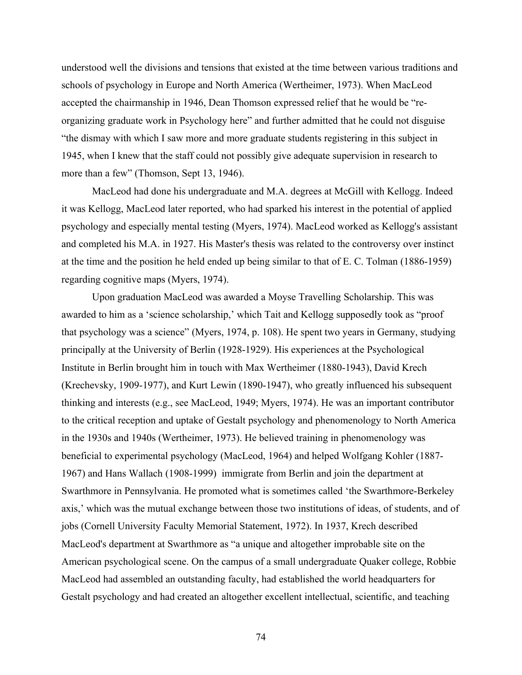understood well the divisions and tensions that existed at the time between various traditions and schools of psychology in Europe and North America (Wertheimer, 1973). When MacLeod accepted the chairmanship in 1946, Dean Thomson expressed relief that he would be "reorganizing graduate work in Psychology here" and further admitted that he could not disguise "the dismay with which I saw more and more graduate students registering in this subject in 1945, when I knew that the staff could not possibly give adequate supervision in research to more than a few" (Thomson, Sept 13, 1946).

MacLeod had done his undergraduate and M.A. degrees at McGill with Kellogg. Indeed it was Kellogg, MacLeod later reported, who had sparked his interest in the potential of applied psychology and especially mental testing (Myers, 1974). MacLeod worked as Kellogg's assistant and completed his M.A. in 1927. His Master's thesis was related to the controversy over instinct at the time and the position he held ended up being similar to that of E. C. Tolman (1886-1959) regarding cognitive maps (Myers, 1974).

Upon graduation MacLeod was awarded a Moyse Travelling Scholarship. This was awarded to him as a 'science scholarship,' which Tait and Kellogg supposedly took as "proof that psychology was a science" (Myers, 1974, p. 108). He spent two years in Germany, studying principally at the University of Berlin (1928-1929). His experiences at the Psychological Institute in Berlin brought him in touch with Max Wertheimer (1880-1943), David Krech (Krechevsky, 1909-1977), and Kurt Lewin (1890-1947), who greatly influenced his subsequent thinking and interests (e.g., see MacLeod, 1949; Myers, 1974). He was an important contributor to the critical reception and uptake of Gestalt psychology and phenomenology to North America in the 1930s and 1940s (Wertheimer, 1973). He believed training in phenomenology was beneficial to experimental psychology (MacLeod, 1964) and helped Wolfgang Kohler (1887- 1967) and Hans Wallach (1908-1999) immigrate from Berlin and join the department at Swarthmore in Pennsylvania. He promoted what is sometimes called 'the Swarthmore-Berkeley axis,' which was the mutual exchange between those two institutions of ideas, of students, and of jobs (Cornell University Faculty Memorial Statement, 1972). In 1937, Krech described MacLeod's department at Swarthmore as "a unique and altogether improbable site on the American psychological scene. On the campus of a small undergraduate Quaker college, Robbie MacLeod had assembled an outstanding faculty, had established the world headquarters for Gestalt psychology and had created an altogether excellent intellectual, scientific, and teaching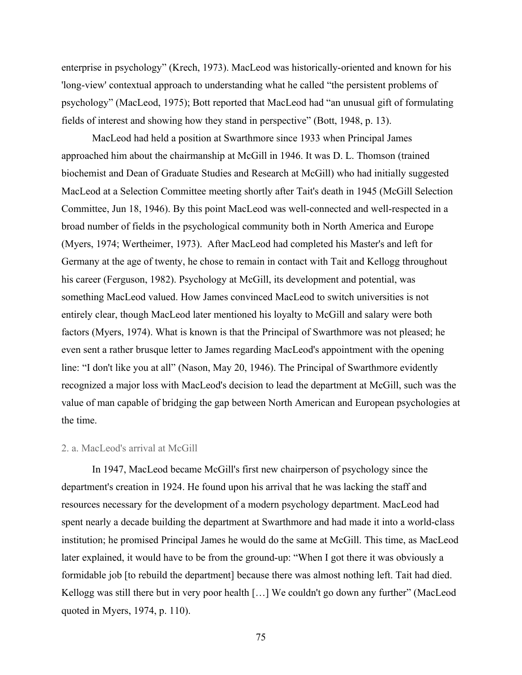enterprise in psychology" (Krech, 1973). MacLeod was historically-oriented and known for his 'long-view' contextual approach to understanding what he called "the persistent problems of psychology" (MacLeod, 1975); Bott reported that MacLeod had "an unusual gift of formulating fields of interest and showing how they stand in perspective" (Bott, 1948, p. 13).

MacLeod had held a position at Swarthmore since 1933 when Principal James approached him about the chairmanship at McGill in 1946. It was D. L. Thomson (trained biochemist and Dean of Graduate Studies and Research at McGill) who had initially suggested MacLeod at a Selection Committee meeting shortly after Tait's death in 1945 (McGill Selection Committee, Jun 18, 1946). By this point MacLeod was well-connected and well-respected in a broad number of fields in the psychological community both in North America and Europe (Myers, 1974; Wertheimer, 1973). After MacLeod had completed his Master's and left for Germany at the age of twenty, he chose to remain in contact with Tait and Kellogg throughout his career (Ferguson, 1982). Psychology at McGill, its development and potential, was something MacLeod valued. How James convinced MacLeod to switch universities is not entirely clear, though MacLeod later mentioned his loyalty to McGill and salary were both factors (Myers, 1974). What is known is that the Principal of Swarthmore was not pleased; he even sent a rather brusque letter to James regarding MacLeod's appointment with the opening line: "I don't like you at all" (Nason, May 20, 1946). The Principal of Swarthmore evidently recognized a major loss with MacLeod's decision to lead the department at McGill, such was the value of man capable of bridging the gap between North American and European psychologies at the time.

#### 2. a. MacLeod's arrival at McGill

In 1947, MacLeod became McGill's first new chairperson of psychology since the department's creation in 1924. He found upon his arrival that he was lacking the staff and resources necessary for the development of a modern psychology department. MacLeod had spent nearly a decade building the department at Swarthmore and had made it into a world-class institution; he promised Principal James he would do the same at McGill. This time, as MacLeod later explained, it would have to be from the ground-up: "When I got there it was obviously a formidable job [to rebuild the department] because there was almost nothing left. Tait had died. Kellogg was still there but in very poor health […] We couldn't go down any further" (MacLeod quoted in Myers, 1974, p. 110).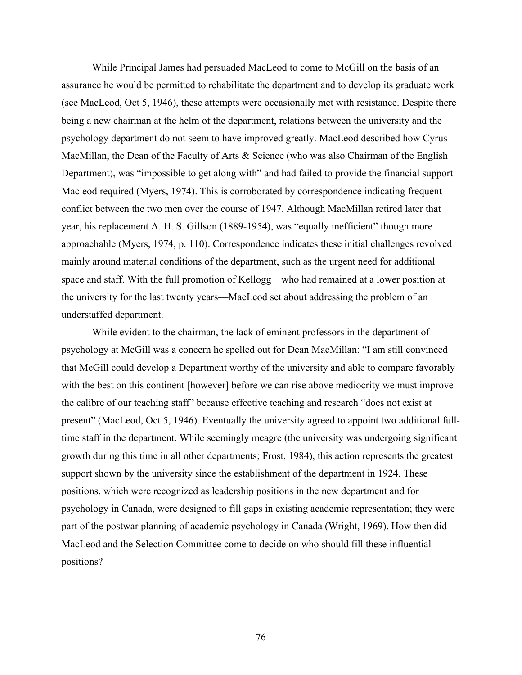While Principal James had persuaded MacLeod to come to McGill on the basis of an assurance he would be permitted to rehabilitate the department and to develop its graduate work (see MacLeod, Oct 5, 1946), these attempts were occasionally met with resistance. Despite there being a new chairman at the helm of the department, relations between the university and the psychology department do not seem to have improved greatly. MacLeod described how Cyrus MacMillan, the Dean of the Faculty of Arts & Science (who was also Chairman of the English Department), was "impossible to get along with" and had failed to provide the financial support Macleod required (Myers, 1974). This is corroborated by correspondence indicating frequent conflict between the two men over the course of 1947. Although MacMillan retired later that year, his replacement A. H. S. Gillson (1889-1954), was "equally inefficient" though more approachable (Myers, 1974, p. 110). Correspondence indicates these initial challenges revolved mainly around material conditions of the department, such as the urgent need for additional space and staff. With the full promotion of Kellogg—who had remained at a lower position at the university for the last twenty years—MacLeod set about addressing the problem of an understaffed department.

While evident to the chairman, the lack of eminent professors in the department of psychology at McGill was a concern he spelled out for Dean MacMillan: "I am still convinced that McGill could develop a Department worthy of the university and able to compare favorably with the best on this continent [however] before we can rise above mediocrity we must improve the calibre of our teaching staff" because effective teaching and research "does not exist at present" (MacLeod, Oct 5, 1946). Eventually the university agreed to appoint two additional fulltime staff in the department. While seemingly meagre (the university was undergoing significant growth during this time in all other departments; Frost, 1984), this action represents the greatest support shown by the university since the establishment of the department in 1924. These positions, which were recognized as leadership positions in the new department and for psychology in Canada, were designed to fill gaps in existing academic representation; they were part of the postwar planning of academic psychology in Canada (Wright, 1969). How then did MacLeod and the Selection Committee come to decide on who should fill these influential positions?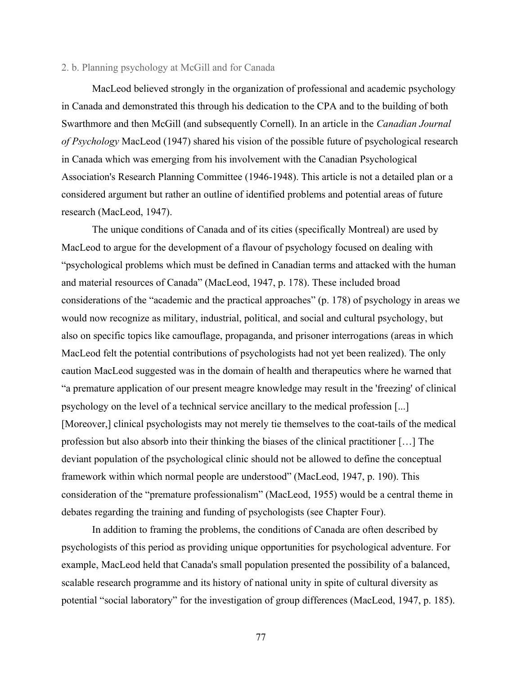## 2. b. Planning psychology at McGill and for Canada

MacLeod believed strongly in the organization of professional and academic psychology in Canada and demonstrated this through his dedication to the CPA and to the building of both Swarthmore and then McGill (and subsequently Cornell). In an article in the *Canadian Journal of Psychology* MacLeod (1947) shared his vision of the possible future of psychological research in Canada which was emerging from his involvement with the Canadian Psychological Association's Research Planning Committee (1946-1948). This article is not a detailed plan or a considered argument but rather an outline of identified problems and potential areas of future research (MacLeod, 1947).

The unique conditions of Canada and of its cities (specifically Montreal) are used by MacLeod to argue for the development of a flavour of psychology focused on dealing with "psychological problems which must be defined in Canadian terms and attacked with the human and material resources of Canada" (MacLeod, 1947, p. 178). These included broad considerations of the "academic and the practical approaches" (p. 178) of psychology in areas we would now recognize as military, industrial, political, and social and cultural psychology, but also on specific topics like camouflage, propaganda, and prisoner interrogations (areas in which MacLeod felt the potential contributions of psychologists had not yet been realized). The only caution MacLeod suggested was in the domain of health and therapeutics where he warned that "a premature application of our present meagre knowledge may result in the 'freezing' of clinical psychology on the level of a technical service ancillary to the medical profession [...] [Moreover,] clinical psychologists may not merely tie themselves to the coat-tails of the medical profession but also absorb into their thinking the biases of the clinical practitioner […] The deviant population of the psychological clinic should not be allowed to define the conceptual framework within which normal people are understood" (MacLeod, 1947, p. 190). This consideration of the "premature professionalism" (MacLeod, 1955) would be a central theme in debates regarding the training and funding of psychologists (see Chapter Four).

In addition to framing the problems, the conditions of Canada are often described by psychologists of this period as providing unique opportunities for psychological adventure. For example, MacLeod held that Canada's small population presented the possibility of a balanced, scalable research programme and its history of national unity in spite of cultural diversity as potential "social laboratory" for the investigation of group differences (MacLeod, 1947, p. 185).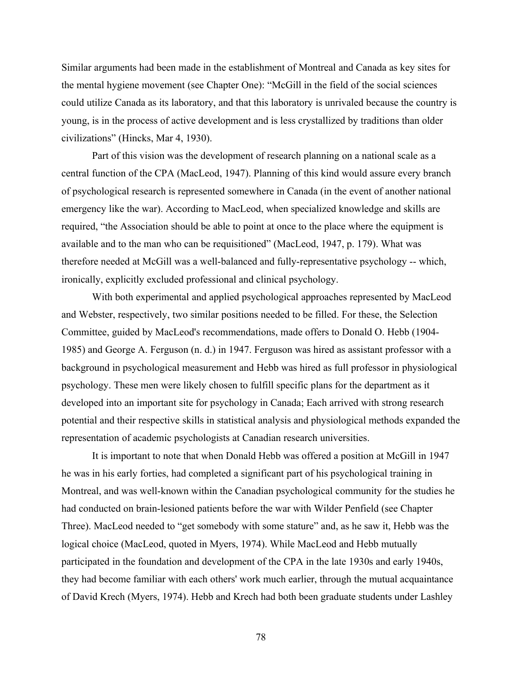Similar arguments had been made in the establishment of Montreal and Canada as key sites for the mental hygiene movement (see Chapter One): "McGill in the field of the social sciences could utilize Canada as its laboratory, and that this laboratory is unrivaled because the country is young, is in the process of active development and is less crystallized by traditions than older civilizations" (Hincks, Mar 4, 1930).

Part of this vision was the development of research planning on a national scale as a central function of the CPA (MacLeod, 1947). Planning of this kind would assure every branch of psychological research is represented somewhere in Canada (in the event of another national emergency like the war). According to MacLeod, when specialized knowledge and skills are required, "the Association should be able to point at once to the place where the equipment is available and to the man who can be requisitioned" (MacLeod, 1947, p. 179). What was therefore needed at McGill was a well-balanced and fully-representative psychology -- which, ironically, explicitly excluded professional and clinical psychology.

With both experimental and applied psychological approaches represented by MacLeod and Webster, respectively, two similar positions needed to be filled. For these, the Selection Committee, guided by MacLeod's recommendations, made offers to Donald O. Hebb (1904- 1985) and George A. Ferguson (n. d.) in 1947. Ferguson was hired as assistant professor with a background in psychological measurement and Hebb was hired as full professor in physiological psychology. These men were likely chosen to fulfill specific plans for the department as it developed into an important site for psychology in Canada; Each arrived with strong research potential and their respective skills in statistical analysis and physiological methods expanded the representation of academic psychologists at Canadian research universities.

It is important to note that when Donald Hebb was offered a position at McGill in 1947 he was in his early forties, had completed a significant part of his psychological training in Montreal, and was well-known within the Canadian psychological community for the studies he had conducted on brain-lesioned patients before the war with Wilder Penfield (see Chapter Three). MacLeod needed to "get somebody with some stature" and, as he saw it, Hebb was the logical choice (MacLeod, quoted in Myers, 1974). While MacLeod and Hebb mutually participated in the foundation and development of the CPA in the late 1930s and early 1940s, they had become familiar with each others' work much earlier, through the mutual acquaintance of David Krech (Myers, 1974). Hebb and Krech had both been graduate students under Lashley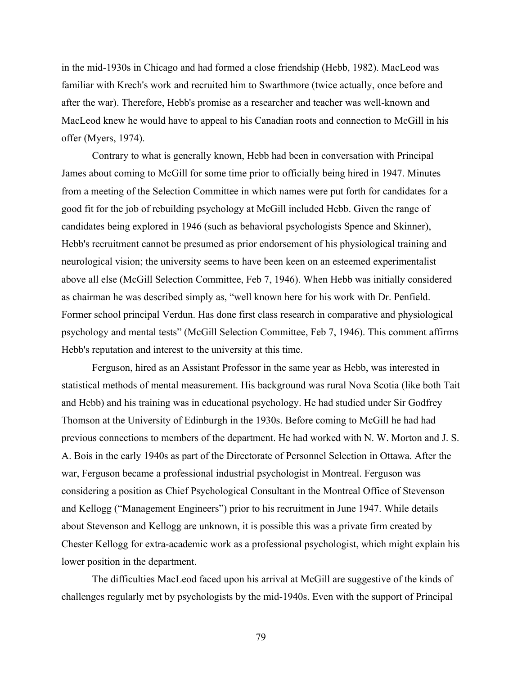in the mid-1930s in Chicago and had formed a close friendship (Hebb, 1982). MacLeod was familiar with Krech's work and recruited him to Swarthmore (twice actually, once before and after the war). Therefore, Hebb's promise as a researcher and teacher was well-known and MacLeod knew he would have to appeal to his Canadian roots and connection to McGill in his offer (Myers, 1974).

Contrary to what is generally known, Hebb had been in conversation with Principal James about coming to McGill for some time prior to officially being hired in 1947. Minutes from a meeting of the Selection Committee in which names were put forth for candidates for a good fit for the job of rebuilding psychology at McGill included Hebb. Given the range of candidates being explored in 1946 (such as behavioral psychologists Spence and Skinner), Hebb's recruitment cannot be presumed as prior endorsement of his physiological training and neurological vision; the university seems to have been keen on an esteemed experimentalist above all else (McGill Selection Committee, Feb 7, 1946). When Hebb was initially considered as chairman he was described simply as, "well known here for his work with Dr. Penfield. Former school principal Verdun. Has done first class research in comparative and physiological psychology and mental tests" (McGill Selection Committee, Feb 7, 1946). This comment affirms Hebb's reputation and interest to the university at this time.

Ferguson, hired as an Assistant Professor in the same year as Hebb, was interested in statistical methods of mental measurement. His background was rural Nova Scotia (like both Tait and Hebb) and his training was in educational psychology. He had studied under Sir Godfrey Thomson at the University of Edinburgh in the 1930s. Before coming to McGill he had had previous connections to members of the department. He had worked with N. W. Morton and J. S. A. Bois in the early 1940s as part of the Directorate of Personnel Selection in Ottawa. After the war, Ferguson became a professional industrial psychologist in Montreal. Ferguson was considering a position as Chief Psychological Consultant in the Montreal Office of Stevenson and Kellogg ("Management Engineers") prior to his recruitment in June 1947. While details about Stevenson and Kellogg are unknown, it is possible this was a private firm created by Chester Kellogg for extra-academic work as a professional psychologist, which might explain his lower position in the department.

The difficulties MacLeod faced upon his arrival at McGill are suggestive of the kinds of challenges regularly met by psychologists by the mid-1940s. Even with the support of Principal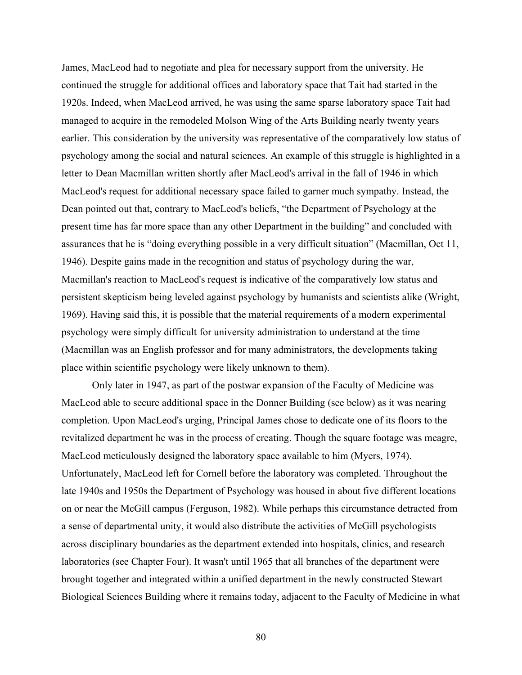James, MacLeod had to negotiate and plea for necessary support from the university. He continued the struggle for additional offices and laboratory space that Tait had started in the 1920s. Indeed, when MacLeod arrived, he was using the same sparse laboratory space Tait had managed to acquire in the remodeled Molson Wing of the Arts Building nearly twenty years earlier. This consideration by the university was representative of the comparatively low status of psychology among the social and natural sciences. An example of this struggle is highlighted in a letter to Dean Macmillan written shortly after MacLeod's arrival in the fall of 1946 in which MacLeod's request for additional necessary space failed to garner much sympathy. Instead, the Dean pointed out that, contrary to MacLeod's beliefs, "the Department of Psychology at the present time has far more space than any other Department in the building" and concluded with assurances that he is "doing everything possible in a very difficult situation" (Macmillan, Oct 11, 1946). Despite gains made in the recognition and status of psychology during the war, Macmillan's reaction to MacLeod's request is indicative of the comparatively low status and persistent skepticism being leveled against psychology by humanists and scientists alike (Wright, 1969). Having said this, it is possible that the material requirements of a modern experimental psychology were simply difficult for university administration to understand at the time (Macmillan was an English professor and for many administrators, the developments taking place within scientific psychology were likely unknown to them).

Only later in 1947, as part of the postwar expansion of the Faculty of Medicine was MacLeod able to secure additional space in the Donner Building (see below) as it was nearing completion. Upon MacLeod's urging, Principal James chose to dedicate one of its floors to the revitalized department he was in the process of creating. Though the square footage was meagre, MacLeod meticulously designed the laboratory space available to him (Myers, 1974). Unfortunately, MacLeod left for Cornell before the laboratory was completed. Throughout the late 1940s and 1950s the Department of Psychology was housed in about five different locations on or near the McGill campus (Ferguson, 1982). While perhaps this circumstance detracted from a sense of departmental unity, it would also distribute the activities of McGill psychologists across disciplinary boundaries as the department extended into hospitals, clinics, and research laboratories (see Chapter Four). It wasn't until 1965 that all branches of the department were brought together and integrated within a unified department in the newly constructed Stewart Biological Sciences Building where it remains today, adjacent to the Faculty of Medicine in what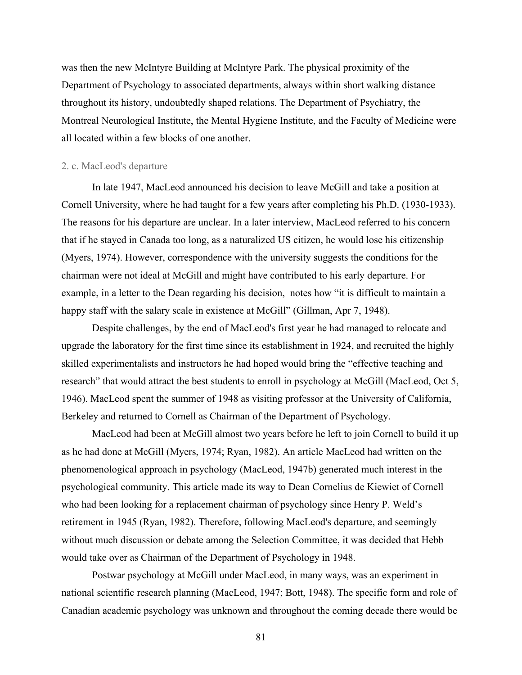was then the new McIntyre Building at McIntyre Park. The physical proximity of the Department of Psychology to associated departments, always within short walking distance throughout its history, undoubtedly shaped relations. The Department of Psychiatry, the Montreal Neurological Institute, the Mental Hygiene Institute, and the Faculty of Medicine were all located within a few blocks of one another.

## 2. c. MacLeod's departure

In late 1947, MacLeod announced his decision to leave McGill and take a position at Cornell University, where he had taught for a few years after completing his Ph.D. (1930-1933). The reasons for his departure are unclear. In a later interview, MacLeod referred to his concern that if he stayed in Canada too long, as a naturalized US citizen, he would lose his citizenship (Myers, 1974). However, correspondence with the university suggests the conditions for the chairman were not ideal at McGill and might have contributed to his early departure. For example, in a letter to the Dean regarding his decision, notes how "it is difficult to maintain a happy staff with the salary scale in existence at McGill" (Gillman, Apr 7, 1948).

Despite challenges, by the end of MacLeod's first year he had managed to relocate and upgrade the laboratory for the first time since its establishment in 1924, and recruited the highly skilled experimentalists and instructors he had hoped would bring the "effective teaching and research" that would attract the best students to enroll in psychology at McGill (MacLeod, Oct 5, 1946). MacLeod spent the summer of 1948 as visiting professor at the University of California, Berkeley and returned to Cornell as Chairman of the Department of Psychology.

MacLeod had been at McGill almost two years before he left to join Cornell to build it up as he had done at McGill (Myers, 1974; Ryan, 1982). An article MacLeod had written on the phenomenological approach in psychology (MacLeod, 1947b) generated much interest in the psychological community. This article made its way to Dean Cornelius de Kiewiet of Cornell who had been looking for a replacement chairman of psychology since Henry P. Weld's retirement in 1945 (Ryan, 1982). Therefore, following MacLeod's departure, and seemingly without much discussion or debate among the Selection Committee, it was decided that Hebb would take over as Chairman of the Department of Psychology in 1948.

Postwar psychology at McGill under MacLeod, in many ways, was an experiment in national scientific research planning (MacLeod, 1947; Bott, 1948). The specific form and role of Canadian academic psychology was unknown and throughout the coming decade there would be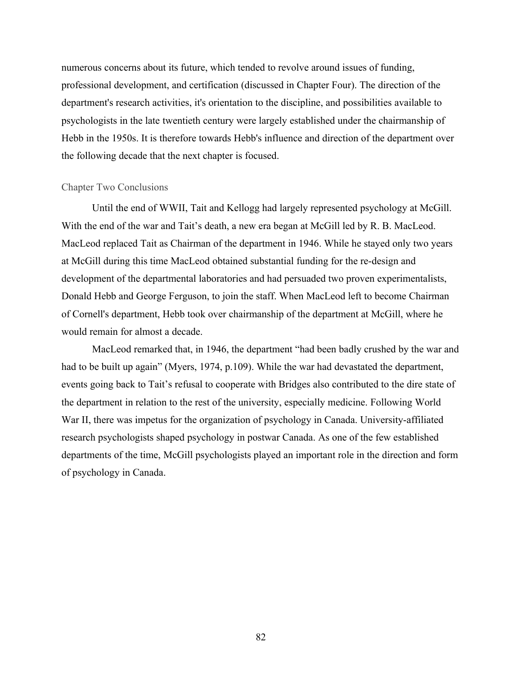numerous concerns about its future, which tended to revolve around issues of funding, professional development, and certification (discussed in Chapter Four). The direction of the department's research activities, it's orientation to the discipline, and possibilities available to psychologists in the late twentieth century were largely established under the chairmanship of Hebb in the 1950s. It is therefore towards Hebb's influence and direction of the department over the following decade that the next chapter is focused.

# Chapter Two Conclusions

Until the end of WWII, Tait and Kellogg had largely represented psychology at McGill. With the end of the war and Tait's death, a new era began at McGill led by R. B. MacLeod. MacLeod replaced Tait as Chairman of the department in 1946. While he stayed only two years at McGill during this time MacLeod obtained substantial funding for the re-design and development of the departmental laboratories and had persuaded two proven experimentalists, Donald Hebb and George Ferguson, to join the staff. When MacLeod left to become Chairman of Cornell's department, Hebb took over chairmanship of the department at McGill, where he would remain for almost a decade.

MacLeod remarked that, in 1946, the department "had been badly crushed by the war and had to be built up again" (Myers, 1974, p.109). While the war had devastated the department, events going back to Tait's refusal to cooperate with Bridges also contributed to the dire state of the department in relation to the rest of the university, especially medicine. Following World War II, there was impetus for the organization of psychology in Canada. University-affiliated research psychologists shaped psychology in postwar Canada. As one of the few established departments of the time, McGill psychologists played an important role in the direction and form of psychology in Canada.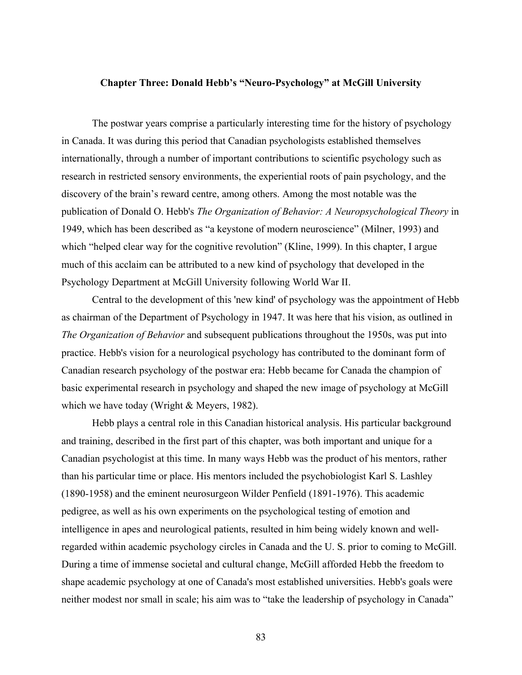#### **Chapter Three: Donald Hebb's "Neuro-Psychology" at McGill University**

The postwar years comprise a particularly interesting time for the history of psychology in Canada. It was during this period that Canadian psychologists established themselves internationally, through a number of important contributions to scientific psychology such as research in restricted sensory environments, the experiential roots of pain psychology, and the discovery of the brain's reward centre, among others. Among the most notable was the publication of Donald O. Hebb's *The Organization of Behavior: A Neuropsychological Theory* in 1949, which has been described as "a keystone of modern neuroscience" (Milner, 1993) and which "helped clear way for the cognitive revolution" (Kline, 1999). In this chapter, I argue much of this acclaim can be attributed to a new kind of psychology that developed in the Psychology Department at McGill University following World War II.

Central to the development of this 'new kind' of psychology was the appointment of Hebb as chairman of the Department of Psychology in 1947. It was here that his vision, as outlined in *The Organization of Behavior* and subsequent publications throughout the 1950s, was put into practice. Hebb's vision for a neurological psychology has contributed to the dominant form of Canadian research psychology of the postwar era: Hebb became for Canada the champion of basic experimental research in psychology and shaped the new image of psychology at McGill which we have today (Wright & Meyers, 1982).

Hebb plays a central role in this Canadian historical analysis. His particular background and training, described in the first part of this chapter, was both important and unique for a Canadian psychologist at this time. In many ways Hebb was the product of his mentors, rather than his particular time or place. His mentors included the psychobiologist Karl S. Lashley (1890-1958) and the eminent neurosurgeon Wilder Penfield (1891-1976). This academic pedigree, as well as his own experiments on the psychological testing of emotion and intelligence in apes and neurological patients, resulted in him being widely known and wellregarded within academic psychology circles in Canada and the U. S. prior to coming to McGill. During a time of immense societal and cultural change, McGill afforded Hebb the freedom to shape academic psychology at one of Canada's most established universities. Hebb's goals were neither modest nor small in scale; his aim was to "take the leadership of psychology in Canada"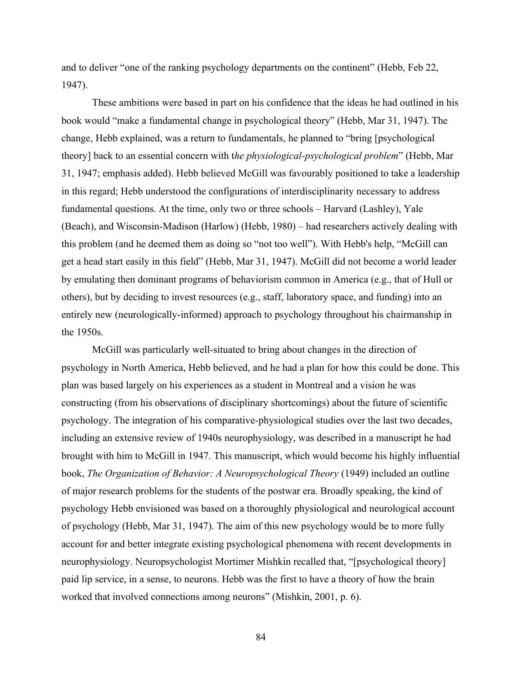and to deliver "one of the ranking psychology departments on the continent" (Hebb, Feb 22, 1947).

These ambitions were based in part on his confidence that the ideas he had outlined in his book would "make a fundamental change in psychological theory" (Hebb, Mar 31, 1947). The change, Hebb explained, was a return to fundamentals, he planned to "bring [psychological theory] back to an essential concern with t*he physiological-psychological problem*" (Hebb, Mar 31, 1947; emphasis added). Hebb believed McGill was favourably positioned to take a leadership in this regard; Hebb understood the configurations of interdisciplinarity necessary to address fundamental questions. At the time, only two or three schools – Harvard (Lashley), Yale (Beach), and Wisconsin-Madison (Harlow) (Hebb, 1980) – had researchers actively dealing with this problem (and he deemed them as doing so "not too well"). With Hebb's help, "McGill can get a head start easily in this field" (Hebb, Mar 31, 1947). McGill did not become a world leader by emulating then dominant programs of behaviorism common in America (e.g., that of Hull or others), but by deciding to invest resources (e.g., staff, laboratory space, and funding) into an entirely new (neurologically-informed) approach to psychology throughout his chairmanship in the 1950s.

McGill was particularly well-situated to bring about changes in the direction of psychology in North America, Hebb believed, and he had a plan for how this could be done. This plan was based largely on his experiences as a student in Montreal and a vision he was constructing (from his observations of disciplinary shortcomings) about the future of scientific psychology. The integration of his comparative-physiological studies over the last two decades, including an extensive review of 1940s neurophysiology, was described in a manuscript he had brought with him to McGill in 1947. This manuscript, which would become his highly influential book, *The Organization of Behavior: A Neuropsychological Theory* (1949) included an outline of major research problems for the students of the postwar era. Broadly speaking, the kind of psychology Hebb envisioned was based on a thoroughly physiological and neurological account of psychology (Hebb, Mar 31, 1947). The aim of this new psychology would be to more fully account for and better integrate existing psychological phenomena with recent developments in neurophysiology. Neuropsychologist Mortimer Mishkin recalled that, "[psychological theory] paid lip service, in a sense, to neurons. Hebb was the first to have a theory of how the brain worked that involved connections among neurons" (Mishkin, 2001, p. 6).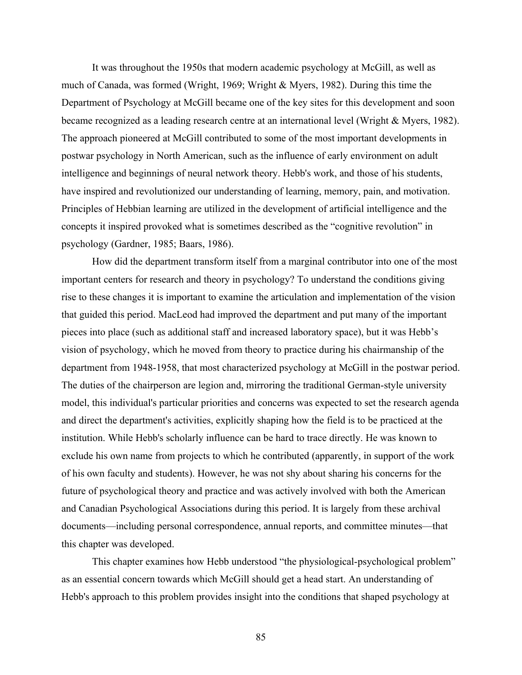It was throughout the 1950s that modern academic psychology at McGill, as well as much of Canada, was formed (Wright, 1969; Wright & Myers, 1982). During this time the Department of Psychology at McGill became one of the key sites for this development and soon became recognized as a leading research centre at an international level (Wright & Myers, 1982). The approach pioneered at McGill contributed to some of the most important developments in postwar psychology in North American, such as the influence of early environment on adult intelligence and beginnings of neural network theory. Hebb's work, and those of his students, have inspired and revolutionized our understanding of learning, memory, pain, and motivation. Principles of Hebbian learning are utilized in the development of artificial intelligence and the concepts it inspired provoked what is sometimes described as the "cognitive revolution" in psychology (Gardner, 1985; Baars, 1986).

How did the department transform itself from a marginal contributor into one of the most important centers for research and theory in psychology? To understand the conditions giving rise to these changes it is important to examine the articulation and implementation of the vision that guided this period. MacLeod had improved the department and put many of the important pieces into place (such as additional staff and increased laboratory space), but it was Hebb's vision of psychology, which he moved from theory to practice during his chairmanship of the department from 1948-1958, that most characterized psychology at McGill in the postwar period. The duties of the chairperson are legion and, mirroring the traditional German-style university model, this individual's particular priorities and concerns was expected to set the research agenda and direct the department's activities, explicitly shaping how the field is to be practiced at the institution. While Hebb's scholarly influence can be hard to trace directly. He was known to exclude his own name from projects to which he contributed (apparently, in support of the work of his own faculty and students). However, he was not shy about sharing his concerns for the future of psychological theory and practice and was actively involved with both the American and Canadian Psychological Associations during this period. It is largely from these archival documents—including personal correspondence, annual reports, and committee minutes—that this chapter was developed.

This chapter examines how Hebb understood "the physiological-psychological problem" as an essential concern towards which McGill should get a head start. An understanding of Hebb's approach to this problem provides insight into the conditions that shaped psychology at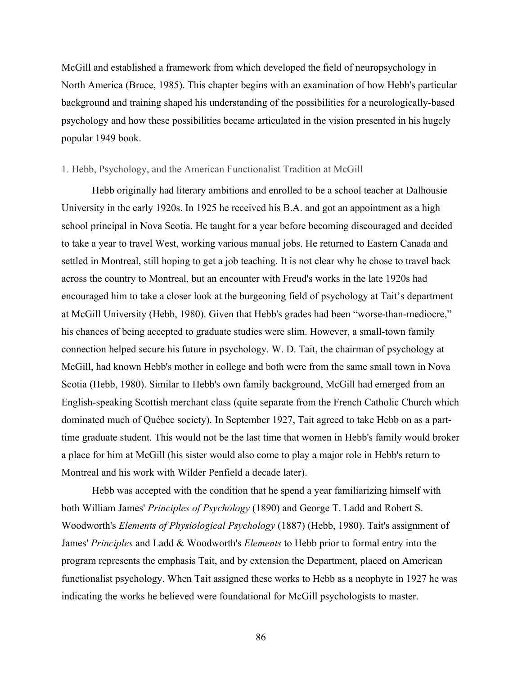McGill and established a framework from which developed the field of neuropsychology in North America (Bruce, 1985). This chapter begins with an examination of how Hebb's particular background and training shaped his understanding of the possibilities for a neurologically-based psychology and how these possibilities became articulated in the vision presented in his hugely popular 1949 book.

## 1. Hebb, Psychology, and the American Functionalist Tradition at McGill

Hebb originally had literary ambitions and enrolled to be a school teacher at Dalhousie University in the early 1920s. In 1925 he received his B.A. and got an appointment as a high school principal in Nova Scotia. He taught for a year before becoming discouraged and decided to take a year to travel West, working various manual jobs. He returned to Eastern Canada and settled in Montreal, still hoping to get a job teaching. It is not clear why he chose to travel back across the country to Montreal, but an encounter with Freud's works in the late 1920s had encouraged him to take a closer look at the burgeoning field of psychology at Tait's department at McGill University (Hebb, 1980). Given that Hebb's grades had been "worse-than-mediocre," his chances of being accepted to graduate studies were slim. However, a small-town family connection helped secure his future in psychology. W. D. Tait, the chairman of psychology at McGill, had known Hebb's mother in college and both were from the same small town in Nova Scotia (Hebb, 1980). Similar to Hebb's own family background, McGill had emerged from an English-speaking Scottish merchant class (quite separate from the French Catholic Church which dominated much of Québec society). In September 1927, Tait agreed to take Hebb on as a parttime graduate student. This would not be the last time that women in Hebb's family would broker a place for him at McGill (his sister would also come to play a major role in Hebb's return to Montreal and his work with Wilder Penfield a decade later).

Hebb was accepted with the condition that he spend a year familiarizing himself with both William James' *Principles of Psychology* (1890) and George T. Ladd and Robert S. Woodworth's *Elements of Physiological Psychology* (1887) (Hebb, 1980). Tait's assignment of James' *Principles* and Ladd & Woodworth's *Elements* to Hebb prior to formal entry into the program represents the emphasis Tait, and by extension the Department, placed on American functionalist psychology. When Tait assigned these works to Hebb as a neophyte in 1927 he was indicating the works he believed were foundational for McGill psychologists to master.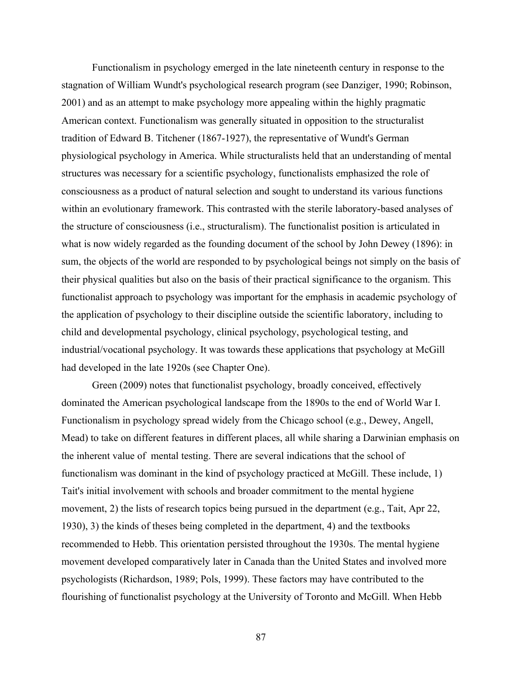Functionalism in psychology emerged in the late nineteenth century in response to the stagnation of William Wundt's psychological research program (see Danziger, 1990; Robinson, 2001) and as an attempt to make psychology more appealing within the highly pragmatic American context. Functionalism was generally situated in opposition to the structuralist tradition of Edward B. Titchener (1867-1927), the representative of Wundt's German physiological psychology in America. While structuralists held that an understanding of mental structures was necessary for a scientific psychology, functionalists emphasized the role of consciousness as a product of natural selection and sought to understand its various functions within an evolutionary framework. This contrasted with the sterile laboratory-based analyses of the structure of consciousness (i.e., structuralism). The functionalist position is articulated in what is now widely regarded as the founding document of the school by John Dewey (1896): in sum, the objects of the world are responded to by psychological beings not simply on the basis of their physical qualities but also on the basis of their practical significance to the organism. This functionalist approach to psychology was important for the emphasis in academic psychology of the application of psychology to their discipline outside the scientific laboratory, including to child and developmental psychology, clinical psychology, psychological testing, and industrial/vocational psychology. It was towards these applications that psychology at McGill had developed in the late 1920s (see Chapter One).

Green (2009) notes that functionalist psychology, broadly conceived, effectively dominated the American psychological landscape from the 1890s to the end of World War I. Functionalism in psychology spread widely from the Chicago school (e.g., Dewey, Angell, Mead) to take on different features in different places, all while sharing a Darwinian emphasis on the inherent value of mental testing. There are several indications that the school of functionalism was dominant in the kind of psychology practiced at McGill. These include, 1) Tait's initial involvement with schools and broader commitment to the mental hygiene movement, 2) the lists of research topics being pursued in the department (e.g., Tait, Apr 22, 1930), 3) the kinds of theses being completed in the department, 4) and the textbooks recommended to Hebb. This orientation persisted throughout the 1930s. The mental hygiene movement developed comparatively later in Canada than the United States and involved more psychologists (Richardson, 1989; Pols, 1999). These factors may have contributed to the flourishing of functionalist psychology at the University of Toronto and McGill. When Hebb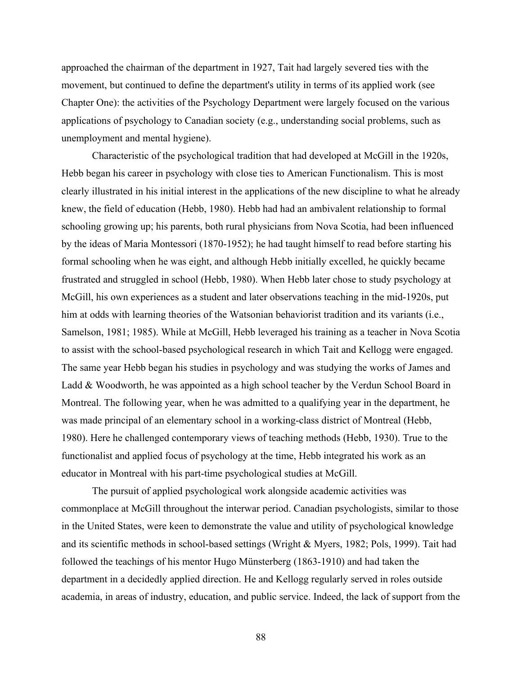approached the chairman of the department in 1927, Tait had largely severed ties with the movement, but continued to define the department's utility in terms of its applied work (see Chapter One): the activities of the Psychology Department were largely focused on the various applications of psychology to Canadian society (e.g., understanding social problems, such as unemployment and mental hygiene).

Characteristic of the psychological tradition that had developed at McGill in the 1920s, Hebb began his career in psychology with close ties to American Functionalism. This is most clearly illustrated in his initial interest in the applications of the new discipline to what he already knew, the field of education (Hebb, 1980). Hebb had had an ambivalent relationship to formal schooling growing up; his parents, both rural physicians from Nova Scotia, had been influenced by the ideas of Maria Montessori (1870-1952); he had taught himself to read before starting his formal schooling when he was eight, and although Hebb initially excelled, he quickly became frustrated and struggled in school (Hebb, 1980). When Hebb later chose to study psychology at McGill, his own experiences as a student and later observations teaching in the mid-1920s, put him at odds with learning theories of the Watsonian behaviorist tradition and its variants (i.e., Samelson, 1981; 1985). While at McGill, Hebb leveraged his training as a teacher in Nova Scotia to assist with the school-based psychological research in which Tait and Kellogg were engaged. The same year Hebb began his studies in psychology and was studying the works of James and Ladd & Woodworth, he was appointed as a high school teacher by the Verdun School Board in Montreal. The following year, when he was admitted to a qualifying year in the department, he was made principal of an elementary school in a working-class district of Montreal (Hebb, 1980). Here he challenged contemporary views of teaching methods (Hebb, 1930). True to the functionalist and applied focus of psychology at the time, Hebb integrated his work as an educator in Montreal with his part-time psychological studies at McGill.

The pursuit of applied psychological work alongside academic activities was commonplace at McGill throughout the interwar period. Canadian psychologists, similar to those in the United States, were keen to demonstrate the value and utility of psychological knowledge and its scientific methods in school-based settings (Wright & Myers, 1982; Pols, 1999). Tait had followed the teachings of his mentor Hugo Münsterberg (1863-1910) and had taken the department in a decidedly applied direction. He and Kellogg regularly served in roles outside academia, in areas of industry, education, and public service. Indeed, the lack of support from the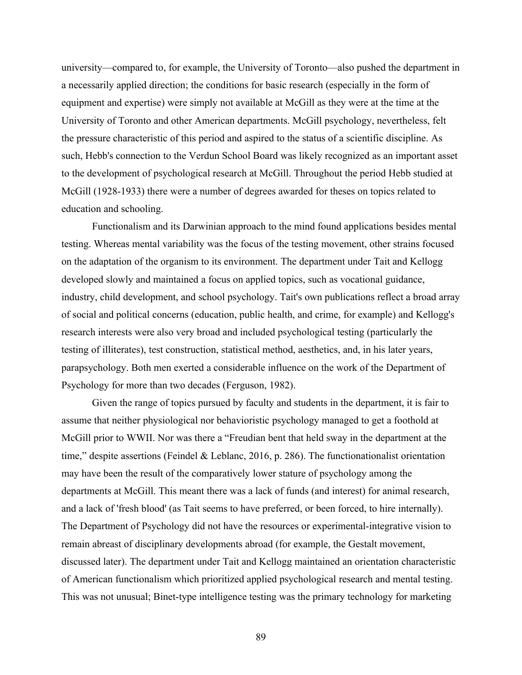university—compared to, for example, the University of Toronto—also pushed the department in a necessarily applied direction; the conditions for basic research (especially in the form of equipment and expertise) were simply not available at McGill as they were at the time at the University of Toronto and other American departments. McGill psychology, nevertheless, felt the pressure characteristic of this period and aspired to the status of a scientific discipline. As such, Hebb's connection to the Verdun School Board was likely recognized as an important asset to the development of psychological research at McGill. Throughout the period Hebb studied at McGill (1928-1933) there were a number of degrees awarded for theses on topics related to education and schooling.

Functionalism and its Darwinian approach to the mind found applications besides mental testing. Whereas mental variability was the focus of the testing movement, other strains focused on the adaptation of the organism to its environment. The department under Tait and Kellogg developed slowly and maintained a focus on applied topics, such as vocational guidance, industry, child development, and school psychology. Tait's own publications reflect a broad array of social and political concerns (education, public health, and crime, for example) and Kellogg's research interests were also very broad and included psychological testing (particularly the testing of illiterates), test construction, statistical method, aesthetics, and, in his later years, parapsychology. Both men exerted a considerable influence on the work of the Department of Psychology for more than two decades (Ferguson, 1982).

Given the range of topics pursued by faculty and students in the department, it is fair to assume that neither physiological nor behavioristic psychology managed to get a foothold at McGill prior to WWII. Nor was there a "Freudian bent that held sway in the department at the time," despite assertions (Feindel & Leblanc, 2016, p. 286). The functionationalist orientation may have been the result of the comparatively lower stature of psychology among the departments at McGill. This meant there was a lack of funds (and interest) for animal research, and a lack of 'fresh blood' (as Tait seems to have preferred, or been forced, to hire internally). The Department of Psychology did not have the resources or experimental-integrative vision to remain abreast of disciplinary developments abroad (for example, the Gestalt movement, discussed later). The department under Tait and Kellogg maintained an orientation characteristic of American functionalism which prioritized applied psychological research and mental testing. This was not unusual; Binet-type intelligence testing was the primary technology for marketing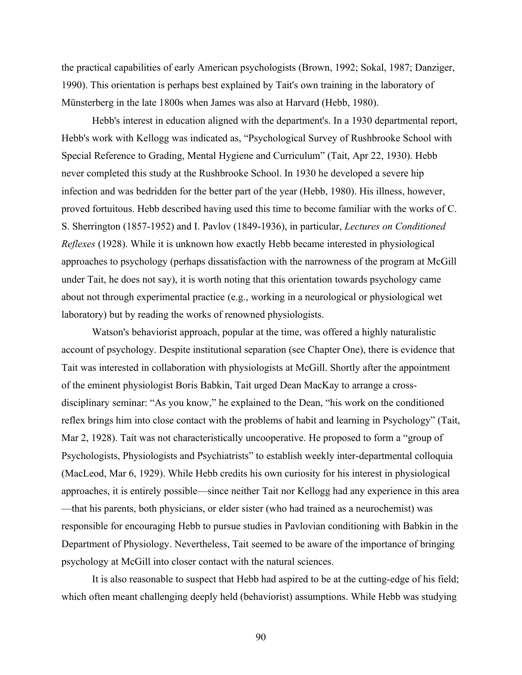the practical capabilities of early American psychologists (Brown, 1992; Sokal, 1987; Danziger, 1990). This orientation is perhaps best explained by Tait's own training in the laboratory of Münsterberg in the late 1800s when James was also at Harvard (Hebb, 1980).

Hebb's interest in education aligned with the department's. In a 1930 departmental report, Hebb's work with Kellogg was indicated as, "Psychological Survey of Rushbrooke School with Special Reference to Grading, Mental Hygiene and Curriculum" (Tait, Apr 22, 1930). Hebb never completed this study at the Rushbrooke School. In 1930 he developed a severe hip infection and was bedridden for the better part of the year (Hebb, 1980). His illness, however, proved fortuitous. Hebb described having used this time to become familiar with the works of C. S. Sherrington (1857-1952) and I. Pavlov (1849-1936), in particular, *Lectures on Conditioned Reflexes* (1928). While it is unknown how exactly Hebb became interested in physiological approaches to psychology (perhaps dissatisfaction with the narrowness of the program at McGill under Tait, he does not say), it is worth noting that this orientation towards psychology came about not through experimental practice (e.g., working in a neurological or physiological wet laboratory) but by reading the works of renowned physiologists.

Watson's behaviorist approach, popular at the time, was offered a highly naturalistic account of psychology. Despite institutional separation (see Chapter One), there is evidence that Tait was interested in collaboration with physiologists at McGill. Shortly after the appointment of the eminent physiologist Boris Babkin, Tait urged Dean MacKay to arrange a crossdisciplinary seminar: "As you know," he explained to the Dean, "his work on the conditioned reflex brings him into close contact with the problems of habit and learning in Psychology" (Tait, Mar 2, 1928). Tait was not characteristically uncooperative. He proposed to form a "group of Psychologists, Physiologists and Psychiatrists" to establish weekly inter-departmental colloquia (MacLeod, Mar 6, 1929). While Hebb credits his own curiosity for his interest in physiological approaches, it is entirely possible—since neither Tait nor Kellogg had any experience in this area —that his parents, both physicians, or elder sister (who had trained as a neurochemist) was responsible for encouraging Hebb to pursue studies in Pavlovian conditioning with Babkin in the Department of Physiology. Nevertheless, Tait seemed to be aware of the importance of bringing psychology at McGill into closer contact with the natural sciences.

It is also reasonable to suspect that Hebb had aspired to be at the cutting-edge of his field; which often meant challenging deeply held (behaviorist) assumptions. While Hebb was studying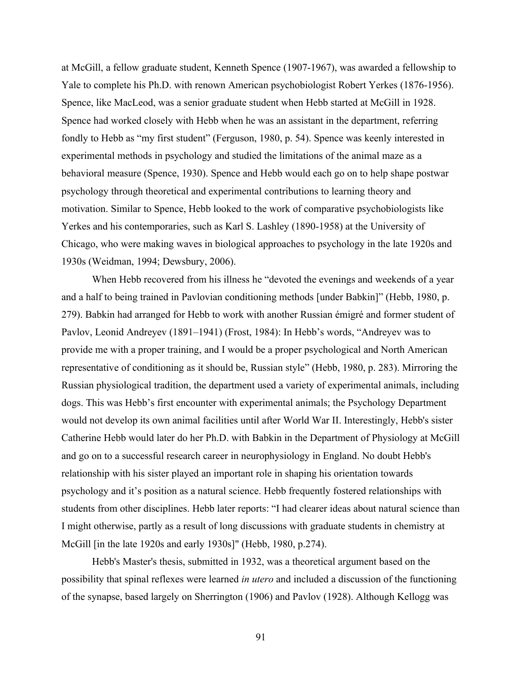at McGill, a fellow graduate student, Kenneth Spence (1907-1967), was awarded a fellowship to Yale to complete his Ph.D. with renown American psychobiologist Robert Yerkes (1876-1956). Spence, like MacLeod, was a senior graduate student when Hebb started at McGill in 1928. Spence had worked closely with Hebb when he was an assistant in the department, referring fondly to Hebb as "my first student" (Ferguson, 1980, p. 54). Spence was keenly interested in experimental methods in psychology and studied the limitations of the animal maze as a behavioral measure (Spence, 1930). Spence and Hebb would each go on to help shape postwar psychology through theoretical and experimental contributions to learning theory and motivation. Similar to Spence, Hebb looked to the work of comparative psychobiologists like Yerkes and his contemporaries, such as Karl S. Lashley (1890-1958) at the University of Chicago, who were making waves in biological approaches to psychology in the late 1920s and 1930s (Weidman, 1994; Dewsbury, 2006).

When Hebb recovered from his illness he "devoted the evenings and weekends of a year and a half to being trained in Pavlovian conditioning methods [under Babkin]" (Hebb, 1980, p. 279). Babkin had arranged for Hebb to work with another Russian émigré and former student of Pavlov, Leonid Andreyev (1891–1941) (Frost, 1984): In Hebb's words, "Andreyev was to provide me with a proper training, and I would be a proper psychological and North American representative of conditioning as it should be, Russian style" (Hebb, 1980, p. 283). Mirroring the Russian physiological tradition, the department used a variety of experimental animals, including dogs. This was Hebb's first encounter with experimental animals; the Psychology Department would not develop its own animal facilities until after World War II. Interestingly, Hebb's sister Catherine Hebb would later do her Ph.D. with Babkin in the Department of Physiology at McGill and go on to a successful research career in neurophysiology in England. No doubt Hebb's relationship with his sister played an important role in shaping his orientation towards psychology and it's position as a natural science. Hebb frequently fostered relationships with students from other disciplines. Hebb later reports: "I had clearer ideas about natural science than I might otherwise, partly as a result of long discussions with graduate students in chemistry at McGill [in the late 1920s and early 1930s]" (Hebb, 1980, p.274).

Hebb's Master's thesis, submitted in 1932, was a theoretical argument based on the possibility that spinal reflexes were learned *in utero* and included a discussion of the functioning of the synapse, based largely on Sherrington (1906) and Pavlov (1928). Although Kellogg was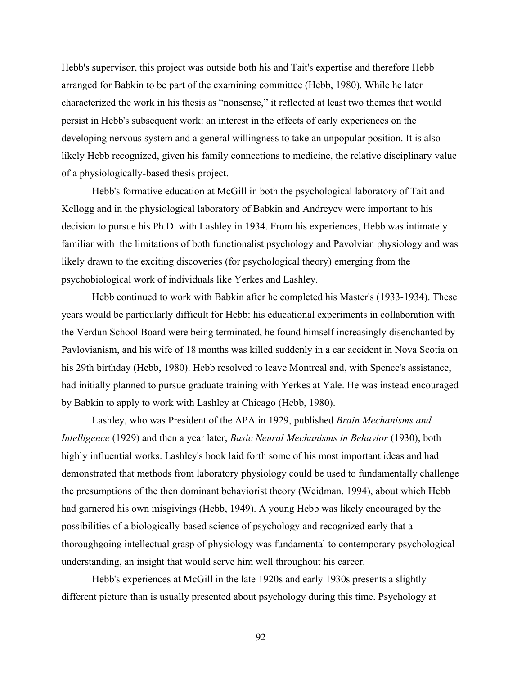Hebb's supervisor, this project was outside both his and Tait's expertise and therefore Hebb arranged for Babkin to be part of the examining committee (Hebb, 1980). While he later characterized the work in his thesis as "nonsense," it reflected at least two themes that would persist in Hebb's subsequent work: an interest in the effects of early experiences on the developing nervous system and a general willingness to take an unpopular position. It is also likely Hebb recognized, given his family connections to medicine, the relative disciplinary value of a physiologically-based thesis project.

Hebb's formative education at McGill in both the psychological laboratory of Tait and Kellogg and in the physiological laboratory of Babkin and Andreyev were important to his decision to pursue his Ph.D. with Lashley in 1934. From his experiences, Hebb was intimately familiar with the limitations of both functionalist psychology and Pavolvian physiology and was likely drawn to the exciting discoveries (for psychological theory) emerging from the psychobiological work of individuals like Yerkes and Lashley.

Hebb continued to work with Babkin after he completed his Master's (1933-1934). These years would be particularly difficult for Hebb: his educational experiments in collaboration with the Verdun School Board were being terminated, he found himself increasingly disenchanted by Pavlovianism, and his wife of 18 months was killed suddenly in a car accident in Nova Scotia on his 29th birthday (Hebb, 1980). Hebb resolved to leave Montreal and, with Spence's assistance, had initially planned to pursue graduate training with Yerkes at Yale. He was instead encouraged by Babkin to apply to work with Lashley at Chicago (Hebb, 1980).

Lashley, who was President of the APA in 1929, published *Brain Mechanisms and Intelligence* (1929) and then a year later, *Basic Neural Mechanisms in Behavior* (1930), both highly influential works. Lashley's book laid forth some of his most important ideas and had demonstrated that methods from laboratory physiology could be used to fundamentally challenge the presumptions of the then dominant behaviorist theory (Weidman, 1994), about which Hebb had garnered his own misgivings (Hebb, 1949). A young Hebb was likely encouraged by the possibilities of a biologically-based science of psychology and recognized early that a thoroughgoing intellectual grasp of physiology was fundamental to contemporary psychological understanding, an insight that would serve him well throughout his career.

Hebb's experiences at McGill in the late 1920s and early 1930s presents a slightly different picture than is usually presented about psychology during this time. Psychology at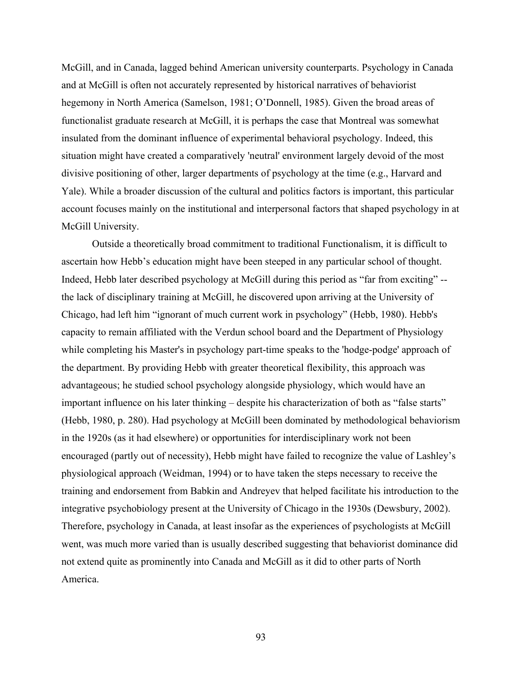McGill, and in Canada, lagged behind American university counterparts. Psychology in Canada and at McGill is often not accurately represented by historical narratives of behaviorist hegemony in North America (Samelson, 1981; O'Donnell, 1985). Given the broad areas of functionalist graduate research at McGill, it is perhaps the case that Montreal was somewhat insulated from the dominant influence of experimental behavioral psychology. Indeed, this situation might have created a comparatively 'neutral' environment largely devoid of the most divisive positioning of other, larger departments of psychology at the time (e.g., Harvard and Yale). While a broader discussion of the cultural and politics factors is important, this particular account focuses mainly on the institutional and interpersonal factors that shaped psychology in at McGill University.

Outside a theoretically broad commitment to traditional Functionalism, it is difficult to ascertain how Hebb's education might have been steeped in any particular school of thought. Indeed, Hebb later described psychology at McGill during this period as "far from exciting" - the lack of disciplinary training at McGill, he discovered upon arriving at the University of Chicago, had left him "ignorant of much current work in psychology" (Hebb, 1980). Hebb's capacity to remain affiliated with the Verdun school board and the Department of Physiology while completing his Master's in psychology part-time speaks to the 'hodge-podge' approach of the department. By providing Hebb with greater theoretical flexibility, this approach was advantageous; he studied school psychology alongside physiology, which would have an important influence on his later thinking – despite his characterization of both as "false starts" (Hebb, 1980, p. 280). Had psychology at McGill been dominated by methodological behaviorism in the 1920s (as it had elsewhere) or opportunities for interdisciplinary work not been encouraged (partly out of necessity), Hebb might have failed to recognize the value of Lashley's physiological approach (Weidman, 1994) or to have taken the steps necessary to receive the training and endorsement from Babkin and Andreyev that helped facilitate his introduction to the integrative psychobiology present at the University of Chicago in the 1930s (Dewsbury, 2002). Therefore, psychology in Canada, at least insofar as the experiences of psychologists at McGill went, was much more varied than is usually described suggesting that behaviorist dominance did not extend quite as prominently into Canada and McGill as it did to other parts of North America.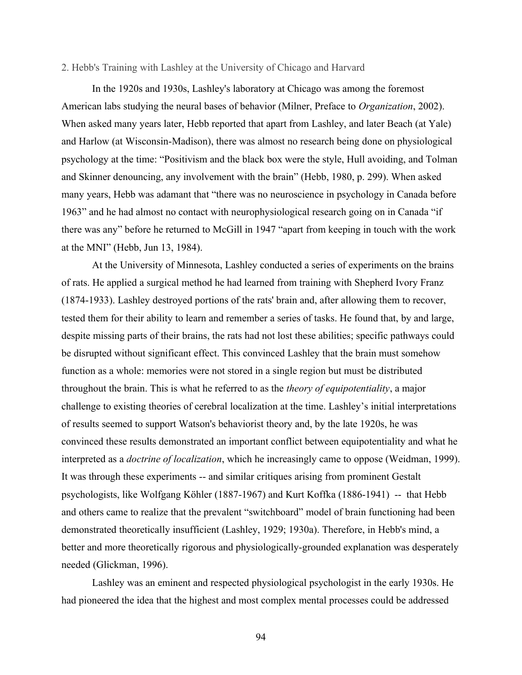### 2. Hebb's Training with Lashley at the University of Chicago and Harvard

In the 1920s and 1930s, Lashley's laboratory at Chicago was among the foremost American labs studying the neural bases of behavior (Milner, Preface to *Organization*, 2002). When asked many years later, Hebb reported that apart from Lashley, and later Beach (at Yale) and Harlow (at Wisconsin-Madison), there was almost no research being done on physiological psychology at the time: "Positivism and the black box were the style, Hull avoiding, and Tolman and Skinner denouncing, any involvement with the brain" (Hebb, 1980, p. 299). When asked many years, Hebb was adamant that "there was no neuroscience in psychology in Canada before 1963" and he had almost no contact with neurophysiological research going on in Canada "if there was any" before he returned to McGill in 1947 "apart from keeping in touch with the work at the MNI" (Hebb, Jun 13, 1984).

At the University of Minnesota, Lashley conducted a series of experiments on the brains of rats. He applied a surgical method he had learned from training with Shepherd Ivory Franz (1874-1933). Lashley destroyed portions of the rats' brain and, after allowing them to recover, tested them for their ability to learn and remember a series of tasks. He found that, by and large, despite missing parts of their brains, the rats had not lost these abilities; specific pathways could be disrupted without significant effect. This convinced Lashley that the brain must somehow function as a whole: memories were not stored in a single region but must be distributed throughout the brain. This is what he referred to as the *theory of equipotentiality*, a major challenge to existing theories of cerebral localization at the time. Lashley's initial interpretations of results seemed to support Watson's behaviorist theory and, by the late 1920s, he was convinced these results demonstrated an important conflict between equipotentiality and what he interpreted as a *doctrine of localization*, which he increasingly came to oppose (Weidman, 1999). It was through these experiments -- and similar critiques arising from prominent Gestalt psychologists, like Wolfgang Köhler (1887-1967) and Kurt Koffka (1886-1941) -- that Hebb and others came to realize that the prevalent "switchboard" model of brain functioning had been demonstrated theoretically insufficient (Lashley, 1929; 1930a). Therefore, in Hebb's mind, a better and more theoretically rigorous and physiologically-grounded explanation was desperately needed (Glickman, 1996).

Lashley was an eminent and respected physiological psychologist in the early 1930s. He had pioneered the idea that the highest and most complex mental processes could be addressed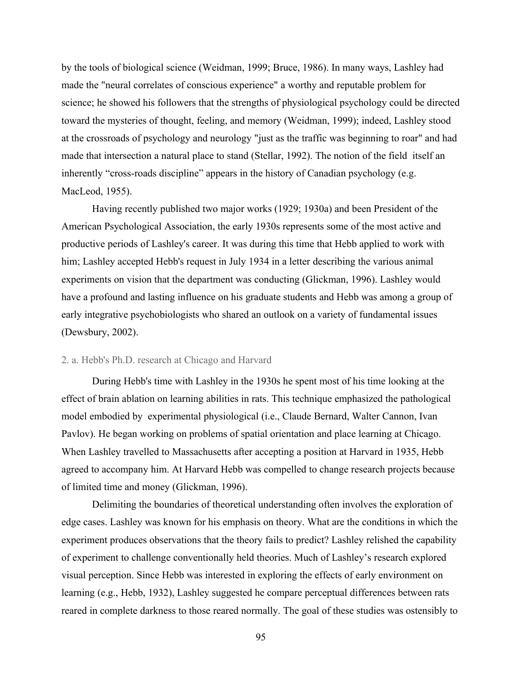by the tools of biological science (Weidman, 1999; Bruce, 1986). In many ways, Lashley had made the "neural correlates of conscious experience" a worthy and reputable problem for science; he showed his followers that the strengths of physiological psychology could be directed toward the mysteries of thought, feeling, and memory (Weidman, 1999); indeed, Lashley stood at the crossroads of psychology and neurology "just as the traffic was beginning to roar" and had made that intersection a natural place to stand (Stellar, 1992). The notion of the field itself an inherently "cross-roads discipline" appears in the history of Canadian psychology (e.g. MacLeod, 1955).

Having recently published two major works (1929; 1930a) and been President of the American Psychological Association, the early 1930s represents some of the most active and productive periods of Lashley's career. It was during this time that Hebb applied to work with him; Lashley accepted Hebb's request in July 1934 in a letter describing the various animal experiments on vision that the department was conducting (Glickman, 1996). Lashley would have a profound and lasting influence on his graduate students and Hebb was among a group of early integrative psychobiologists who shared an outlook on a variety of fundamental issues (Dewsbury, 2002).

## 2. a. Hebb's Ph.D. research at Chicago and Harvard

During Hebb's time with Lashley in the 1930s he spent most of his time looking at the effect of brain ablation on learning abilities in rats. This technique emphasized the pathological model embodied by experimental physiological (i.e., Claude Bernard, Walter Cannon, Ivan Pavlov). He began working on problems of spatial orientation and place learning at Chicago. When Lashley travelled to Massachusetts after accepting a position at Harvard in 1935, Hebb agreed to accompany him. At Harvard Hebb was compelled to change research projects because of limited time and money (Glickman, 1996).

Delimiting the boundaries of theoretical understanding often involves the exploration of edge cases. Lashley was known for his emphasis on theory. What are the conditions in which the experiment produces observations that the theory fails to predict? Lashley relished the capability of experiment to challenge conventionally held theories. Much of Lashley's research explored visual perception. Since Hebb was interested in exploring the effects of early environment on learning (e.g., Hebb, 1932), Lashley suggested he compare perceptual differences between rats reared in complete darkness to those reared normally. The goal of these studies was ostensibly to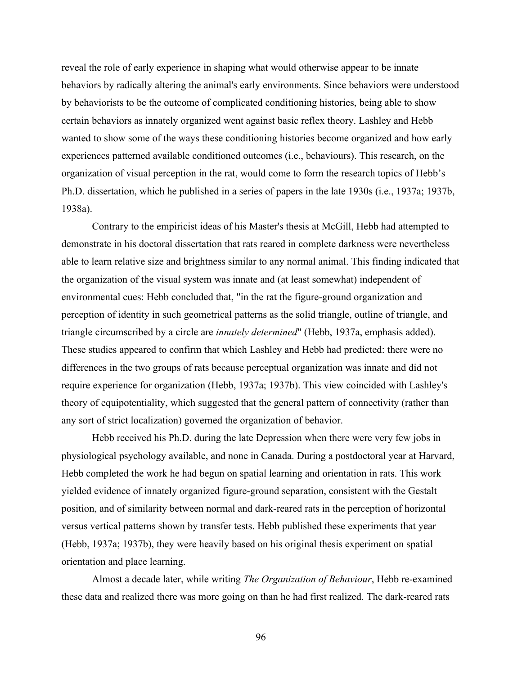reveal the role of early experience in shaping what would otherwise appear to be innate behaviors by radically altering the animal's early environments. Since behaviors were understood by behaviorists to be the outcome of complicated conditioning histories, being able to show certain behaviors as innately organized went against basic reflex theory. Lashley and Hebb wanted to show some of the ways these conditioning histories become organized and how early experiences patterned available conditioned outcomes (i.e., behaviours). This research, on the organization of visual perception in the rat, would come to form the research topics of Hebb's Ph.D. dissertation, which he published in a series of papers in the late 1930s (i.e., 1937a; 1937b, 1938a).

Contrary to the empiricist ideas of his Master's thesis at McGill, Hebb had attempted to demonstrate in his doctoral dissertation that rats reared in complete darkness were nevertheless able to learn relative size and brightness similar to any normal animal. This finding indicated that the organization of the visual system was innate and (at least somewhat) independent of environmental cues: Hebb concluded that, "in the rat the figure-ground organization and perception of identity in such geometrical patterns as the solid triangle, outline of triangle, and triangle circumscribed by a circle are *innately determined*" (Hebb, 1937a, emphasis added). These studies appeared to confirm that which Lashley and Hebb had predicted: there were no differences in the two groups of rats because perceptual organization was innate and did not require experience for organization (Hebb, 1937a; 1937b). This view coincided with Lashley's theory of equipotentiality, which suggested that the general pattern of connectivity (rather than any sort of strict localization) governed the organization of behavior.

Hebb received his Ph.D. during the late Depression when there were very few jobs in physiological psychology available, and none in Canada. During a postdoctoral year at Harvard, Hebb completed the work he had begun on spatial learning and orientation in rats. This work yielded evidence of innately organized figure-ground separation, consistent with the Gestalt position, and of similarity between normal and dark-reared rats in the perception of horizontal versus vertical patterns shown by transfer tests. Hebb published these experiments that year (Hebb, 1937a; 1937b), they were heavily based on his original thesis experiment on spatial orientation and place learning.

Almost a decade later, while writing *The Organization of Behaviour*, Hebb re-examined these data and realized there was more going on than he had first realized. The dark-reared rats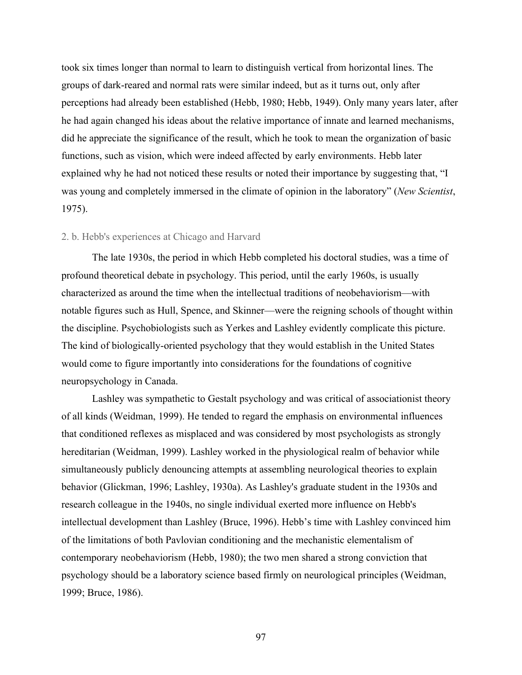took six times longer than normal to learn to distinguish vertical from horizontal lines. The groups of dark-reared and normal rats were similar indeed, but as it turns out, only after perceptions had already been established (Hebb, 1980; Hebb, 1949). Only many years later, after he had again changed his ideas about the relative importance of innate and learned mechanisms, did he appreciate the significance of the result, which he took to mean the organization of basic functions, such as vision, which were indeed affected by early environments. Hebb later explained why he had not noticed these results or noted their importance by suggesting that, "I was young and completely immersed in the climate of opinion in the laboratory" (*New Scientist*, 1975).

## 2. b. Hebb's experiences at Chicago and Harvard

The late 1930s, the period in which Hebb completed his doctoral studies, was a time of profound theoretical debate in psychology. This period, until the early 1960s, is usually characterized as around the time when the intellectual traditions of neobehaviorism—with notable figures such as Hull, Spence, and Skinner—were the reigning schools of thought within the discipline. Psychobiologists such as Yerkes and Lashley evidently complicate this picture. The kind of biologically-oriented psychology that they would establish in the United States would come to figure importantly into considerations for the foundations of cognitive neuropsychology in Canada.

Lashley was sympathetic to Gestalt psychology and was critical of associationist theory of all kinds (Weidman, 1999). He tended to regard the emphasis on environmental influences that conditioned reflexes as misplaced and was considered by most psychologists as strongly hereditarian (Weidman, 1999). Lashley worked in the physiological realm of behavior while simultaneously publicly denouncing attempts at assembling neurological theories to explain behavior (Glickman, 1996; Lashley, 1930a). As Lashley's graduate student in the 1930s and research colleague in the 1940s, no single individual exerted more influence on Hebb's intellectual development than Lashley (Bruce, 1996). Hebb's time with Lashley convinced him of the limitations of both Pavlovian conditioning and the mechanistic elementalism of contemporary neobehaviorism (Hebb, 1980); the two men shared a strong conviction that psychology should be a laboratory science based firmly on neurological principles (Weidman, 1999; Bruce, 1986).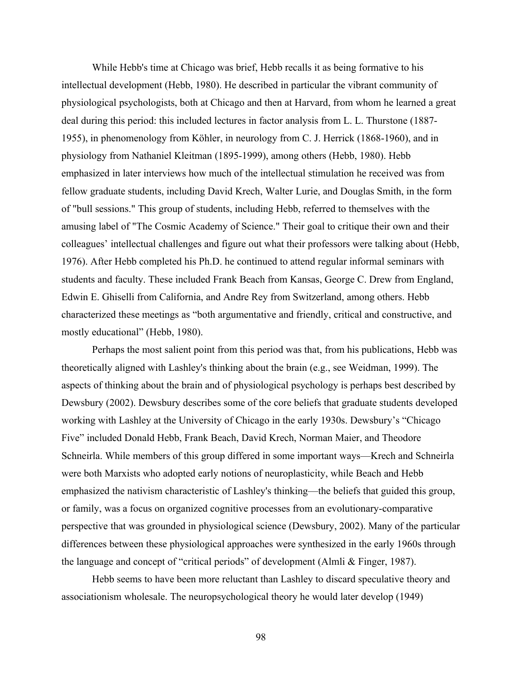While Hebb's time at Chicago was brief, Hebb recalls it as being formative to his intellectual development (Hebb, 1980). He described in particular the vibrant community of physiological psychologists, both at Chicago and then at Harvard, from whom he learned a great deal during this period: this included lectures in factor analysis from L. L. Thurstone (1887- 1955), in phenomenology from Köhler, in neurology from C. J. Herrick (1868-1960), and in physiology from Nathaniel Kleitman (1895-1999), among others (Hebb, 1980). Hebb emphasized in later interviews how much of the intellectual stimulation he received was from fellow graduate students, including David Krech, Walter Lurie, and Douglas Smith, in the form of "bull sessions." This group of students, including Hebb, referred to themselves with the amusing label of "The Cosmic Academy of Science." Their goal to critique their own and their colleagues' intellectual challenges and figure out what their professors were talking about (Hebb, 1976). After Hebb completed his Ph.D. he continued to attend regular informal seminars with students and faculty. These included Frank Beach from Kansas, George C. Drew from England, Edwin E. Ghiselli from California, and Andre Rey from Switzerland, among others. Hebb characterized these meetings as "both argumentative and friendly, critical and constructive, and mostly educational" (Hebb, 1980).

Perhaps the most salient point from this period was that, from his publications, Hebb was theoretically aligned with Lashley's thinking about the brain (e.g., see Weidman, 1999). The aspects of thinking about the brain and of physiological psychology is perhaps best described by Dewsbury (2002). Dewsbury describes some of the core beliefs that graduate students developed working with Lashley at the University of Chicago in the early 1930s. Dewsbury's "Chicago Five" included Donald Hebb, Frank Beach, David Krech, Norman Maier, and Theodore Schneirla. While members of this group differed in some important ways—Krech and Schneirla were both Marxists who adopted early notions of neuroplasticity, while Beach and Hebb emphasized the nativism characteristic of Lashley's thinking—the beliefs that guided this group, or family, was a focus on organized cognitive processes from an evolutionary-comparative perspective that was grounded in physiological science (Dewsbury, 2002). Many of the particular differences between these physiological approaches were synthesized in the early 1960s through the language and concept of "critical periods" of development (Almli & Finger, 1987).

Hebb seems to have been more reluctant than Lashley to discard speculative theory and associationism wholesale. The neuropsychological theory he would later develop (1949)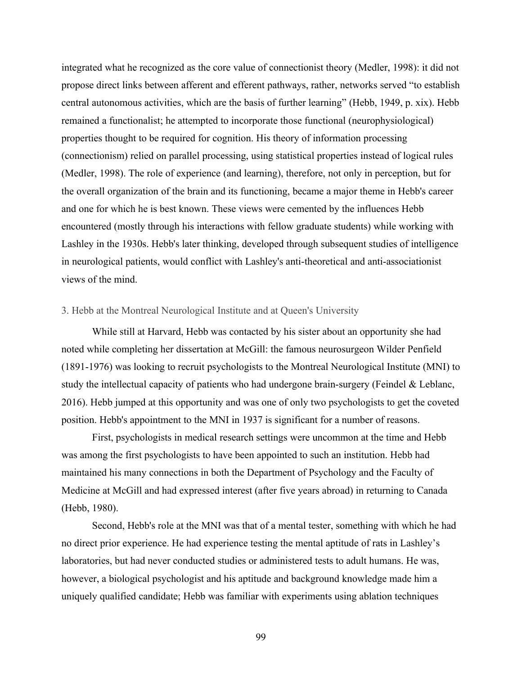integrated what he recognized as the core value of connectionist theory (Medler, 1998): it did not propose direct links between afferent and efferent pathways, rather, networks served "to establish central autonomous activities, which are the basis of further learning" (Hebb, 1949, p. xix). Hebb remained a functionalist; he attempted to incorporate those functional (neurophysiological) properties thought to be required for cognition. His theory of information processing (connectionism) relied on parallel processing, using statistical properties instead of logical rules (Medler, 1998). The role of experience (and learning), therefore, not only in perception, but for the overall organization of the brain and its functioning, became a major theme in Hebb's career and one for which he is best known. These views were cemented by the influences Hebb encountered (mostly through his interactions with fellow graduate students) while working with Lashley in the 1930s. Hebb's later thinking, developed through subsequent studies of intelligence in neurological patients, would conflict with Lashley's anti-theoretical and anti-associationist views of the mind.

## 3. Hebb at the Montreal Neurological Institute and at Queen's University

While still at Harvard, Hebb was contacted by his sister about an opportunity she had noted while completing her dissertation at McGill: the famous neurosurgeon Wilder Penfield (1891-1976) was looking to recruit psychologists to the Montreal Neurological Institute (MNI) to study the intellectual capacity of patients who had undergone brain-surgery (Feindel & Leblanc, 2016). Hebb jumped at this opportunity and was one of only two psychologists to get the coveted position. Hebb's appointment to the MNI in 1937 is significant for a number of reasons.

First, psychologists in medical research settings were uncommon at the time and Hebb was among the first psychologists to have been appointed to such an institution. Hebb had maintained his many connections in both the Department of Psychology and the Faculty of Medicine at McGill and had expressed interest (after five years abroad) in returning to Canada (Hebb, 1980).

Second, Hebb's role at the MNI was that of a mental tester, something with which he had no direct prior experience. He had experience testing the mental aptitude of rats in Lashley's laboratories, but had never conducted studies or administered tests to adult humans. He was, however, a biological psychologist and his aptitude and background knowledge made him a uniquely qualified candidate; Hebb was familiar with experiments using ablation techniques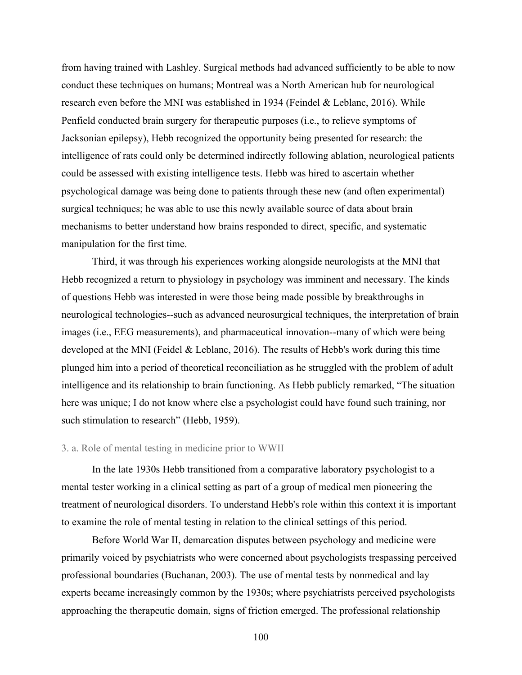from having trained with Lashley. Surgical methods had advanced sufficiently to be able to now conduct these techniques on humans; Montreal was a North American hub for neurological research even before the MNI was established in 1934 (Feindel & Leblanc, 2016). While Penfield conducted brain surgery for therapeutic purposes (i.e., to relieve symptoms of Jacksonian epilepsy), Hebb recognized the opportunity being presented for research: the intelligence of rats could only be determined indirectly following ablation, neurological patients could be assessed with existing intelligence tests. Hebb was hired to ascertain whether psychological damage was being done to patients through these new (and often experimental) surgical techniques; he was able to use this newly available source of data about brain mechanisms to better understand how brains responded to direct, specific, and systematic manipulation for the first time.

Third, it was through his experiences working alongside neurologists at the MNI that Hebb recognized a return to physiology in psychology was imminent and necessary. The kinds of questions Hebb was interested in were those being made possible by breakthroughs in neurological technologies--such as advanced neurosurgical techniques, the interpretation of brain images (i.e., EEG measurements), and pharmaceutical innovation--many of which were being developed at the MNI (Feidel & Leblanc, 2016). The results of Hebb's work during this time plunged him into a period of theoretical reconciliation as he struggled with the problem of adult intelligence and its relationship to brain functioning. As Hebb publicly remarked, "The situation here was unique; I do not know where else a psychologist could have found such training, nor such stimulation to research" (Hebb, 1959).

#### 3. a. Role of mental testing in medicine prior to WWII

In the late 1930s Hebb transitioned from a comparative laboratory psychologist to a mental tester working in a clinical setting as part of a group of medical men pioneering the treatment of neurological disorders. To understand Hebb's role within this context it is important to examine the role of mental testing in relation to the clinical settings of this period.

Before World War II, demarcation disputes between psychology and medicine were primarily voiced by psychiatrists who were concerned about psychologists trespassing perceived professional boundaries (Buchanan, 2003). The use of mental tests by nonmedical and lay experts became increasingly common by the 1930s; where psychiatrists perceived psychologists approaching the therapeutic domain, signs of friction emerged. The professional relationship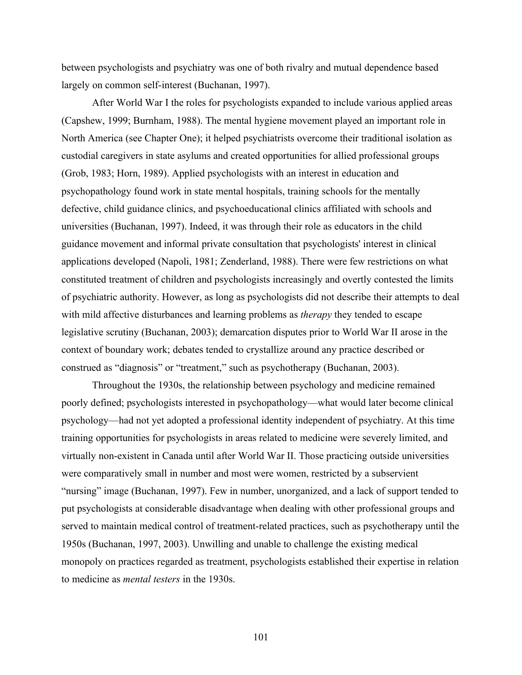between psychologists and psychiatry was one of both rivalry and mutual dependence based largely on common self-interest (Buchanan, 1997).

After World War I the roles for psychologists expanded to include various applied areas (Capshew, 1999; Burnham, 1988). The mental hygiene movement played an important role in North America (see Chapter One); it helped psychiatrists overcome their traditional isolation as custodial caregivers in state asylums and created opportunities for allied professional groups (Grob, 1983; Horn, 1989). Applied psychologists with an interest in education and psychopathology found work in state mental hospitals, training schools for the mentally defective, child guidance clinics, and psychoeducational clinics affiliated with schools and universities (Buchanan, 1997). Indeed, it was through their role as educators in the child guidance movement and informal private consultation that psychologists' interest in clinical applications developed (Napoli, 1981; Zenderland, 1988). There were few restrictions on what constituted treatment of children and psychologists increasingly and overtly contested the limits of psychiatric authority. However, as long as psychologists did not describe their attempts to deal with mild affective disturbances and learning problems as *therapy* they tended to escape legislative scrutiny (Buchanan, 2003); demarcation disputes prior to World War II arose in the context of boundary work; debates tended to crystallize around any practice described or construed as "diagnosis" or "treatment," such as psychotherapy (Buchanan, 2003).

Throughout the 1930s, the relationship between psychology and medicine remained poorly defined; psychologists interested in psychopathology—what would later become clinical psychology—had not yet adopted a professional identity independent of psychiatry. At this time training opportunities for psychologists in areas related to medicine were severely limited, and virtually non-existent in Canada until after World War II. Those practicing outside universities were comparatively small in number and most were women, restricted by a subservient "nursing" image (Buchanan, 1997). Few in number, unorganized, and a lack of support tended to put psychologists at considerable disadvantage when dealing with other professional groups and served to maintain medical control of treatment-related practices, such as psychotherapy until the 1950s (Buchanan, 1997, 2003). Unwilling and unable to challenge the existing medical monopoly on practices regarded as treatment, psychologists established their expertise in relation to medicine as *mental testers* in the 1930s.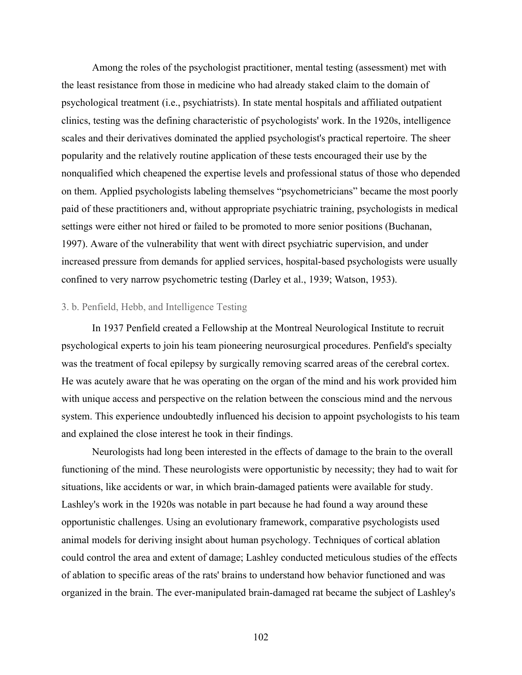Among the roles of the psychologist practitioner, mental testing (assessment) met with the least resistance from those in medicine who had already staked claim to the domain of psychological treatment (i.e., psychiatrists). In state mental hospitals and affiliated outpatient clinics, testing was the defining characteristic of psychologists' work. In the 1920s, intelligence scales and their derivatives dominated the applied psychologist's practical repertoire. The sheer popularity and the relatively routine application of these tests encouraged their use by the nonqualified which cheapened the expertise levels and professional status of those who depended on them. Applied psychologists labeling themselves "psychometricians" became the most poorly paid of these practitioners and, without appropriate psychiatric training, psychologists in medical settings were either not hired or failed to be promoted to more senior positions (Buchanan, 1997). Aware of the vulnerability that went with direct psychiatric supervision, and under increased pressure from demands for applied services, hospital-based psychologists were usually confined to very narrow psychometric testing (Darley et al., 1939; Watson, 1953).

# 3. b. Penfield, Hebb, and Intelligence Testing

In 1937 Penfield created a Fellowship at the Montreal Neurological Institute to recruit psychological experts to join his team pioneering neurosurgical procedures. Penfield's specialty was the treatment of focal epilepsy by surgically removing scarred areas of the cerebral cortex. He was acutely aware that he was operating on the organ of the mind and his work provided him with unique access and perspective on the relation between the conscious mind and the nervous system. This experience undoubtedly influenced his decision to appoint psychologists to his team and explained the close interest he took in their findings.

Neurologists had long been interested in the effects of damage to the brain to the overall functioning of the mind. These neurologists were opportunistic by necessity; they had to wait for situations, like accidents or war, in which brain-damaged patients were available for study. Lashley's work in the 1920s was notable in part because he had found a way around these opportunistic challenges. Using an evolutionary framework, comparative psychologists used animal models for deriving insight about human psychology. Techniques of cortical ablation could control the area and extent of damage; Lashley conducted meticulous studies of the effects of ablation to specific areas of the rats' brains to understand how behavior functioned and was organized in the brain. The ever-manipulated brain-damaged rat became the subject of Lashley's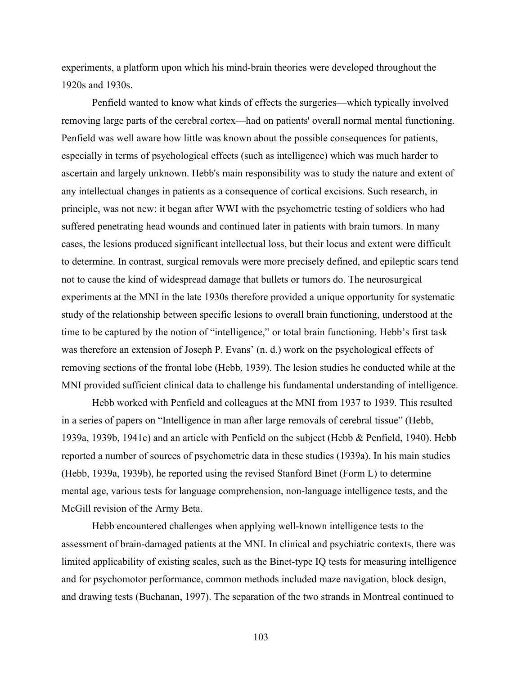experiments, a platform upon which his mind-brain theories were developed throughout the 1920s and 1930s.

Penfield wanted to know what kinds of effects the surgeries—which typically involved removing large parts of the cerebral cortex—had on patients' overall normal mental functioning. Penfield was well aware how little was known about the possible consequences for patients, especially in terms of psychological effects (such as intelligence) which was much harder to ascertain and largely unknown. Hebb's main responsibility was to study the nature and extent of any intellectual changes in patients as a consequence of cortical excisions. Such research, in principle, was not new: it began after WWI with the psychometric testing of soldiers who had suffered penetrating head wounds and continued later in patients with brain tumors. In many cases, the lesions produced significant intellectual loss, but their locus and extent were difficult to determine. In contrast, surgical removals were more precisely defined, and epileptic scars tend not to cause the kind of widespread damage that bullets or tumors do. The neurosurgical experiments at the MNI in the late 1930s therefore provided a unique opportunity for systematic study of the relationship between specific lesions to overall brain functioning, understood at the time to be captured by the notion of "intelligence," or total brain functioning. Hebb's first task was therefore an extension of Joseph P. Evans' (n. d.) work on the psychological effects of removing sections of the frontal lobe (Hebb, 1939). The lesion studies he conducted while at the MNI provided sufficient clinical data to challenge his fundamental understanding of intelligence.

Hebb worked with Penfield and colleagues at the MNI from 1937 to 1939. This resulted in a series of papers on "Intelligence in man after large removals of cerebral tissue" (Hebb, 1939a, 1939b, 1941c) and an article with Penfield on the subject (Hebb & Penfield, 1940). Hebb reported a number of sources of psychometric data in these studies (1939a). In his main studies (Hebb, 1939a, 1939b), he reported using the revised Stanford Binet (Form L) to determine mental age, various tests for language comprehension, non-language intelligence tests, and the McGill revision of the Army Beta.

Hebb encountered challenges when applying well-known intelligence tests to the assessment of brain-damaged patients at the MNI. In clinical and psychiatric contexts, there was limited applicability of existing scales, such as the Binet-type IQ tests for measuring intelligence and for psychomotor performance, common methods included maze navigation, block design, and drawing tests (Buchanan, 1997). The separation of the two strands in Montreal continued to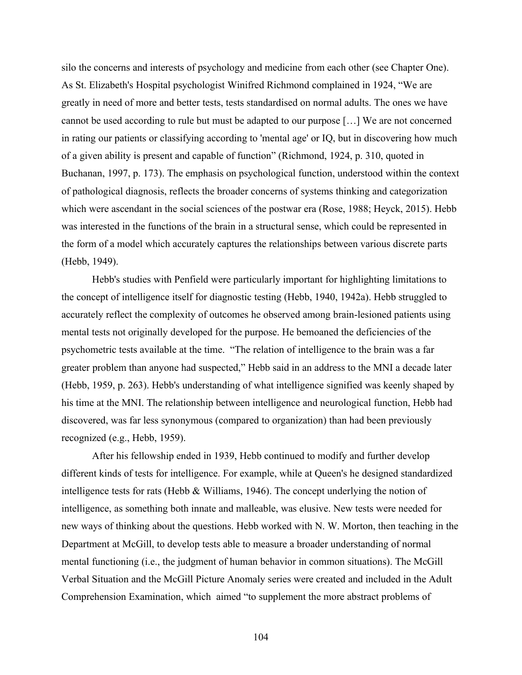silo the concerns and interests of psychology and medicine from each other (see Chapter One). As St. Elizabeth's Hospital psychologist Winifred Richmond complained in 1924, "We are greatly in need of more and better tests, tests standardised on normal adults. The ones we have cannot be used according to rule but must be adapted to our purpose […] We are not concerned in rating our patients or classifying according to 'mental age' or IQ, but in discovering how much of a given ability is present and capable of function" (Richmond, 1924, p. 310, quoted in Buchanan, 1997, p. 173). The emphasis on psychological function, understood within the context of pathological diagnosis, reflects the broader concerns of systems thinking and categorization which were ascendant in the social sciences of the postwar era (Rose, 1988; Heyck, 2015). Hebb was interested in the functions of the brain in a structural sense, which could be represented in the form of a model which accurately captures the relationships between various discrete parts (Hebb, 1949).

Hebb's studies with Penfield were particularly important for highlighting limitations to the concept of intelligence itself for diagnostic testing (Hebb, 1940, 1942a). Hebb struggled to accurately reflect the complexity of outcomes he observed among brain-lesioned patients using mental tests not originally developed for the purpose. He bemoaned the deficiencies of the psychometric tests available at the time. "The relation of intelligence to the brain was a far greater problem than anyone had suspected," Hebb said in an address to the MNI a decade later (Hebb, 1959, p. 263). Hebb's understanding of what intelligence signified was keenly shaped by his time at the MNI. The relationship between intelligence and neurological function, Hebb had discovered, was far less synonymous (compared to organization) than had been previously recognized (e.g., Hebb, 1959).

After his fellowship ended in 1939, Hebb continued to modify and further develop different kinds of tests for intelligence. For example, while at Queen's he designed standardized intelligence tests for rats (Hebb & Williams, 1946). The concept underlying the notion of intelligence, as something both innate and malleable, was elusive. New tests were needed for new ways of thinking about the questions. Hebb worked with N. W. Morton, then teaching in the Department at McGill, to develop tests able to measure a broader understanding of normal mental functioning (i.e., the judgment of human behavior in common situations). The McGill Verbal Situation and the McGill Picture Anomaly series were created and included in the Adult Comprehension Examination, which aimed "to supplement the more abstract problems of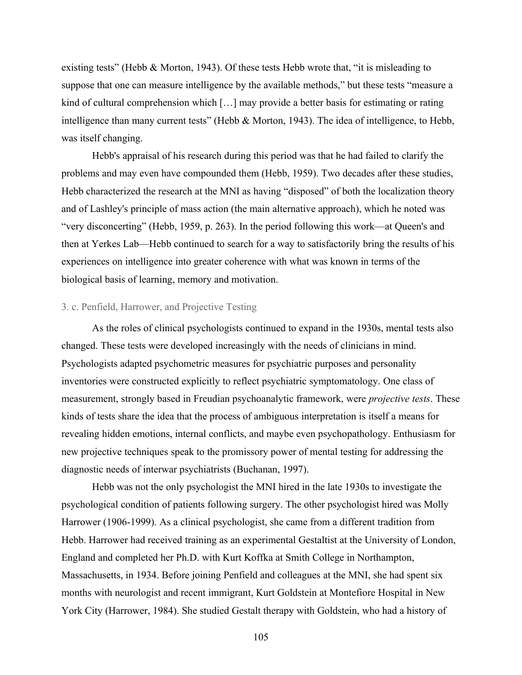existing tests" (Hebb & Morton, 1943). Of these tests Hebb wrote that, "it is misleading to suppose that one can measure intelligence by the available methods," but these tests "measure a kind of cultural comprehension which […] may provide a better basis for estimating or rating intelligence than many current tests" (Hebb & Morton, 1943). The idea of intelligence, to Hebb, was itself changing.

Hebb's appraisal of his research during this period was that he had failed to clarify the problems and may even have compounded them (Hebb, 1959). Two decades after these studies, Hebb characterized the research at the MNI as having "disposed" of both the localization theory and of Lashley's principle of mass action (the main alternative approach), which he noted was "very disconcerting" (Hebb, 1959, p. 263). In the period following this work—at Queen's and then at Yerkes Lab—Hebb continued to search for a way to satisfactorily bring the results of his experiences on intelligence into greater coherence with what was known in terms of the biological basis of learning, memory and motivation.

## 3. c. Penfield, Harrower, and Projective Testing

As the roles of clinical psychologists continued to expand in the 1930s, mental tests also changed. These tests were developed increasingly with the needs of clinicians in mind. Psychologists adapted psychometric measures for psychiatric purposes and personality inventories were constructed explicitly to reflect psychiatric symptomatology. One class of measurement, strongly based in Freudian psychoanalytic framework, were *projective tests*. These kinds of tests share the idea that the process of ambiguous interpretation is itself a means for revealing hidden emotions, internal conflicts, and maybe even psychopathology. Enthusiasm for new projective techniques speak to the promissory power of mental testing for addressing the diagnostic needs of interwar psychiatrists (Buchanan, 1997).

Hebb was not the only psychologist the MNI hired in the late 1930s to investigate the psychological condition of patients following surgery. The other psychologist hired was Molly Harrower (1906-1999). As a clinical psychologist, she came from a different tradition from Hebb. Harrower had received training as an experimental Gestaltist at the University of London, England and completed her Ph.D. with Kurt Koffka at Smith College in Northampton, Massachusetts, in 1934. Before joining Penfield and colleagues at the MNI, she had spent six months with neurologist and recent immigrant, Kurt Goldstein at Montefiore Hospital in New York City (Harrower, 1984). She studied Gestalt therapy with Goldstein, who had a history of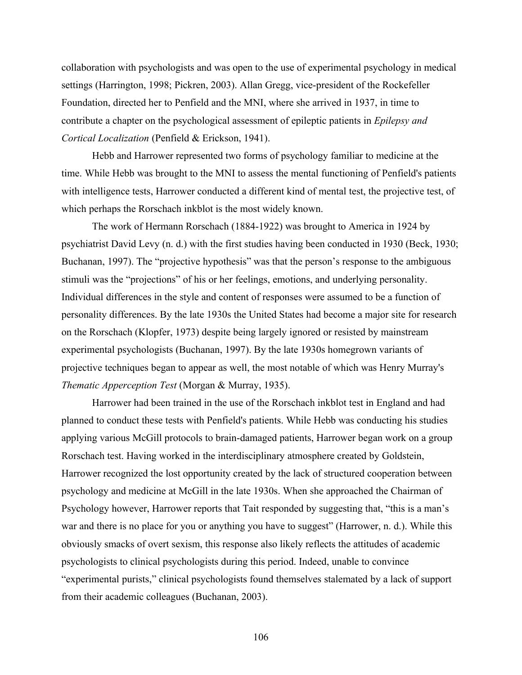collaboration with psychologists and was open to the use of experimental psychology in medical settings (Harrington, 1998; Pickren, 2003). Allan Gregg, vice-president of the Rockefeller Foundation, directed her to Penfield and the MNI, where she arrived in 1937, in time to contribute a chapter on the psychological assessment of epileptic patients in *Epilepsy and Cortical Localization* (Penfield & Erickson, 1941).

Hebb and Harrower represented two forms of psychology familiar to medicine at the time. While Hebb was brought to the MNI to assess the mental functioning of Penfield's patients with intelligence tests, Harrower conducted a different kind of mental test, the projective test, of which perhaps the Rorschach inkblot is the most widely known.

The work of Hermann Rorschach (1884-1922) was brought to America in 1924 by psychiatrist David Levy (n. d.) with the first studies having been conducted in 1930 (Beck, 1930; Buchanan, 1997). The "projective hypothesis" was that the person's response to the ambiguous stimuli was the "projections" of his or her feelings, emotions, and underlying personality. Individual differences in the style and content of responses were assumed to be a function of personality differences. By the late 1930s the United States had become a major site for research on the Rorschach (Klopfer, 1973) despite being largely ignored or resisted by mainstream experimental psychologists (Buchanan, 1997). By the late 1930s homegrown variants of projective techniques began to appear as well, the most notable of which was Henry Murray's *Thematic Apperception Test* (Morgan & Murray, 1935).

Harrower had been trained in the use of the Rorschach inkblot test in England and had planned to conduct these tests with Penfield's patients. While Hebb was conducting his studies applying various McGill protocols to brain-damaged patients, Harrower began work on a group Rorschach test. Having worked in the interdisciplinary atmosphere created by Goldstein, Harrower recognized the lost opportunity created by the lack of structured cooperation between psychology and medicine at McGill in the late 1930s. When she approached the Chairman of Psychology however, Harrower reports that Tait responded by suggesting that, "this is a man's war and there is no place for you or anything you have to suggest" (Harrower, n. d.). While this obviously smacks of overt sexism, this response also likely reflects the attitudes of academic psychologists to clinical psychologists during this period. Indeed, unable to convince "experimental purists," clinical psychologists found themselves stalemated by a lack of support from their academic colleagues (Buchanan, 2003).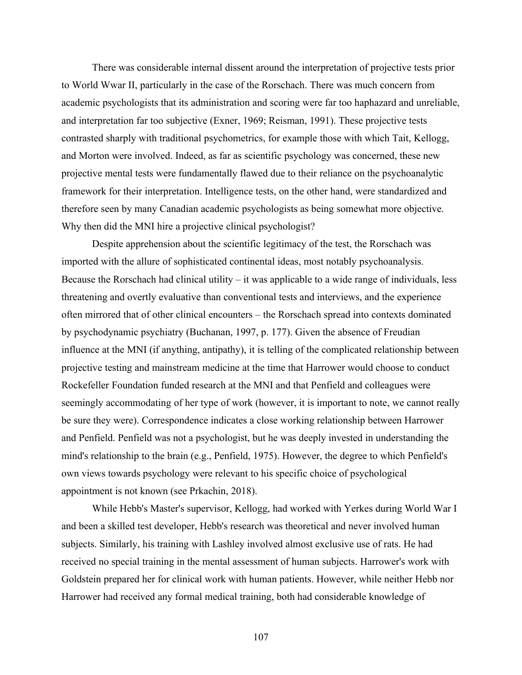There was considerable internal dissent around the interpretation of projective tests prior to World Wwar II, particularly in the case of the Rorschach. There was much concern from academic psychologists that its administration and scoring were far too haphazard and unreliable, and interpretation far too subjective (Exner, 1969; Reisman, 1991). These projective tests contrasted sharply with traditional psychometrics, for example those with which Tait, Kellogg, and Morton were involved. Indeed, as far as scientific psychology was concerned, these new projective mental tests were fundamentally flawed due to their reliance on the psychoanalytic framework for their interpretation. Intelligence tests, on the other hand, were standardized and therefore seen by many Canadian academic psychologists as being somewhat more objective. Why then did the MNI hire a projective clinical psychologist?

Despite apprehension about the scientific legitimacy of the test, the Rorschach was imported with the allure of sophisticated continental ideas, most notably psychoanalysis. Because the Rorschach had clinical utility – it was applicable to a wide range of individuals, less threatening and overtly evaluative than conventional tests and interviews, and the experience often mirrored that of other clinical encounters – the Rorschach spread into contexts dominated by psychodynamic psychiatry (Buchanan, 1997, p. 177). Given the absence of Freudian influence at the MNI (if anything, antipathy), it is telling of the complicated relationship between projective testing and mainstream medicine at the time that Harrower would choose to conduct Rockefeller Foundation funded research at the MNI and that Penfield and colleagues were seemingly accommodating of her type of work (however, it is important to note, we cannot really be sure they were). Correspondence indicates a close working relationship between Harrower and Penfield. Penfield was not a psychologist, but he was deeply invested in understanding the mind's relationship to the brain (e.g., Penfield, 1975). However, the degree to which Penfield's own views towards psychology were relevant to his specific choice of psychological appointment is not known (see Prkachin, 2018).

While Hebb's Master's supervisor, Kellogg, had worked with Yerkes during World War I and been a skilled test developer, Hebb's research was theoretical and never involved human subjects. Similarly, his training with Lashley involved almost exclusive use of rats. He had received no special training in the mental assessment of human subjects. Harrower's work with Goldstein prepared her for clinical work with human patients. However, while neither Hebb nor Harrower had received any formal medical training, both had considerable knowledge of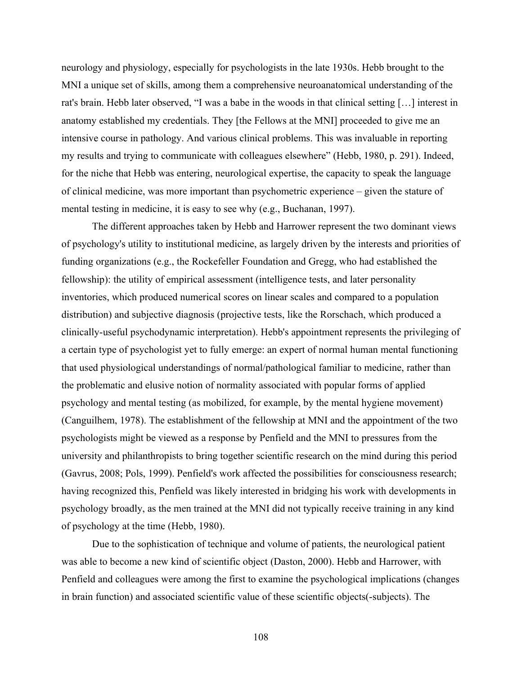neurology and physiology, especially for psychologists in the late 1930s. Hebb brought to the MNI a unique set of skills, among them a comprehensive neuroanatomical understanding of the rat's brain. Hebb later observed, "I was a babe in the woods in that clinical setting […] interest in anatomy established my credentials. They [the Fellows at the MNI] proceeded to give me an intensive course in pathology. And various clinical problems. This was invaluable in reporting my results and trying to communicate with colleagues elsewhere" (Hebb, 1980, p. 291). Indeed, for the niche that Hebb was entering, neurological expertise, the capacity to speak the language of clinical medicine, was more important than psychometric experience – given the stature of mental testing in medicine, it is easy to see why (e.g., Buchanan, 1997).

The different approaches taken by Hebb and Harrower represent the two dominant views of psychology's utility to institutional medicine, as largely driven by the interests and priorities of funding organizations (e.g., the Rockefeller Foundation and Gregg, who had established the fellowship): the utility of empirical assessment (intelligence tests, and later personality inventories, which produced numerical scores on linear scales and compared to a population distribution) and subjective diagnosis (projective tests, like the Rorschach, which produced a clinically-useful psychodynamic interpretation). Hebb's appointment represents the privileging of a certain type of psychologist yet to fully emerge: an expert of normal human mental functioning that used physiological understandings of normal/pathological familiar to medicine, rather than the problematic and elusive notion of normality associated with popular forms of applied psychology and mental testing (as mobilized, for example, by the mental hygiene movement) (Canguilhem, 1978). The establishment of the fellowship at MNI and the appointment of the two psychologists might be viewed as a response by Penfield and the MNI to pressures from the university and philanthropists to bring together scientific research on the mind during this period (Gavrus, 2008; Pols, 1999). Penfield's work affected the possibilities for consciousness research; having recognized this, Penfield was likely interested in bridging his work with developments in psychology broadly, as the men trained at the MNI did not typically receive training in any kind of psychology at the time (Hebb, 1980).

Due to the sophistication of technique and volume of patients, the neurological patient was able to become a new kind of scientific object (Daston, 2000). Hebb and Harrower, with Penfield and colleagues were among the first to examine the psychological implications (changes in brain function) and associated scientific value of these scientific objects(-subjects). The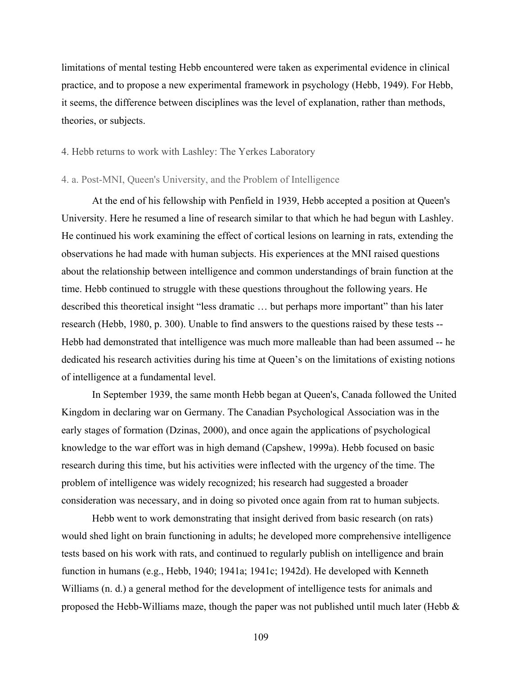limitations of mental testing Hebb encountered were taken as experimental evidence in clinical practice, and to propose a new experimental framework in psychology (Hebb, 1949). For Hebb, it seems, the difference between disciplines was the level of explanation, rather than methods, theories, or subjects.

## 4. Hebb returns to work with Lashley: The Yerkes Laboratory

#### 4. a. Post-MNI, Queen's University, and the Problem of Intelligence

At the end of his fellowship with Penfield in 1939, Hebb accepted a position at Queen's University. Here he resumed a line of research similar to that which he had begun with Lashley. He continued his work examining the effect of cortical lesions on learning in rats, extending the observations he had made with human subjects. His experiences at the MNI raised questions about the relationship between intelligence and common understandings of brain function at the time. Hebb continued to struggle with these questions throughout the following years. He described this theoretical insight "less dramatic … but perhaps more important" than his later research (Hebb, 1980, p. 300). Unable to find answers to the questions raised by these tests -- Hebb had demonstrated that intelligence was much more malleable than had been assumed -- he dedicated his research activities during his time at Queen's on the limitations of existing notions of intelligence at a fundamental level.

In September 1939, the same month Hebb began at Queen's, Canada followed the United Kingdom in declaring war on Germany. The Canadian Psychological Association was in the early stages of formation (Dzinas, 2000), and once again the applications of psychological knowledge to the war effort was in high demand (Capshew, 1999a). Hebb focused on basic research during this time, but his activities were inflected with the urgency of the time. The problem of intelligence was widely recognized; his research had suggested a broader consideration was necessary, and in doing so pivoted once again from rat to human subjects.

Hebb went to work demonstrating that insight derived from basic research (on rats) would shed light on brain functioning in adults; he developed more comprehensive intelligence tests based on his work with rats, and continued to regularly publish on intelligence and brain function in humans (e.g., Hebb, 1940; 1941a; 1941c; 1942d). He developed with Kenneth Williams (n. d.) a general method for the development of intelligence tests for animals and proposed the Hebb-Williams maze, though the paper was not published until much later (Hebb &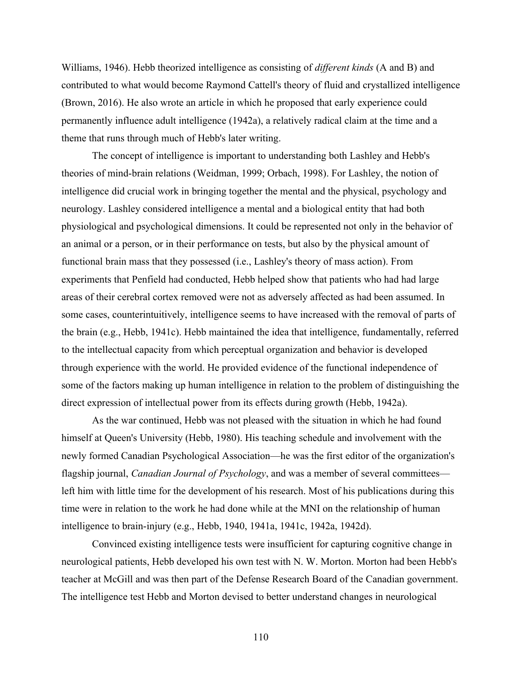Williams, 1946). Hebb theorized intelligence as consisting of *different kinds* (A and B) and contributed to what would become Raymond Cattell's theory of fluid and crystallized intelligence (Brown, 2016). He also wrote an article in which he proposed that early experience could permanently influence adult intelligence (1942a), a relatively radical claim at the time and a theme that runs through much of Hebb's later writing.

The concept of intelligence is important to understanding both Lashley and Hebb's theories of mind-brain relations (Weidman, 1999; Orbach, 1998). For Lashley, the notion of intelligence did crucial work in bringing together the mental and the physical, psychology and neurology. Lashley considered intelligence a mental and a biological entity that had both physiological and psychological dimensions. It could be represented not only in the behavior of an animal or a person, or in their performance on tests, but also by the physical amount of functional brain mass that they possessed (i.e., Lashley's theory of mass action). From experiments that Penfield had conducted, Hebb helped show that patients who had had large areas of their cerebral cortex removed were not as adversely affected as had been assumed. In some cases, counterintuitively, intelligence seems to have increased with the removal of parts of the brain (e.g., Hebb, 1941c). Hebb maintained the idea that intelligence, fundamentally, referred to the intellectual capacity from which perceptual organization and behavior is developed through experience with the world. He provided evidence of the functional independence of some of the factors making up human intelligence in relation to the problem of distinguishing the direct expression of intellectual power from its effects during growth (Hebb, 1942a).

As the war continued, Hebb was not pleased with the situation in which he had found himself at Queen's University (Hebb, 1980). His teaching schedule and involvement with the newly formed Canadian Psychological Association—he was the first editor of the organization's flagship journal, *Canadian Journal of Psychology*, and was a member of several committees left him with little time for the development of his research. Most of his publications during this time were in relation to the work he had done while at the MNI on the relationship of human intelligence to brain-injury (e.g., Hebb, 1940, 1941a, 1941c, 1942a, 1942d).

Convinced existing intelligence tests were insufficient for capturing cognitive change in neurological patients, Hebb developed his own test with N. W. Morton. Morton had been Hebb's teacher at McGill and was then part of the Defense Research Board of the Canadian government. The intelligence test Hebb and Morton devised to better understand changes in neurological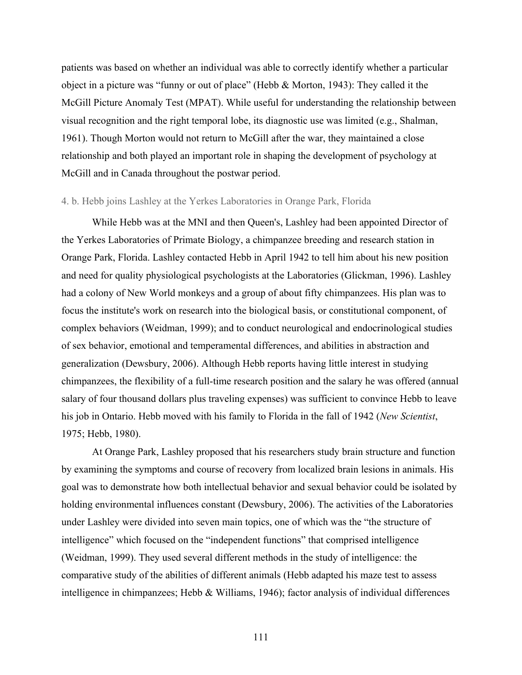patients was based on whether an individual was able to correctly identify whether a particular object in a picture was "funny or out of place" (Hebb & Morton, 1943): They called it the McGill Picture Anomaly Test (MPAT). While useful for understanding the relationship between visual recognition and the right temporal lobe, its diagnostic use was limited (e.g., Shalman, 1961). Though Morton would not return to McGill after the war, they maintained a close relationship and both played an important role in shaping the development of psychology at McGill and in Canada throughout the postwar period.

# 4. b. Hebb joins Lashley at the Yerkes Laboratories in Orange Park, Florida

While Hebb was at the MNI and then Queen's, Lashley had been appointed Director of the Yerkes Laboratories of Primate Biology, a chimpanzee breeding and research station in Orange Park, Florida. Lashley contacted Hebb in April 1942 to tell him about his new position and need for quality physiological psychologists at the Laboratories (Glickman, 1996). Lashley had a colony of New World monkeys and a group of about fifty chimpanzees. His plan was to focus the institute's work on research into the biological basis, or constitutional component, of complex behaviors (Weidman, 1999); and to conduct neurological and endocrinological studies of sex behavior, emotional and temperamental differences, and abilities in abstraction and generalization (Dewsbury, 2006). Although Hebb reports having little interest in studying chimpanzees, the flexibility of a full-time research position and the salary he was offered (annual salary of four thousand dollars plus traveling expenses) was sufficient to convince Hebb to leave his job in Ontario. Hebb moved with his family to Florida in the fall of 1942 (*New Scientist*, 1975; Hebb, 1980).

At Orange Park, Lashley proposed that his researchers study brain structure and function by examining the symptoms and course of recovery from localized brain lesions in animals. His goal was to demonstrate how both intellectual behavior and sexual behavior could be isolated by holding environmental influences constant (Dewsbury, 2006). The activities of the Laboratories under Lashley were divided into seven main topics, one of which was the "the structure of intelligence" which focused on the "independent functions" that comprised intelligence (Weidman, 1999). They used several different methods in the study of intelligence: the comparative study of the abilities of different animals (Hebb adapted his maze test to assess intelligence in chimpanzees; Hebb & Williams, 1946); factor analysis of individual differences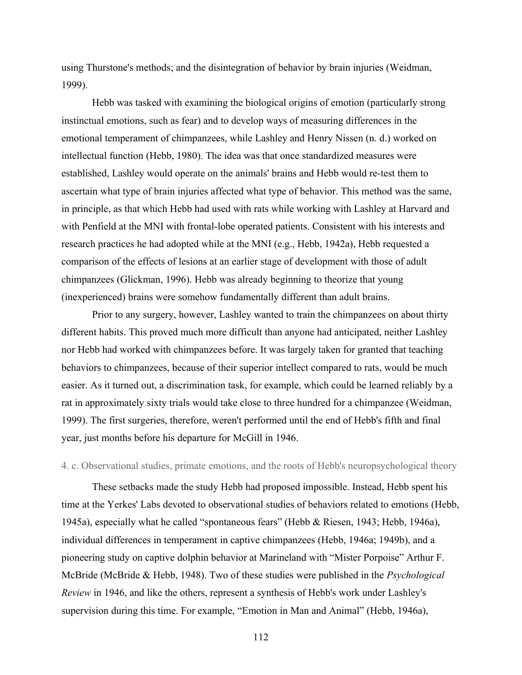using Thurstone's methods; and the disintegration of behavior by brain injuries (Weidman, 1999).

Hebb was tasked with examining the biological origins of emotion (particularly strong instinctual emotions, such as fear) and to develop ways of measuring differences in the emotional temperament of chimpanzees, while Lashley and Henry Nissen (n. d.) worked on intellectual function (Hebb, 1980). The idea was that once standardized measures were established, Lashley would operate on the animals' brains and Hebb would re-test them to ascertain what type of brain injuries affected what type of behavior. This method was the same, in principle, as that which Hebb had used with rats while working with Lashley at Harvard and with Penfield at the MNI with frontal-lobe operated patients. Consistent with his interests and research practices he had adopted while at the MNI (e.g., Hebb, 1942a), Hebb requested a comparison of the effects of lesions at an earlier stage of development with those of adult chimpanzees (Glickman, 1996). Hebb was already beginning to theorize that young (inexperienced) brains were somehow fundamentally different than adult brains.

Prior to any surgery, however, Lashley wanted to train the chimpanzees on about thirty different habits. This proved much more difficult than anyone had anticipated, neither Lashley nor Hebb had worked with chimpanzees before. It was largely taken for granted that teaching behaviors to chimpanzees, because of their superior intellect compared to rats, would be much easier. As it turned out, a discrimination task, for example, which could be learned reliably by a rat in approximately sixty trials would take close to three hundred for a chimpanzee (Weidman, 1999). The first surgeries, therefore, weren't performed until the end of Hebb's fifth and final year, just months before his departure for McGill in 1946.

### 4. c. Observational studies, primate emotions, and the roots of Hebb's neuropsychological theory

These setbacks made the study Hebb had proposed impossible. Instead, Hebb spent his time at the Yerkes' Labs devoted to observational studies of behaviors related to emotions (Hebb, 1945a), especially what he called "spontaneous fears" (Hebb & Riesen, 1943; Hebb, 1946a), individual differences in temperament in captive chimpanzees (Hebb, 1946a; 1949b), and a pioneering study on captive dolphin behavior at Marineland with "Mister Porpoise" Arthur F. McBride (McBride & Hebb, 1948). Two of these studies were published in the *Psychological Review* in 1946, and like the others, represent a synthesis of Hebb's work under Lashley's supervision during this time. For example, "Emotion in Man and Animal" (Hebb, 1946a),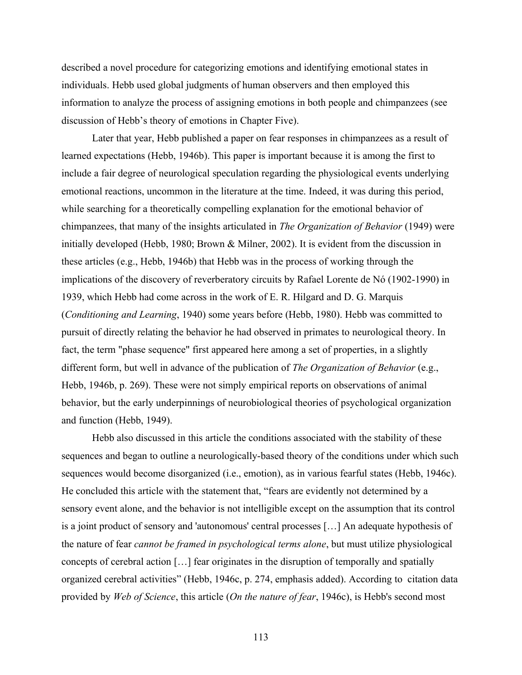described a novel procedure for categorizing emotions and identifying emotional states in individuals. Hebb used global judgments of human observers and then employed this information to analyze the process of assigning emotions in both people and chimpanzees (see discussion of Hebb's theory of emotions in Chapter Five).

Later that year, Hebb published a paper on fear responses in chimpanzees as a result of learned expectations (Hebb, 1946b). This paper is important because it is among the first to include a fair degree of neurological speculation regarding the physiological events underlying emotional reactions, uncommon in the literature at the time. Indeed, it was during this period, while searching for a theoretically compelling explanation for the emotional behavior of chimpanzees, that many of the insights articulated in *The Organization of Behavior* (1949) were initially developed (Hebb, 1980; Brown & Milner, 2002). It is evident from the discussion in these articles (e.g., Hebb, 1946b) that Hebb was in the process of working through the implications of the discovery of reverberatory circuits by Rafael Lorente de Nó (1902-1990) in 1939, which Hebb had come across in the work of E. R. Hilgard and D. G. Marquis (*Conditioning and Learning*, 1940) some years before (Hebb, 1980). Hebb was committed to pursuit of directly relating the behavior he had observed in primates to neurological theory. In fact, the term "phase sequence" first appeared here among a set of properties, in a slightly different form, but well in advance of the publication of *The Organization of Behavior* (e.g., Hebb, 1946b, p. 269). These were not simply empirical reports on observations of animal behavior, but the early underpinnings of neurobiological theories of psychological organization and function (Hebb, 1949).

Hebb also discussed in this article the conditions associated with the stability of these sequences and began to outline a neurologically-based theory of the conditions under which such sequences would become disorganized (i.e., emotion), as in various fearful states (Hebb, 1946c). He concluded this article with the statement that, "fears are evidently not determined by a sensory event alone, and the behavior is not intelligible except on the assumption that its control is a joint product of sensory and 'autonomous' central processes […] An adequate hypothesis of the nature of fear *cannot be framed in psychological terms alone*, but must utilize physiological concepts of cerebral action […] fear originates in the disruption of temporally and spatially organized cerebral activities" (Hebb, 1946c, p. 274, emphasis added). According to citation data provided by *Web of Science*, this article (*On the nature of fear*, 1946c), is Hebb's second most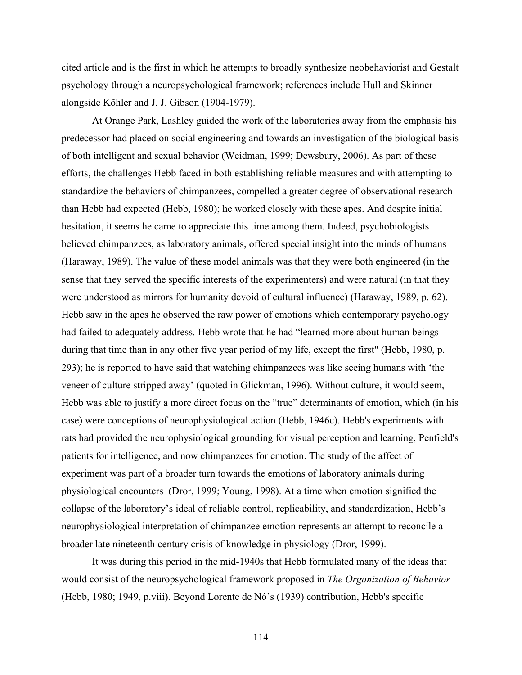cited article and is the first in which he attempts to broadly synthesize neobehaviorist and Gestalt psychology through a neuropsychological framework; references include Hull and Skinner alongside Köhler and J. J. Gibson (1904-1979).

At Orange Park, Lashley guided the work of the laboratories away from the emphasis his predecessor had placed on social engineering and towards an investigation of the biological basis of both intelligent and sexual behavior (Weidman, 1999; Dewsbury, 2006). As part of these efforts, the challenges Hebb faced in both establishing reliable measures and with attempting to standardize the behaviors of chimpanzees, compelled a greater degree of observational research than Hebb had expected (Hebb, 1980); he worked closely with these apes. And despite initial hesitation, it seems he came to appreciate this time among them. Indeed, psychobiologists believed chimpanzees, as laboratory animals, offered special insight into the minds of humans (Haraway, 1989). The value of these model animals was that they were both engineered (in the sense that they served the specific interests of the experimenters) and were natural (in that they were understood as mirrors for humanity devoid of cultural influence) (Haraway, 1989, p. 62). Hebb saw in the apes he observed the raw power of emotions which contemporary psychology had failed to adequately address. Hebb wrote that he had "learned more about human beings during that time than in any other five year period of my life, except the first" (Hebb, 1980, p. 293); he is reported to have said that watching chimpanzees was like seeing humans with 'the veneer of culture stripped away' (quoted in Glickman, 1996). Without culture, it would seem, Hebb was able to justify a more direct focus on the "true" determinants of emotion, which (in his case) were conceptions of neurophysiological action (Hebb, 1946c). Hebb's experiments with rats had provided the neurophysiological grounding for visual perception and learning, Penfield's patients for intelligence, and now chimpanzees for emotion. The study of the affect of experiment was part of a broader turn towards the emotions of laboratory animals during physiological encounters (Dror, 1999; Young, 1998). At a time when emotion signified the collapse of the laboratory's ideal of reliable control, replicability, and standardization, Hebb's neurophysiological interpretation of chimpanzee emotion represents an attempt to reconcile a broader late nineteenth century crisis of knowledge in physiology (Dror, 1999).

It was during this period in the mid-1940s that Hebb formulated many of the ideas that would consist of the neuropsychological framework proposed in *The Organization of Behavior* (Hebb, 1980; 1949, p.viii). Beyond Lorente de Nó's (1939) contribution, Hebb's specific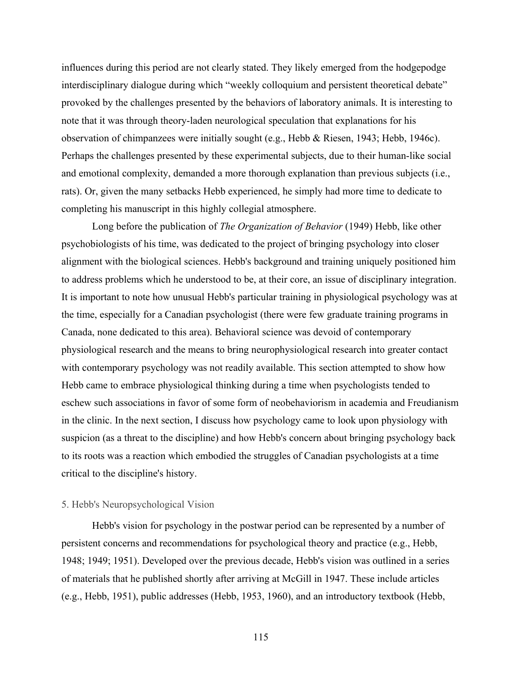influences during this period are not clearly stated. They likely emerged from the hodgepodge interdisciplinary dialogue during which "weekly colloquium and persistent theoretical debate" provoked by the challenges presented by the behaviors of laboratory animals. It is interesting to note that it was through theory-laden neurological speculation that explanations for his observation of chimpanzees were initially sought (e.g., Hebb & Riesen, 1943; Hebb, 1946c). Perhaps the challenges presented by these experimental subjects, due to their human-like social and emotional complexity, demanded a more thorough explanation than previous subjects (i.e., rats). Or, given the many setbacks Hebb experienced, he simply had more time to dedicate to completing his manuscript in this highly collegial atmosphere.

Long before the publication of *The Organization of Behavior* (1949) Hebb, like other psychobiologists of his time, was dedicated to the project of bringing psychology into closer alignment with the biological sciences. Hebb's background and training uniquely positioned him to address problems which he understood to be, at their core, an issue of disciplinary integration. It is important to note how unusual Hebb's particular training in physiological psychology was at the time, especially for a Canadian psychologist (there were few graduate training programs in Canada, none dedicated to this area). Behavioral science was devoid of contemporary physiological research and the means to bring neurophysiological research into greater contact with contemporary psychology was not readily available. This section attempted to show how Hebb came to embrace physiological thinking during a time when psychologists tended to eschew such associations in favor of some form of neobehaviorism in academia and Freudianism in the clinic. In the next section, I discuss how psychology came to look upon physiology with suspicion (as a threat to the discipline) and how Hebb's concern about bringing psychology back to its roots was a reaction which embodied the struggles of Canadian psychologists at a time critical to the discipline's history.

### 5. Hebb's Neuropsychological Vision

Hebb's vision for psychology in the postwar period can be represented by a number of persistent concerns and recommendations for psychological theory and practice (e.g., Hebb, 1948; 1949; 1951). Developed over the previous decade, Hebb's vision was outlined in a series of materials that he published shortly after arriving at McGill in 1947. These include articles (e.g., Hebb, 1951), public addresses (Hebb, 1953, 1960), and an introductory textbook (Hebb,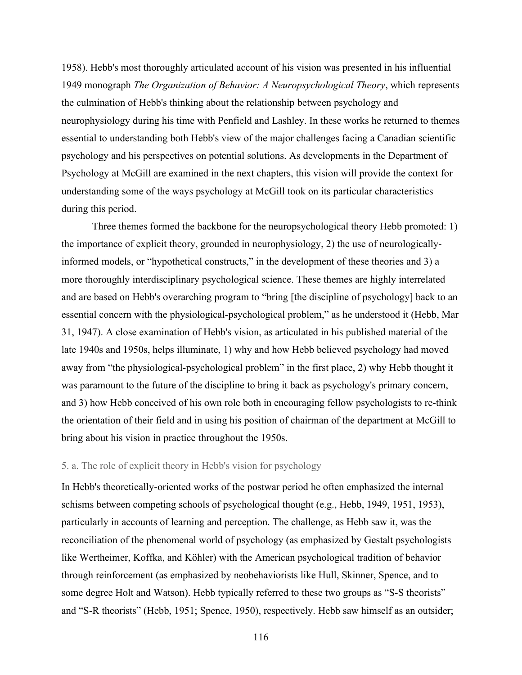1958). Hebb's most thoroughly articulated account of his vision was presented in his influential 1949 monograph *The Organization of Behavior: A Neuropsychological Theory*, which represents the culmination of Hebb's thinking about the relationship between psychology and neurophysiology during his time with Penfield and Lashley. In these works he returned to themes essential to understanding both Hebb's view of the major challenges facing a Canadian scientific psychology and his perspectives on potential solutions. As developments in the Department of Psychology at McGill are examined in the next chapters, this vision will provide the context for understanding some of the ways psychology at McGill took on its particular characteristics during this period.

Three themes formed the backbone for the neuropsychological theory Hebb promoted: 1) the importance of explicit theory, grounded in neurophysiology, 2) the use of neurologicallyinformed models, or "hypothetical constructs," in the development of these theories and 3) a more thoroughly interdisciplinary psychological science. These themes are highly interrelated and are based on Hebb's overarching program to "bring [the discipline of psychology] back to an essential concern with the physiological-psychological problem," as he understood it (Hebb, Mar 31, 1947). A close examination of Hebb's vision, as articulated in his published material of the late 1940s and 1950s, helps illuminate, 1) why and how Hebb believed psychology had moved away from "the physiological-psychological problem" in the first place, 2) why Hebb thought it was paramount to the future of the discipline to bring it back as psychology's primary concern, and 3) how Hebb conceived of his own role both in encouraging fellow psychologists to re-think the orientation of their field and in using his position of chairman of the department at McGill to bring about his vision in practice throughout the 1950s.

## 5. a. The role of explicit theory in Hebb's vision for psychology

In Hebb's theoretically-oriented works of the postwar period he often emphasized the internal schisms between competing schools of psychological thought (e.g., Hebb, 1949, 1951, 1953), particularly in accounts of learning and perception. The challenge, as Hebb saw it, was the reconciliation of the phenomenal world of psychology (as emphasized by Gestalt psychologists like Wertheimer, Koffka, and Köhler) with the American psychological tradition of behavior through reinforcement (as emphasized by neobehaviorists like Hull, Skinner, Spence, and to some degree Holt and Watson). Hebb typically referred to these two groups as "S-S theorists" and "S-R theorists" (Hebb, 1951; Spence, 1950), respectively. Hebb saw himself as an outsider;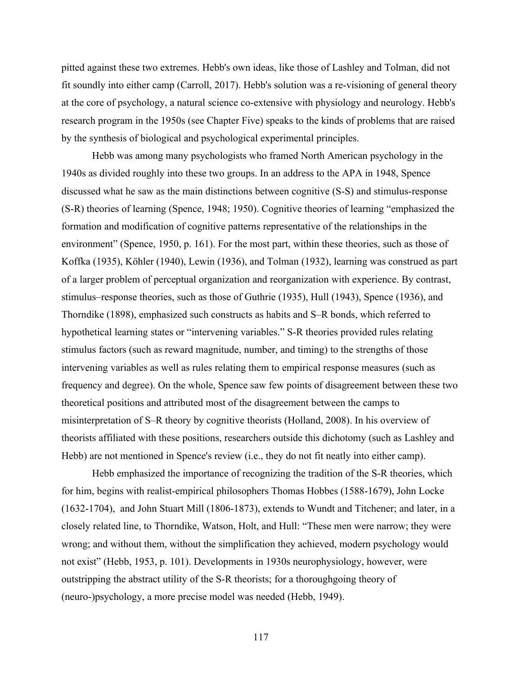pitted against these two extremes. Hebb's own ideas, like those of Lashley and Tolman, did not fit soundly into either camp (Carroll, 2017). Hebb's solution was a re-visioning of general theory at the core of psychology, a natural science co-extensive with physiology and neurology. Hebb's research program in the 1950s (see Chapter Five) speaks to the kinds of problems that are raised by the synthesis of biological and psychological experimental principles.

Hebb was among many psychologists who framed North American psychology in the 1940s as divided roughly into these two groups. In an address to the APA in 1948, Spence discussed what he saw as the main distinctions between cognitive (S-S) and stimulus-response (S-R) theories of learning (Spence, 1948; 1950). Cognitive theories of learning "emphasized the formation and modification of cognitive patterns representative of the relationships in the environment" (Spence, 1950, p. 161). For the most part, within these theories, such as those of Koffka (1935), Köhler (1940), Lewin (1936), and Tolman (1932), learning was construed as part of a larger problem of perceptual organization and reorganization with experience. By contrast, stimulus–response theories, such as those of Guthrie (1935), Hull (1943), Spence (1936), and Thorndike (1898), emphasized such constructs as habits and S–R bonds, which referred to hypothetical learning states or "intervening variables." S-R theories provided rules relating stimulus factors (such as reward magnitude, number, and timing) to the strengths of those intervening variables as well as rules relating them to empirical response measures (such as frequency and degree). On the whole, Spence saw few points of disagreement between these two theoretical positions and attributed most of the disagreement between the camps to misinterpretation of S–R theory by cognitive theorists (Holland, 2008). In his overview of theorists affiliated with these positions, researchers outside this dichotomy (such as Lashley and Hebb) are not mentioned in Spence's review (i.e., they do not fit neatly into either camp).

Hebb emphasized the importance of recognizing the tradition of the S-R theories, which for him, begins with realist-empirical philosophers Thomas Hobbes (1588-1679), John Locke (1632-1704), and John Stuart Mill (1806-1873), extends to Wundt and Titchener; and later, in a closely related line, to Thorndike, Watson, Holt, and Hull: "These men were narrow; they were wrong; and without them, without the simplification they achieved, modern psychology would not exist" (Hebb, 1953, p. 101). Developments in 1930s neurophysiology, however, were outstripping the abstract utility of the S-R theorists; for a thoroughgoing theory of (neuro-)psychology, a more precise model was needed (Hebb, 1949).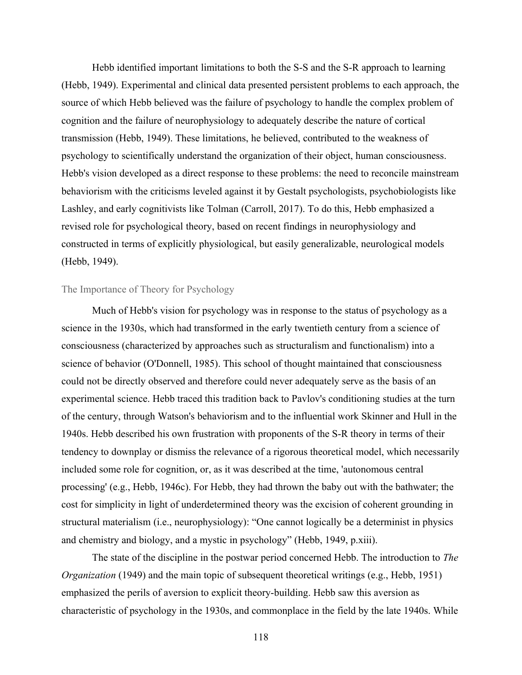Hebb identified important limitations to both the S-S and the S-R approach to learning (Hebb, 1949). Experimental and clinical data presented persistent problems to each approach, the source of which Hebb believed was the failure of psychology to handle the complex problem of cognition and the failure of neurophysiology to adequately describe the nature of cortical transmission (Hebb, 1949). These limitations, he believed, contributed to the weakness of psychology to scientifically understand the organization of their object, human consciousness. Hebb's vision developed as a direct response to these problems: the need to reconcile mainstream behaviorism with the criticisms leveled against it by Gestalt psychologists, psychobiologists like Lashley, and early cognitivists like Tolman (Carroll, 2017). To do this, Hebb emphasized a revised role for psychological theory, based on recent findings in neurophysiology and constructed in terms of explicitly physiological, but easily generalizable, neurological models (Hebb, 1949).

### The Importance of Theory for Psychology

Much of Hebb's vision for psychology was in response to the status of psychology as a science in the 1930s, which had transformed in the early twentieth century from a science of consciousness (characterized by approaches such as structuralism and functionalism) into a science of behavior (O'Donnell, 1985). This school of thought maintained that consciousness could not be directly observed and therefore could never adequately serve as the basis of an experimental science. Hebb traced this tradition back to Pavlov's conditioning studies at the turn of the century, through Watson's behaviorism and to the influential work Skinner and Hull in the 1940s. Hebb described his own frustration with proponents of the S-R theory in terms of their tendency to downplay or dismiss the relevance of a rigorous theoretical model, which necessarily included some role for cognition, or, as it was described at the time, 'autonomous central processing' (e.g., Hebb, 1946c). For Hebb, they had thrown the baby out with the bathwater; the cost for simplicity in light of underdetermined theory was the excision of coherent grounding in structural materialism (i.e., neurophysiology): "One cannot logically be a determinist in physics and chemistry and biology, and a mystic in psychology" (Hebb, 1949, p.xiii).

The state of the discipline in the postwar period concerned Hebb. The introduction to *The Organization* (1949) and the main topic of subsequent theoretical writings (e.g., Hebb, 1951) emphasized the perils of aversion to explicit theory-building. Hebb saw this aversion as characteristic of psychology in the 1930s, and commonplace in the field by the late 1940s. While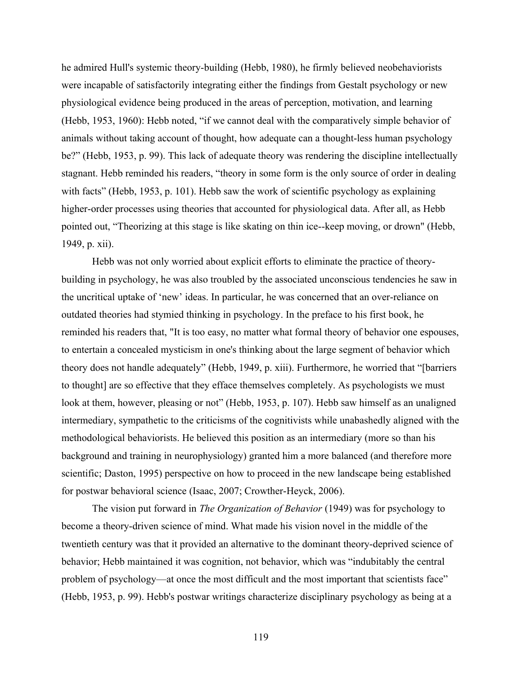he admired Hull's systemic theory-building (Hebb, 1980), he firmly believed neobehaviorists were incapable of satisfactorily integrating either the findings from Gestalt psychology or new physiological evidence being produced in the areas of perception, motivation, and learning (Hebb, 1953, 1960): Hebb noted, "if we cannot deal with the comparatively simple behavior of animals without taking account of thought, how adequate can a thought-less human psychology be?" (Hebb, 1953, p. 99). This lack of adequate theory was rendering the discipline intellectually stagnant. Hebb reminded his readers, "theory in some form is the only source of order in dealing with facts" (Hebb, 1953, p. 101). Hebb saw the work of scientific psychology as explaining higher-order processes using theories that accounted for physiological data. After all, as Hebb pointed out, "Theorizing at this stage is like skating on thin ice--keep moving, or drown" (Hebb, 1949, p. xii).

Hebb was not only worried about explicit efforts to eliminate the practice of theorybuilding in psychology, he was also troubled by the associated unconscious tendencies he saw in the uncritical uptake of 'new' ideas. In particular, he was concerned that an over-reliance on outdated theories had stymied thinking in psychology. In the preface to his first book, he reminded his readers that, "It is too easy, no matter what formal theory of behavior one espouses, to entertain a concealed mysticism in one's thinking about the large segment of behavior which theory does not handle adequately" (Hebb, 1949, p. xiii). Furthermore, he worried that "[barriers to thought] are so effective that they efface themselves completely. As psychologists we must look at them, however, pleasing or not" (Hebb, 1953, p. 107). Hebb saw himself as an unaligned intermediary, sympathetic to the criticisms of the cognitivists while unabashedly aligned with the methodological behaviorists. He believed this position as an intermediary (more so than his background and training in neurophysiology) granted him a more balanced (and therefore more scientific; Daston, 1995) perspective on how to proceed in the new landscape being established for postwar behavioral science (Isaac, 2007; Crowther-Heyck, 2006).

The vision put forward in *The Organization of Behavior* (1949) was for psychology to become a theory-driven science of mind. What made his vision novel in the middle of the twentieth century was that it provided an alternative to the dominant theory-deprived science of behavior; Hebb maintained it was cognition, not behavior, which was "indubitably the central problem of psychology—at once the most difficult and the most important that scientists face" (Hebb, 1953, p. 99). Hebb's postwar writings characterize disciplinary psychology as being at a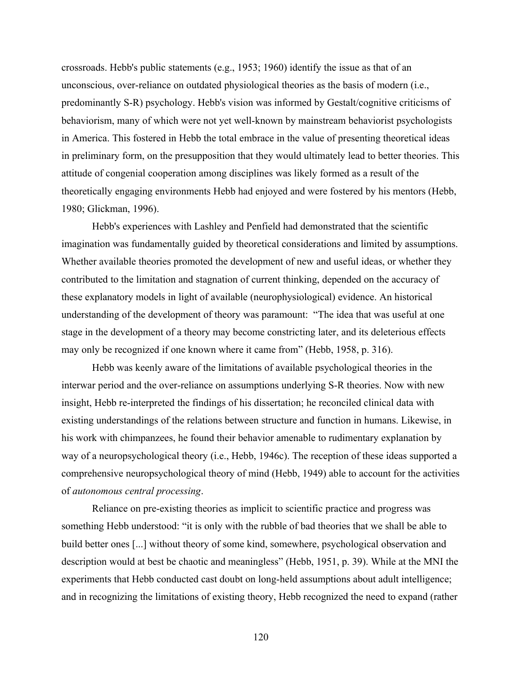crossroads. Hebb's public statements (e.g., 1953; 1960) identify the issue as that of an unconscious, over-reliance on outdated physiological theories as the basis of modern (i.e., predominantly S-R) psychology. Hebb's vision was informed by Gestalt/cognitive criticisms of behaviorism, many of which were not yet well-known by mainstream behaviorist psychologists in America. This fostered in Hebb the total embrace in the value of presenting theoretical ideas in preliminary form, on the presupposition that they would ultimately lead to better theories. This attitude of congenial cooperation among disciplines was likely formed as a result of the theoretically engaging environments Hebb had enjoyed and were fostered by his mentors (Hebb, 1980; Glickman, 1996).

Hebb's experiences with Lashley and Penfield had demonstrated that the scientific imagination was fundamentally guided by theoretical considerations and limited by assumptions. Whether available theories promoted the development of new and useful ideas, or whether they contributed to the limitation and stagnation of current thinking, depended on the accuracy of these explanatory models in light of available (neurophysiological) evidence. An historical understanding of the development of theory was paramount: "The idea that was useful at one stage in the development of a theory may become constricting later, and its deleterious effects may only be recognized if one known where it came from" (Hebb, 1958, p. 316).

Hebb was keenly aware of the limitations of available psychological theories in the interwar period and the over-reliance on assumptions underlying S-R theories. Now with new insight, Hebb re-interpreted the findings of his dissertation; he reconciled clinical data with existing understandings of the relations between structure and function in humans. Likewise, in his work with chimpanzees, he found their behavior amenable to rudimentary explanation by way of a neuropsychological theory (i.e., Hebb, 1946c). The reception of these ideas supported a comprehensive neuropsychological theory of mind (Hebb, 1949) able to account for the activities of *autonomous central processing*.

Reliance on pre-existing theories as implicit to scientific practice and progress was something Hebb understood: "it is only with the rubble of bad theories that we shall be able to build better ones [...] without theory of some kind, somewhere, psychological observation and description would at best be chaotic and meaningless" (Hebb, 1951, p. 39). While at the MNI the experiments that Hebb conducted cast doubt on long-held assumptions about adult intelligence; and in recognizing the limitations of existing theory, Hebb recognized the need to expand (rather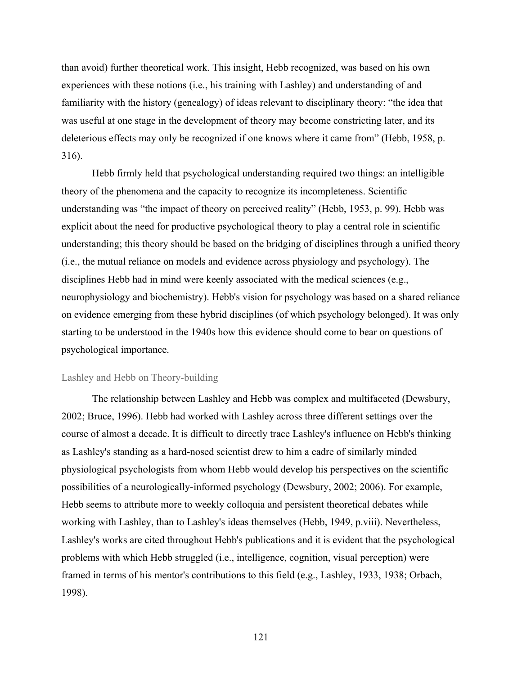than avoid) further theoretical work. This insight, Hebb recognized, was based on his own experiences with these notions (i.e., his training with Lashley) and understanding of and familiarity with the history (genealogy) of ideas relevant to disciplinary theory: "the idea that was useful at one stage in the development of theory may become constricting later, and its deleterious effects may only be recognized if one knows where it came from" (Hebb, 1958, p. 316).

Hebb firmly held that psychological understanding required two things: an intelligible theory of the phenomena and the capacity to recognize its incompleteness. Scientific understanding was "the impact of theory on perceived reality" (Hebb, 1953, p. 99). Hebb was explicit about the need for productive psychological theory to play a central role in scientific understanding; this theory should be based on the bridging of disciplines through a unified theory (i.e., the mutual reliance on models and evidence across physiology and psychology). The disciplines Hebb had in mind were keenly associated with the medical sciences (e.g., neurophysiology and biochemistry). Hebb's vision for psychology was based on a shared reliance on evidence emerging from these hybrid disciplines (of which psychology belonged). It was only starting to be understood in the 1940s how this evidence should come to bear on questions of psychological importance.

# Lashley and Hebb on Theory-building

The relationship between Lashley and Hebb was complex and multifaceted (Dewsbury, 2002; Bruce, 1996). Hebb had worked with Lashley across three different settings over the course of almost a decade. It is difficult to directly trace Lashley's influence on Hebb's thinking as Lashley's standing as a hard-nosed scientist drew to him a cadre of similarly minded physiological psychologists from whom Hebb would develop his perspectives on the scientific possibilities of a neurologically-informed psychology (Dewsbury, 2002; 2006). For example, Hebb seems to attribute more to weekly colloquia and persistent theoretical debates while working with Lashley, than to Lashley's ideas themselves (Hebb, 1949, p.viii). Nevertheless, Lashley's works are cited throughout Hebb's publications and it is evident that the psychological problems with which Hebb struggled (i.e., intelligence, cognition, visual perception) were framed in terms of his mentor's contributions to this field (e.g., Lashley, 1933, 1938; Orbach, 1998).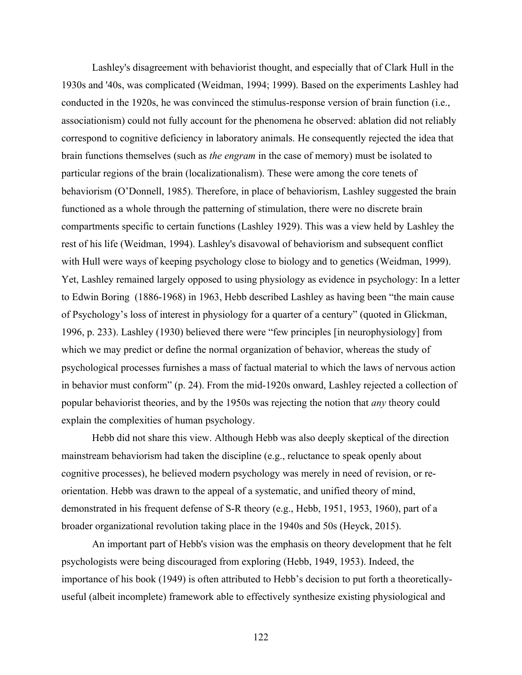Lashley's disagreement with behaviorist thought, and especially that of Clark Hull in the 1930s and '40s, was complicated (Weidman, 1994; 1999). Based on the experiments Lashley had conducted in the 1920s, he was convinced the stimulus-response version of brain function (i.e., associationism) could not fully account for the phenomena he observed: ablation did not reliably correspond to cognitive deficiency in laboratory animals. He consequently rejected the idea that brain functions themselves (such as *the engram* in the case of memory) must be isolated to particular regions of the brain (localizationalism). These were among the core tenets of behaviorism (O'Donnell, 1985). Therefore, in place of behaviorism, Lashley suggested the brain functioned as a whole through the patterning of stimulation, there were no discrete brain compartments specific to certain functions (Lashley 1929). This was a view held by Lashley the rest of his life (Weidman, 1994). Lashley's disavowal of behaviorism and subsequent conflict with Hull were ways of keeping psychology close to biology and to genetics (Weidman, 1999). Yet, Lashley remained largely opposed to using physiology as evidence in psychology: In a letter to Edwin Boring (1886-1968) in 1963, Hebb described Lashley as having been "the main cause of Psychology's loss of interest in physiology for a quarter of a century" (quoted in Glickman, 1996, p. 233). Lashley (1930) believed there were "few principles [in neurophysiology] from which we may predict or define the normal organization of behavior, whereas the study of psychological processes furnishes a mass of factual material to which the laws of nervous action in behavior must conform" (p. 24). From the mid-1920s onward, Lashley rejected a collection of popular behaviorist theories, and by the 1950s was rejecting the notion that *any* theory could explain the complexities of human psychology.

Hebb did not share this view. Although Hebb was also deeply skeptical of the direction mainstream behaviorism had taken the discipline (e.g., reluctance to speak openly about cognitive processes), he believed modern psychology was merely in need of revision, or reorientation. Hebb was drawn to the appeal of a systematic, and unified theory of mind, demonstrated in his frequent defense of S-R theory (e.g., Hebb, 1951, 1953, 1960), part of a broader organizational revolution taking place in the 1940s and 50s (Heyck, 2015).

An important part of Hebb's vision was the emphasis on theory development that he felt psychologists were being discouraged from exploring (Hebb, 1949, 1953). Indeed, the importance of his book (1949) is often attributed to Hebb's decision to put forth a theoreticallyuseful (albeit incomplete) framework able to effectively synthesize existing physiological and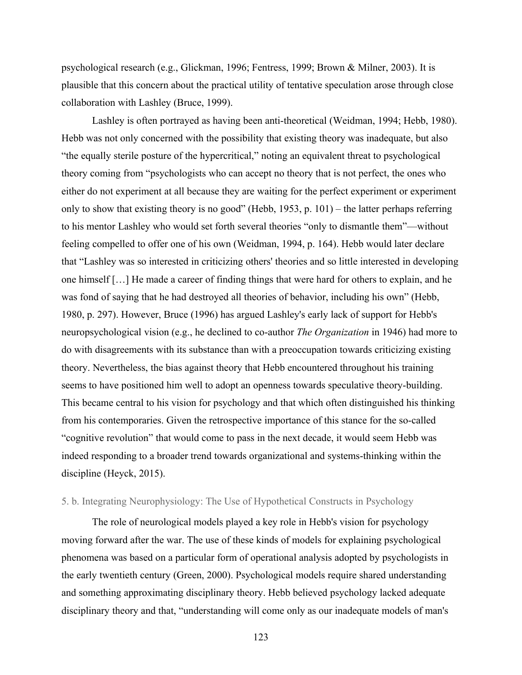psychological research (e.g., Glickman, 1996; Fentress, 1999; Brown & Milner, 2003). It is plausible that this concern about the practical utility of tentative speculation arose through close collaboration with Lashley (Bruce, 1999).

Lashley is often portrayed as having been anti-theoretical (Weidman, 1994; Hebb, 1980). Hebb was not only concerned with the possibility that existing theory was inadequate, but also "the equally sterile posture of the hypercritical," noting an equivalent threat to psychological theory coming from "psychologists who can accept no theory that is not perfect, the ones who either do not experiment at all because they are waiting for the perfect experiment or experiment only to show that existing theory is no good" (Hebb, 1953, p. 101) – the latter perhaps referring to his mentor Lashley who would set forth several theories "only to dismantle them"—without feeling compelled to offer one of his own (Weidman, 1994, p. 164). Hebb would later declare that "Lashley was so interested in criticizing others' theories and so little interested in developing one himself […] He made a career of finding things that were hard for others to explain, and he was fond of saying that he had destroyed all theories of behavior, including his own" (Hebb, 1980, p. 297). However, Bruce (1996) has argued Lashley's early lack of support for Hebb's neuropsychological vision (e.g., he declined to co-author *The Organization* in 1946) had more to do with disagreements with its substance than with a preoccupation towards criticizing existing theory. Nevertheless, the bias against theory that Hebb encountered throughout his training seems to have positioned him well to adopt an openness towards speculative theory-building. This became central to his vision for psychology and that which often distinguished his thinking from his contemporaries. Given the retrospective importance of this stance for the so-called "cognitive revolution" that would come to pass in the next decade, it would seem Hebb was indeed responding to a broader trend towards organizational and systems-thinking within the discipline (Heyck, 2015).

## 5. b. Integrating Neurophysiology: The Use of Hypothetical Constructs in Psychology

The role of neurological models played a key role in Hebb's vision for psychology moving forward after the war. The use of these kinds of models for explaining psychological phenomena was based on a particular form of operational analysis adopted by psychologists in the early twentieth century (Green, 2000). Psychological models require shared understanding and something approximating disciplinary theory. Hebb believed psychology lacked adequate disciplinary theory and that, "understanding will come only as our inadequate models of man's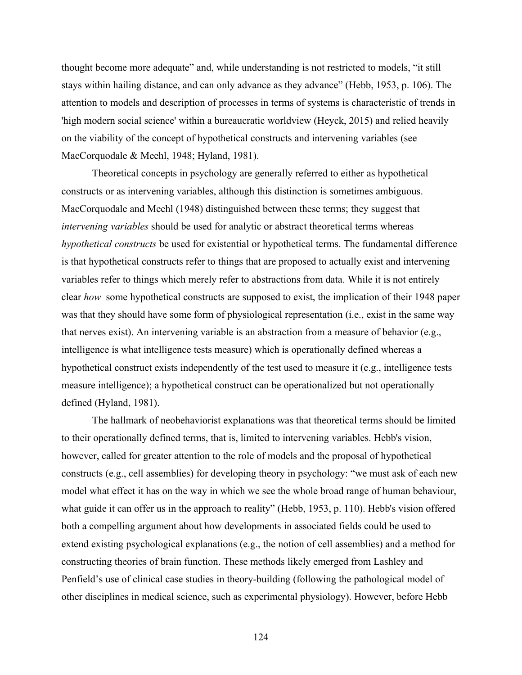thought become more adequate" and, while understanding is not restricted to models, "it still stays within hailing distance, and can only advance as they advance" (Hebb, 1953, p. 106). The attention to models and description of processes in terms of systems is characteristic of trends in 'high modern social science' within a bureaucratic worldview (Heyck, 2015) and relied heavily on the viability of the concept of hypothetical constructs and intervening variables (see MacCorquodale & Meehl, 1948; Hyland, 1981).

Theoretical concepts in psychology are generally referred to either as hypothetical constructs or as intervening variables, although this distinction is sometimes ambiguous. MacCorquodale and Meehl (1948) distinguished between these terms; they suggest that *intervening variables* should be used for analytic or abstract theoretical terms whereas *hypothetical constructs* be used for existential or hypothetical terms. The fundamental difference is that hypothetical constructs refer to things that are proposed to actually exist and intervening variables refer to things which merely refer to abstractions from data. While it is not entirely clear *how* some hypothetical constructs are supposed to exist, the implication of their 1948 paper was that they should have some form of physiological representation (i.e., exist in the same way that nerves exist). An intervening variable is an abstraction from a measure of behavior (e.g., intelligence is what intelligence tests measure) which is operationally defined whereas a hypothetical construct exists independently of the test used to measure it (e.g., intelligence tests measure intelligence); a hypothetical construct can be operationalized but not operationally defined (Hyland, 1981).

The hallmark of neobehaviorist explanations was that theoretical terms should be limited to their operationally defined terms, that is, limited to intervening variables. Hebb's vision, however, called for greater attention to the role of models and the proposal of hypothetical constructs (e.g., cell assemblies) for developing theory in psychology: "we must ask of each new model what effect it has on the way in which we see the whole broad range of human behaviour, what guide it can offer us in the approach to reality" (Hebb, 1953, p. 110). Hebb's vision offered both a compelling argument about how developments in associated fields could be used to extend existing psychological explanations (e.g., the notion of cell assemblies) and a method for constructing theories of brain function. These methods likely emerged from Lashley and Penfield's use of clinical case studies in theory-building (following the pathological model of other disciplines in medical science, such as experimental physiology). However, before Hebb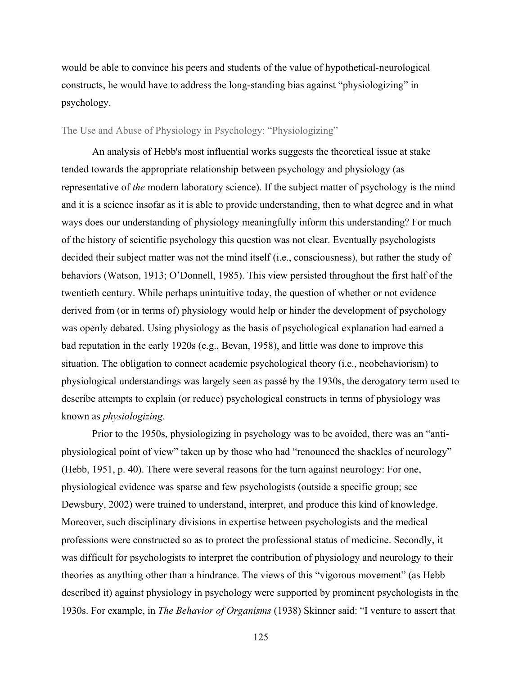would be able to convince his peers and students of the value of hypothetical-neurological constructs, he would have to address the long-standing bias against "physiologizing" in psychology.

### The Use and Abuse of Physiology in Psychology: "Physiologizing"

An analysis of Hebb's most influential works suggests the theoretical issue at stake tended towards the appropriate relationship between psychology and physiology (as representative of *the* modern laboratory science). If the subject matter of psychology is the mind and it is a science insofar as it is able to provide understanding, then to what degree and in what ways does our understanding of physiology meaningfully inform this understanding? For much of the history of scientific psychology this question was not clear. Eventually psychologists decided their subject matter was not the mind itself (i.e., consciousness), but rather the study of behaviors (Watson, 1913; O'Donnell, 1985). This view persisted throughout the first half of the twentieth century. While perhaps unintuitive today, the question of whether or not evidence derived from (or in terms of) physiology would help or hinder the development of psychology was openly debated. Using physiology as the basis of psychological explanation had earned a bad reputation in the early 1920s (e.g., Bevan, 1958), and little was done to improve this situation. The obligation to connect academic psychological theory (i.e., neobehaviorism) to physiological understandings was largely seen as passé by the 1930s, the derogatory term used to describe attempts to explain (or reduce) psychological constructs in terms of physiology was known as *physiologizing*.

Prior to the 1950s, physiologizing in psychology was to be avoided, there was an "antiphysiological point of view" taken up by those who had "renounced the shackles of neurology" (Hebb, 1951, p. 40). There were several reasons for the turn against neurology: For one, physiological evidence was sparse and few psychologists (outside a specific group; see Dewsbury, 2002) were trained to understand, interpret, and produce this kind of knowledge. Moreover, such disciplinary divisions in expertise between psychologists and the medical professions were constructed so as to protect the professional status of medicine. Secondly, it was difficult for psychologists to interpret the contribution of physiology and neurology to their theories as anything other than a hindrance. The views of this "vigorous movement" (as Hebb described it) against physiology in psychology were supported by prominent psychologists in the 1930s. For example, in *The Behavior of Organisms* (1938) Skinner said: "I venture to assert that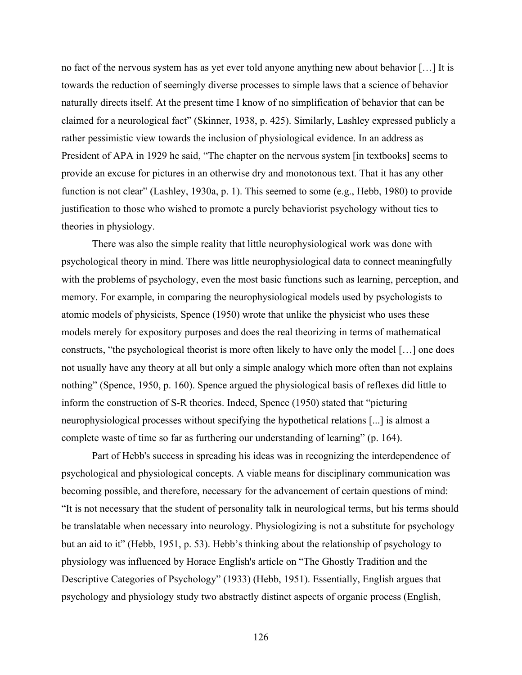no fact of the nervous system has as yet ever told anyone anything new about behavior […] It is towards the reduction of seemingly diverse processes to simple laws that a science of behavior naturally directs itself. At the present time I know of no simplification of behavior that can be claimed for a neurological fact" (Skinner, 1938, p. 425). Similarly, Lashley expressed publicly a rather pessimistic view towards the inclusion of physiological evidence. In an address as President of APA in 1929 he said, "The chapter on the nervous system [in textbooks] seems to provide an excuse for pictures in an otherwise dry and monotonous text. That it has any other function is not clear" (Lashley, 1930a, p. 1). This seemed to some (e.g., Hebb, 1980) to provide justification to those who wished to promote a purely behaviorist psychology without ties to theories in physiology.

There was also the simple reality that little neurophysiological work was done with psychological theory in mind. There was little neurophysiological data to connect meaningfully with the problems of psychology, even the most basic functions such as learning, perception, and memory. For example, in comparing the neurophysiological models used by psychologists to atomic models of physicists, Spence (1950) wrote that unlike the physicist who uses these models merely for expository purposes and does the real theorizing in terms of mathematical constructs, "the psychological theorist is more often likely to have only the model […] one does not usually have any theory at all but only a simple analogy which more often than not explains nothing" (Spence, 1950, p. 160). Spence argued the physiological basis of reflexes did little to inform the construction of S-R theories. Indeed, Spence (1950) stated that "picturing neurophysiological processes without specifying the hypothetical relations [...] is almost a complete waste of time so far as furthering our understanding of learning" (p. 164).

Part of Hebb's success in spreading his ideas was in recognizing the interdependence of psychological and physiological concepts. A viable means for disciplinary communication was becoming possible, and therefore, necessary for the advancement of certain questions of mind: "It is not necessary that the student of personality talk in neurological terms, but his terms should be translatable when necessary into neurology. Physiologizing is not a substitute for psychology but an aid to it" (Hebb, 1951, p. 53). Hebb's thinking about the relationship of psychology to physiology was influenced by Horace English's article on "The Ghostly Tradition and the Descriptive Categories of Psychology" (1933) (Hebb, 1951). Essentially, English argues that psychology and physiology study two abstractly distinct aspects of organic process (English,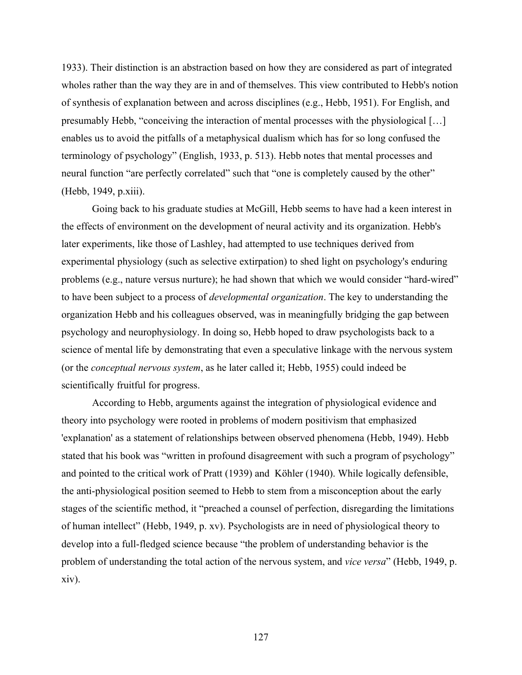1933). Their distinction is an abstraction based on how they are considered as part of integrated wholes rather than the way they are in and of themselves. This view contributed to Hebb's notion of synthesis of explanation between and across disciplines (e.g., Hebb, 1951). For English, and presumably Hebb, "conceiving the interaction of mental processes with the physiological […] enables us to avoid the pitfalls of a metaphysical dualism which has for so long confused the terminology of psychology" (English, 1933, p. 513). Hebb notes that mental processes and neural function "are perfectly correlated" such that "one is completely caused by the other" (Hebb, 1949, p.xiii).

Going back to his graduate studies at McGill, Hebb seems to have had a keen interest in the effects of environment on the development of neural activity and its organization. Hebb's later experiments, like those of Lashley, had attempted to use techniques derived from experimental physiology (such as selective extirpation) to shed light on psychology's enduring problems (e.g., nature versus nurture); he had shown that which we would consider "hard-wired" to have been subject to a process of *developmental organization*. The key to understanding the organization Hebb and his colleagues observed, was in meaningfully bridging the gap between psychology and neurophysiology. In doing so, Hebb hoped to draw psychologists back to a science of mental life by demonstrating that even a speculative linkage with the nervous system (or the *conceptual nervous system*, as he later called it; Hebb, 1955) could indeed be scientifically fruitful for progress.

According to Hebb, arguments against the integration of physiological evidence and theory into psychology were rooted in problems of modern positivism that emphasized 'explanation' as a statement of relationships between observed phenomena (Hebb, 1949). Hebb stated that his book was "written in profound disagreement with such a program of psychology" and pointed to the critical work of Pratt (1939) and Köhler (1940). While logically defensible, the anti-physiological position seemed to Hebb to stem from a misconception about the early stages of the scientific method, it "preached a counsel of perfection, disregarding the limitations of human intellect" (Hebb, 1949, p. xv). Psychologists are in need of physiological theory to develop into a full-fledged science because "the problem of understanding behavior is the problem of understanding the total action of the nervous system, and *vice versa*" (Hebb, 1949, p. xiv).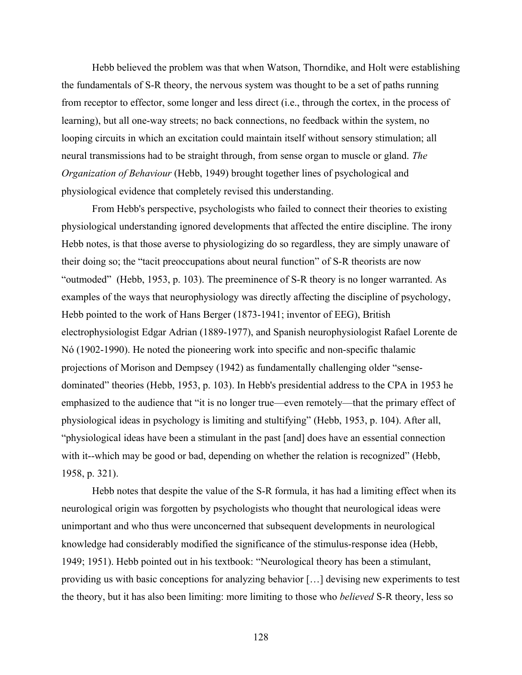Hebb believed the problem was that when Watson, Thorndike, and Holt were establishing the fundamentals of S-R theory, the nervous system was thought to be a set of paths running from receptor to effector, some longer and less direct (i.e., through the cortex, in the process of learning), but all one-way streets; no back connections, no feedback within the system, no looping circuits in which an excitation could maintain itself without sensory stimulation; all neural transmissions had to be straight through, from sense organ to muscle or gland. *The Organization of Behaviour* (Hebb, 1949) brought together lines of psychological and physiological evidence that completely revised this understanding.

From Hebb's perspective, psychologists who failed to connect their theories to existing physiological understanding ignored developments that affected the entire discipline. The irony Hebb notes, is that those averse to physiologizing do so regardless, they are simply unaware of their doing so; the "tacit preoccupations about neural function" of S-R theorists are now "outmoded" (Hebb, 1953, p. 103). The preeminence of S-R theory is no longer warranted. As examples of the ways that neurophysiology was directly affecting the discipline of psychology, Hebb pointed to the work of Hans Berger (1873-1941; inventor of EEG), British electrophysiologist Edgar Adrian (1889-1977), and Spanish neurophysiologist Rafael Lorente de Nó (1902-1990). He noted the pioneering work into specific and non-specific thalamic projections of Morison and Dempsey (1942) as fundamentally challenging older "sensedominated" theories (Hebb, 1953, p. 103). In Hebb's presidential address to the CPA in 1953 he emphasized to the audience that "it is no longer true—even remotely—that the primary effect of physiological ideas in psychology is limiting and stultifying" (Hebb, 1953, p. 104). After all, "physiological ideas have been a stimulant in the past [and] does have an essential connection with it--which may be good or bad, depending on whether the relation is recognized" (Hebb, 1958, p. 321).

Hebb notes that despite the value of the S-R formula, it has had a limiting effect when its neurological origin was forgotten by psychologists who thought that neurological ideas were unimportant and who thus were unconcerned that subsequent developments in neurological knowledge had considerably modified the significance of the stimulus-response idea (Hebb, 1949; 1951). Hebb pointed out in his textbook: "Neurological theory has been a stimulant, providing us with basic conceptions for analyzing behavior […] devising new experiments to test the theory, but it has also been limiting: more limiting to those who *believed* S-R theory, less so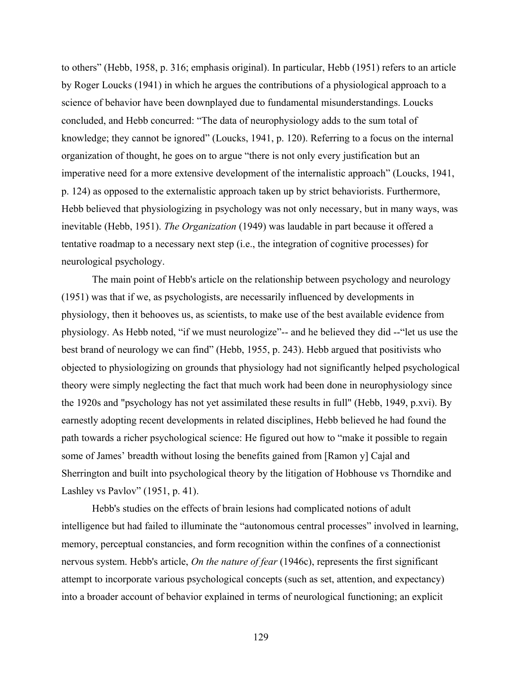to others" (Hebb, 1958, p. 316; emphasis original). In particular, Hebb (1951) refers to an article by Roger Loucks (1941) in which he argues the contributions of a physiological approach to a science of behavior have been downplayed due to fundamental misunderstandings. Loucks concluded, and Hebb concurred: "The data of neurophysiology adds to the sum total of knowledge; they cannot be ignored" (Loucks, 1941, p. 120). Referring to a focus on the internal organization of thought, he goes on to argue "there is not only every justification but an imperative need for a more extensive development of the internalistic approach" (Loucks, 1941, p. 124) as opposed to the externalistic approach taken up by strict behaviorists. Furthermore, Hebb believed that physiologizing in psychology was not only necessary, but in many ways, was inevitable (Hebb, 1951). *The Organization* (1949) was laudable in part because it offered a tentative roadmap to a necessary next step (i.e., the integration of cognitive processes) for neurological psychology.

The main point of Hebb's article on the relationship between psychology and neurology (1951) was that if we, as psychologists, are necessarily influenced by developments in physiology, then it behooves us, as scientists, to make use of the best available evidence from physiology. As Hebb noted, "if we must neurologize"-- and he believed they did --"let us use the best brand of neurology we can find" (Hebb, 1955, p. 243). Hebb argued that positivists who objected to physiologizing on grounds that physiology had not significantly helped psychological theory were simply neglecting the fact that much work had been done in neurophysiology since the 1920s and "psychology has not yet assimilated these results in full" (Hebb, 1949, p.xvi). By earnestly adopting recent developments in related disciplines, Hebb believed he had found the path towards a richer psychological science: He figured out how to "make it possible to regain some of James' breadth without losing the benefits gained from [Ramon y] Cajal and Sherrington and built into psychological theory by the litigation of Hobhouse vs Thorndike and Lashley vs Pavlov" (1951, p. 41).

Hebb's studies on the effects of brain lesions had complicated notions of adult intelligence but had failed to illuminate the "autonomous central processes" involved in learning, memory, perceptual constancies, and form recognition within the confines of a connectionist nervous system. Hebb's article, *On the nature of fear* (1946c), represents the first significant attempt to incorporate various psychological concepts (such as set, attention, and expectancy) into a broader account of behavior explained in terms of neurological functioning; an explicit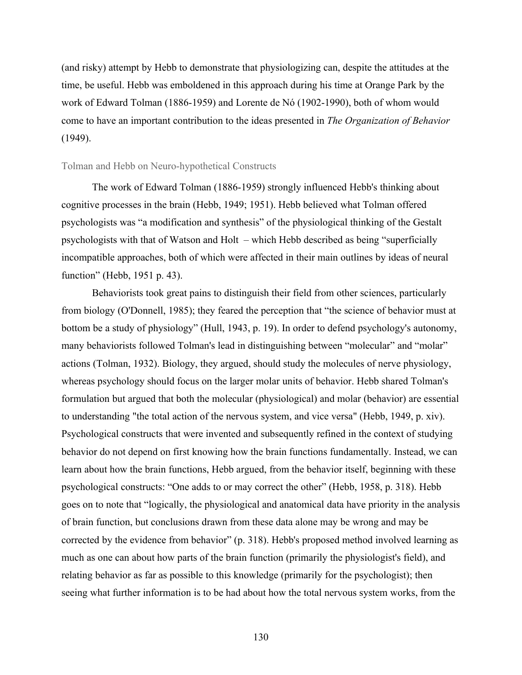(and risky) attempt by Hebb to demonstrate that physiologizing can, despite the attitudes at the time, be useful. Hebb was emboldened in this approach during his time at Orange Park by the work of Edward Tolman (1886-1959) and Lorente de Nó (1902-1990), both of whom would come to have an important contribution to the ideas presented in *The Organization of Behavior* (1949).

## Tolman and Hebb on Neuro-hypothetical Constructs

The work of Edward Tolman (1886-1959) strongly influenced Hebb's thinking about cognitive processes in the brain (Hebb, 1949; 1951). Hebb believed what Tolman offered psychologists was "a modification and synthesis" of the physiological thinking of the Gestalt psychologists with that of Watson and Holt – which Hebb described as being "superficially incompatible approaches, both of which were affected in their main outlines by ideas of neural function" (Hebb, 1951 p. 43).

Behaviorists took great pains to distinguish their field from other sciences, particularly from biology (O'Donnell, 1985); they feared the perception that "the science of behavior must at bottom be a study of physiology" (Hull, 1943, p. 19). In order to defend psychology's autonomy, many behaviorists followed Tolman's lead in distinguishing between "molecular" and "molar" actions (Tolman, 1932). Biology, they argued, should study the molecules of nerve physiology, whereas psychology should focus on the larger molar units of behavior. Hebb shared Tolman's formulation but argued that both the molecular (physiological) and molar (behavior) are essential to understanding "the total action of the nervous system, and vice versa" (Hebb, 1949, p. xiv). Psychological constructs that were invented and subsequently refined in the context of studying behavior do not depend on first knowing how the brain functions fundamentally. Instead, we can learn about how the brain functions, Hebb argued, from the behavior itself, beginning with these psychological constructs: "One adds to or may correct the other" (Hebb, 1958, p. 318). Hebb goes on to note that "logically, the physiological and anatomical data have priority in the analysis of brain function, but conclusions drawn from these data alone may be wrong and may be corrected by the evidence from behavior" (p. 318). Hebb's proposed method involved learning as much as one can about how parts of the brain function (primarily the physiologist's field), and relating behavior as far as possible to this knowledge (primarily for the psychologist); then seeing what further information is to be had about how the total nervous system works, from the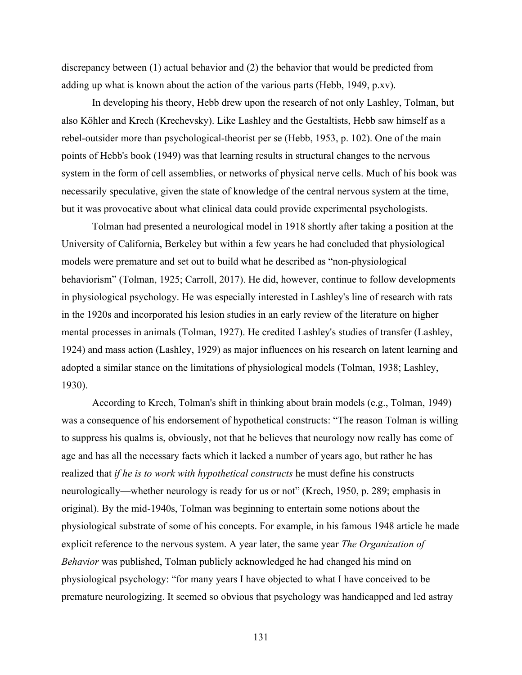discrepancy between (1) actual behavior and (2) the behavior that would be predicted from adding up what is known about the action of the various parts (Hebb, 1949, p.xv).

In developing his theory, Hebb drew upon the research of not only Lashley, Tolman, but also Köhler and Krech (Krechevsky). Like Lashley and the Gestaltists, Hebb saw himself as a rebel-outsider more than psychological-theorist per se (Hebb, 1953, p. 102). One of the main points of Hebb's book (1949) was that learning results in structural changes to the nervous system in the form of cell assemblies, or networks of physical nerve cells. Much of his book was necessarily speculative, given the state of knowledge of the central nervous system at the time, but it was provocative about what clinical data could provide experimental psychologists.

Tolman had presented a neurological model in 1918 shortly after taking a position at the University of California, Berkeley but within a few years he had concluded that physiological models were premature and set out to build what he described as "non-physiological behaviorism" (Tolman, 1925; Carroll, 2017). He did, however, continue to follow developments in physiological psychology. He was especially interested in Lashley's line of research with rats in the 1920s and incorporated his lesion studies in an early review of the literature on higher mental processes in animals (Tolman, 1927). He credited Lashley's studies of transfer (Lashley, 1924) and mass action (Lashley, 1929) as major influences on his research on latent learning and adopted a similar stance on the limitations of physiological models (Tolman, 1938; Lashley, 1930).

According to Krech, Tolman's shift in thinking about brain models (e.g., Tolman, 1949) was a consequence of his endorsement of hypothetical constructs: "The reason Tolman is willing to suppress his qualms is, obviously, not that he believes that neurology now really has come of age and has all the necessary facts which it lacked a number of years ago, but rather he has realized that *if he is to work with hypothetical constructs* he must define his constructs neurologically—whether neurology is ready for us or not" (Krech, 1950, p. 289; emphasis in original). By the mid-1940s, Tolman was beginning to entertain some notions about the physiological substrate of some of his concepts. For example, in his famous 1948 article he made explicit reference to the nervous system. A year later, the same year *The Organization of Behavior* was published, Tolman publicly acknowledged he had changed his mind on physiological psychology: "for many years I have objected to what I have conceived to be premature neurologizing. It seemed so obvious that psychology was handicapped and led astray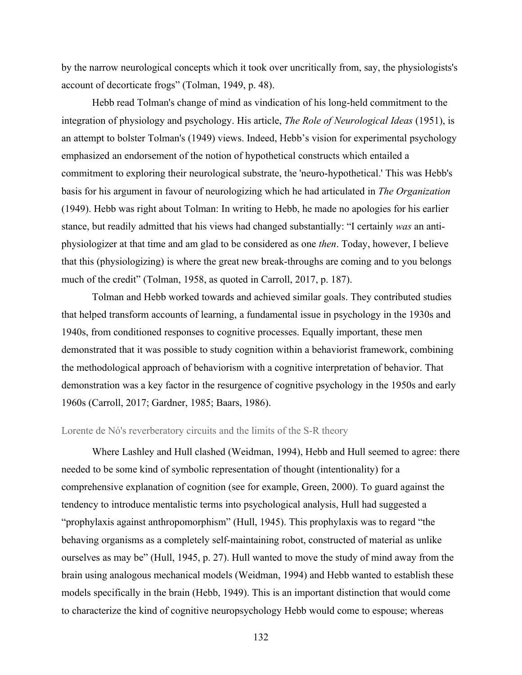by the narrow neurological concepts which it took over uncritically from, say, the physiologists's account of decorticate frogs" (Tolman, 1949, p. 48).

Hebb read Tolman's change of mind as vindication of his long-held commitment to the integration of physiology and psychology. His article, *The Role of Neurological Ideas* (1951), is an attempt to bolster Tolman's (1949) views. Indeed, Hebb's vision for experimental psychology emphasized an endorsement of the notion of hypothetical constructs which entailed a commitment to exploring their neurological substrate, the 'neuro-hypothetical.' This was Hebb's basis for his argument in favour of neurologizing which he had articulated in *The Organization* (1949). Hebb was right about Tolman: In writing to Hebb, he made no apologies for his earlier stance, but readily admitted that his views had changed substantially: "I certainly *was* an antiphysiologizer at that time and am glad to be considered as one *then*. Today, however, I believe that this (physiologizing) is where the great new break-throughs are coming and to you belongs much of the credit" (Tolman, 1958, as quoted in Carroll, 2017, p. 187).

Tolman and Hebb worked towards and achieved similar goals. They contributed studies that helped transform accounts of learning, a fundamental issue in psychology in the 1930s and 1940s, from conditioned responses to cognitive processes. Equally important, these men demonstrated that it was possible to study cognition within a behaviorist framework, combining the methodological approach of behaviorism with a cognitive interpretation of behavior. That demonstration was a key factor in the resurgence of cognitive psychology in the 1950s and early 1960s (Carroll, 2017; Gardner, 1985; Baars, 1986).

## Lorente de Nó's reverberatory circuits and the limits of the S-R theory

Where Lashley and Hull clashed (Weidman, 1994), Hebb and Hull seemed to agree: there needed to be some kind of symbolic representation of thought (intentionality) for a comprehensive explanation of cognition (see for example, Green, 2000). To guard against the tendency to introduce mentalistic terms into psychological analysis, Hull had suggested a "prophylaxis against anthropomorphism" (Hull, 1945). This prophylaxis was to regard "the behaving organisms as a completely self-maintaining robot, constructed of material as unlike ourselves as may be" (Hull, 1945, p. 27). Hull wanted to move the study of mind away from the brain using analogous mechanical models (Weidman, 1994) and Hebb wanted to establish these models specifically in the brain (Hebb, 1949). This is an important distinction that would come to characterize the kind of cognitive neuropsychology Hebb would come to espouse; whereas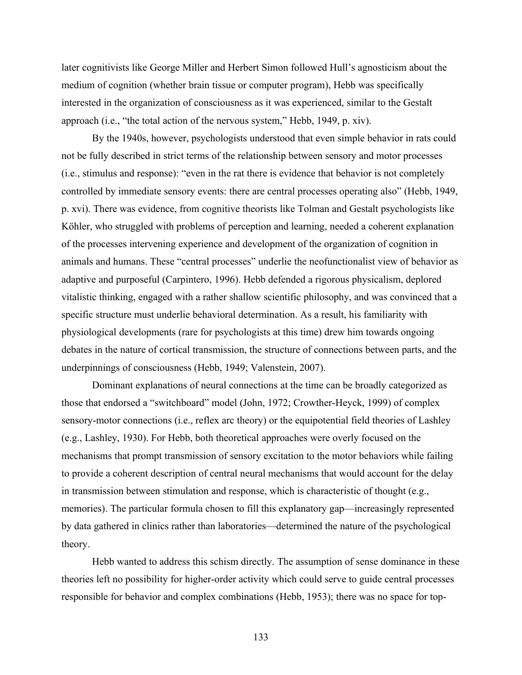later cognitivists like George Miller and Herbert Simon followed Hull's agnosticism about the medium of cognition (whether brain tissue or computer program), Hebb was specifically interested in the organization of consciousness as it was experienced, similar to the Gestalt approach (i.e., "the total action of the nervous system," Hebb, 1949, p. xiv).

By the 1940s, however, psychologists understood that even simple behavior in rats could not be fully described in strict terms of the relationship between sensory and motor processes (i.e., stimulus and response): "even in the rat there is evidence that behavior is not completely controlled by immediate sensory events: there are central processes operating also" (Hebb, 1949, p. xvi). There was evidence, from cognitive theorists like Tolman and Gestalt psychologists like Köhler, who struggled with problems of perception and learning, needed a coherent explanation of the processes intervening experience and development of the organization of cognition in animals and humans. These "central processes" underlie the neofunctionalist view of behavior as adaptive and purposeful (Carpintero, 1996). Hebb defended a rigorous physicalism, deplored vitalistic thinking, engaged with a rather shallow scientific philosophy, and was convinced that a specific structure must underlie behavioral determination. As a result, his familiarity with physiological developments (rare for psychologists at this time) drew him towards ongoing debates in the nature of cortical transmission, the structure of connections between parts, and the underpinnings of consciousness (Hebb, 1949; Valenstein, 2007).

Dominant explanations of neural connections at the time can be broadly categorized as those that endorsed a "switchboard" model (John, 1972; Crowther-Heyck, 1999) of complex sensory-motor connections (i.e., reflex arc theory) or the equipotential field theories of Lashley (e.g., Lashley, 1930). For Hebb, both theoretical approaches were overly focused on the mechanisms that prompt transmission of sensory excitation to the motor behaviors while failing to provide a coherent description of central neural mechanisms that would account for the delay in transmission between stimulation and response, which is characteristic of thought (e.g., memories). The particular formula chosen to fill this explanatory gap—increasingly represented by data gathered in clinics rather than laboratories—determined the nature of the psychological theory.

Hebb wanted to address this schism directly. The assumption of sense dominance in these theories left no possibility for higher-order activity which could serve to guide central processes responsible for behavior and complex combinations (Hebb, 1953); there was no space for top-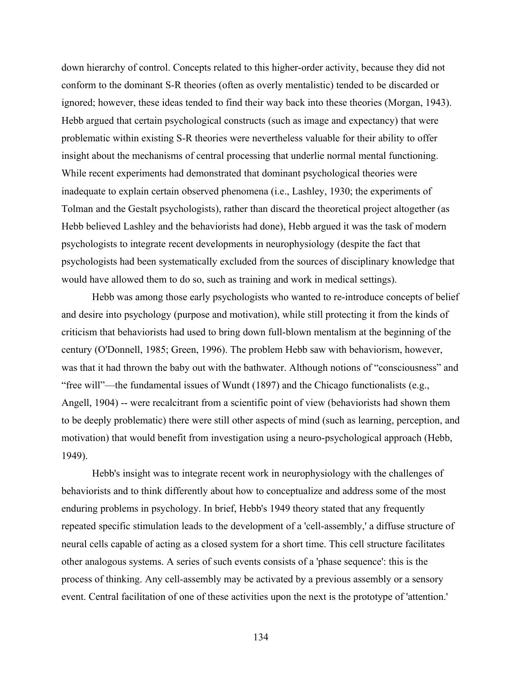down hierarchy of control. Concepts related to this higher-order activity, because they did not conform to the dominant S-R theories (often as overly mentalistic) tended to be discarded or ignored; however, these ideas tended to find their way back into these theories (Morgan, 1943). Hebb argued that certain psychological constructs (such as image and expectancy) that were problematic within existing S-R theories were nevertheless valuable for their ability to offer insight about the mechanisms of central processing that underlie normal mental functioning. While recent experiments had demonstrated that dominant psychological theories were inadequate to explain certain observed phenomena (i.e., Lashley, 1930; the experiments of Tolman and the Gestalt psychologists), rather than discard the theoretical project altogether (as Hebb believed Lashley and the behaviorists had done), Hebb argued it was the task of modern psychologists to integrate recent developments in neurophysiology (despite the fact that psychologists had been systematically excluded from the sources of disciplinary knowledge that would have allowed them to do so, such as training and work in medical settings).

Hebb was among those early psychologists who wanted to re-introduce concepts of belief and desire into psychology (purpose and motivation), while still protecting it from the kinds of criticism that behaviorists had used to bring down full-blown mentalism at the beginning of the century (O'Donnell, 1985; Green, 1996). The problem Hebb saw with behaviorism, however, was that it had thrown the baby out with the bathwater. Although notions of "consciousness" and "free will"—the fundamental issues of Wundt (1897) and the Chicago functionalists (e.g., Angell, 1904) -- were recalcitrant from a scientific point of view (behaviorists had shown them to be deeply problematic) there were still other aspects of mind (such as learning, perception, and motivation) that would benefit from investigation using a neuro-psychological approach (Hebb, 1949).

Hebb's insight was to integrate recent work in neurophysiology with the challenges of behaviorists and to think differently about how to conceptualize and address some of the most enduring problems in psychology. In brief, Hebb's 1949 theory stated that any frequently repeated specific stimulation leads to the development of a 'cell-assembly,' a diffuse structure of neural cells capable of acting as a closed system for a short time. This cell structure facilitates other analogous systems. A series of such events consists of a 'phase sequence': this is the process of thinking. Any cell-assembly may be activated by a previous assembly or a sensory event. Central facilitation of one of these activities upon the next is the prototype of 'attention.'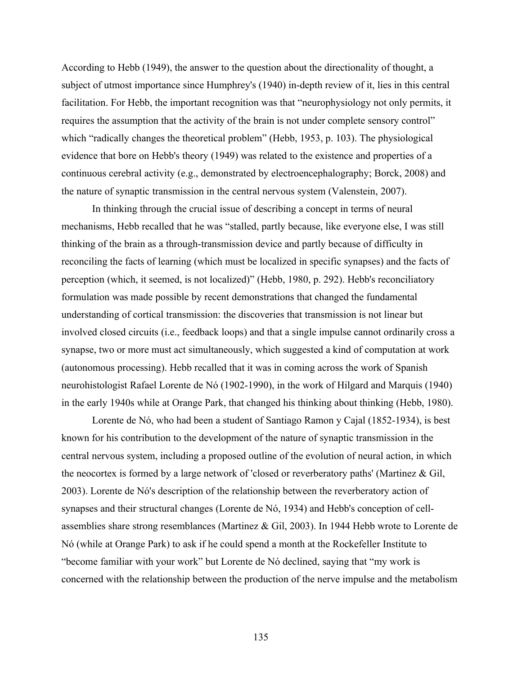According to Hebb (1949), the answer to the question about the directionality of thought, a subject of utmost importance since Humphrey's (1940) in-depth review of it, lies in this central facilitation. For Hebb, the important recognition was that "neurophysiology not only permits, it requires the assumption that the activity of the brain is not under complete sensory control" which "radically changes the theoretical problem" (Hebb, 1953, p. 103). The physiological evidence that bore on Hebb's theory (1949) was related to the existence and properties of a continuous cerebral activity (e.g., demonstrated by electroencephalography; Borck, 2008) and the nature of synaptic transmission in the central nervous system (Valenstein, 2007).

In thinking through the crucial issue of describing a concept in terms of neural mechanisms, Hebb recalled that he was "stalled, partly because, like everyone else, I was still thinking of the brain as a through-transmission device and partly because of difficulty in reconciling the facts of learning (which must be localized in specific synapses) and the facts of perception (which, it seemed, is not localized)" (Hebb, 1980, p. 292). Hebb's reconciliatory formulation was made possible by recent demonstrations that changed the fundamental understanding of cortical transmission: the discoveries that transmission is not linear but involved closed circuits (i.e., feedback loops) and that a single impulse cannot ordinarily cross a synapse, two or more must act simultaneously, which suggested a kind of computation at work (autonomous processing). Hebb recalled that it was in coming across the work of Spanish neurohistologist Rafael Lorente de Nó (1902-1990), in the work of Hilgard and Marquis (1940) in the early 1940s while at Orange Park, that changed his thinking about thinking (Hebb, 1980).

Lorente de Nó, who had been a student of Santiago Ramon y Cajal (1852-1934), is best known for his contribution to the development of the nature of synaptic transmission in the central nervous system, including a proposed outline of the evolution of neural action, in which the neocortex is formed by a large network of 'closed or reverberatory paths' (Martinez & Gil, 2003). Lorente de Nó's description of the relationship between the reverberatory action of synapses and their structural changes (Lorente de Nó, 1934) and Hebb's conception of cellassemblies share strong resemblances (Martinez & Gil, 2003). In 1944 Hebb wrote to Lorente de Nó (while at Orange Park) to ask if he could spend a month at the Rockefeller Institute to "become familiar with your work" but Lorente de Nó declined, saying that "my work is concerned with the relationship between the production of the nerve impulse and the metabolism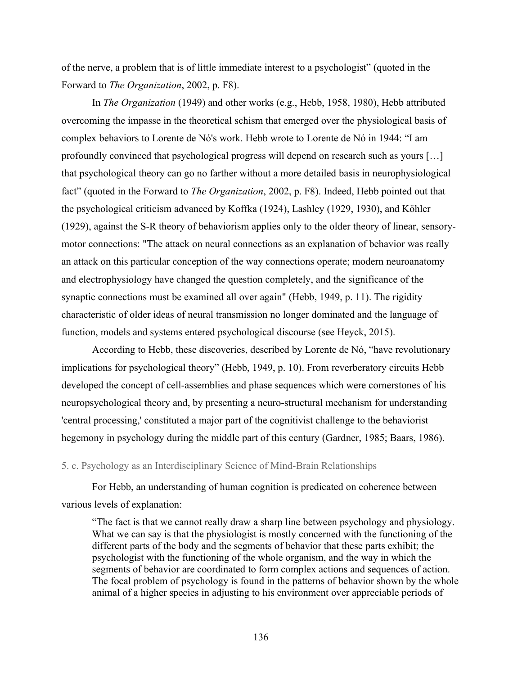of the nerve, a problem that is of little immediate interest to a psychologist" (quoted in the Forward to *The Organization*, 2002, p. F8).

In *The Organization* (1949) and other works (e.g., Hebb, 1958, 1980), Hebb attributed overcoming the impasse in the theoretical schism that emerged over the physiological basis of complex behaviors to Lorente de Nó's work. Hebb wrote to Lorente de Nó in 1944: "I am profoundly convinced that psychological progress will depend on research such as yours […] that psychological theory can go no farther without a more detailed basis in neurophysiological fact" (quoted in the Forward to *The Organization*, 2002, p. F8). Indeed, Hebb pointed out that the psychological criticism advanced by Koffka (1924), Lashley (1929, 1930), and Köhler (1929), against the S-R theory of behaviorism applies only to the older theory of linear, sensorymotor connections: "The attack on neural connections as an explanation of behavior was really an attack on this particular conception of the way connections operate; modern neuroanatomy and electrophysiology have changed the question completely, and the significance of the synaptic connections must be examined all over again" (Hebb, 1949, p. 11). The rigidity characteristic of older ideas of neural transmission no longer dominated and the language of function, models and systems entered psychological discourse (see Heyck, 2015).

According to Hebb, these discoveries, described by Lorente de Nó, "have revolutionary implications for psychological theory" (Hebb, 1949, p. 10). From reverberatory circuits Hebb developed the concept of cell-assemblies and phase sequences which were cornerstones of his neuropsychological theory and, by presenting a neuro-structural mechanism for understanding 'central processing,' constituted a major part of the cognitivist challenge to the behaviorist hegemony in psychology during the middle part of this century (Gardner, 1985; Baars, 1986).

## 5. c. Psychology as an Interdisciplinary Science of Mind-Brain Relationships

For Hebb, an understanding of human cognition is predicated on coherence between various levels of explanation:

"The fact is that we cannot really draw a sharp line between psychology and physiology. What we can say is that the physiologist is mostly concerned with the functioning of the different parts of the body and the segments of behavior that these parts exhibit; the psychologist with the functioning of the whole organism, and the way in which the segments of behavior are coordinated to form complex actions and sequences of action. The focal problem of psychology is found in the patterns of behavior shown by the whole animal of a higher species in adjusting to his environment over appreciable periods of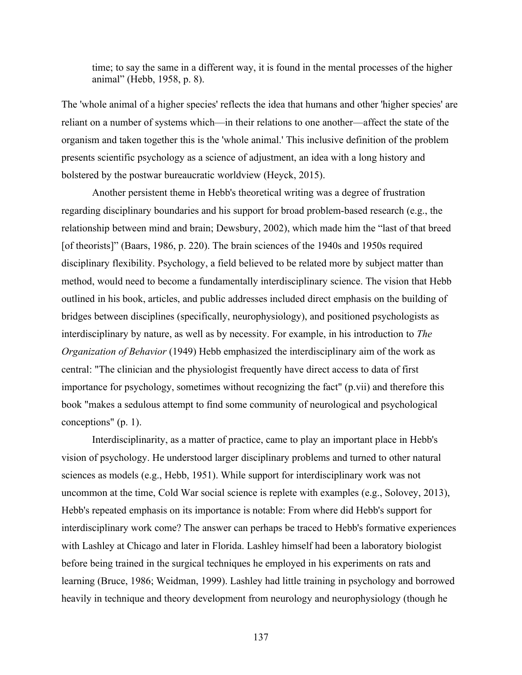time; to say the same in a different way, it is found in the mental processes of the higher animal" (Hebb, 1958, p. 8).

The 'whole animal of a higher species' reflects the idea that humans and other 'higher species' are reliant on a number of systems which—in their relations to one another—affect the state of the organism and taken together this is the 'whole animal.' This inclusive definition of the problem presents scientific psychology as a science of adjustment, an idea with a long history and bolstered by the postwar bureaucratic worldview (Heyck, 2015).

Another persistent theme in Hebb's theoretical writing was a degree of frustration regarding disciplinary boundaries and his support for broad problem-based research (e.g., the relationship between mind and brain; Dewsbury, 2002), which made him the "last of that breed [of theorists]" (Baars, 1986, p. 220). The brain sciences of the 1940s and 1950s required disciplinary flexibility. Psychology, a field believed to be related more by subject matter than method, would need to become a fundamentally interdisciplinary science. The vision that Hebb outlined in his book, articles, and public addresses included direct emphasis on the building of bridges between disciplines (specifically, neurophysiology), and positioned psychologists as interdisciplinary by nature, as well as by necessity. For example, in his introduction to *The Organization of Behavior* (1949) Hebb emphasized the interdisciplinary aim of the work as central: "The clinician and the physiologist frequently have direct access to data of first importance for psychology, sometimes without recognizing the fact" (p.vii) and therefore this book "makes a sedulous attempt to find some community of neurological and psychological conceptions" (p. 1).

Interdisciplinarity, as a matter of practice, came to play an important place in Hebb's vision of psychology. He understood larger disciplinary problems and turned to other natural sciences as models (e.g., Hebb, 1951). While support for interdisciplinary work was not uncommon at the time, Cold War social science is replete with examples (e.g., Solovey, 2013), Hebb's repeated emphasis on its importance is notable: From where did Hebb's support for interdisciplinary work come? The answer can perhaps be traced to Hebb's formative experiences with Lashley at Chicago and later in Florida. Lashley himself had been a laboratory biologist before being trained in the surgical techniques he employed in his experiments on rats and learning (Bruce, 1986; Weidman, 1999). Lashley had little training in psychology and borrowed heavily in technique and theory development from neurology and neurophysiology (though he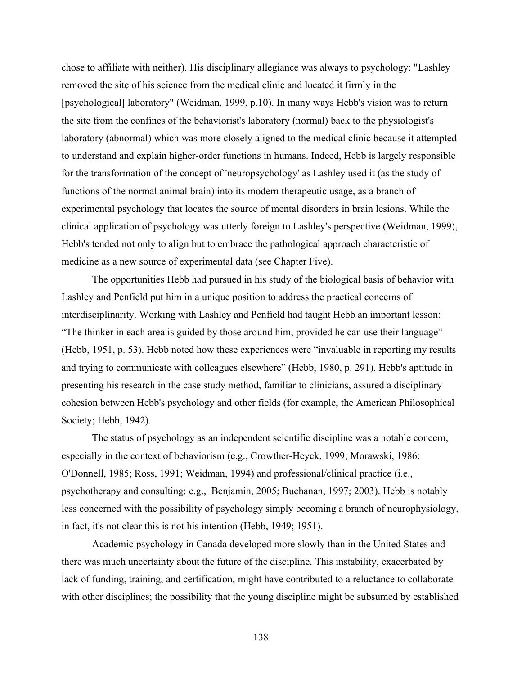chose to affiliate with neither). His disciplinary allegiance was always to psychology: "Lashley removed the site of his science from the medical clinic and located it firmly in the [psychological] laboratory" (Weidman, 1999, p.10). In many ways Hebb's vision was to return the site from the confines of the behaviorist's laboratory (normal) back to the physiologist's laboratory (abnormal) which was more closely aligned to the medical clinic because it attempted to understand and explain higher-order functions in humans. Indeed, Hebb is largely responsible for the transformation of the concept of 'neuropsychology' as Lashley used it (as the study of functions of the normal animal brain) into its modern therapeutic usage, as a branch of experimental psychology that locates the source of mental disorders in brain lesions. While the clinical application of psychology was utterly foreign to Lashley's perspective (Weidman, 1999), Hebb's tended not only to align but to embrace the pathological approach characteristic of medicine as a new source of experimental data (see Chapter Five).

The opportunities Hebb had pursued in his study of the biological basis of behavior with Lashley and Penfield put him in a unique position to address the practical concerns of interdisciplinarity. Working with Lashley and Penfield had taught Hebb an important lesson: "The thinker in each area is guided by those around him, provided he can use their language" (Hebb, 1951, p. 53). Hebb noted how these experiences were "invaluable in reporting my results and trying to communicate with colleagues elsewhere" (Hebb, 1980, p. 291). Hebb's aptitude in presenting his research in the case study method, familiar to clinicians, assured a disciplinary cohesion between Hebb's psychology and other fields (for example, the American Philosophical Society; Hebb, 1942).

The status of psychology as an independent scientific discipline was a notable concern, especially in the context of behaviorism (e.g., Crowther-Heyck, 1999; Morawski, 1986; O'Donnell, 1985; Ross, 1991; Weidman, 1994) and professional/clinical practice (i.e., psychotherapy and consulting: e.g., Benjamin, 2005; Buchanan, 1997; 2003). Hebb is notably less concerned with the possibility of psychology simply becoming a branch of neurophysiology, in fact, it's not clear this is not his intention (Hebb, 1949; 1951).

Academic psychology in Canada developed more slowly than in the United States and there was much uncertainty about the future of the discipline. This instability, exacerbated by lack of funding, training, and certification, might have contributed to a reluctance to collaborate with other disciplines; the possibility that the young discipline might be subsumed by established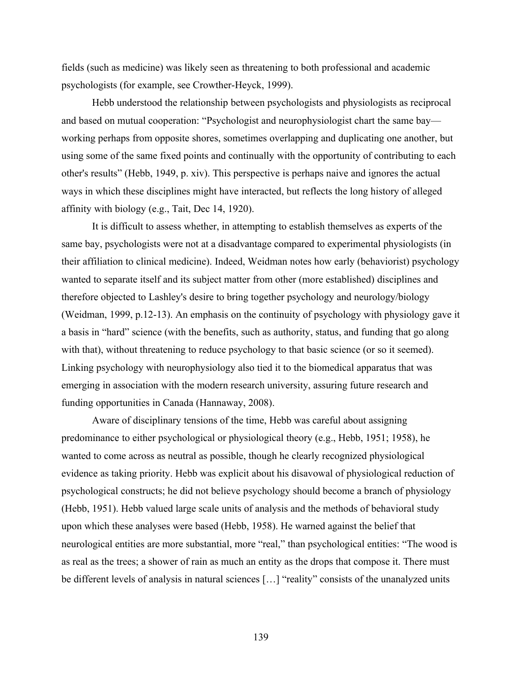fields (such as medicine) was likely seen as threatening to both professional and academic psychologists (for example, see Crowther-Heyck, 1999).

Hebb understood the relationship between psychologists and physiologists as reciprocal and based on mutual cooperation: "Psychologist and neurophysiologist chart the same bay working perhaps from opposite shores, sometimes overlapping and duplicating one another, but using some of the same fixed points and continually with the opportunity of contributing to each other's results" (Hebb, 1949, p. xiv). This perspective is perhaps naive and ignores the actual ways in which these disciplines might have interacted, but reflects the long history of alleged affinity with biology (e.g., Tait, Dec 14, 1920).

It is difficult to assess whether, in attempting to establish themselves as experts of the same bay, psychologists were not at a disadvantage compared to experimental physiologists (in their affiliation to clinical medicine). Indeed, Weidman notes how early (behaviorist) psychology wanted to separate itself and its subject matter from other (more established) disciplines and therefore objected to Lashley's desire to bring together psychology and neurology/biology (Weidman, 1999, p.12-13). An emphasis on the continuity of psychology with physiology gave it a basis in "hard" science (with the benefits, such as authority, status, and funding that go along with that), without threatening to reduce psychology to that basic science (or so it seemed). Linking psychology with neurophysiology also tied it to the biomedical apparatus that was emerging in association with the modern research university, assuring future research and funding opportunities in Canada (Hannaway, 2008).

Aware of disciplinary tensions of the time, Hebb was careful about assigning predominance to either psychological or physiological theory (e.g., Hebb, 1951; 1958), he wanted to come across as neutral as possible, though he clearly recognized physiological evidence as taking priority. Hebb was explicit about his disavowal of physiological reduction of psychological constructs; he did not believe psychology should become a branch of physiology (Hebb, 1951). Hebb valued large scale units of analysis and the methods of behavioral study upon which these analyses were based (Hebb, 1958). He warned against the belief that neurological entities are more substantial, more "real," than psychological entities: "The wood is as real as the trees; a shower of rain as much an entity as the drops that compose it. There must be different levels of analysis in natural sciences […] "reality" consists of the unanalyzed units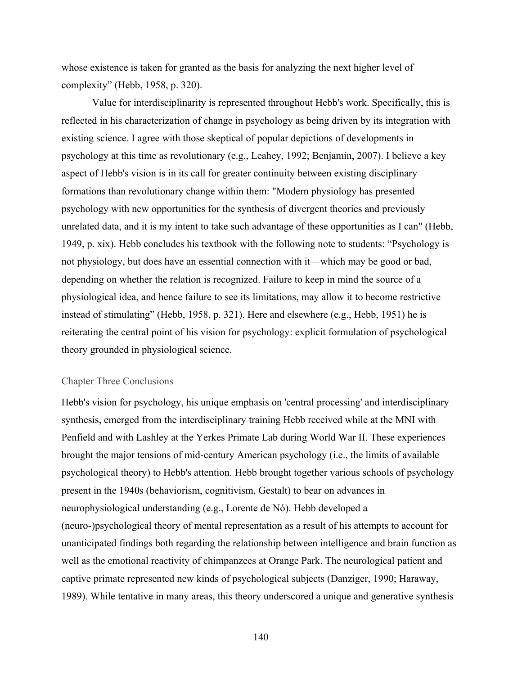whose existence is taken for granted as the basis for analyzing the next higher level of complexity" (Hebb, 1958, p. 320).

Value for interdisciplinarity is represented throughout Hebb's work. Specifically, this is reflected in his characterization of change in psychology as being driven by its integration with existing science. I agree with those skeptical of popular depictions of developments in psychology at this time as revolutionary (e.g., Leahey, 1992; Benjamin, 2007). I believe a key aspect of Hebb's vision is in its call for greater continuity between existing disciplinary formations than revolutionary change within them: "Modern physiology has presented psychology with new opportunities for the synthesis of divergent theories and previously unrelated data, and it is my intent to take such advantage of these opportunities as I can" (Hebb, 1949, p. xix). Hebb concludes his textbook with the following note to students: "Psychology is not physiology, but does have an essential connection with it—which may be good or bad, depending on whether the relation is recognized. Failure to keep in mind the source of a physiological idea, and hence failure to see its limitations, may allow it to become restrictive instead of stimulating" (Hebb, 1958, p. 321). Here and elsewhere (e.g., Hebb, 1951) he is reiterating the central point of his vision for psychology: explicit formulation of psychological theory grounded in physiological science.

## Chapter Three Conclusions

Hebb's vision for psychology, his unique emphasis on 'central processing' and interdisciplinary synthesis, emerged from the interdisciplinary training Hebb received while at the MNI with Penfield and with Lashley at the Yerkes Primate Lab during World War II. These experiences brought the major tensions of mid-century American psychology (i.e., the limits of available psychological theory) to Hebb's attention. Hebb brought together various schools of psychology present in the 1940s (behaviorism, cognitivism, Gestalt) to bear on advances in neurophysiological understanding (e.g., Lorente de Nó). Hebb developed a (neuro-)psychological theory of mental representation as a result of his attempts to account for unanticipated findings both regarding the relationship between intelligence and brain function as well as the emotional reactivity of chimpanzees at Orange Park. The neurological patient and captive primate represented new kinds of psychological subjects (Danziger, 1990; Haraway, 1989). While tentative in many areas, this theory underscored a unique and generative synthesis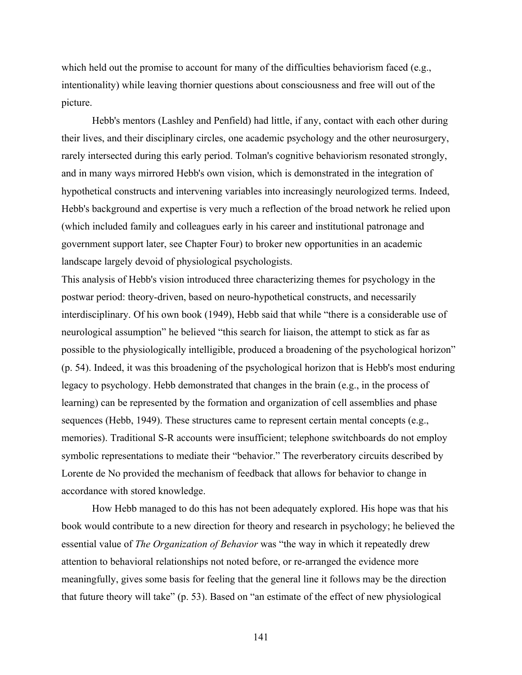which held out the promise to account for many of the difficulties behaviorism faced (e.g., intentionality) while leaving thornier questions about consciousness and free will out of the picture.

Hebb's mentors (Lashley and Penfield) had little, if any, contact with each other during their lives, and their disciplinary circles, one academic psychology and the other neurosurgery, rarely intersected during this early period. Tolman's cognitive behaviorism resonated strongly, and in many ways mirrored Hebb's own vision, which is demonstrated in the integration of hypothetical constructs and intervening variables into increasingly neurologized terms. Indeed, Hebb's background and expertise is very much a reflection of the broad network he relied upon (which included family and colleagues early in his career and institutional patronage and government support later, see Chapter Four) to broker new opportunities in an academic landscape largely devoid of physiological psychologists.

This analysis of Hebb's vision introduced three characterizing themes for psychology in the postwar period: theory-driven, based on neuro-hypothetical constructs, and necessarily interdisciplinary. Of his own book (1949), Hebb said that while "there is a considerable use of neurological assumption" he believed "this search for liaison, the attempt to stick as far as possible to the physiologically intelligible, produced a broadening of the psychological horizon" (p. 54). Indeed, it was this broadening of the psychological horizon that is Hebb's most enduring legacy to psychology. Hebb demonstrated that changes in the brain (e.g., in the process of learning) can be represented by the formation and organization of cell assemblies and phase sequences (Hebb, 1949). These structures came to represent certain mental concepts (e.g., memories). Traditional S-R accounts were insufficient; telephone switchboards do not employ symbolic representations to mediate their "behavior." The reverberatory circuits described by Lorente de No provided the mechanism of feedback that allows for behavior to change in accordance with stored knowledge.

How Hebb managed to do this has not been adequately explored. His hope was that his book would contribute to a new direction for theory and research in psychology; he believed the essential value of *The Organization of Behavior* was "the way in which it repeatedly drew attention to behavioral relationships not noted before, or re-arranged the evidence more meaningfully, gives some basis for feeling that the general line it follows may be the direction that future theory will take" (p. 53). Based on "an estimate of the effect of new physiological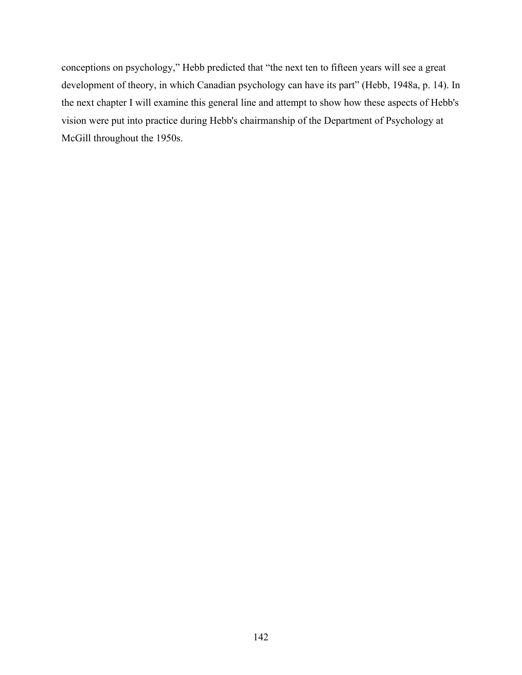conceptions on psychology," Hebb predicted that "the next ten to fifteen years will see a great development of theory, in which Canadian psychology can have its part" (Hebb, 1948a, p. 14). In the next chapter I will examine this general line and attempt to show how these aspects of Hebb's vision were put into practice during Hebb's chairmanship of the Department of Psychology at McGill throughout the 1950s.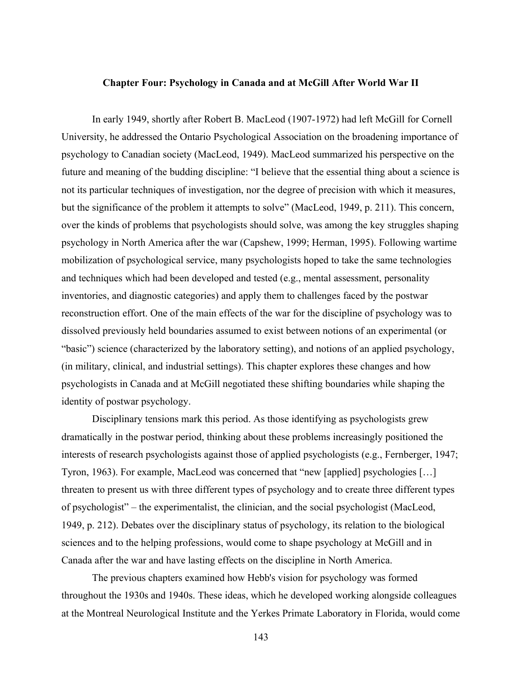## **Chapter Four: Psychology in Canada and at McGill After World War II**

In early 1949, shortly after Robert B. MacLeod (1907-1972) had left McGill for Cornell University, he addressed the Ontario Psychological Association on the broadening importance of psychology to Canadian society (MacLeod, 1949). MacLeod summarized his perspective on the future and meaning of the budding discipline: "I believe that the essential thing about a science is not its particular techniques of investigation, nor the degree of precision with which it measures, but the significance of the problem it attempts to solve" (MacLeod, 1949, p. 211). This concern, over the kinds of problems that psychologists should solve, was among the key struggles shaping psychology in North America after the war (Capshew, 1999; Herman, 1995). Following wartime mobilization of psychological service, many psychologists hoped to take the same technologies and techniques which had been developed and tested (e.g., mental assessment, personality inventories, and diagnostic categories) and apply them to challenges faced by the postwar reconstruction effort. One of the main effects of the war for the discipline of psychology was to dissolved previously held boundaries assumed to exist between notions of an experimental (or "basic") science (characterized by the laboratory setting), and notions of an applied psychology, (in military, clinical, and industrial settings). This chapter explores these changes and how psychologists in Canada and at McGill negotiated these shifting boundaries while shaping the identity of postwar psychology.

Disciplinary tensions mark this period. As those identifying as psychologists grew dramatically in the postwar period, thinking about these problems increasingly positioned the interests of research psychologists against those of applied psychologists (e.g., Fernberger, 1947; Tyron, 1963). For example, MacLeod was concerned that "new [applied] psychologies […] threaten to present us with three different types of psychology and to create three different types of psychologist" – the experimentalist, the clinician, and the social psychologist (MacLeod, 1949, p. 212). Debates over the disciplinary status of psychology, its relation to the biological sciences and to the helping professions, would come to shape psychology at McGill and in Canada after the war and have lasting effects on the discipline in North America.

The previous chapters examined how Hebb's vision for psychology was formed throughout the 1930s and 1940s. These ideas, which he developed working alongside colleagues at the Montreal Neurological Institute and the Yerkes Primate Laboratory in Florida, would come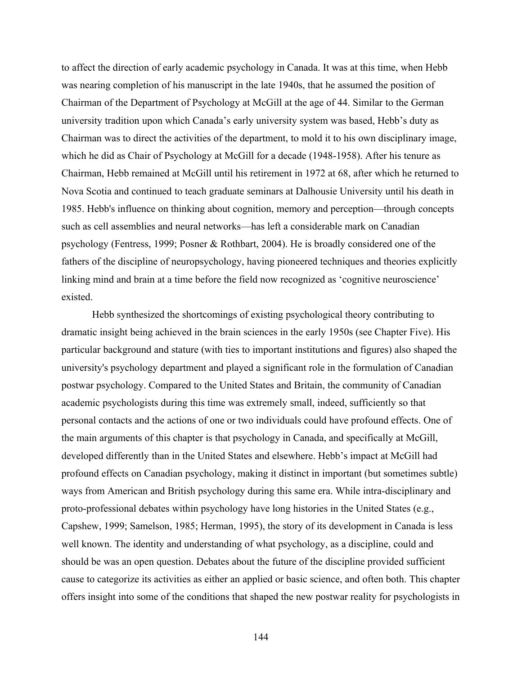to affect the direction of early academic psychology in Canada. It was at this time, when Hebb was nearing completion of his manuscript in the late 1940s, that he assumed the position of Chairman of the Department of Psychology at McGill at the age of 44. Similar to the German university tradition upon which Canada's early university system was based, Hebb's duty as Chairman was to direct the activities of the department, to mold it to his own disciplinary image, which he did as Chair of Psychology at McGill for a decade (1948-1958). After his tenure as Chairman, Hebb remained at McGill until his retirement in 1972 at 68, after which he returned to Nova Scotia and continued to teach graduate seminars at Dalhousie University until his death in 1985. Hebb's influence on thinking about cognition, memory and perception—through concepts such as cell assemblies and neural networks—has left a considerable mark on Canadian psychology (Fentress, 1999; Posner & Rothbart, 2004). He is broadly considered one of the fathers of the discipline of neuropsychology, having pioneered techniques and theories explicitly linking mind and brain at a time before the field now recognized as 'cognitive neuroscience' existed.

Hebb synthesized the shortcomings of existing psychological theory contributing to dramatic insight being achieved in the brain sciences in the early 1950s (see Chapter Five). His particular background and stature (with ties to important institutions and figures) also shaped the university's psychology department and played a significant role in the formulation of Canadian postwar psychology. Compared to the United States and Britain, the community of Canadian academic psychologists during this time was extremely small, indeed, sufficiently so that personal contacts and the actions of one or two individuals could have profound effects. One of the main arguments of this chapter is that psychology in Canada, and specifically at McGill, developed differently than in the United States and elsewhere. Hebb's impact at McGill had profound effects on Canadian psychology, making it distinct in important (but sometimes subtle) ways from American and British psychology during this same era. While intra-disciplinary and proto-professional debates within psychology have long histories in the United States (e.g., Capshew, 1999; Samelson, 1985; Herman, 1995), the story of its development in Canada is less well known. The identity and understanding of what psychology, as a discipline, could and should be was an open question. Debates about the future of the discipline provided sufficient cause to categorize its activities as either an applied or basic science, and often both. This chapter offers insight into some of the conditions that shaped the new postwar reality for psychologists in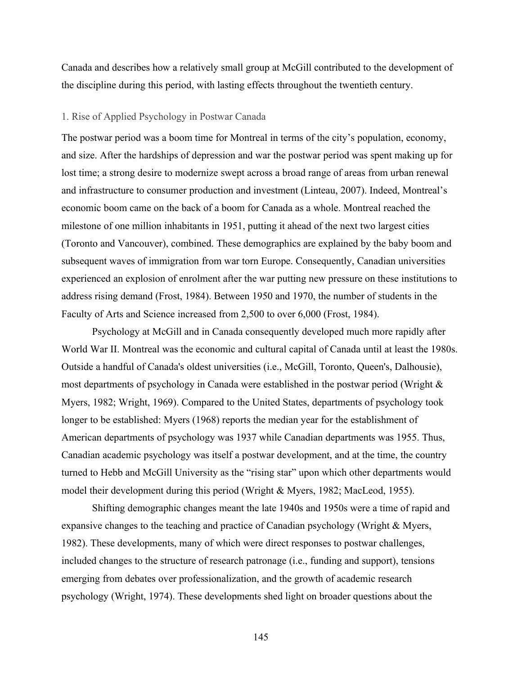Canada and describes how a relatively small group at McGill contributed to the development of the discipline during this period, with lasting effects throughout the twentieth century.

## 1. Rise of Applied Psychology in Postwar Canada

The postwar period was a boom time for Montreal in terms of the city's population, economy, and size. After the hardships of depression and war the postwar period was spent making up for lost time; a strong desire to modernize swept across a broad range of areas from urban renewal and infrastructure to consumer production and investment (Linteau, 2007). Indeed, Montreal's economic boom came on the back of a boom for Canada as a whole. Montreal reached the milestone of one million inhabitants in 1951, putting it ahead of the next two largest cities (Toronto and Vancouver), combined. These demographics are explained by the baby boom and subsequent waves of immigration from war torn Europe. Consequently, Canadian universities experienced an explosion of enrolment after the war putting new pressure on these institutions to address rising demand (Frost, 1984). Between 1950 and 1970, the number of students in the Faculty of Arts and Science increased from 2,500 to over 6,000 (Frost, 1984).

Psychology at McGill and in Canada consequently developed much more rapidly after World War II. Montreal was the economic and cultural capital of Canada until at least the 1980s. Outside a handful of Canada's oldest universities (i.e., McGill, Toronto, Queen's, Dalhousie), most departments of psychology in Canada were established in the postwar period (Wright  $\&$ Myers, 1982; Wright, 1969). Compared to the United States, departments of psychology took longer to be established: Myers (1968) reports the median year for the establishment of American departments of psychology was 1937 while Canadian departments was 1955. Thus, Canadian academic psychology was itself a postwar development, and at the time, the country turned to Hebb and McGill University as the "rising star" upon which other departments would model their development during this period (Wright & Myers, 1982; MacLeod, 1955).

Shifting demographic changes meant the late 1940s and 1950s were a time of rapid and expansive changes to the teaching and practice of Canadian psychology (Wright & Myers, 1982). These developments, many of which were direct responses to postwar challenges, included changes to the structure of research patronage (i.e., funding and support), tensions emerging from debates over professionalization, and the growth of academic research psychology (Wright, 1974). These developments shed light on broader questions about the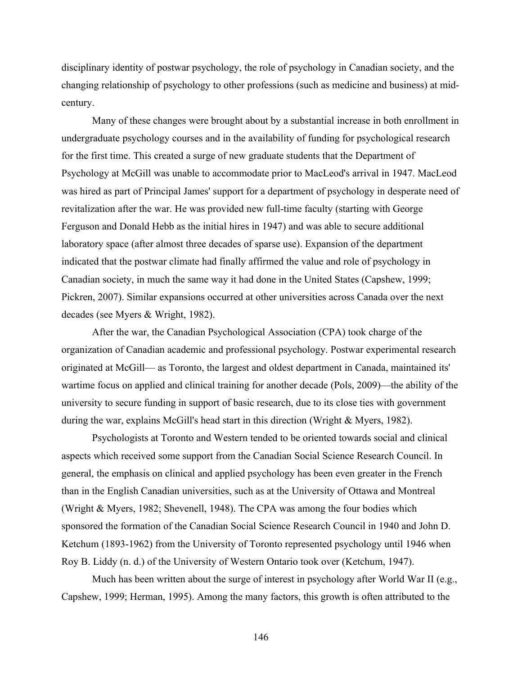disciplinary identity of postwar psychology, the role of psychology in Canadian society, and the changing relationship of psychology to other professions (such as medicine and business) at midcentury.

Many of these changes were brought about by a substantial increase in both enrollment in undergraduate psychology courses and in the availability of funding for psychological research for the first time. This created a surge of new graduate students that the Department of Psychology at McGill was unable to accommodate prior to MacLeod's arrival in 1947. MacLeod was hired as part of Principal James' support for a department of psychology in desperate need of revitalization after the war. He was provided new full-time faculty (starting with George Ferguson and Donald Hebb as the initial hires in 1947) and was able to secure additional laboratory space (after almost three decades of sparse use). Expansion of the department indicated that the postwar climate had finally affirmed the value and role of psychology in Canadian society, in much the same way it had done in the United States (Capshew, 1999; Pickren, 2007). Similar expansions occurred at other universities across Canada over the next decades (see Myers & Wright, 1982).

After the war, the Canadian Psychological Association (CPA) took charge of the organization of Canadian academic and professional psychology. Postwar experimental research originated at McGill— as Toronto, the largest and oldest department in Canada, maintained its' wartime focus on applied and clinical training for another decade (Pols, 2009)—the ability of the university to secure funding in support of basic research, due to its close ties with government during the war, explains McGill's head start in this direction (Wright & Myers, 1982).

Psychologists at Toronto and Western tended to be oriented towards social and clinical aspects which received some support from the Canadian Social Science Research Council. In general, the emphasis on clinical and applied psychology has been even greater in the French than in the English Canadian universities, such as at the University of Ottawa and Montreal (Wright & Myers, 1982; Shevenell, 1948). The CPA was among the four bodies which sponsored the formation of the Canadian Social Science Research Council in 1940 and John D. Ketchum (1893-1962) from the University of Toronto represented psychology until 1946 when Roy B. Liddy (n. d.) of the University of Western Ontario took over (Ketchum, 1947).

Much has been written about the surge of interest in psychology after World War II (e.g., Capshew, 1999; Herman, 1995). Among the many factors, this growth is often attributed to the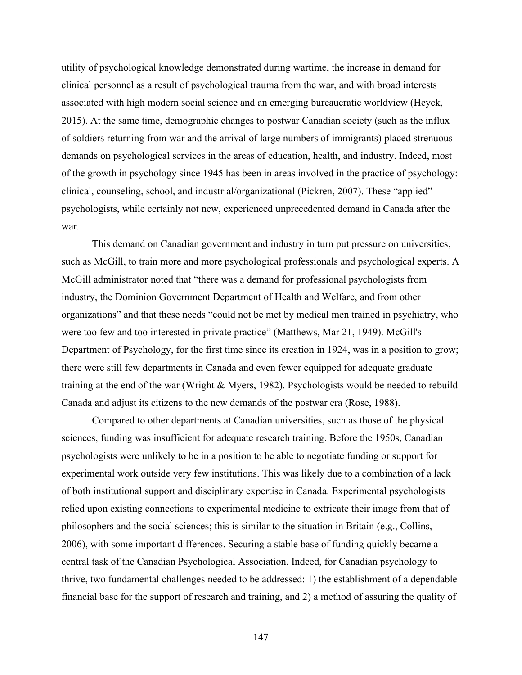utility of psychological knowledge demonstrated during wartime, the increase in demand for clinical personnel as a result of psychological trauma from the war, and with broad interests associated with high modern social science and an emerging bureaucratic worldview (Heyck, 2015). At the same time, demographic changes to postwar Canadian society (such as the influx of soldiers returning from war and the arrival of large numbers of immigrants) placed strenuous demands on psychological services in the areas of education, health, and industry. Indeed, most of the growth in psychology since 1945 has been in areas involved in the practice of psychology: clinical, counseling, school, and industrial/organizational (Pickren, 2007). These "applied" psychologists, while certainly not new, experienced unprecedented demand in Canada after the war.

This demand on Canadian government and industry in turn put pressure on universities, such as McGill, to train more and more psychological professionals and psychological experts. A McGill administrator noted that "there was a demand for professional psychologists from industry, the Dominion Government Department of Health and Welfare, and from other organizations" and that these needs "could not be met by medical men trained in psychiatry, who were too few and too interested in private practice" (Matthews, Mar 21, 1949). McGill's Department of Psychology, for the first time since its creation in 1924, was in a position to grow; there were still few departments in Canada and even fewer equipped for adequate graduate training at the end of the war (Wright & Myers, 1982). Psychologists would be needed to rebuild Canada and adjust its citizens to the new demands of the postwar era (Rose, 1988).

Compared to other departments at Canadian universities, such as those of the physical sciences, funding was insufficient for adequate research training. Before the 1950s, Canadian psychologists were unlikely to be in a position to be able to negotiate funding or support for experimental work outside very few institutions. This was likely due to a combination of a lack of both institutional support and disciplinary expertise in Canada. Experimental psychologists relied upon existing connections to experimental medicine to extricate their image from that of philosophers and the social sciences; this is similar to the situation in Britain (e.g., Collins, 2006), with some important differences. Securing a stable base of funding quickly became a central task of the Canadian Psychological Association. Indeed, for Canadian psychology to thrive, two fundamental challenges needed to be addressed: 1) the establishment of a dependable financial base for the support of research and training, and 2) a method of assuring the quality of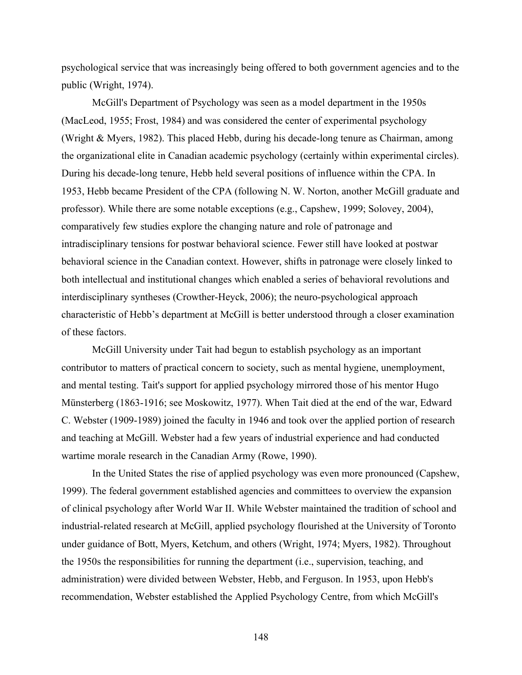psychological service that was increasingly being offered to both government agencies and to the public (Wright, 1974).

McGill's Department of Psychology was seen as a model department in the 1950s (MacLeod, 1955; Frost, 1984) and was considered the center of experimental psychology (Wright & Myers, 1982). This placed Hebb, during his decade-long tenure as Chairman, among the organizational elite in Canadian academic psychology (certainly within experimental circles). During his decade-long tenure, Hebb held several positions of influence within the CPA. In 1953, Hebb became President of the CPA (following N. W. Norton, another McGill graduate and professor). While there are some notable exceptions (e.g., Capshew, 1999; Solovey, 2004), comparatively few studies explore the changing nature and role of patronage and intradisciplinary tensions for postwar behavioral science. Fewer still have looked at postwar behavioral science in the Canadian context. However, shifts in patronage were closely linked to both intellectual and institutional changes which enabled a series of behavioral revolutions and interdisciplinary syntheses (Crowther-Heyck, 2006); the neuro-psychological approach characteristic of Hebb's department at McGill is better understood through a closer examination of these factors.

McGill University under Tait had begun to establish psychology as an important contributor to matters of practical concern to society, such as mental hygiene, unemployment, and mental testing. Tait's support for applied psychology mirrored those of his mentor Hugo Münsterberg (1863-1916; see Moskowitz, 1977). When Tait died at the end of the war, Edward C. Webster (1909-1989) joined the faculty in 1946 and took over the applied portion of research and teaching at McGill. Webster had a few years of industrial experience and had conducted wartime morale research in the Canadian Army (Rowe, 1990).

In the United States the rise of applied psychology was even more pronounced (Capshew, 1999). The federal government established agencies and committees to overview the expansion of clinical psychology after World War II. While Webster maintained the tradition of school and industrial-related research at McGill, applied psychology flourished at the University of Toronto under guidance of Bott, Myers, Ketchum, and others (Wright, 1974; Myers, 1982). Throughout the 1950s the responsibilities for running the department (i.e., supervision, teaching, and administration) were divided between Webster, Hebb, and Ferguson. In 1953, upon Hebb's recommendation, Webster established the Applied Psychology Centre, from which McGill's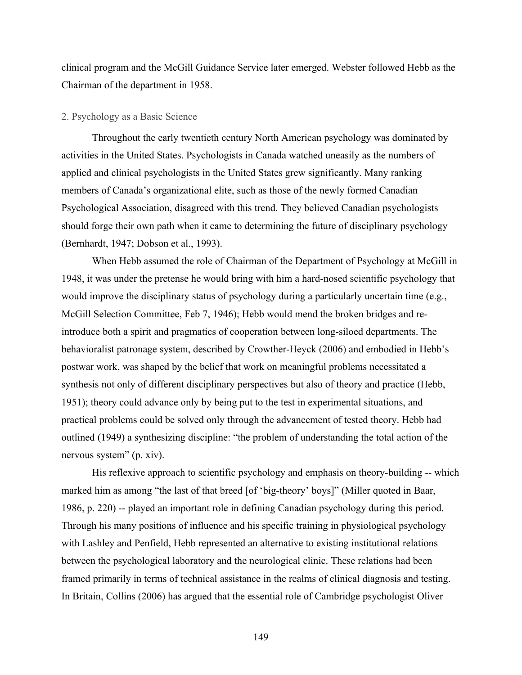clinical program and the McGill Guidance Service later emerged. Webster followed Hebb as the Chairman of the department in 1958.

# 2. Psychology as a Basic Science

Throughout the early twentieth century North American psychology was dominated by activities in the United States. Psychologists in Canada watched uneasily as the numbers of applied and clinical psychologists in the United States grew significantly. Many ranking members of Canada's organizational elite, such as those of the newly formed Canadian Psychological Association, disagreed with this trend. They believed Canadian psychologists should forge their own path when it came to determining the future of disciplinary psychology (Bernhardt, 1947; Dobson et al., 1993).

When Hebb assumed the role of Chairman of the Department of Psychology at McGill in 1948, it was under the pretense he would bring with him a hard-nosed scientific psychology that would improve the disciplinary status of psychology during a particularly uncertain time (e.g., McGill Selection Committee, Feb 7, 1946); Hebb would mend the broken bridges and reintroduce both a spirit and pragmatics of cooperation between long-siloed departments. The behavioralist patronage system, described by Crowther-Heyck (2006) and embodied in Hebb's postwar work, was shaped by the belief that work on meaningful problems necessitated a synthesis not only of different disciplinary perspectives but also of theory and practice (Hebb, 1951); theory could advance only by being put to the test in experimental situations, and practical problems could be solved only through the advancement of tested theory. Hebb had outlined (1949) a synthesizing discipline: "the problem of understanding the total action of the nervous system" (p. xiv).

His reflexive approach to scientific psychology and emphasis on theory-building -- which marked him as among "the last of that breed [of 'big-theory' boys]" (Miller quoted in Baar, 1986, p. 220) -- played an important role in defining Canadian psychology during this period. Through his many positions of influence and his specific training in physiological psychology with Lashley and Penfield, Hebb represented an alternative to existing institutional relations between the psychological laboratory and the neurological clinic. These relations had been framed primarily in terms of technical assistance in the realms of clinical diagnosis and testing. In Britain, Collins (2006) has argued that the essential role of Cambridge psychologist Oliver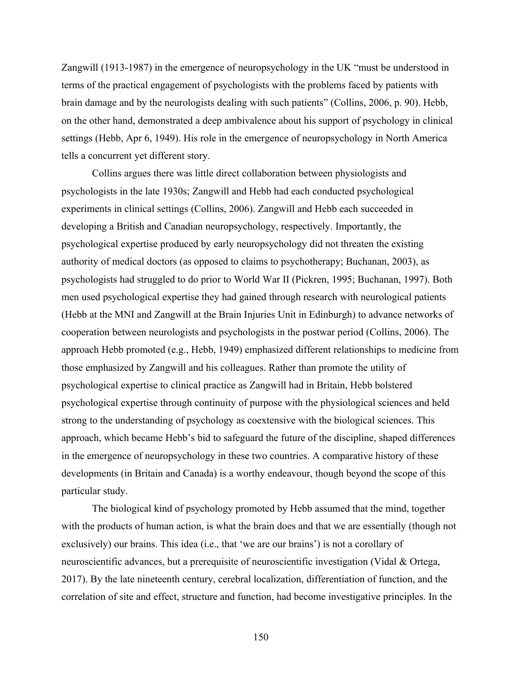Zangwill (1913-1987) in the emergence of neuropsychology in the UK "must be understood in terms of the practical engagement of psychologists with the problems faced by patients with brain damage and by the neurologists dealing with such patients" (Collins, 2006, p. 90). Hebb, on the other hand, demonstrated a deep ambivalence about his support of psychology in clinical settings (Hebb, Apr 6, 1949). His role in the emergence of neuropsychology in North America tells a concurrent yet different story.

Collins argues there was little direct collaboration between physiologists and psychologists in the late 1930s; Zangwill and Hebb had each conducted psychological experiments in clinical settings (Collins, 2006). Zangwill and Hebb each succeeded in developing a British and Canadian neuropsychology, respectively. Importantly, the psychological expertise produced by early neuropsychology did not threaten the existing authority of medical doctors (as opposed to claims to psychotherapy; Buchanan, 2003), as psychologists had struggled to do prior to World War II (Pickren, 1995; Buchanan, 1997). Both men used psychological expertise they had gained through research with neurological patients (Hebb at the MNI and Zangwill at the Brain Injuries Unit in Edinburgh) to advance networks of cooperation between neurologists and psychologists in the postwar period (Collins, 2006). The approach Hebb promoted (e.g., Hebb, 1949) emphasized different relationships to medicine from those emphasized by Zangwill and his colleagues. Rather than promote the utility of psychological expertise to clinical practice as Zangwill had in Britain, Hebb bolstered psychological expertise through continuity of purpose with the physiological sciences and held strong to the understanding of psychology as coextensive with the biological sciences. This approach, which became Hebb's bid to safeguard the future of the discipline, shaped differences in the emergence of neuropsychology in these two countries. A comparative history of these developments (in Britain and Canada) is a worthy endeavour, though beyond the scope of this particular study.

The biological kind of psychology promoted by Hebb assumed that the mind, together with the products of human action, is what the brain does and that we are essentially (though not exclusively) our brains. This idea (i.e., that 'we are our brains') is not a corollary of neuroscientific advances, but a prerequisite of neuroscientific investigation (Vidal & Ortega, 2017). By the late nineteenth century, cerebral localization, differentiation of function, and the correlation of site and effect, structure and function, had become investigative principles. In the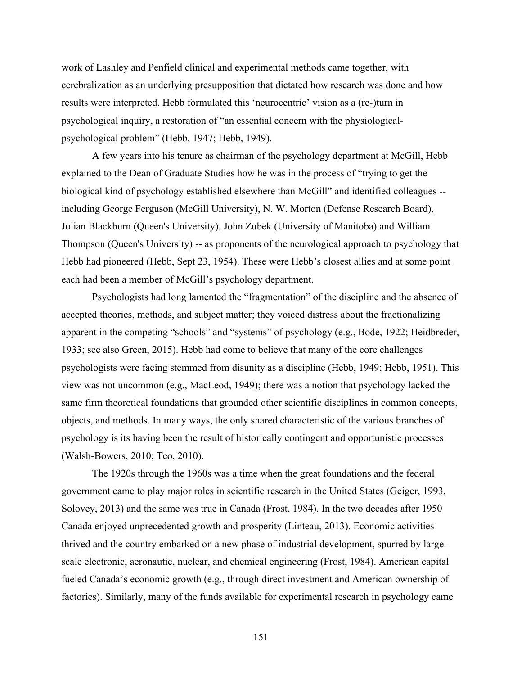work of Lashley and Penfield clinical and experimental methods came together, with cerebralization as an underlying presupposition that dictated how research was done and how results were interpreted. Hebb formulated this 'neurocentric' vision as a (re-)turn in psychological inquiry, a restoration of "an essential concern with the physiologicalpsychological problem" (Hebb, 1947; Hebb, 1949).

A few years into his tenure as chairman of the psychology department at McGill, Hebb explained to the Dean of Graduate Studies how he was in the process of "trying to get the biological kind of psychology established elsewhere than McGill" and identified colleagues - including George Ferguson (McGill University), N. W. Morton (Defense Research Board), Julian Blackburn (Queen's University), John Zubek (University of Manitoba) and William Thompson (Queen's University) -- as proponents of the neurological approach to psychology that Hebb had pioneered (Hebb, Sept 23, 1954). These were Hebb's closest allies and at some point each had been a member of McGill's psychology department.

Psychologists had long lamented the "fragmentation" of the discipline and the absence of accepted theories, methods, and subject matter; they voiced distress about the fractionalizing apparent in the competing "schools" and "systems" of psychology (e.g., Bode, 1922; Heidbreder, 1933; see also Green, 2015). Hebb had come to believe that many of the core challenges psychologists were facing stemmed from disunity as a discipline (Hebb, 1949; Hebb, 1951). This view was not uncommon (e.g., MacLeod, 1949); there was a notion that psychology lacked the same firm theoretical foundations that grounded other scientific disciplines in common concepts, objects, and methods. In many ways, the only shared characteristic of the various branches of psychology is its having been the result of historically contingent and opportunistic processes (Walsh-Bowers, 2010; Teo, 2010).

The 1920s through the 1960s was a time when the great foundations and the federal government came to play major roles in scientific research in the United States (Geiger, 1993, Solovey, 2013) and the same was true in Canada (Frost, 1984). In the two decades after 1950 Canada enjoyed unprecedented growth and prosperity (Linteau, 2013). Economic activities thrived and the country embarked on a new phase of industrial development, spurred by largescale electronic, aeronautic, nuclear, and chemical engineering (Frost, 1984). American capital fueled Canada's economic growth (e.g., through direct investment and American ownership of factories). Similarly, many of the funds available for experimental research in psychology came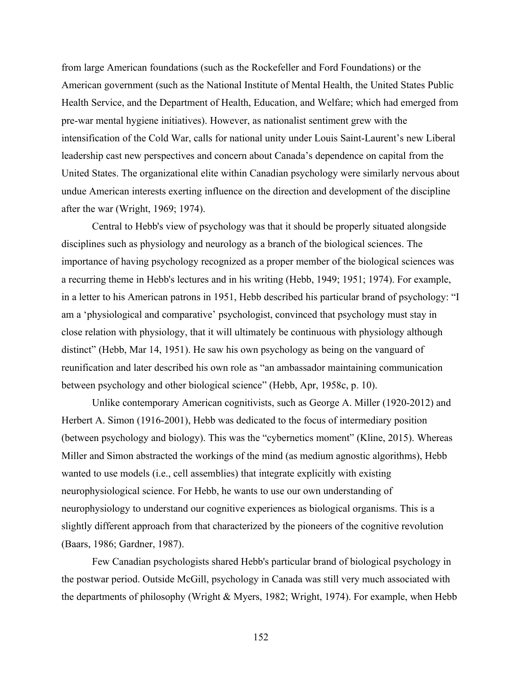from large American foundations (such as the Rockefeller and Ford Foundations) or the American government (such as the National Institute of Mental Health, the United States Public Health Service, and the Department of Health, Education, and Welfare; which had emerged from pre-war mental hygiene initiatives). However, as nationalist sentiment grew with the intensification of the Cold War, calls for national unity under Louis Saint-Laurent's new Liberal leadership cast new perspectives and concern about Canada's dependence on capital from the United States. The organizational elite within Canadian psychology were similarly nervous about undue American interests exerting influence on the direction and development of the discipline after the war (Wright, 1969; 1974).

Central to Hebb's view of psychology was that it should be properly situated alongside disciplines such as physiology and neurology as a branch of the biological sciences. The importance of having psychology recognized as a proper member of the biological sciences was a recurring theme in Hebb's lectures and in his writing (Hebb, 1949; 1951; 1974). For example, in a letter to his American patrons in 1951, Hebb described his particular brand of psychology: "I am a 'physiological and comparative' psychologist, convinced that psychology must stay in close relation with physiology, that it will ultimately be continuous with physiology although distinct" (Hebb, Mar 14, 1951). He saw his own psychology as being on the vanguard of reunification and later described his own role as "an ambassador maintaining communication between psychology and other biological science" (Hebb, Apr, 1958c, p. 10).

Unlike contemporary American cognitivists, such as George A. Miller (1920-2012) and Herbert A. Simon (1916-2001), Hebb was dedicated to the focus of intermediary position (between psychology and biology). This was the "cybernetics moment" (Kline, 2015). Whereas Miller and Simon abstracted the workings of the mind (as medium agnostic algorithms), Hebb wanted to use models (i.e., cell assemblies) that integrate explicitly with existing neurophysiological science. For Hebb, he wants to use our own understanding of neurophysiology to understand our cognitive experiences as biological organisms. This is a slightly different approach from that characterized by the pioneers of the cognitive revolution (Baars, 1986; Gardner, 1987).

Few Canadian psychologists shared Hebb's particular brand of biological psychology in the postwar period. Outside McGill, psychology in Canada was still very much associated with the departments of philosophy (Wright & Myers, 1982; Wright, 1974). For example, when Hebb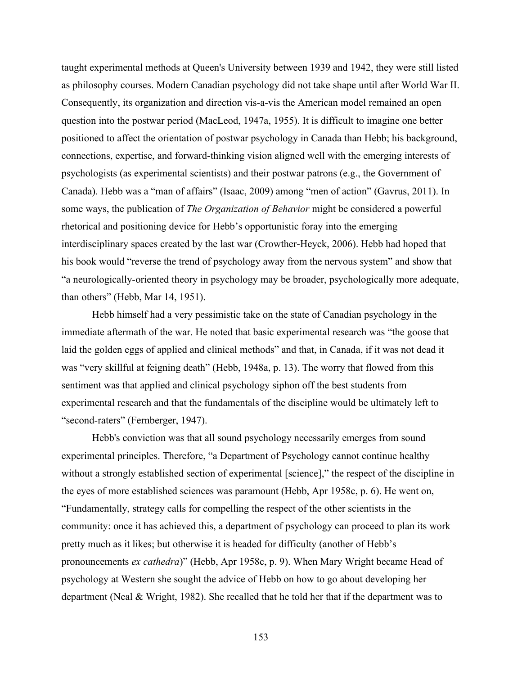taught experimental methods at Queen's University between 1939 and 1942, they were still listed as philosophy courses. Modern Canadian psychology did not take shape until after World War II. Consequently, its organization and direction vis-a-vis the American model remained an open question into the postwar period (MacLeod, 1947a, 1955). It is difficult to imagine one better positioned to affect the orientation of postwar psychology in Canada than Hebb; his background, connections, expertise, and forward-thinking vision aligned well with the emerging interests of psychologists (as experimental scientists) and their postwar patrons (e.g., the Government of Canada). Hebb was a "man of affairs" (Isaac, 2009) among "men of action" (Gavrus, 2011). In some ways, the publication of *The Organization of Behavior* might be considered a powerful rhetorical and positioning device for Hebb's opportunistic foray into the emerging interdisciplinary spaces created by the last war (Crowther-Heyck, 2006). Hebb had hoped that his book would "reverse the trend of psychology away from the nervous system" and show that "a neurologically-oriented theory in psychology may be broader, psychologically more adequate, than others" (Hebb, Mar 14, 1951).

Hebb himself had a very pessimistic take on the state of Canadian psychology in the immediate aftermath of the war. He noted that basic experimental research was "the goose that laid the golden eggs of applied and clinical methods" and that, in Canada, if it was not dead it was "very skillful at feigning death" (Hebb, 1948a, p. 13). The worry that flowed from this sentiment was that applied and clinical psychology siphon off the best students from experimental research and that the fundamentals of the discipline would be ultimately left to "second-raters" (Fernberger, 1947).

Hebb's conviction was that all sound psychology necessarily emerges from sound experimental principles. Therefore, "a Department of Psychology cannot continue healthy without a strongly established section of experimental [science]," the respect of the discipline in the eyes of more established sciences was paramount (Hebb, Apr 1958c, p. 6). He went on, "Fundamentally, strategy calls for compelling the respect of the other scientists in the community: once it has achieved this, a department of psychology can proceed to plan its work pretty much as it likes; but otherwise it is headed for difficulty (another of Hebb's pronouncements *ex cathedra*)" (Hebb, Apr 1958c, p. 9). When Mary Wright became Head of psychology at Western she sought the advice of Hebb on how to go about developing her department (Neal & Wright, 1982). She recalled that he told her that if the department was to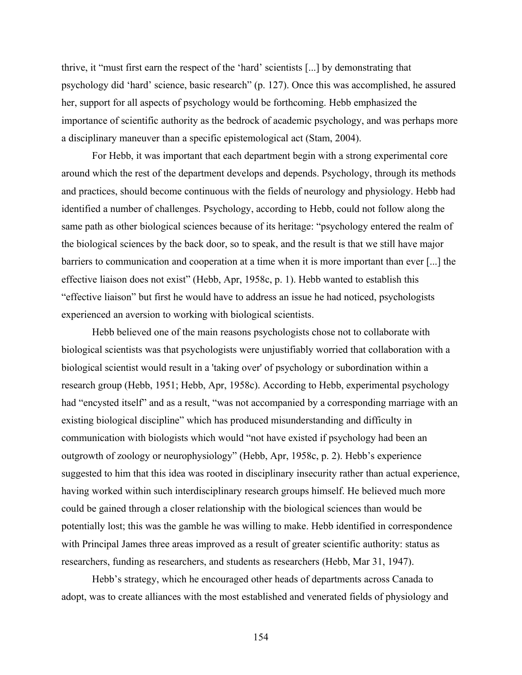thrive, it "must first earn the respect of the 'hard' scientists [...] by demonstrating that psychology did 'hard' science, basic research" (p. 127). Once this was accomplished, he assured her, support for all aspects of psychology would be forthcoming. Hebb emphasized the importance of scientific authority as the bedrock of academic psychology, and was perhaps more a disciplinary maneuver than a specific epistemological act (Stam, 2004).

For Hebb, it was important that each department begin with a strong experimental core around which the rest of the department develops and depends. Psychology, through its methods and practices, should become continuous with the fields of neurology and physiology. Hebb had identified a number of challenges. Psychology, according to Hebb, could not follow along the same path as other biological sciences because of its heritage: "psychology entered the realm of the biological sciences by the back door, so to speak, and the result is that we still have major barriers to communication and cooperation at a time when it is more important than ever [...] the effective liaison does not exist" (Hebb, Apr, 1958c, p. 1). Hebb wanted to establish this "effective liaison" but first he would have to address an issue he had noticed, psychologists experienced an aversion to working with biological scientists.

Hebb believed one of the main reasons psychologists chose not to collaborate with biological scientists was that psychologists were unjustifiably worried that collaboration with a biological scientist would result in a 'taking over' of psychology or subordination within a research group (Hebb, 1951; Hebb, Apr, 1958c). According to Hebb, experimental psychology had "encysted itself" and as a result, "was not accompanied by a corresponding marriage with an existing biological discipline" which has produced misunderstanding and difficulty in communication with biologists which would "not have existed if psychology had been an outgrowth of zoology or neurophysiology" (Hebb, Apr, 1958c, p. 2). Hebb's experience suggested to him that this idea was rooted in disciplinary insecurity rather than actual experience, having worked within such interdisciplinary research groups himself. He believed much more could be gained through a closer relationship with the biological sciences than would be potentially lost; this was the gamble he was willing to make. Hebb identified in correspondence with Principal James three areas improved as a result of greater scientific authority: status as researchers, funding as researchers, and students as researchers (Hebb, Mar 31, 1947).

Hebb's strategy, which he encouraged other heads of departments across Canada to adopt, was to create alliances with the most established and venerated fields of physiology and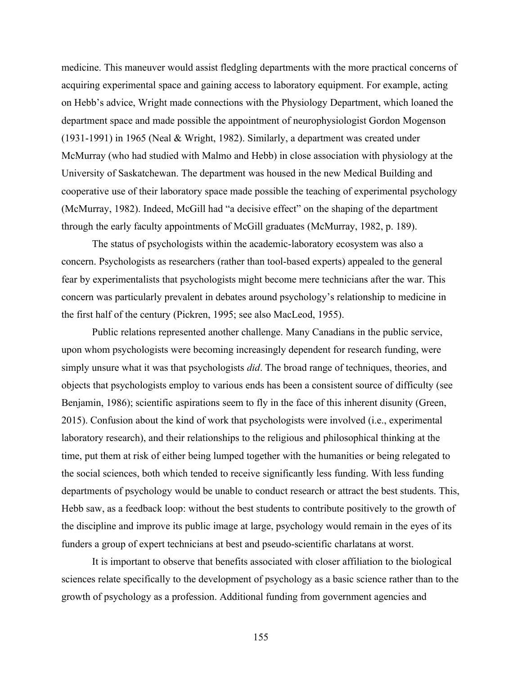medicine. This maneuver would assist fledgling departments with the more practical concerns of acquiring experimental space and gaining access to laboratory equipment. For example, acting on Hebb's advice, Wright made connections with the Physiology Department, which loaned the department space and made possible the appointment of neurophysiologist Gordon Mogenson (1931-1991) in 1965 (Neal & Wright, 1982). Similarly, a department was created under McMurray (who had studied with Malmo and Hebb) in close association with physiology at the University of Saskatchewan. The department was housed in the new Medical Building and cooperative use of their laboratory space made possible the teaching of experimental psychology (McMurray, 1982). Indeed, McGill had "a decisive effect" on the shaping of the department through the early faculty appointments of McGill graduates (McMurray, 1982, p. 189).

The status of psychologists within the academic-laboratory ecosystem was also a concern. Psychologists as researchers (rather than tool-based experts) appealed to the general fear by experimentalists that psychologists might become mere technicians after the war. This concern was particularly prevalent in debates around psychology's relationship to medicine in the first half of the century (Pickren, 1995; see also MacLeod, 1955).

Public relations represented another challenge. Many Canadians in the public service, upon whom psychologists were becoming increasingly dependent for research funding, were simply unsure what it was that psychologists *did*. The broad range of techniques, theories, and objects that psychologists employ to various ends has been a consistent source of difficulty (see Benjamin, 1986); scientific aspirations seem to fly in the face of this inherent disunity (Green, 2015). Confusion about the kind of work that psychologists were involved (i.e., experimental laboratory research), and their relationships to the religious and philosophical thinking at the time, put them at risk of either being lumped together with the humanities or being relegated to the social sciences, both which tended to receive significantly less funding. With less funding departments of psychology would be unable to conduct research or attract the best students. This, Hebb saw, as a feedback loop: without the best students to contribute positively to the growth of the discipline and improve its public image at large, psychology would remain in the eyes of its funders a group of expert technicians at best and pseudo-scientific charlatans at worst.

It is important to observe that benefits associated with closer affiliation to the biological sciences relate specifically to the development of psychology as a basic science rather than to the growth of psychology as a profession. Additional funding from government agencies and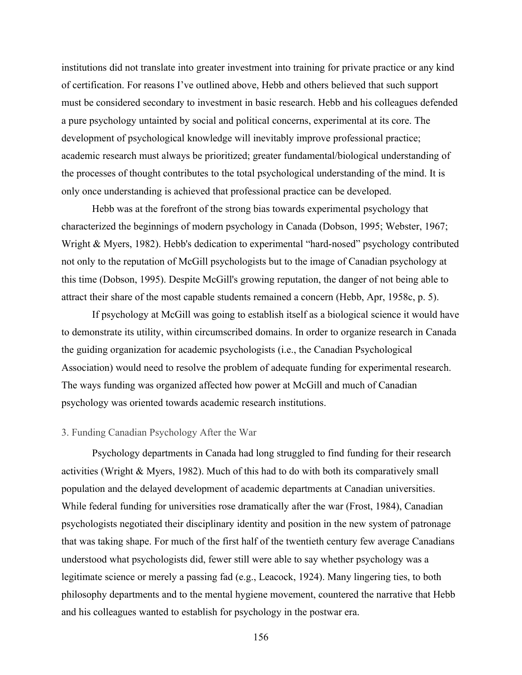institutions did not translate into greater investment into training for private practice or any kind of certification. For reasons I've outlined above, Hebb and others believed that such support must be considered secondary to investment in basic research. Hebb and his colleagues defended a pure psychology untainted by social and political concerns, experimental at its core. The development of psychological knowledge will inevitably improve professional practice; academic research must always be prioritized; greater fundamental/biological understanding of the processes of thought contributes to the total psychological understanding of the mind. It is only once understanding is achieved that professional practice can be developed.

Hebb was at the forefront of the strong bias towards experimental psychology that characterized the beginnings of modern psychology in Canada (Dobson, 1995; Webster, 1967; Wright & Myers, 1982). Hebb's dedication to experimental "hard-nosed" psychology contributed not only to the reputation of McGill psychologists but to the image of Canadian psychology at this time (Dobson, 1995). Despite McGill's growing reputation, the danger of not being able to attract their share of the most capable students remained a concern (Hebb, Apr, 1958c, p. 5).

If psychology at McGill was going to establish itself as a biological science it would have to demonstrate its utility, within circumscribed domains. In order to organize research in Canada the guiding organization for academic psychologists (i.e., the Canadian Psychological Association) would need to resolve the problem of adequate funding for experimental research. The ways funding was organized affected how power at McGill and much of Canadian psychology was oriented towards academic research institutions.

## 3. Funding Canadian Psychology After the War

Psychology departments in Canada had long struggled to find funding for their research activities (Wright & Myers, 1982). Much of this had to do with both its comparatively small population and the delayed development of academic departments at Canadian universities. While federal funding for universities rose dramatically after the war (Frost, 1984), Canadian psychologists negotiated their disciplinary identity and position in the new system of patronage that was taking shape. For much of the first half of the twentieth century few average Canadians understood what psychologists did, fewer still were able to say whether psychology was a legitimate science or merely a passing fad (e.g., Leacock, 1924). Many lingering ties, to both philosophy departments and to the mental hygiene movement, countered the narrative that Hebb and his colleagues wanted to establish for psychology in the postwar era.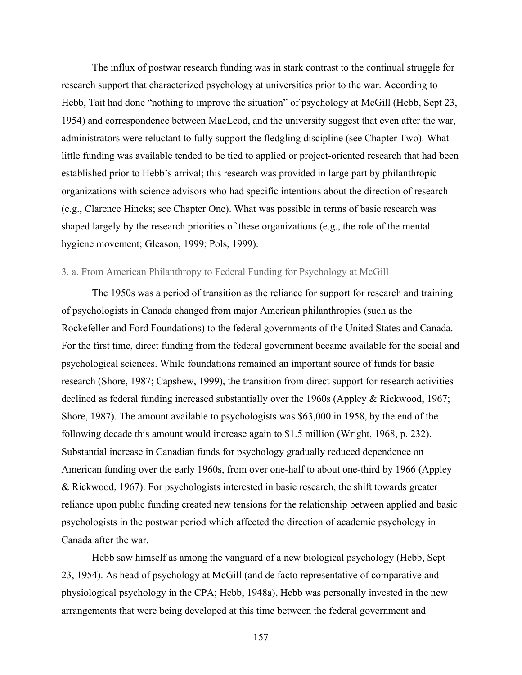The influx of postwar research funding was in stark contrast to the continual struggle for research support that characterized psychology at universities prior to the war. According to Hebb, Tait had done "nothing to improve the situation" of psychology at McGill (Hebb, Sept 23, 1954) and correspondence between MacLeod, and the university suggest that even after the war, administrators were reluctant to fully support the fledgling discipline (see Chapter Two). What little funding was available tended to be tied to applied or project-oriented research that had been established prior to Hebb's arrival; this research was provided in large part by philanthropic organizations with science advisors who had specific intentions about the direction of research (e.g., Clarence Hincks; see Chapter One). What was possible in terms of basic research was shaped largely by the research priorities of these organizations (e.g., the role of the mental hygiene movement; Gleason, 1999; Pols, 1999).

## 3. a. From American Philanthropy to Federal Funding for Psychology at McGill

The 1950s was a period of transition as the reliance for support for research and training of psychologists in Canada changed from major American philanthropies (such as the Rockefeller and Ford Foundations) to the federal governments of the United States and Canada. For the first time, direct funding from the federal government became available for the social and psychological sciences. While foundations remained an important source of funds for basic research (Shore, 1987; Capshew, 1999), the transition from direct support for research activities declined as federal funding increased substantially over the 1960s (Appley & Rickwood, 1967; Shore, 1987). The amount available to psychologists was \$63,000 in 1958, by the end of the following decade this amount would increase again to \$1.5 million (Wright, 1968, p. 232). Substantial increase in Canadian funds for psychology gradually reduced dependence on American funding over the early 1960s, from over one-half to about one-third by 1966 (Appley & Rickwood, 1967). For psychologists interested in basic research, the shift towards greater reliance upon public funding created new tensions for the relationship between applied and basic psychologists in the postwar period which affected the direction of academic psychology in Canada after the war.

Hebb saw himself as among the vanguard of a new biological psychology (Hebb, Sept 23, 1954). As head of psychology at McGill (and de facto representative of comparative and physiological psychology in the CPA; Hebb, 1948a), Hebb was personally invested in the new arrangements that were being developed at this time between the federal government and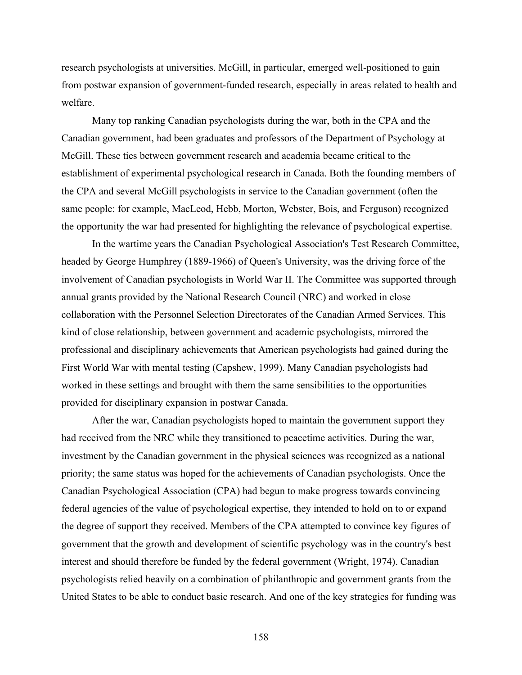research psychologists at universities. McGill, in particular, emerged well-positioned to gain from postwar expansion of government-funded research, especially in areas related to health and welfare.

Many top ranking Canadian psychologists during the war, both in the CPA and the Canadian government, had been graduates and professors of the Department of Psychology at McGill. These ties between government research and academia became critical to the establishment of experimental psychological research in Canada. Both the founding members of the CPA and several McGill psychologists in service to the Canadian government (often the same people: for example, MacLeod, Hebb, Morton, Webster, Bois, and Ferguson) recognized the opportunity the war had presented for highlighting the relevance of psychological expertise.

In the wartime years the Canadian Psychological Association's Test Research Committee, headed by George Humphrey (1889-1966) of Queen's University, was the driving force of the involvement of Canadian psychologists in World War II. The Committee was supported through annual grants provided by the National Research Council (NRC) and worked in close collaboration with the Personnel Selection Directorates of the Canadian Armed Services. This kind of close relationship, between government and academic psychologists, mirrored the professional and disciplinary achievements that American psychologists had gained during the First World War with mental testing (Capshew, 1999). Many Canadian psychologists had worked in these settings and brought with them the same sensibilities to the opportunities provided for disciplinary expansion in postwar Canada.

After the war, Canadian psychologists hoped to maintain the government support they had received from the NRC while they transitioned to peacetime activities. During the war, investment by the Canadian government in the physical sciences was recognized as a national priority; the same status was hoped for the achievements of Canadian psychologists. Once the Canadian Psychological Association (CPA) had begun to make progress towards convincing federal agencies of the value of psychological expertise, they intended to hold on to or expand the degree of support they received. Members of the CPA attempted to convince key figures of government that the growth and development of scientific psychology was in the country's best interest and should therefore be funded by the federal government (Wright, 1974). Canadian psychologists relied heavily on a combination of philanthropic and government grants from the United States to be able to conduct basic research. And one of the key strategies for funding was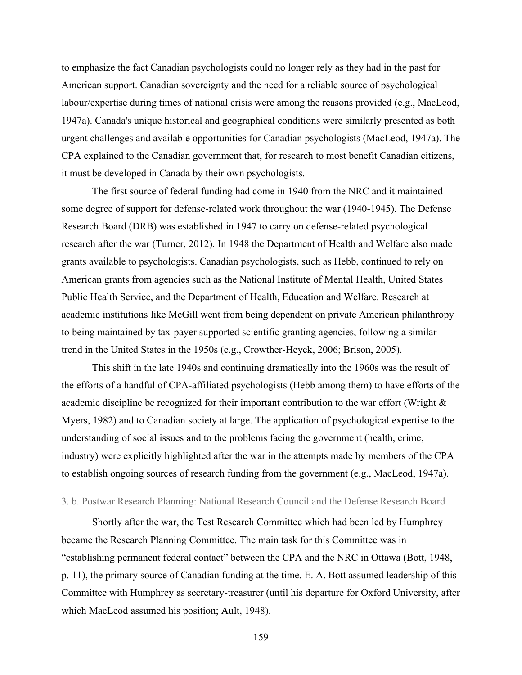to emphasize the fact Canadian psychologists could no longer rely as they had in the past for American support. Canadian sovereignty and the need for a reliable source of psychological labour/expertise during times of national crisis were among the reasons provided (e.g., MacLeod, 1947a). Canada's unique historical and geographical conditions were similarly presented as both urgent challenges and available opportunities for Canadian psychologists (MacLeod, 1947a). The CPA explained to the Canadian government that, for research to most benefit Canadian citizens, it must be developed in Canada by their own psychologists.

The first source of federal funding had come in 1940 from the NRC and it maintained some degree of support for defense-related work throughout the war (1940-1945). The Defense Research Board (DRB) was established in 1947 to carry on defense-related psychological research after the war (Turner, 2012). In 1948 the Department of Health and Welfare also made grants available to psychologists. Canadian psychologists, such as Hebb, continued to rely on American grants from agencies such as the National Institute of Mental Health, United States Public Health Service, and the Department of Health, Education and Welfare. Research at academic institutions like McGill went from being dependent on private American philanthropy to being maintained by tax-payer supported scientific granting agencies, following a similar trend in the United States in the 1950s (e.g., Crowther-Heyck, 2006; Brison, 2005).

This shift in the late 1940s and continuing dramatically into the 1960s was the result of the efforts of a handful of CPA-affiliated psychologists (Hebb among them) to have efforts of the academic discipline be recognized for their important contribution to the war effort (Wright & Myers, 1982) and to Canadian society at large. The application of psychological expertise to the understanding of social issues and to the problems facing the government (health, crime, industry) were explicitly highlighted after the war in the attempts made by members of the CPA to establish ongoing sources of research funding from the government (e.g., MacLeod, 1947a).

## 3. b. Postwar Research Planning: National Research Council and the Defense Research Board

Shortly after the war, the Test Research Committee which had been led by Humphrey became the Research Planning Committee. The main task for this Committee was in "establishing permanent federal contact" between the CPA and the NRC in Ottawa (Bott, 1948, p. 11), the primary source of Canadian funding at the time. E. A. Bott assumed leadership of this Committee with Humphrey as secretary-treasurer (until his departure for Oxford University, after which MacLeod assumed his position; Ault, 1948).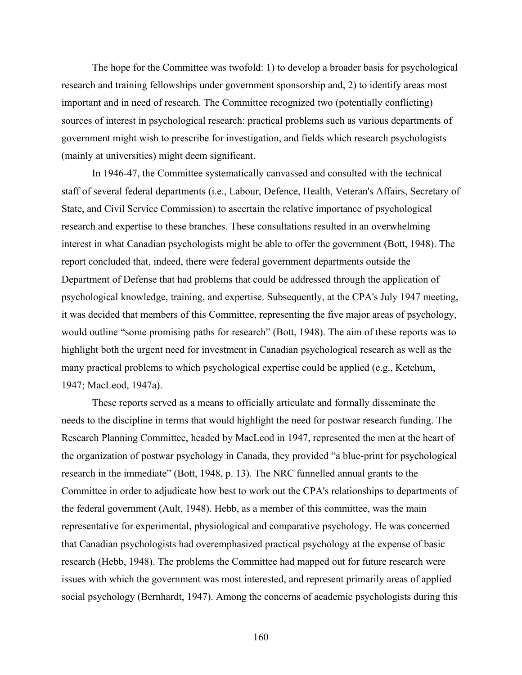The hope for the Committee was twofold: 1) to develop a broader basis for psychological research and training fellowships under government sponsorship and, 2) to identify areas most important and in need of research. The Committee recognized two (potentially conflicting) sources of interest in psychological research: practical problems such as various departments of government might wish to prescribe for investigation, and fields which research psychologists (mainly at universities) might deem significant.

In 1946-47, the Committee systematically canvassed and consulted with the technical staff of several federal departments (i.e., Labour, Defence, Health, Veteran's Affairs, Secretary of State, and Civil Service Commission) to ascertain the relative importance of psychological research and expertise to these branches. These consultations resulted in an overwhelming interest in what Canadian psychologists might be able to offer the government (Bott, 1948). The report concluded that, indeed, there were federal government departments outside the Department of Defense that had problems that could be addressed through the application of psychological knowledge, training, and expertise. Subsequently, at the CPA's July 1947 meeting, it was decided that members of this Committee, representing the five major areas of psychology, would outline "some promising paths for research" (Bott, 1948). The aim of these reports was to highlight both the urgent need for investment in Canadian psychological research as well as the many practical problems to which psychological expertise could be applied (e.g., Ketchum, 1947; MacLeod, 1947a).

These reports served as a means to officially articulate and formally disseminate the needs to the discipline in terms that would highlight the need for postwar research funding. The Research Planning Committee, headed by MacLeod in 1947, represented the men at the heart of the organization of postwar psychology in Canada, they provided "a blue-print for psychological research in the immediate" (Bott, 1948, p. 13). The NRC funnelled annual grants to the Committee in order to adjudicate how best to work out the CPA's relationships to departments of the federal government (Ault, 1948). Hebb, as a member of this committee, was the main representative for experimental, physiological and comparative psychology. He was concerned that Canadian psychologists had overemphasized practical psychology at the expense of basic research (Hebb, 1948). The problems the Committee had mapped out for future research were issues with which the government was most interested, and represent primarily areas of applied social psychology (Bernhardt, 1947). Among the concerns of academic psychologists during this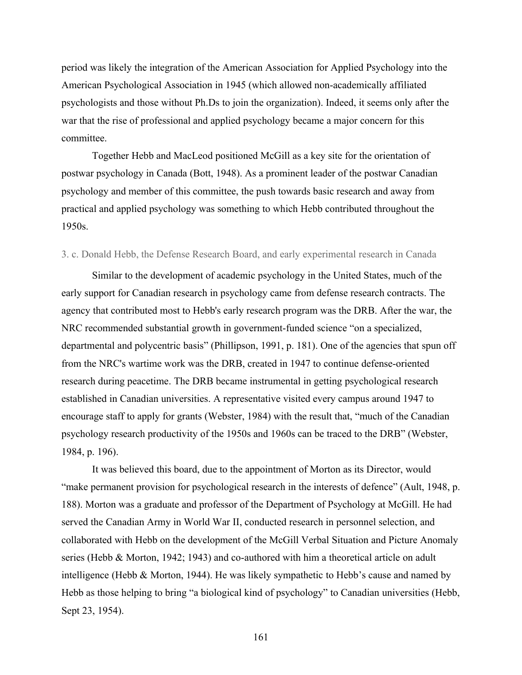period was likely the integration of the American Association for Applied Psychology into the American Psychological Association in 1945 (which allowed non-academically affiliated psychologists and those without Ph.Ds to join the organization). Indeed, it seems only after the war that the rise of professional and applied psychology became a major concern for this committee.

Together Hebb and MacLeod positioned McGill as a key site for the orientation of postwar psychology in Canada (Bott, 1948). As a prominent leader of the postwar Canadian psychology and member of this committee, the push towards basic research and away from practical and applied psychology was something to which Hebb contributed throughout the 1950s.

### 3. c. Donald Hebb, the Defense Research Board, and early experimental research in Canada

Similar to the development of academic psychology in the United States, much of the early support for Canadian research in psychology came from defense research contracts. The agency that contributed most to Hebb's early research program was the DRB. After the war, the NRC recommended substantial growth in government-funded science "on a specialized, departmental and polycentric basis" (Phillipson, 1991, p. 181). One of the agencies that spun off from the NRC's wartime work was the DRB, created in 1947 to continue defense-oriented research during peacetime. The DRB became instrumental in getting psychological research established in Canadian universities. A representative visited every campus around 1947 to encourage staff to apply for grants (Webster, 1984) with the result that, "much of the Canadian psychology research productivity of the 1950s and 1960s can be traced to the DRB" (Webster, 1984, p. 196).

It was believed this board, due to the appointment of Morton as its Director, would "make permanent provision for psychological research in the interests of defence" (Ault, 1948, p. 188). Morton was a graduate and professor of the Department of Psychology at McGill. He had served the Canadian Army in World War II, conducted research in personnel selection, and collaborated with Hebb on the development of the McGill Verbal Situation and Picture Anomaly series (Hebb & Morton, 1942; 1943) and co-authored with him a theoretical article on adult intelligence (Hebb & Morton, 1944). He was likely sympathetic to Hebb's cause and named by Hebb as those helping to bring "a biological kind of psychology" to Canadian universities (Hebb, Sept 23, 1954).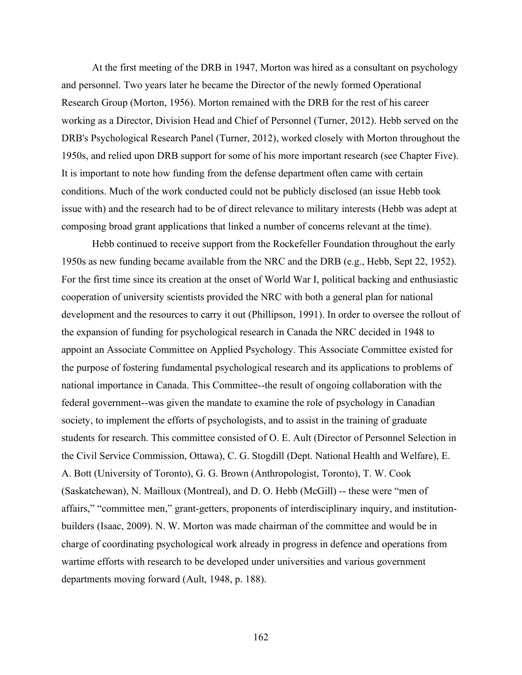At the first meeting of the DRB in 1947, Morton was hired as a consultant on psychology and personnel. Two years later he became the Director of the newly formed Operational Research Group (Morton, 1956). Morton remained with the DRB for the rest of his career working as a Director, Division Head and Chief of Personnel (Turner, 2012). Hebb served on the DRB's Psychological Research Panel (Turner, 2012), worked closely with Morton throughout the 1950s, and relied upon DRB support for some of his more important research (see Chapter Five). It is important to note how funding from the defense department often came with certain conditions. Much of the work conducted could not be publicly disclosed (an issue Hebb took issue with) and the research had to be of direct relevance to military interests (Hebb was adept at composing broad grant applications that linked a number of concerns relevant at the time).

Hebb continued to receive support from the Rockefeller Foundation throughout the early 1950s as new funding became available from the NRC and the DRB (e.g., Hebb, Sept 22, 1952). For the first time since its creation at the onset of World War I, political backing and enthusiastic cooperation of university scientists provided the NRC with both a general plan for national development and the resources to carry it out (Phillipson, 1991). In order to oversee the rollout of the expansion of funding for psychological research in Canada the NRC decided in 1948 to appoint an Associate Committee on Applied Psychology. This Associate Committee existed for the purpose of fostering fundamental psychological research and its applications to problems of national importance in Canada. This Committee--the result of ongoing collaboration with the federal government--was given the mandate to examine the role of psychology in Canadian society, to implement the efforts of psychologists, and to assist in the training of graduate students for research. This committee consisted of O. E. Ault (Director of Personnel Selection in the Civil Service Commission, Ottawa), C. G. Stogdill (Dept. National Health and Welfare), E. A. Bott (University of Toronto), G. G. Brown (Anthropologist, Toronto), T. W. Cook (Saskatchewan), N. Mailloux (Montreal), and D. O. Hebb (McGill) -- these were "men of affairs," "committee men," grant-getters, proponents of interdisciplinary inquiry, and institutionbuilders (Isaac, 2009). N. W. Morton was made chairman of the committee and would be in charge of coordinating psychological work already in progress in defence and operations from wartime efforts with research to be developed under universities and various government departments moving forward (Ault, 1948, p. 188).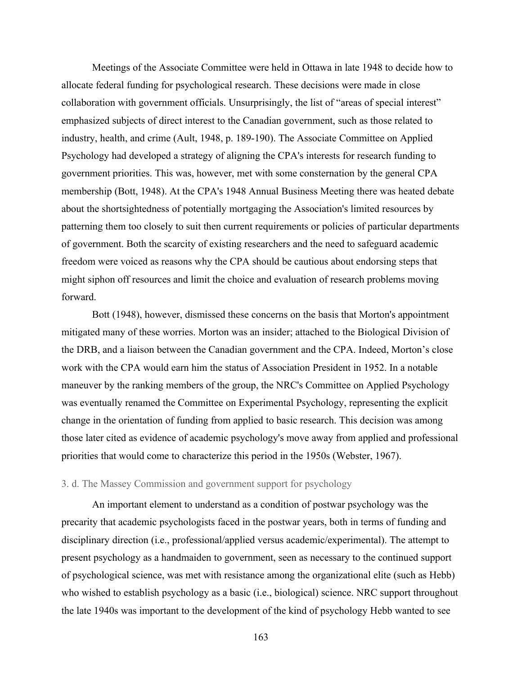Meetings of the Associate Committee were held in Ottawa in late 1948 to decide how to allocate federal funding for psychological research. These decisions were made in close collaboration with government officials. Unsurprisingly, the list of "areas of special interest" emphasized subjects of direct interest to the Canadian government, such as those related to industry, health, and crime (Ault, 1948, p. 189-190). The Associate Committee on Applied Psychology had developed a strategy of aligning the CPA's interests for research funding to government priorities. This was, however, met with some consternation by the general CPA membership (Bott, 1948). At the CPA's 1948 Annual Business Meeting there was heated debate about the shortsightedness of potentially mortgaging the Association's limited resources by patterning them too closely to suit then current requirements or policies of particular departments of government. Both the scarcity of existing researchers and the need to safeguard academic freedom were voiced as reasons why the CPA should be cautious about endorsing steps that might siphon off resources and limit the choice and evaluation of research problems moving forward.

Bott (1948), however, dismissed these concerns on the basis that Morton's appointment mitigated many of these worries. Morton was an insider; attached to the Biological Division of the DRB, and a liaison between the Canadian government and the CPA. Indeed, Morton's close work with the CPA would earn him the status of Association President in 1952. In a notable maneuver by the ranking members of the group, the NRC's Committee on Applied Psychology was eventually renamed the Committee on Experimental Psychology, representing the explicit change in the orientation of funding from applied to basic research. This decision was among those later cited as evidence of academic psychology's move away from applied and professional priorities that would come to characterize this period in the 1950s (Webster, 1967).

# 3. d. The Massey Commission and government support for psychology

An important element to understand as a condition of postwar psychology was the precarity that academic psychologists faced in the postwar years, both in terms of funding and disciplinary direction (i.e., professional/applied versus academic/experimental). The attempt to present psychology as a handmaiden to government, seen as necessary to the continued support of psychological science, was met with resistance among the organizational elite (such as Hebb) who wished to establish psychology as a basic (i.e., biological) science. NRC support throughout the late 1940s was important to the development of the kind of psychology Hebb wanted to see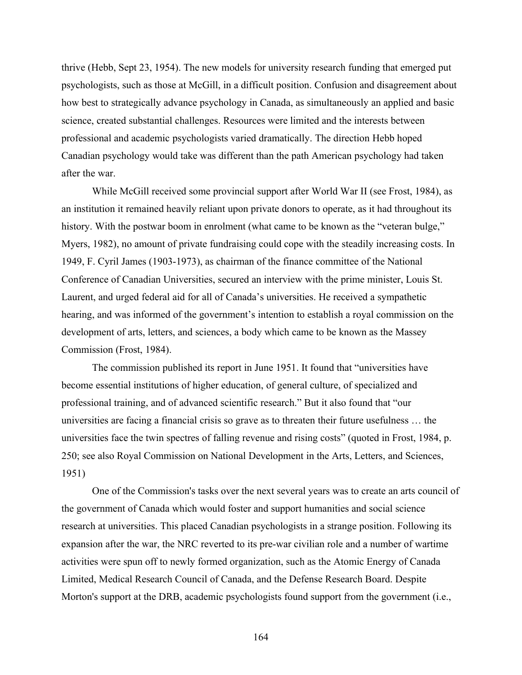thrive (Hebb, Sept 23, 1954). The new models for university research funding that emerged put psychologists, such as those at McGill, in a difficult position. Confusion and disagreement about how best to strategically advance psychology in Canada, as simultaneously an applied and basic science, created substantial challenges. Resources were limited and the interests between professional and academic psychologists varied dramatically. The direction Hebb hoped Canadian psychology would take was different than the path American psychology had taken after the war.

While McGill received some provincial support after World War II (see Frost, 1984), as an institution it remained heavily reliant upon private donors to operate, as it had throughout its history. With the postwar boom in enrolment (what came to be known as the "veteran bulge," Myers, 1982), no amount of private fundraising could cope with the steadily increasing costs. In 1949, F. Cyril James (1903-1973), as chairman of the finance committee of the National Conference of Canadian Universities, secured an interview with the prime minister, Louis St. Laurent, and urged federal aid for all of Canada's universities. He received a sympathetic hearing, and was informed of the government's intention to establish a royal commission on the development of arts, letters, and sciences, a body which came to be known as the Massey Commission (Frost, 1984).

The commission published its report in June 1951. It found that "universities have become essential institutions of higher education, of general culture, of specialized and professional training, and of advanced scientific research." But it also found that "our universities are facing a financial crisis so grave as to threaten their future usefulness … the universities face the twin spectres of falling revenue and rising costs" (quoted in Frost, 1984, p. 250; see also Royal Commission on National Development in the Arts, Letters, and Sciences, 1951)

One of the Commission's tasks over the next several years was to create an arts council of the government of Canada which would foster and support humanities and social science research at universities. This placed Canadian psychologists in a strange position. Following its expansion after the war, the NRC reverted to its pre-war civilian role and a number of wartime activities were spun off to newly formed organization, such as the Atomic Energy of Canada Limited, Medical Research Council of Canada, and the Defense Research Board. Despite Morton's support at the DRB, academic psychologists found support from the government (i.e.,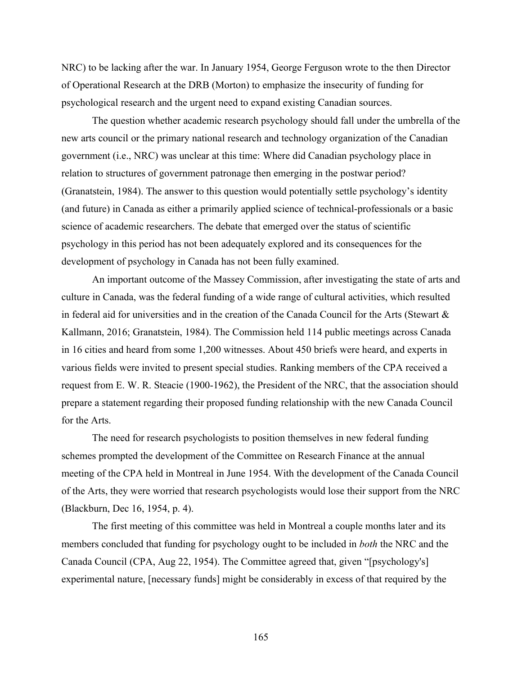NRC) to be lacking after the war. In January 1954, George Ferguson wrote to the then Director of Operational Research at the DRB (Morton) to emphasize the insecurity of funding for psychological research and the urgent need to expand existing Canadian sources.

The question whether academic research psychology should fall under the umbrella of the new arts council or the primary national research and technology organization of the Canadian government (i.e., NRC) was unclear at this time: Where did Canadian psychology place in relation to structures of government patronage then emerging in the postwar period? (Granatstein, 1984). The answer to this question would potentially settle psychology's identity (and future) in Canada as either a primarily applied science of technical-professionals or a basic science of academic researchers. The debate that emerged over the status of scientific psychology in this period has not been adequately explored and its consequences for the development of psychology in Canada has not been fully examined.

An important outcome of the Massey Commission, after investigating the state of arts and culture in Canada, was the federal funding of a wide range of cultural activities, which resulted in federal aid for universities and in the creation of the Canada Council for the Arts (Stewart  $\&$ Kallmann, 2016; Granatstein, 1984). The Commission held 114 public meetings across Canada in 16 cities and heard from some 1,200 witnesses. About 450 briefs were heard, and experts in various fields were invited to present special studies. Ranking members of the CPA received a request from E. W. R. Steacie (1900-1962), the President of the NRC, that the association should prepare a statement regarding their proposed funding relationship with the new Canada Council for the Arts.

The need for research psychologists to position themselves in new federal funding schemes prompted the development of the Committee on Research Finance at the annual meeting of the CPA held in Montreal in June 1954. With the development of the Canada Council of the Arts, they were worried that research psychologists would lose their support from the NRC (Blackburn, Dec 16, 1954, p. 4).

The first meeting of this committee was held in Montreal a couple months later and its members concluded that funding for psychology ought to be included in *both* the NRC and the Canada Council (CPA, Aug 22, 1954). The Committee agreed that, given "[psychology's] experimental nature, [necessary funds] might be considerably in excess of that required by the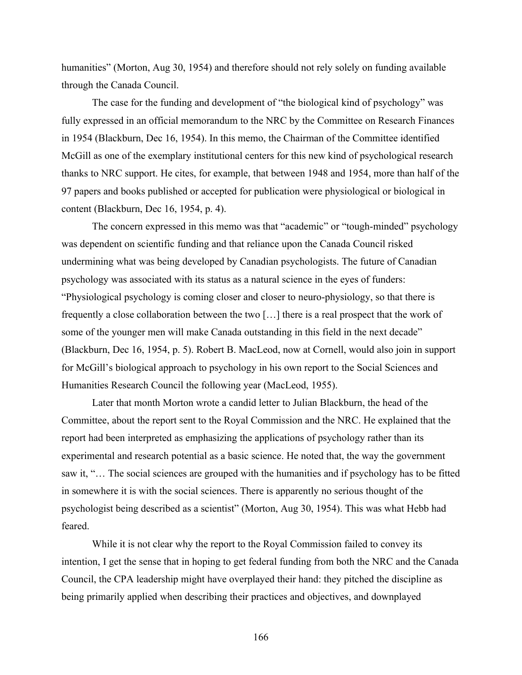humanities" (Morton, Aug 30, 1954) and therefore should not rely solely on funding available through the Canada Council.

The case for the funding and development of "the biological kind of psychology" was fully expressed in an official memorandum to the NRC by the Committee on Research Finances in 1954 (Blackburn, Dec 16, 1954). In this memo, the Chairman of the Committee identified McGill as one of the exemplary institutional centers for this new kind of psychological research thanks to NRC support. He cites, for example, that between 1948 and 1954, more than half of the 97 papers and books published or accepted for publication were physiological or biological in content (Blackburn, Dec 16, 1954, p. 4).

The concern expressed in this memo was that "academic" or "tough-minded" psychology was dependent on scientific funding and that reliance upon the Canada Council risked undermining what was being developed by Canadian psychologists. The future of Canadian psychology was associated with its status as a natural science in the eyes of funders: "Physiological psychology is coming closer and closer to neuro-physiology, so that there is frequently a close collaboration between the two […] there is a real prospect that the work of some of the younger men will make Canada outstanding in this field in the next decade" (Blackburn, Dec 16, 1954, p. 5). Robert B. MacLeod, now at Cornell, would also join in support for McGill's biological approach to psychology in his own report to the Social Sciences and Humanities Research Council the following year (MacLeod, 1955).

Later that month Morton wrote a candid letter to Julian Blackburn, the head of the Committee, about the report sent to the Royal Commission and the NRC. He explained that the report had been interpreted as emphasizing the applications of psychology rather than its experimental and research potential as a basic science. He noted that, the way the government saw it, "… The social sciences are grouped with the humanities and if psychology has to be fitted in somewhere it is with the social sciences. There is apparently no serious thought of the psychologist being described as a scientist" (Morton, Aug 30, 1954). This was what Hebb had feared.

While it is not clear why the report to the Royal Commission failed to convey its intention, I get the sense that in hoping to get federal funding from both the NRC and the Canada Council, the CPA leadership might have overplayed their hand: they pitched the discipline as being primarily applied when describing their practices and objectives, and downplayed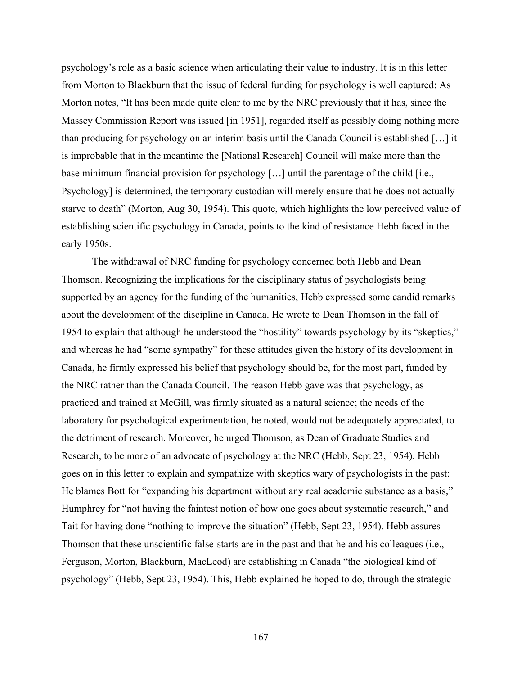psychology's role as a basic science when articulating their value to industry. It is in this letter from Morton to Blackburn that the issue of federal funding for psychology is well captured: As Morton notes, "It has been made quite clear to me by the NRC previously that it has, since the Massey Commission Report was issued [in 1951], regarded itself as possibly doing nothing more than producing for psychology on an interim basis until the Canada Council is established […] it is improbable that in the meantime the [National Research] Council will make more than the base minimum financial provision for psychology […] until the parentage of the child [i.e., Psychology] is determined, the temporary custodian will merely ensure that he does not actually starve to death" (Morton, Aug 30, 1954). This quote, which highlights the low perceived value of establishing scientific psychology in Canada, points to the kind of resistance Hebb faced in the early 1950s.

The withdrawal of NRC funding for psychology concerned both Hebb and Dean Thomson. Recognizing the implications for the disciplinary status of psychologists being supported by an agency for the funding of the humanities, Hebb expressed some candid remarks about the development of the discipline in Canada. He wrote to Dean Thomson in the fall of 1954 to explain that although he understood the "hostility" towards psychology by its "skeptics," and whereas he had "some sympathy" for these attitudes given the history of its development in Canada, he firmly expressed his belief that psychology should be, for the most part, funded by the NRC rather than the Canada Council. The reason Hebb gave was that psychology, as practiced and trained at McGill, was firmly situated as a natural science; the needs of the laboratory for psychological experimentation, he noted, would not be adequately appreciated, to the detriment of research. Moreover, he urged Thomson, as Dean of Graduate Studies and Research, to be more of an advocate of psychology at the NRC (Hebb, Sept 23, 1954). Hebb goes on in this letter to explain and sympathize with skeptics wary of psychologists in the past: He blames Bott for "expanding his department without any real academic substance as a basis," Humphrey for "not having the faintest notion of how one goes about systematic research," and Tait for having done "nothing to improve the situation" (Hebb, Sept 23, 1954). Hebb assures Thomson that these unscientific false-starts are in the past and that he and his colleagues (i.e., Ferguson, Morton, Blackburn, MacLeod) are establishing in Canada "the biological kind of psychology" (Hebb, Sept 23, 1954). This, Hebb explained he hoped to do, through the strategic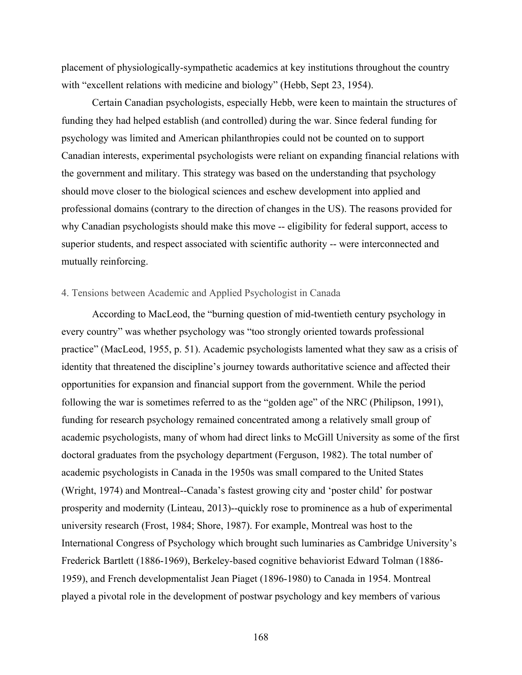placement of physiologically-sympathetic academics at key institutions throughout the country with "excellent relations with medicine and biology" (Hebb, Sept 23, 1954).

Certain Canadian psychologists, especially Hebb, were keen to maintain the structures of funding they had helped establish (and controlled) during the war. Since federal funding for psychology was limited and American philanthropies could not be counted on to support Canadian interests, experimental psychologists were reliant on expanding financial relations with the government and military. This strategy was based on the understanding that psychology should move closer to the biological sciences and eschew development into applied and professional domains (contrary to the direction of changes in the US). The reasons provided for why Canadian psychologists should make this move -- eligibility for federal support, access to superior students, and respect associated with scientific authority -- were interconnected and mutually reinforcing.

# 4. Tensions between Academic and Applied Psychologist in Canada

According to MacLeod, the "burning question of mid-twentieth century psychology in every country" was whether psychology was "too strongly oriented towards professional practice" (MacLeod, 1955, p. 51). Academic psychologists lamented what they saw as a crisis of identity that threatened the discipline's journey towards authoritative science and affected their opportunities for expansion and financial support from the government. While the period following the war is sometimes referred to as the "golden age" of the NRC (Philipson, 1991), funding for research psychology remained concentrated among a relatively small group of academic psychologists, many of whom had direct links to McGill University as some of the first doctoral graduates from the psychology department (Ferguson, 1982). The total number of academic psychologists in Canada in the 1950s was small compared to the United States (Wright, 1974) and Montreal--Canada's fastest growing city and 'poster child' for postwar prosperity and modernity (Linteau, 2013)--quickly rose to prominence as a hub of experimental university research (Frost, 1984; Shore, 1987). For example, Montreal was host to the International Congress of Psychology which brought such luminaries as Cambridge University's Frederick Bartlett (1886-1969), Berkeley-based cognitive behaviorist Edward Tolman (1886- 1959), and French developmentalist Jean Piaget (1896-1980) to Canada in 1954. Montreal played a pivotal role in the development of postwar psychology and key members of various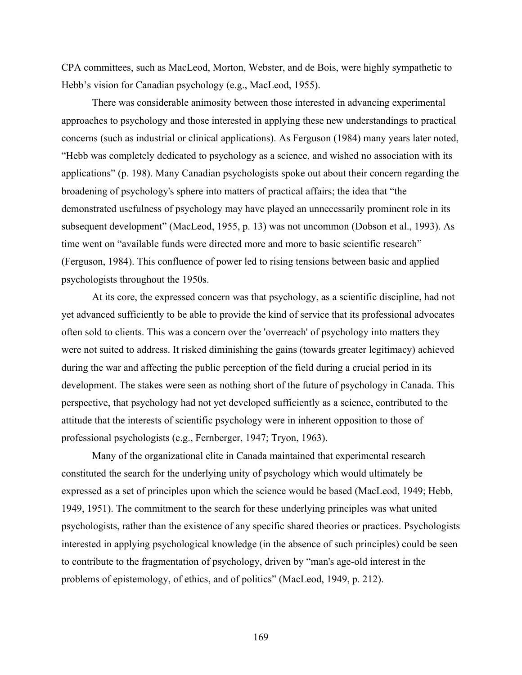CPA committees, such as MacLeod, Morton, Webster, and de Bois, were highly sympathetic to Hebb's vision for Canadian psychology (e.g., MacLeod, 1955).

There was considerable animosity between those interested in advancing experimental approaches to psychology and those interested in applying these new understandings to practical concerns (such as industrial or clinical applications). As Ferguson (1984) many years later noted, "Hebb was completely dedicated to psychology as a science, and wished no association with its applications" (p. 198). Many Canadian psychologists spoke out about their concern regarding the broadening of psychology's sphere into matters of practical affairs; the idea that "the demonstrated usefulness of psychology may have played an unnecessarily prominent role in its subsequent development" (MacLeod, 1955, p. 13) was not uncommon (Dobson et al., 1993). As time went on "available funds were directed more and more to basic scientific research" (Ferguson, 1984). This confluence of power led to rising tensions between basic and applied psychologists throughout the 1950s.

At its core, the expressed concern was that psychology, as a scientific discipline, had not yet advanced sufficiently to be able to provide the kind of service that its professional advocates often sold to clients. This was a concern over the 'overreach' of psychology into matters they were not suited to address. It risked diminishing the gains (towards greater legitimacy) achieved during the war and affecting the public perception of the field during a crucial period in its development. The stakes were seen as nothing short of the future of psychology in Canada. This perspective, that psychology had not yet developed sufficiently as a science, contributed to the attitude that the interests of scientific psychology were in inherent opposition to those of professional psychologists (e.g., Fernberger, 1947; Tryon, 1963).

Many of the organizational elite in Canada maintained that experimental research constituted the search for the underlying unity of psychology which would ultimately be expressed as a set of principles upon which the science would be based (MacLeod, 1949; Hebb, 1949, 1951). The commitment to the search for these underlying principles was what united psychologists, rather than the existence of any specific shared theories or practices. Psychologists interested in applying psychological knowledge (in the absence of such principles) could be seen to contribute to the fragmentation of psychology, driven by "man's age-old interest in the problems of epistemology, of ethics, and of politics" (MacLeod, 1949, p. 212).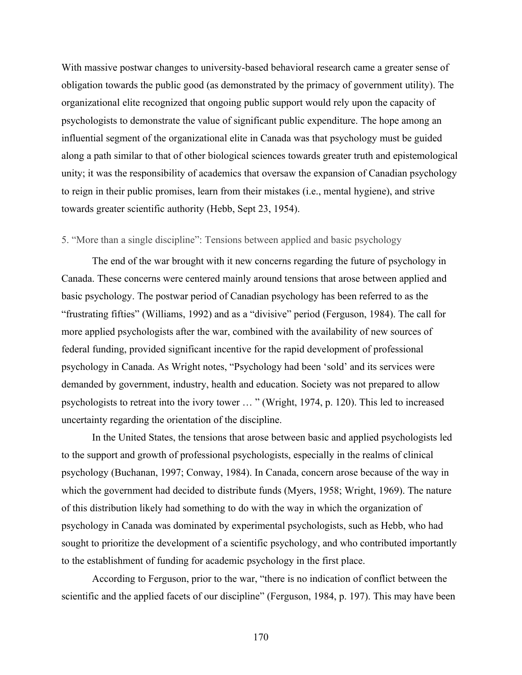With massive postwar changes to university-based behavioral research came a greater sense of obligation towards the public good (as demonstrated by the primacy of government utility). The organizational elite recognized that ongoing public support would rely upon the capacity of psychologists to demonstrate the value of significant public expenditure. The hope among an influential segment of the organizational elite in Canada was that psychology must be guided along a path similar to that of other biological sciences towards greater truth and epistemological unity; it was the responsibility of academics that oversaw the expansion of Canadian psychology to reign in their public promises, learn from their mistakes (i.e., mental hygiene), and strive towards greater scientific authority (Hebb, Sept 23, 1954).

# 5. "More than a single discipline": Tensions between applied and basic psychology

The end of the war brought with it new concerns regarding the future of psychology in Canada. These concerns were centered mainly around tensions that arose between applied and basic psychology. The postwar period of Canadian psychology has been referred to as the "frustrating fifties" (Williams, 1992) and as a "divisive" period (Ferguson, 1984). The call for more applied psychologists after the war, combined with the availability of new sources of federal funding, provided significant incentive for the rapid development of professional psychology in Canada. As Wright notes, "Psychology had been 'sold' and its services were demanded by government, industry, health and education. Society was not prepared to allow psychologists to retreat into the ivory tower … " (Wright, 1974, p. 120). This led to increased uncertainty regarding the orientation of the discipline.

In the United States, the tensions that arose between basic and applied psychologists led to the support and growth of professional psychologists, especially in the realms of clinical psychology (Buchanan, 1997; Conway, 1984). In Canada, concern arose because of the way in which the government had decided to distribute funds (Myers, 1958; Wright, 1969). The nature of this distribution likely had something to do with the way in which the organization of psychology in Canada was dominated by experimental psychologists, such as Hebb, who had sought to prioritize the development of a scientific psychology, and who contributed importantly to the establishment of funding for academic psychology in the first place.

According to Ferguson, prior to the war, "there is no indication of conflict between the scientific and the applied facets of our discipline" (Ferguson, 1984, p. 197). This may have been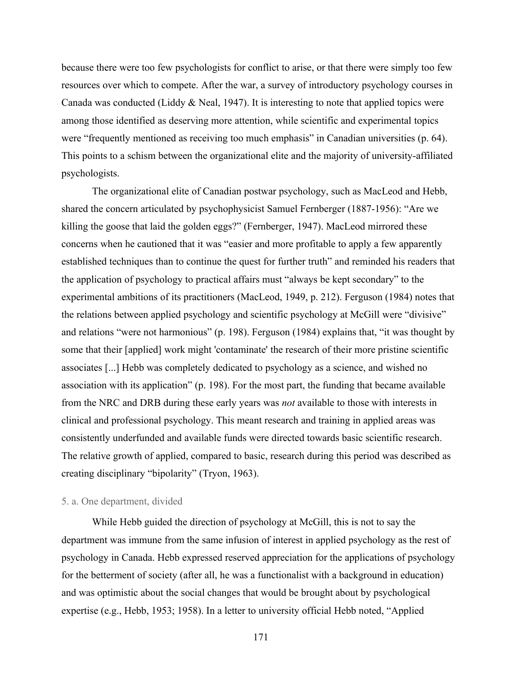because there were too few psychologists for conflict to arise, or that there were simply too few resources over which to compete. After the war, a survey of introductory psychology courses in Canada was conducted (Liddy & Neal, 1947). It is interesting to note that applied topics were among those identified as deserving more attention, while scientific and experimental topics were "frequently mentioned as receiving too much emphasis" in Canadian universities (p. 64). This points to a schism between the organizational elite and the majority of university-affiliated psychologists.

The organizational elite of Canadian postwar psychology, such as MacLeod and Hebb, shared the concern articulated by psychophysicist Samuel Fernberger (1887-1956): "Are we killing the goose that laid the golden eggs?" (Fernberger, 1947). MacLeod mirrored these concerns when he cautioned that it was "easier and more profitable to apply a few apparently established techniques than to continue the quest for further truth" and reminded his readers that the application of psychology to practical affairs must "always be kept secondary" to the experimental ambitions of its practitioners (MacLeod, 1949, p. 212). Ferguson (1984) notes that the relations between applied psychology and scientific psychology at McGill were "divisive" and relations "were not harmonious" (p. 198). Ferguson (1984) explains that, "it was thought by some that their [applied] work might 'contaminate' the research of their more pristine scientific associates [...] Hebb was completely dedicated to psychology as a science, and wished no association with its application" (p. 198). For the most part, the funding that became available from the NRC and DRB during these early years was *not* available to those with interests in clinical and professional psychology. This meant research and training in applied areas was consistently underfunded and available funds were directed towards basic scientific research. The relative growth of applied, compared to basic, research during this period was described as creating disciplinary "bipolarity" (Tryon, 1963).

# 5. a. One department, divided

While Hebb guided the direction of psychology at McGill, this is not to say the department was immune from the same infusion of interest in applied psychology as the rest of psychology in Canada. Hebb expressed reserved appreciation for the applications of psychology for the betterment of society (after all, he was a functionalist with a background in education) and was optimistic about the social changes that would be brought about by psychological expertise (e.g., Hebb, 1953; 1958). In a letter to university official Hebb noted, "Applied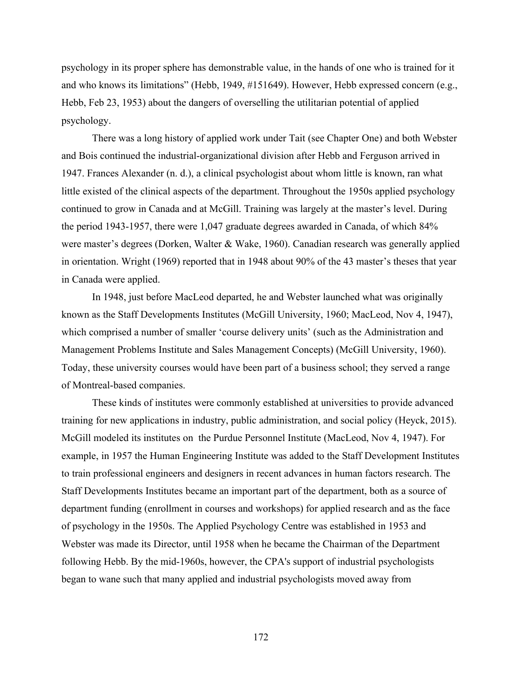psychology in its proper sphere has demonstrable value, in the hands of one who is trained for it and who knows its limitations" (Hebb, 1949, #151649). However, Hebb expressed concern (e.g., Hebb, Feb 23, 1953) about the dangers of overselling the utilitarian potential of applied psychology.

There was a long history of applied work under Tait (see Chapter One) and both Webster and Bois continued the industrial-organizational division after Hebb and Ferguson arrived in 1947. Frances Alexander (n. d.), a clinical psychologist about whom little is known, ran what little existed of the clinical aspects of the department. Throughout the 1950s applied psychology continued to grow in Canada and at McGill. Training was largely at the master's level. During the period 1943-1957, there were 1,047 graduate degrees awarded in Canada, of which 84% were master's degrees (Dorken, Walter & Wake, 1960). Canadian research was generally applied in orientation. Wright (1969) reported that in 1948 about 90% of the 43 master's theses that year in Canada were applied.

In 1948, just before MacLeod departed, he and Webster launched what was originally known as the Staff Developments Institutes (McGill University, 1960; MacLeod, Nov 4, 1947), which comprised a number of smaller 'course delivery units' (such as the Administration and Management Problems Institute and Sales Management Concepts) (McGill University, 1960). Today, these university courses would have been part of a business school; they served a range of Montreal-based companies.

These kinds of institutes were commonly established at universities to provide advanced training for new applications in industry, public administration, and social policy (Heyck, 2015). McGill modeled its institutes on the Purdue Personnel Institute (MacLeod, Nov 4, 1947). For example, in 1957 the Human Engineering Institute was added to the Staff Development Institutes to train professional engineers and designers in recent advances in human factors research. The Staff Developments Institutes became an important part of the department, both as a source of department funding (enrollment in courses and workshops) for applied research and as the face of psychology in the 1950s. The Applied Psychology Centre was established in 1953 and Webster was made its Director, until 1958 when he became the Chairman of the Department following Hebb. By the mid-1960s, however, the CPA's support of industrial psychologists began to wane such that many applied and industrial psychologists moved away from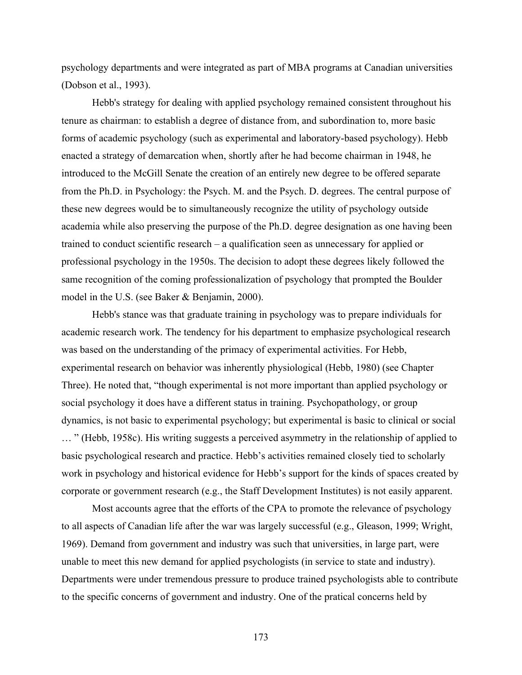psychology departments and were integrated as part of MBA programs at Canadian universities (Dobson et al., 1993).

Hebb's strategy for dealing with applied psychology remained consistent throughout his tenure as chairman: to establish a degree of distance from, and subordination to, more basic forms of academic psychology (such as experimental and laboratory-based psychology). Hebb enacted a strategy of demarcation when, shortly after he had become chairman in 1948, he introduced to the McGill Senate the creation of an entirely new degree to be offered separate from the Ph.D. in Psychology: the Psych. M. and the Psych. D. degrees. The central purpose of these new degrees would be to simultaneously recognize the utility of psychology outside academia while also preserving the purpose of the Ph.D. degree designation as one having been trained to conduct scientific research – a qualification seen as unnecessary for applied or professional psychology in the 1950s. The decision to adopt these degrees likely followed the same recognition of the coming professionalization of psychology that prompted the Boulder model in the U.S. (see Baker & Benjamin, 2000).

Hebb's stance was that graduate training in psychology was to prepare individuals for academic research work. The tendency for his department to emphasize psychological research was based on the understanding of the primacy of experimental activities. For Hebb, experimental research on behavior was inherently physiological (Hebb, 1980) (see Chapter Three). He noted that, "though experimental is not more important than applied psychology or social psychology it does have a different status in training. Psychopathology, or group dynamics, is not basic to experimental psychology; but experimental is basic to clinical or social … " (Hebb, 1958c). His writing suggests a perceived asymmetry in the relationship of applied to basic psychological research and practice. Hebb's activities remained closely tied to scholarly work in psychology and historical evidence for Hebb's support for the kinds of spaces created by corporate or government research (e.g., the Staff Development Institutes) is not easily apparent.

Most accounts agree that the efforts of the CPA to promote the relevance of psychology to all aspects of Canadian life after the war was largely successful (e.g., Gleason, 1999; Wright, 1969). Demand from government and industry was such that universities, in large part, were unable to meet this new demand for applied psychologists (in service to state and industry). Departments were under tremendous pressure to produce trained psychologists able to contribute to the specific concerns of government and industry. One of the pratical concerns held by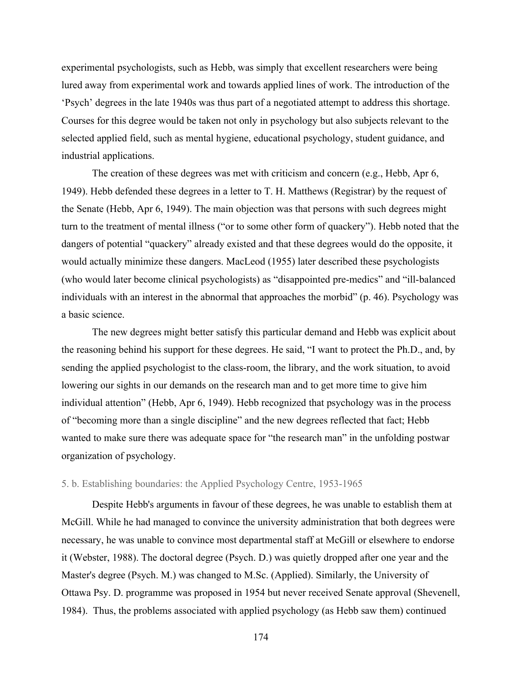experimental psychologists, such as Hebb, was simply that excellent researchers were being lured away from experimental work and towards applied lines of work. The introduction of the 'Psych' degrees in the late 1940s was thus part of a negotiated attempt to address this shortage. Courses for this degree would be taken not only in psychology but also subjects relevant to the selected applied field, such as mental hygiene, educational psychology, student guidance, and industrial applications.

The creation of these degrees was met with criticism and concern (e.g., Hebb, Apr 6, 1949). Hebb defended these degrees in a letter to T. H. Matthews (Registrar) by the request of the Senate (Hebb, Apr 6, 1949). The main objection was that persons with such degrees might turn to the treatment of mental illness ("or to some other form of quackery"). Hebb noted that the dangers of potential "quackery" already existed and that these degrees would do the opposite, it would actually minimize these dangers. MacLeod (1955) later described these psychologists (who would later become clinical psychologists) as "disappointed pre-medics" and "ill-balanced individuals with an interest in the abnormal that approaches the morbid" (p. 46). Psychology was a basic science.

The new degrees might better satisfy this particular demand and Hebb was explicit about the reasoning behind his support for these degrees. He said, "I want to protect the Ph.D., and, by sending the applied psychologist to the class-room, the library, and the work situation, to avoid lowering our sights in our demands on the research man and to get more time to give him individual attention" (Hebb, Apr 6, 1949). Hebb recognized that psychology was in the process of "becoming more than a single discipline" and the new degrees reflected that fact; Hebb wanted to make sure there was adequate space for "the research man" in the unfolding postwar organization of psychology.

## 5. b. Establishing boundaries: the Applied Psychology Centre, 1953-1965

Despite Hebb's arguments in favour of these degrees, he was unable to establish them at McGill. While he had managed to convince the university administration that both degrees were necessary, he was unable to convince most departmental staff at McGill or elsewhere to endorse it (Webster, 1988). The doctoral degree (Psych. D.) was quietly dropped after one year and the Master's degree (Psych. M.) was changed to M.Sc. (Applied). Similarly, the University of Ottawa Psy. D. programme was proposed in 1954 but never received Senate approval (Shevenell, 1984). Thus, the problems associated with applied psychology (as Hebb saw them) continued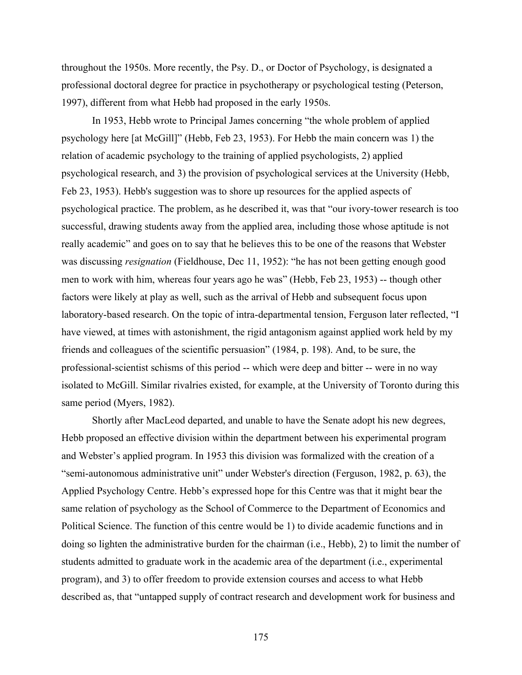throughout the 1950s. More recently, the Psy. D., or Doctor of Psychology, is designated a professional doctoral degree for practice in psychotherapy or psychological testing (Peterson, 1997), different from what Hebb had proposed in the early 1950s.

In 1953, Hebb wrote to Principal James concerning "the whole problem of applied psychology here [at McGill]" (Hebb, Feb 23, 1953). For Hebb the main concern was 1) the relation of academic psychology to the training of applied psychologists, 2) applied psychological research, and 3) the provision of psychological services at the University (Hebb, Feb 23, 1953). Hebb's suggestion was to shore up resources for the applied aspects of psychological practice. The problem, as he described it, was that "our ivory-tower research is too successful, drawing students away from the applied area, including those whose aptitude is not really academic" and goes on to say that he believes this to be one of the reasons that Webster was discussing *resignation* (Fieldhouse, Dec 11, 1952): "he has not been getting enough good men to work with him, whereas four years ago he was" (Hebb, Feb 23, 1953) -- though other factors were likely at play as well, such as the arrival of Hebb and subsequent focus upon laboratory-based research. On the topic of intra-departmental tension, Ferguson later reflected, "I have viewed, at times with astonishment, the rigid antagonism against applied work held by my friends and colleagues of the scientific persuasion" (1984, p. 198). And, to be sure, the professional-scientist schisms of this period -- which were deep and bitter -- were in no way isolated to McGill. Similar rivalries existed, for example, at the University of Toronto during this same period (Myers, 1982).

Shortly after MacLeod departed, and unable to have the Senate adopt his new degrees, Hebb proposed an effective division within the department between his experimental program and Webster's applied program. In 1953 this division was formalized with the creation of a "semi-autonomous administrative unit" under Webster's direction (Ferguson, 1982, p. 63), the Applied Psychology Centre. Hebb's expressed hope for this Centre was that it might bear the same relation of psychology as the School of Commerce to the Department of Economics and Political Science. The function of this centre would be 1) to divide academic functions and in doing so lighten the administrative burden for the chairman (i.e., Hebb), 2) to limit the number of students admitted to graduate work in the academic area of the department (i.e., experimental program), and 3) to offer freedom to provide extension courses and access to what Hebb described as, that "untapped supply of contract research and development work for business and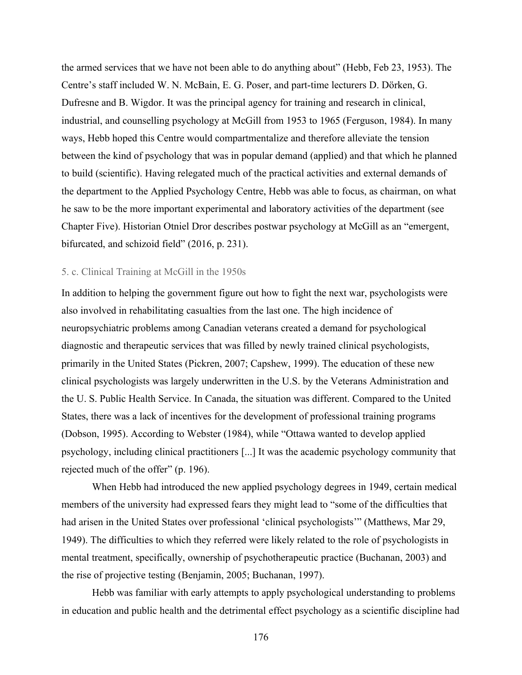the armed services that we have not been able to do anything about" (Hebb, Feb 23, 1953). The Centre's staff included W. N. McBain, E. G. Poser, and part-time lecturers D. Dörken, G. Dufresne and B. Wigdor. It was the principal agency for training and research in clinical, industrial, and counselling psychology at McGill from 1953 to 1965 (Ferguson, 1984). In many ways, Hebb hoped this Centre would compartmentalize and therefore alleviate the tension between the kind of psychology that was in popular demand (applied) and that which he planned to build (scientific). Having relegated much of the practical activities and external demands of the department to the Applied Psychology Centre, Hebb was able to focus, as chairman, on what he saw to be the more important experimental and laboratory activities of the department (see Chapter Five). Historian Otniel Dror describes postwar psychology at McGill as an "emergent, bifurcated, and schizoid field" (2016, p. 231).

## 5. c. Clinical Training at McGill in the 1950s

In addition to helping the government figure out how to fight the next war, psychologists were also involved in rehabilitating casualties from the last one. The high incidence of neuropsychiatric problems among Canadian veterans created a demand for psychological diagnostic and therapeutic services that was filled by newly trained clinical psychologists, primarily in the United States (Pickren, 2007; Capshew, 1999). The education of these new clinical psychologists was largely underwritten in the U.S. by the Veterans Administration and the U. S. Public Health Service. In Canada, the situation was different. Compared to the United States, there was a lack of incentives for the development of professional training programs (Dobson, 1995). According to Webster (1984), while "Ottawa wanted to develop applied psychology, including clinical practitioners [...] It was the academic psychology community that rejected much of the offer" (p. 196).

When Hebb had introduced the new applied psychology degrees in 1949, certain medical members of the university had expressed fears they might lead to "some of the difficulties that had arisen in the United States over professional 'clinical psychologists'" (Matthews, Mar 29, 1949). The difficulties to which they referred were likely related to the role of psychologists in mental treatment, specifically, ownership of psychotherapeutic practice (Buchanan, 2003) and the rise of projective testing (Benjamin, 2005; Buchanan, 1997).

Hebb was familiar with early attempts to apply psychological understanding to problems in education and public health and the detrimental effect psychology as a scientific discipline had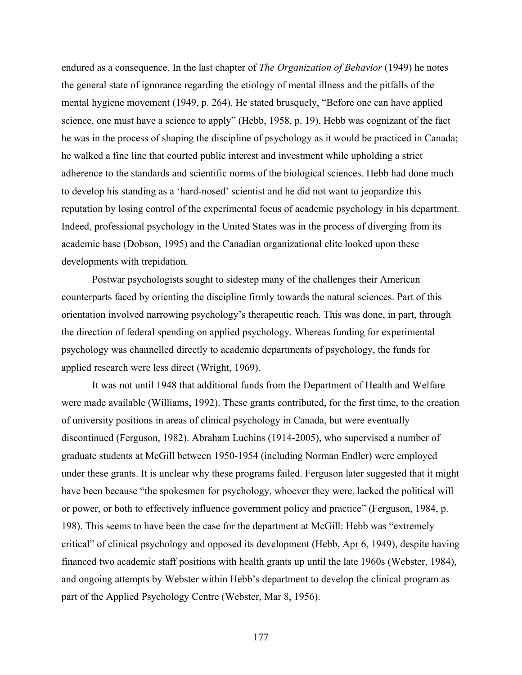endured as a consequence. In the last chapter of *The Organization of Behavior* (1949) he notes the general state of ignorance regarding the etiology of mental illness and the pitfalls of the mental hygiene movement (1949, p. 264). He stated brusquely, "Before one can have applied science, one must have a science to apply" (Hebb, 1958, p. 19). Hebb was cognizant of the fact he was in the process of shaping the discipline of psychology as it would be practiced in Canada; he walked a fine line that courted public interest and investment while upholding a strict adherence to the standards and scientific norms of the biological sciences. Hebb had done much to develop his standing as a 'hard-nosed' scientist and he did not want to jeopardize this reputation by losing control of the experimental focus of academic psychology in his department. Indeed, professional psychology in the United States was in the process of diverging from its academic base (Dobson, 1995) and the Canadian organizational elite looked upon these developments with trepidation.

Postwar psychologists sought to sidestep many of the challenges their American counterparts faced by orienting the discipline firmly towards the natural sciences. Part of this orientation involved narrowing psychology's therapeutic reach. This was done, in part, through the direction of federal spending on applied psychology. Whereas funding for experimental psychology was channelled directly to academic departments of psychology, the funds for applied research were less direct (Wright, 1969).

It was not until 1948 that additional funds from the Department of Health and Welfare were made available (Williams, 1992). These grants contributed, for the first time, to the creation of university positions in areas of clinical psychology in Canada, but were eventually discontinued (Ferguson, 1982). Abraham Luchins (1914-2005), who supervised a number of graduate students at McGill between 1950-1954 (including Norman Endler) were employed under these grants. It is unclear why these programs failed. Ferguson later suggested that it might have been because "the spokesmen for psychology, whoever they were, lacked the political will or power, or both to effectively influence government policy and practice" (Ferguson, 1984, p. 198). This seems to have been the case for the department at McGill: Hebb was "extremely critical" of clinical psychology and opposed its development (Hebb, Apr 6, 1949), despite having financed two academic staff positions with health grants up until the late 1960s (Webster, 1984), and ongoing attempts by Webster within Hebb's department to develop the clinical program as part of the Applied Psychology Centre (Webster, Mar 8, 1956).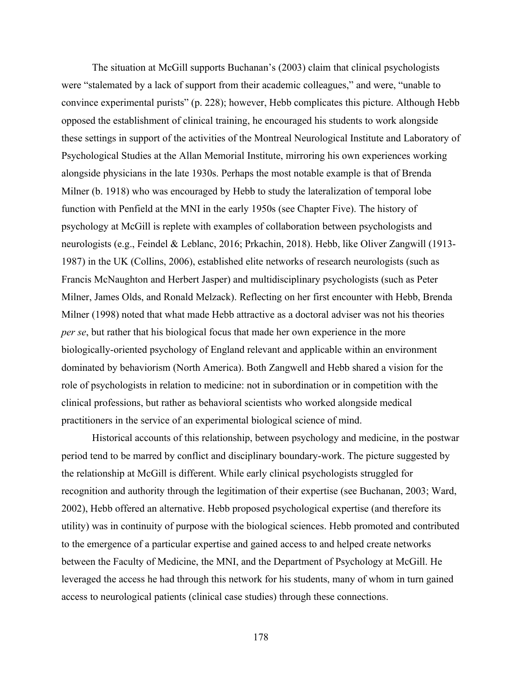The situation at McGill supports Buchanan's (2003) claim that clinical psychologists were "stalemated by a lack of support from their academic colleagues," and were, "unable to convince experimental purists" (p. 228); however, Hebb complicates this picture. Although Hebb opposed the establishment of clinical training, he encouraged his students to work alongside these settings in support of the activities of the Montreal Neurological Institute and Laboratory of Psychological Studies at the Allan Memorial Institute, mirroring his own experiences working alongside physicians in the late 1930s. Perhaps the most notable example is that of Brenda Milner (b. 1918) who was encouraged by Hebb to study the lateralization of temporal lobe function with Penfield at the MNI in the early 1950s (see Chapter Five). The history of psychology at McGill is replete with examples of collaboration between psychologists and neurologists (e.g., Feindel & Leblanc, 2016; Prkachin, 2018). Hebb, like Oliver Zangwill (1913- 1987) in the UK (Collins, 2006), established elite networks of research neurologists (such as Francis McNaughton and Herbert Jasper) and multidisciplinary psychologists (such as Peter Milner, James Olds, and Ronald Melzack). Reflecting on her first encounter with Hebb, Brenda Milner (1998) noted that what made Hebb attractive as a doctoral adviser was not his theories *per se*, but rather that his biological focus that made her own experience in the more biologically-oriented psychology of England relevant and applicable within an environment dominated by behaviorism (North America). Both Zangwell and Hebb shared a vision for the role of psychologists in relation to medicine: not in subordination or in competition with the clinical professions, but rather as behavioral scientists who worked alongside medical practitioners in the service of an experimental biological science of mind.

Historical accounts of this relationship, between psychology and medicine, in the postwar period tend to be marred by conflict and disciplinary boundary-work. The picture suggested by the relationship at McGill is different. While early clinical psychologists struggled for recognition and authority through the legitimation of their expertise (see Buchanan, 2003; Ward, 2002), Hebb offered an alternative. Hebb proposed psychological expertise (and therefore its utility) was in continuity of purpose with the biological sciences. Hebb promoted and contributed to the emergence of a particular expertise and gained access to and helped create networks between the Faculty of Medicine, the MNI, and the Department of Psychology at McGill. He leveraged the access he had through this network for his students, many of whom in turn gained access to neurological patients (clinical case studies) through these connections.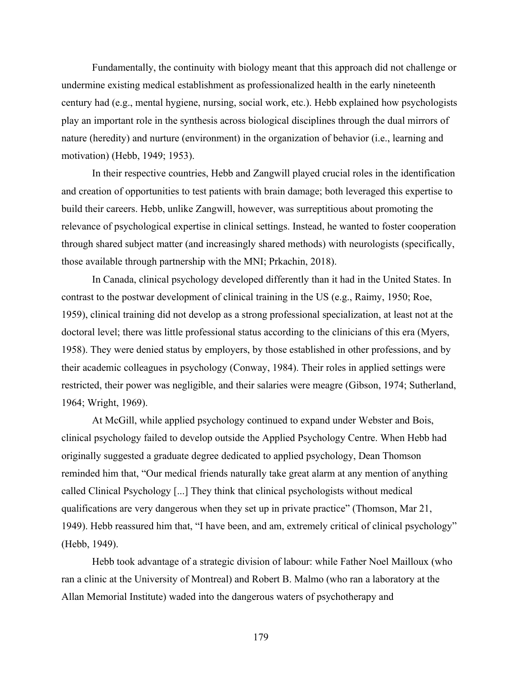Fundamentally, the continuity with biology meant that this approach did not challenge or undermine existing medical establishment as professionalized health in the early nineteenth century had (e.g., mental hygiene, nursing, social work, etc.). Hebb explained how psychologists play an important role in the synthesis across biological disciplines through the dual mirrors of nature (heredity) and nurture (environment) in the organization of behavior (i.e., learning and motivation) (Hebb, 1949; 1953).

In their respective countries, Hebb and Zangwill played crucial roles in the identification and creation of opportunities to test patients with brain damage; both leveraged this expertise to build their careers. Hebb, unlike Zangwill, however, was surreptitious about promoting the relevance of psychological expertise in clinical settings. Instead, he wanted to foster cooperation through shared subject matter (and increasingly shared methods) with neurologists (specifically, those available through partnership with the MNI; Prkachin, 2018).

In Canada, clinical psychology developed differently than it had in the United States. In contrast to the postwar development of clinical training in the US (e.g., Raimy, 1950; Roe, 1959), clinical training did not develop as a strong professional specialization, at least not at the doctoral level; there was little professional status according to the clinicians of this era (Myers, 1958). They were denied status by employers, by those established in other professions, and by their academic colleagues in psychology (Conway, 1984). Their roles in applied settings were restricted, their power was negligible, and their salaries were meagre (Gibson, 1974; Sutherland, 1964; Wright, 1969).

At McGill, while applied psychology continued to expand under Webster and Bois, clinical psychology failed to develop outside the Applied Psychology Centre. When Hebb had originally suggested a graduate degree dedicated to applied psychology, Dean Thomson reminded him that, "Our medical friends naturally take great alarm at any mention of anything called Clinical Psychology [...] They think that clinical psychologists without medical qualifications are very dangerous when they set up in private practice" (Thomson, Mar 21, 1949). Hebb reassured him that, "I have been, and am, extremely critical of clinical psychology" (Hebb, 1949).

Hebb took advantage of a strategic division of labour: while Father Noel Mailloux (who ran a clinic at the University of Montreal) and Robert B. Malmo (who ran a laboratory at the Allan Memorial Institute) waded into the dangerous waters of psychotherapy and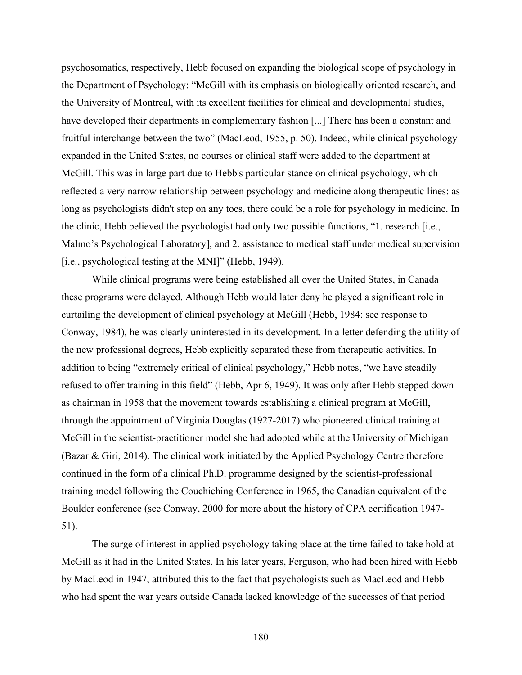psychosomatics, respectively, Hebb focused on expanding the biological scope of psychology in the Department of Psychology: "McGill with its emphasis on biologically oriented research, and the University of Montreal, with its excellent facilities for clinical and developmental studies, have developed their departments in complementary fashion [...] There has been a constant and fruitful interchange between the two" (MacLeod, 1955, p. 50). Indeed, while clinical psychology expanded in the United States, no courses or clinical staff were added to the department at McGill. This was in large part due to Hebb's particular stance on clinical psychology, which reflected a very narrow relationship between psychology and medicine along therapeutic lines: as long as psychologists didn't step on any toes, there could be a role for psychology in medicine. In the clinic, Hebb believed the psychologist had only two possible functions, "1. research [i.e., Malmo's Psychological Laboratory], and 2. assistance to medical staff under medical supervision [i.e., psychological testing at the MNI]" (Hebb, 1949).

While clinical programs were being established all over the United States, in Canada these programs were delayed. Although Hebb would later deny he played a significant role in curtailing the development of clinical psychology at McGill (Hebb, 1984: see response to Conway, 1984), he was clearly uninterested in its development. In a letter defending the utility of the new professional degrees, Hebb explicitly separated these from therapeutic activities. In addition to being "extremely critical of clinical psychology," Hebb notes, "we have steadily refused to offer training in this field" (Hebb, Apr 6, 1949). It was only after Hebb stepped down as chairman in 1958 that the movement towards establishing a clinical program at McGill, through the appointment of Virginia Douglas (1927-2017) who pioneered clinical training at McGill in the scientist-practitioner model she had adopted while at the University of Michigan (Bazar & Giri, 2014). The clinical work initiated by the Applied Psychology Centre therefore continued in the form of a clinical Ph.D. programme designed by the scientist-professional training model following the Couchiching Conference in 1965, the Canadian equivalent of the Boulder conference (see Conway, 2000 for more about the history of CPA certification 1947- 51).

The surge of interest in applied psychology taking place at the time failed to take hold at McGill as it had in the United States. In his later years, Ferguson, who had been hired with Hebb by MacLeod in 1947, attributed this to the fact that psychologists such as MacLeod and Hebb who had spent the war years outside Canada lacked knowledge of the successes of that period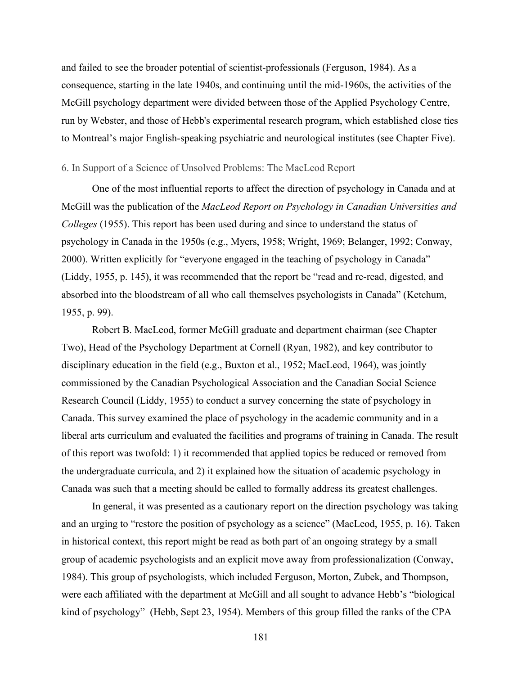and failed to see the broader potential of scientist-professionals (Ferguson, 1984). As a consequence, starting in the late 1940s, and continuing until the mid-1960s, the activities of the McGill psychology department were divided between those of the Applied Psychology Centre, run by Webster, and those of Hebb's experimental research program, which established close ties to Montreal's major English-speaking psychiatric and neurological institutes (see Chapter Five).

#### 6. In Support of a Science of Unsolved Problems: The MacLeod Report

One of the most influential reports to affect the direction of psychology in Canada and at McGill was the publication of the *MacLeod Report on Psychology in Canadian Universities and Colleges* (1955). This report has been used during and since to understand the status of psychology in Canada in the 1950s (e.g., Myers, 1958; Wright, 1969; Belanger, 1992; Conway, 2000). Written explicitly for "everyone engaged in the teaching of psychology in Canada" (Liddy, 1955, p. 145), it was recommended that the report be "read and re-read, digested, and absorbed into the bloodstream of all who call themselves psychologists in Canada" (Ketchum, 1955, p. 99).

Robert B. MacLeod, former McGill graduate and department chairman (see Chapter Two), Head of the Psychology Department at Cornell (Ryan, 1982), and key contributor to disciplinary education in the field (e.g., Buxton et al., 1952; MacLeod, 1964), was jointly commissioned by the Canadian Psychological Association and the Canadian Social Science Research Council (Liddy, 1955) to conduct a survey concerning the state of psychology in Canada. This survey examined the place of psychology in the academic community and in a liberal arts curriculum and evaluated the facilities and programs of training in Canada. The result of this report was twofold: 1) it recommended that applied topics be reduced or removed from the undergraduate curricula, and 2) it explained how the situation of academic psychology in Canada was such that a meeting should be called to formally address its greatest challenges.

In general, it was presented as a cautionary report on the direction psychology was taking and an urging to "restore the position of psychology as a science" (MacLeod, 1955, p. 16). Taken in historical context, this report might be read as both part of an ongoing strategy by a small group of academic psychologists and an explicit move away from professionalization (Conway, 1984). This group of psychologists, which included Ferguson, Morton, Zubek, and Thompson, were each affiliated with the department at McGill and all sought to advance Hebb's "biological kind of psychology" (Hebb, Sept 23, 1954). Members of this group filled the ranks of the CPA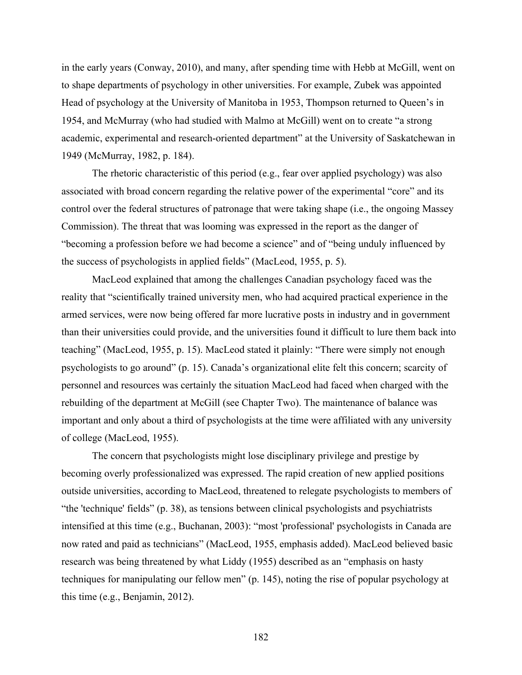in the early years (Conway, 2010), and many, after spending time with Hebb at McGill, went on to shape departments of psychology in other universities. For example, Zubek was appointed Head of psychology at the University of Manitoba in 1953, Thompson returned to Queen's in 1954, and McMurray (who had studied with Malmo at McGill) went on to create "a strong academic, experimental and research-oriented department" at the University of Saskatchewan in 1949 (McMurray, 1982, p. 184).

The rhetoric characteristic of this period (e.g., fear over applied psychology) was also associated with broad concern regarding the relative power of the experimental "core" and its control over the federal structures of patronage that were taking shape (i.e., the ongoing Massey Commission). The threat that was looming was expressed in the report as the danger of "becoming a profession before we had become a science" and of "being unduly influenced by the success of psychologists in applied fields" (MacLeod, 1955, p. 5).

MacLeod explained that among the challenges Canadian psychology faced was the reality that "scientifically trained university men, who had acquired practical experience in the armed services, were now being offered far more lucrative posts in industry and in government than their universities could provide, and the universities found it difficult to lure them back into teaching" (MacLeod, 1955, p. 15). MacLeod stated it plainly: "There were simply not enough psychologists to go around" (p. 15). Canada's organizational elite felt this concern; scarcity of personnel and resources was certainly the situation MacLeod had faced when charged with the rebuilding of the department at McGill (see Chapter Two). The maintenance of balance was important and only about a third of psychologists at the time were affiliated with any university of college (MacLeod, 1955).

The concern that psychologists might lose disciplinary privilege and prestige by becoming overly professionalized was expressed. The rapid creation of new applied positions outside universities, according to MacLeod, threatened to relegate psychologists to members of "the 'technique' fields" (p. 38), as tensions between clinical psychologists and psychiatrists intensified at this time (e.g., Buchanan, 2003): "most 'professional' psychologists in Canada are now rated and paid as technicians" (MacLeod, 1955, emphasis added). MacLeod believed basic research was being threatened by what Liddy (1955) described as an "emphasis on hasty techniques for manipulating our fellow men" (p. 145), noting the rise of popular psychology at this time (e.g., Benjamin, 2012).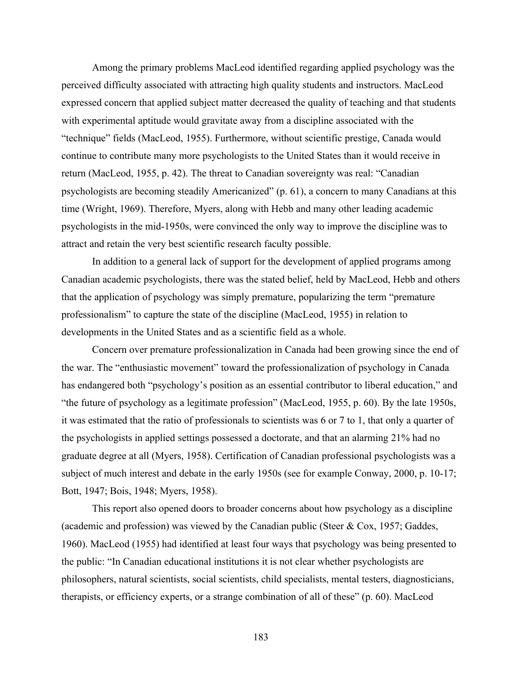Among the primary problems MacLeod identified regarding applied psychology was the perceived difficulty associated with attracting high quality students and instructors. MacLeod expressed concern that applied subject matter decreased the quality of teaching and that students with experimental aptitude would gravitate away from a discipline associated with the "technique" fields (MacLeod, 1955). Furthermore, without scientific prestige, Canada would continue to contribute many more psychologists to the United States than it would receive in return (MacLeod, 1955, p. 42). The threat to Canadian sovereignty was real: "Canadian psychologists are becoming steadily Americanized" (p. 61), a concern to many Canadians at this time (Wright, 1969). Therefore, Myers, along with Hebb and many other leading academic psychologists in the mid-1950s, were convinced the only way to improve the discipline was to attract and retain the very best scientific research faculty possible.

In addition to a general lack of support for the development of applied programs among Canadian academic psychologists, there was the stated belief, held by MacLeod, Hebb and others that the application of psychology was simply premature, popularizing the term "premature professionalism" to capture the state of the discipline (MacLeod, 1955) in relation to developments in the United States and as a scientific field as a whole.

Concern over premature professionalization in Canada had been growing since the end of the war. The "enthusiastic movement" toward the professionalization of psychology in Canada has endangered both "psychology's position as an essential contributor to liberal education," and "the future of psychology as a legitimate profession" (MacLeod, 1955, p. 60). By the late 1950s, it was estimated that the ratio of professionals to scientists was 6 or 7 to 1, that only a quarter of the psychologists in applied settings possessed a doctorate, and that an alarming 21% had no graduate degree at all (Myers, 1958). Certification of Canadian professional psychologists was a subject of much interest and debate in the early 1950s (see for example Conway, 2000, p. 10-17; Bott, 1947; Bois, 1948; Myers, 1958).

This report also opened doors to broader concerns about how psychology as a discipline (academic and profession) was viewed by the Canadian public (Steer  $& Cox, 1957$ ; Gaddes, 1960). MacLeod (1955) had identified at least four ways that psychology was being presented to the public: "In Canadian educational institutions it is not clear whether psychologists are philosophers, natural scientists, social scientists, child specialists, mental testers, diagnosticians, therapists, or efficiency experts, or a strange combination of all of these" (p. 60). MacLeod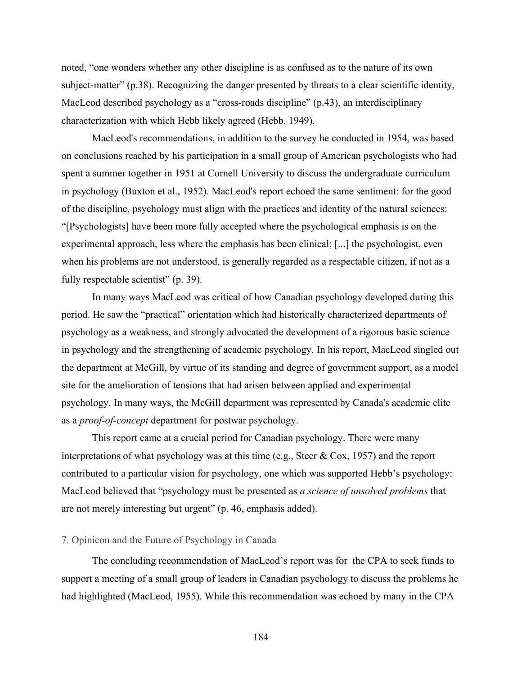noted, "one wonders whether any other discipline is as confused as to the nature of its own subject-matter" (p.38). Recognizing the danger presented by threats to a clear scientific identity, MacLeod described psychology as a "cross-roads discipline" (p.43), an interdisciplinary characterization with which Hebb likely agreed (Hebb, 1949).

MacLeod's recommendations, in addition to the survey he conducted in 1954, was based on conclusions reached by his participation in a small group of American psychologists who had spent a summer together in 1951 at Cornell University to discuss the undergraduate curriculum in psychology (Buxton et al., 1952). MacLeod's report echoed the same sentiment: for the good of the discipline, psychology must align with the practices and identity of the natural sciences: "[Psychologists] have been more fully accepted where the psychological emphasis is on the experimental approach, less where the emphasis has been clinical; [...] the psychologist, even when his problems are not understood, is generally regarded as a respectable citizen, if not as a fully respectable scientist" (p. 39).

In many ways MacLeod was critical of how Canadian psychology developed during this period. He saw the "practical" orientation which had historically characterized departments of psychology as a weakness, and strongly advocated the development of a rigorous basic science in psychology and the strengthening of academic psychology. In his report, MacLeod singled out the department at McGill, by virtue of its standing and degree of government support, as a model site for the amelioration of tensions that had arisen between applied and experimental psychology. In many ways, the McGill department was represented by Canada's academic elite as a *proof-of-concept* department for postwar psychology.

This report came at a crucial period for Canadian psychology. There were many interpretations of what psychology was at this time (e.g., Steer & Cox, 1957) and the report contributed to a particular vision for psychology, one which was supported Hebb's psychology: MacLeod believed that "psychology must be presented as *a science of unsolved problems* that are not merely interesting but urgent" (p. 46, emphasis added).

# 7. Opinicon and the Future of Psychology in Canada

The concluding recommendation of MacLeod's report was for the CPA to seek funds to support a meeting of a small group of leaders in Canadian psychology to discuss the problems he had highlighted (MacLeod, 1955). While this recommendation was echoed by many in the CPA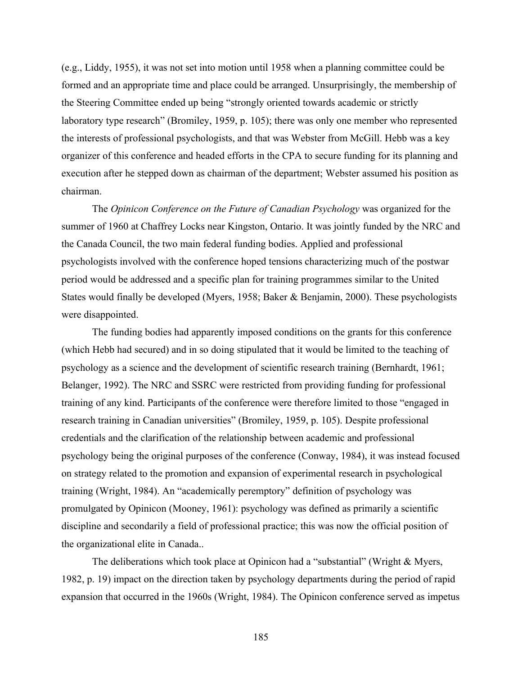(e.g., Liddy, 1955), it was not set into motion until 1958 when a planning committee could be formed and an appropriate time and place could be arranged. Unsurprisingly, the membership of the Steering Committee ended up being "strongly oriented towards academic or strictly laboratory type research" (Bromiley, 1959, p. 105); there was only one member who represented the interests of professional psychologists, and that was Webster from McGill. Hebb was a key organizer of this conference and headed efforts in the CPA to secure funding for its planning and execution after he stepped down as chairman of the department; Webster assumed his position as chairman.

The *Opinicon Conference on the Future of Canadian Psychology* was organized for the summer of 1960 at Chaffrey Locks near Kingston, Ontario. It was jointly funded by the NRC and the Canada Council, the two main federal funding bodies. Applied and professional psychologists involved with the conference hoped tensions characterizing much of the postwar period would be addressed and a specific plan for training programmes similar to the United States would finally be developed (Myers, 1958; Baker & Benjamin, 2000). These psychologists were disappointed.

The funding bodies had apparently imposed conditions on the grants for this conference (which Hebb had secured) and in so doing stipulated that it would be limited to the teaching of psychology as a science and the development of scientific research training (Bernhardt, 1961; Belanger, 1992). The NRC and SSRC were restricted from providing funding for professional training of any kind. Participants of the conference were therefore limited to those "engaged in research training in Canadian universities" (Bromiley, 1959, p. 105). Despite professional credentials and the clarification of the relationship between academic and professional psychology being the original purposes of the conference (Conway, 1984), it was instead focused on strategy related to the promotion and expansion of experimental research in psychological training (Wright, 1984). An "academically peremptory" definition of psychology was promulgated by Opinicon (Mooney, 1961): psychology was defined as primarily a scientific discipline and secondarily a field of professional practice; this was now the official position of the organizational elite in Canada..

The deliberations which took place at Opinicon had a "substantial" (Wright & Myers, 1982, p. 19) impact on the direction taken by psychology departments during the period of rapid expansion that occurred in the 1960s (Wright, 1984). The Opinicon conference served as impetus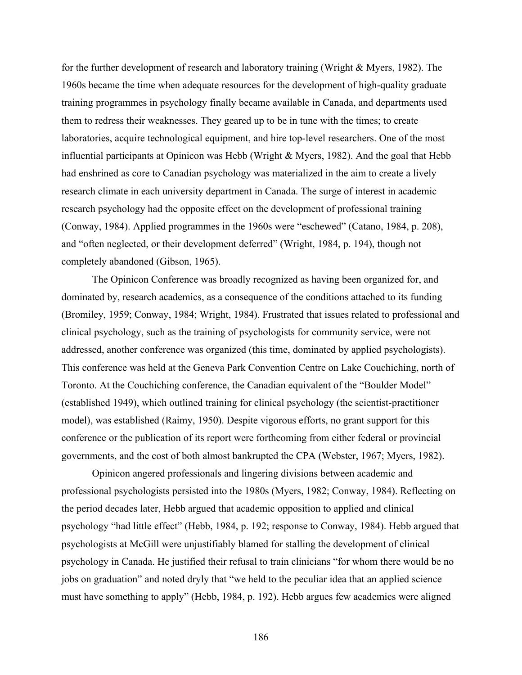for the further development of research and laboratory training (Wright & Myers, 1982). The 1960s became the time when adequate resources for the development of high-quality graduate training programmes in psychology finally became available in Canada, and departments used them to redress their weaknesses. They geared up to be in tune with the times; to create laboratories, acquire technological equipment, and hire top-level researchers. One of the most influential participants at Opinicon was Hebb (Wright & Myers, 1982). And the goal that Hebb had enshrined as core to Canadian psychology was materialized in the aim to create a lively research climate in each university department in Canada. The surge of interest in academic research psychology had the opposite effect on the development of professional training (Conway, 1984). Applied programmes in the 1960s were "eschewed" (Catano, 1984, p. 208), and "often neglected, or their development deferred" (Wright, 1984, p. 194), though not completely abandoned (Gibson, 1965).

The Opinicon Conference was broadly recognized as having been organized for, and dominated by, research academics, as a consequence of the conditions attached to its funding (Bromiley, 1959; Conway, 1984; Wright, 1984). Frustrated that issues related to professional and clinical psychology, such as the training of psychologists for community service, were not addressed, another conference was organized (this time, dominated by applied psychologists). This conference was held at the Geneva Park Convention Centre on Lake Couchiching, north of Toronto. At the Couchiching conference, the Canadian equivalent of the "Boulder Model" (established 1949), which outlined training for clinical psychology (the scientist-practitioner model), was established (Raimy, 1950). Despite vigorous efforts, no grant support for this conference or the publication of its report were forthcoming from either federal or provincial governments, and the cost of both almost bankrupted the CPA (Webster, 1967; Myers, 1982).

Opinicon angered professionals and lingering divisions between academic and professional psychologists persisted into the 1980s (Myers, 1982; Conway, 1984). Reflecting on the period decades later, Hebb argued that academic opposition to applied and clinical psychology "had little effect" (Hebb, 1984, p. 192; response to Conway, 1984). Hebb argued that psychologists at McGill were unjustifiably blamed for stalling the development of clinical psychology in Canada. He justified their refusal to train clinicians "for whom there would be no jobs on graduation" and noted dryly that "we held to the peculiar idea that an applied science must have something to apply" (Hebb, 1984, p. 192). Hebb argues few academics were aligned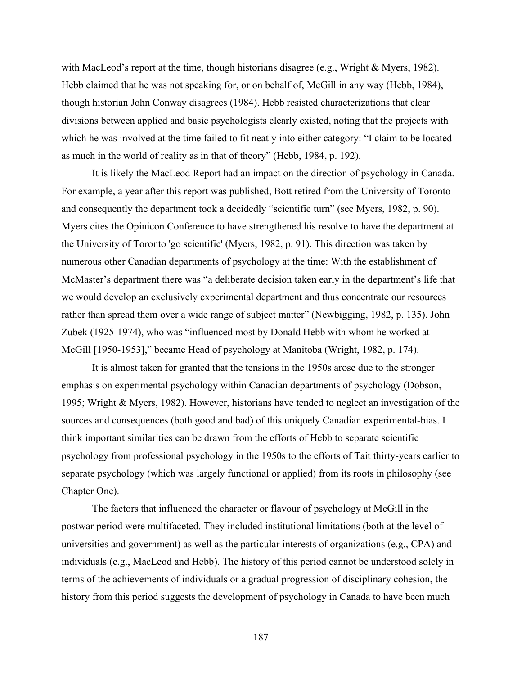with MacLeod's report at the time, though historians disagree (e.g., Wright & Myers, 1982). Hebb claimed that he was not speaking for, or on behalf of, McGill in any way (Hebb, 1984), though historian John Conway disagrees (1984). Hebb resisted characterizations that clear divisions between applied and basic psychologists clearly existed, noting that the projects with which he was involved at the time failed to fit neatly into either category: "I claim to be located as much in the world of reality as in that of theory" (Hebb, 1984, p. 192).

It is likely the MacLeod Report had an impact on the direction of psychology in Canada. For example, a year after this report was published, Bott retired from the University of Toronto and consequently the department took a decidedly "scientific turn" (see Myers, 1982, p. 90). Myers cites the Opinicon Conference to have strengthened his resolve to have the department at the University of Toronto 'go scientific' (Myers, 1982, p. 91). This direction was taken by numerous other Canadian departments of psychology at the time: With the establishment of McMaster's department there was "a deliberate decision taken early in the department's life that we would develop an exclusively experimental department and thus concentrate our resources rather than spread them over a wide range of subject matter" (Newbigging, 1982, p. 135). John Zubek (1925-1974), who was "influenced most by Donald Hebb with whom he worked at McGill [1950-1953]," became Head of psychology at Manitoba (Wright, 1982, p. 174).

It is almost taken for granted that the tensions in the 1950s arose due to the stronger emphasis on experimental psychology within Canadian departments of psychology (Dobson, 1995; Wright & Myers, 1982). However, historians have tended to neglect an investigation of the sources and consequences (both good and bad) of this uniquely Canadian experimental-bias. I think important similarities can be drawn from the efforts of Hebb to separate scientific psychology from professional psychology in the 1950s to the efforts of Tait thirty-years earlier to separate psychology (which was largely functional or applied) from its roots in philosophy (see Chapter One).

The factors that influenced the character or flavour of psychology at McGill in the postwar period were multifaceted. They included institutional limitations (both at the level of universities and government) as well as the particular interests of organizations (e.g., CPA) and individuals (e.g., MacLeod and Hebb). The history of this period cannot be understood solely in terms of the achievements of individuals or a gradual progression of disciplinary cohesion, the history from this period suggests the development of psychology in Canada to have been much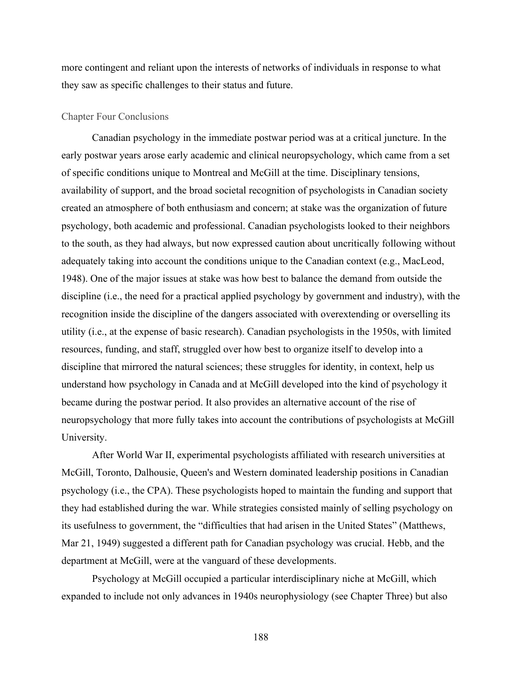more contingent and reliant upon the interests of networks of individuals in response to what they saw as specific challenges to their status and future.

## Chapter Four Conclusions

Canadian psychology in the immediate postwar period was at a critical juncture. In the early postwar years arose early academic and clinical neuropsychology, which came from a set of specific conditions unique to Montreal and McGill at the time. Disciplinary tensions, availability of support, and the broad societal recognition of psychologists in Canadian society created an atmosphere of both enthusiasm and concern; at stake was the organization of future psychology, both academic and professional. Canadian psychologists looked to their neighbors to the south, as they had always, but now expressed caution about uncritically following without adequately taking into account the conditions unique to the Canadian context (e.g., MacLeod, 1948). One of the major issues at stake was how best to balance the demand from outside the discipline (i.e., the need for a practical applied psychology by government and industry), with the recognition inside the discipline of the dangers associated with overextending or overselling its utility (i.e., at the expense of basic research). Canadian psychologists in the 1950s, with limited resources, funding, and staff, struggled over how best to organize itself to develop into a discipline that mirrored the natural sciences; these struggles for identity, in context, help us understand how psychology in Canada and at McGill developed into the kind of psychology it became during the postwar period. It also provides an alternative account of the rise of neuropsychology that more fully takes into account the contributions of psychologists at McGill University.

After World War II, experimental psychologists affiliated with research universities at McGill, Toronto, Dalhousie, Queen's and Western dominated leadership positions in Canadian psychology (i.e., the CPA). These psychologists hoped to maintain the funding and support that they had established during the war. While strategies consisted mainly of selling psychology on its usefulness to government, the "difficulties that had arisen in the United States" (Matthews, Mar 21, 1949) suggested a different path for Canadian psychology was crucial. Hebb, and the department at McGill, were at the vanguard of these developments.

Psychology at McGill occupied a particular interdisciplinary niche at McGill, which expanded to include not only advances in 1940s neurophysiology (see Chapter Three) but also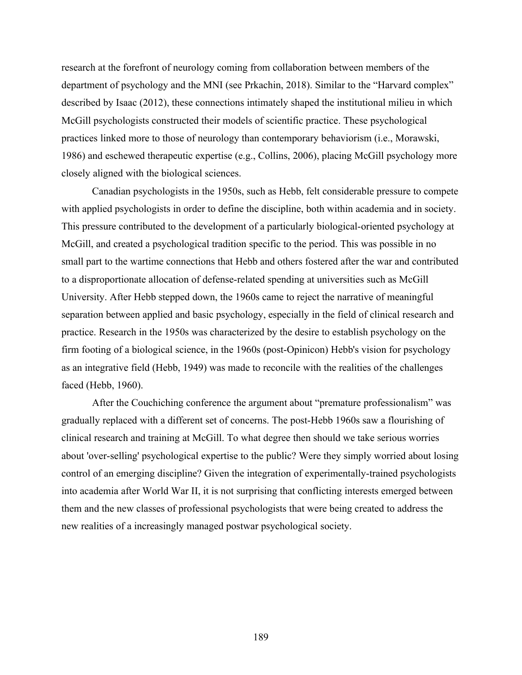research at the forefront of neurology coming from collaboration between members of the department of psychology and the MNI (see Prkachin, 2018). Similar to the "Harvard complex" described by Isaac (2012), these connections intimately shaped the institutional milieu in which McGill psychologists constructed their models of scientific practice. These psychological practices linked more to those of neurology than contemporary behaviorism (i.e., Morawski, 1986) and eschewed therapeutic expertise (e.g., Collins, 2006), placing McGill psychology more closely aligned with the biological sciences.

Canadian psychologists in the 1950s, such as Hebb, felt considerable pressure to compete with applied psychologists in order to define the discipline, both within academia and in society. This pressure contributed to the development of a particularly biological-oriented psychology at McGill, and created a psychological tradition specific to the period. This was possible in no small part to the wartime connections that Hebb and others fostered after the war and contributed to a disproportionate allocation of defense-related spending at universities such as McGill University. After Hebb stepped down, the 1960s came to reject the narrative of meaningful separation between applied and basic psychology, especially in the field of clinical research and practice. Research in the 1950s was characterized by the desire to establish psychology on the firm footing of a biological science, in the 1960s (post-Opinicon) Hebb's vision for psychology as an integrative field (Hebb, 1949) was made to reconcile with the realities of the challenges faced (Hebb, 1960).

After the Couchiching conference the argument about "premature professionalism" was gradually replaced with a different set of concerns. The post-Hebb 1960s saw a flourishing of clinical research and training at McGill. To what degree then should we take serious worries about 'over-selling' psychological expertise to the public? Were they simply worried about losing control of an emerging discipline? Given the integration of experimentally-trained psychologists into academia after World War II, it is not surprising that conflicting interests emerged between them and the new classes of professional psychologists that were being created to address the new realities of a increasingly managed postwar psychological society.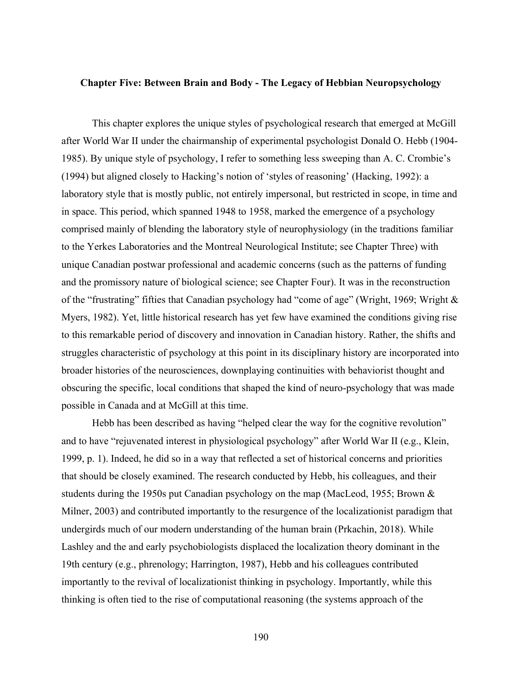## **Chapter Five: Between Brain and Body - The Legacy of Hebbian Neuropsychology**

This chapter explores the unique styles of psychological research that emerged at McGill after World War II under the chairmanship of experimental psychologist Donald O. Hebb (1904- 1985). By unique style of psychology, I refer to something less sweeping than A. C. Crombie's (1994) but aligned closely to Hacking's notion of 'styles of reasoning' (Hacking, 1992): a laboratory style that is mostly public, not entirely impersonal, but restricted in scope, in time and in space. This period, which spanned 1948 to 1958, marked the emergence of a psychology comprised mainly of blending the laboratory style of neurophysiology (in the traditions familiar to the Yerkes Laboratories and the Montreal Neurological Institute; see Chapter Three) with unique Canadian postwar professional and academic concerns (such as the patterns of funding and the promissory nature of biological science; see Chapter Four). It was in the reconstruction of the "frustrating" fifties that Canadian psychology had "come of age" (Wright, 1969; Wright & Myers, 1982). Yet, little historical research has yet few have examined the conditions giving rise to this remarkable period of discovery and innovation in Canadian history. Rather, the shifts and struggles characteristic of psychology at this point in its disciplinary history are incorporated into broader histories of the neurosciences, downplaying continuities with behaviorist thought and obscuring the specific, local conditions that shaped the kind of neuro-psychology that was made possible in Canada and at McGill at this time.

Hebb has been described as having "helped clear the way for the cognitive revolution" and to have "rejuvenated interest in physiological psychology" after World War II (e.g., Klein, 1999, p. 1). Indeed, he did so in a way that reflected a set of historical concerns and priorities that should be closely examined. The research conducted by Hebb, his colleagues, and their students during the 1950s put Canadian psychology on the map (MacLeod, 1955; Brown & Milner, 2003) and contributed importantly to the resurgence of the localizationist paradigm that undergirds much of our modern understanding of the human brain (Prkachin, 2018). While Lashley and the and early psychobiologists displaced the localization theory dominant in the 19th century (e.g., phrenology; Harrington, 1987), Hebb and his colleagues contributed importantly to the revival of localizationist thinking in psychology. Importantly, while this thinking is often tied to the rise of computational reasoning (the systems approach of the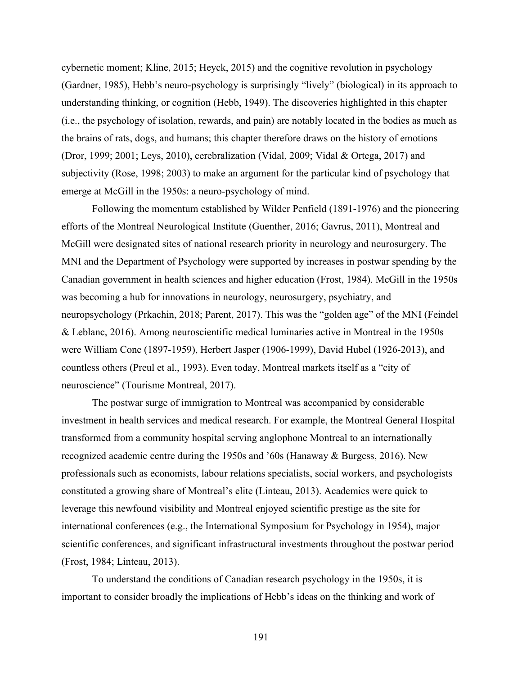cybernetic moment; Kline, 2015; Heyck, 2015) and the cognitive revolution in psychology (Gardner, 1985), Hebb's neuro-psychology is surprisingly "lively" (biological) in its approach to understanding thinking, or cognition (Hebb, 1949). The discoveries highlighted in this chapter (i.e., the psychology of isolation, rewards, and pain) are notably located in the bodies as much as the brains of rats, dogs, and humans; this chapter therefore draws on the history of emotions (Dror, 1999; 2001; Leys, 2010), cerebralization (Vidal, 2009; Vidal & Ortega, 2017) and subjectivity (Rose, 1998; 2003) to make an argument for the particular kind of psychology that emerge at McGill in the 1950s: a neuro-psychology of mind.

Following the momentum established by Wilder Penfield (1891-1976) and the pioneering efforts of the Montreal Neurological Institute (Guenther, 2016; Gavrus, 2011), Montreal and McGill were designated sites of national research priority in neurology and neurosurgery. The MNI and the Department of Psychology were supported by increases in postwar spending by the Canadian government in health sciences and higher education (Frost, 1984). McGill in the 1950s was becoming a hub for innovations in neurology, neurosurgery, psychiatry, and neuropsychology (Prkachin, 2018; Parent, 2017). This was the "golden age" of the MNI (Feindel & Leblanc, 2016). Among neuroscientific medical luminaries active in Montreal in the 1950s were William Cone (1897-1959), Herbert Jasper (1906-1999), David Hubel (1926-2013), and countless others (Preul et al., 1993). Even today, Montreal markets itself as a "city of neuroscience" (Tourisme Montreal, 2017).

The postwar surge of immigration to Montreal was accompanied by considerable investment in health services and medical research. For example, the Montreal General Hospital transformed from a community hospital serving anglophone Montreal to an internationally recognized academic centre during the 1950s and '60s (Hanaway & Burgess, 2016). New professionals such as economists, labour relations specialists, social workers, and psychologists constituted a growing share of Montreal's elite (Linteau, 2013). Academics were quick to leverage this newfound visibility and Montreal enjoyed scientific prestige as the site for international conferences (e.g., the International Symposium for Psychology in 1954), major scientific conferences, and significant infrastructural investments throughout the postwar period (Frost, 1984; Linteau, 2013).

To understand the conditions of Canadian research psychology in the 1950s, it is important to consider broadly the implications of Hebb's ideas on the thinking and work of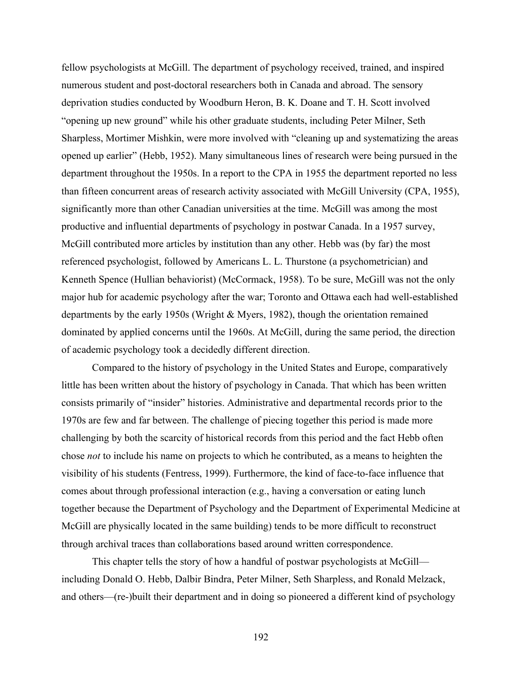fellow psychologists at McGill. The department of psychology received, trained, and inspired numerous student and post-doctoral researchers both in Canada and abroad. The sensory deprivation studies conducted by Woodburn Heron, B. K. Doane and T. H. Scott involved "opening up new ground" while his other graduate students, including Peter Milner, Seth Sharpless, Mortimer Mishkin, were more involved with "cleaning up and systematizing the areas opened up earlier" (Hebb, 1952). Many simultaneous lines of research were being pursued in the department throughout the 1950s. In a report to the CPA in 1955 the department reported no less than fifteen concurrent areas of research activity associated with McGill University (CPA, 1955), significantly more than other Canadian universities at the time. McGill was among the most productive and influential departments of psychology in postwar Canada. In a 1957 survey, McGill contributed more articles by institution than any other. Hebb was (by far) the most referenced psychologist, followed by Americans L. L. Thurstone (a psychometrician) and Kenneth Spence (Hullian behaviorist) (McCormack, 1958). To be sure, McGill was not the only major hub for academic psychology after the war; Toronto and Ottawa each had well-established departments by the early 1950s (Wright & Myers, 1982), though the orientation remained dominated by applied concerns until the 1960s. At McGill, during the same period, the direction of academic psychology took a decidedly different direction.

Compared to the history of psychology in the United States and Europe, comparatively little has been written about the history of psychology in Canada. That which has been written consists primarily of "insider" histories. Administrative and departmental records prior to the 1970s are few and far between. The challenge of piecing together this period is made more challenging by both the scarcity of historical records from this period and the fact Hebb often chose *not* to include his name on projects to which he contributed, as a means to heighten the visibility of his students (Fentress, 1999). Furthermore, the kind of face-to-face influence that comes about through professional interaction (e.g., having a conversation or eating lunch together because the Department of Psychology and the Department of Experimental Medicine at McGill are physically located in the same building) tends to be more difficult to reconstruct through archival traces than collaborations based around written correspondence.

This chapter tells the story of how a handful of postwar psychologists at McGill including Donald O. Hebb, Dalbir Bindra, Peter Milner, Seth Sharpless, and Ronald Melzack, and others—(re-)built their department and in doing so pioneered a different kind of psychology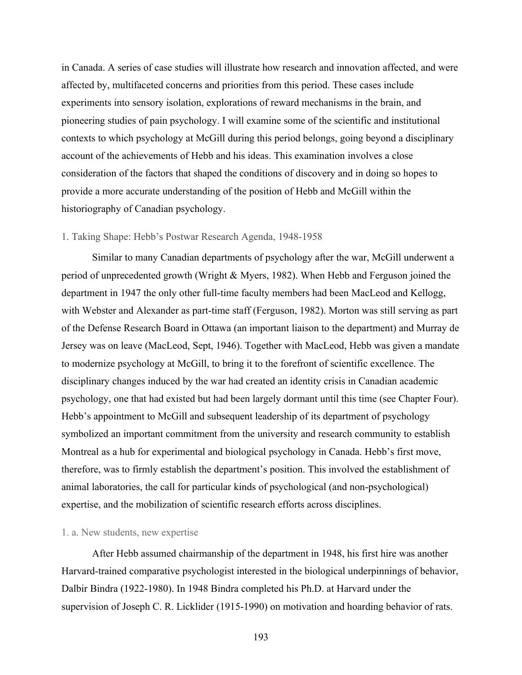in Canada. A series of case studies will illustrate how research and innovation affected, and were affected by, multifaceted concerns and priorities from this period. These cases include experiments into sensory isolation, explorations of reward mechanisms in the brain, and pioneering studies of pain psychology. I will examine some of the scientific and institutional contexts to which psychology at McGill during this period belongs, going beyond a disciplinary account of the achievements of Hebb and his ideas. This examination involves a close consideration of the factors that shaped the conditions of discovery and in doing so hopes to provide a more accurate understanding of the position of Hebb and McGill within the historiography of Canadian psychology.

## 1. Taking Shape: Hebb's Postwar Research Agenda, 1948-1958

Similar to many Canadian departments of psychology after the war, McGill underwent a period of unprecedented growth (Wright & Myers, 1982). When Hebb and Ferguson joined the department in 1947 the only other full-time faculty members had been MacLeod and Kellogg, with Webster and Alexander as part-time staff (Ferguson, 1982). Morton was still serving as part of the Defense Research Board in Ottawa (an important liaison to the department) and Murray de Jersey was on leave (MacLeod, Sept, 1946). Together with MacLeod, Hebb was given a mandate to modernize psychology at McGill, to bring it to the forefront of scientific excellence. The disciplinary changes induced by the war had created an identity crisis in Canadian academic psychology, one that had existed but had been largely dormant until this time (see Chapter Four). Hebb's appointment to McGill and subsequent leadership of its department of psychology symbolized an important commitment from the university and research community to establish Montreal as a hub for experimental and biological psychology in Canada. Hebb's first move, therefore, was to firmly establish the department's position. This involved the establishment of animal laboratories, the call for particular kinds of psychological (and non-psychological) expertise, and the mobilization of scientific research efforts across disciplines.

#### 1. a. New students, new expertise

After Hebb assumed chairmanship of the department in 1948, his first hire was another Harvard-trained comparative psychologist interested in the biological underpinnings of behavior, Dalbir Bindra (1922-1980). In 1948 Bindra completed his Ph.D. at Harvard under the supervision of Joseph C. R. Licklider (1915-1990) on motivation and hoarding behavior of rats.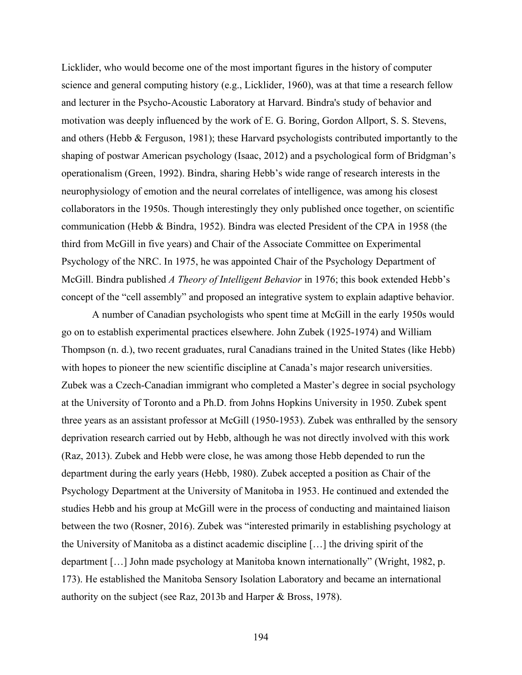Licklider, who would become one of the most important figures in the history of computer science and general computing history (e.g., Licklider, 1960), was at that time a research fellow and lecturer in the Psycho-Acoustic Laboratory at Harvard. Bindra's study of behavior and motivation was deeply influenced by the work of E. G. Boring, Gordon Allport, S. S. Stevens, and others (Hebb & Ferguson, 1981); these Harvard psychologists contributed importantly to the shaping of postwar American psychology (Isaac, 2012) and a psychological form of Bridgman's operationalism (Green, 1992). Bindra, sharing Hebb's wide range of research interests in the neurophysiology of emotion and the neural correlates of intelligence, was among his closest collaborators in the 1950s. Though interestingly they only published once together, on scientific communication (Hebb & Bindra, 1952). Bindra was elected President of the CPA in 1958 (the third from McGill in five years) and Chair of the Associate Committee on Experimental Psychology of the NRC. In 1975, he was appointed Chair of the Psychology Department of McGill. Bindra published *A Theory of Intelligent Behavior* in 1976; this book extended Hebb's concept of the "cell assembly" and proposed an integrative system to explain adaptive behavior.

A number of Canadian psychologists who spent time at McGill in the early 1950s would go on to establish experimental practices elsewhere. John Zubek (1925-1974) and William Thompson (n. d.), two recent graduates, rural Canadians trained in the United States (like Hebb) with hopes to pioneer the new scientific discipline at Canada's major research universities. Zubek was a Czech-Canadian immigrant who completed a Master's degree in social psychology at the University of Toronto and a Ph.D. from Johns Hopkins University in 1950. Zubek spent three years as an assistant professor at McGill (1950-1953). Zubek was enthralled by the sensory deprivation research carried out by Hebb, although he was not directly involved with this work (Raz, 2013). Zubek and Hebb were close, he was among those Hebb depended to run the department during the early years (Hebb, 1980). Zubek accepted a position as Chair of the Psychology Department at the University of Manitoba in 1953. He continued and extended the studies Hebb and his group at McGill were in the process of conducting and maintained liaison between the two (Rosner, 2016). Zubek was "interested primarily in establishing psychology at the University of Manitoba as a distinct academic discipline […] the driving spirit of the department […] John made psychology at Manitoba known internationally" (Wright, 1982, p. 173). He established the Manitoba Sensory Isolation Laboratory and became an international authority on the subject (see Raz, 2013b and Harper & Bross, 1978).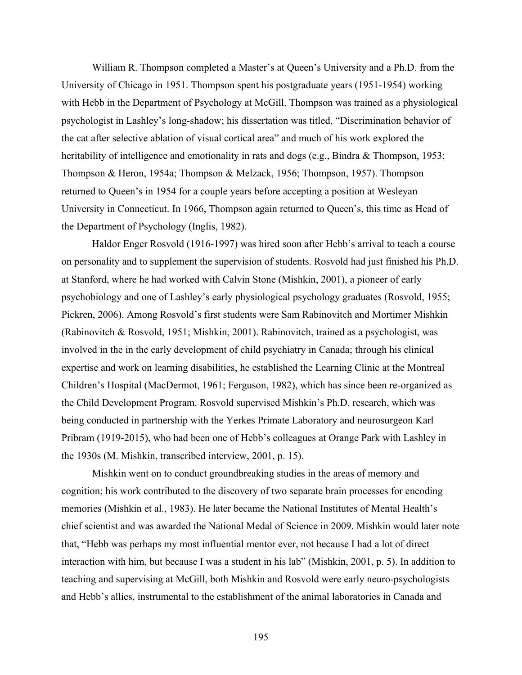William R. Thompson completed a Master's at Queen's University and a Ph.D. from the University of Chicago in 1951. Thompson spent his postgraduate years (1951-1954) working with Hebb in the Department of Psychology at McGill. Thompson was trained as a physiological psychologist in Lashley's long-shadow; his dissertation was titled, "Discrimination behavior of the cat after selective ablation of visual cortical area" and much of his work explored the heritability of intelligence and emotionality in rats and dogs (e.g., Bindra & Thompson, 1953; Thompson & Heron, 1954a; Thompson & Melzack, 1956; Thompson, 1957). Thompson returned to Queen's in 1954 for a couple years before accepting a position at Wesleyan University in Connecticut. In 1966, Thompson again returned to Queen's, this time as Head of the Department of Psychology (Inglis, 1982).

Haldor Enger Rosvold (1916-1997) was hired soon after Hebb's arrival to teach a course on personality and to supplement the supervision of students. Rosvold had just finished his Ph.D. at Stanford, where he had worked with Calvin Stone (Mishkin, 2001), a pioneer of early psychobiology and one of Lashley's early physiological psychology graduates (Rosvold, 1955; Pickren, 2006). Among Rosvold's first students were Sam Rabinovitch and Mortimer Mishkin (Rabinovitch & Rosvold, 1951; Mishkin, 2001). Rabinovitch, trained as a psychologist, was involved in the in the early development of child psychiatry in Canada; through his clinical expertise and work on learning disabilities, he established the Learning Clinic at the Montreal Children's Hospital (MacDermot, 1961; Ferguson, 1982), which has since been re-organized as the Child Development Program. Rosvold supervised Mishkin's Ph.D. research, which was being conducted in partnership with the Yerkes Primate Laboratory and neurosurgeon Karl Pribram (1919-2015), who had been one of Hebb's colleagues at Orange Park with Lashley in the 1930s (M. Mishkin, transcribed interview, 2001, p. 15).

Mishkin went on to conduct groundbreaking studies in the areas of memory and cognition; his work contributed to the discovery of two separate brain processes for encoding memories (Mishkin et al., 1983). He later became the National Institutes of Mental Health's chief scientist and was awarded the National Medal of Science in 2009. Mishkin would later note that, "Hebb was perhaps my most influential mentor ever, not because I had a lot of direct interaction with him, but because I was a student in his lab" (Mishkin, 2001, p. 5). In addition to teaching and supervising at McGill, both Mishkin and Rosvold were early neuro-psychologists and Hebb's allies, instrumental to the establishment of the animal laboratories in Canada and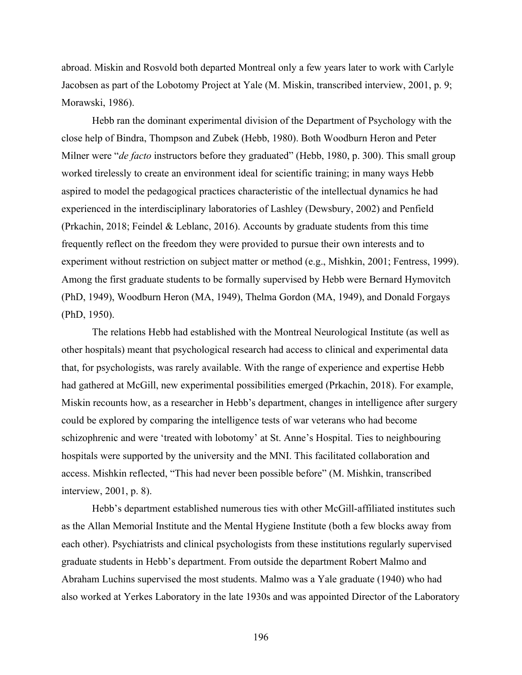abroad. Miskin and Rosvold both departed Montreal only a few years later to work with Carlyle Jacobsen as part of the Lobotomy Project at Yale (M. Miskin, transcribed interview, 2001, p. 9; Morawski, 1986).

Hebb ran the dominant experimental division of the Department of Psychology with the close help of Bindra, Thompson and Zubek (Hebb, 1980). Both Woodburn Heron and Peter Milner were "*de facto* instructors before they graduated" (Hebb, 1980, p. 300). This small group worked tirelessly to create an environment ideal for scientific training; in many ways Hebb aspired to model the pedagogical practices characteristic of the intellectual dynamics he had experienced in the interdisciplinary laboratories of Lashley (Dewsbury, 2002) and Penfield (Prkachin, 2018; Feindel & Leblanc, 2016). Accounts by graduate students from this time frequently reflect on the freedom they were provided to pursue their own interests and to experiment without restriction on subject matter or method (e.g., Mishkin, 2001; Fentress, 1999). Among the first graduate students to be formally supervised by Hebb were Bernard Hymovitch (PhD, 1949), Woodburn Heron (MA, 1949), Thelma Gordon (MA, 1949), and Donald Forgays (PhD, 1950).

The relations Hebb had established with the Montreal Neurological Institute (as well as other hospitals) meant that psychological research had access to clinical and experimental data that, for psychologists, was rarely available. With the range of experience and expertise Hebb had gathered at McGill, new experimental possibilities emerged (Prkachin, 2018). For example, Miskin recounts how, as a researcher in Hebb's department, changes in intelligence after surgery could be explored by comparing the intelligence tests of war veterans who had become schizophrenic and were 'treated with lobotomy' at St. Anne's Hospital. Ties to neighbouring hospitals were supported by the university and the MNI. This facilitated collaboration and access. Mishkin reflected, "This had never been possible before" (M. Mishkin, transcribed interview, 2001, p. 8).

Hebb's department established numerous ties with other McGill-affiliated institutes such as the Allan Memorial Institute and the Mental Hygiene Institute (both a few blocks away from each other). Psychiatrists and clinical psychologists from these institutions regularly supervised graduate students in Hebb's department. From outside the department Robert Malmo and Abraham Luchins supervised the most students. Malmo was a Yale graduate (1940) who had also worked at Yerkes Laboratory in the late 1930s and was appointed Director of the Laboratory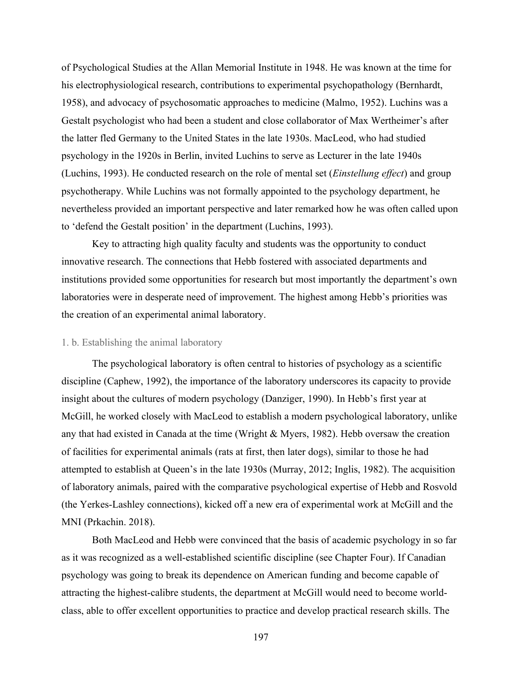of Psychological Studies at the Allan Memorial Institute in 1948. He was known at the time for his electrophysiological research, contributions to experimental psychopathology (Bernhardt, 1958), and advocacy of psychosomatic approaches to medicine (Malmo, 1952). Luchins was a Gestalt psychologist who had been a student and close collaborator of Max Wertheimer's after the latter fled Germany to the United States in the late 1930s. MacLeod, who had studied psychology in the 1920s in Berlin, invited Luchins to serve as Lecturer in the late 1940s (Luchins, 1993). He conducted research on the role of mental set (*Einstellung effect*) and group psychotherapy. While Luchins was not formally appointed to the psychology department, he nevertheless provided an important perspective and later remarked how he was often called upon to 'defend the Gestalt position' in the department (Luchins, 1993).

Key to attracting high quality faculty and students was the opportunity to conduct innovative research. The connections that Hebb fostered with associated departments and institutions provided some opportunities for research but most importantly the department's own laboratories were in desperate need of improvement. The highest among Hebb's priorities was the creation of an experimental animal laboratory.

## 1. b. Establishing the animal laboratory

The psychological laboratory is often central to histories of psychology as a scientific discipline (Caphew, 1992), the importance of the laboratory underscores its capacity to provide insight about the cultures of modern psychology (Danziger, 1990). In Hebb's first year at McGill, he worked closely with MacLeod to establish a modern psychological laboratory, unlike any that had existed in Canada at the time (Wright & Myers, 1982). Hebb oversaw the creation of facilities for experimental animals (rats at first, then later dogs), similar to those he had attempted to establish at Queen's in the late 1930s (Murray, 2012; Inglis, 1982). The acquisition of laboratory animals, paired with the comparative psychological expertise of Hebb and Rosvold (the Yerkes-Lashley connections), kicked off a new era of experimental work at McGill and the MNI (Prkachin. 2018).

Both MacLeod and Hebb were convinced that the basis of academic psychology in so far as it was recognized as a well-established scientific discipline (see Chapter Four). If Canadian psychology was going to break its dependence on American funding and become capable of attracting the highest-calibre students, the department at McGill would need to become worldclass, able to offer excellent opportunities to practice and develop practical research skills. The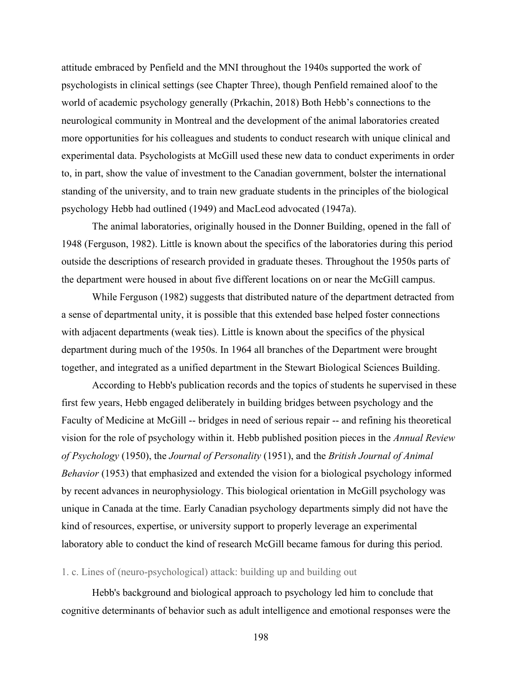attitude embraced by Penfield and the MNI throughout the 1940s supported the work of psychologists in clinical settings (see Chapter Three), though Penfield remained aloof to the world of academic psychology generally (Prkachin, 2018) Both Hebb's connections to the neurological community in Montreal and the development of the animal laboratories created more opportunities for his colleagues and students to conduct research with unique clinical and experimental data. Psychologists at McGill used these new data to conduct experiments in order to, in part, show the value of investment to the Canadian government, bolster the international standing of the university, and to train new graduate students in the principles of the biological psychology Hebb had outlined (1949) and MacLeod advocated (1947a).

The animal laboratories, originally housed in the Donner Building, opened in the fall of 1948 (Ferguson, 1982). Little is known about the specifics of the laboratories during this period outside the descriptions of research provided in graduate theses. Throughout the 1950s parts of the department were housed in about five different locations on or near the McGill campus.

While Ferguson (1982) suggests that distributed nature of the department detracted from a sense of departmental unity, it is possible that this extended base helped foster connections with adjacent departments (weak ties). Little is known about the specifics of the physical department during much of the 1950s. In 1964 all branches of the Department were brought together, and integrated as a unified department in the Stewart Biological Sciences Building.

According to Hebb's publication records and the topics of students he supervised in these first few years, Hebb engaged deliberately in building bridges between psychology and the Faculty of Medicine at McGill -- bridges in need of serious repair -- and refining his theoretical vision for the role of psychology within it. Hebb published position pieces in the *Annual Review of Psychology* (1950), the *Journal of Personality* (1951), and the *British Journal of Animal Behavior* (1953) that emphasized and extended the vision for a biological psychology informed by recent advances in neurophysiology. This biological orientation in McGill psychology was unique in Canada at the time. Early Canadian psychology departments simply did not have the kind of resources, expertise, or university support to properly leverage an experimental laboratory able to conduct the kind of research McGill became famous for during this period.

# 1. c. Lines of (neuro-psychological) attack: building up and building out

Hebb's background and biological approach to psychology led him to conclude that cognitive determinants of behavior such as adult intelligence and emotional responses were the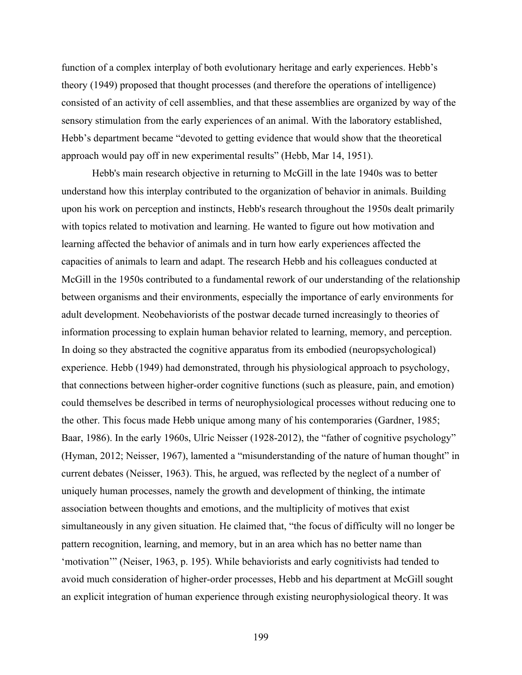function of a complex interplay of both evolutionary heritage and early experiences. Hebb's theory (1949) proposed that thought processes (and therefore the operations of intelligence) consisted of an activity of cell assemblies, and that these assemblies are organized by way of the sensory stimulation from the early experiences of an animal. With the laboratory established, Hebb's department became "devoted to getting evidence that would show that the theoretical approach would pay off in new experimental results" (Hebb, Mar 14, 1951).

Hebb's main research objective in returning to McGill in the late 1940s was to better understand how this interplay contributed to the organization of behavior in animals. Building upon his work on perception and instincts, Hebb's research throughout the 1950s dealt primarily with topics related to motivation and learning. He wanted to figure out how motivation and learning affected the behavior of animals and in turn how early experiences affected the capacities of animals to learn and adapt. The research Hebb and his colleagues conducted at McGill in the 1950s contributed to a fundamental rework of our understanding of the relationship between organisms and their environments, especially the importance of early environments for adult development. Neobehaviorists of the postwar decade turned increasingly to theories of information processing to explain human behavior related to learning, memory, and perception. In doing so they abstracted the cognitive apparatus from its embodied (neuropsychological) experience. Hebb (1949) had demonstrated, through his physiological approach to psychology, that connections between higher-order cognitive functions (such as pleasure, pain, and emotion) could themselves be described in terms of neurophysiological processes without reducing one to the other. This focus made Hebb unique among many of his contemporaries (Gardner, 1985; Baar, 1986). In the early 1960s, Ulric Neisser (1928-2012), the "father of cognitive psychology" (Hyman, 2012; Neisser, 1967), lamented a "misunderstanding of the nature of human thought" in current debates (Neisser, 1963). This, he argued, was reflected by the neglect of a number of uniquely human processes, namely the growth and development of thinking, the intimate association between thoughts and emotions, and the multiplicity of motives that exist simultaneously in any given situation. He claimed that, "the focus of difficulty will no longer be pattern recognition, learning, and memory, but in an area which has no better name than 'motivation'" (Neiser, 1963, p. 195). While behaviorists and early cognitivists had tended to avoid much consideration of higher-order processes, Hebb and his department at McGill sought an explicit integration of human experience through existing neurophysiological theory. It was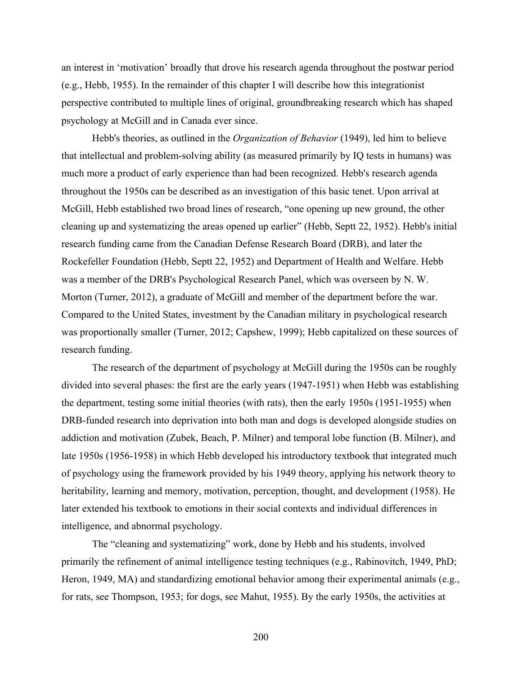an interest in 'motivation' broadly that drove his research agenda throughout the postwar period (e.g., Hebb, 1955). In the remainder of this chapter I will describe how this integrationist perspective contributed to multiple lines of original, groundbreaking research which has shaped psychology at McGill and in Canada ever since.

Hebb's theories, as outlined in the *Organization of Behavior* (1949), led him to believe that intellectual and problem-solving ability (as measured primarily by IQ tests in humans) was much more a product of early experience than had been recognized. Hebb's research agenda throughout the 1950s can be described as an investigation of this basic tenet. Upon arrival at McGill, Hebb established two broad lines of research, "one opening up new ground, the other cleaning up and systematizing the areas opened up earlier" (Hebb, Septt 22, 1952). Hebb's initial research funding came from the Canadian Defense Research Board (DRB), and later the Rockefeller Foundation (Hebb, Septt 22, 1952) and Department of Health and Welfare. Hebb was a member of the DRB's Psychological Research Panel, which was overseen by N. W. Morton (Turner, 2012), a graduate of McGill and member of the department before the war. Compared to the United States, investment by the Canadian military in psychological research was proportionally smaller (Turner, 2012; Capshew, 1999); Hebb capitalized on these sources of research funding.

The research of the department of psychology at McGill during the 1950s can be roughly divided into several phases: the first are the early years (1947-1951) when Hebb was establishing the department, testing some initial theories (with rats), then the early 1950s (1951-1955) when DRB-funded research into deprivation into both man and dogs is developed alongside studies on addiction and motivation (Zubek, Beach, P. Milner) and temporal lobe function (B. Milner), and late 1950s (1956-1958) in which Hebb developed his introductory textbook that integrated much of psychology using the framework provided by his 1949 theory, applying his network theory to heritability, learning and memory, motivation, perception, thought, and development (1958). He later extended his textbook to emotions in their social contexts and individual differences in intelligence, and abnormal psychology.

The "cleaning and systematizing" work, done by Hebb and his students, involved primarily the refinement of animal intelligence testing techniques (e.g., Rabinovitch, 1949, PhD; Heron, 1949, MA) and standardizing emotional behavior among their experimental animals (e.g., for rats, see Thompson, 1953; for dogs, see Mahut, 1955). By the early 1950s, the activities at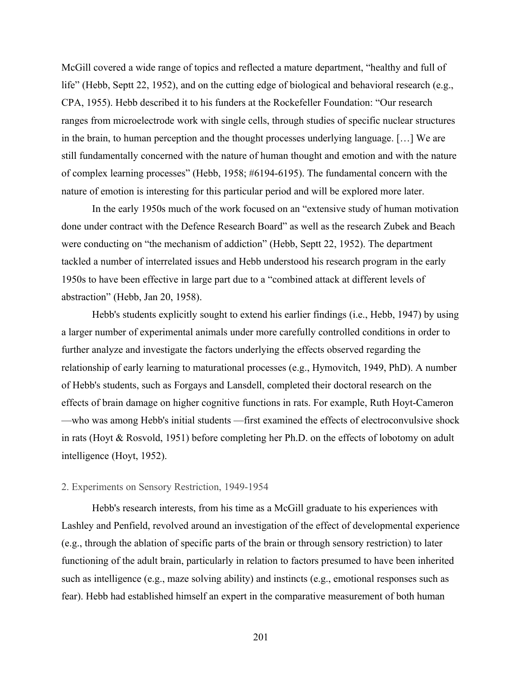McGill covered a wide range of topics and reflected a mature department, "healthy and full of life" (Hebb, Septt 22, 1952), and on the cutting edge of biological and behavioral research (e.g., CPA, 1955). Hebb described it to his funders at the Rockefeller Foundation: "Our research ranges from microelectrode work with single cells, through studies of specific nuclear structures in the brain, to human perception and the thought processes underlying language. […] We are still fundamentally concerned with the nature of human thought and emotion and with the nature of complex learning processes" (Hebb, 1958; #6194-6195). The fundamental concern with the nature of emotion is interesting for this particular period and will be explored more later.

In the early 1950s much of the work focused on an "extensive study of human motivation done under contract with the Defence Research Board" as well as the research Zubek and Beach were conducting on "the mechanism of addiction" (Hebb, Septt 22, 1952). The department tackled a number of interrelated issues and Hebb understood his research program in the early 1950s to have been effective in large part due to a "combined attack at different levels of abstraction" (Hebb, Jan 20, 1958).

Hebb's students explicitly sought to extend his earlier findings (i.e., Hebb, 1947) by using a larger number of experimental animals under more carefully controlled conditions in order to further analyze and investigate the factors underlying the effects observed regarding the relationship of early learning to maturational processes (e.g., Hymovitch, 1949, PhD). A number of Hebb's students, such as Forgays and Lansdell, completed their doctoral research on the effects of brain damage on higher cognitive functions in rats. For example, Ruth Hoyt-Cameron —who was among Hebb's initial students —first examined the effects of electroconvulsive shock in rats (Hoyt & Rosvold, 1951) before completing her Ph.D. on the effects of lobotomy on adult intelligence (Hoyt, 1952).

#### 2. Experiments on Sensory Restriction, 1949-1954

Hebb's research interests, from his time as a McGill graduate to his experiences with Lashley and Penfield, revolved around an investigation of the effect of developmental experience (e.g., through the ablation of specific parts of the brain or through sensory restriction) to later functioning of the adult brain, particularly in relation to factors presumed to have been inherited such as intelligence (e.g., maze solving ability) and instincts (e.g., emotional responses such as fear). Hebb had established himself an expert in the comparative measurement of both human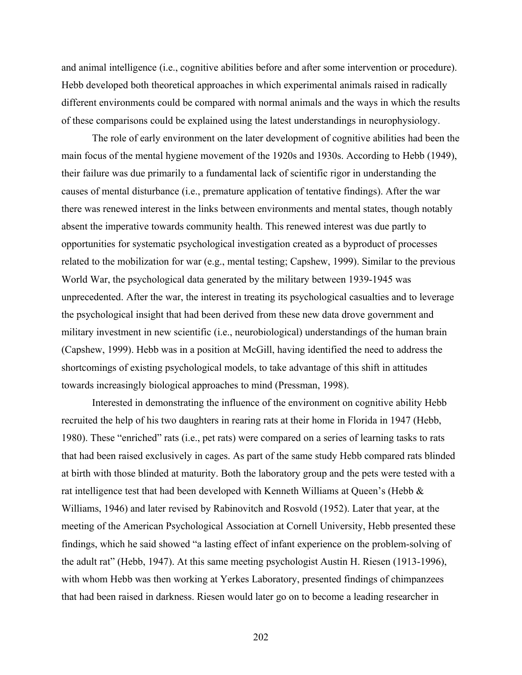and animal intelligence (i.e., cognitive abilities before and after some intervention or procedure). Hebb developed both theoretical approaches in which experimental animals raised in radically different environments could be compared with normal animals and the ways in which the results of these comparisons could be explained using the latest understandings in neurophysiology.

The role of early environment on the later development of cognitive abilities had been the main focus of the mental hygiene movement of the 1920s and 1930s. According to Hebb (1949), their failure was due primarily to a fundamental lack of scientific rigor in understanding the causes of mental disturbance (i.e., premature application of tentative findings). After the war there was renewed interest in the links between environments and mental states, though notably absent the imperative towards community health. This renewed interest was due partly to opportunities for systematic psychological investigation created as a byproduct of processes related to the mobilization for war (e.g., mental testing; Capshew, 1999). Similar to the previous World War, the psychological data generated by the military between 1939-1945 was unprecedented. After the war, the interest in treating its psychological casualties and to leverage the psychological insight that had been derived from these new data drove government and military investment in new scientific (i.e., neurobiological) understandings of the human brain (Capshew, 1999). Hebb was in a position at McGill, having identified the need to address the shortcomings of existing psychological models, to take advantage of this shift in attitudes towards increasingly biological approaches to mind (Pressman, 1998).

Interested in demonstrating the influence of the environment on cognitive ability Hebb recruited the help of his two daughters in rearing rats at their home in Florida in 1947 (Hebb, 1980). These "enriched" rats (i.e., pet rats) were compared on a series of learning tasks to rats that had been raised exclusively in cages. As part of the same study Hebb compared rats blinded at birth with those blinded at maturity. Both the laboratory group and the pets were tested with a rat intelligence test that had been developed with Kenneth Williams at Queen's (Hebb & Williams, 1946) and later revised by Rabinovitch and Rosvold (1952). Later that year, at the meeting of the American Psychological Association at Cornell University, Hebb presented these findings, which he said showed "a lasting effect of infant experience on the problem-solving of the adult rat" (Hebb, 1947). At this same meeting psychologist Austin H. Riesen (1913-1996), with whom Hebb was then working at Yerkes Laboratory, presented findings of chimpanzees that had been raised in darkness. Riesen would later go on to become a leading researcher in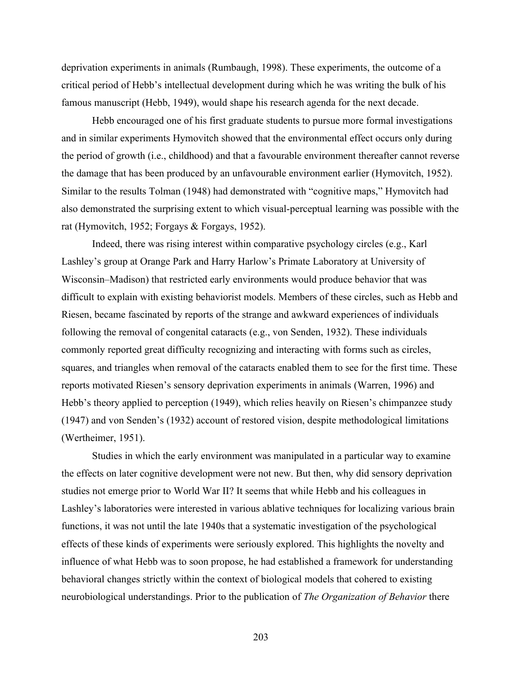deprivation experiments in animals (Rumbaugh, 1998). These experiments, the outcome of a critical period of Hebb's intellectual development during which he was writing the bulk of his famous manuscript (Hebb, 1949), would shape his research agenda for the next decade.

Hebb encouraged one of his first graduate students to pursue more formal investigations and in similar experiments Hymovitch showed that the environmental effect occurs only during the period of growth (i.e., childhood) and that a favourable environment thereafter cannot reverse the damage that has been produced by an unfavourable environment earlier (Hymovitch, 1952). Similar to the results Tolman (1948) had demonstrated with "cognitive maps," Hymovitch had also demonstrated the surprising extent to which visual-perceptual learning was possible with the rat (Hymovitch, 1952; Forgays & Forgays, 1952).

Indeed, there was rising interest within comparative psychology circles (e.g., Karl Lashley's group at Orange Park and Harry Harlow's Primate Laboratory at University of Wisconsin–Madison) that restricted early environments would produce behavior that was difficult to explain with existing behaviorist models. Members of these circles, such as Hebb and Riesen, became fascinated by reports of the strange and awkward experiences of individuals following the removal of congenital cataracts (e.g., von Senden, 1932). These individuals commonly reported great difficulty recognizing and interacting with forms such as circles, squares, and triangles when removal of the cataracts enabled them to see for the first time. These reports motivated Riesen's sensory deprivation experiments in animals (Warren, 1996) and Hebb's theory applied to perception (1949), which relies heavily on Riesen's chimpanzee study (1947) and von Senden's (1932) account of restored vision, despite methodological limitations (Wertheimer, 1951).

Studies in which the early environment was manipulated in a particular way to examine the effects on later cognitive development were not new. But then, why did sensory deprivation studies not emerge prior to World War II? It seems that while Hebb and his colleagues in Lashley's laboratories were interested in various ablative techniques for localizing various brain functions, it was not until the late 1940s that a systematic investigation of the psychological effects of these kinds of experiments were seriously explored. This highlights the novelty and influence of what Hebb was to soon propose, he had established a framework for understanding behavioral changes strictly within the context of biological models that cohered to existing neurobiological understandings. Prior to the publication of *The Organization of Behavior* there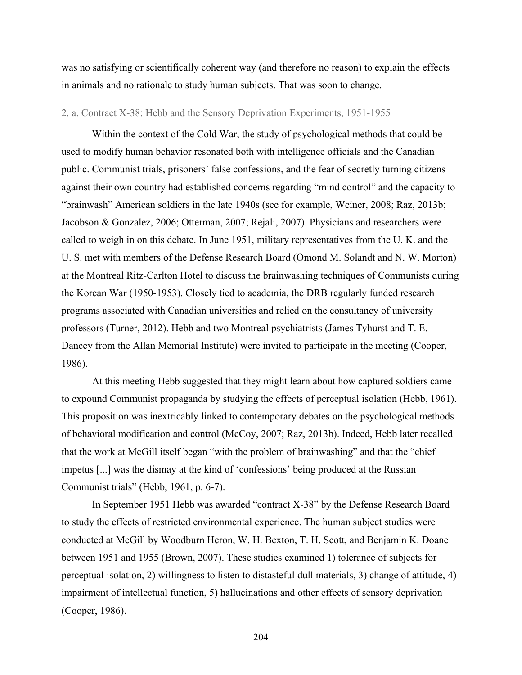was no satisfying or scientifically coherent way (and therefore no reason) to explain the effects in animals and no rationale to study human subjects. That was soon to change.

# 2. a. Contract X-38: Hebb and the Sensory Deprivation Experiments, 1951-1955

Within the context of the Cold War, the study of psychological methods that could be used to modify human behavior resonated both with intelligence officials and the Canadian public. Communist trials, prisoners' false confessions, and the fear of secretly turning citizens against their own country had established concerns regarding "mind control" and the capacity to "brainwash" American soldiers in the late 1940s (see for example, Weiner, 2008; Raz, 2013b; Jacobson & Gonzalez, 2006; Otterman, 2007; Rejali, 2007). Physicians and researchers were called to weigh in on this debate. In June 1951, military representatives from the U. K. and the U. S. met with members of the Defense Research Board (Omond M. Solandt and N. W. Morton) at the Montreal Ritz-Carlton Hotel to discuss the brainwashing techniques of Communists during the Korean War (1950-1953). Closely tied to academia, the DRB regularly funded research programs associated with Canadian universities and relied on the consultancy of university professors (Turner, 2012). Hebb and two Montreal psychiatrists (James Tyhurst and T. E. Dancey from the Allan Memorial Institute) were invited to participate in the meeting (Cooper, 1986).

At this meeting Hebb suggested that they might learn about how captured soldiers came to expound Communist propaganda by studying the effects of perceptual isolation (Hebb, 1961). This proposition was inextricably linked to contemporary debates on the psychological methods of behavioral modification and control (McCoy, 2007; Raz, 2013b). Indeed, Hebb later recalled that the work at McGill itself began "with the problem of brainwashing" and that the "chief impetus [...] was the dismay at the kind of 'confessions' being produced at the Russian Communist trials" (Hebb, 1961, p. 6-7).

In September 1951 Hebb was awarded "contract X-38" by the Defense Research Board to study the effects of restricted environmental experience. The human subject studies were conducted at McGill by Woodburn Heron, W. H. Bexton, T. H. Scott, and Benjamin K. Doane between 1951 and 1955 (Brown, 2007). These studies examined 1) tolerance of subjects for perceptual isolation, 2) willingness to listen to distasteful dull materials, 3) change of attitude, 4) impairment of intellectual function, 5) hallucinations and other effects of sensory deprivation (Cooper, 1986).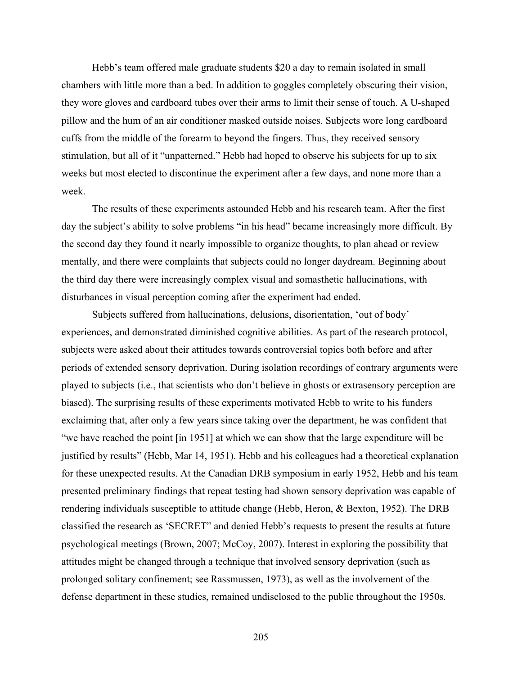Hebb's team offered male graduate students \$20 a day to remain isolated in small chambers with little more than a bed. In addition to goggles completely obscuring their vision, they wore gloves and cardboard tubes over their arms to limit their sense of touch. A U-shaped pillow and the hum of an air conditioner masked outside noises. Subjects wore long cardboard cuffs from the middle of the forearm to beyond the fingers. Thus, they received sensory stimulation, but all of it "unpatterned." Hebb had hoped to observe his subjects for up to six weeks but most elected to discontinue the experiment after a few days, and none more than a week.

The results of these experiments astounded Hebb and his research team. After the first day the subject's ability to solve problems "in his head" became increasingly more difficult. By the second day they found it nearly impossible to organize thoughts, to plan ahead or review mentally, and there were complaints that subjects could no longer daydream. Beginning about the third day there were increasingly complex visual and somasthetic hallucinations, with disturbances in visual perception coming after the experiment had ended.

Subjects suffered from hallucinations, delusions, disorientation, 'out of body' experiences, and demonstrated diminished cognitive abilities. As part of the research protocol, subjects were asked about their attitudes towards controversial topics both before and after periods of extended sensory deprivation. During isolation recordings of contrary arguments were played to subjects (i.e., that scientists who don't believe in ghosts or extrasensory perception are biased). The surprising results of these experiments motivated Hebb to write to his funders exclaiming that, after only a few years since taking over the department, he was confident that "we have reached the point [in 1951] at which we can show that the large expenditure will be justified by results" (Hebb, Mar 14, 1951). Hebb and his colleagues had a theoretical explanation for these unexpected results. At the Canadian DRB symposium in early 1952, Hebb and his team presented preliminary findings that repeat testing had shown sensory deprivation was capable of rendering individuals susceptible to attitude change (Hebb, Heron, & Bexton, 1952). The DRB classified the research as 'SECRET" and denied Hebb's requests to present the results at future psychological meetings (Brown, 2007; McCoy, 2007). Interest in exploring the possibility that attitudes might be changed through a technique that involved sensory deprivation (such as prolonged solitary confinement; see Rassmussen, 1973), as well as the involvement of the defense department in these studies, remained undisclosed to the public throughout the 1950s.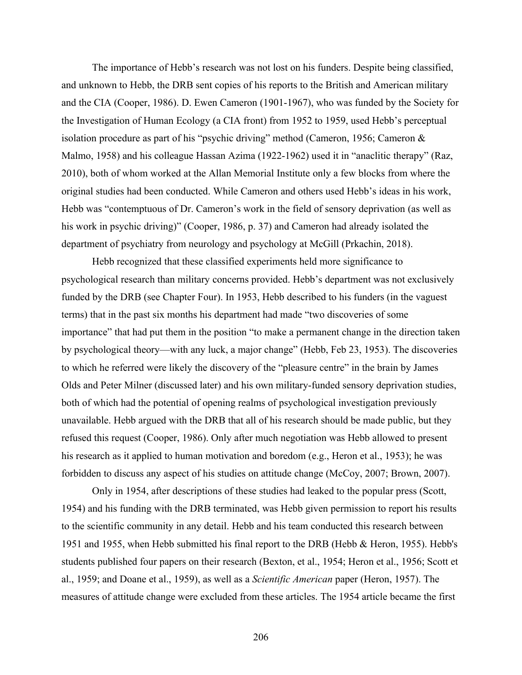The importance of Hebb's research was not lost on his funders. Despite being classified, and unknown to Hebb, the DRB sent copies of his reports to the British and American military and the CIA (Cooper, 1986). D. Ewen Cameron (1901-1967), who was funded by the Society for the Investigation of Human Ecology (a CIA front) from 1952 to 1959, used Hebb's perceptual isolation procedure as part of his "psychic driving" method (Cameron, 1956; Cameron & Malmo, 1958) and his colleague Hassan Azima (1922-1962) used it in "anaclitic therapy" (Raz, 2010), both of whom worked at the Allan Memorial Institute only a few blocks from where the original studies had been conducted. While Cameron and others used Hebb's ideas in his work, Hebb was "contemptuous of Dr. Cameron's work in the field of sensory deprivation (as well as his work in psychic driving)" (Cooper, 1986, p. 37) and Cameron had already isolated the department of psychiatry from neurology and psychology at McGill (Prkachin, 2018).

Hebb recognized that these classified experiments held more significance to psychological research than military concerns provided. Hebb's department was not exclusively funded by the DRB (see Chapter Four). In 1953, Hebb described to his funders (in the vaguest terms) that in the past six months his department had made "two discoveries of some importance" that had put them in the position "to make a permanent change in the direction taken by psychological theory—with any luck, a major change" (Hebb, Feb 23, 1953). The discoveries to which he referred were likely the discovery of the "pleasure centre" in the brain by James Olds and Peter Milner (discussed later) and his own military-funded sensory deprivation studies, both of which had the potential of opening realms of psychological investigation previously unavailable. Hebb argued with the DRB that all of his research should be made public, but they refused this request (Cooper, 1986). Only after much negotiation was Hebb allowed to present his research as it applied to human motivation and boredom (e.g., Heron et al., 1953); he was forbidden to discuss any aspect of his studies on attitude change (McCoy, 2007; Brown, 2007).

Only in 1954, after descriptions of these studies had leaked to the popular press (Scott, 1954) and his funding with the DRB terminated, was Hebb given permission to report his results to the scientific community in any detail. Hebb and his team conducted this research between 1951 and 1955, when Hebb submitted his final report to the DRB (Hebb & Heron, 1955). Hebb's students published four papers on their research (Bexton, et al., 1954; Heron et al., 1956; Scott et al., 1959; and Doane et al., 1959), as well as a *Scientific American* paper (Heron, 1957). The measures of attitude change were excluded from these articles. The 1954 article became the first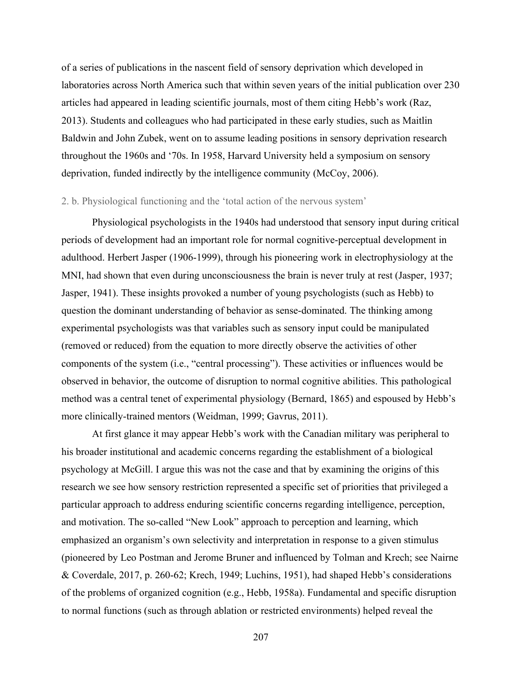of a series of publications in the nascent field of sensory deprivation which developed in laboratories across North America such that within seven years of the initial publication over 230 articles had appeared in leading scientific journals, most of them citing Hebb's work (Raz, 2013). Students and colleagues who had participated in these early studies, such as Maitlin Baldwin and John Zubek, went on to assume leading positions in sensory deprivation research throughout the 1960s and '70s. In 1958, Harvard University held a symposium on sensory deprivation, funded indirectly by the intelligence community (McCoy, 2006).

#### 2. b. Physiological functioning and the 'total action of the nervous system'

Physiological psychologists in the 1940s had understood that sensory input during critical periods of development had an important role for normal cognitive-perceptual development in adulthood. Herbert Jasper (1906-1999), through his pioneering work in electrophysiology at the MNI, had shown that even during unconsciousness the brain is never truly at rest (Jasper, 1937; Jasper, 1941). These insights provoked a number of young psychologists (such as Hebb) to question the dominant understanding of behavior as sense-dominated. The thinking among experimental psychologists was that variables such as sensory input could be manipulated (removed or reduced) from the equation to more directly observe the activities of other components of the system (i.e., "central processing"). These activities or influences would be observed in behavior, the outcome of disruption to normal cognitive abilities. This pathological method was a central tenet of experimental physiology (Bernard, 1865) and espoused by Hebb's more clinically-trained mentors (Weidman, 1999; Gavrus, 2011).

At first glance it may appear Hebb's work with the Canadian military was peripheral to his broader institutional and academic concerns regarding the establishment of a biological psychology at McGill. I argue this was not the case and that by examining the origins of this research we see how sensory restriction represented a specific set of priorities that privileged a particular approach to address enduring scientific concerns regarding intelligence, perception, and motivation. The so-called "New Look" approach to perception and learning, which emphasized an organism's own selectivity and interpretation in response to a given stimulus (pioneered by Leo Postman and Jerome Bruner and influenced by Tolman and Krech; see Nairne & Coverdale, 2017, p. 260-62; Krech, 1949; Luchins, 1951), had shaped Hebb's considerations of the problems of organized cognition (e.g., Hebb, 1958a). Fundamental and specific disruption to normal functions (such as through ablation or restricted environments) helped reveal the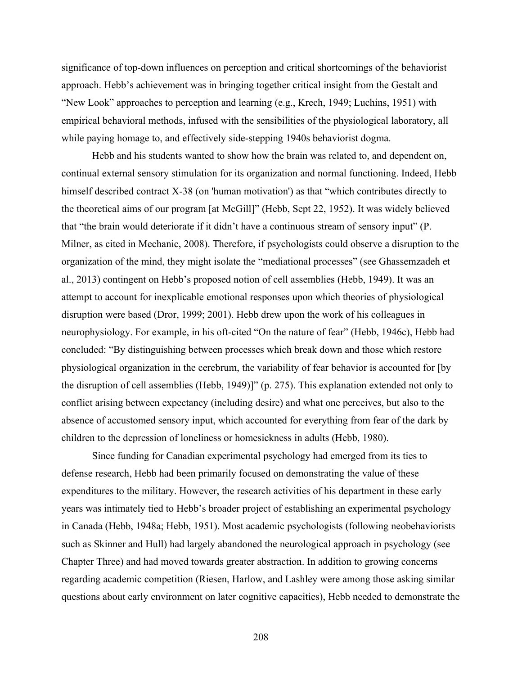significance of top-down influences on perception and critical shortcomings of the behaviorist approach. Hebb's achievement was in bringing together critical insight from the Gestalt and "New Look" approaches to perception and learning (e.g., Krech, 1949; Luchins, 1951) with empirical behavioral methods, infused with the sensibilities of the physiological laboratory, all while paying homage to, and effectively side-stepping 1940s behaviorist dogma.

Hebb and his students wanted to show how the brain was related to, and dependent on, continual external sensory stimulation for its organization and normal functioning. Indeed, Hebb himself described contract X-38 (on 'human motivation') as that "which contributes directly to the theoretical aims of our program [at McGill]" (Hebb, Sept 22, 1952). It was widely believed that "the brain would deteriorate if it didn't have a continuous stream of sensory input" (P. Milner, as cited in Mechanic, 2008). Therefore, if psychologists could observe a disruption to the organization of the mind, they might isolate the "mediational processes" (see Ghassemzadeh et al., 2013) contingent on Hebb's proposed notion of cell assemblies (Hebb, 1949). It was an attempt to account for inexplicable emotional responses upon which theories of physiological disruption were based (Dror, 1999; 2001). Hebb drew upon the work of his colleagues in neurophysiology. For example, in his oft-cited "On the nature of fear" (Hebb, 1946c), Hebb had concluded: "By distinguishing between processes which break down and those which restore physiological organization in the cerebrum, the variability of fear behavior is accounted for [by the disruption of cell assemblies (Hebb, 1949)]" (p. 275). This explanation extended not only to conflict arising between expectancy (including desire) and what one perceives, but also to the absence of accustomed sensory input, which accounted for everything from fear of the dark by children to the depression of loneliness or homesickness in adults (Hebb, 1980).

Since funding for Canadian experimental psychology had emerged from its ties to defense research, Hebb had been primarily focused on demonstrating the value of these expenditures to the military. However, the research activities of his department in these early years was intimately tied to Hebb's broader project of establishing an experimental psychology in Canada (Hebb, 1948a; Hebb, 1951). Most academic psychologists (following neobehaviorists such as Skinner and Hull) had largely abandoned the neurological approach in psychology (see Chapter Three) and had moved towards greater abstraction. In addition to growing concerns regarding academic competition (Riesen, Harlow, and Lashley were among those asking similar questions about early environment on later cognitive capacities), Hebb needed to demonstrate the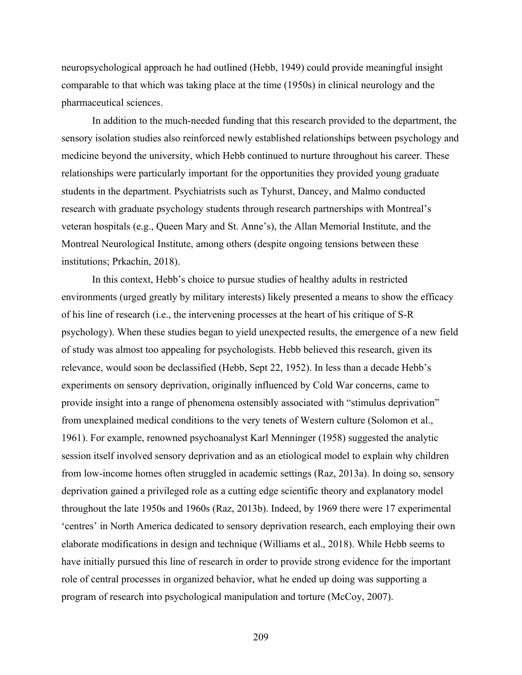neuropsychological approach he had outlined (Hebb, 1949) could provide meaningful insight comparable to that which was taking place at the time (1950s) in clinical neurology and the pharmaceutical sciences.

In addition to the much-needed funding that this research provided to the department, the sensory isolation studies also reinforced newly established relationships between psychology and medicine beyond the university, which Hebb continued to nurture throughout his career. These relationships were particularly important for the opportunities they provided young graduate students in the department. Psychiatrists such as Tyhurst, Dancey, and Malmo conducted research with graduate psychology students through research partnerships with Montreal's veteran hospitals (e.g., Queen Mary and St. Anne's), the Allan Memorial Institute, and the Montreal Neurological Institute, among others (despite ongoing tensions between these institutions; Prkachin, 2018).

In this context, Hebb's choice to pursue studies of healthy adults in restricted environments (urged greatly by military interests) likely presented a means to show the efficacy of his line of research (i.e., the intervening processes at the heart of his critique of S-R psychology). When these studies began to yield unexpected results, the emergence of a new field of study was almost too appealing for psychologists. Hebb believed this research, given its relevance, would soon be declassified (Hebb, Sept 22, 1952). In less than a decade Hebb's experiments on sensory deprivation, originally influenced by Cold War concerns, came to provide insight into a range of phenomena ostensibly associated with "stimulus deprivation" from unexplained medical conditions to the very tenets of Western culture (Solomon et al., 1961). For example, renowned psychoanalyst Karl Menninger (1958) suggested the analytic session itself involved sensory deprivation and as an etiological model to explain why children from low-income homes often struggled in academic settings (Raz, 2013a). In doing so, sensory deprivation gained a privileged role as a cutting edge scientific theory and explanatory model throughout the late 1950s and 1960s (Raz, 2013b). Indeed, by 1969 there were 17 experimental 'centres' in North America dedicated to sensory deprivation research, each employing their own elaborate modifications in design and technique (Williams et al., 2018). While Hebb seems to have initially pursued this line of research in order to provide strong evidence for the important role of central processes in organized behavior, what he ended up doing was supporting a program of research into psychological manipulation and torture (McCoy, 2007).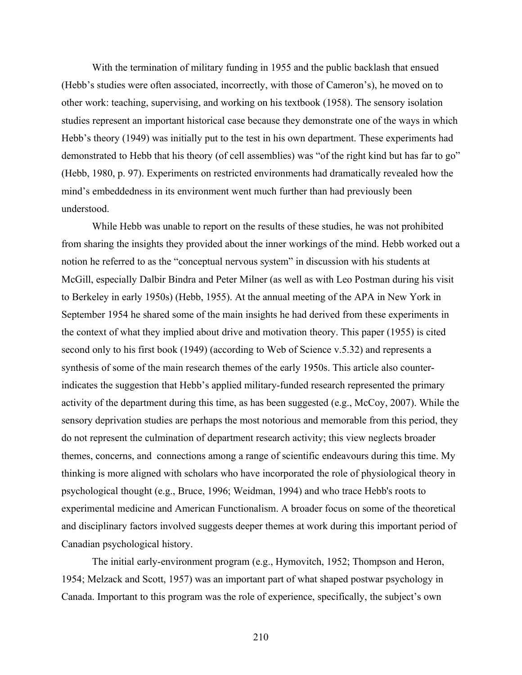With the termination of military funding in 1955 and the public backlash that ensued (Hebb's studies were often associated, incorrectly, with those of Cameron's), he moved on to other work: teaching, supervising, and working on his textbook (1958). The sensory isolation studies represent an important historical case because they demonstrate one of the ways in which Hebb's theory (1949) was initially put to the test in his own department. These experiments had demonstrated to Hebb that his theory (of cell assemblies) was "of the right kind but has far to go" (Hebb, 1980, p. 97). Experiments on restricted environments had dramatically revealed how the mind's embeddedness in its environment went much further than had previously been understood.

While Hebb was unable to report on the results of these studies, he was not prohibited from sharing the insights they provided about the inner workings of the mind. Hebb worked out a notion he referred to as the "conceptual nervous system" in discussion with his students at McGill, especially Dalbir Bindra and Peter Milner (as well as with Leo Postman during his visit to Berkeley in early 1950s) (Hebb, 1955). At the annual meeting of the APA in New York in September 1954 he shared some of the main insights he had derived from these experiments in the context of what they implied about drive and motivation theory. This paper (1955) is cited second only to his first book (1949) (according to Web of Science v.5.32) and represents a synthesis of some of the main research themes of the early 1950s. This article also counterindicates the suggestion that Hebb's applied military-funded research represented the primary activity of the department during this time, as has been suggested (e.g., McCoy, 2007). While the sensory deprivation studies are perhaps the most notorious and memorable from this period, they do not represent the culmination of department research activity; this view neglects broader themes, concerns, and connections among a range of scientific endeavours during this time. My thinking is more aligned with scholars who have incorporated the role of physiological theory in psychological thought (e.g., Bruce, 1996; Weidman, 1994) and who trace Hebb's roots to experimental medicine and American Functionalism. A broader focus on some of the theoretical and disciplinary factors involved suggests deeper themes at work during this important period of Canadian psychological history.

The initial early-environment program (e.g., Hymovitch, 1952; Thompson and Heron, 1954; Melzack and Scott, 1957) was an important part of what shaped postwar psychology in Canada. Important to this program was the role of experience, specifically, the subject's own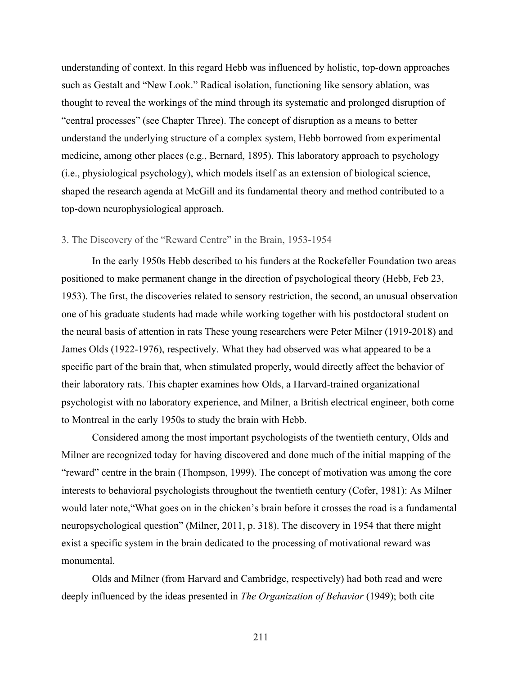understanding of context. In this regard Hebb was influenced by holistic, top-down approaches such as Gestalt and "New Look." Radical isolation, functioning like sensory ablation, was thought to reveal the workings of the mind through its systematic and prolonged disruption of "central processes" (see Chapter Three). The concept of disruption as a means to better understand the underlying structure of a complex system, Hebb borrowed from experimental medicine, among other places (e.g., Bernard, 1895). This laboratory approach to psychology (i.e., physiological psychology), which models itself as an extension of biological science, shaped the research agenda at McGill and its fundamental theory and method contributed to a top-down neurophysiological approach.

# 3. The Discovery of the "Reward Centre" in the Brain, 1953-1954

In the early 1950s Hebb described to his funders at the Rockefeller Foundation two areas positioned to make permanent change in the direction of psychological theory (Hebb, Feb 23, 1953). The first, the discoveries related to sensory restriction, the second, an unusual observation one of his graduate students had made while working together with his postdoctoral student on the neural basis of attention in rats These young researchers were Peter Milner (1919-2018) and James Olds (1922-1976), respectively. What they had observed was what appeared to be a specific part of the brain that, when stimulated properly, would directly affect the behavior of their laboratory rats. This chapter examines how Olds, a Harvard-trained organizational psychologist with no laboratory experience, and Milner, a British electrical engineer, both come to Montreal in the early 1950s to study the brain with Hebb.

Considered among the most important psychologists of the twentieth century, Olds and Milner are recognized today for having discovered and done much of the initial mapping of the "reward" centre in the brain (Thompson, 1999). The concept of motivation was among the core interests to behavioral psychologists throughout the twentieth century (Cofer, 1981): As Milner would later note,"What goes on in the chicken's brain before it crosses the road is a fundamental neuropsychological question" (Milner, 2011, p. 318). The discovery in 1954 that there might exist a specific system in the brain dedicated to the processing of motivational reward was monumental.

Olds and Milner (from Harvard and Cambridge, respectively) had both read and were deeply influenced by the ideas presented in *The Organization of Behavior* (1949); both cite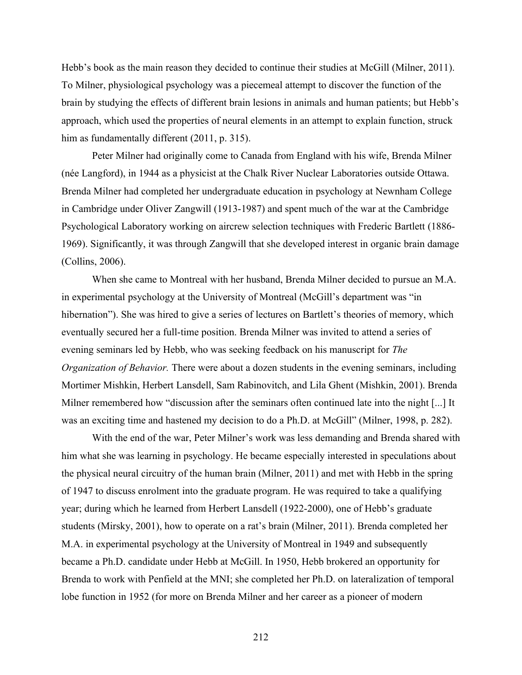Hebb's book as the main reason they decided to continue their studies at McGill (Milner, 2011). To Milner, physiological psychology was a piecemeal attempt to discover the function of the brain by studying the effects of different brain lesions in animals and human patients; but Hebb's approach, which used the properties of neural elements in an attempt to explain function, struck him as fundamentally different (2011, p. 315).

Peter Milner had originally come to Canada from England with his wife, Brenda Milner (née Langford), in 1944 as a physicist at the Chalk River Nuclear Laboratories outside Ottawa. Brenda Milner had completed her undergraduate education in psychology at Newnham College in Cambridge under Oliver Zangwill (1913-1987) and spent much of the war at the Cambridge Psychological Laboratory working on aircrew selection techniques with Frederic Bartlett (1886- 1969). Significantly, it was through Zangwill that she developed interest in organic brain damage (Collins, 2006).

When she came to Montreal with her husband, Brenda Milner decided to pursue an M.A. in experimental psychology at the University of Montreal (McGill's department was "in hibernation"). She was hired to give a series of lectures on Bartlett's theories of memory, which eventually secured her a full-time position. Brenda Milner was invited to attend a series of evening seminars led by Hebb, who was seeking feedback on his manuscript for *The Organization of Behavior.* There were about a dozen students in the evening seminars, including Mortimer Mishkin, Herbert Lansdell, Sam Rabinovitch, and Lila Ghent (Mishkin, 2001). Brenda Milner remembered how "discussion after the seminars often continued late into the night [...] It was an exciting time and hastened my decision to do a Ph.D. at McGill" (Milner, 1998, p. 282).

With the end of the war, Peter Milner's work was less demanding and Brenda shared with him what she was learning in psychology. He became especially interested in speculations about the physical neural circuitry of the human brain (Milner, 2011) and met with Hebb in the spring of 1947 to discuss enrolment into the graduate program. He was required to take a qualifying year; during which he learned from Herbert Lansdell (1922-2000), one of Hebb's graduate students (Mirsky, 2001), how to operate on a rat's brain (Milner, 2011). Brenda completed her M.A. in experimental psychology at the University of Montreal in 1949 and subsequently became a Ph.D. candidate under Hebb at McGill. In 1950, Hebb brokered an opportunity for Brenda to work with Penfield at the MNI; she completed her Ph.D. on lateralization of temporal lobe function in 1952 (for more on Brenda Milner and her career as a pioneer of modern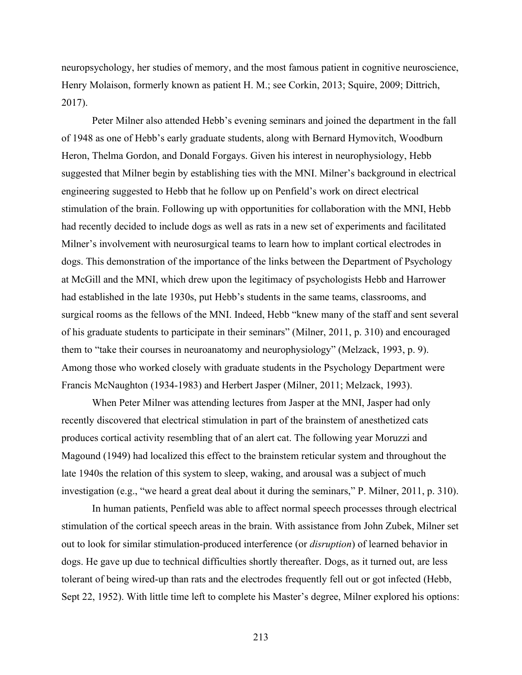neuropsychology, her studies of memory, and the most famous patient in cognitive neuroscience, Henry Molaison, formerly known as patient H. M.; see Corkin, 2013; Squire, 2009; Dittrich, 2017).

Peter Milner also attended Hebb's evening seminars and joined the department in the fall of 1948 as one of Hebb's early graduate students, along with Bernard Hymovitch, Woodburn Heron, Thelma Gordon, and Donald Forgays. Given his interest in neurophysiology, Hebb suggested that Milner begin by establishing ties with the MNI. Milner's background in electrical engineering suggested to Hebb that he follow up on Penfield's work on direct electrical stimulation of the brain. Following up with opportunities for collaboration with the MNI, Hebb had recently decided to include dogs as well as rats in a new set of experiments and facilitated Milner's involvement with neurosurgical teams to learn how to implant cortical electrodes in dogs. This demonstration of the importance of the links between the Department of Psychology at McGill and the MNI, which drew upon the legitimacy of psychologists Hebb and Harrower had established in the late 1930s, put Hebb's students in the same teams, classrooms, and surgical rooms as the fellows of the MNI. Indeed, Hebb "knew many of the staff and sent several of his graduate students to participate in their seminars" (Milner, 2011, p. 310) and encouraged them to "take their courses in neuroanatomy and neurophysiology" (Melzack, 1993, p. 9). Among those who worked closely with graduate students in the Psychology Department were Francis McNaughton (1934-1983) and Herbert Jasper (Milner, 2011; Melzack, 1993).

When Peter Milner was attending lectures from Jasper at the MNI, Jasper had only recently discovered that electrical stimulation in part of the brainstem of anesthetized cats produces cortical activity resembling that of an alert cat. The following year Moruzzi and Magound (1949) had localized this effect to the brainstem reticular system and throughout the late 1940s the relation of this system to sleep, waking, and arousal was a subject of much investigation (e.g., "we heard a great deal about it during the seminars," P. Milner, 2011, p. 310).

In human patients, Penfield was able to affect normal speech processes through electrical stimulation of the cortical speech areas in the brain. With assistance from John Zubek, Milner set out to look for similar stimulation-produced interference (or *disruption*) of learned behavior in dogs. He gave up due to technical difficulties shortly thereafter. Dogs, as it turned out, are less tolerant of being wired-up than rats and the electrodes frequently fell out or got infected (Hebb, Sept 22, 1952). With little time left to complete his Master's degree, Milner explored his options: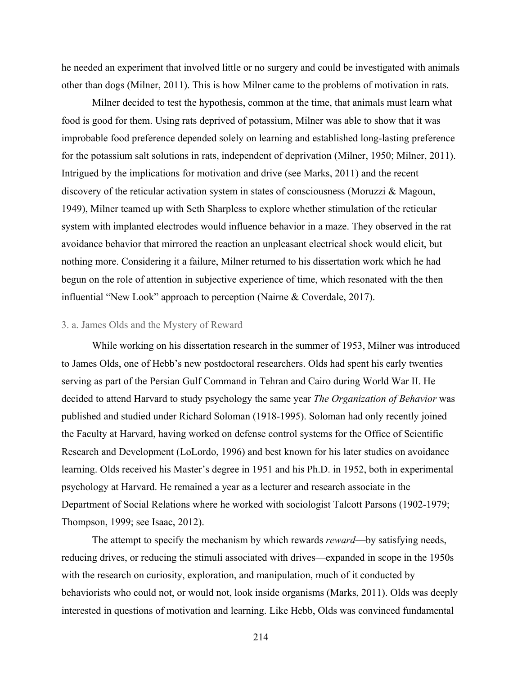he needed an experiment that involved little or no surgery and could be investigated with animals other than dogs (Milner, 2011). This is how Milner came to the problems of motivation in rats.

Milner decided to test the hypothesis, common at the time, that animals must learn what food is good for them. Using rats deprived of potassium, Milner was able to show that it was improbable food preference depended solely on learning and established long-lasting preference for the potassium salt solutions in rats, independent of deprivation (Milner, 1950; Milner, 2011). Intrigued by the implications for motivation and drive (see Marks, 2011) and the recent discovery of the reticular activation system in states of consciousness (Moruzzi & Magoun, 1949), Milner teamed up with Seth Sharpless to explore whether stimulation of the reticular system with implanted electrodes would influence behavior in a maze. They observed in the rat avoidance behavior that mirrored the reaction an unpleasant electrical shock would elicit, but nothing more. Considering it a failure, Milner returned to his dissertation work which he had begun on the role of attention in subjective experience of time, which resonated with the then influential "New Look" approach to perception (Nairne & Coverdale, 2017).

#### 3. a. James Olds and the Mystery of Reward

While working on his dissertation research in the summer of 1953, Milner was introduced to James Olds, one of Hebb's new postdoctoral researchers. Olds had spent his early twenties serving as part of the Persian Gulf Command in Tehran and Cairo during World War II. He decided to attend Harvard to study psychology the same year *The Organization of Behavior* was published and studied under Richard Soloman (1918-1995). Soloman had only recently joined the Faculty at Harvard, having worked on defense control systems for the Office of Scientific Research and Development (LoLordo, 1996) and best known for his later studies on avoidance learning. Olds received his Master's degree in 1951 and his Ph.D. in 1952, both in experimental psychology at Harvard. He remained a year as a lecturer and research associate in the Department of Social Relations where he worked with sociologist Talcott Parsons (1902-1979; Thompson, 1999; see Isaac, 2012).

The attempt to specify the mechanism by which rewards *reward*—by satisfying needs, reducing drives, or reducing the stimuli associated with drives—expanded in scope in the 1950s with the research on curiosity, exploration, and manipulation, much of it conducted by behaviorists who could not, or would not, look inside organisms (Marks, 2011). Olds was deeply interested in questions of motivation and learning. Like Hebb, Olds was convinced fundamental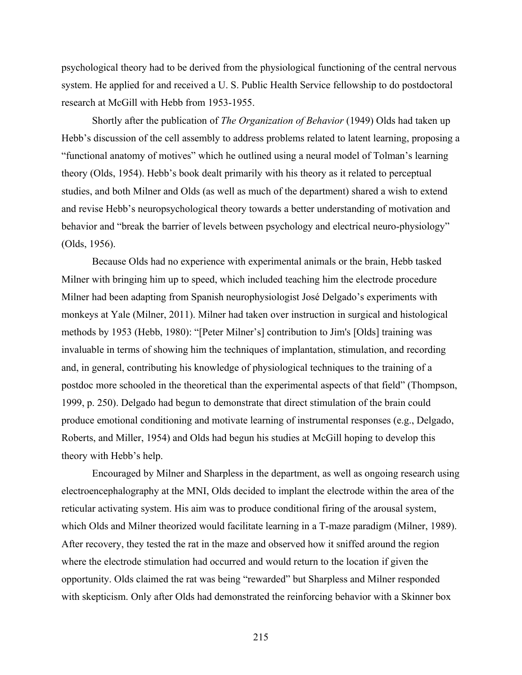psychological theory had to be derived from the physiological functioning of the central nervous system. He applied for and received a U. S. Public Health Service fellowship to do postdoctoral research at McGill with Hebb from 1953-1955.

Shortly after the publication of *The Organization of Behavior* (1949) Olds had taken up Hebb's discussion of the cell assembly to address problems related to latent learning, proposing a "functional anatomy of motives" which he outlined using a neural model of Tolman's learning theory (Olds, 1954). Hebb's book dealt primarily with his theory as it related to perceptual studies, and both Milner and Olds (as well as much of the department) shared a wish to extend and revise Hebb's neuropsychological theory towards a better understanding of motivation and behavior and "break the barrier of levels between psychology and electrical neuro-physiology" (Olds, 1956).

Because Olds had no experience with experimental animals or the brain, Hebb tasked Milner with bringing him up to speed, which included teaching him the electrode procedure Milner had been adapting from Spanish neurophysiologist José Delgado's experiments with monkeys at Yale (Milner, 2011). Milner had taken over instruction in surgical and histological methods by 1953 (Hebb, 1980): "[Peter Milner's] contribution to Jim's [Olds] training was invaluable in terms of showing him the techniques of implantation, stimulation, and recording and, in general, contributing his knowledge of physiological techniques to the training of a postdoc more schooled in the theoretical than the experimental aspects of that field" (Thompson, 1999, p. 250). Delgado had begun to demonstrate that direct stimulation of the brain could produce emotional conditioning and motivate learning of instrumental responses (e.g., Delgado, Roberts, and Miller, 1954) and Olds had begun his studies at McGill hoping to develop this theory with Hebb's help.

Encouraged by Milner and Sharpless in the department, as well as ongoing research using electroencephalography at the MNI, Olds decided to implant the electrode within the area of the reticular activating system. His aim was to produce conditional firing of the arousal system, which Olds and Milner theorized would facilitate learning in a T-maze paradigm (Milner, 1989). After recovery, they tested the rat in the maze and observed how it sniffed around the region where the electrode stimulation had occurred and would return to the location if given the opportunity. Olds claimed the rat was being "rewarded" but Sharpless and Milner responded with skepticism. Only after Olds had demonstrated the reinforcing behavior with a Skinner box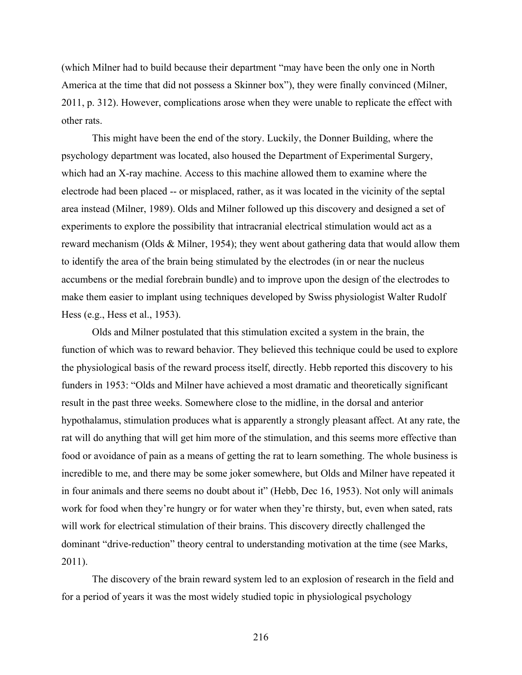(which Milner had to build because their department "may have been the only one in North America at the time that did not possess a Skinner box"), they were finally convinced (Milner, 2011, p. 312). However, complications arose when they were unable to replicate the effect with other rats.

This might have been the end of the story. Luckily, the Donner Building, where the psychology department was located, also housed the Department of Experimental Surgery, which had an X-ray machine. Access to this machine allowed them to examine where the electrode had been placed -- or misplaced, rather, as it was located in the vicinity of the septal area instead (Milner, 1989). Olds and Milner followed up this discovery and designed a set of experiments to explore the possibility that intracranial electrical stimulation would act as a reward mechanism (Olds & Milner, 1954); they went about gathering data that would allow them to identify the area of the brain being stimulated by the electrodes (in or near the nucleus accumbens or the medial forebrain bundle) and to improve upon the design of the electrodes to make them easier to implant using techniques developed by Swiss physiologist Walter Rudolf Hess (e.g., Hess et al., 1953).

Olds and Milner postulated that this stimulation excited a system in the brain, the function of which was to reward behavior. They believed this technique could be used to explore the physiological basis of the reward process itself, directly. Hebb reported this discovery to his funders in 1953: "Olds and Milner have achieved a most dramatic and theoretically significant result in the past three weeks. Somewhere close to the midline, in the dorsal and anterior hypothalamus, stimulation produces what is apparently a strongly pleasant affect. At any rate, the rat will do anything that will get him more of the stimulation, and this seems more effective than food or avoidance of pain as a means of getting the rat to learn something. The whole business is incredible to me, and there may be some joker somewhere, but Olds and Milner have repeated it in four animals and there seems no doubt about it" (Hebb, Dec 16, 1953). Not only will animals work for food when they're hungry or for water when they're thirsty, but, even when sated, rats will work for electrical stimulation of their brains. This discovery directly challenged the dominant "drive-reduction" theory central to understanding motivation at the time (see Marks, 2011).

The discovery of the brain reward system led to an explosion of research in the field and for a period of years it was the most widely studied topic in physiological psychology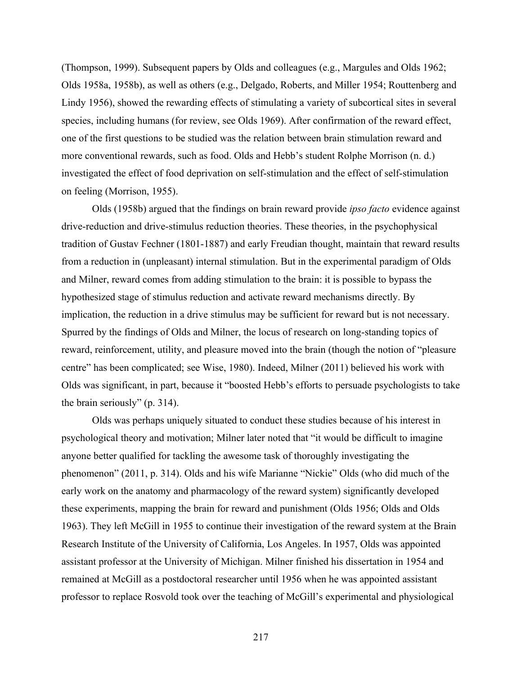(Thompson, 1999). Subsequent papers by Olds and colleagues (e.g., Margules and Olds 1962; Olds 1958a, 1958b), as well as others (e.g., Delgado, Roberts, and Miller 1954; Routtenberg and Lindy 1956), showed the rewarding effects of stimulating a variety of subcortical sites in several species, including humans (for review, see Olds 1969). After confirmation of the reward effect, one of the first questions to be studied was the relation between brain stimulation reward and more conventional rewards, such as food. Olds and Hebb's student Rolphe Morrison (n. d.) investigated the effect of food deprivation on self-stimulation and the effect of self-stimulation on feeling (Morrison, 1955).

Olds (1958b) argued that the findings on brain reward provide *ipso facto* evidence against drive-reduction and drive-stimulus reduction theories. These theories, in the psychophysical tradition of Gustav Fechner (1801-1887) and early Freudian thought, maintain that reward results from a reduction in (unpleasant) internal stimulation. But in the experimental paradigm of Olds and Milner, reward comes from adding stimulation to the brain: it is possible to bypass the hypothesized stage of stimulus reduction and activate reward mechanisms directly. By implication, the reduction in a drive stimulus may be sufficient for reward but is not necessary. Spurred by the findings of Olds and Milner, the locus of research on long-standing topics of reward, reinforcement, utility, and pleasure moved into the brain (though the notion of "pleasure centre" has been complicated; see Wise, 1980). Indeed, Milner (2011) believed his work with Olds was significant, in part, because it "boosted Hebb's efforts to persuade psychologists to take the brain seriously" (p. 314).

Olds was perhaps uniquely situated to conduct these studies because of his interest in psychological theory and motivation; Milner later noted that "it would be difficult to imagine anyone better qualified for tackling the awesome task of thoroughly investigating the phenomenon" (2011, p. 314). Olds and his wife Marianne "Nickie" Olds (who did much of the early work on the anatomy and pharmacology of the reward system) significantly developed these experiments, mapping the brain for reward and punishment (Olds 1956; Olds and Olds 1963). They left McGill in 1955 to continue their investigation of the reward system at the Brain Research Institute of the University of California, Los Angeles. In 1957, Olds was appointed assistant professor at the University of Michigan. Milner finished his dissertation in 1954 and remained at McGill as a postdoctoral researcher until 1956 when he was appointed assistant professor to replace Rosvold took over the teaching of McGill's experimental and physiological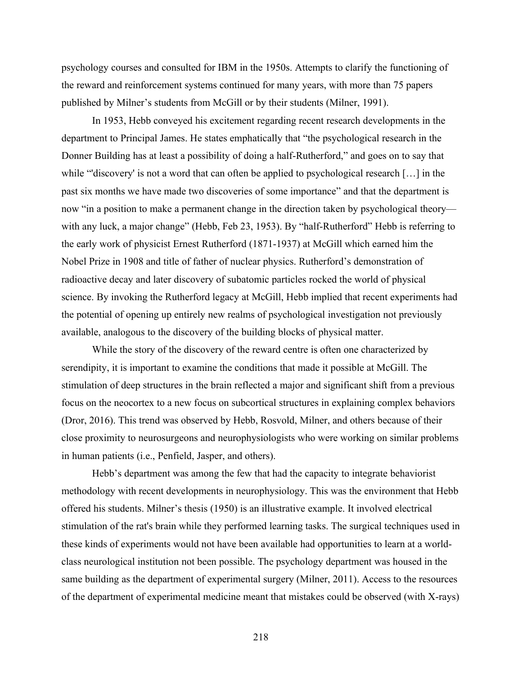psychology courses and consulted for IBM in the 1950s. Attempts to clarify the functioning of the reward and reinforcement systems continued for many years, with more than 75 papers published by Milner's students from McGill or by their students (Milner, 1991).

In 1953, Hebb conveyed his excitement regarding recent research developments in the department to Principal James. He states emphatically that "the psychological research in the Donner Building has at least a possibility of doing a half-Rutherford," and goes on to say that while "'discovery' is not a word that can often be applied to psychological research [...] in the past six months we have made two discoveries of some importance" and that the department is now "in a position to make a permanent change in the direction taken by psychological theory with any luck, a major change" (Hebb, Feb 23, 1953). By "half-Rutherford" Hebb is referring to the early work of physicist Ernest Rutherford (1871-1937) at McGill which earned him the Nobel Prize in 1908 and title of father of nuclear physics. Rutherford's demonstration of radioactive decay and later discovery of subatomic particles rocked the world of physical science. By invoking the Rutherford legacy at McGill, Hebb implied that recent experiments had the potential of opening up entirely new realms of psychological investigation not previously available, analogous to the discovery of the building blocks of physical matter.

While the story of the discovery of the reward centre is often one characterized by serendipity, it is important to examine the conditions that made it possible at McGill. The stimulation of deep structures in the brain reflected a major and significant shift from a previous focus on the neocortex to a new focus on subcortical structures in explaining complex behaviors (Dror, 2016). This trend was observed by Hebb, Rosvold, Milner, and others because of their close proximity to neurosurgeons and neurophysiologists who were working on similar problems in human patients (i.e., Penfield, Jasper, and others).

Hebb's department was among the few that had the capacity to integrate behaviorist methodology with recent developments in neurophysiology. This was the environment that Hebb offered his students. Milner's thesis (1950) is an illustrative example. It involved electrical stimulation of the rat's brain while they performed learning tasks. The surgical techniques used in these kinds of experiments would not have been available had opportunities to learn at a worldclass neurological institution not been possible. The psychology department was housed in the same building as the department of experimental surgery (Milner, 2011). Access to the resources of the department of experimental medicine meant that mistakes could be observed (with X-rays)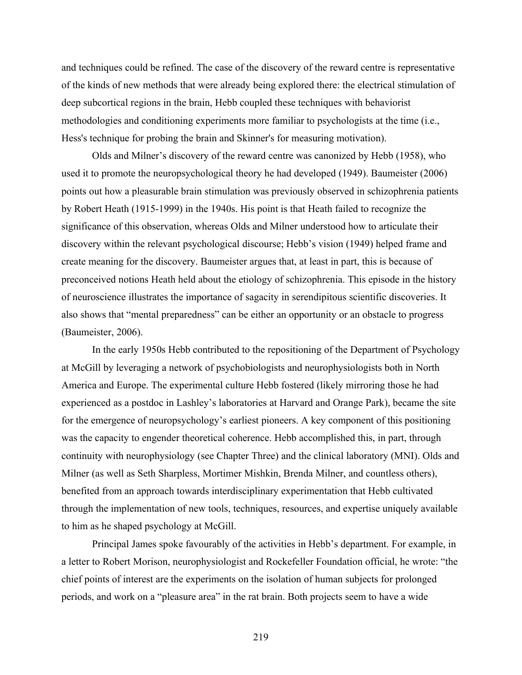and techniques could be refined. The case of the discovery of the reward centre is representative of the kinds of new methods that were already being explored there: the electrical stimulation of deep subcortical regions in the brain, Hebb coupled these techniques with behaviorist methodologies and conditioning experiments more familiar to psychologists at the time (i.e., Hess's technique for probing the brain and Skinner's for measuring motivation).

Olds and Milner's discovery of the reward centre was canonized by Hebb (1958), who used it to promote the neuropsychological theory he had developed (1949). Baumeister (2006) points out how a pleasurable brain stimulation was previously observed in schizophrenia patients by Robert Heath (1915-1999) in the 1940s. His point is that Heath failed to recognize the significance of this observation, whereas Olds and Milner understood how to articulate their discovery within the relevant psychological discourse; Hebb's vision (1949) helped frame and create meaning for the discovery. Baumeister argues that, at least in part, this is because of preconceived notions Heath held about the etiology of schizophrenia. This episode in the history of neuroscience illustrates the importance of sagacity in serendipitous scientific discoveries. It also shows that "mental preparedness" can be either an opportunity or an obstacle to progress (Baumeister, 2006).

In the early 1950s Hebb contributed to the repositioning of the Department of Psychology at McGill by leveraging a network of psychobiologists and neurophysiologists both in North America and Europe. The experimental culture Hebb fostered (likely mirroring those he had experienced as a postdoc in Lashley's laboratories at Harvard and Orange Park), became the site for the emergence of neuropsychology's earliest pioneers. A key component of this positioning was the capacity to engender theoretical coherence. Hebb accomplished this, in part, through continuity with neurophysiology (see Chapter Three) and the clinical laboratory (MNI). Olds and Milner (as well as Seth Sharpless, Mortimer Mishkin, Brenda Milner, and countless others), benefited from an approach towards interdisciplinary experimentation that Hebb cultivated through the implementation of new tools, techniques, resources, and expertise uniquely available to him as he shaped psychology at McGill.

Principal James spoke favourably of the activities in Hebb's department. For example, in a letter to Robert Morison, neurophysiologist and Rockefeller Foundation official, he wrote: "the chief points of interest are the experiments on the isolation of human subjects for prolonged periods, and work on a "pleasure area" in the rat brain. Both projects seem to have a wide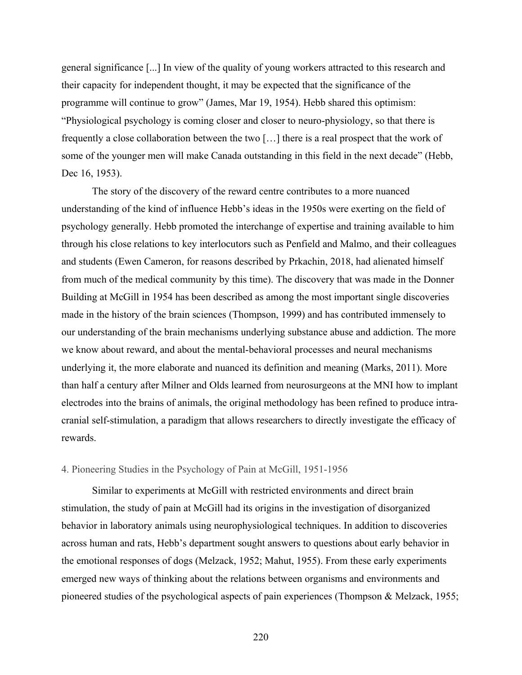general significance [...] In view of the quality of young workers attracted to this research and their capacity for independent thought, it may be expected that the significance of the programme will continue to grow" (James, Mar 19, 1954). Hebb shared this optimism: "Physiological psychology is coming closer and closer to neuro-physiology, so that there is frequently a close collaboration between the two […] there is a real prospect that the work of some of the younger men will make Canada outstanding in this field in the next decade" (Hebb, Dec 16, 1953).

The story of the discovery of the reward centre contributes to a more nuanced understanding of the kind of influence Hebb's ideas in the 1950s were exerting on the field of psychology generally. Hebb promoted the interchange of expertise and training available to him through his close relations to key interlocutors such as Penfield and Malmo, and their colleagues and students (Ewen Cameron, for reasons described by Prkachin, 2018, had alienated himself from much of the medical community by this time). The discovery that was made in the Donner Building at McGill in 1954 has been described as among the most important single discoveries made in the history of the brain sciences (Thompson, 1999) and has contributed immensely to our understanding of the brain mechanisms underlying substance abuse and addiction. The more we know about reward, and about the mental-behavioral processes and neural mechanisms underlying it, the more elaborate and nuanced its definition and meaning (Marks, 2011). More than half a century after Milner and Olds learned from neurosurgeons at the MNI how to implant electrodes into the brains of animals, the original methodology has been refined to produce intracranial self-stimulation, a paradigm that allows researchers to directly investigate the efficacy of rewards.

## 4. Pioneering Studies in the Psychology of Pain at McGill, 1951-1956

Similar to experiments at McGill with restricted environments and direct brain stimulation, the study of pain at McGill had its origins in the investigation of disorganized behavior in laboratory animals using neurophysiological techniques. In addition to discoveries across human and rats, Hebb's department sought answers to questions about early behavior in the emotional responses of dogs (Melzack, 1952; Mahut, 1955). From these early experiments emerged new ways of thinking about the relations between organisms and environments and pioneered studies of the psychological aspects of pain experiences (Thompson & Melzack, 1955;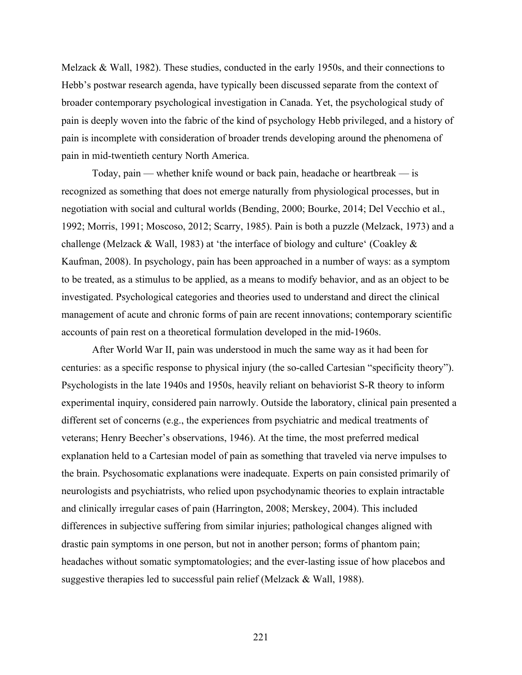Melzack & Wall, 1982). These studies, conducted in the early 1950s, and their connections to Hebb's postwar research agenda, have typically been discussed separate from the context of broader contemporary psychological investigation in Canada. Yet, the psychological study of pain is deeply woven into the fabric of the kind of psychology Hebb privileged, and a history of pain is incomplete with consideration of broader trends developing around the phenomena of pain in mid-twentieth century North America.

Today, pain — whether knife wound or back pain, headache or heartbreak — is recognized as something that does not emerge naturally from physiological processes, but in negotiation with social and cultural worlds (Bending, 2000; Bourke, 2014; Del Vecchio et al., 1992; Morris, 1991; Moscoso, 2012; Scarry, 1985). Pain is both a puzzle (Melzack, 1973) and a challenge (Melzack & Wall, 1983) at 'the interface of biology and culture' (Coakley & Kaufman, 2008). In psychology, pain has been approached in a number of ways: as a symptom to be treated, as a stimulus to be applied, as a means to modify behavior, and as an object to be investigated. Psychological categories and theories used to understand and direct the clinical management of acute and chronic forms of pain are recent innovations; contemporary scientific accounts of pain rest on a theoretical formulation developed in the mid-1960s.

After World War II, pain was understood in much the same way as it had been for centuries: as a specific response to physical injury (the so-called Cartesian "specificity theory"). Psychologists in the late 1940s and 1950s, heavily reliant on behaviorist S-R theory to inform experimental inquiry, considered pain narrowly. Outside the laboratory, clinical pain presented a different set of concerns (e.g., the experiences from psychiatric and medical treatments of veterans; Henry Beecher's observations, 1946). At the time, the most preferred medical explanation held to a Cartesian model of pain as something that traveled via nerve impulses to the brain. Psychosomatic explanations were inadequate. Experts on pain consisted primarily of neurologists and psychiatrists, who relied upon psychodynamic theories to explain intractable and clinically irregular cases of pain (Harrington, 2008; Merskey, 2004). This included differences in subjective suffering from similar injuries; pathological changes aligned with drastic pain symptoms in one person, but not in another person; forms of phantom pain; headaches without somatic symptomatologies; and the ever-lasting issue of how placebos and suggestive therapies led to successful pain relief (Melzack & Wall, 1988).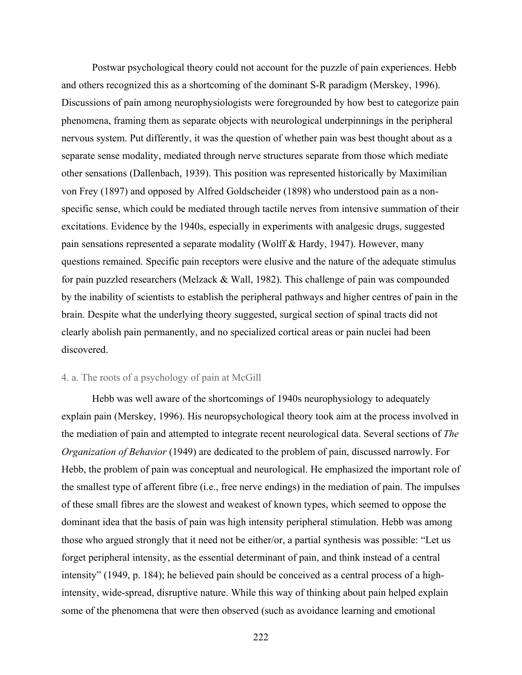Postwar psychological theory could not account for the puzzle of pain experiences. Hebb and others recognized this as a shortcoming of the dominant S-R paradigm (Merskey, 1996). Discussions of pain among neurophysiologists were foregrounded by how best to categorize pain phenomena, framing them as separate objects with neurological underpinnings in the peripheral nervous system. Put differently, it was the question of whether pain was best thought about as a separate sense modality, mediated through nerve structures separate from those which mediate other sensations (Dallenbach, 1939). This position was represented historically by Maximilian von Frey (1897) and opposed by Alfred Goldscheider (1898) who understood pain as a nonspecific sense, which could be mediated through tactile nerves from intensive summation of their excitations. Evidence by the 1940s, especially in experiments with analgesic drugs, suggested pain sensations represented a separate modality (Wolff & Hardy, 1947). However, many questions remained. Specific pain receptors were elusive and the nature of the adequate stimulus for pain puzzled researchers (Melzack & Wall, 1982). This challenge of pain was compounded by the inability of scientists to establish the peripheral pathways and higher centres of pain in the brain. Despite what the underlying theory suggested, surgical section of spinal tracts did not clearly abolish pain permanently, and no specialized cortical areas or pain nuclei had been discovered.

## 4. a. The roots of a psychology of pain at McGill

Hebb was well aware of the shortcomings of 1940s neurophysiology to adequately explain pain (Merskey, 1996). His neuropsychological theory took aim at the process involved in the mediation of pain and attempted to integrate recent neurological data. Several sections of *The Organization of Behavior* (1949) are dedicated to the problem of pain, discussed narrowly. For Hebb, the problem of pain was conceptual and neurological. He emphasized the important role of the smallest type of afferent fibre (i.e., free nerve endings) in the mediation of pain. The impulses of these small fibres are the slowest and weakest of known types, which seemed to oppose the dominant idea that the basis of pain was high intensity peripheral stimulation. Hebb was among those who argued strongly that it need not be either/or, a partial synthesis was possible: "Let us forget peripheral intensity, as the essential determinant of pain, and think instead of a central intensity" (1949, p. 184); he believed pain should be conceived as a central process of a highintensity, wide-spread, disruptive nature. While this way of thinking about pain helped explain some of the phenomena that were then observed (such as avoidance learning and emotional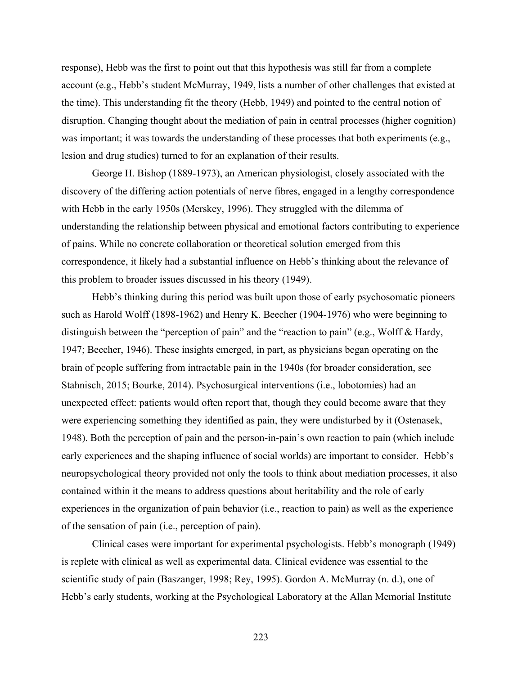response), Hebb was the first to point out that this hypothesis was still far from a complete account (e.g., Hebb's student McMurray, 1949, lists a number of other challenges that existed at the time). This understanding fit the theory (Hebb, 1949) and pointed to the central notion of disruption. Changing thought about the mediation of pain in central processes (higher cognition) was important; it was towards the understanding of these processes that both experiments (e.g., lesion and drug studies) turned to for an explanation of their results.

George H. Bishop (1889-1973), an American physiologist, closely associated with the discovery of the differing action potentials of nerve fibres, engaged in a lengthy correspondence with Hebb in the early 1950s (Merskey, 1996). They struggled with the dilemma of understanding the relationship between physical and emotional factors contributing to experience of pains. While no concrete collaboration or theoretical solution emerged from this correspondence, it likely had a substantial influence on Hebb's thinking about the relevance of this problem to broader issues discussed in his theory (1949).

Hebb's thinking during this period was built upon those of early psychosomatic pioneers such as Harold Wolff (1898-1962) and Henry K. Beecher (1904-1976) who were beginning to distinguish between the "perception of pain" and the "reaction to pain" (e.g., Wolff & Hardy, 1947; Beecher, 1946). These insights emerged, in part, as physicians began operating on the brain of people suffering from intractable pain in the 1940s (for broader consideration, see Stahnisch, 2015; Bourke, 2014). Psychosurgical interventions (i.e., lobotomies) had an unexpected effect: patients would often report that, though they could become aware that they were experiencing something they identified as pain, they were undisturbed by it (Ostenasek, 1948). Both the perception of pain and the person-in-pain's own reaction to pain (which include early experiences and the shaping influence of social worlds) are important to consider. Hebb's neuropsychological theory provided not only the tools to think about mediation processes, it also contained within it the means to address questions about heritability and the role of early experiences in the organization of pain behavior (i.e., reaction to pain) as well as the experience of the sensation of pain (i.e., perception of pain).

Clinical cases were important for experimental psychologists. Hebb's monograph (1949) is replete with clinical as well as experimental data. Clinical evidence was essential to the scientific study of pain (Baszanger, 1998; Rey, 1995). Gordon A. McMurray (n. d.), one of Hebb's early students, working at the Psychological Laboratory at the Allan Memorial Institute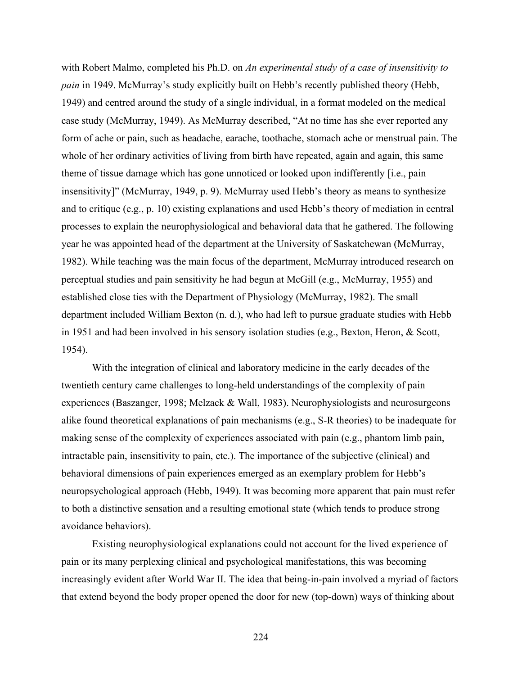with Robert Malmo, completed his Ph.D. on *An experimental study of a case of insensitivity to pain* in 1949. McMurray's study explicitly built on Hebb's recently published theory (Hebb, 1949) and centred around the study of a single individual, in a format modeled on the medical case study (McMurray, 1949). As McMurray described, "At no time has she ever reported any form of ache or pain, such as headache, earache, toothache, stomach ache or menstrual pain. The whole of her ordinary activities of living from birth have repeated, again and again, this same theme of tissue damage which has gone unnoticed or looked upon indifferently [i.e., pain insensitivity]" (McMurray, 1949, p. 9). McMurray used Hebb's theory as means to synthesize and to critique (e.g., p. 10) existing explanations and used Hebb's theory of mediation in central processes to explain the neurophysiological and behavioral data that he gathered. The following year he was appointed head of the department at the University of Saskatchewan (McMurray, 1982). While teaching was the main focus of the department, McMurray introduced research on perceptual studies and pain sensitivity he had begun at McGill (e.g., McMurray, 1955) and established close ties with the Department of Physiology (McMurray, 1982). The small department included William Bexton (n. d.), who had left to pursue graduate studies with Hebb in 1951 and had been involved in his sensory isolation studies (e.g., Bexton, Heron, & Scott, 1954).

With the integration of clinical and laboratory medicine in the early decades of the twentieth century came challenges to long-held understandings of the complexity of pain experiences (Baszanger, 1998; Melzack & Wall, 1983). Neurophysiologists and neurosurgeons alike found theoretical explanations of pain mechanisms (e.g., S-R theories) to be inadequate for making sense of the complexity of experiences associated with pain (e.g., phantom limb pain, intractable pain, insensitivity to pain, etc.). The importance of the subjective (clinical) and behavioral dimensions of pain experiences emerged as an exemplary problem for Hebb's neuropsychological approach (Hebb, 1949). It was becoming more apparent that pain must refer to both a distinctive sensation and a resulting emotional state (which tends to produce strong avoidance behaviors).

Existing neurophysiological explanations could not account for the lived experience of pain or its many perplexing clinical and psychological manifestations, this was becoming increasingly evident after World War II. The idea that being-in-pain involved a myriad of factors that extend beyond the body proper opened the door for new (top-down) ways of thinking about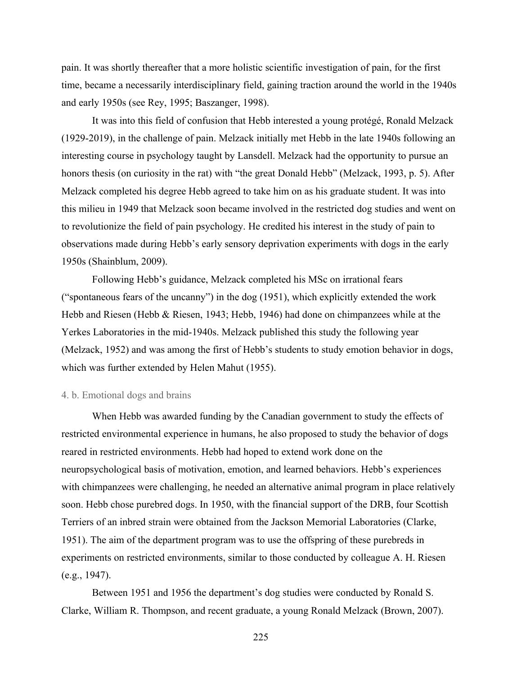pain. It was shortly thereafter that a more holistic scientific investigation of pain, for the first time, became a necessarily interdisciplinary field, gaining traction around the world in the 1940s and early 1950s (see Rey, 1995; Baszanger, 1998).

It was into this field of confusion that Hebb interested a young protégé, Ronald Melzack (1929-2019), in the challenge of pain. Melzack initially met Hebb in the late 1940s following an interesting course in psychology taught by Lansdell. Melzack had the opportunity to pursue an honors thesis (on curiosity in the rat) with "the great Donald Hebb" (Melzack, 1993, p. 5). After Melzack completed his degree Hebb agreed to take him on as his graduate student. It was into this milieu in 1949 that Melzack soon became involved in the restricted dog studies and went on to revolutionize the field of pain psychology. He credited his interest in the study of pain to observations made during Hebb's early sensory deprivation experiments with dogs in the early 1950s (Shainblum, 2009).

Following Hebb's guidance, Melzack completed his MSc on irrational fears ("spontaneous fears of the uncanny") in the dog (1951), which explicitly extended the work Hebb and Riesen (Hebb & Riesen, 1943; Hebb, 1946) had done on chimpanzees while at the Yerkes Laboratories in the mid-1940s. Melzack published this study the following year (Melzack, 1952) and was among the first of Hebb's students to study emotion behavior in dogs, which was further extended by Helen Mahut (1955).

### 4. b. Emotional dogs and brains

When Hebb was awarded funding by the Canadian government to study the effects of restricted environmental experience in humans, he also proposed to study the behavior of dogs reared in restricted environments. Hebb had hoped to extend work done on the neuropsychological basis of motivation, emotion, and learned behaviors. Hebb's experiences with chimpanzees were challenging, he needed an alternative animal program in place relatively soon. Hebb chose purebred dogs. In 1950, with the financial support of the DRB, four Scottish Terriers of an inbred strain were obtained from the Jackson Memorial Laboratories (Clarke, 1951). The aim of the department program was to use the offspring of these purebreds in experiments on restricted environments, similar to those conducted by colleague A. H. Riesen (e.g., 1947).

Between 1951 and 1956 the department's dog studies were conducted by Ronald S. Clarke, William R. Thompson, and recent graduate, a young Ronald Melzack (Brown, 2007).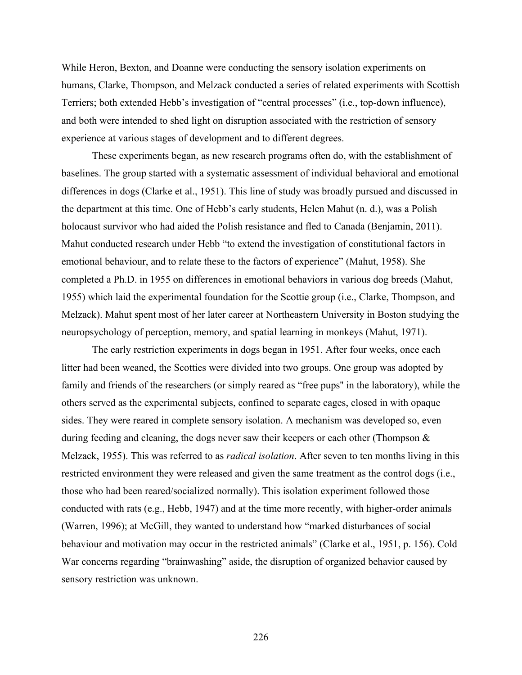While Heron, Bexton, and Doanne were conducting the sensory isolation experiments on humans, Clarke, Thompson, and Melzack conducted a series of related experiments with Scottish Terriers; both extended Hebb's investigation of "central processes" (i.e., top-down influence), and both were intended to shed light on disruption associated with the restriction of sensory experience at various stages of development and to different degrees.

These experiments began, as new research programs often do, with the establishment of baselines. The group started with a systematic assessment of individual behavioral and emotional differences in dogs (Clarke et al., 1951). This line of study was broadly pursued and discussed in the department at this time. One of Hebb's early students, Helen Mahut (n. d.), was a Polish holocaust survivor who had aided the Polish resistance and fled to Canada (Benjamin, 2011). Mahut conducted research under Hebb "to extend the investigation of constitutional factors in emotional behaviour, and to relate these to the factors of experience" (Mahut, 1958). She completed a Ph.D. in 1955 on differences in emotional behaviors in various dog breeds (Mahut, 1955) which laid the experimental foundation for the Scottie group (i.e., Clarke, Thompson, and Melzack). Mahut spent most of her later career at Northeastern University in Boston studying the neuropsychology of perception, memory, and spatial learning in monkeys (Mahut, 1971).

The early restriction experiments in dogs began in 1951. After four weeks, once each litter had been weaned, the Scotties were divided into two groups. One group was adopted by family and friends of the researchers (or simply reared as "free pups'' in the laboratory), while the others served as the experimental subjects, confined to separate cages, closed in with opaque sides. They were reared in complete sensory isolation. A mechanism was developed so, even during feeding and cleaning, the dogs never saw their keepers or each other (Thompson  $\&$ Melzack, 1955). This was referred to as *radical isolation*. After seven to ten months living in this restricted environment they were released and given the same treatment as the control dogs (i.e., those who had been reared/socialized normally). This isolation experiment followed those conducted with rats (e.g., Hebb, 1947) and at the time more recently, with higher-order animals (Warren, 1996); at McGill, they wanted to understand how "marked disturbances of social behaviour and motivation may occur in the restricted animals" (Clarke et al., 1951, p. 156). Cold War concerns regarding "brainwashing" aside, the disruption of organized behavior caused by sensory restriction was unknown.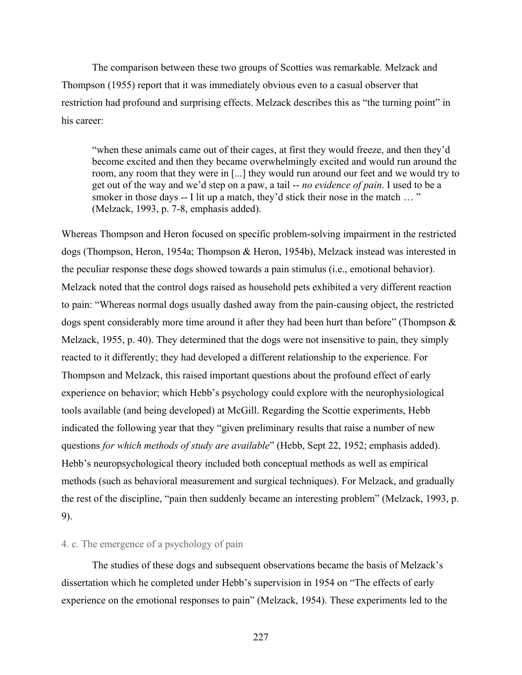The comparison between these two groups of Scotties was remarkable. Melzack and Thompson (1955) report that it was immediately obvious even to a casual observer that restriction had profound and surprising effects. Melzack describes this as "the turning point" in his career:

"when these animals came out of their cages, at first they would freeze, and then they'd become excited and then they became overwhelmingly excited and would run around the room, any room that they were in [...] they would run around our feet and we would try to get out of the way and we'd step on a paw, a tail -- *no evidence of pain*. I used to be a smoker in those days -- I lit up a match, they'd stick their nose in the match ... " (Melzack, 1993, p. 7-8, emphasis added).

Whereas Thompson and Heron focused on specific problem-solving impairment in the restricted dogs (Thompson, Heron, 1954a; Thompson & Heron, 1954b), Melzack instead was interested in the peculiar response these dogs showed towards a pain stimulus (i.e., emotional behavior). Melzack noted that the control dogs raised as household pets exhibited a very different reaction to pain: "Whereas normal dogs usually dashed away from the pain-causing object, the restricted dogs spent considerably more time around it after they had been hurt than before" (Thompson  $\&$ Melzack, 1955, p. 40). They determined that the dogs were not insensitive to pain, they simply reacted to it differently; they had developed a different relationship to the experience. For Thompson and Melzack, this raised important questions about the profound effect of early experience on behavior; which Hebb's psychology could explore with the neurophysiological tools available (and being developed) at McGill. Regarding the Scottie experiments, Hebb indicated the following year that they "given preliminary results that raise a number of new questions *for which methods of study are available*" (Hebb, Sept 22, 1952; emphasis added). Hebb's neuropsychological theory included both conceptual methods as well as empirical methods (such as behavioral measurement and surgical techniques). For Melzack, and gradually the rest of the discipline, "pain then suddenly became an interesting problem" (Melzack, 1993, p. 9).

# 4. c. The emergence of a psychology of pain

The studies of these dogs and subsequent observations became the basis of Melzack's dissertation which he completed under Hebb's supervision in 1954 on "The effects of early experience on the emotional responses to pain" (Melzack, 1954). These experiments led to the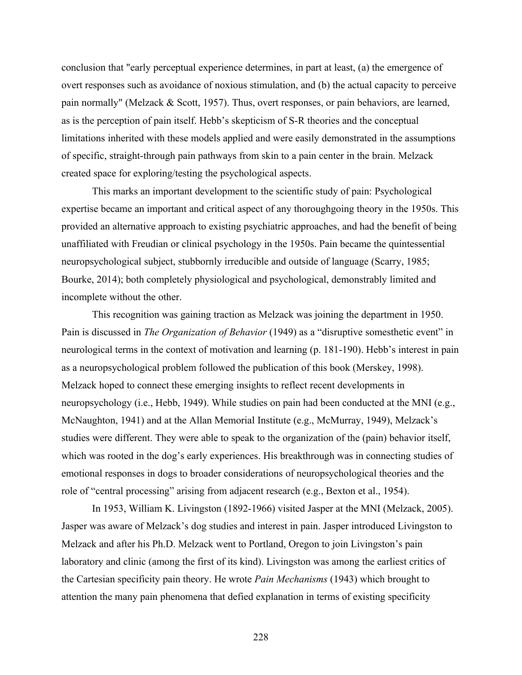conclusion that "early perceptual experience determines, in part at least, (a) the emergence of overt responses such as avoidance of noxious stimulation, and (b) the actual capacity to perceive pain normally" (Melzack & Scott, 1957). Thus, overt responses, or pain behaviors, are learned, as is the perception of pain itself. Hebb's skepticism of S-R theories and the conceptual limitations inherited with these models applied and were easily demonstrated in the assumptions of specific, straight-through pain pathways from skin to a pain center in the brain. Melzack created space for exploring/testing the psychological aspects.

This marks an important development to the scientific study of pain: Psychological expertise became an important and critical aspect of any thoroughgoing theory in the 1950s. This provided an alternative approach to existing psychiatric approaches, and had the benefit of being unaffiliated with Freudian or clinical psychology in the 1950s. Pain became the quintessential neuropsychological subject, stubbornly irreducible and outside of language (Scarry, 1985; Bourke, 2014); both completely physiological and psychological, demonstrably limited and incomplete without the other.

This recognition was gaining traction as Melzack was joining the department in 1950. Pain is discussed in *The Organization of Behavior* (1949) as a "disruptive somesthetic event" in neurological terms in the context of motivation and learning (p. 181-190). Hebb's interest in pain as a neuropsychological problem followed the publication of this book (Merskey, 1998). Melzack hoped to connect these emerging insights to reflect recent developments in neuropsychology (i.e., Hebb, 1949). While studies on pain had been conducted at the MNI (e.g., McNaughton, 1941) and at the Allan Memorial Institute (e.g., McMurray, 1949), Melzack's studies were different. They were able to speak to the organization of the (pain) behavior itself, which was rooted in the dog's early experiences. His breakthrough was in connecting studies of emotional responses in dogs to broader considerations of neuropsychological theories and the role of "central processing" arising from adjacent research (e.g., Bexton et al., 1954).

In 1953, William K. Livingston (1892-1966) visited Jasper at the MNI (Melzack, 2005). Jasper was aware of Melzack's dog studies and interest in pain. Jasper introduced Livingston to Melzack and after his Ph.D. Melzack went to Portland, Oregon to join Livingston's pain laboratory and clinic (among the first of its kind). Livingston was among the earliest critics of the Cartesian specificity pain theory. He wrote *Pain Mechanisms* (1943) which brought to attention the many pain phenomena that defied explanation in terms of existing specificity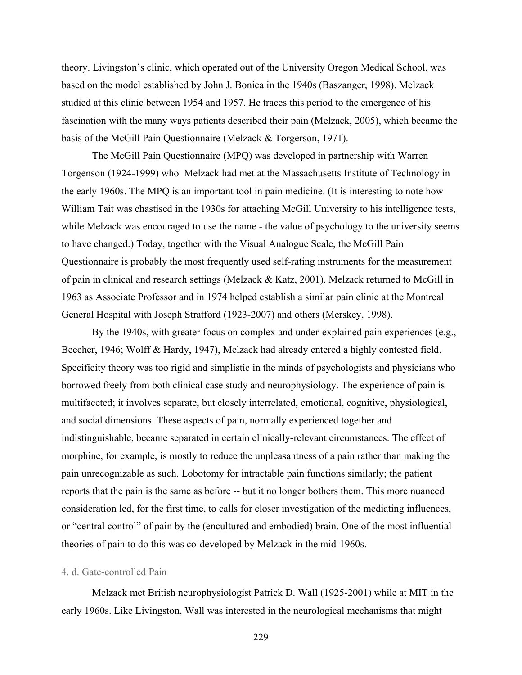theory. Livingston's clinic, which operated out of the University Oregon Medical School, was based on the model established by John J. Bonica in the 1940s (Baszanger, 1998). Melzack studied at this clinic between 1954 and 1957. He traces this period to the emergence of his fascination with the many ways patients described their pain (Melzack, 2005), which became the basis of the McGill Pain Questionnaire (Melzack & Torgerson, 1971).

The McGill Pain Questionnaire (MPQ) was developed in partnership with Warren Torgenson (1924-1999) who Melzack had met at the Massachusetts Institute of Technology in the early 1960s. The MPQ is an important tool in pain medicine. (It is interesting to note how William Tait was chastised in the 1930s for attaching McGill University to his intelligence tests, while Melzack was encouraged to use the name - the value of psychology to the university seems to have changed.) Today, together with the Visual Analogue Scale, the McGill Pain Questionnaire is probably the most frequently used self-rating instruments for the measurement of pain in clinical and research settings (Melzack & Katz, 2001). Melzack returned to McGill in 1963 as Associate Professor and in 1974 helped establish a similar pain clinic at the Montreal General Hospital with Joseph Stratford (1923-2007) and others (Merskey, 1998).

By the 1940s, with greater focus on complex and under-explained pain experiences (e.g., Beecher, 1946; Wolff & Hardy, 1947), Melzack had already entered a highly contested field. Specificity theory was too rigid and simplistic in the minds of psychologists and physicians who borrowed freely from both clinical case study and neurophysiology. The experience of pain is multifaceted; it involves separate, but closely interrelated, emotional, cognitive, physiological, and social dimensions. These aspects of pain, normally experienced together and indistinguishable, became separated in certain clinically-relevant circumstances. The effect of morphine, for example, is mostly to reduce the unpleasantness of a pain rather than making the pain unrecognizable as such. Lobotomy for intractable pain functions similarly; the patient reports that the pain is the same as before -- but it no longer bothers them. This more nuanced consideration led, for the first time, to calls for closer investigation of the mediating influences, or "central control" of pain by the (encultured and embodied) brain. One of the most influential theories of pain to do this was co-developed by Melzack in the mid-1960s.

### 4. d. Gate-controlled Pain

Melzack met British neurophysiologist Patrick D. Wall (1925-2001) while at MIT in the early 1960s. Like Livingston, Wall was interested in the neurological mechanisms that might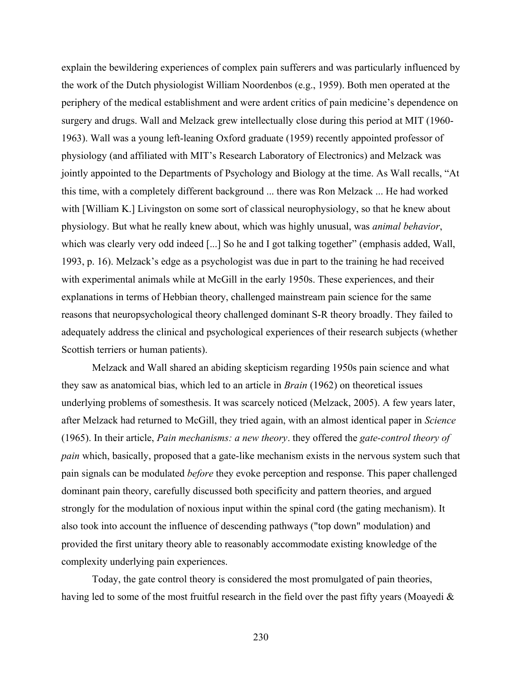explain the bewildering experiences of complex pain sufferers and was particularly influenced by the work of the Dutch physiologist William Noordenbos (e.g., 1959). Both men operated at the periphery of the medical establishment and were ardent critics of pain medicine's dependence on surgery and drugs. Wall and Melzack grew intellectually close during this period at MIT (1960- 1963). Wall was a young left-leaning Oxford graduate (1959) recently appointed professor of physiology (and affiliated with MIT's Research Laboratory of Electronics) and Melzack was jointly appointed to the Departments of Psychology and Biology at the time. As Wall recalls, "At this time, with a completely different background ... there was Ron Melzack ... He had worked with [William K.] Livingston on some sort of classical neurophysiology, so that he knew about physiology. But what he really knew about, which was highly unusual, was *animal behavior*, which was clearly very odd indeed [...] So he and I got talking together" (emphasis added, Wall, 1993, p. 16). Melzack's edge as a psychologist was due in part to the training he had received with experimental animals while at McGill in the early 1950s. These experiences, and their explanations in terms of Hebbian theory, challenged mainstream pain science for the same reasons that neuropsychological theory challenged dominant S-R theory broadly. They failed to adequately address the clinical and psychological experiences of their research subjects (whether Scottish terriers or human patients).

Melzack and Wall shared an abiding skepticism regarding 1950s pain science and what they saw as anatomical bias, which led to an article in *Brain* (1962) on theoretical issues underlying problems of somesthesis. It was scarcely noticed (Melzack, 2005). A few years later, after Melzack had returned to McGill, they tried again, with an almost identical paper in *Science*  (1965). In their article, *Pain mechanisms: a new theory*. they offered the *gate-control theory of pain* which, basically, proposed that a gate-like mechanism exists in the nervous system such that pain signals can be modulated *before* they evoke perception and response. This paper challenged dominant pain theory, carefully discussed both specificity and pattern theories, and argued strongly for the modulation of noxious input within the spinal cord (the gating mechanism). It also took into account the influence of descending pathways ("top down" modulation) and provided the first unitary theory able to reasonably accommodate existing knowledge of the complexity underlying pain experiences.

Today, the gate control theory is considered the most promulgated of pain theories, having led to some of the most fruitful research in the field over the past fifty years (Moayedi &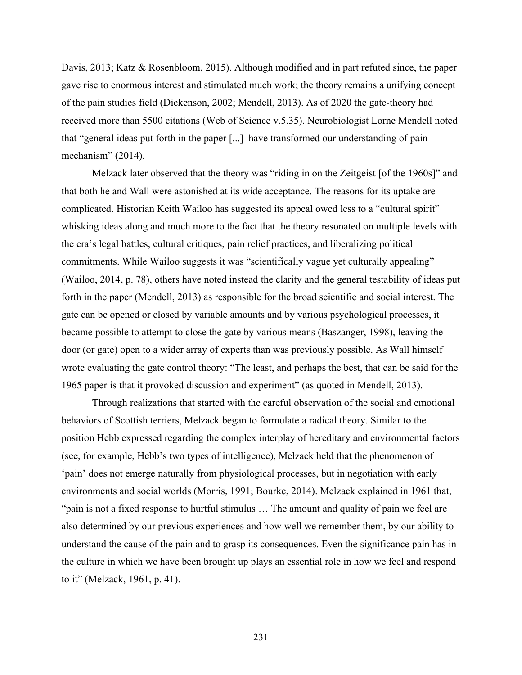Davis, 2013; Katz & Rosenbloom, 2015). Although modified and in part refuted since, the paper gave rise to enormous interest and stimulated much work; the theory remains a unifying concept of the pain studies field (Dickenson, 2002; Mendell, 2013). As of 2020 the gate-theory had received more than 5500 citations (Web of Science v.5.35). Neurobiologist Lorne Mendell noted that "general ideas put forth in the paper [...] have transformed our understanding of pain mechanism" (2014).

Melzack later observed that the theory was "riding in on the Zeitgeist [of the 1960s]" and that both he and Wall were astonished at its wide acceptance. The reasons for its uptake are complicated. Historian Keith Wailoo has suggested its appeal owed less to a "cultural spirit" whisking ideas along and much more to the fact that the theory resonated on multiple levels with the era's legal battles, cultural critiques, pain relief practices, and liberalizing political commitments. While Wailoo suggests it was "scientifically vague yet culturally appealing" (Wailoo, 2014, p. 78), others have noted instead the clarity and the general testability of ideas put forth in the paper (Mendell, 2013) as responsible for the broad scientific and social interest. The gate can be opened or closed by variable amounts and by various psychological processes, it became possible to attempt to close the gate by various means (Baszanger, 1998), leaving the door (or gate) open to a wider array of experts than was previously possible. As Wall himself wrote evaluating the gate control theory: "The least, and perhaps the best, that can be said for the 1965 paper is that it provoked discussion and experiment" (as quoted in Mendell, 2013).

Through realizations that started with the careful observation of the social and emotional behaviors of Scottish terriers, Melzack began to formulate a radical theory. Similar to the position Hebb expressed regarding the complex interplay of hereditary and environmental factors (see, for example, Hebb's two types of intelligence), Melzack held that the phenomenon of 'pain' does not emerge naturally from physiological processes, but in negotiation with early environments and social worlds (Morris, 1991; Bourke, 2014). Melzack explained in 1961 that, "pain is not a fixed response to hurtful stimulus … The amount and quality of pain we feel are also determined by our previous experiences and how well we remember them, by our ability to understand the cause of the pain and to grasp its consequences. Even the significance pain has in the culture in which we have been brought up plays an essential role in how we feel and respond to it" (Melzack, 1961, p. 41).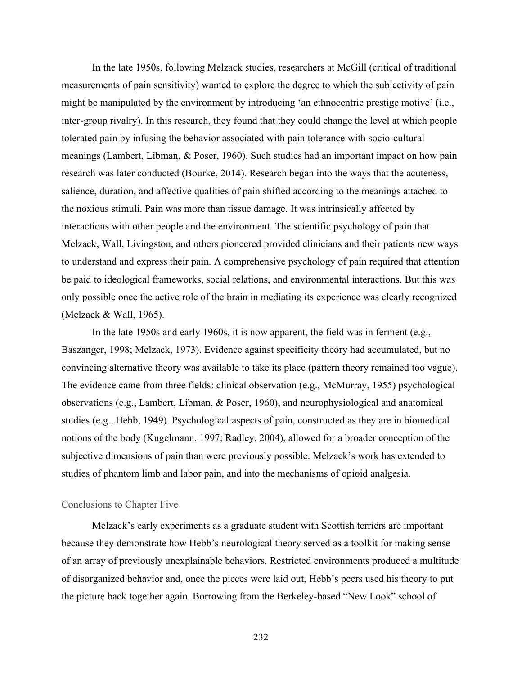In the late 1950s, following Melzack studies, researchers at McGill (critical of traditional measurements of pain sensitivity) wanted to explore the degree to which the subjectivity of pain might be manipulated by the environment by introducing 'an ethnocentric prestige motive' (i.e., inter-group rivalry). In this research, they found that they could change the level at which people tolerated pain by infusing the behavior associated with pain tolerance with socio-cultural meanings (Lambert, Libman, & Poser, 1960). Such studies had an important impact on how pain research was later conducted (Bourke, 2014). Research began into the ways that the acuteness, salience, duration, and affective qualities of pain shifted according to the meanings attached to the noxious stimuli. Pain was more than tissue damage. It was intrinsically affected by interactions with other people and the environment. The scientific psychology of pain that Melzack, Wall, Livingston, and others pioneered provided clinicians and their patients new ways to understand and express their pain. A comprehensive psychology of pain required that attention be paid to ideological frameworks, social relations, and environmental interactions. But this was only possible once the active role of the brain in mediating its experience was clearly recognized (Melzack & Wall, 1965).

In the late 1950s and early 1960s, it is now apparent, the field was in ferment (e.g., Baszanger, 1998; Melzack, 1973). Evidence against specificity theory had accumulated, but no convincing alternative theory was available to take its place (pattern theory remained too vague). The evidence came from three fields: clinical observation (e.g., McMurray, 1955) psychological observations (e.g., Lambert, Libman, & Poser, 1960), and neurophysiological and anatomical studies (e.g., Hebb, 1949). Psychological aspects of pain, constructed as they are in biomedical notions of the body (Kugelmann, 1997; Radley, 2004), allowed for a broader conception of the subjective dimensions of pain than were previously possible. Melzack's work has extended to studies of phantom limb and labor pain, and into the mechanisms of opioid analgesia.

## Conclusions to Chapter Five

Melzack's early experiments as a graduate student with Scottish terriers are important because they demonstrate how Hebb's neurological theory served as a toolkit for making sense of an array of previously unexplainable behaviors. Restricted environments produced a multitude of disorganized behavior and, once the pieces were laid out, Hebb's peers used his theory to put the picture back together again. Borrowing from the Berkeley-based "New Look" school of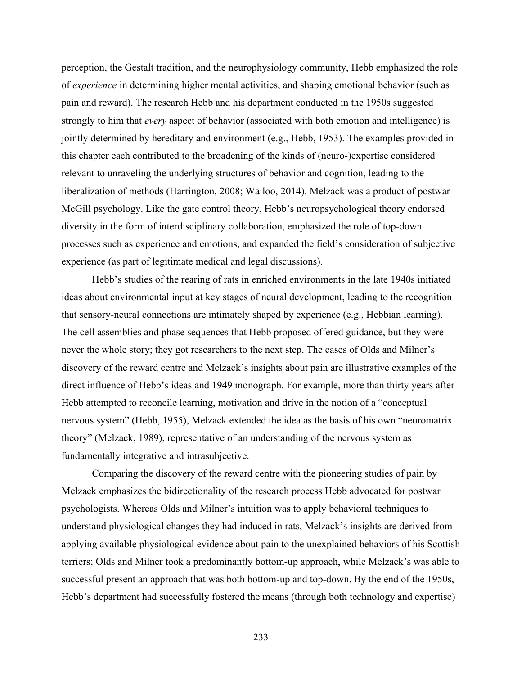perception, the Gestalt tradition, and the neurophysiology community, Hebb emphasized the role of *experience* in determining higher mental activities, and shaping emotional behavior (such as pain and reward). The research Hebb and his department conducted in the 1950s suggested strongly to him that *every* aspect of behavior (associated with both emotion and intelligence) is jointly determined by hereditary and environment (e.g., Hebb, 1953). The examples provided in this chapter each contributed to the broadening of the kinds of (neuro-)expertise considered relevant to unraveling the underlying structures of behavior and cognition, leading to the liberalization of methods (Harrington, 2008; Wailoo, 2014). Melzack was a product of postwar McGill psychology. Like the gate control theory, Hebb's neuropsychological theory endorsed diversity in the form of interdisciplinary collaboration, emphasized the role of top-down processes such as experience and emotions, and expanded the field's consideration of subjective experience (as part of legitimate medical and legal discussions).

Hebb's studies of the rearing of rats in enriched environments in the late 1940s initiated ideas about environmental input at key stages of neural development, leading to the recognition that sensory-neural connections are intimately shaped by experience (e.g., Hebbian learning). The cell assemblies and phase sequences that Hebb proposed offered guidance, but they were never the whole story; they got researchers to the next step. The cases of Olds and Milner's discovery of the reward centre and Melzack's insights about pain are illustrative examples of the direct influence of Hebb's ideas and 1949 monograph. For example, more than thirty years after Hebb attempted to reconcile learning, motivation and drive in the notion of a "conceptual nervous system" (Hebb, 1955), Melzack extended the idea as the basis of his own "neuromatrix theory" (Melzack, 1989), representative of an understanding of the nervous system as fundamentally integrative and intrasubjective.

Comparing the discovery of the reward centre with the pioneering studies of pain by Melzack emphasizes the bidirectionality of the research process Hebb advocated for postwar psychologists. Whereas Olds and Milner's intuition was to apply behavioral techniques to understand physiological changes they had induced in rats, Melzack's insights are derived from applying available physiological evidence about pain to the unexplained behaviors of his Scottish terriers; Olds and Milner took a predominantly bottom-up approach, while Melzack's was able to successful present an approach that was both bottom-up and top-down. By the end of the 1950s, Hebb's department had successfully fostered the means (through both technology and expertise)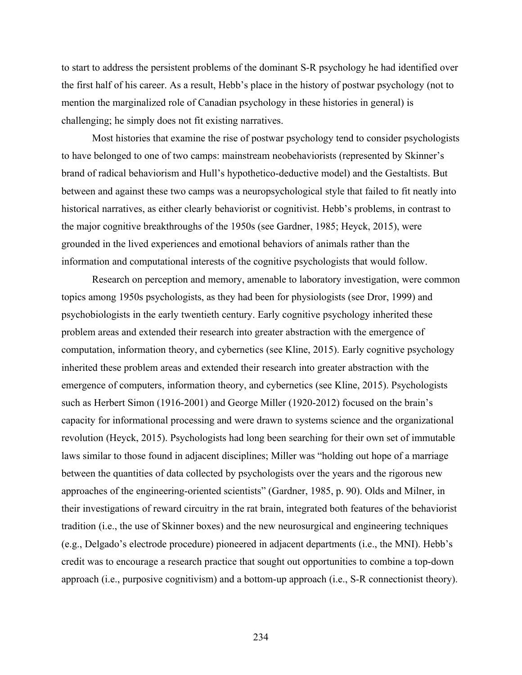to start to address the persistent problems of the dominant S-R psychology he had identified over the first half of his career. As a result, Hebb's place in the history of postwar psychology (not to mention the marginalized role of Canadian psychology in these histories in general) is challenging; he simply does not fit existing narratives.

Most histories that examine the rise of postwar psychology tend to consider psychologists to have belonged to one of two camps: mainstream neobehaviorists (represented by Skinner's brand of radical behaviorism and Hull's hypothetico-deductive model) and the Gestaltists. But between and against these two camps was a neuropsychological style that failed to fit neatly into historical narratives, as either clearly behaviorist or cognitivist. Hebb's problems, in contrast to the major cognitive breakthroughs of the 1950s (see Gardner, 1985; Heyck, 2015), were grounded in the lived experiences and emotional behaviors of animals rather than the information and computational interests of the cognitive psychologists that would follow.

Research on perception and memory, amenable to laboratory investigation, were common topics among 1950s psychologists, as they had been for physiologists (see Dror, 1999) and psychobiologists in the early twentieth century. Early cognitive psychology inherited these problem areas and extended their research into greater abstraction with the emergence of computation, information theory, and cybernetics (see Kline, 2015). Early cognitive psychology inherited these problem areas and extended their research into greater abstraction with the emergence of computers, information theory, and cybernetics (see Kline, 2015). Psychologists such as Herbert Simon (1916-2001) and George Miller (1920-2012) focused on the brain's capacity for informational processing and were drawn to systems science and the organizational revolution (Heyck, 2015). Psychologists had long been searching for their own set of immutable laws similar to those found in adjacent disciplines; Miller was "holding out hope of a marriage between the quantities of data collected by psychologists over the years and the rigorous new approaches of the engineering-oriented scientists" (Gardner, 1985, p. 90). Olds and Milner, in their investigations of reward circuitry in the rat brain, integrated both features of the behaviorist tradition (i.e., the use of Skinner boxes) and the new neurosurgical and engineering techniques (e.g., Delgado's electrode procedure) pioneered in adjacent departments (i.e., the MNI). Hebb's credit was to encourage a research practice that sought out opportunities to combine a top-down approach (i.e., purposive cognitivism) and a bottom-up approach (i.e., S-R connectionist theory).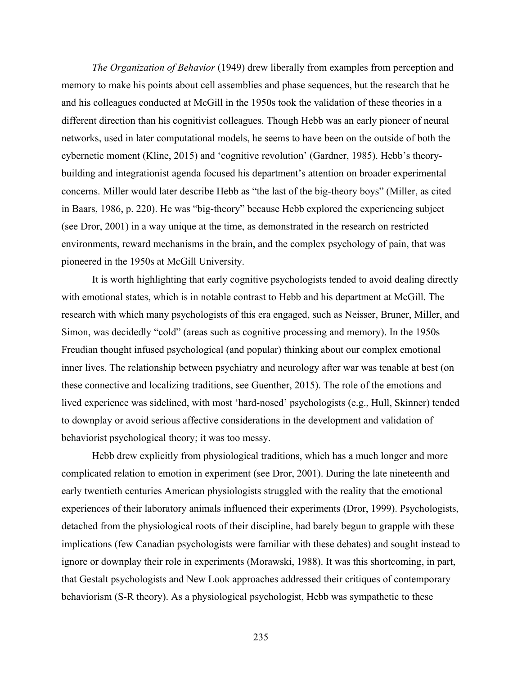*The Organization of Behavior* (1949) drew liberally from examples from perception and memory to make his points about cell assemblies and phase sequences, but the research that he and his colleagues conducted at McGill in the 1950s took the validation of these theories in a different direction than his cognitivist colleagues. Though Hebb was an early pioneer of neural networks, used in later computational models, he seems to have been on the outside of both the cybernetic moment (Kline, 2015) and 'cognitive revolution' (Gardner, 1985). Hebb's theorybuilding and integrationist agenda focused his department's attention on broader experimental concerns. Miller would later describe Hebb as "the last of the big-theory boys" (Miller, as cited in Baars, 1986, p. 220). He was "big-theory" because Hebb explored the experiencing subject (see Dror, 2001) in a way unique at the time, as demonstrated in the research on restricted environments, reward mechanisms in the brain, and the complex psychology of pain, that was pioneered in the 1950s at McGill University.

It is worth highlighting that early cognitive psychologists tended to avoid dealing directly with emotional states, which is in notable contrast to Hebb and his department at McGill. The research with which many psychologists of this era engaged, such as Neisser, Bruner, Miller, and Simon, was decidedly "cold" (areas such as cognitive processing and memory). In the 1950s Freudian thought infused psychological (and popular) thinking about our complex emotional inner lives. The relationship between psychiatry and neurology after war was tenable at best (on these connective and localizing traditions, see Guenther, 2015). The role of the emotions and lived experience was sidelined, with most 'hard-nosed' psychologists (e.g., Hull, Skinner) tended to downplay or avoid serious affective considerations in the development and validation of behaviorist psychological theory; it was too messy.

Hebb drew explicitly from physiological traditions, which has a much longer and more complicated relation to emotion in experiment (see Dror, 2001). During the late nineteenth and early twentieth centuries American physiologists struggled with the reality that the emotional experiences of their laboratory animals influenced their experiments (Dror, 1999). Psychologists, detached from the physiological roots of their discipline, had barely begun to grapple with these implications (few Canadian psychologists were familiar with these debates) and sought instead to ignore or downplay their role in experiments (Morawski, 1988). It was this shortcoming, in part, that Gestalt psychologists and New Look approaches addressed their critiques of contemporary behaviorism (S-R theory). As a physiological psychologist, Hebb was sympathetic to these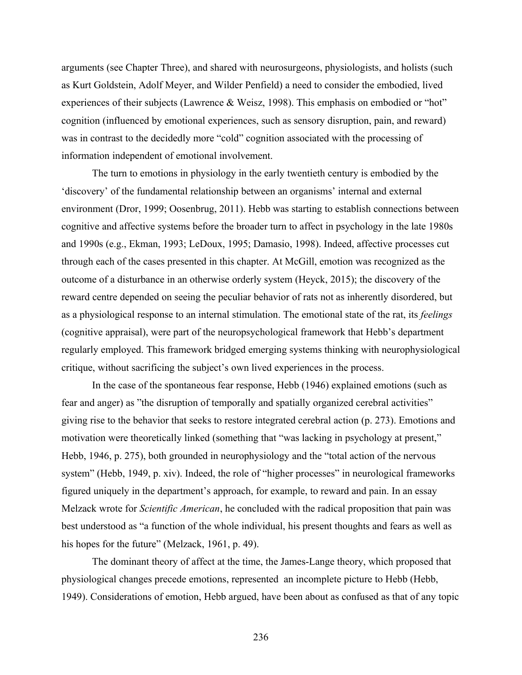arguments (see Chapter Three), and shared with neurosurgeons, physiologists, and holists (such as Kurt Goldstein, Adolf Meyer, and Wilder Penfield) a need to consider the embodied, lived experiences of their subjects (Lawrence & Weisz, 1998). This emphasis on embodied or "hot" cognition (influenced by emotional experiences, such as sensory disruption, pain, and reward) was in contrast to the decidedly more "cold" cognition associated with the processing of information independent of emotional involvement.

The turn to emotions in physiology in the early twentieth century is embodied by the 'discovery' of the fundamental relationship between an organisms' internal and external environment (Dror, 1999; Oosenbrug, 2011). Hebb was starting to establish connections between cognitive and affective systems before the broader turn to affect in psychology in the late 1980s and 1990s (e.g., Ekman, 1993; LeDoux, 1995; Damasio, 1998). Indeed, affective processes cut through each of the cases presented in this chapter. At McGill, emotion was recognized as the outcome of a disturbance in an otherwise orderly system (Heyck, 2015); the discovery of the reward centre depended on seeing the peculiar behavior of rats not as inherently disordered, but as a physiological response to an internal stimulation. The emotional state of the rat, its *feelings*  (cognitive appraisal), were part of the neuropsychological framework that Hebb's department regularly employed. This framework bridged emerging systems thinking with neurophysiological critique, without sacrificing the subject's own lived experiences in the process.

In the case of the spontaneous fear response, Hebb (1946) explained emotions (such as fear and anger) as "the disruption of temporally and spatially organized cerebral activities" giving rise to the behavior that seeks to restore integrated cerebral action (p. 273). Emotions and motivation were theoretically linked (something that "was lacking in psychology at present," Hebb, 1946, p. 275), both grounded in neurophysiology and the "total action of the nervous system" (Hebb, 1949, p. xiv). Indeed, the role of "higher processes" in neurological frameworks figured uniquely in the department's approach, for example, to reward and pain. In an essay Melzack wrote for *Scientific American*, he concluded with the radical proposition that pain was best understood as "a function of the whole individual, his present thoughts and fears as well as his hopes for the future" (Melzack, 1961, p. 49).

The dominant theory of affect at the time, the James-Lange theory, which proposed that physiological changes precede emotions, represented an incomplete picture to Hebb (Hebb, 1949). Considerations of emotion, Hebb argued, have been about as confused as that of any topic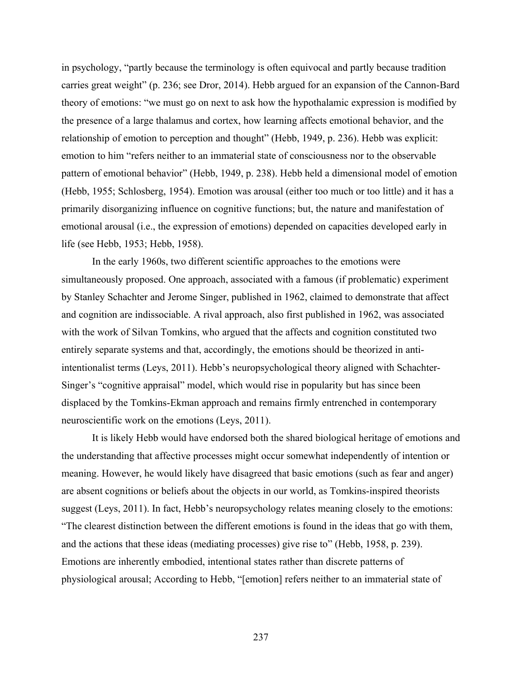in psychology, "partly because the terminology is often equivocal and partly because tradition carries great weight" (p. 236; see Dror, 2014). Hebb argued for an expansion of the Cannon-Bard theory of emotions: "we must go on next to ask how the hypothalamic expression is modified by the presence of a large thalamus and cortex, how learning affects emotional behavior, and the relationship of emotion to perception and thought" (Hebb, 1949, p. 236). Hebb was explicit: emotion to him "refers neither to an immaterial state of consciousness nor to the observable pattern of emotional behavior" (Hebb, 1949, p. 238). Hebb held a dimensional model of emotion (Hebb, 1955; Schlosberg, 1954). Emotion was arousal (either too much or too little) and it has a primarily disorganizing influence on cognitive functions; but, the nature and manifestation of emotional arousal (i.e., the expression of emotions) depended on capacities developed early in life (see Hebb, 1953; Hebb, 1958).

In the early 1960s, two different scientific approaches to the emotions were simultaneously proposed. One approach, associated with a famous (if problematic) experiment by Stanley Schachter and Jerome Singer, published in 1962, claimed to demonstrate that affect and cognition are indissociable. A rival approach, also first published in 1962, was associated with the work of Silvan Tomkins, who argued that the affects and cognition constituted two entirely separate systems and that, accordingly, the emotions should be theorized in antiintentionalist terms (Leys, 2011). Hebb's neuropsychological theory aligned with Schachter-Singer's "cognitive appraisal" model, which would rise in popularity but has since been displaced by the Tomkins-Ekman approach and remains firmly entrenched in contemporary neuroscientific work on the emotions (Leys, 2011).

It is likely Hebb would have endorsed both the shared biological heritage of emotions and the understanding that affective processes might occur somewhat independently of intention or meaning. However, he would likely have disagreed that basic emotions (such as fear and anger) are absent cognitions or beliefs about the objects in our world, as Tomkins-inspired theorists suggest (Leys, 2011). In fact, Hebb's neuropsychology relates meaning closely to the emotions: "The clearest distinction between the different emotions is found in the ideas that go with them, and the actions that these ideas (mediating processes) give rise to" (Hebb, 1958, p. 239). Emotions are inherently embodied, intentional states rather than discrete patterns of physiological arousal; According to Hebb, "[emotion] refers neither to an immaterial state of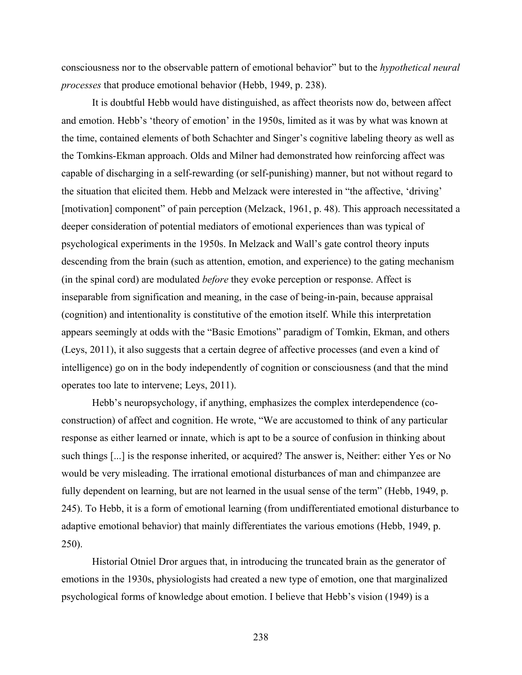consciousness nor to the observable pattern of emotional behavior" but to the *hypothetical neural processes* that produce emotional behavior (Hebb, 1949, p. 238).

It is doubtful Hebb would have distinguished, as affect theorists now do, between affect and emotion. Hebb's 'theory of emotion' in the 1950s, limited as it was by what was known at the time, contained elements of both Schachter and Singer's cognitive labeling theory as well as the Tomkins-Ekman approach. Olds and Milner had demonstrated how reinforcing affect was capable of discharging in a self-rewarding (or self-punishing) manner, but not without regard to the situation that elicited them. Hebb and Melzack were interested in "the affective, 'driving' [motivation] component" of pain perception (Melzack, 1961, p. 48). This approach necessitated a deeper consideration of potential mediators of emotional experiences than was typical of psychological experiments in the 1950s. In Melzack and Wall's gate control theory inputs descending from the brain (such as attention, emotion, and experience) to the gating mechanism (in the spinal cord) are modulated *before* they evoke perception or response. Affect is inseparable from signification and meaning, in the case of being-in-pain, because appraisal (cognition) and intentionality is constitutive of the emotion itself. While this interpretation appears seemingly at odds with the "Basic Emotions" paradigm of Tomkin, Ekman, and others (Leys, 2011), it also suggests that a certain degree of affective processes (and even a kind of intelligence) go on in the body independently of cognition or consciousness (and that the mind operates too late to intervene; Leys, 2011).

Hebb's neuropsychology, if anything, emphasizes the complex interdependence (coconstruction) of affect and cognition. He wrote, "We are accustomed to think of any particular response as either learned or innate, which is apt to be a source of confusion in thinking about such things [...] is the response inherited, or acquired? The answer is, Neither: either Yes or No would be very misleading. The irrational emotional disturbances of man and chimpanzee are fully dependent on learning, but are not learned in the usual sense of the term" (Hebb, 1949, p. 245). To Hebb, it is a form of emotional learning (from undifferentiated emotional disturbance to adaptive emotional behavior) that mainly differentiates the various emotions (Hebb, 1949, p. 250).

Historial Otniel Dror argues that, in introducing the truncated brain as the generator of emotions in the 1930s, physiologists had created a new type of emotion, one that marginalized psychological forms of knowledge about emotion. I believe that Hebb's vision (1949) is a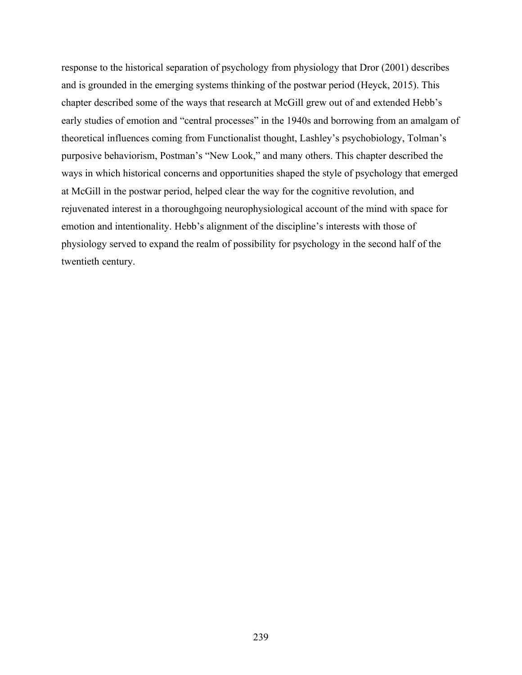response to the historical separation of psychology from physiology that Dror (2001) describes and is grounded in the emerging systems thinking of the postwar period (Heyck, 2015). This chapter described some of the ways that research at McGill grew out of and extended Hebb's early studies of emotion and "central processes" in the 1940s and borrowing from an amalgam of theoretical influences coming from Functionalist thought, Lashley's psychobiology, Tolman's purposive behaviorism, Postman's "New Look," and many others. This chapter described the ways in which historical concerns and opportunities shaped the style of psychology that emerged at McGill in the postwar period, helped clear the way for the cognitive revolution, and rejuvenated interest in a thoroughgoing neurophysiological account of the mind with space for emotion and intentionality. Hebb's alignment of the discipline's interests with those of physiology served to expand the realm of possibility for psychology in the second half of the twentieth century.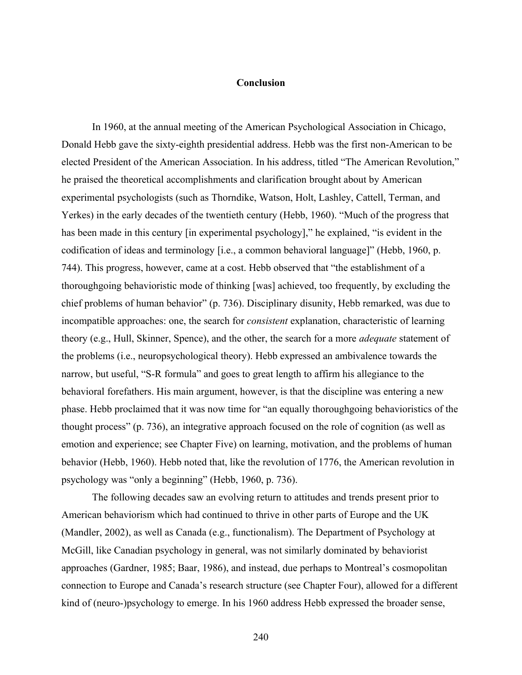### **Conclusion**

In 1960, at the annual meeting of the American Psychological Association in Chicago, Donald Hebb gave the sixty-eighth presidential address. Hebb was the first non-American to be elected President of the American Association. In his address, titled "The American Revolution," he praised the theoretical accomplishments and clarification brought about by American experimental psychologists (such as Thorndike, Watson, Holt, Lashley, Cattell, Terman, and Yerkes) in the early decades of the twentieth century (Hebb, 1960). "Much of the progress that has been made in this century [in experimental psychology]," he explained, "is evident in the codification of ideas and terminology [i.e., a common behavioral language]" (Hebb, 1960, p. 744). This progress, however, came at a cost. Hebb observed that "the establishment of a thoroughgoing behavioristic mode of thinking [was] achieved, too frequently, by excluding the chief problems of human behavior" (p. 736). Disciplinary disunity, Hebb remarked, was due to incompatible approaches: one, the search for *consistent* explanation, characteristic of learning theory (e.g., Hull, Skinner, Spence), and the other, the search for a more *adequate* statement of the problems (i.e., neuropsychological theory). Hebb expressed an ambivalence towards the narrow, but useful, "S-R formula" and goes to great length to affirm his allegiance to the behavioral forefathers. His main argument, however, is that the discipline was entering a new phase. Hebb proclaimed that it was now time for "an equally thoroughgoing behavioristics of the thought process" (p. 736), an integrative approach focused on the role of cognition (as well as emotion and experience; see Chapter Five) on learning, motivation, and the problems of human behavior (Hebb, 1960). Hebb noted that, like the revolution of 1776, the American revolution in psychology was "only a beginning" (Hebb, 1960, p. 736).

The following decades saw an evolving return to attitudes and trends present prior to American behaviorism which had continued to thrive in other parts of Europe and the UK (Mandler, 2002), as well as Canada (e.g., functionalism). The Department of Psychology at McGill, like Canadian psychology in general, was not similarly dominated by behaviorist approaches (Gardner, 1985; Baar, 1986), and instead, due perhaps to Montreal's cosmopolitan connection to Europe and Canada's research structure (see Chapter Four), allowed for a different kind of (neuro-)psychology to emerge. In his 1960 address Hebb expressed the broader sense,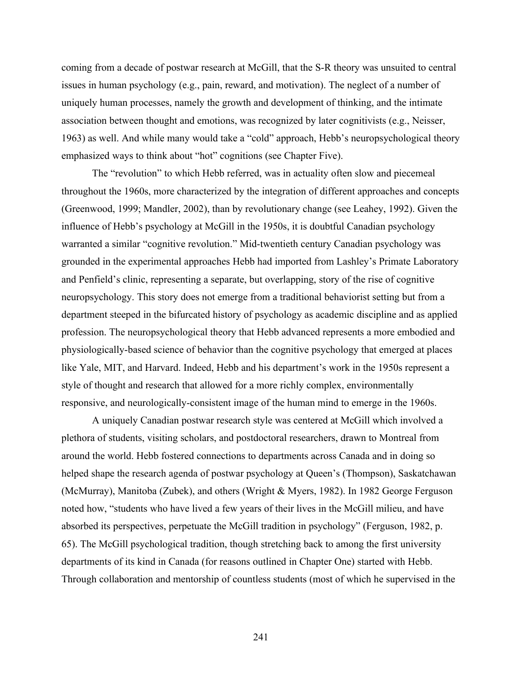coming from a decade of postwar research at McGill, that the S-R theory was unsuited to central issues in human psychology (e.g., pain, reward, and motivation). The neglect of a number of uniquely human processes, namely the growth and development of thinking, and the intimate association between thought and emotions, was recognized by later cognitivists (e.g., Neisser, 1963) as well. And while many would take a "cold" approach, Hebb's neuropsychological theory emphasized ways to think about "hot" cognitions (see Chapter Five).

The "revolution" to which Hebb referred, was in actuality often slow and piecemeal throughout the 1960s, more characterized by the integration of different approaches and concepts (Greenwood, 1999; Mandler, 2002), than by revolutionary change (see Leahey, 1992). Given the influence of Hebb's psychology at McGill in the 1950s, it is doubtful Canadian psychology warranted a similar "cognitive revolution." Mid-twentieth century Canadian psychology was grounded in the experimental approaches Hebb had imported from Lashley's Primate Laboratory and Penfield's clinic, representing a separate, but overlapping, story of the rise of cognitive neuropsychology. This story does not emerge from a traditional behaviorist setting but from a department steeped in the bifurcated history of psychology as academic discipline and as applied profession. The neuropsychological theory that Hebb advanced represents a more embodied and physiologically-based science of behavior than the cognitive psychology that emerged at places like Yale, MIT, and Harvard. Indeed, Hebb and his department's work in the 1950s represent a style of thought and research that allowed for a more richly complex, environmentally responsive, and neurologically-consistent image of the human mind to emerge in the 1960s.

A uniquely Canadian postwar research style was centered at McGill which involved a plethora of students, visiting scholars, and postdoctoral researchers, drawn to Montreal from around the world. Hebb fostered connections to departments across Canada and in doing so helped shape the research agenda of postwar psychology at Queen's (Thompson), Saskatchawan (McMurray), Manitoba (Zubek), and others (Wright & Myers, 1982). In 1982 George Ferguson noted how, "students who have lived a few years of their lives in the McGill milieu, and have absorbed its perspectives, perpetuate the McGill tradition in psychology" (Ferguson, 1982, p. 65). The McGill psychological tradition, though stretching back to among the first university departments of its kind in Canada (for reasons outlined in Chapter One) started with Hebb. Through collaboration and mentorship of countless students (most of which he supervised in the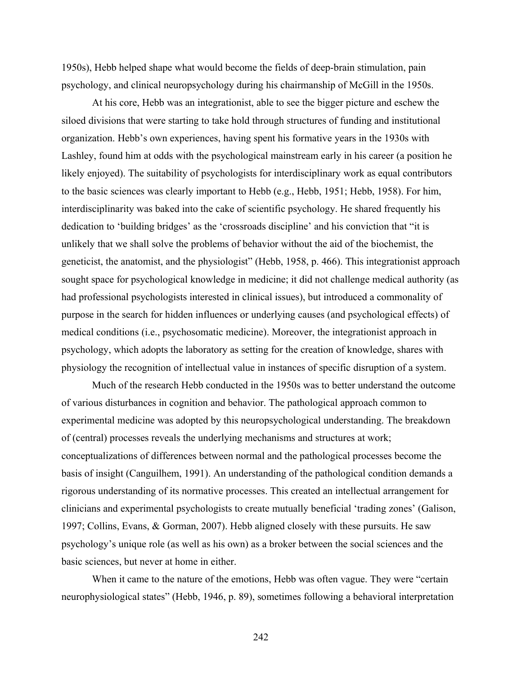1950s), Hebb helped shape what would become the fields of deep-brain stimulation, pain psychology, and clinical neuropsychology during his chairmanship of McGill in the 1950s.

At his core, Hebb was an integrationist, able to see the bigger picture and eschew the siloed divisions that were starting to take hold through structures of funding and institutional organization. Hebb's own experiences, having spent his formative years in the 1930s with Lashley, found him at odds with the psychological mainstream early in his career (a position he likely enjoyed). The suitability of psychologists for interdisciplinary work as equal contributors to the basic sciences was clearly important to Hebb (e.g., Hebb, 1951; Hebb, 1958). For him, interdisciplinarity was baked into the cake of scientific psychology. He shared frequently his dedication to 'building bridges' as the 'crossroads discipline' and his conviction that "it is unlikely that we shall solve the problems of behavior without the aid of the biochemist, the geneticist, the anatomist, and the physiologist" (Hebb, 1958, p. 466). This integrationist approach sought space for psychological knowledge in medicine; it did not challenge medical authority (as had professional psychologists interested in clinical issues), but introduced a commonality of purpose in the search for hidden influences or underlying causes (and psychological effects) of medical conditions (i.e., psychosomatic medicine). Moreover, the integrationist approach in psychology, which adopts the laboratory as setting for the creation of knowledge, shares with physiology the recognition of intellectual value in instances of specific disruption of a system.

Much of the research Hebb conducted in the 1950s was to better understand the outcome of various disturbances in cognition and behavior. The pathological approach common to experimental medicine was adopted by this neuropsychological understanding. The breakdown of (central) processes reveals the underlying mechanisms and structures at work; conceptualizations of differences between normal and the pathological processes become the basis of insight (Canguilhem, 1991). An understanding of the pathological condition demands a rigorous understanding of its normative processes. This created an intellectual arrangement for clinicians and experimental psychologists to create mutually beneficial 'trading zones' (Galison, 1997; Collins, Evans, & Gorman, 2007). Hebb aligned closely with these pursuits. He saw psychology's unique role (as well as his own) as a broker between the social sciences and the basic sciences, but never at home in either.

When it came to the nature of the emotions, Hebb was often vague. They were "certain neurophysiological states" (Hebb, 1946, p. 89), sometimes following a behavioral interpretation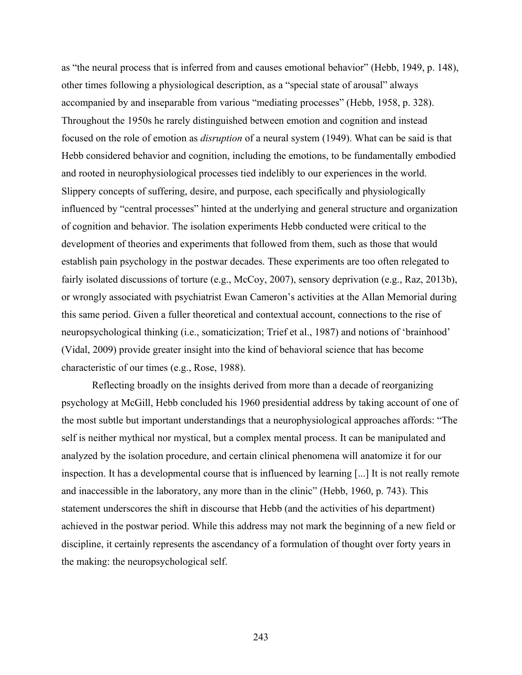as "the neural process that is inferred from and causes emotional behavior" (Hebb, 1949, p. 148), other times following a physiological description, as a "special state of arousal" always accompanied by and inseparable from various "mediating processes" (Hebb, 1958, p. 328). Throughout the 1950s he rarely distinguished between emotion and cognition and instead focused on the role of emotion as *disruption* of a neural system (1949). What can be said is that Hebb considered behavior and cognition, including the emotions, to be fundamentally embodied and rooted in neurophysiological processes tied indelibly to our experiences in the world. Slippery concepts of suffering, desire, and purpose, each specifically and physiologically influenced by "central processes" hinted at the underlying and general structure and organization of cognition and behavior. The isolation experiments Hebb conducted were critical to the development of theories and experiments that followed from them, such as those that would establish pain psychology in the postwar decades. These experiments are too often relegated to fairly isolated discussions of torture (e.g., McCoy, 2007), sensory deprivation (e.g., Raz, 2013b), or wrongly associated with psychiatrist Ewan Cameron's activities at the Allan Memorial during this same period. Given a fuller theoretical and contextual account, connections to the rise of neuropsychological thinking (i.e., somaticization; Trief et al., 1987) and notions of 'brainhood' (Vidal, 2009) provide greater insight into the kind of behavioral science that has become characteristic of our times (e.g., Rose, 1988).

Reflecting broadly on the insights derived from more than a decade of reorganizing psychology at McGill, Hebb concluded his 1960 presidential address by taking account of one of the most subtle but important understandings that a neurophysiological approaches affords: "The self is neither mythical nor mystical, but a complex mental process. It can be manipulated and analyzed by the isolation procedure, and certain clinical phenomena will anatomize it for our inspection. It has a developmental course that is influenced by learning [...] It is not really remote and inaccessible in the laboratory, any more than in the clinic" (Hebb, 1960, p. 743). This statement underscores the shift in discourse that Hebb (and the activities of his department) achieved in the postwar period. While this address may not mark the beginning of a new field or discipline, it certainly represents the ascendancy of a formulation of thought over forty years in the making: the neuropsychological self.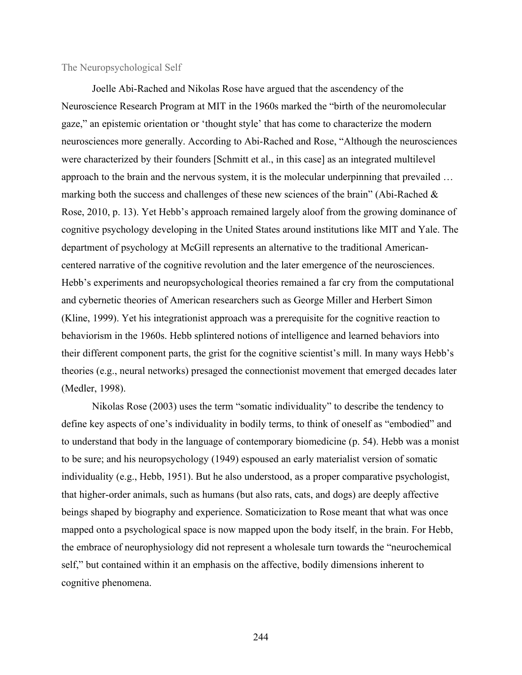### The Neuropsychological Self

Joelle Abi-Rached and Nikolas Rose have argued that the ascendency of the Neuroscience Research Program at MIT in the 1960s marked the "birth of the neuromolecular gaze," an epistemic orientation or 'thought style' that has come to characterize the modern neurosciences more generally. According to Abi-Rached and Rose, "Although the neurosciences were characterized by their founders [Schmitt et al., in this case] as an integrated multilevel approach to the brain and the nervous system, it is the molecular underpinning that prevailed … marking both the success and challenges of these new sciences of the brain" (Abi-Rached  $\&$ Rose, 2010, p. 13). Yet Hebb's approach remained largely aloof from the growing dominance of cognitive psychology developing in the United States around institutions like MIT and Yale. The department of psychology at McGill represents an alternative to the traditional Americancentered narrative of the cognitive revolution and the later emergence of the neurosciences. Hebb's experiments and neuropsychological theories remained a far cry from the computational and cybernetic theories of American researchers such as George Miller and Herbert Simon (Kline, 1999). Yet his integrationist approach was a prerequisite for the cognitive reaction to behaviorism in the 1960s. Hebb splintered notions of intelligence and learned behaviors into their different component parts, the grist for the cognitive scientist's mill. In many ways Hebb's theories (e.g., neural networks) presaged the connectionist movement that emerged decades later (Medler, 1998).

Nikolas Rose (2003) uses the term "somatic individuality" to describe the tendency to define key aspects of one's individuality in bodily terms, to think of oneself as "embodied" and to understand that body in the language of contemporary biomedicine (p. 54). Hebb was a monist to be sure; and his neuropsychology (1949) espoused an early materialist version of somatic individuality (e.g., Hebb, 1951). But he also understood, as a proper comparative psychologist, that higher-order animals, such as humans (but also rats, cats, and dogs) are deeply affective beings shaped by biography and experience. Somaticization to Rose meant that what was once mapped onto a psychological space is now mapped upon the body itself, in the brain. For Hebb, the embrace of neurophysiology did not represent a wholesale turn towards the "neurochemical self," but contained within it an emphasis on the affective, bodily dimensions inherent to cognitive phenomena.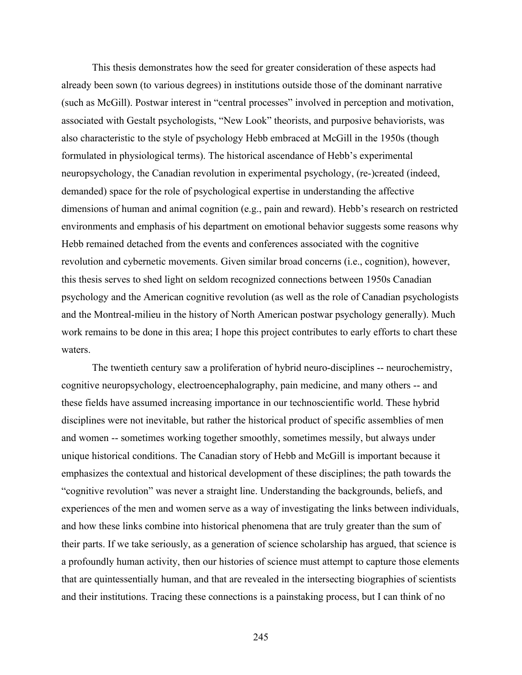This thesis demonstrates how the seed for greater consideration of these aspects had already been sown (to various degrees) in institutions outside those of the dominant narrative (such as McGill). Postwar interest in "central processes" involved in perception and motivation, associated with Gestalt psychologists, "New Look" theorists, and purposive behaviorists, was also characteristic to the style of psychology Hebb embraced at McGill in the 1950s (though formulated in physiological terms). The historical ascendance of Hebb's experimental neuropsychology, the Canadian revolution in experimental psychology, (re-)created (indeed, demanded) space for the role of psychological expertise in understanding the affective dimensions of human and animal cognition (e.g., pain and reward). Hebb's research on restricted environments and emphasis of his department on emotional behavior suggests some reasons why Hebb remained detached from the events and conferences associated with the cognitive revolution and cybernetic movements. Given similar broad concerns (i.e., cognition), however, this thesis serves to shed light on seldom recognized connections between 1950s Canadian psychology and the American cognitive revolution (as well as the role of Canadian psychologists and the Montreal-milieu in the history of North American postwar psychology generally). Much work remains to be done in this area; I hope this project contributes to early efforts to chart these waters.

The twentieth century saw a proliferation of hybrid neuro-disciplines -- neurochemistry, cognitive neuropsychology, electroencephalography, pain medicine, and many others -- and these fields have assumed increasing importance in our technoscientific world. These hybrid disciplines were not inevitable, but rather the historical product of specific assemblies of men and women -- sometimes working together smoothly, sometimes messily, but always under unique historical conditions. The Canadian story of Hebb and McGill is important because it emphasizes the contextual and historical development of these disciplines; the path towards the "cognitive revolution" was never a straight line. Understanding the backgrounds, beliefs, and experiences of the men and women serve as a way of investigating the links between individuals, and how these links combine into historical phenomena that are truly greater than the sum of their parts. If we take seriously, as a generation of science scholarship has argued, that science is a profoundly human activity, then our histories of science must attempt to capture those elements that are quintessentially human, and that are revealed in the intersecting biographies of scientists and their institutions. Tracing these connections is a painstaking process, but I can think of no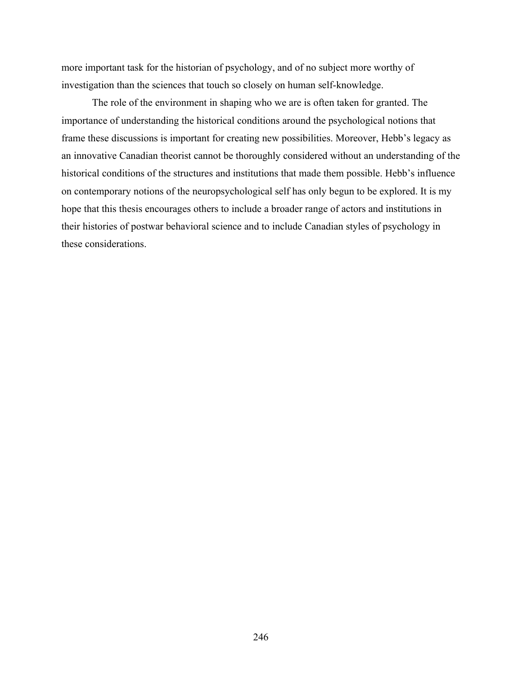more important task for the historian of psychology, and of no subject more worthy of investigation than the sciences that touch so closely on human self-knowledge.

The role of the environment in shaping who we are is often taken for granted. The importance of understanding the historical conditions around the psychological notions that frame these discussions is important for creating new possibilities. Moreover, Hebb's legacy as an innovative Canadian theorist cannot be thoroughly considered without an understanding of the historical conditions of the structures and institutions that made them possible. Hebb's influence on contemporary notions of the neuropsychological self has only begun to be explored. It is my hope that this thesis encourages others to include a broader range of actors and institutions in their histories of postwar behavioral science and to include Canadian styles of psychology in these considerations.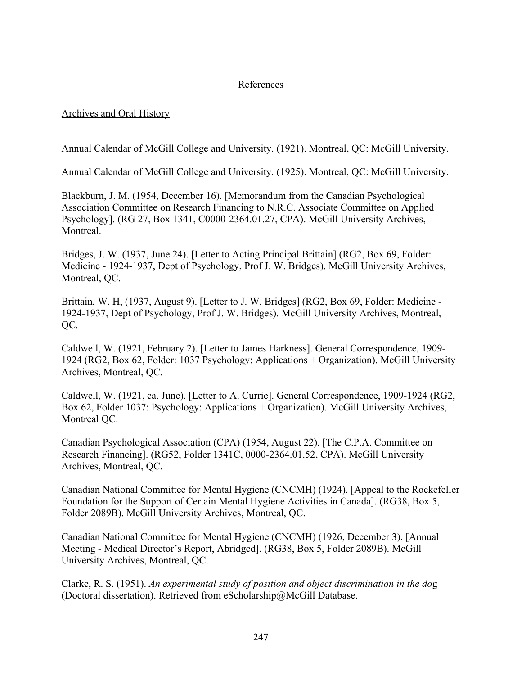# **References**

# Archives and Oral History

Annual Calendar of McGill College and University. (1921). Montreal, QC: McGill University.

Annual Calendar of McGill College and University. (1925). Montreal, QC: McGill University.

Blackburn, J. M. (1954, December 16). [Memorandum from the Canadian Psychological Association Committee on Research Financing to N.R.C. Associate Committee on Applied Psychology]. (RG 27, Box 1341, C0000-2364.01.27, CPA). McGill University Archives, Montreal.

Bridges, J. W. (1937, June 24). [Letter to Acting Principal Brittain] (RG2, Box 69, Folder: Medicine - 1924-1937, Dept of Psychology, Prof J. W. Bridges). McGill University Archives, Montreal, QC.

Brittain, W. H, (1937, August 9). [Letter to J. W. Bridges] (RG2, Box 69, Folder: Medicine - 1924-1937, Dept of Psychology, Prof J. W. Bridges). McGill University Archives, Montreal, QC.

Caldwell, W. (1921, February 2). [Letter to James Harkness]. General Correspondence, 1909- 1924 (RG2, Box 62, Folder: 1037 Psychology: Applications + Organization). McGill University Archives, Montreal, QC.

Caldwell, W. (1921, ca. June). [Letter to A. Currie]. General Correspondence, 1909-1924 (RG2, Box 62, Folder 1037: Psychology: Applications + Organization). McGill University Archives, Montreal OC.

Canadian Psychological Association (CPA) (1954, August 22). [The C.P.A. Committee on Research Financing]. (RG52, Folder 1341C, 0000-2364.01.52, CPA). McGill University Archives, Montreal, QC.

Canadian National Committee for Mental Hygiene (CNCMH) (1924). [Appeal to the Rockefeller Foundation for the Support of Certain Mental Hygiene Activities in Canada]. (RG38, Box 5, Folder 2089B). McGill University Archives, Montreal, QC.

Canadian National Committee for Mental Hygiene (CNCMH) (1926, December 3). [Annual Meeting - Medical Director's Report, Abridged]. (RG38, Box 5, Folder 2089B). McGill University Archives, Montreal, QC.

Clarke, R. S. (1951). *An experimental study of position and object discrimination in the do*g (Doctoral dissertation). Retrieved from eScholarship@McGill Database.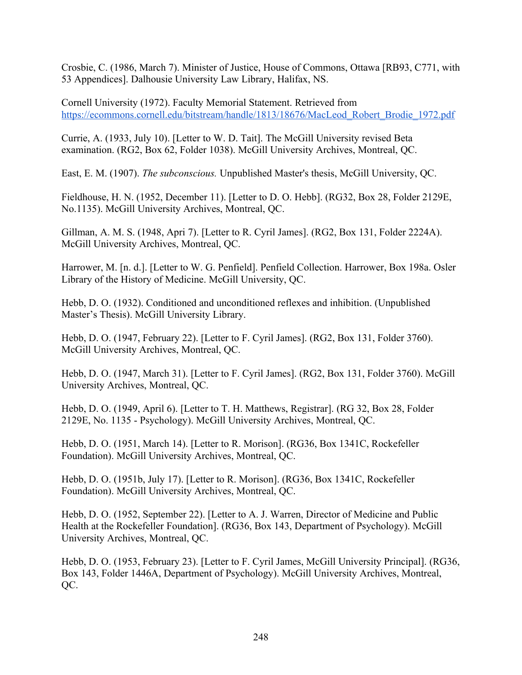Crosbie, C. (1986, March 7). Minister of Justice, House of Commons, Ottawa [RB93, C771, with 53 Appendices]. Dalhousie University Law Library, Halifax, NS.

Cornell University (1972). Faculty Memorial Statement. Retrieved from [https://ecommons.cornell.edu/bitstream/handle/1813/18676/MacLeod\\_Robert\\_Brodie\\_1972.pdf](https://ecommons.cornell.edu/bitstream/handle/1813/18676/MacLeod_Robert_Brodie_1972.pdf)

Currie, A. (1933, July 10). [Letter to W. D. Tait]. The McGill University revised Beta examination. (RG2, Box 62, Folder 1038). McGill University Archives, Montreal, QC.

East, E. M. (1907). *The subconscious.* Unpublished Master's thesis, McGill University, QC.

Fieldhouse, H. N. (1952, December 11). [Letter to D. O. Hebb]. (RG32, Box 28, Folder 2129E, No.1135). McGill University Archives, Montreal, QC.

Gillman, A. M. S. (1948, Apri 7). [Letter to R. Cyril James]. (RG2, Box 131, Folder 2224A). McGill University Archives, Montreal, QC.

Harrower, M. [n. d.]. [Letter to W. G. Penfield]. Penfield Collection. Harrower, Box 198a. Osler Library of the History of Medicine. McGill University, QC.

Hebb, D. O. (1932). Conditioned and unconditioned reflexes and inhibition. (Unpublished Master's Thesis). McGill University Library.

Hebb, D. O. (1947, February 22). [Letter to F. Cyril James]. (RG2, Box 131, Folder 3760). McGill University Archives, Montreal, QC.

Hebb, D. O. (1947, March 31). [Letter to F. Cyril James]. (RG2, Box 131, Folder 3760). McGill University Archives, Montreal, QC.

Hebb, D. O. (1949, April 6). [Letter to T. H. Matthews, Registrar]. (RG 32, Box 28, Folder 2129E, No. 1135 - Psychology). McGill University Archives, Montreal, QC.

Hebb, D. O. (1951, March 14). [Letter to R. Morison]. (RG36, Box 1341C, Rockefeller Foundation). McGill University Archives, Montreal, QC.

Hebb, D. O. (1951b, July 17). [Letter to R. Morison]. (RG36, Box 1341C, Rockefeller Foundation). McGill University Archives, Montreal, QC.

Hebb, D. O. (1952, September 22). [Letter to A. J. Warren, Director of Medicine and Public Health at the Rockefeller Foundation]. (RG36, Box 143, Department of Psychology). McGill University Archives, Montreal, QC.

Hebb, D. O. (1953, February 23). [Letter to F. Cyril James, McGill University Principal]. (RG36, Box 143, Folder 1446A, Department of Psychology). McGill University Archives, Montreal, QC.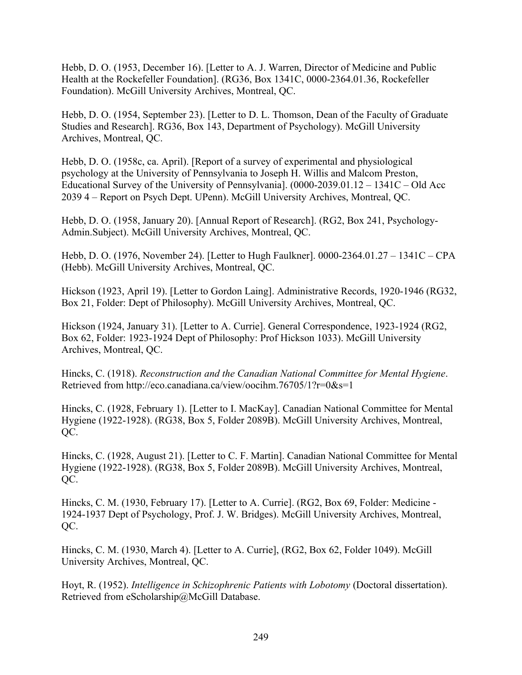Hebb, D. O. (1953, December 16). [Letter to A. J. Warren, Director of Medicine and Public Health at the Rockefeller Foundation]. (RG36, Box 1341C, 0000-2364.01.36, Rockefeller Foundation). McGill University Archives, Montreal, QC.

Hebb, D. O. (1954, September 23). [Letter to D. L. Thomson, Dean of the Faculty of Graduate Studies and Research]. RG36, Box 143, Department of Psychology). McGill University Archives, Montreal, QC.

Hebb, D. O. (1958c, ca. April). [Report of a survey of experimental and physiological psychology at the University of Pennsylvania to Joseph H. Willis and Malcom Preston, Educational Survey of the University of Pennsylvania]. (0000-2039.01.12 – 1341C – Old Acc 2039 4 – Report on Psych Dept. UPenn). McGill University Archives, Montreal, QC.

Hebb, D. O. (1958, January 20). [Annual Report of Research]. (RG2, Box 241, Psychology-Admin.Subject). McGill University Archives, Montreal, QC.

Hebb, D. O. (1976, November 24). [Letter to Hugh Faulkner]. 0000-2364.01.27 – 1341C – CPA (Hebb). McGill University Archives, Montreal, QC.

Hickson (1923, April 19). [Letter to Gordon Laing]. Administrative Records, 1920-1946 (RG32, Box 21, Folder: Dept of Philosophy). McGill University Archives, Montreal, QC.

Hickson (1924, January 31). [Letter to A. Currie]. General Correspondence, 1923-1924 (RG2, Box 62, Folder: 1923-1924 Dept of Philosophy: Prof Hickson 1033). McGill University Archives, Montreal, QC.

Hincks, C. (1918). *Reconstruction and the Canadian National Committee for Mental Hygiene*. Retrieved from http://eco.canadiana.ca/view/oocihm.76705/1?r=0&s=1

Hincks, C. (1928, February 1). [Letter to I. MacKay]. Canadian National Committee for Mental Hygiene (1922-1928). (RG38, Box 5, Folder 2089B). McGill University Archives, Montreal, QC.

Hincks, C. (1928, August 21). [Letter to C. F. Martin]. Canadian National Committee for Mental Hygiene (1922-1928). (RG38, Box 5, Folder 2089B). McGill University Archives, Montreal, QC.

Hincks, C. M. (1930, February 17). [Letter to A. Currie]. (RG2, Box 69, Folder: Medicine - 1924-1937 Dept of Psychology, Prof. J. W. Bridges). McGill University Archives, Montreal, QC.

Hincks, C. M. (1930, March 4). [Letter to A. Currie], (RG2, Box 62, Folder 1049). McGill University Archives, Montreal, QC.

Hoyt, R. (1952). *Intelligence in Schizophrenic Patients with Lobotomy* (Doctoral dissertation). Retrieved from eScholarship@McGill Database.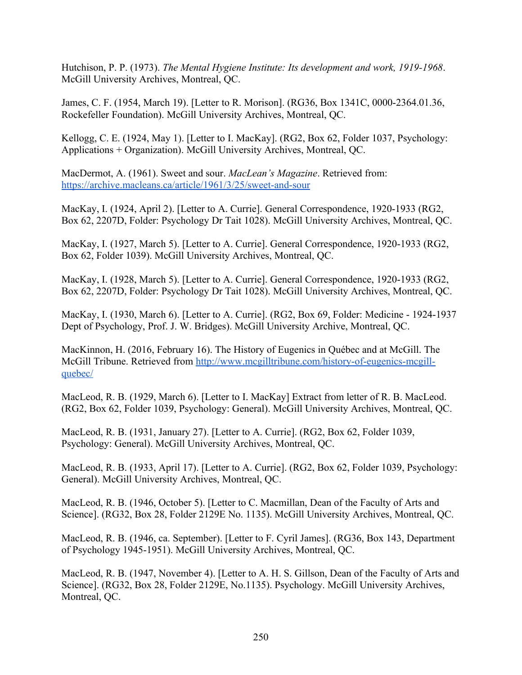Hutchison, P. P. (1973). *The Mental Hygiene Institute: Its development and work, 1919-1968*. McGill University Archives, Montreal, QC.

James, C. F. (1954, March 19). [Letter to R. Morison]. (RG36, Box 1341C, 0000-2364.01.36, Rockefeller Foundation). McGill University Archives, Montreal, QC.

Kellogg, C. E. (1924, May 1). [Letter to I. MacKay]. (RG2, Box 62, Folder 1037, Psychology: Applications + Organization). McGill University Archives, Montreal, QC.

MacDermot, A. (1961). Sweet and sour. *MacLean's Magazine*. Retrieved from: <https://archive.macleans.ca/article/1961/3/25/sweet-and-sour>

MacKay, I. (1924, April 2). [Letter to A. Currie]. General Correspondence, 1920-1933 (RG2, Box 62, 2207D, Folder: Psychology Dr Tait 1028). McGill University Archives, Montreal, QC.

MacKay, I. (1927, March 5). [Letter to A. Currie]. General Correspondence, 1920-1933 (RG2, Box 62, Folder 1039). McGill University Archives, Montreal, QC.

MacKay, I. (1928, March 5). [Letter to A. Currie]. General Correspondence, 1920-1933 (RG2, Box 62, 2207D, Folder: Psychology Dr Tait 1028). McGill University Archives, Montreal, QC.

MacKay, I. (1930, March 6). [Letter to A. Currie]. (RG2, Box 69, Folder: Medicine - 1924-1937 Dept of Psychology, Prof. J. W. Bridges). McGill University Archive, Montreal, QC.

MacKinnon, H. (2016, February 16). The History of Eugenics in Québec and at McGill. The McGill Tribune. Retrieved from [http://www.mcgilltribune.com/history-of-eugenics-mcgill](http://www.mcgilltribune.com/history-of-eugenics-mcgill-quebec/)[quebec/](http://www.mcgilltribune.com/history-of-eugenics-mcgill-quebec/)

MacLeod, R. B. (1929, March 6). [Letter to I. MacKay] Extract from letter of R. B. MacLeod. (RG2, Box 62, Folder 1039, Psychology: General). McGill University Archives, Montreal, QC.

MacLeod, R. B. (1931, January 27). [Letter to A. Currie]. (RG2, Box 62, Folder 1039, Psychology: General). McGill University Archives, Montreal, QC.

MacLeod, R. B. (1933, April 17). [Letter to A. Currie]. (RG2, Box 62, Folder 1039, Psychology: General). McGill University Archives, Montreal, QC.

MacLeod, R. B. (1946, October 5). [Letter to C. Macmillan, Dean of the Faculty of Arts and Science]. (RG32, Box 28, Folder 2129E No. 1135). McGill University Archives, Montreal, QC.

MacLeod, R. B. (1946, ca. September). [Letter to F. Cyril James]. (RG36, Box 143, Department of Psychology 1945-1951). McGill University Archives, Montreal, QC.

MacLeod, R. B. (1947, November 4). [Letter to A. H. S. Gillson, Dean of the Faculty of Arts and Science]. (RG32, Box 28, Folder 2129E, No.1135). Psychology. McGill University Archives, Montreal, QC.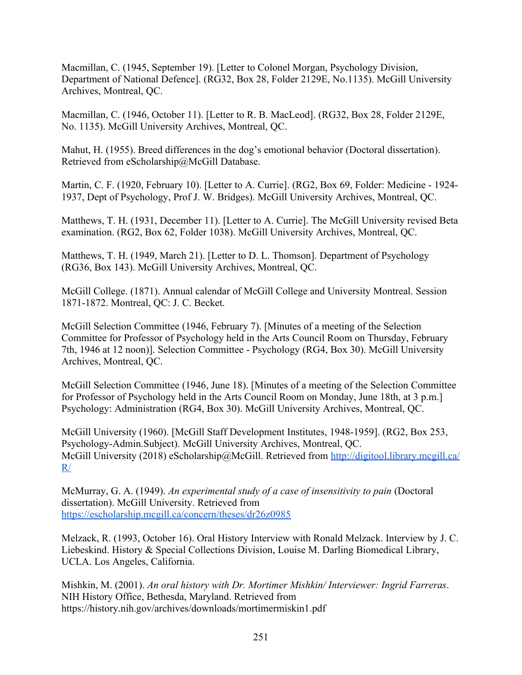Macmillan, C. (1945, September 19). [Letter to Colonel Morgan, Psychology Division, Department of National Defence]. (RG32, Box 28, Folder 2129E, No.1135). McGill University Archives, Montreal, QC.

Macmillan, C. (1946, October 11). [Letter to R. B. MacLeod]. (RG32, Box 28, Folder 2129E, No. 1135). McGill University Archives, Montreal, QC.

Mahut, H. (1955). Breed differences in the dog's emotional behavior (Doctoral dissertation). Retrieved from eScholarship@McGill Database.

Martin, C. F. (1920, February 10). [Letter to A. Currie]. (RG2, Box 69, Folder: Medicine - 1924- 1937, Dept of Psychology, Prof J. W. Bridges). McGill University Archives, Montreal, QC.

Matthews, T. H. (1931, December 11). [Letter to A. Currie]. The McGill University revised Beta examination. (RG2, Box 62, Folder 1038). McGill University Archives, Montreal, QC.

Matthews, T. H. (1949, March 21). [Letter to D. L. Thomson]. Department of Psychology (RG36, Box 143). McGill University Archives, Montreal, QC.

McGill College. (1871). Annual calendar of McGill College and University Montreal. Session 1871-1872. Montreal, QC: J. C. Becket.

McGill Selection Committee (1946, February 7). [Minutes of a meeting of the Selection Committee for Professor of Psychology held in the Arts Council Room on Thursday, February 7th, 1946 at 12 noon)]. Selection Committee - Psychology (RG4, Box 30). McGill University Archives, Montreal, QC.

McGill Selection Committee (1946, June 18). [Minutes of a meeting of the Selection Committee for Professor of Psychology held in the Arts Council Room on Monday, June 18th, at 3 p.m.] Psychology: Administration (RG4, Box 30). McGill University Archives, Montreal, QC.

McGill University (1960). [McGill Staff Development Institutes, 1948-1959]. (RG2, Box 253, Psychology-Admin.Subject). McGill University Archives, Montreal, QC. McGill University (2018) eScholarship@McGill. Retrieved from [http://digitool.library.mcgill.ca/](http://digitool.library.mcgill.ca/R/)  $R/$ 

McMurray, G. A. (1949). *An experimental study of a case of insensitivity to pain* (Doctoral dissertation). McGill University. Retrieved from <https://escholarship.mcgill.ca/concern/theses/dr26z0985>

Melzack, R. (1993, October 16). Oral History Interview with Ronald Melzack. Interview by J. C. Liebeskind. History & Special Collections Division, Louise M. Darling Biomedical Library, UCLA. Los Angeles, California.

Mishkin, M. (2001). *An oral history with Dr. Mortimer Mishkin/ Interviewer: Ingrid Farreras*. NIH History Office, Bethesda, Maryland. Retrieved from https://history.nih.gov/archives/downloads/mortimermiskin1.pdf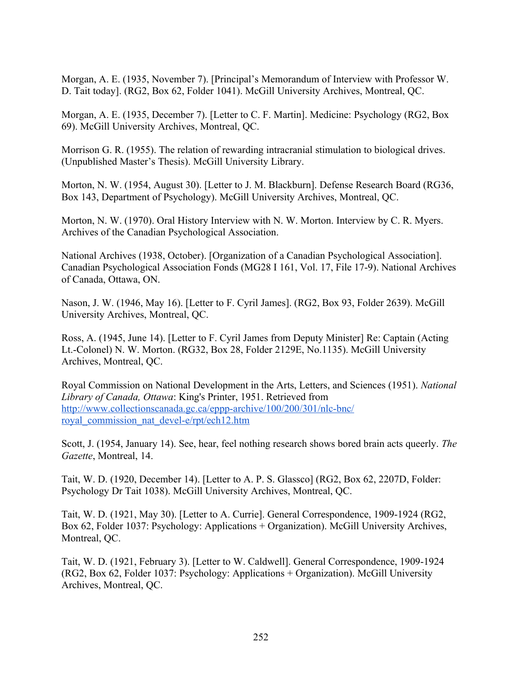Morgan, A. E. (1935, November 7). [Principal's Memorandum of Interview with Professor W. D. Tait today]. (RG2, Box 62, Folder 1041). McGill University Archives, Montreal, QC.

Morgan, A. E. (1935, December 7). [Letter to C. F. Martin]. Medicine: Psychology (RG2, Box 69). McGill University Archives, Montreal, QC.

Morrison G. R. (1955). The relation of rewarding intracranial stimulation to biological drives. (Unpublished Master's Thesis). McGill University Library.

Morton, N. W. (1954, August 30). [Letter to J. M. Blackburn]. Defense Research Board (RG36, Box 143, Department of Psychology). McGill University Archives, Montreal, QC.

Morton, N. W. (1970). Oral History Interview with N. W. Morton. Interview by C. R. Myers. Archives of the Canadian Psychological Association.

National Archives (1938, October). [Organization of a Canadian Psychological Association]. Canadian Psychological Association Fonds (MG28 I 161, Vol. 17, File 17-9). National Archives of Canada, Ottawa, ON.

Nason, J. W. (1946, May 16). [Letter to F. Cyril James]. (RG2, Box 93, Folder 2639). McGill University Archives, Montreal, QC.

Ross, A. (1945, June 14). [Letter to F. Cyril James from Deputy Minister] Re: Captain (Acting Lt.-Colonel) N. W. Morton. (RG32, Box 28, Folder 2129E, No.1135). McGill University Archives, Montreal, QC.

Royal Commission on National Development in the Arts, Letters, and Sciences (1951). *National Library of Canada, Ottawa*: King's Printer, 1951. Retrieved from [http://www.collectionscanada.gc.ca/eppp-archive/100/200/301/nlc-bnc/](http://www.collectionscanada.gc.ca/eppp-archive/100/200/301/nlc-bnc/royal_commission_nat_devel-e/rpt/ech12.htm) [royal\\_commission\\_nat\\_devel-e/rpt/ech12.htm](http://www.collectionscanada.gc.ca/eppp-archive/100/200/301/nlc-bnc/royal_commission_nat_devel-e/rpt/ech12.htm)

Scott, J. (1954, January 14). See, hear, feel nothing research shows bored brain acts queerly. *The Gazette*, Montreal, 14.

Tait, W. D. (1920, December 14). [Letter to A. P. S. Glassco] (RG2, Box 62, 2207D, Folder: Psychology Dr Tait 1038). McGill University Archives, Montreal, QC.

Tait, W. D. (1921, May 30). [Letter to A. Currie]. General Correspondence, 1909-1924 (RG2, Box 62, Folder 1037: Psychology: Applications + Organization). McGill University Archives, Montreal, QC.

Tait, W. D. (1921, February 3). [Letter to W. Caldwell]. General Correspondence, 1909-1924 (RG2, Box 62, Folder 1037: Psychology: Applications + Organization). McGill University Archives, Montreal, QC.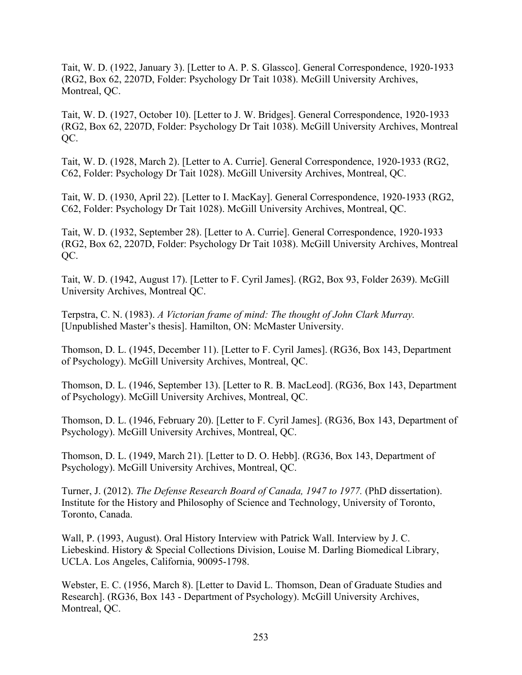Tait, W. D. (1922, January 3). [Letter to A. P. S. Glassco]. General Correspondence, 1920-1933 (RG2, Box 62, 2207D, Folder: Psychology Dr Tait 1038). McGill University Archives, Montreal, QC.

Tait, W. D. (1927, October 10). [Letter to J. W. Bridges]. General Correspondence, 1920-1933 (RG2, Box 62, 2207D, Folder: Psychology Dr Tait 1038). McGill University Archives, Montreal OC.

Tait, W. D. (1928, March 2). [Letter to A. Currie]. General Correspondence, 1920-1933 (RG2, C62, Folder: Psychology Dr Tait 1028). McGill University Archives, Montreal, QC.

Tait, W. D. (1930, April 22). [Letter to I. MacKay]. General Correspondence, 1920-1933 (RG2, C62, Folder: Psychology Dr Tait 1028). McGill University Archives, Montreal, QC.

Tait, W. D. (1932, September 28). [Letter to A. Currie]. General Correspondence, 1920-1933 (RG2, Box 62, 2207D, Folder: Psychology Dr Tait 1038). McGill University Archives, Montreal QC.

Tait, W. D. (1942, August 17). [Letter to F. Cyril James]. (RG2, Box 93, Folder 2639). McGill University Archives, Montreal QC.

Terpstra, C. N. (1983). *A Victorian frame of mind: The thought of John Clark Murray.*  [Unpublished Master's thesis]. Hamilton, ON: McMaster University.

Thomson, D. L. (1945, December 11). [Letter to F. Cyril James]. (RG36, Box 143, Department of Psychology). McGill University Archives, Montreal, QC.

Thomson, D. L. (1946, September 13). [Letter to R. B. MacLeod]. (RG36, Box 143, Department of Psychology). McGill University Archives, Montreal, QC.

Thomson, D. L. (1946, February 20). [Letter to F. Cyril James]. (RG36, Box 143, Department of Psychology). McGill University Archives, Montreal, QC.

Thomson, D. L. (1949, March 21). [Letter to D. O. Hebb]. (RG36, Box 143, Department of Psychology). McGill University Archives, Montreal, QC.

Turner, J. (2012). *The Defense Research Board of Canada, 1947 to 1977.* (PhD dissertation). Institute for the History and Philosophy of Science and Technology, University of Toronto, Toronto, Canada.

Wall, P. (1993, August). Oral History Interview with Patrick Wall. Interview by J. C. Liebeskind. History & Special Collections Division, Louise M. Darling Biomedical Library, UCLA. Los Angeles, California, 90095-1798.

Webster, E. C. (1956, March 8). [Letter to David L. Thomson, Dean of Graduate Studies and Research]. (RG36, Box 143 - Department of Psychology). McGill University Archives, Montreal, QC.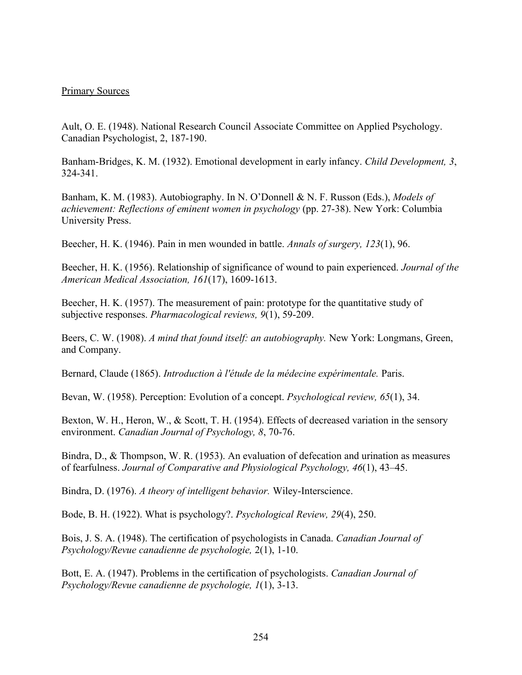## Primary Sources

Ault, O. E. (1948). National Research Council Associate Committee on Applied Psychology. Canadian Psychologist, 2, 187-190.

Banham-Bridges, K. M. (1932). Emotional development in early infancy. *Child Development, 3*, 324-341.

Banham, K. M. (1983). Autobiography. In N. O'Donnell & N. F. Russon (Eds.), *Models of achievement: Reflections of eminent women in psychology (pp. 27-38). New York: Columbia* University Press.

Beecher, H. K. (1946). Pain in men wounded in battle. *Annals of surgery, 123*(1), 96.

Beecher, H. K. (1956). Relationship of significance of wound to pain experienced. *Journal of the American Medical Association, 161*(17), 1609-1613.

Beecher, H. K. (1957). The measurement of pain: prototype for the quantitative study of subjective responses. *Pharmacological reviews, 9*(1), 59-209.

Beers, C. W. (1908). *A mind that found itself: an autobiography.* New York: Longmans, Green, and Company.

Bernard, Claude (1865). *Introduction à l'étude de la médecine expérimentale.* Paris.

Bevan, W. (1958). Perception: Evolution of a concept. *Psychological review, 65*(1), 34.

Bexton, W. H., Heron, W., & Scott, T. H. (1954). Effects of decreased variation in the sensory environment. *Canadian Journal of Psychology, 8*, 70-76.

Bindra, D., & Thompson, W. R. (1953). An evaluation of defecation and urination as measures of fearfulness. *Journal of Comparative and Physiological Psychology, 46*(1), 43–45.

Bindra, D. (1976). *A theory of intelligent behavior.* Wiley-Interscience.

Bode, B. H. (1922). What is psychology?. *Psychological Review, 29*(4), 250.

Bois, J. S. A. (1948). The certification of psychologists in Canada. *Canadian Journal of Psychology/Revue canadienne de psychologie,* 2(1), 1-10.

Bott, E. A. (1947). Problems in the certification of psychologists. *Canadian Journal of Psychology/Revue canadienne de psychologie, 1*(1), 3-13.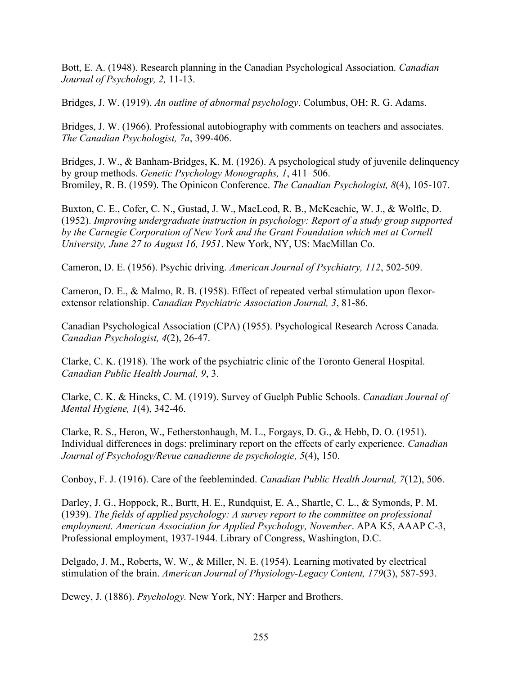Bott, E. A. (1948). Research planning in the Canadian Psychological Association. *Canadian Journal of Psychology, 2,* 11-13.

Bridges, J. W. (1919). *An outline of abnormal psychology*. Columbus, OH: R. G. Adams.

Bridges, J. W. (1966). Professional autobiography with comments on teachers and associates. *The Canadian Psychologist, 7a*, 399-406.

Bridges, J. W., & Banham-Bridges, K. M. (1926). A psychological study of juvenile delinquency by group methods. *Genetic Psychology Monographs, 1*, 411–506. Bromiley, R. B. (1959). The Opinicon Conference. *The Canadian Psychologist, 8*(4), 105-107.

Buxton, C. E., Cofer, C. N., Gustad, J. W., MacLeod, R. B., McKeachie, W. J., & Wolfle, D. (1952). *Improving undergraduate instruction in psychology: Report of a study group supported by the Carnegie Corporation of New York and the Grant Foundation which met at Cornell University, June 27 to August 16, 1951*. New York, NY, US: MacMillan Co.

Cameron, D. E. (1956). Psychic driving. *American Journal of Psychiatry, 112*, 502-509.

Cameron, D. E., & Malmo, R. B. (1958). Effect of repeated verbal stimulation upon flexorextensor relationship. *Canadian Psychiatric Association Journal, 3*, 81-86.

Canadian Psychological Association (CPA) (1955). Psychological Research Across Canada. *Canadian Psychologist, 4*(2), 26-47.

Clarke, C. K. (1918). The work of the psychiatric clinic of the Toronto General Hospital. *Canadian Public Health Journal, 9*, 3.

Clarke, C. K. & Hincks, C. M. (1919). Survey of Guelph Public Schools. *Canadian Journal of Mental Hygiene, 1*(4), 342-46.

Clarke, R. S., Heron, W., Fetherstonhaugh, M. L., Forgays, D. G., & Hebb, D. O. (1951). Individual differences in dogs: preliminary report on the effects of early experience. *Canadian Journal of Psychology/Revue canadienne de psychologie, 5*(4), 150.

Conboy, F. J. (1916). Care of the feebleminded. *Canadian Public Health Journal, 7*(12), 506.

Darley, J. G., Hoppock, R., Burtt, H. E., Rundquist, E. A., Shartle, C. L., & Symonds, P. M. (1939). *The fields of applied psychology: A survey report to the committee on professional employment. American Association for Applied Psychology, November*. APA K5, AAAP C-3, Professional employment, 1937-1944. Library of Congress, Washington, D.C.

Delgado, J. M., Roberts, W. W., & Miller, N. E. (1954). Learning motivated by electrical stimulation of the brain. *American Journal of Physiology-Legacy Content, 179*(3), 587-593.

Dewey, J. (1886). *Psychology.* New York, NY: Harper and Brothers.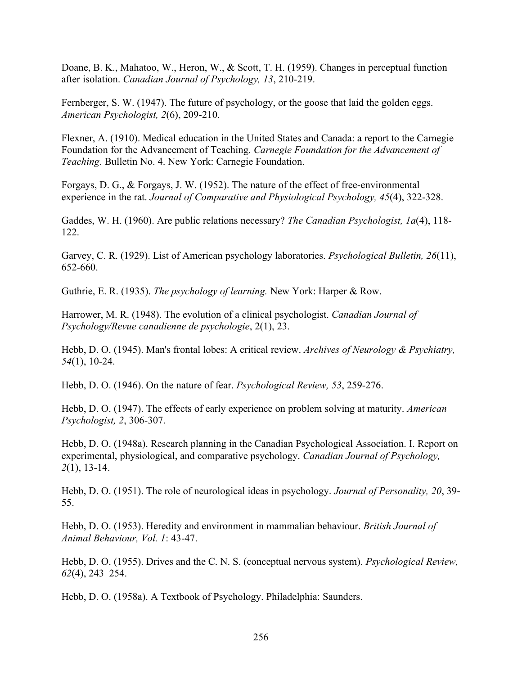Doane, B. K., Mahatoo, W., Heron, W., & Scott, T. H. (1959). Changes in perceptual function after isolation. *Canadian Journal of Psychology, 13*, 210-219.

Fernberger, S. W. (1947). The future of psychology, or the goose that laid the golden eggs. *American Psychologist, 2*(6), 209-210.

Flexner, A. (1910). Medical education in the United States and Canada: a report to the Carnegie Foundation for the Advancement of Teaching. *Carnegie Foundation for the Advancement of Teaching*. Bulletin No. 4. New York: Carnegie Foundation.

Forgays, D. G., & Forgays, J. W. (1952). The nature of the effect of free-environmental experience in the rat. *Journal of Comparative and Physiological Psychology, 45*(4), 322-328.

Gaddes, W. H. (1960). Are public relations necessary? *The Canadian Psychologist, 1a*(4), 118- 122.

Garvey, C. R. (1929). List of American psychology laboratories. *Psychological Bulletin, 26*(11), 652-660.

Guthrie, E. R. (1935). *The psychology of learning.* New York: Harper & Row.

Harrower, M. R. (1948). The evolution of a clinical psychologist. *Canadian Journal of Psychology/Revue canadienne de psychologie*, 2(1), 23.

Hebb, D. O. (1945). Man's frontal lobes: A critical review. *Archives of Neurology & Psychiatry, 54*(1), 10-24.

Hebb, D. O. (1946). On the nature of fear. *Psychological Review, 53*, 259-276.

Hebb, D. O. (1947). The effects of early experience on problem solving at maturity. *American Psychologist, 2*, 306-307.

Hebb, D. O. (1948a). Research planning in the Canadian Psychological Association. I. Report on experimental, physiological, and comparative psychology. *Canadian Journal of Psychology, 2*(1), 13-14.

Hebb, D. O. (1951). The role of neurological ideas in psychology. *Journal of Personality, 20*, 39- 55.

Hebb, D. O. (1953). Heredity and environment in mammalian behaviour. *British Journal of Animal Behaviour, Vol. 1*: 43-47.

Hebb, D. O. (1955). Drives and the C. N. S. (conceptual nervous system). *Psychological Review, 62*(4), 243–254.

Hebb, D. O. (1958a). A Textbook of Psychology. Philadelphia: Saunders.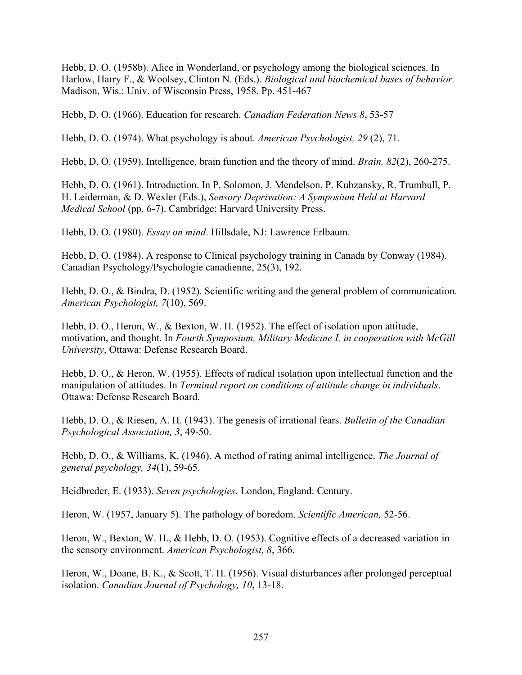Hebb, D. O. (1958b). Alice in Wonderland, or psychology among the biological sciences. In Harlow, Harry F., & Woolsey, Clinton N. (Eds.). *Biological and biochemical bases of behavior.*  Madison, Wis.: Univ. of Wisconsin Press, 1958. Pp. 451-467

Hebb, D. O. (1966). Education for research. *Canadian Federation News 8*, 53-57

Hebb, D. O. (1974). What psychology is about. *American Psychologist, 29* (2), 71.

Hebb, D. O. (1959). Intelligence, brain function and the theory of mind. *Brain, 82*(2), 260-275.

Hebb, D. O. (1961). Introduction. In P. Solomon, J. Mendelson, P. Kubzansky, R. Trumbull, P. H. Leiderman, & D. Wexler (Eds.), *Sensory Deprivation: A Symposium Held at Harvard Medical School* (pp. 6-7). Cambridge: Harvard University Press.

Hebb, D. O. (1980). *Essay on mind*. Hillsdale, NJ: Lawrence Erlbaum.

Hebb, D. O. (1984). A response to Clinical psychology training in Canada by Conway (1984). Canadian Psychology/Psychologie canadienne, 25(3), 192.

Hebb, D. O., & Bindra, D. (1952). Scientific writing and the general problem of communication. *American Psychologist, 7*(10), 569.

Hebb, D. O., Heron, W., & Bexton, W. H. (1952). The effect of isolation upon attitude, motivation, and thought. In *Fourth Symposium, Military Medicine I, in cooperation with McGill University*, Ottawa: Defense Research Board.

Hebb, D. O., & Heron, W. (1955). Effects of radical isolation upon intellectual function and the manipulation of attitudes. In *Terminal report on conditions of attitude change in individuals*. Ottawa: Defense Research Board.

Hebb, D. O., & Riesen, A. H. (1943). The genesis of irrational fears. *Bulletin of the Canadian Psychological Association, 3*, 49-50.

Hebb, D. O., & Williams, K. (1946). A method of rating animal intelligence. *The Journal of general psychology, 34*(1), 59-65.

Heidbreder, E. (1933). *Seven psychologies*. London, England: Century.

Heron, W. (1957, January 5). The pathology of boredom. *Scientific American,* 52-56.

Heron, W., Bexton, W. H., & Hebb, D. O. (1953). Cognitive effects of a decreased variation in the sensory environment. *American Psychologist, 8*, 366.

Heron, W., Doane, B. K., & Scott, T. H. (1956). Visual disturbances after prolonged perceptual isolation. *Canadian Journal of Psychology, 10*, 13-18.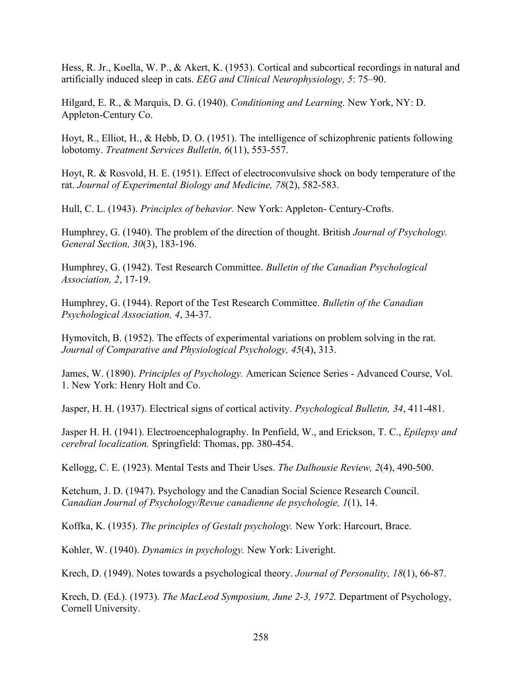Hess, R. Jr., Koella, W. P., & Akert, K. (1953). Cortical and subcortical recordings in natural and artificially induced sleep in cats. *EEG and Clinical Neurophysiology, 5*: 75–90.

Hilgard, E. R., & Marquis, D. G. (1940). *Conditioning and Learning.* New York, NY: D. Appleton-Century Co.

Hoyt, R., Elliot, H., & Hebb, D. O. (1951). The intelligence of schizophrenic patients following lobotomy. *Treatment Services Bulletin, 6*(11), 553-557.

Hoyt, R. & Rosvold, H. E. (1951). Effect of electroconvulsive shock on body temperature of the rat. *Journal of Experimental Biology and Medicine, 78*(2), 582-583.

Hull, C. L. (1943). *Principles of behavior.* New York: Appleton- Century-Crofts.

Humphrey, G. (1940). The problem of the direction of thought. British *Journal of Psychology. General Section, 30*(3), 183-196.

Humphrey, G. (1942). Test Research Committee. *Bulletin of the Canadian Psychological Association, 2*, 17-19.

Humphrey, G. (1944). Report of the Test Research Committee. *Bulletin of the Canadian Psychological Association, 4*, 34-37.

Hymovitch, B. (1952). The effects of experimental variations on problem solving in the rat. *Journal of Comparative and Physiological Psychology, 45*(4), 313.

James, W. (1890). *Principles of Psychology.* American Science Series - Advanced Course, Vol. 1. New York: Henry Holt and Co.

Jasper, H. H. (1937). Electrical signs of cortical activity. *Psychological Bulletin, 34*, 411-481.

Jasper H. H. (1941). Electroencephalography. In Penfield, W., and Erickson, T. C., *Epilepsy and cerebral localization.* Springfield: Thomas, pp. 380-454.

Kellogg, C. E. (1923). Mental Tests and Their Uses. *The Dalhousie Review, 2*(4), 490-500.

Ketchum, J. D. (1947). Psychology and the Canadian Social Science Research Council. *Canadian Journal of Psychology/Revue canadienne de psychologie, 1*(1), 14.

Koffka, K. (1935). *The principles of Gestalt psychology.* New York: Harcourt, Brace.

Kohler, W. (1940). *Dynamics in psychology.* New York: Liveright.

Krech, D. (1949). Notes towards a psychological theory. *Journal of Personality, 18*(1), 66-87.

Krech, D. (Ed.). (1973). *The MacLeod Symposium, June 2-3, 1972.* Department of Psychology, Cornell University.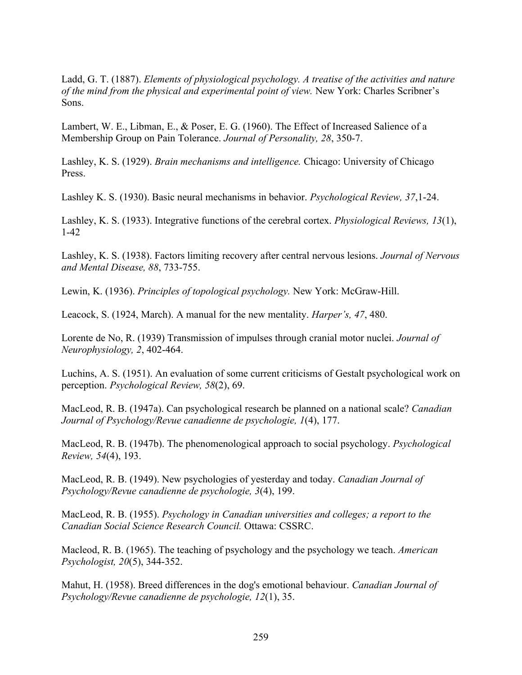Ladd, G. T. (1887). *Elements of physiological psychology. A treatise of the activities and nature of the mind from the physical and experimental point of view.* New York: Charles Scribner's Sons.

Lambert, W. E., Libman, E., & Poser, E. G. (1960). The Effect of Increased Salience of a Membership Group on Pain Tolerance. *Journal of Personality, 28*, 350-7.

Lashley, K. S. (1929). *Brain mechanisms and intelligence.* Chicago: University of Chicago Press.

Lashley K. S. (1930). Basic neural mechanisms in behavior. *Psychological Review, 37*,1-24.

Lashley, K. S. (1933). Integrative functions of the cerebral cortex. *Physiological Reviews, 13*(1), 1-42

Lashley, K. S. (1938). Factors limiting recovery after central nervous lesions. *Journal of Nervous and Mental Disease, 88*, 733-755.

Lewin, K. (1936). *Principles of topological psychology.* New York: McGraw-Hill.

Leacock, S. (1924, March). A manual for the new mentality. *Harper's, 47*, 480.

Lorente de No, R. (1939) Transmission of impulses through cranial motor nuclei. *Journal of Neurophysiology, 2*, 402-464.

Luchins, A. S. (1951). An evaluation of some current criticisms of Gestalt psychological work on perception. *Psychological Review, 58*(2), 69.

MacLeod, R. B. (1947a). Can psychological research be planned on a national scale? *Canadian Journal of Psychology/Revue canadienne de psychologie, 1*(4), 177.

MacLeod, R. B. (1947b). The phenomenological approach to social psychology. *Psychological Review, 54*(4), 193.

MacLeod, R. B. (1949). New psychologies of yesterday and today. *Canadian Journal of Psychology/Revue canadienne de psychologie, 3*(4), 199.

MacLeod, R. B. (1955). *Psychology in Canadian universities and colleges; a report to the Canadian Social Science Research Council.* Ottawa: CSSRC.

Macleod, R. B. (1965). The teaching of psychology and the psychology we teach. *American Psychologist, 20*(5), 344-352.

Mahut, H. (1958). Breed differences in the dog's emotional behaviour. *Canadian Journal of Psychology/Revue canadienne de psychologie, 12*(1), 35.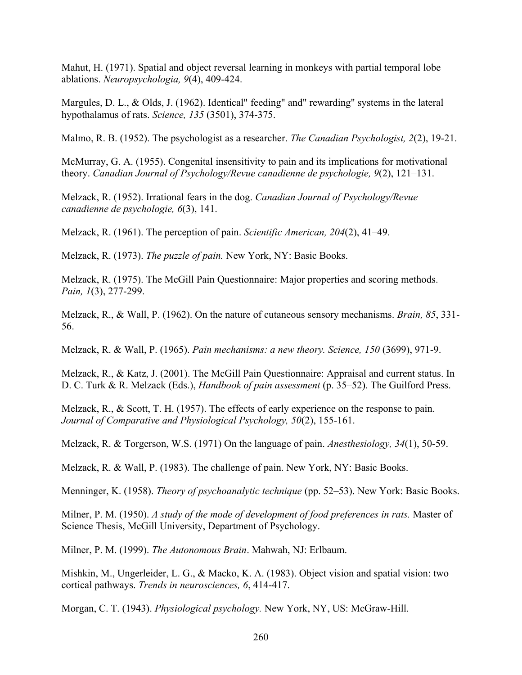Mahut, H. (1971). Spatial and object reversal learning in monkeys with partial temporal lobe ablations. *Neuropsychologia, 9*(4), 409-424.

Margules, D. L., & Olds, J. (1962). Identical" feeding" and" rewarding" systems in the lateral hypothalamus of rats. *Science, 135* (3501), 374-375.

Malmo, R. B. (1952). The psychologist as a researcher. *The Canadian Psychologist, 2*(2), 19-21.

McMurray, G. A. (1955). Congenital insensitivity to pain and its implications for motivational theory. *Canadian Journal of Psychology/Revue canadienne de psychologie, 9*(2), 121–131.

Melzack, R. (1952). Irrational fears in the dog. *Canadian Journal of Psychology/Revue canadienne de psychologie, 6*(3), 141.

Melzack, R. (1961). The perception of pain. *Scientific American, 204*(2), 41–49.

Melzack, R. (1973). *The puzzle of pain.* New York, NY: Basic Books.

Melzack, R. (1975). The McGill Pain Questionnaire: Major properties and scoring methods. *Pain, 1*(3), 277-299.

Melzack, R., & Wall, P. (1962). On the nature of cutaneous sensory mechanisms. *Brain, 85*, 331- 56.

Melzack, R. & Wall, P. (1965). *Pain mechanisms: a new theory. Science, 150* (3699), 971-9.

Melzack, R., & Katz, J. (2001). The McGill Pain Questionnaire: Appraisal and current status. In D. C. Turk & R. Melzack (Eds.), *Handbook of pain assessment* (p. 35–52). The Guilford Press.

Melzack, R., & Scott, T. H. (1957). The effects of early experience on the response to pain. *Journal of Comparative and Physiological Psychology, 50*(2), 155-161.

Melzack, R. & Torgerson, W.S. (1971) On the language of pain. *Anesthesiology, 34*(1), 50-59.

Melzack, R. & Wall, P. (1983). The challenge of pain. New York, NY: Basic Books.

Menninger, K. (1958). *Theory of psychoanalytic technique* (pp. 52–53). New York: Basic Books.

Milner, P. M. (1950). *A study of the mode of development of food preferences in rats.* Master of Science Thesis, McGill University, Department of Psychology.

Milner, P. M. (1999). *The Autonomous Brain*. Mahwah, NJ: Erlbaum.

Mishkin, M., Ungerleider, L. G., & Macko, K. A. (1983). Object vision and spatial vision: two cortical pathways. *Trends in neurosciences, 6*, 414-417.

Morgan, C. T. (1943). *Physiological psychology.* New York, NY, US: McGraw-Hill.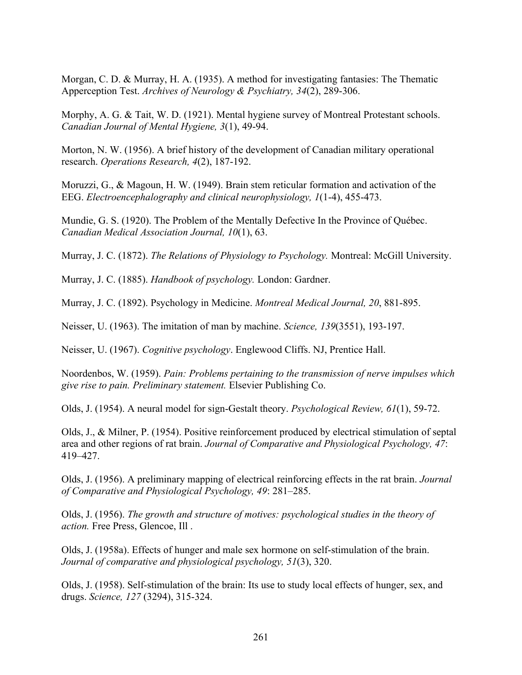Morgan, C. D. & Murray, H. A. (1935). A method for investigating fantasies: The Thematic Apperception Test. *Archives of Neurology & Psychiatry, 34*(2), 289-306.

Morphy, A. G. & Tait, W. D. (1921). Mental hygiene survey of Montreal Protestant schools. *Canadian Journal of Mental Hygiene, 3*(1), 49-94.

Morton, N. W. (1956). A brief history of the development of Canadian military operational research. *Operations Research, 4*(2), 187-192.

Moruzzi, G., & Magoun, H. W. (1949). Brain stem reticular formation and activation of the EEG. *Electroencephalography and clinical neurophysiology, 1*(1-4), 455-473.

Mundie, G. S. (1920). The Problem of the Mentally Defective In the Province of Québec. *Canadian Medical Association Journal, 10*(1), 63.

Murray, J. C. (1872). *The Relations of Physiology to Psychology.* Montreal: McGill University.

Murray, J. C. (1885). *Handbook of psychology.* London: Gardner.

Murray, J. C. (1892). Psychology in Medicine. *Montreal Medical Journal, 20*, 881-895.

Neisser, U. (1963). The imitation of man by machine. *Science, 139*(3551), 193-197.

Neisser, U. (1967). *Cognitive psychology*. Englewood Cliffs. NJ, Prentice Hall.

Noordenbos, W. (1959). *Pain: Problems pertaining to the transmission of nerve impulses which give rise to pain. Preliminary statement.* Elsevier Publishing Co.

Olds, J. (1954). A neural model for sign-Gestalt theory. *Psychological Review, 61*(1), 59-72.

Olds, J., & Milner, P. (1954). Positive reinforcement produced by electrical stimulation of septal area and other regions of rat brain. *Journal of Comparative and Physiological Psychology, 47*: 419–427.

Olds, J. (1956). A preliminary mapping of electrical reinforcing effects in the rat brain. *Journal of Comparative and Physiological Psychology, 49*: 281–285.

Olds, J. (1956). *The growth and structure of motives: psychological studies in the theory of action.* Free Press, Glencoe, Ill .

Olds, J. (1958a). Effects of hunger and male sex hormone on self-stimulation of the brain. *Journal of comparative and physiological psychology, 51*(3), 320.

Olds, J. (1958). Self-stimulation of the brain: Its use to study local effects of hunger, sex, and drugs. *Science, 127* (3294), 315-324.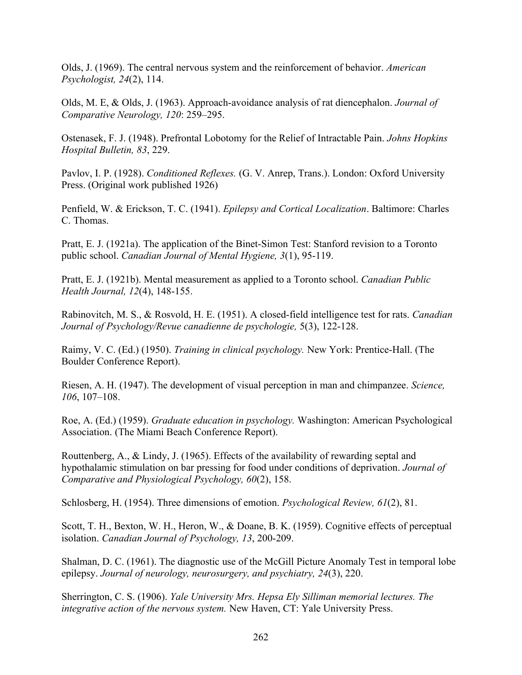Olds, J. (1969). The central nervous system and the reinforcement of behavior. *American Psychologist, 24*(2), 114.

Olds, M. E, & Olds, J. (1963). Approach-avoidance analysis of rat diencephalon. *Journal of Comparative Neurology, 120*: 259–295.

Ostenasek, F. J. (1948). Prefrontal Lobotomy for the Relief of Intractable Pain. *Johns Hopkins Hospital Bulletin, 83*, 229.

Pavlov, I. P. (1928). *Conditioned Reflexes.* (G. V. Anrep, Trans.). London: Oxford University Press. (Original work published 1926)

Penfield, W. & Erickson, T. C. (1941). *Epilepsy and Cortical Localization*. Baltimore: Charles C. Thomas.

Pratt, E. J. (1921a). The application of the Binet-Simon Test: Stanford revision to a Toronto public school. *Canadian Journal of Mental Hygiene, 3*(1), 95-119.

Pratt, E. J. (1921b). Mental measurement as applied to a Toronto school. *Canadian Public Health Journal, 12*(4), 148-155.

Rabinovitch, M. S., & Rosvold, H. E. (1951). A closed-field intelligence test for rats. *Canadian Journal of Psychology/Revue canadienne de psychologie,* 5(3), 122-128.

Raimy, V. C. (Ed.) (1950). *Training in clinical psychology.* New York: Prentice-Hall. (The Boulder Conference Report).

Riesen, A. H. (1947). The development of visual perception in man and chimpanzee. *Science, 106*, 107–108.

Roe, A. (Ed.) (1959). *Graduate education in psychology.* Washington: American Psychological Association. (The Miami Beach Conference Report).

Routtenberg, A., & Lindy, J. (1965). Effects of the availability of rewarding septal and hypothalamic stimulation on bar pressing for food under conditions of deprivation. *Journal of Comparative and Physiological Psychology, 60*(2), 158.

Schlosberg, H. (1954). Three dimensions of emotion. *Psychological Review, 61*(2), 81.

Scott, T. H., Bexton, W. H., Heron, W., & Doane, B. K. (1959). Cognitive effects of perceptual isolation. *Canadian Journal of Psychology, 13*, 200-209.

Shalman, D. C. (1961). The diagnostic use of the McGill Picture Anomaly Test in temporal lobe epilepsy. *Journal of neurology, neurosurgery, and psychiatry, 24*(3), 220.

Sherrington, C. S. (1906). *Yale University Mrs. Hepsa Ely Silliman memorial lectures. The integrative action of the nervous system.* New Haven, CT: Yale University Press.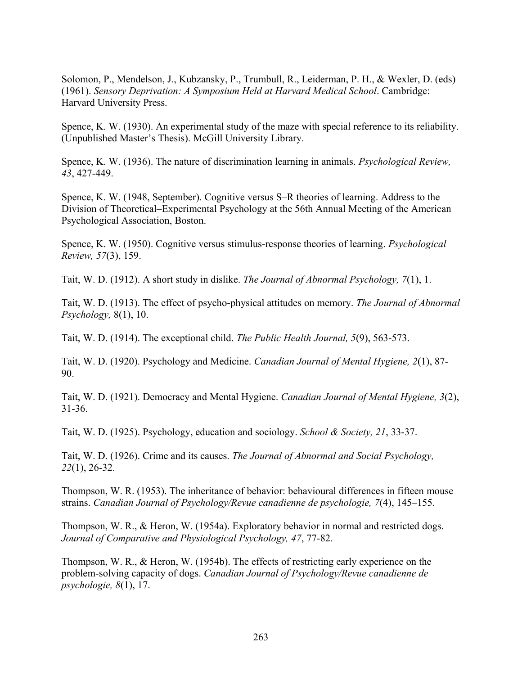Solomon, P., Mendelson, J., Kubzansky, P., Trumbull, R., Leiderman, P. H., & Wexler, D. (eds) (1961). *Sensory Deprivation: A Symposium Held at Harvard Medical School*. Cambridge: Harvard University Press.

Spence, K. W. (1930). An experimental study of the maze with special reference to its reliability. (Unpublished Master's Thesis). McGill University Library.

Spence, K. W. (1936). The nature of discrimination learning in animals. *Psychological Review, 43*, 427-449.

Spence, K. W. (1948, September). Cognitive versus S–R theories of learning. Address to the Division of Theoretical–Experimental Psychology at the 56th Annual Meeting of the American Psychological Association, Boston.

Spence, K. W. (1950). Cognitive versus stimulus-response theories of learning. *Psychological Review, 57*(3), 159.

Tait, W. D. (1912). A short study in dislike. *The Journal of Abnormal Psychology, 7*(1), 1.

Tait, W. D. (1913). The effect of psycho-physical attitudes on memory. *The Journal of Abnormal Psychology,* 8(1), 10.

Tait, W. D. (1914). The exceptional child. *The Public Health Journal, 5*(9), 563-573.

Tait, W. D. (1920). Psychology and Medicine. *Canadian Journal of Mental Hygiene, 2*(1), 87- 90.

Tait, W. D. (1921). Democracy and Mental Hygiene. *Canadian Journal of Mental Hygiene, 3*(2), 31-36.

Tait, W. D. (1925). Psychology, education and sociology. *School & Society, 21*, 33-37.

Tait, W. D. (1926). Crime and its causes. *The Journal of Abnormal and Social Psychology, 22*(1), 26-32.

Thompson, W. R. (1953). The inheritance of behavior: behavioural differences in fifteen mouse strains. *Canadian Journal of Psychology/Revue canadienne de psychologie, 7*(4), 145–155.

Thompson, W. R., & Heron, W. (1954a). Exploratory behavior in normal and restricted dogs. *Journal of Comparative and Physiological Psychology, 47*, 77-82.

Thompson, W. R., & Heron, W. (1954b). The effects of restricting early experience on the problem-solving capacity of dogs. *Canadian Journal of Psychology/Revue canadienne de psychologie, 8*(1), 17.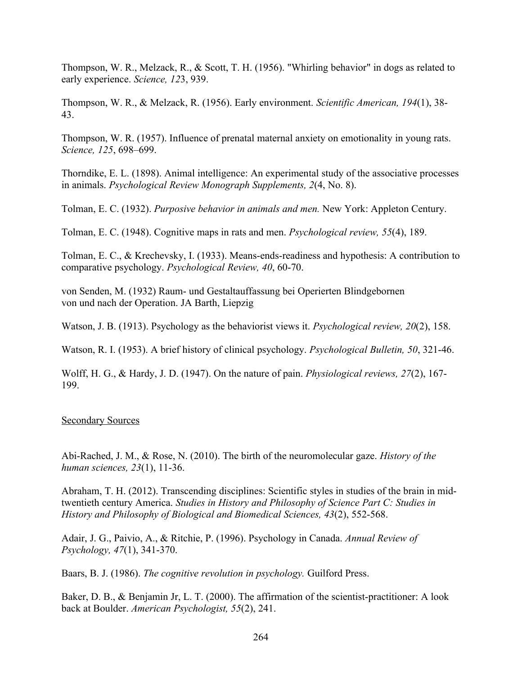Thompson, W. R., Melzack, R., & Scott, T. H. (1956). "Whirling behavior" in dogs as related to early experience. *Science, 12*3, 939.

Thompson, W. R., & Melzack, R. (1956). Early environment. *Scientific American, 194*(1), 38- 43.

Thompson, W. R. (1957). Influence of prenatal maternal anxiety on emotionality in young rats. *Science, 125*, 698–699.

Thorndike, E. L. (1898). Animal intelligence: An experimental study of the associative processes in animals. *Psychological Review Monograph Supplements, 2*(4, No. 8).

Tolman, E. C. (1932). *Purposive behavior in animals and men.* New York: Appleton Century.

Tolman, E. C. (1948). Cognitive maps in rats and men. *Psychological review, 55*(4), 189.

Tolman, E. C., & Krechevsky, I. (1933). Means-ends-readiness and hypothesis: A contribution to comparative psychology. *Psychological Review, 40*, 60-70.

von Senden, M. (1932) Raum- und Gestaltauffassung bei Operierten Blindgebornen von und nach der Operation. JA Barth, Liepzig

Watson, J. B. (1913). Psychology as the behaviorist views it. *Psychological review, 20*(2), 158.

Watson, R. I. (1953). A brief history of clinical psychology. *Psychological Bulletin, 50*, 321-46.

Wolff, H. G., & Hardy, J. D. (1947). On the nature of pain. *Physiological reviews, 27*(2), 167- 199.

## Secondary Sources

Abi-Rached, J. M., & Rose, N. (2010). The birth of the neuromolecular gaze. *History of the human sciences, 23*(1), 11-36.

Abraham, T. H. (2012). Transcending disciplines: Scientific styles in studies of the brain in midtwentieth century America. *Studies in History and Philosophy of Science Part C: Studies in History and Philosophy of Biological and Biomedical Sciences, 43*(2), 552-568.

Adair, J. G., Paivio, A., & Ritchie, P. (1996). Psychology in Canada. *Annual Review of Psychology, 47*(1), 341-370.

Baars, B. J. (1986). *The cognitive revolution in psychology.* Guilford Press.

Baker, D. B., & Benjamin Jr, L. T. (2000). The affirmation of the scientist-practitioner: A look back at Boulder. *American Psychologist, 55*(2), 241.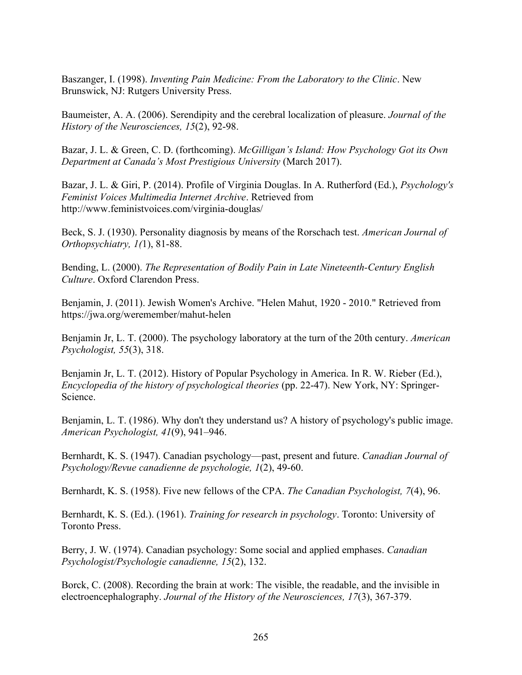Baszanger, I. (1998). *Inventing Pain Medicine: From the Laboratory to the Clinic*. New Brunswick, NJ: Rutgers University Press.

Baumeister, A. A. (2006). Serendipity and the cerebral localization of pleasure. *Journal of the History of the Neurosciences, 15*(2), 92-98.

Bazar, J. L. & Green, C. D. (forthcoming). *McGilligan's Island: How Psychology Got its Own Department at Canada's Most Prestigious University* (March 2017).

Bazar, J. L. & Giri, P. (2014). Profile of Virginia Douglas. In A. Rutherford (Ed.), *Psychology's Feminist Voices Multimedia Internet Archive*. Retrieved from http://www.feministvoices.com/virginia-douglas/

Beck, S. J. (1930). Personality diagnosis by means of the Rorschach test. *American Journal of Orthopsychiatry, 1(*1), 81-88.

Bending, L. (2000). *The Representation of Bodily Pain in Late Nineteenth-Century English Culture*. Oxford Clarendon Press.

Benjamin, J. (2011). Jewish Women's Archive. "Helen Mahut, 1920 - 2010." Retrieved from https://jwa.org/weremember/mahut-helen

Benjamin Jr, L. T. (2000). The psychology laboratory at the turn of the 20th century. *American Psychologist, 55*(3), 318.

Benjamin Jr, L. T. (2012). History of Popular Psychology in America. In R. W. Rieber (Ed.), *Encyclopedia of the history of psychological theories* (pp. 22-47). New York, NY: Springer-Science.

Benjamin, L. T. (1986). Why don't they understand us? A history of psychology's public image. *American Psychologist, 41*(9), 941–946.

Bernhardt, K. S. (1947). Canadian psychology—past, present and future. *Canadian Journal of Psychology/Revue canadienne de psychologie, 1*(2), 49-60.

Bernhardt, K. S. (1958). Five new fellows of the CPA. *The Canadian Psychologist, 7*(4), 96.

Bernhardt, K. S. (Ed.). (1961). *Training for research in psychology*. Toronto: University of Toronto Press.

Berry, J. W. (1974). Canadian psychology: Some social and applied emphases. *Canadian Psychologist/Psychologie canadienne, 15*(2), 132.

Borck, C. (2008). Recording the brain at work: The visible, the readable, and the invisible in electroencephalography. *Journal of the History of the Neurosciences, 17*(3), 367-379.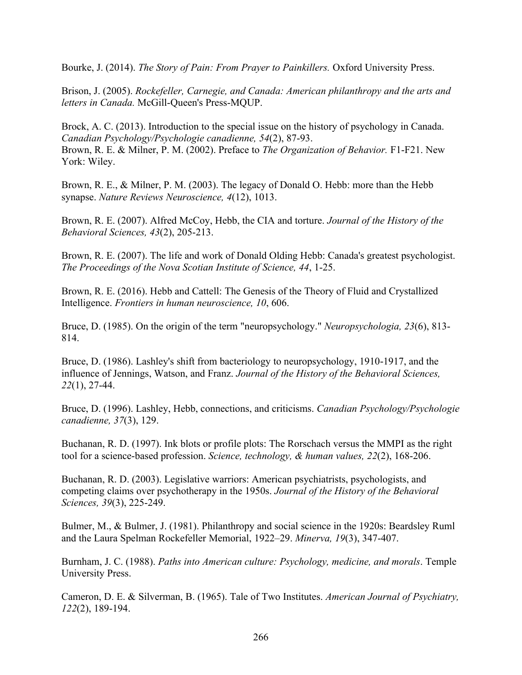Bourke, J. (2014). *The Story of Pain: From Prayer to Painkillers.* Oxford University Press.

Brison, J. (2005). *Rockefeller, Carnegie, and Canada: American philanthropy and the arts and letters in Canada.* McGill-Queen's Press-MQUP.

Brock, A. C. (2013). Introduction to the special issue on the history of psychology in Canada. *Canadian Psychology/Psychologie canadienne, 54*(2), 87-93. Brown, R. E. & Milner, P. M. (2002). Preface to *The Organization of Behavior.* F1-F21. New York: Wiley.

Brown, R. E., & Milner, P. M. (2003). The legacy of Donald O. Hebb: more than the Hebb synapse. *Nature Reviews Neuroscience, 4*(12), 1013.

Brown, R. E. (2007). Alfred McCoy, Hebb, the CIA and torture. *Journal of the History of the Behavioral Sciences, 43*(2), 205-213.

Brown, R. E. (2007). The life and work of Donald Olding Hebb: Canada's greatest psychologist. *The Proceedings of the Nova Scotian Institute of Science, 44*, 1-25.

Brown, R. E. (2016). Hebb and Cattell: The Genesis of the Theory of Fluid and Crystallized Intelligence. *Frontiers in human neuroscience, 10*, 606.

Bruce, D. (1985). On the origin of the term "neuropsychology." *Neuropsychologia, 23*(6), 813- 814.

Bruce, D. (1986). Lashley's shift from bacteriology to neuropsychology, 1910-1917, and the influence of Jennings, Watson, and Franz. *Journal of the History of the Behavioral Sciences, 22*(1), 27-44.

Bruce, D. (1996). Lashley, Hebb, connections, and criticisms. *Canadian Psychology/Psychologie canadienne, 37*(3), 129.

Buchanan, R. D. (1997). Ink blots or profile plots: The Rorschach versus the MMPI as the right tool for a science-based profession. *Science, technology, & human values, 22*(2), 168-206.

Buchanan, R. D. (2003). Legislative warriors: American psychiatrists, psychologists, and competing claims over psychotherapy in the 1950s. *Journal of the History of the Behavioral Sciences, 39*(3), 225-249.

Bulmer, M., & Bulmer, J. (1981). Philanthropy and social science in the 1920s: Beardsley Ruml and the Laura Spelman Rockefeller Memorial, 1922–29. *Minerva, 19*(3), 347-407.

Burnham, J. C. (1988). *Paths into American culture: Psychology, medicine, and morals*. Temple University Press.

Cameron, D. E. & Silverman, B. (1965). Tale of Two Institutes. *American Journal of Psychiatry, 122*(2), 189-194.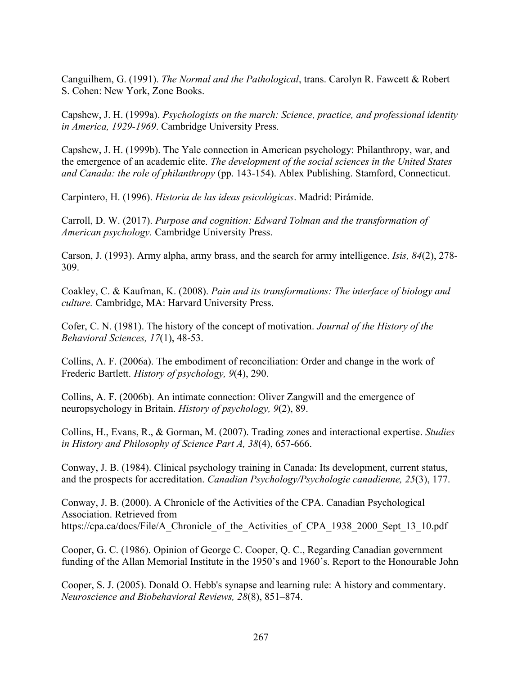Canguilhem, G. (1991). *The Normal and the Pathological*, trans. Carolyn R. Fawcett & Robert S. Cohen: New York, Zone Books.

Capshew, J. H. (1999a). *Psychologists on the march: Science, practice, and professional identity in America, 1929-1969*. Cambridge University Press.

Capshew, J. H. (1999b). The Yale connection in American psychology: Philanthropy, war, and the emergence of an academic elite. *The development of the social sciences in the United States and Canada: the role of philanthropy* (pp. 143-154). Ablex Publishing. Stamford, Connecticut.

Carpintero, H. (1996). *Historia de las ideas psicológicas*. Madrid: Pirámide.

Carroll, D. W. (2017). *Purpose and cognition: Edward Tolman and the transformation of American psychology.* Cambridge University Press.

Carson, J. (1993). Army alpha, army brass, and the search for army intelligence. *Isis, 84*(2), 278- 309.

Coakley, C. & Kaufman, K. (2008). *Pain and its transformations: The interface of biology and culture.* Cambridge, MA: Harvard University Press.

Cofer, C. N. (1981). The history of the concept of motivation. *Journal of the History of the Behavioral Sciences, 17*(1), 48-53.

Collins, A. F. (2006a). The embodiment of reconciliation: Order and change in the work of Frederic Bartlett. *History of psychology, 9*(4), 290.

Collins, A. F. (2006b). An intimate connection: Oliver Zangwill and the emergence of neuropsychology in Britain. *History of psychology, 9*(2), 89.

Collins, H., Evans, R., & Gorman, M. (2007). Trading zones and interactional expertise. *Studies in History and Philosophy of Science Part A, 38*(4), 657-666.

Conway, J. B. (1984). Clinical psychology training in Canada: Its development, current status, and the prospects for accreditation. *Canadian Psychology/Psychologie canadienne, 25*(3), 177.

Conway, J. B. (2000). A Chronicle of the Activities of the CPA. Canadian Psychological Association. Retrieved from https://cpa.ca/docs/File/A\_Chronicle\_of\_the\_Activities\_of\_CPA\_1938\_2000\_Sept\_13\_10.pdf

Cooper, G. C. (1986). Opinion of George C. Cooper, Q. C., Regarding Canadian government funding of the Allan Memorial Institute in the 1950's and 1960's. Report to the Honourable John

Cooper, S. J. (2005). Donald O. Hebb's synapse and learning rule: A history and commentary. *Neuroscience and Biobehavioral Reviews, 28*(8), 851–874.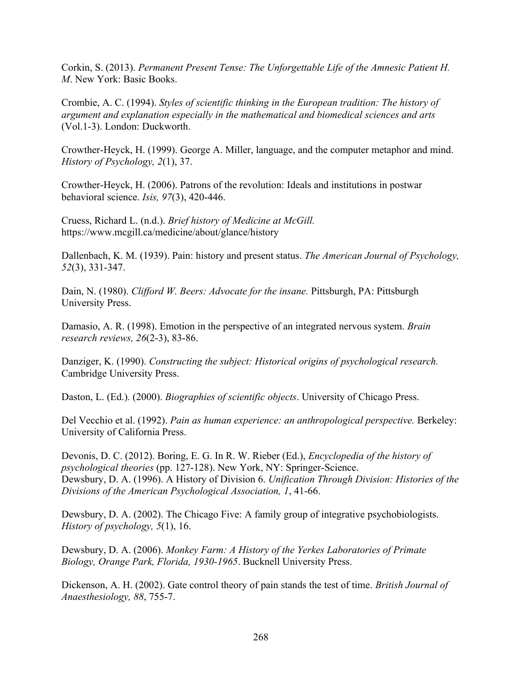Corkin, S. (2013). *Permanent Present Tense: The Unforgettable Life of the Amnesic Patient H. M*. New York: Basic Books.

Crombie, A. C. (1994). *Styles of scientific thinking in the European tradition: The history of argument and explanation especially in the mathematical and biomedical sciences and arts*  (Vol.1-3). London: Duckworth.

Crowther-Heyck, H. (1999). George A. Miller, language, and the computer metaphor and mind. *History of Psychology, 2*(1), 37.

Crowther-Heyck, H. (2006). Patrons of the revolution: Ideals and institutions in postwar behavioral science. *Isis, 97*(3), 420-446.

Cruess, Richard L. (n.d.). *Brief history of Medicine at McGill.*  https://www.mcgill.ca/medicine/about/glance/history

Dallenbach, K. M. (1939). Pain: history and present status. *The American Journal of Psychology, 52*(3), 331-347.

Dain, N. (1980). *Clifford W. Beers: Advocate for the insane.* Pittsburgh, PA: Pittsburgh University Press.

Damasio, A. R. (1998). Emotion in the perspective of an integrated nervous system. *Brain research reviews, 26*(2-3), 83-86.

Danziger, K. (1990). *Constructing the subject: Historical origins of psychological research.*  Cambridge University Press.

Daston, L. (Ed.). (2000). *Biographies of scientific objects*. University of Chicago Press.

Del Vecchio et al. (1992). *Pain as human experience: an anthropological perspective.* Berkeley: University of California Press.

Devonis, D. C. (2012). Boring, E. G. In R. W. Rieber (Ed.), *Encyclopedia of the history of psychological theories* (pp. 127-128). New York, NY: Springer-Science. Dewsbury, D. A. (1996). A History of Division 6. *Unification Through Division: Histories of the Divisions of the American Psychological Association, 1*, 41-66.

Dewsbury, D. A. (2002). The Chicago Five: A family group of integrative psychobiologists. *History of psychology, 5*(1), 16.

Dewsbury, D. A. (2006). *Monkey Farm: A History of the Yerkes Laboratories of Primate Biology, Orange Park, Florida, 1930-1965*. Bucknell University Press.

Dickenson, A. H. (2002). Gate control theory of pain stands the test of time. *British Journal of Anaesthesiology, 88*, 755-7.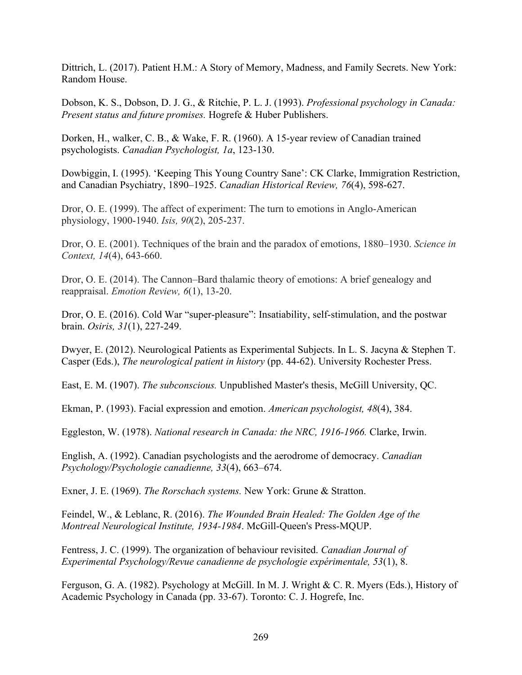Dittrich, L. (2017). Patient H.M.: A Story of Memory, Madness, and Family Secrets. New York: Random House.

Dobson, K. S., Dobson, D. J. G., & Ritchie, P. L. J. (1993). *Professional psychology in Canada: Present status and future promises.* Hogrefe & Huber Publishers.

Dorken, H., walker, C. B., & Wake, F. R. (1960). A 15-year review of Canadian trained psychologists. *Canadian Psychologist, 1a*, 123-130.

Dowbiggin, I. (1995). 'Keeping This Young Country Sane': CK Clarke, Immigration Restriction, and Canadian Psychiatry, 1890–1925. *Canadian Historical Review, 76*(4), 598-627.

Dror, O. E. (1999). The affect of experiment: The turn to emotions in Anglo-American physiology, 1900-1940. *Isis, 90*(2), 205-237.

Dror, O. E. (2001). Techniques of the brain and the paradox of emotions, 1880–1930. *Science in Context, 14*(4), 643-660.

Dror, O. E. (2014). The Cannon–Bard thalamic theory of emotions: A brief genealogy and reappraisal. *Emotion Review, 6*(1), 13-20.

Dror, O. E. (2016). Cold War "super-pleasure": Insatiability, self-stimulation, and the postwar brain. *Osiris, 31*(1), 227-249.

Dwyer, E. (2012). Neurological Patients as Experimental Subjects. In L. S. Jacyna & Stephen T. Casper (Eds.), *The neurological patient in history* (pp. 44-62). University Rochester Press.

East, E. M. (1907). *The subconscious.* Unpublished Master's thesis, McGill University, QC.

Ekman, P. (1993). Facial expression and emotion. *American psychologist, 48*(4), 384.

Eggleston, W. (1978). *National research in Canada: the NRC, 1916-1966.* Clarke, Irwin.

English, A. (1992). Canadian psychologists and the aerodrome of democracy. *Canadian Psychology/Psychologie canadienne, 33*(4), 663–674.

Exner, J. E. (1969). *The Rorschach systems.* New York: Grune & Stratton.

Feindel, W., & Leblanc, R. (2016). *The Wounded Brain Healed: The Golden Age of the Montreal Neurological Institute, 1934-1984*. McGill-Queen's Press-MQUP.

Fentress, J. C. (1999). The organization of behaviour revisited. *Canadian Journal of Experimental Psychology/Revue canadienne de psychologie expérimentale, 53*(1), 8.

Ferguson, G. A. (1982). Psychology at McGill. In M. J. Wright & C. R. Myers (Eds.), History of Academic Psychology in Canada (pp. 33-67). Toronto: C. J. Hogrefe, Inc.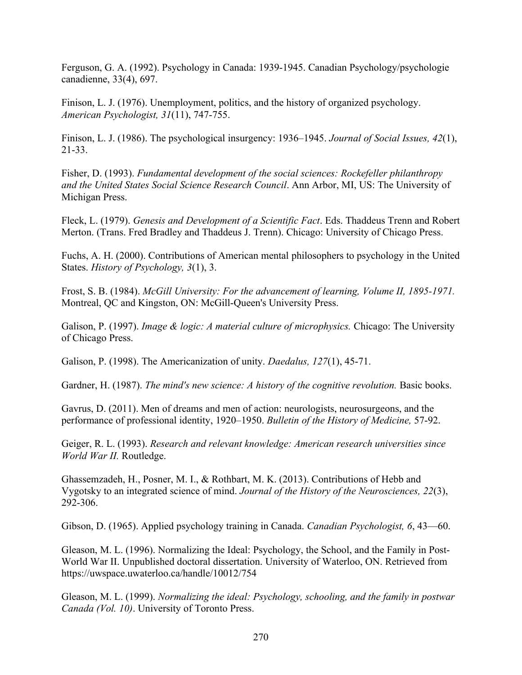Ferguson, G. A. (1992). Psychology in Canada: 1939-1945. Canadian Psychology/psychologie canadienne, 33(4), 697.

Finison, L. J. (1976). Unemployment, politics, and the history of organized psychology. *American Psychologist, 31*(11), 747-755.

Finison, L. J. (1986). The psychological insurgency: 1936–1945. *Journal of Social Issues, 42*(1), 21-33.

Fisher, D. (1993). *Fundamental development of the social sciences: Rockefeller philanthropy and the United States Social Science Research Council*. Ann Arbor, MI, US: The University of Michigan Press.

Fleck, L. (1979). *Genesis and Development of a Scientific Fact*. Eds. Thaddeus Trenn and Robert Merton. (Trans. Fred Bradley and Thaddeus J. Trenn). Chicago: University of Chicago Press.

Fuchs, A. H. (2000). Contributions of American mental philosophers to psychology in the United States. *History of Psychology, 3*(1), 3.

Frost, S. B. (1984). *McGill University: For the advancement of learning, Volume II, 1895-1971.* Montreal, QC and Kingston, ON: McGill-Queen's University Press.

Galison, P. (1997). *Image & logic: A material culture of microphysics.* Chicago: The University of Chicago Press.

Galison, P. (1998). The Americanization of unity. *Daedalus, 127*(1), 45-71.

Gardner, H. (1987). *The mind's new science: A history of the cognitive revolution.* Basic books.

Gavrus, D. (2011). Men of dreams and men of action: neurologists, neurosurgeons, and the performance of professional identity, 1920–1950. *Bulletin of the History of Medicine,* 57-92.

Geiger, R. L. (1993). *Research and relevant knowledge: American research universities since World War II.* Routledge.

Ghassemzadeh, H., Posner, M. I., & Rothbart, M. K. (2013). Contributions of Hebb and Vygotsky to an integrated science of mind. *Journal of the History of the Neurosciences, 22*(3), 292-306.

Gibson, D. (1965). Applied psychology training in Canada. *Canadian Psychologist, 6*, 43—60.

Gleason, M. L. (1996). Normalizing the Ideal: Psychology, the School, and the Family in Post-World War II. Unpublished doctoral dissertation. University of Waterloo, ON. Retrieved from https://uwspace.uwaterloo.ca/handle/10012/754

Gleason, M. L. (1999). *Normalizing the ideal: Psychology, schooling, and the family in postwar Canada (Vol. 10)*. University of Toronto Press.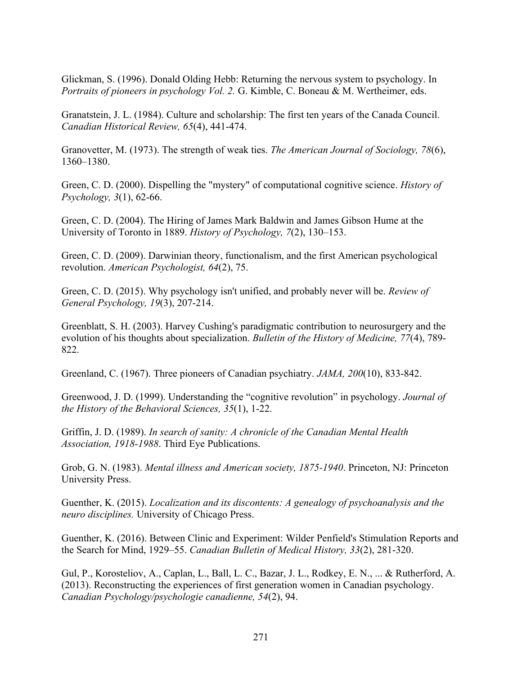Glickman, S. (1996). Donald Olding Hebb: Returning the nervous system to psychology. In *Portraits of pioneers in psychology Vol. 2.* G. Kimble, C. Boneau & M. Wertheimer, eds.

Granatstein, J. L. (1984). Culture and scholarship: The first ten years of the Canada Council. *Canadian Historical Review, 65*(4), 441-474.

Granovetter, M. (1973). The strength of weak ties. *The American Journal of Sociology, 78*(6), 1360–1380.

Green, C. D. (2000). Dispelling the "mystery" of computational cognitive science. *History of Psychology, 3*(1), 62-66.

Green, C. D. (2004). The Hiring of James Mark Baldwin and James Gibson Hume at the University of Toronto in 1889. *History of Psychology, 7*(2), 130–153.

Green, C. D. (2009). Darwinian theory, functionalism, and the first American psychological revolution. *American Psychologist, 64*(2), 75.

Green, C. D. (2015). Why psychology isn't unified, and probably never will be. *Review of General Psychology, 19*(3), 207-214.

Greenblatt, S. H. (2003). Harvey Cushing's paradigmatic contribution to neurosurgery and the evolution of his thoughts about specialization. *Bulletin of the History of Medicine, 77*(4), 789- 822.

Greenland, C. (1967). Three pioneers of Canadian psychiatry. *JAMA, 200*(10), 833-842.

Greenwood, J. D. (1999). Understanding the "cognitive revolution" in psychology. *Journal of the History of the Behavioral Sciences, 35*(1), 1-22.

Griffin, J. D. (1989). *In search of sanity: A chronicle of the Canadian Mental Health Association, 1918-1988*. Third Eye Publications.

Grob, G. N. (1983). *Mental illness and American society, 1875-1940*. Princeton, NJ: Princeton University Press.

Guenther, K. (2015). *Localization and its discontents: A genealogy of psychoanalysis and the neuro disciplines.* University of Chicago Press.

Guenther, K. (2016). Between Clinic and Experiment: Wilder Penfield's Stimulation Reports and the Search for Mind, 1929–55. *Canadian Bulletin of Medical History, 33*(2), 281-320.

Gul, P., Korosteliov, A., Caplan, L., Ball, L. C., Bazar, J. L., Rodkey, E. N., ... & Rutherford, A. (2013). Reconstructing the experiences of first generation women in Canadian psychology. *Canadian Psychology/psychologie canadienne, 54*(2), 94.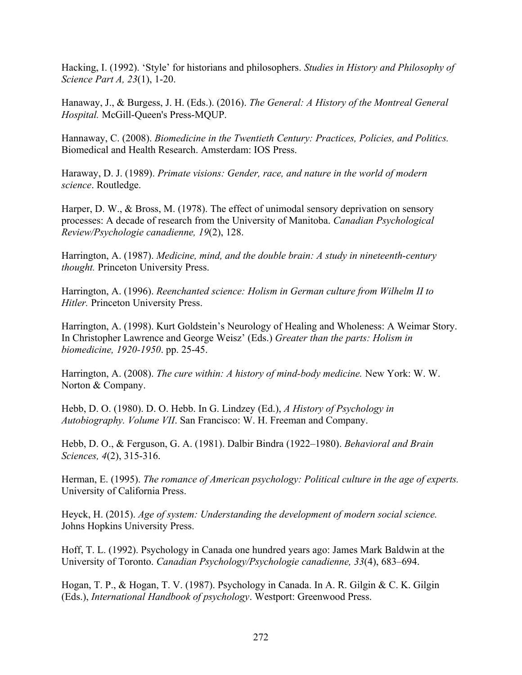Hacking, I. (1992). 'Style' for historians and philosophers. *Studies in History and Philosophy of Science Part A, 23*(1), 1-20.

Hanaway, J., & Burgess, J. H. (Eds.). (2016). *The General: A History of the Montreal General Hospital.* McGill-Queen's Press-MQUP.

Hannaway, C. (2008). *Biomedicine in the Twentieth Century: Practices, Policies, and Politics.* Biomedical and Health Research. Amsterdam: IOS Press.

Haraway, D. J. (1989). *Primate visions: Gender, race, and nature in the world of modern science*. Routledge.

Harper, D. W., & Bross, M. (1978). The effect of unimodal sensory deprivation on sensory processes: A decade of research from the University of Manitoba. *Canadian Psychological Review/Psychologie canadienne, 19*(2), 128.

Harrington, A. (1987). *Medicine, mind, and the double brain: A study in nineteenth-century thought.* Princeton University Press.

Harrington, A. (1996). *Reenchanted science: Holism in German culture from Wilhelm II to Hitler.* Princeton University Press.

Harrington, A. (1998). Kurt Goldstein's Neurology of Healing and Wholeness: A Weimar Story. In Christopher Lawrence and George Weisz' (Eds.) *Greater than the parts: Holism in biomedicine, 1920-1950*. pp. 25-45.

Harrington, A. (2008). *The cure within: A history of mind-body medicine.* New York: W. W. Norton & Company.

Hebb, D. O. (1980). D. O. Hebb. In G. Lindzey (Ed.), *A History of Psychology in Autobiography. Volume VII*. San Francisco: W. H. Freeman and Company.

Hebb, D. O., & Ferguson, G. A. (1981). Dalbir Bindra (1922–1980). *Behavioral and Brain Sciences, 4*(2), 315-316.

Herman, E. (1995). *The romance of American psychology: Political culture in the age of experts.* University of California Press.

Heyck, H. (2015). *Age of system: Understanding the development of modern social science.* Johns Hopkins University Press.

Hoff, T. L. (1992). Psychology in Canada one hundred years ago: James Mark Baldwin at the University of Toronto. *Canadian Psychology/Psychologie canadienne, 33*(4), 683–694.

Hogan, T. P., & Hogan, T. V. (1987). Psychology in Canada. In A. R. Gilgin & C. K. Gilgin (Eds.), *International Handbook of psychology*. Westport: Greenwood Press.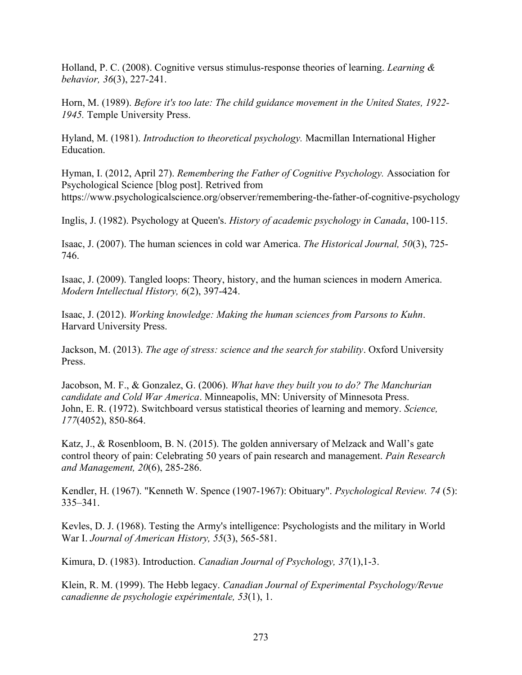Holland, P. C. (2008). Cognitive versus stimulus-response theories of learning. *Learning & behavior, 36*(3), 227-241.

Horn, M. (1989). *Before it's too late: The child guidance movement in the United States, 1922- 1945.* Temple University Press.

Hyland, M. (1981). *Introduction to theoretical psychology.* Macmillan International Higher Education.

Hyman, I. (2012, April 27). *Remembering the Father of Cognitive Psychology.* Association for Psychological Science [blog post]. Retrived from https://www.psychologicalscience.org/observer/remembering-the-father-of-cognitive-psychology

Inglis, J. (1982). Psychology at Queen's. *History of academic psychology in Canada*, 100-115.

Isaac, J. (2007). The human sciences in cold war America. *The Historical Journal, 50*(3), 725- 746.

Isaac, J. (2009). Tangled loops: Theory, history, and the human sciences in modern America. *Modern Intellectual History, 6*(2), 397-424.

Isaac, J. (2012). *Working knowledge: Making the human sciences from Parsons to Kuhn*. Harvard University Press.

Jackson, M. (2013). *The age of stress: science and the search for stability*. Oxford University Press.

Jacobson, M. F., & Gonzalez, G. (2006). *What have they built you to do? The Manchurian candidate and Cold War America*. Minneapolis, MN: University of Minnesota Press. John, E. R. (1972). Switchboard versus statistical theories of learning and memory. *Science, 177*(4052), 850-864.

Katz, J., & Rosenbloom, B. N. (2015). The golden anniversary of Melzack and Wall's gate control theory of pain: Celebrating 50 years of pain research and management. *Pain Research and Management, 20*(6), 285-286.

Kendler, H. (1967). "Kenneth W. Spence (1907-1967): Obituary". *Psychological Review. 74* (5): 335–341.

Kevles, D. J. (1968). Testing the Army's intelligence: Psychologists and the military in World War I. *Journal of American History, 55*(3), 565-581.

Kimura, D. (1983). Introduction. *Canadian Journal of Psychology, 37*(1),1-3.

Klein, R. M. (1999). The Hebb legacy. *Canadian Journal of Experimental Psychology/Revue canadienne de psychologie expérimentale, 53*(1), 1.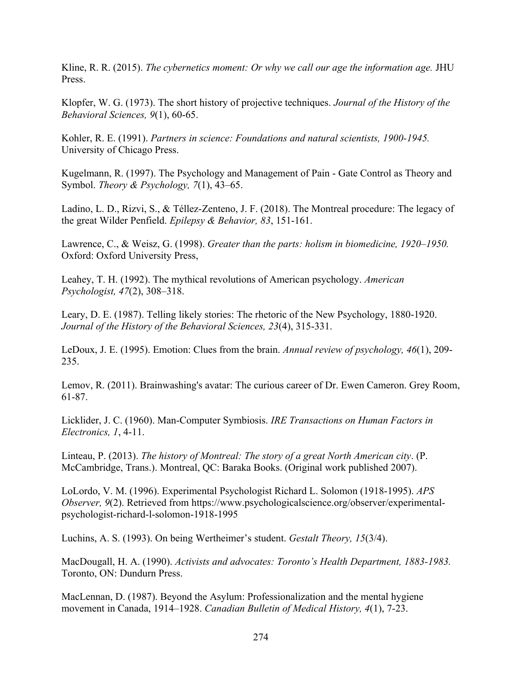Kline, R. R. (2015). *The cybernetics moment: Or why we call our age the information age.* JHU Press.

Klopfer, W. G. (1973). The short history of projective techniques. *Journal of the History of the Behavioral Sciences, 9*(1), 60-65.

Kohler, R. E. (1991). *Partners in science: Foundations and natural scientists, 1900-1945.* University of Chicago Press.

Kugelmann, R. (1997). The Psychology and Management of Pain - Gate Control as Theory and Symbol. *Theory & Psychology, 7*(1), 43–65.

Ladino, L. D., Rizvi, S., & Téllez-Zenteno, J. F. (2018). The Montreal procedure: The legacy of the great Wilder Penfield. *Epilepsy & Behavior, 83*, 151-161.

Lawrence, C., & Weisz, G. (1998). *Greater than the parts: holism in biomedicine, 1920–1950.*  Oxford: Oxford University Press,

Leahey, T. H. (1992). The mythical revolutions of American psychology. *American Psychologist, 47*(2), 308–318.

Leary, D. E. (1987). Telling likely stories: The rhetoric of the New Psychology, 1880-1920. *Journal of the History of the Behavioral Sciences, 23*(4), 315-331.

LeDoux, J. E. (1995). Emotion: Clues from the brain. *Annual review of psychology, 46*(1), 209- 235.

Lemov, R. (2011). Brainwashing's avatar: The curious career of Dr. Ewen Cameron. Grey Room, 61-87.

Licklider, J. C. (1960). Man-Computer Symbiosis. *IRE Transactions on Human Factors in Electronics, 1*, 4-11.

Linteau, P. (2013). *The history of Montreal: The story of a great North American city*. (P. McCambridge, Trans.). Montreal, QC: Baraka Books. (Original work published 2007).

LoLordo, V. M. (1996). Experimental Psychologist Richard L. Solomon (1918-1995). *APS Observer, 9(2).* Retrieved from https://www.psychologicalscience.org/observer/experimentalpsychologist-richard-l-solomon-1918-1995

Luchins, A. S. (1993). On being Wertheimer's student. *Gestalt Theory, 15*(3/4).

MacDougall, H. A. (1990). *Activists and advocates: Toronto's Health Department, 1883-1983.*  Toronto, ON: Dundurn Press.

MacLennan, D. (1987). Beyond the Asylum: Professionalization and the mental hygiene movement in Canada, 1914–1928. *Canadian Bulletin of Medical History, 4*(1), 7-23.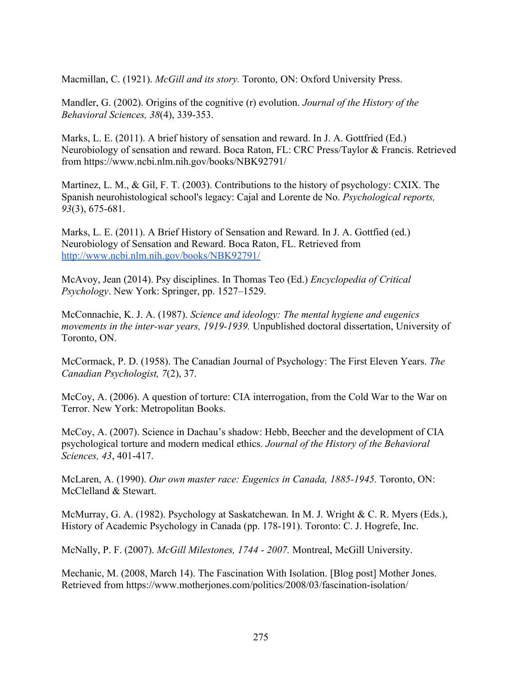Macmillan, C. (1921). *McGill and its story.* Toronto, ON: Oxford University Press.

Mandler, G. (2002). Origins of the cognitive (r) evolution. *Journal of the History of the Behavioral Sciences, 38*(4), 339-353.

Marks, L. E. (2011). A brief history of sensation and reward. In J. A. Gottfried (Ed.) Neurobiology of sensation and reward. Boca Raton, FL: CRC Press/Taylor & Francis. Retrieved from https://www.ncbi.nlm.nih.gov/books/NBK92791/

Martínez, L. M., & Gil, F. T. (2003). Contributions to the history of psychology: CXIX. The Spanish neurohistological school's legacy: Cajal and Lorente de No. *Psychological reports, 93*(3), 675-681.

Marks, L. E. (2011). A Brief History of Sensation and Reward. In J. A. Gottfied (ed.) Neurobiology of Sensation and Reward. Boca Raton, FL. Retrieved from <http://www.ncbi.nlm.nih.gov/books/NBK92791/>

McAvoy, Jean (2014). Psy disciplines. In Thomas Teo (Ed.) *Encyclopedia of Critical Psychology*. New York: Springer, pp. 1527–1529.

McConnachie, K. J. A. (1987). *Science and ideology: The mental hygiene and eugenics movements in the inter-war years, 1919-1939.* Unpublished doctoral dissertation, University of Toronto, ON.

McCormack, P. D. (1958). The Canadian Journal of Psychology: The First Eleven Years. *The Canadian Psychologist, 7*(2), 37.

McCoy, A. (2006). A question of torture: CIA interrogation, from the Cold War to the War on Terror. New York: Metropolitan Books.

McCoy, A. (2007). Science in Dachau's shadow: Hebb, Beecher and the development of CIA psychological torture and modern medical ethics. *Journal of the History of the Behavioral Sciences, 43*, 401-417.

McLaren, A. (1990). *Our own master race: Eugenics in Canada, 1885-1945.* Toronto, ON: McClelland & Stewart.

McMurray, G. A. (1982). Psychology at Saskatchewan. In M. J. Wright & C. R. Myers (Eds.), History of Academic Psychology in Canada (pp. 178-191). Toronto: C. J. Hogrefe, Inc.

McNally, P. F. (2007). *McGill Milestones, 1744 - 2007.* Montreal, McGill University.

Mechanic, M. (2008, March 14). The Fascination With Isolation. [Blog post] Mother Jones. Retrieved from https://www.motherjones.com/politics/2008/03/fascination-isolation/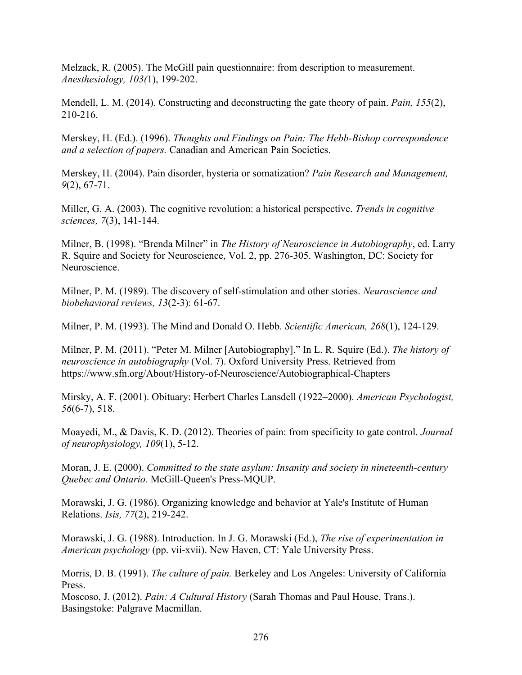Melzack, R. (2005). The McGill pain questionnaire: from description to measurement. *Anesthesiology, 103(*1), 199-202.

Mendell, L. M. (2014). Constructing and deconstructing the gate theory of pain. *Pain, 155*(2), 210-216.

Merskey, H. (Ed.). (1996). *Thoughts and Findings on Pain: The Hebb-Bishop correspondence and a selection of papers.* Canadian and American Pain Societies.

Merskey, H. (2004). Pain disorder, hysteria or somatization? *Pain Research and Management, 9*(2), 67-71.

Miller, G. A. (2003). The cognitive revolution: a historical perspective. *Trends in cognitive sciences, 7*(3), 141-144.

Milner, B. (1998). "Brenda Milner" in *The History of Neuroscience in Autobiography*, ed. Larry R. Squire and Society for Neuroscience, Vol. 2, pp. 276-305. Washington, DC: Society for Neuroscience.

Milner, P. M. (1989). The discovery of self-stimulation and other stories. *Neuroscience and biobehavioral reviews, 13*(2-3): 61-67.

Milner, P. M. (1993). The Mind and Donald O. Hebb. *Scientific American, 268*(1), 124-129.

Milner, P. M. (2011). "Peter M. Milner [Autobiography]." In L. R. Squire (Ed.). *The history of neuroscience in autobiography* (Vol. 7). Oxford University Press. Retrieved from https://www.sfn.org/About/History-of-Neuroscience/Autobiographical-Chapters

Mirsky, A. F. (2001). Obituary: Herbert Charles Lansdell (1922–2000). *American Psychologist, 56*(6-7), 518.

Moayedi, M., & Davis, K. D. (2012). Theories of pain: from specificity to gate control. *Journal of neurophysiology, 109*(1), 5-12.

Moran, J. E. (2000). *Committed to the state asylum: Insanity and society in nineteenth-century Quebec and Ontario.* McGill-Queen's Press-MQUP.

Morawski, J. G. (1986). Organizing knowledge and behavior at Yale's Institute of Human Relations. *Isis, 77*(2), 219-242.

Morawski, J. G. (1988). Introduction. In J. G. Morawski (Ed.), *The rise of experimentation in American psychology* (pp. vii-xvii). New Haven, CT: Yale University Press.

Morris, D. B. (1991). *The culture of pain.* Berkeley and Los Angeles: University of California Press.

Moscoso, J. (2012). *Pain: A Cultural History* (Sarah Thomas and Paul House, Trans.). Basingstoke: Palgrave Macmillan.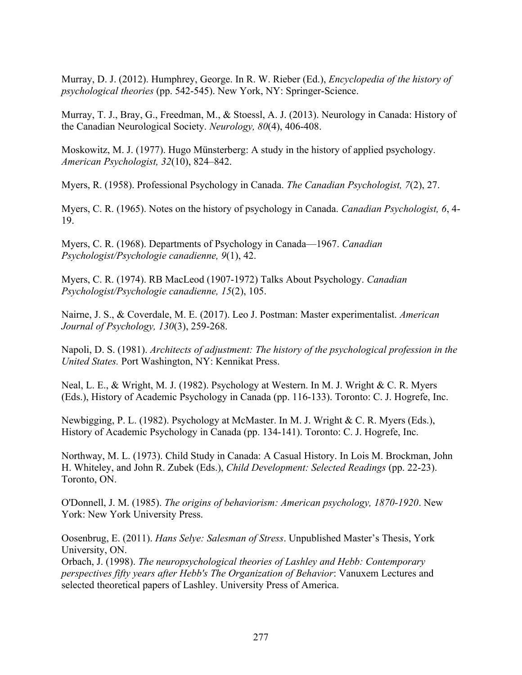Murray, D. J. (2012). Humphrey, George. In R. W. Rieber (Ed.), *Encyclopedia of the history of psychological theories* (pp. 542-545). New York, NY: Springer-Science.

Murray, T. J., Bray, G., Freedman, M., & Stoessl, A. J. (2013). Neurology in Canada: History of the Canadian Neurological Society. *Neurology, 80*(4), 406-408.

Moskowitz, M. J. (1977). Hugo Münsterberg: A study in the history of applied psychology. *American Psychologist, 32*(10), 824–842.

Myers, R. (1958). Professional Psychology in Canada. *The Canadian Psychologist, 7*(2), 27.

Myers, C. R. (1965). Notes on the history of psychology in Canada. *Canadian Psychologist, 6*, 4- 19.

Myers, C. R. (1968). Departments of Psychology in Canada—1967. *Canadian Psychologist/Psychologie canadienne, 9*(1), 42.

Myers, C. R. (1974). RB MacLeod (1907-1972) Talks About Psychology. *Canadian Psychologist/Psychologie canadienne, 15*(2), 105.

Nairne, J. S., & Coverdale, M. E. (2017). Leo J. Postman: Master experimentalist. *American Journal of Psychology, 130*(3), 259-268.

Napoli, D. S. (1981). *Architects of adjustment: The history of the psychological profession in the United States.* Port Washington, NY: Kennikat Press.

Neal, L. E., & Wright, M. J. (1982). Psychology at Western. In M. J. Wright & C. R. Myers (Eds.), History of Academic Psychology in Canada (pp. 116-133). Toronto: C. J. Hogrefe, Inc.

Newbigging, P. L. (1982). Psychology at McMaster. In M. J. Wright & C. R. Myers (Eds.), History of Academic Psychology in Canada (pp. 134-141). Toronto: C. J. Hogrefe, Inc.

Northway, M. L. (1973). Child Study in Canada: A Casual History. In Lois M. Brockman, John H. Whiteley, and John R. Zubek (Eds.), *Child Development: Selected Readings* (pp. 22-23). Toronto, ON.

O'Donnell, J. M. (1985). *The origins of behaviorism: American psychology, 1870-1920*. New York: New York University Press.

Oosenbrug, E. (2011). *Hans Selye: Salesman of Stress*. Unpublished Master's Thesis, York University, ON.

Orbach, J. (1998). *The neuropsychological theories of Lashley and Hebb: Contemporary perspectives fifty years after Hebb's The Organization of Behavior*: Vanuxem Lectures and selected theoretical papers of Lashley. University Press of America.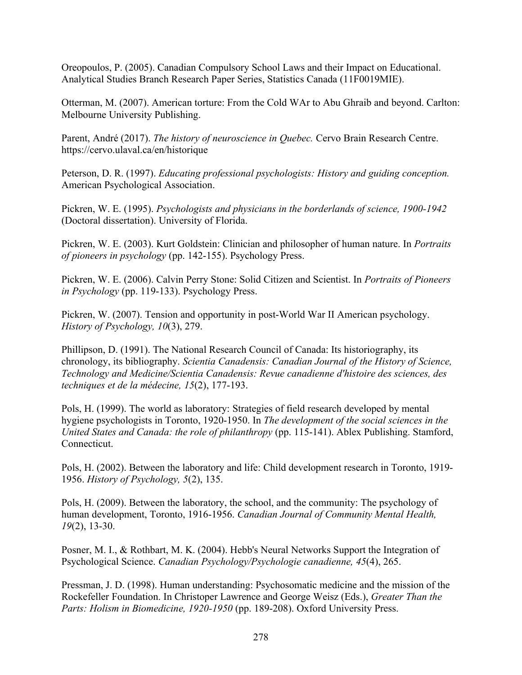Oreopoulos, P. (2005). Canadian Compulsory School Laws and their Impact on Educational. Analytical Studies Branch Research Paper Series, Statistics Canada (11F0019MIE).

Otterman, M. (2007). American torture: From the Cold WAr to Abu Ghraib and beyond. Carlton: Melbourne University Publishing.

Parent, André (2017). *The history of neuroscience in Quebec.* Cervo Brain Research Centre. https://cervo.ulaval.ca/en/historique

Peterson, D. R. (1997). *Educating professional psychologists: History and guiding conception.*  American Psychological Association.

Pickren, W. E. (1995). *Psychologists and physicians in the borderlands of science, 1900-1942*  (Doctoral dissertation). University of Florida.

Pickren, W. E. (2003). Kurt Goldstein: Clinician and philosopher of human nature. In *Portraits of pioneers in psychology* (pp. 142-155). Psychology Press.

Pickren, W. E. (2006). Calvin Perry Stone: Solid Citizen and Scientist. In *Portraits of Pioneers in Psychology* (pp. 119-133). Psychology Press.

Pickren, W. (2007). Tension and opportunity in post-World War II American psychology. *History of Psychology, 10*(3), 279.

Phillipson, D. (1991). The National Research Council of Canada: Its historiography, its chronology, its bibliography. *Scientia Canadensis: Canadian Journal of the History of Science, Technology and Medicine/Scientia Canadensis: Revue canadienne d'histoire des sciences, des techniques et de la médecine, 15*(2), 177-193.

Pols, H. (1999). The world as laboratory: Strategies of field research developed by mental hygiene psychologists in Toronto, 1920-1950. In *The development of the social sciences in the United States and Canada: the role of philanthropy* (pp. 115-141). Ablex Publishing. Stamford, Connecticut.

Pols, H. (2002). Between the laboratory and life: Child development research in Toronto, 1919- 1956. *History of Psychology, 5*(2), 135.

Pols, H. (2009). Between the laboratory, the school, and the community: The psychology of human development, Toronto, 1916-1956. *Canadian Journal of Community Mental Health, 19*(2), 13-30.

Posner, M. I., & Rothbart, M. K. (2004). Hebb's Neural Networks Support the Integration of Psychological Science. *Canadian Psychology/Psychologie canadienne, 45*(4), 265.

Pressman, J. D. (1998). Human understanding: Psychosomatic medicine and the mission of the Rockefeller Foundation. In Christoper Lawrence and George Weisz (Eds.), *Greater Than the Parts: Holism in Biomedicine, 1920-1950* (pp. 189-208). Oxford University Press.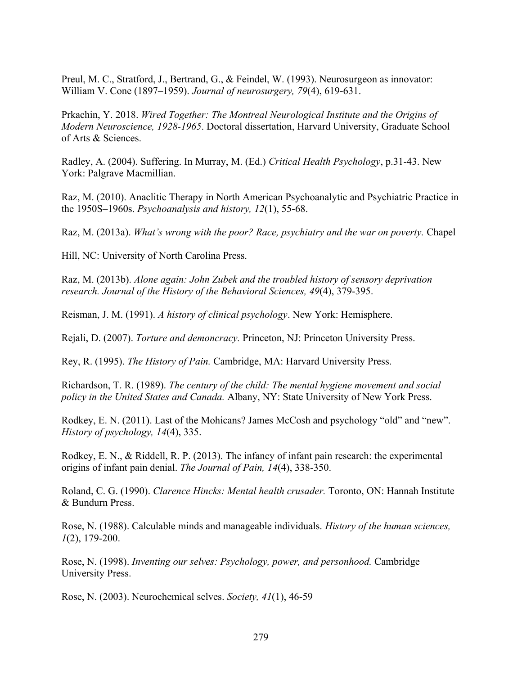Preul, M. C., Stratford, J., Bertrand, G., & Feindel, W. (1993). Neurosurgeon as innovator: William V. Cone (1897–1959). *Journal of neurosurgery, 79*(4), 619-631.

Prkachin, Y. 2018. *Wired Together: The Montreal Neurological Institute and the Origins of Modern Neuroscience, 1928-1965*. Doctoral dissertation, Harvard University, Graduate School of Arts & Sciences.

Radley, A. (2004). Suffering. In Murray, M. (Ed.) *Critical Health Psychology*, p.31-43. New York: Palgrave Macmillian.

Raz, M. (2010). Anaclitic Therapy in North American Psychoanalytic and Psychiatric Practice in the 1950S–1960s. *Psychoanalysis and history, 12*(1), 55-68.

Raz, M. (2013a). *What's wrong with the poor? Race, psychiatry and the war on poverty.* Chapel

Hill, NC: University of North Carolina Press.

Raz, M. (2013b). *Alone again: John Zubek and the troubled history of sensory deprivation research. Journal of the History of the Behavioral Sciences, 49*(4), 379-395.

Reisman, J. M. (1991). *A history of clinical psychology*. New York: Hemisphere.

Rejali, D. (2007). *Torture and demoncracy.* Princeton, NJ: Princeton University Press.

Rey, R. (1995). *The History of Pain.* Cambridge, MA: Harvard University Press.

Richardson, T. R. (1989). *The century of the child: The mental hygiene movement and social policy in the United States and Canada.* Albany, NY: State University of New York Press.

Rodkey, E. N. (2011). Last of the Mohicans? James McCosh and psychology "old" and "new". *History of psychology, 14*(4), 335.

Rodkey, E. N., & Riddell, R. P. (2013). The infancy of infant pain research: the experimental origins of infant pain denial. *The Journal of Pain, 14*(4), 338-350.

Roland, C. G. (1990). *Clarence Hincks: Mental health crusader.* Toronto, ON: Hannah Institute & Bundurn Press.

Rose, N. (1988). Calculable minds and manageable individuals. *History of the human sciences, 1*(2), 179-200.

Rose, N. (1998). *Inventing our selves: Psychology, power, and personhood.* Cambridge University Press.

Rose, N. (2003). Neurochemical selves. *Society, 41*(1), 46-59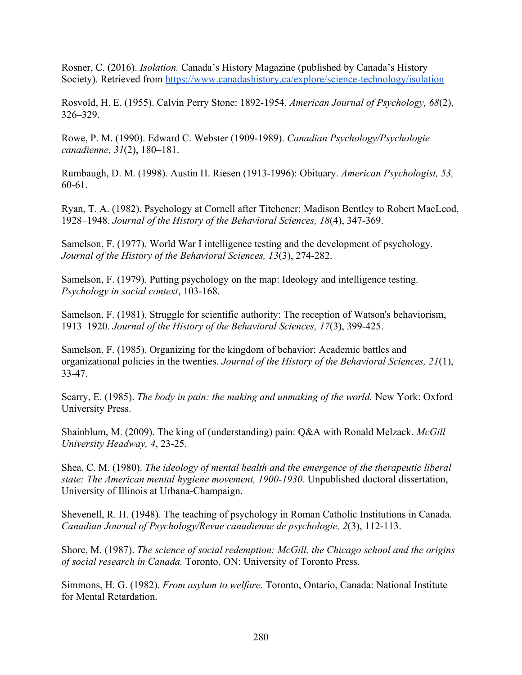Rosner, C. (2016). *Isolation.* Canada's History Magazine (published by Canada's History Society). Retrieved from<https://www.canadashistory.ca/explore/science-technology/isolation>

Rosvold, H. E. (1955). Calvin Perry Stone: 1892-1954. *American Journal of Psychology, 68*(2), 326–329.

Rowe, P. M. (1990). Edward C. Webster (1909-1989). *Canadian Psychology/Psychologie canadienne, 31*(2), 180–181.

Rumbaugh, D. M. (1998). Austin H. Riesen (1913-1996): Obituary. *American Psychologist, 53,* 60-61.

Ryan, T. A. (1982). Psychology at Cornell after Titchener: Madison Bentley to Robert MacLeod, 1928–1948. *Journal of the History of the Behavioral Sciences, 18*(4), 347-369.

Samelson, F. (1977). World War I intelligence testing and the development of psychology. *Journal of the History of the Behavioral Sciences, 13*(3), 274-282.

Samelson, F. (1979). Putting psychology on the map: Ideology and intelligence testing. *Psychology in social context*, 103-168.

Samelson, F. (1981). Struggle for scientific authority: The reception of Watson's behaviorism, 1913–1920. *Journal of the History of the Behavioral Sciences, 17*(3), 399-425.

Samelson, F. (1985). Organizing for the kingdom of behavior: Academic battles and organizational policies in the twenties. *Journal of the History of the Behavioral Sciences, 21*(1), 33-47.

Scarry, E. (1985). *The body in pain: the making and unmaking of the world*. New York: Oxford University Press.

Shainblum, M. (2009). The king of (understanding) pain: Q&A with Ronald Melzack. *McGill University Headway, 4*, 23-25.

Shea, C. M. (1980). *The ideology of mental health and the emergence of the therapeutic liberal state: The American mental hygiene movement, 1900-1930*. Unpublished doctoral dissertation, University of Illinois at Urbana-Champaign.

Shevenell, R. H. (1948). The teaching of psychology in Roman Catholic Institutions in Canada. *Canadian Journal of Psychology/Revue canadienne de psychologie, 2*(3), 112-113.

Shore, M. (1987). *The science of social redemption: McGill, the Chicago school and the origins of social research in Canada.* Toronto, ON: University of Toronto Press.

Simmons, H. G. (1982). *From asylum to welfare.* Toronto, Ontario, Canada: National Institute for Mental Retardation.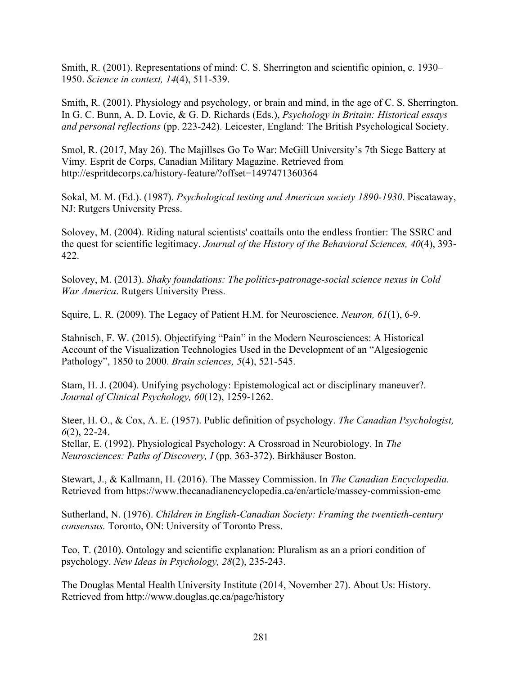Smith, R. (2001). Representations of mind: C. S. Sherrington and scientific opinion, c. 1930– 1950. *Science in context, 14*(4), 511-539.

Smith, R. (2001). Physiology and psychology, or brain and mind, in the age of C. S. Sherrington. In G. C. Bunn, A. D. Lovie, & G. D. Richards (Eds.), *Psychology in Britain: Historical essays and personal reflections* (pp. 223-242). Leicester, England: The British Psychological Society.

Smol, R. (2017, May 26). The Majillses Go To War: McGill University's 7th Siege Battery at Vimy. Esprit de Corps, Canadian Military Magazine. Retrieved from http://espritdecorps.ca/history-feature/?offset=1497471360364

Sokal, M. M. (Ed.). (1987). *Psychological testing and American society 1890-1930*. Piscataway, NJ: Rutgers University Press.

Solovey, M. (2004). Riding natural scientists' coattails onto the endless frontier: The SSRC and the quest for scientific legitimacy. *Journal of the History of the Behavioral Sciences, 40*(4), 393- 422.

Solovey, M. (2013). *Shaky foundations: The politics-patronage-social science nexus in Cold War America*. Rutgers University Press.

Squire, L. R. (2009). The Legacy of Patient H.M. for Neuroscience. *Neuron, 61*(1), 6-9.

Stahnisch, F. W. (2015). Objectifying "Pain" in the Modern Neurosciences: A Historical Account of the Visualization Technologies Used in the Development of an "Algesiogenic Pathology", 1850 to 2000. *Brain sciences, 5*(4), 521-545.

Stam, H. J. (2004). Unifying psychology: Epistemological act or disciplinary maneuver?. *Journal of Clinical Psychology, 60*(12), 1259-1262.

Steer, H. O., & Cox, A. E. (1957). Public definition of psychology. *The Canadian Psychologist, 6*(2), 22-24.

Stellar, E. (1992). Physiological Psychology: A Crossroad in Neurobiology. In *The Neurosciences: Paths of Discovery, I* (pp. 363-372). Birkhäuser Boston.

Stewart, J., & Kallmann, H. (2016). The Massey Commission. In *The Canadian Encyclopedia.*  Retrieved from https://www.thecanadianencyclopedia.ca/en/article/massey-commission-emc

Sutherland, N. (1976). *Children in English-Canadian Society: Framing the twentieth-century consensus.* Toronto, ON: University of Toronto Press.

Teo, T. (2010). Ontology and scientific explanation: Pluralism as an a priori condition of psychology. *New Ideas in Psychology, 28*(2), 235-243.

The Douglas Mental Health University Institute (2014, November 27). About Us: History. Retrieved from http://www.douglas.qc.ca/page/history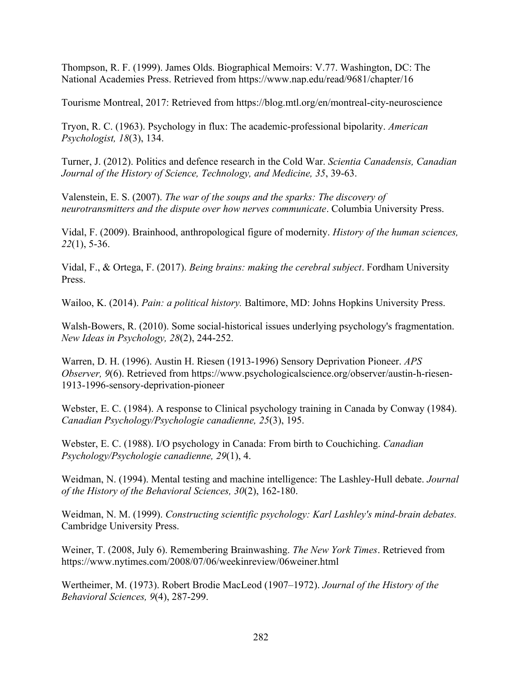Thompson, R. F. (1999). James Olds. Biographical Memoirs: V.77. Washington, DC: The National Academies Press. Retrieved from https://www.nap.edu/read/9681/chapter/16

Tourisme Montreal, 2017: Retrieved from https://blog.mtl.org/en/montreal-city-neuroscience

Tryon, R. C. (1963). Psychology in flux: The academic-professional bipolarity. *American Psychologist, 18*(3), 134.

Turner, J. (2012). Politics and defence research in the Cold War. *Scientia Canadensis, Canadian Journal of the History of Science, Technology, and Medicine, 35*, 39-63.

Valenstein, E. S. (2007). *The war of the soups and the sparks: The discovery of neurotransmitters and the dispute over how nerves communicate*. Columbia University Press.

Vidal, F. (2009). Brainhood, anthropological figure of modernity. *History of the human sciences, 22*(1), 5-36.

Vidal, F., & Ortega, F. (2017). *Being brains: making the cerebral subject*. Fordham University Press.

Wailoo, K. (2014). *Pain: a political history.* Baltimore, MD: Johns Hopkins University Press.

Walsh-Bowers, R. (2010). Some social-historical issues underlying psychology's fragmentation. *New Ideas in Psychology, 28*(2), 244-252.

Warren, D. H. (1996). Austin H. Riesen (1913-1996) Sensory Deprivation Pioneer. *APS Observer, 9*(6). Retrieved from https://www.psychologicalscience.org/observer/austin-h-riesen-1913-1996-sensory-deprivation-pioneer

Webster, E. C. (1984). A response to Clinical psychology training in Canada by Conway (1984). *Canadian Psychology/Psychologie canadienne, 25*(3), 195.

Webster, E. C. (1988). I/O psychology in Canada: From birth to Couchiching. *Canadian Psychology/Psychologie canadienne, 29*(1), 4.

Weidman, N. (1994). Mental testing and machine intelligence: The Lashley-Hull debate. *Journal of the History of the Behavioral Sciences, 30*(2), 162-180.

Weidman, N. M. (1999). *Constructing scientific psychology: Karl Lashley's mind-brain debates.*  Cambridge University Press.

Weiner, T. (2008, July 6). Remembering Brainwashing. *The New York Times*. Retrieved from https://www.nytimes.com/2008/07/06/weekinreview/06weiner.html

Wertheimer, M. (1973). Robert Brodie MacLeod (1907–1972). *Journal of the History of the Behavioral Sciences, 9*(4), 287-299.